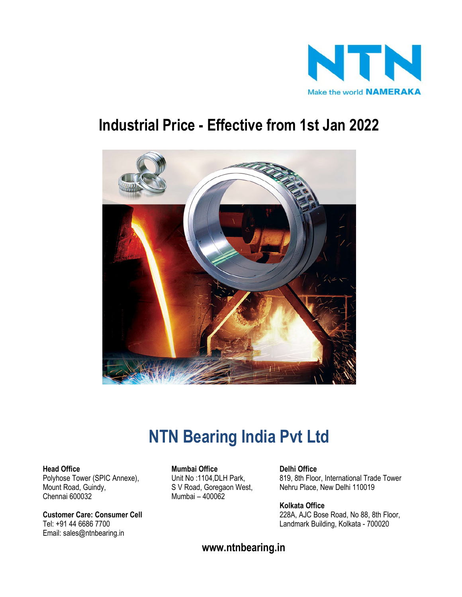

# **Industrial Price - Effective from 1st Jan 2022**



# **NTN Bearing India Pvt Ltd**

Mount Road, Guindy, S V Road, Goregaon West, Nehru Place, New Delhi 110019<br>Chennai 600032 Chennai 600032

Email: sales@ntnbearing.in

**Head Office Mumbai Office Delhi Office** Mumbai – 400062

Polyhose Tower (SPIC Annexe), Chit No :1104, DLH Park, 819, 8th Floor, International Trade Tower<br>Mount Road, Guindy, S V Road, Goregaon West, Nehru Place, New Delhi 110019

**Kolkata Office Customer Care: Consumer Cell** 228A, AJC Bose Road, No 88, 8th Floor, Tel: +91 44 6686 7700 Landmark Building, Kolkata - 700020

**www.ntnbearing.in**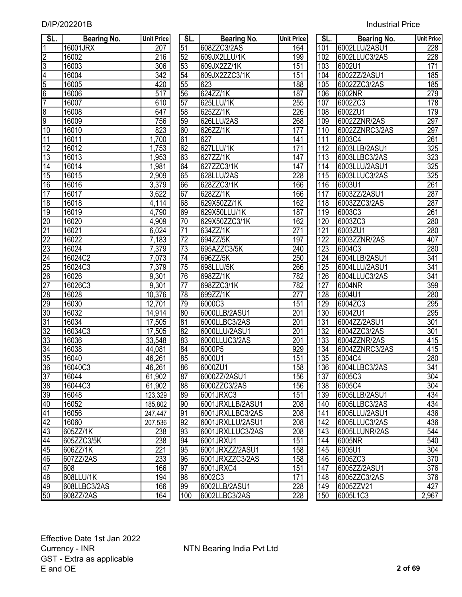| SL.             | <b>Bearing No.</b> | <b>Unit Price</b> | SL.             | Bearing No.      | <b>Unit Price</b> | SL.              | <b>Bearing No.</b> | <b>Unit Price</b> |
|-----------------|--------------------|-------------------|-----------------|------------------|-------------------|------------------|--------------------|-------------------|
| 1               | 16001JRX           | 207               | 51              | 608ZZC3/2AS      | 164               | 101              | 6002LLU/2ASU1      | 228               |
| $\overline{2}$  | 16002              | $\overline{216}$  | 52              | 609JX2LLU/1K     | 199               | 102              | 6002LLUC3/2AS      | 228               |
| 3               | 16003              | 306               | 53              | 609JX2ZZ/1K      | 151               | 103              | 6002U1             | 171               |
| 4               | 16004              | $\overline{342}$  | 54              | 609JX2ZZC3/1K    | 151               | 104              | 6002ZZ/2ASU1       | 185               |
| $\overline{5}$  | 16005              | 420               | 55              | 623              | 188               | 105              | 6002ZZC3/2AS       | 185               |
| $\overline{6}$  | 16006              | $\overline{517}$  | 56              | 624ZZ/1K         | 187               | 106              | 6002NR             | 279               |
| 7               | 16007              | 610               | 57              | 625LLU/1K        | 255               | 107              | 6002ZC3            | 178               |
| 8               | 16008              | 647               | 58              | 625ZZ/1K         | 226               | 108              | 6002ZU1            | $\overline{179}$  |
| $\overline{9}$  | 16009              | 756               | 59              | 626LLU/2AS       | 268               | 109              | 6002ZZNR/2AS       | 297               |
| 10              | 16010              | 823               | 60              | 626ZZ/1K         | 177               | 110              | 6002ZZNRC3/2AS     | 297               |
| $\overline{11}$ | 16011              | 1,700             | 61              | 627              | 141               | 111              | 6003C4             | 261               |
| $\overline{12}$ | 16012              | 1,753             | 62              | 627LLU/1K        | 171               | 112              | 6003LLB/2ASU1      | 325               |
| $\overline{13}$ | 16013              | ,953              | 63              | 627ZZ/1K         | 147               | 113              | 6003LLBC3/2AS      | 323               |
| 14              | 16014              | 1,981             | 64              | 627ZZC3/1K       | 147               | 114              | 6003LLU/2ASU1      | 325               |
| 15              | 16015              | 2,909             | 65              | 628LLU/2AS       | 228               | 115              | 6003LLUC3/2AS      | 325               |
| 16              | 16016              | 3,379             | 66              | 628ZZC3/1K       | 166               | 116              | 6003U1             | 261               |
| $\overline{17}$ | 16017              | 3,622             | 67              | 628ZZ/1K         | 166               | 117              | 6003ZZ/2ASU1       | 287               |
| 18              | 16018              | 4,114             | 68              | 629X50ZZ/1K      | 162               | 118              | 6003ZZC3/2AS       | 287               |
| 19              | 16019              | 4,790             | 69              | 629X50LLU/1K     | 187               | 119              | 6003C3             | $\overline{261}$  |
| 20              | 16020              | 4,909             | 70              | 629X50ZZC3/1K    | 162               | 120              | 6003ZC3            | 280               |
| $\overline{21}$ | 16021              | 6,024             | 71              | 634ZZ/1K         | 271               | $\overline{121}$ | 6003ZU1            | 280               |
| $\overline{22}$ | 16022              | 7,183             | 72              | 694ZZ/5K         | 197               | $\overline{122}$ | 6003ZZNR/2AS       | 407               |
| 23              | 16024              | 7,379             | 73              | 695AZZC3/5K      | 240               | 123              | 6004C3             | 280               |
| $\overline{24}$ | 16024C2            | 7,073             | 74              | 696ZZ/5K         | 250               | 124              | 6004LLB/2ASU1      | 341               |
| $\overline{25}$ | 16024C3            | 7,379             | 75              | 698LLU/5K        | 266               | 125              | 6004LLU/2ASU1      | 341               |
| 26              | 16026              | 9,301             | 76              | 698ZZ/1K         | 782               | 126              | 6004LLUC3/2AS      | 341               |
| $\overline{27}$ | 16026C3            | 9,301             | $\overline{77}$ | 698ZZC3/1K       | 782               | 127              | 6004NR             | 399               |
| $\overline{28}$ | 16028              | 10,376            | 78              | 699ZZ/1K         | 277               | 128              | 6004U1             | 280               |
| 29              | 16030              | 12,701            | 79              | 6000C3           | 151               | 129              | 6004ZC3            | 295               |
| 30              | 16032              | 14,914            | 80              | 6000LLB/2ASU1    | $\overline{201}$  | 130              | 6004ZU1            | 295               |
| $\overline{31}$ | 16034              | 17,505            | 81              | 6000LLBC3/2AS    | 201               | 131              | 6004ZZ/2ASU1       | 301               |
| $\overline{32}$ | 16034C3            | 17,505            | 82              | 6000LLU/2ASU1    | 201               | 132              | 6004ZZC3/2AS       | 301               |
| 33              | 16036              | 33,548            | 83              | 6000LLUC3/2AS    | 201               | 133              | 6004ZZNR/2AS       | 415               |
| $\overline{34}$ | 16038              | 44,081            | $\overline{84}$ | 6000P5           | 929               | 134              | 6004ZZNRC3/2AS     | 415               |
| 35              | 16040              | 46,261            | 85              | 6000U1           | 151               | 135              | 6004C4             | 280               |
| 36              | 16040C3            | 46,261            | 86              | 6000ZU1          | 158               | 136              | 6004LLBC3/2AS      | $\overline{341}$  |
| $\overline{37}$ | 16044              | 61,902            | 87              | 6000ZZ/2ASU1     | 156               | 137              | 6005C3             | 304               |
| 38              | 16044C3            | 61,902            | 88              | 6000ZZC3/2AS     | 156               | 138              | 6005C4             | 304               |
| 39              | 16048              | 123,329           | 89              | 6001JRXC3        | 151               | 139              | 6005LLB/2ASU1      | 434               |
| 40              | 16052              | 185,802           | 90              | 6001JRXLLB/2ASU1 | 208               | 140              | 6005LLBC3/2AS      | 434               |
| 41              | 16056              | 247,447           | 91              | 6001JRXLLBC3/2AS | 208               | 141              | 6005LLU/2ASU1      | 436               |
| 42              | 16060              | 207,536           | 92              | 6001JRXLLU/2ASU1 | 208               | 142              | 6005LLUC3/2AS      | 436               |
| 43              | 605ZZ/1K           | 238               | 93              | 6001JRXLLUC3/2AS | 208               | 143              | 6005LLUNR/2AS      | 544               |
| 44              | 605ZZC3/5K         | 238               | 94              | 6001JRXU1        | 151               | 144              | 6005NR             | 540               |
| 45              | 606ZZ/1K           | 221               | 95              | 6001JRXZZ/2ASU1  | 158               | 145              | 6005U1             | 304               |
| 46              | 607ZZ/2AS          | 233               | 96              | 6001JRXZZC3/2AS  | 158               | 146              | 6005ZC3            | 370               |
| $\overline{47}$ | 608                | 166               | 97              | 6001JRXC4        | 151               | 147              | 6005ZZ/2ASU1       | 376               |
| 48              | 608LLU/1K          | 194               | 98              | 6002C3           | 171               | 148              | 6005ZZC3/2AS       | 376               |
| 49              | 608LLBC3/2AS       | 166               | 99              | 6002LLB/2ASU1    | 228               | 149              | 6005ZZV21          | 427               |
| 50              | 608ZZ/2AS          | 164               | 100             | 6002LLBC3/2AS    | 228               | 150              | 6005L1C3           | 2,967             |

| SL.             | <b>Bearing No.</b> | <b>Unit Price</b>    | SL.             | Bearing No.      | <b>Unit Price</b> | SL.              | <b>Bearing No.</b> | <b>Unit Pric</b> |
|-----------------|--------------------|----------------------|-----------------|------------------|-------------------|------------------|--------------------|------------------|
| 1               | 16001JRX           | $\overline{207}$     | 51              | 608ZZC3/2AS      | 164               | 101              | 6002LLU/2ASU1      | 228              |
| $\overline{2}$  | 16002              | 216                  | 52              | 609JX2LLU/1K     | 199               | 102              | 6002LLUC3/2AS      | 228              |
| 3               | 16003              | $\overline{306}$     | 53              | 609JX2ZZ/1K      | 151               | 103              | 6002U1             | 171              |
|                 | 16004              | $\overline{342}$     | 54              | 609JX2ZZC3/1K    | 151               | 104              | 6002ZZ/2ASU1       | 185              |
| $\frac{4}{5}$   | 16005              | 420                  | 55              | 623              | 188               | 105              | 6002ZZC3/2AS       | 185              |
| 6               | 16006              | $\overline{517}$     | 56              | 624ZZ/1K         | 187               | 106              | 6002NR             | 279              |
| 7               | 16007              | 610                  | 57              | 625LLU/1K        | 255               | 107              | 6002ZC3            | 178              |
|                 | 16008              | 647                  | 58              | 625ZZ/1K         | 226               | 108              | 6002ZU1            | 179              |
| $\frac{8}{9}$   | 16009              | 756                  | 59              | 626LLU/2AS       | 268               | 109              | 6002ZZNR/2AS       | 297              |
| 10              | 16010              | 823                  | 60              | 626ZZ/1K         | $\overline{177}$  | 110              | 6002ZZNRC3/2AS     | 297              |
| $\overline{11}$ | 16011              | ,700                 | 61              | 627              | 141               | 111              | 6003C4             | 261              |
| $\overline{12}$ | 16012              | 1,753                | 62              | 627LLU/1K        | 171               | 112              | 6003LLB/2ASU1      | 325              |
| $\overline{13}$ | 16013              | 1,953                | 63              | 627ZZ/1K         | 147               | 113              | 6003LLBC3/2AS      | 323              |
| $\overline{14}$ | 16014              | 1,981                | 64              | 627ZZC3/1K       | 147               | 114              | 6003LLU/2ASU1      | 325              |
| $\overline{15}$ | 16015              | 2,909                | 65              | 628LLU/2AS       | 228               | 115              | 6003LLUC3/2AS      | 325              |
| $\overline{16}$ | 16016              | 3,379                | 66              | 628ZZC3/1K       | 166               | 116              | 6003U1             | 261              |
| $\overline{17}$ | 16017              | 3,622                | 67              | 628ZZ/1K         | 166               | 117              | 6003ZZ/2ASU1       | 287              |
| 18              | 16018              | 4,114                | 68              | 629X50ZZ/1K      | 162               | 118              | 6003ZZC3/2AS       | 287              |
| $\overline{19}$ | 16019              | 4,790                | 69              | 629X50LLU/1K     | 187               | 119              | 6003C3             | 261              |
| $\overline{20}$ | 16020              | 4,909                | 70              | 629X50ZZC3/1K    | 162               | 120              | 6003ZC3            | 280              |
| $\overline{21}$ | 16021              | 6,024                | $\overline{71}$ | 634ZZ/1K         | $\overline{271}$  | 121              | 6003ZU1            | 280              |
| $\overline{22}$ | 16022              | 7,183                | 72              | 694ZZ/5K         | 197               | $\overline{122}$ | 6003ZZNR/2AS       | 407              |
| $\overline{23}$ | 16024              | 7,379                | 73              | 695AZZC3/5K      | 240               | $\overline{123}$ | 6004C3             | 280              |
| $\overline{24}$ | 16024C2            | 7,073                | 74              | 696ZZ/5K         | 250               | 124              | 6004LLB/2ASU1      | 341              |
| $\overline{25}$ | 16024C3            | 7,379                | 75              | 698LLU/5K        | 266               | 125              | 6004LLU/2ASU1      | 341              |
| $\overline{26}$ | 16026              | 9,301                | 76              | 698ZZ/1K         | 782               | 126              | 6004LLUC3/2AS      | 341              |
| $\overline{27}$ | 16026C3            | 9,301                | $\overline{77}$ | 698ZZC3/1K       | 782               | 127              | 6004NR             | 399              |
| $\overline{28}$ | 16028              | 10,376               | 78              | 699ZZ/1K         | 277               | 128              | 6004U1             | 280              |
| 29              | 16030              | 12,701               | 79              | 6000C3           | 151               | 129              | 6004ZC3            | 295              |
| 30              | 16032              | 14,914               | $\overline{80}$ | 6000LLB/2ASU1    | 201               | 130              | 6004ZU1            | 295              |
| $\overline{31}$ | 16034              | 17,505               | 81              | 6000LLBC3/2AS    | 201               | 131              | 6004ZZ/2ASU1       | 301              |
| 32              | 16034C3            | 17,505               | 82              | 6000LLU/2ASU1    | 201               | 132              | 6004ZZC3/2AS       | 301              |
| $\overline{33}$ | 16036              | 33,548               | $\overline{83}$ | 6000LLUC3/2AS    | 201               | 133              | 6004ZZNR/2AS       | 415              |
| 34              | 16038              | 44,081               | 84              | 6000P5           | 929               | 134              | 6004ZZNRC3/2AS     | 415              |
| $\overline{35}$ | 16040              | 46,261               | 85              | 6000U1           | 151               | 135              | 6004C4             | 280              |
| $\overline{36}$ | 16040C3            | 46,261               | 86              | 6000ZU1          | 158               | 136              | 6004LLBC3/2AS      | 341              |
| 37              | 16044              | 61,902               | 87              | 6000ZZ/2ASU1     | 156               | 137              | 6005C3             | 304              |
| $\overline{38}$ | 16044C3            | 61,902               | 88              | 6000ZZC3/2AS     | 156               | 138              | 6005C4             | 304              |
| $\overline{39}$ | 16048              | $\overline{123,}329$ | 89              | 6001JRXC3        | 151               | 139              | 6005LLB/2ASU1      | 434              |
| 40              | 16052              | 185,802              | 90              | 6001JRXLLB/2ASU1 | 208               | 140              | 6005LLBC3/2AS      | 434              |
| 41              | 16056              | 247,447              | 91              | 6001JRXLLBC3/2AS | 208               | 141              | 6005LLU/2ASU1      | 436              |
| 42              | 16060              | $\overline{207,}536$ | 92              | 6001JRXLLU/2ASU1 | 208               | 142              | 6005LLUC3/2AS      | 436              |
| 43              | 605ZZ/1K           | 238                  | 93              | 6001JRXLLUC3/2AS | 208               | 143              | 6005LLUNR/2AS      | 544              |
| 44              | 605ZZC3/5K         | 238                  | 94              | 6001JRXU1        | 151               | 144              | 6005NR             | 540              |
| 45              | 606ZZ/1K           | 221                  | 95              | 6001JRXZZ/2ASU1  | 158               | 145              | 6005U1             | 304              |
| 46              | 607ZZ/2AS          | 233                  | 96              | 6001JRXZZC3/2AS  | 158               | 146              | 6005ZC3            | 370              |
| 47              | 608                | 166                  | 97              | 6001JRXC4        | 151               | 147              | 6005ZZ/2ASU1       | 376              |
| 48              | 608LLU/1K          | 194                  | $\overline{8}$  | 6002C3           | 171               | 148              | 6005ZZC3/2AS       | 376              |
| 49              | 608LLBC3/2AS       | 166                  | 99              | 6002LLB/2ASU1    | 228               | 149              | 6005ZZV21          | 427              |
| 50              | 608ZZ/2AS          | 164                  | 100             | 6002LLBC3/2AS    | 228               | 150              | 6005L1C3           | 2,967            |

| SL.               | Bearing No.    | <b>Unit Price</b> |
|-------------------|----------------|-------------------|
| 101               | 6002LLU/2ASU1  | 228               |
| 102               | 6002LLUC3/2AS  | 228               |
| 103               | 6002U1         | 171               |
| 104               | 6002ZZ/2ASU1   | 185               |
| 105               | 6002ZZC3/2AS   | $\overline{185}$  |
| $\overline{106}$  | 6002NR         | 279               |
| 107               | 6002ZC3        | 178               |
| 108               | 6002ZU1        | 179               |
| 109               | 6002ZZNR/2AS   | 297               |
| 110               | 6002ZZNRC3/2AS | 297               |
| 111               | 6003C4         | $\overline{261}$  |
| 112               | 6003LLB/2ASU1  | $\overline{325}$  |
| 113               | 6003LLBC3/2AS  | 323               |
| 114               | 6003LLU/2ASU1  | $\overline{325}$  |
| 115               | 6003LLUC3/2AS  | 325               |
| 116               | 6003U1         | 261               |
| 117               | 6003ZZ/2ASU1   | 287               |
| 118               | 6003ZZC3/2AS   | $\overline{287}$  |
| 119               | 6003C3         | 261               |
| 120               | 6003ZC3        | 280               |
|                   | 6003ZU1        | 280               |
| $\frac{121}{122}$ | 6003ZZNR/2AS   | 407               |
| $\overline{123}$  | 6004C3         | 280               |
| 124               | 6004LLB/2ASU1  | 341               |
| 125               | 6004LLU/2ASU1  | 341               |
| $\overline{126}$  | 6004LLUC3/2AS  | 341               |
| 127               | 6004NR         | 399               |
| 128               | 6004U1         | 280               |
| 129               | 6004ZC3        | 295               |
| 130               | 6004ZU1        | 295               |
| 131               | 6004ZZ/2ASU1   | 301               |
| 132               | 6004ZZC3/2AS   | $\overline{301}$  |
| 133               | 6004ZZNR/2AS   | 415               |
| 134               | 6004ZZNRC3/2AS | 415               |
| 135               | 6004C4         | 280               |
| 136               | 6004LLBC3/2AS  | 341               |
| 137               | 6005C3         | 304               |
| 138               | 6005C4         | 304               |
| 139               | 6005LLB/2ASU1  | 434               |
| 140               | 6005LLBC3/2AS  | 434               |
| 141               | 6005LLU/2ASU1  | 436               |
| 142               | 6005LLUC3/2AS  | 436               |
| 143               | 6005LLUNR/2AS  | 544               |
| 144               | 6005NR         | 540               |
| 145               | 6005U1         | 304               |
| 146               | 6005ZC3        | 370               |
| 147               | 6005ZZ/2ASU1   | 376               |
| 148               | 6005ZZC3/2AS   | 376               |
| 149               | 6005ZZV21      | 427               |
| 150               | 6005L1C3       | 2,967             |
|                   |                |                   |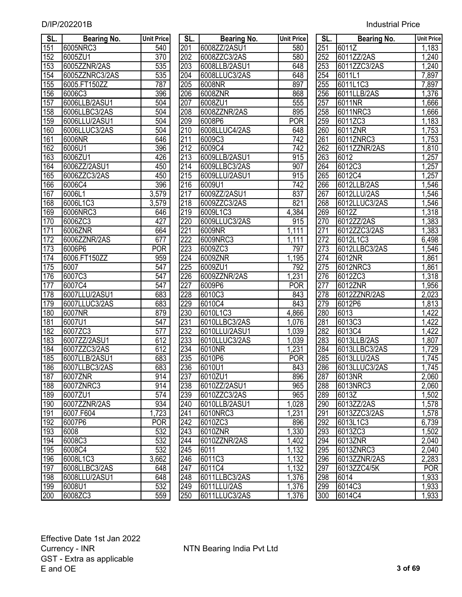| <b>Industrial Price</b> |  |
|-------------------------|--|
|                         |  |

| SL.        | <b>Bearing No.</b> | <b>Unit Price</b> | SL.              | <b>Bearing No.</b> | <b>Unit Price</b> | SL.              | <b>Bearing No.</b> | <b>Unit Price</b> |
|------------|--------------------|-------------------|------------------|--------------------|-------------------|------------------|--------------------|-------------------|
| 151        | 6005NRC3           | 540               | 201              | 6008ZZ/2ASU1       | 580               | 251              | 6011Z              | 1,183             |
| 152        | 6005ZU1            | 370               | 202              | 6008ZZC3/2AS       | 580               | 252              | 6011ZZ/2AS         | 1,240             |
| 153        | 6005ZZNR/2AS       | 535               | 203              | 6008LLB/2ASU1      | 648               | 253              | 6011ZZC3/2AS       | 1,240             |
| 154        | 6005ZZNRC3/2AS     | 535               | 204              | 6008LLUC3/2AS      | 648               | 254              | 6011L1             | 7,897             |
| 155        | 6005.FT150ZZ       | 787               | 205              | 6008NR             | 897               | 255              | 6011L1C3           | 7,897             |
| 156        | 6006C3             | 396               | 206              | 6008ZNR            | 868               | 256              | 6011LLB/2AS        | 1,376             |
| 157        | 6006LLB/2ASU1      | 504               | 207              | 6008ZU1            | 555               | $\overline{257}$ | 6011NR             | 1,666             |
| 158        | 6006LLBC3/2AS      | 504               | 208              | 6008ZZNR/2AS       | 895               | 258              | 6011NRC3           | 1,666             |
| 159        | 6006LLU/2ASU1      | 504               | 209              | 6008P6             | <b>POR</b>        | 259              | 6011ZC3            | 1,183             |
| 160        | 6006LLUC3/2AS      | 504               | 210              | 6008LLUC4/2AS      | 648               | 260              | 6011ZNR            | 1,753             |
| 161        | 6006NR             | 646               | 211              | 6009C3             | $\overline{742}$  | 261              | 6011ZNRC3          | 1,753             |
| 162        | 6006U1             | 396               | 212              | 6009C4             | $\overline{742}$  | $\overline{262}$ | 6011ZZNR/2AS       | 1,810             |
| 163        | 6006ZU1            | 426               | 213              | 6009LLB/2ASU1      | 915               | 263              | 6012               | 1,257             |
| 164        | 6006ZZ/2ASU1       | 450               | 214              | 6009LLBC3/2AS      | 907               | 264              | 6012C3             | 1,257             |
| 165        | 6006ZZC3/2AS       | 450               | $\overline{215}$ | 6009LLU/2ASU1      | 915               | 265              | 6012C4             | 1,257             |
| 166        | 6006C4             | 396               | $\overline{216}$ | 6009U1             | $\overline{742}$  | 266              | 6012LLB/2AS        | 1,546             |
| 167        | 6006L1             | 3,579             | 217              | 6009ZZ/2ASU1       | 837               | 267              | 6012LLU/2AS        | 1,546             |
| 168        | 6006L1C3           | 3,579             | $\overline{218}$ | 6009ZZC3/2AS       | 821               | 268              | 6012LLUC3/2AS      | 1,546             |
| 169        | 6006NRC3           | 646               | 219              | 6009L1C3           | 4,384             | 269              | 6012Z              | 1,318             |
| 170        | 6006ZC3            | 427               | 220              | 6009LLUC3/2AS      | 915               | 270              | 6012ZZ/2AS         | 1,383             |
| 171        | 6006ZNR            | 664               | $\overline{221}$ | 6009NR             | 1,111             | 271              | 6012ZZC3/2AS       | 1,383             |
| 172        | 6006ZZNR/2AS       | 677               | $\overline{222}$ | 6009NRC3           | 1,111             | $\overline{272}$ | 6012L1C3           | 6,498             |
| 173        | 6006P6             | <b>POR</b>        | 223              | 6009ZC3            | 797               | $\overline{273}$ | 6012LLBC3/2AS      | 1,546             |
| 174        | 6006.FT150ZZ       | 959               | $\overline{224}$ | 6009ZNR            | 1,195             | 274              | 6012NR             | 1,861             |
| 175        | 6007               | $\overline{547}$  | $\overline{225}$ | 6009ZU1            | 792               | 275              | 6012NRC3           | 1,861             |
| 176        | 6007C3             | 547               | 226              | 6009ZZNR/2AS       | 1,231             | 276              | 6012ZC3            | 1,318             |
| 177        | 6007C4             | 547               | $\overline{227}$ | 6009P6             | <b>POR</b>        | 277              | 6012ZNR            | 1,956             |
| 178        | 6007LLU/2ASU1      | 683               | 228              | 6010C3             | 843               | 278              | 6012ZZNR/2AS       | 2,023             |
| 179        | 6007LLUC3/2AS      | 683               | 229              | 6010C4             | 843               | 279              | 6012P6             | 1,813             |
| 180        | 6007NR             | 879               | 230              | 6010L1C3           | 4,866             | 280              | 6013               | 1,422             |
| 181        | 6007U1             | 547               | 231              | 6010LLBC3/2AS      | 1,076             | 281              | 6013C3             | 1,422             |
| 182        | 6007ZC3            | 577               | 232              | 6010LLU/2ASU1      | 1,039             | 282              | 6013C4             | 1,422             |
| 183        | 6007ZZ/2ASU1       | 612               | 233              | 6010LLUC3/2AS      | 1,039             | 283              | 6013LLB/2AS        | 1,807             |
| 184        | 6007ZZC3/2AS       | 612               | 234              | 6010NR             | 1,231             | 284              | 6013LLBC3/2AS      | 1,729             |
| 185        | 6007LLB/2ASU1      | 683               | 235              | 6010P6             | <b>POR</b>        | 285              | 6013LLU/2AS        | 1,745             |
| 186        | 6007LLBC3/2AS      | 683               | 236              | 6010U1             | 843               | 286              | 6013LLUC3/2AS      | 1,745             |
| 187        | 6007ZNR            | 914               | 237              | 6010ZU1            | 896               | 287              | 6013NR             | 2,060             |
| 188        | 6007ZNRC3          | 914               | 238              | 6010ZZ/2ASU1       | 965               | 288              | 6013NRC3           | 2,060             |
| 189        | 6007ZU1            | 574               | 239              | 6010ZZC3/2AS       | 965               | 289              | 6013Z              | 1,502             |
| 190        | 6007ZZNR/2AS       | 934               | 240              | 6010LLB/2ASU1      | 1,028             | 290              | 6013ZZ/2AS         | 1,578             |
| 191        | 6007.F604          | 1,723             | 241              | 6010NRC3           | 1,231             | 291              | 6013ZZC3/2AS       | 1,578             |
| 192        | 6007P6             | <b>POR</b>        | 242              | 6010ZC3            | 896               | 292              | 6013L1C3           | 6,739             |
| 193        | 6008               | 532               | 243              | 6010ZNR            | 1,330             | 293              | 6013ZC3            | 1,502             |
| 194        | 6008C3             | 532               | 244              | 6010ZZNR/2AS       | 1,402             | 294              | 6013ZNR            | 2,040             |
| 195        | 6008C4             | 532               | 245              | 6011               | 1,132             | 295              | 6013ZNRC3          | 2,040             |
| 196        | 6008L1C3           | 3,662             | 246              | 6011C3             | 1,132             | 296              | 6013ZZNR/2AS       | 2,283             |
| 197        | 6008LLBC3/2AS      | 648               | 247              | 6011C4             | 1,132             | 297              | 6013ZZC4/5K        | <b>POR</b>        |
| 198        | 6008LLU/2ASU1      | 648               | 248              | 6011LLBC3/2AS      | 1,376             | 298              | 6014               | 1,933             |
| <u>199</u> | 6008U1             | 532               | 249              | 6011LLU/2AS        | 1,376             | 299              | 6014C3             | 1,933             |
| 200        | 6008ZC3            | 559               | 250              | 6011LLUC3/2AS      | 1,376             | 300              | 6014C4             | 1,933             |

| SL.              | <b>Bearing No.</b> | <b>Unit Price</b> | SL.              | <b>Bearing No.</b> | <b>Unit Price</b> | SL. | <b>Bearing No.</b> | <b>Unit Pric</b>   |
|------------------|--------------------|-------------------|------------------|--------------------|-------------------|-----|--------------------|--------------------|
| 151              | 6005NRC3           | 540               | 201              | 6008ZZ/2ASU1       | 580               | 251 | 6011Z              | 1,183              |
| 152              | 6005ZU1            | $\overline{370}$  | 202              | 6008ZZC3/2AS       | 580               | 252 | 6011ZZ/2AS         | 1,240              |
| 153              | 6005ZZNR/2AS       | 535               | 203              | 6008LLB/2ASU1      | 648               | 253 | 6011ZZC3/2AS       | 1,240              |
| 154              | 6005ZZNRC3/2AS     | 535               | 204              | 6008LLUC3/2AS      | 648               | 254 | 6011L1             | 7,897              |
| 155              | 6005.FT150ZZ       | 787               | 205              | 6008NR             | 897               | 255 | 6011L1C3           | 7,897              |
| 156              | 6006C3             | 396               | 206              | 6008ZNR            | 868               | 256 | 6011LLB/2AS        | 1,376              |
| 157              | 6006LLB/2ASU1      | 504               | 207              | 6008ZU1            | $\overline{555}$  | 257 | 6011NR             | ,666               |
| 158              | 6006LLBC3/2AS      | 504               | 208              | 6008ZZNR/2AS       | 895               | 258 | 6011NRC3           | ,666               |
| 159              | 6006LLU/2ASU1      | 504               | 209              | 6008P6             | <b>POR</b>        | 259 | 6011ZC3            | ,183               |
| 160              | 6006LLUC3/2AS      | 504               | 210              | 6008LLUC4/2AS      | 648               | 260 | 6011ZNR            | 1,753              |
| 161              | 6006NR             | 646               | 211              | 6009C3             | 742               | 261 | 6011ZNRC3          | ,753               |
| 162              | 6006U1             | 396               | 212              | 6009C4             | 742               | 262 | 6011ZZNR/2AS       | ,810               |
| 163              | 6006ZU1            | 426               | 213              | 6009LLB/2ASU1      | 915               | 263 | 6012               | ,257               |
| 164              | 6006ZZ/2ASU1       | 450               | 214              | 6009LLBC3/2AS      | 907               | 264 | 6012C3             | ,257               |
| 165              | 6006ZZC3/2AS       | 450               | 215              | 6009LLU/2ASU1      | 915               | 265 | 6012C4             | ,257               |
| 166              | 6006C4             | 396               | 216              | 6009U1             | $\overline{742}$  | 266 | 6012LLB/2AS        | ,546               |
| 167              | 6006L1             | 3,579             | 217              | 6009ZZ/2ASU1       | 837               | 267 | 6012LLU/2AS        | ,546               |
| 168              | 6006L1C3           | 3,579             | 218              | 6009ZZC3/2AS       | 821               | 268 | 6012LLUC3/2AS      | ,546               |
| 169              | 6006NRC3           | 646               | 219              | 6009L1C3           | 4,384             | 269 | 6012Z              | 1,318              |
| 170              | 6006ZC3            | 427               | 220              | 6009LLUC3/2AS      | 915               | 270 | 6012ZZ/2AS         | ,383               |
| 171              | 6006ZNR            | 664               | $\overline{221}$ | 6009NR             | 1,111             | 271 | 6012ZZC3/2AS       | ,383               |
| $\overline{172}$ | 6006ZZNR/2AS       | 677               | $\overline{222}$ | 6009NRC3           | 1,111             | 272 | 6012L1C3           | 6,498              |
| 173              | 6006P6             | <b>POR</b>        | 223              | 6009ZC3            | 797               | 273 | 6012LLBC3/2AS      | 1,546              |
| 174              | 6006.FT150ZZ       | 959               | 224              | 6009ZNR            | 1,195             | 274 | 6012NR             | ,861               |
| $\overline{175}$ | 6007               | 547               | 225              | 6009ZU1            | 792               | 275 | 6012NRC3           | 1,861              |
| 176              | 6007C3             | 547               | 226              | 6009ZZNR/2AS       | 1,231             | 276 | 6012ZC3            | 1,318              |
| 177              | 6007C4             | 547               | 227              | 6009P6             | <b>POR</b>        | 277 | 6012ZNR            | 1,956              |
| 178              | 6007LLU/2ASU1      | 683               | 228              | 6010C3             | 843               | 278 | 6012ZZNR/2AS       | 2,023              |
| 179              | 6007LLUC3/2AS      | 683               | 229              | 6010C4             | 843               | 279 | 6012P6             | 1,813              |
| 180              | 6007NR             | 879               | 230              | 6010L1C3           | 4,866             | 280 | 6013               | 1,422              |
| 181              | 6007U1             | 547               | 231              | 6010LLBC3/2AS      | 1,076             | 281 | 6013C3             | 1,422              |
| 182              | 6007ZC3            | 577               | 232              | 6010LLU/2ASU1      | 1,039             | 282 | 6013C4             | ,422               |
| 183              | 6007ZZ/2ASU1       | 612               | 233              | 6010LLUC3/2AS      | 1,039             | 283 | 6013LLB/2AS        | ,807               |
| 184              | 6007ZZC3/2AS       | 612               | 234              | 6010NR             | 1,231             | 284 | 6013LLBC3/2AS      | 1,729              |
| 185              | 6007LLB/2ASU1      | 683               | 235              | 6010P6             | <b>POR</b>        | 285 | 6013LLU/2AS        | 1,745              |
| 186              | 6007LLBC3/2AS      | 683               | 236              | 6010U1             | 843               | 286 | 6013LLUC3/2AS      | 1,745              |
| 187              | 6007ZNR            | 914               | 237              | 6010ZU1            | 896               | 287 | 6013NR             | 2,060              |
| 188              | 6007ZNRC3          | 914               | 238              | 6010ZZ/2ASU1       | 965               | 288 | 6013NRC3           | 2,060              |
| 189              | 6007ZU1            | 574               | 239              | 6010ZZC3/2AS       | 965               | 289 | 6013Z              | 1,502              |
| 190              | 6007ZZNR/2AS       | 934               | 240              | 6010LLB/2ASU1      | 1,028             | 290 | 6013ZZ/2AS         | $\overline{1,578}$ |
| 191              | 6007.F604          | 1,723             | 241              | 6010NRC3           | 1,231             | 291 | 6013ZZC3/2AS       | $\overline{1,}578$ |
| 192              | 6007P6             | <b>POR</b>        | 242              | 6010ZC3            | 896               | 292 | 6013L1C3           | 6,739              |
| 193              | 6008               | 532               | 243              | 6010ZNR            | 1,330             | 293 | 6013ZC3            | 1,502              |
| 194              | 6008C3             | 532               | 244              | 6010ZZNR/2AS       | 1,402             | 294 | 6013ZNR            | 2,040              |
| 195              | 6008C4             | 532               | 245              | 6011               | 1,132             | 295 | 6013ZNRC3          | 2,040              |
| 196              | 6008L1C3           | 3,662             | 246              | 6011C3             | 1,132             | 296 | 6013ZZNR/2AS       | 2,283              |
| 197              | 6008LLBC3/2AS      | 648               | 247              | 6011C4             | 1,132             | 297 | 6013ZZC4/5K        | <b>POR</b>         |
| 198              | 6008LLU/2ASU1      | 648               | 248              | 6011LLBC3/2AS      | 1,376             | 298 | 6014               | 1,933              |
| 199              | 6008U1             | 532               | 249              | 6011LLU/2AS        | 1,376             | 299 | 6014C3             | 1,933              |
| 200              | 6008ZC3            | 559               | 250              | 6011LLUC3/2AS      | 1,376             | 300 | 6014C4             | 1,933              |

| SL.               | Bearing No.   | <b>Unit Price</b>     |
|-------------------|---------------|-----------------------|
| 251               | 6011Z         |                       |
| 252               | 6011ZZ/2AS    | $\frac{1,183}{1,240}$ |
| 253               | 6011ZZC3/2AS  | 1,240                 |
| 254               | 6011L1        | 7,897                 |
| <u>255</u>        | 6011L1C3      | 7,897                 |
| 256               | 6011LLB/2AS   | 1,376                 |
| 257               | 6011NR        | 1,666                 |
| 258               | 6011NRC3      | 1,666                 |
| 259               | 6011ZC3       | $\overline{1,}183$    |
| 260               | 6011ZNR       | 1,753                 |
| 261               | 6011ZNRC3     | 1,753                 |
| 262               | 6011ZZNR/2AS  | 1,810                 |
| 263               | 6012          | 1,257                 |
| 264               | 6012C3        | 1,257                 |
| 265               | 6012C4        | 1,257                 |
| 266               | 6012LLB/2AS   | 1,546                 |
| 267               | 6012LLU/2AS   | 1,546                 |
| 268               | 6012LLUC3/2AS | 1,546                 |
| 269               | 6012Z         | 1,318                 |
| 270               | 6012ZZ/2AS    | 1,383                 |
| 271               | 6012ZZC3/2AS  | 1,383                 |
| 272               | 6012L1C3      | 6,498                 |
| 273               | 6012LLBC3/2AS | 1,546                 |
| 274               | 6012NR        | 1,861                 |
| 275               | 6012NRC3      | 1,861                 |
| 276               | 6012ZC3       | 1,318                 |
| 277               | 6012ZNR       | 1,956                 |
| 278               | 6012ZZNR/2AS  | 2,023                 |
| 279               | 6012P6        | $\overline{1,813}$    |
| 280               | 6013          | 1,422                 |
| 281               | 6013C3        | $\overline{1,}422$    |
| 282               | 6013C4        | $\overline{1,422}$    |
| 283               | 6013LLB/2AS   | $\overline{1,807}$    |
| 284               | 6013LLBC3/2AS | 1,729                 |
| 285               | 6013LLU/2AS   | 1,745                 |
| 286               | 6013LLUC3/2AS | 1,745                 |
| 287               | 6013NR        | 2,060                 |
| 288               | 6013NRC3      | 2,060                 |
| $\frac{289}{ }$   | 6013Z         | 1,502                 |
| $\frac{290}{290}$ | 6013ZZ/2AS    | 1,578                 |
| 291               | 6013ZZC3/2AS  | 1,578                 |
| $\overline{292}$  | 6013L1C3      | 6,739                 |
| 293               | 6013ZC3       | 1,502                 |
| 294               | 6013ZNR       | 2,040                 |
| <u>295</u>        | 6013ZNRC3     | 2,040                 |
| 296               | 6013ZZNR/2AS  | 2,283                 |
| 297               | 6013ZZC4/5K   | POR                   |
| 298               | 6014          | 1,933                 |
| 299               | 6014C3        | 1,933                 |
| 300               | 6014C4        | 1,933                 |
|                   |               |                       |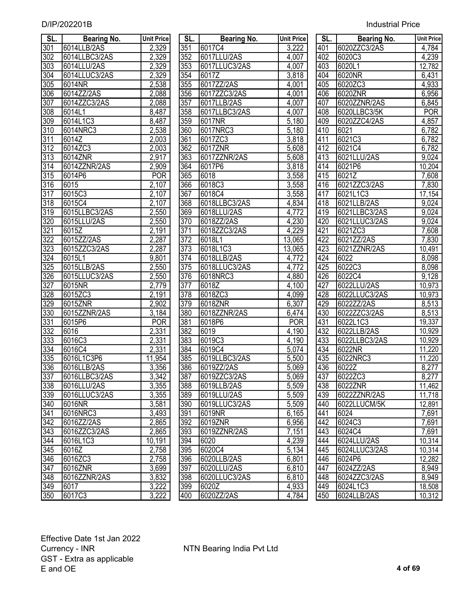| SL.              | <b>Bearing No.</b> | <b>Unit Price</b>  | SL.        | <b>Bearing No.</b>     | <b>Unit Price</b> | SL.        | <b>Bearing No.</b>      | <b>Unit Price</b> |
|------------------|--------------------|--------------------|------------|------------------------|-------------------|------------|-------------------------|-------------------|
| $\overline{301}$ | 6014LLB/2AS        | 2,329              | 351        | 6017C4                 | 3,222             | 401        | 6020ZZC3/2AS            | 4,784             |
| $\overline{302}$ | 6014LLBC3/2AS      | 2,329              | 352        | 6017LLU/2AS            | 4,007             | 402        | 6020C3                  | 4,239             |
| $\overline{303}$ | 6014LLU/2AS        | 2,329              | 353        | 6017LLUC3/2AS          | 4,007             | 403        | 6020L1                  | 12,782            |
| $\overline{304}$ | 6014LLUC3/2AS      | 2,329              | 354        | 6017Z                  | 3,818             | 404        | 6020NR                  | 6,431             |
| $\overline{305}$ | 6014NR             | 2,538              | 355        | 6017ZZ/2AS             | 4,001             | 405        | 6020ZC3                 | 4,933             |
| 306              | 6014ZZ/2AS         | 2,088              | 356        | 6017ZZC3/2AS           | 4,001             | 406        | 6020ZNR                 | 6,956             |
| 307              | 6014ZZC3/2AS       | 2,088              | 357        | 6017LLB/2AS            | 4,007             | 407        | 6020ZZNR/2AS            | 6,845             |
| 308              | 6014L1             | 8,487              | 358        | 6017LLBC3/2AS          | 4,007             | 408        | 6020LLBC3/5K            | <b>POR</b>        |
| 309              | 6014L1C3           | 8,487              | 359        | 6017NR                 | 5,180             | 409        | 6020ZZC4/2AS            | 4,857             |
| $\overline{310}$ | 6014NRC3           | 2,538              | 360        | 6017NRC3               | 5,180             | 410        | 6021                    | 6,782             |
| $\overline{311}$ | 6014Z              | 2,003              | 361        | 6017ZC3                | 3,818             | 411        | 6021C3                  | 6,782             |
| $\overline{312}$ | 6014ZC3            | 2,003              | 362        | 6017ZNR                | 5,608             | 412        | 6021C4                  | 6,782             |
| $\overline{313}$ | 6014ZNR            | 2,917              | 363        | 6017ZZNR/2AS           | 5,608             | 413        | 6021LLU/2AS             | 9,024             |
| $\overline{314}$ | 6014ZZNR/2AS       | 2,909              | 364        | 6017P6                 | 3,818             | 414        | 6021P6                  | 10,204            |
| $\overline{315}$ | 6014P6             | <b>POR</b>         | 365        | 6018                   | 3,558             | 415        | 6021Z                   | 7,608             |
| $\overline{316}$ | 6015               | 2,107              | 366        | 6018C3                 | 3,558             | 416        | 6021ZZC3/2AS            | 7,830             |
| 317              | 6015C3             | 2,107              | 367        | 6018C4                 | 3,558             | 417        | 6021L1C3                | 17,154            |
| 318              | 6015C4             | 2,107              | 368        | 6018LLBC3/2AS          | 4,834             | 418        | 6021LLB/2AS             | 9,024             |
| $\overline{319}$ | 6015LLBC3/2AS      | 2,550              | 369        | 6018LLU/2AS            | 4,772             | 419        | 6021LLBC3/2AS           | 9,024             |
| 320              | 6015LLU/2AS        | 2,550              | 370        | 6018ZZ/2AS             | 4,230             | 420        | 6021LLUC3/2AS           | 9,024             |
| $\overline{321}$ | 6015Z              | 2,191              | 371        | 6018ZZC3/2AS           | 4,229             | 421        | 6021ZC3                 | 7,608             |
| 322              | 6015ZZ/2AS         | 2,287              | 372        | 6018L1                 | 13,065            | 422        | 6021ZZ/2AS              | 7,830             |
| 323              | 6015ZZC3/2AS       | 2,287              | 373        | 6018L1C3               | 13,065            | 423        | 6021ZZNR/2AS            | 10,491            |
| $\overline{324}$ | 6015L1             | $\overline{9,80}1$ | 374        | 6018LLB/2AS            | 4,772             | 424        | 6022                    | 8,098             |
| $\overline{325}$ | 6015LLB/2AS        | 2,550              | 375        | 6018LLUC3/2AS          | 4,772             | 425        | 6022C3                  | 8,098             |
| 326              | 6015LLUC3/2AS      | 2,550              | 376        | 6018NRC3               | 4,880             | 426        | 6022C4                  | 9,128             |
| $\overline{327}$ | 6015NR             | 2,779              | 377        | $\overline{601}8Z$     | 4,100             | 427        | 6022LLU/2AS             | 10,973            |
| 328              | 6015ZC3            | 2,191              | 378        | 6018ZC3                | 4,099             | 428        | 6022LLUC3/2AS           | 10,973            |
| 329              | 6015ZNR            | 2,902              | 379        | 6018ZNR                | 6,307             | 429        | 6022ZZ/2AS              | 8,513             |
| 330              | 6015ZZNR/2AS       | 3,184              | 380        | 6018ZZNR/2AS           | 6,474             | 430        | 6022ZZC3/2AS            | 8,513             |
| 331              | 6015P6             | <b>POR</b>         | 381        | 6018P6                 | <b>POR</b>        | 431        | 6022L1C3                | 19,337            |
| 332              | 6016               | 2,331              | 382        | 6019                   | 4,190             | 432        | 6022LLB/2AS             | 10,929            |
| 333              | 6016C3             | 2,331              | 383        | 6019C3                 | 4,190             | 433        | 6022LLBC3/2AS           | 10,929            |
| $\overline{334}$ | 6016C4             | 2,331              | 384        | 6019C4                 | 5,074             | 434        | 6022NR                  | 11,220            |
| 335              | 6016L1C3P6         | 11,954             | 385        | 6019LLBC3/2AS          | 5,500             | 435        | 6022NRC3                | 11,220            |
| 336              | 6016LLB/2AS        | 3,356              | 386        | 6019ZZ/2AS             | 5,069             | 436        | 6022Z                   | 8,277             |
| 337              | 6016LLBC3/2AS      | 3,342              | 387        | 6019ZZC3/2AS           | 5,069             | 437        | 6022ZC3                 | 8,277             |
| 338              | 6016LLU/2AS        | 3,355              | 388        | 6019LLB/2AS            | 5,509             | 438        | 6022ZNR                 | 11,462            |
| 339              | 6016LLUC3/2AS      | 3,355              | 389        | 6019LLU/2AS            | 5,509             | 439        | 6022ZZNR/2AS            | 11,718            |
| 340              | 6016NR             | 3,581              | 390        | 6019LLUC3/2AS          | 5,509             | 440        | 6022LLUCM/5K            | 12,891            |
| 341              | 6016NRC3           | 3,493              | 391        | 6019NR                 | 6,165             | 441        | 6024                    | 7,691             |
| 342              | 6016ZZ/2AS         | 2,865              | 392        | 6019ZNR                | 6,956             | 442        | 6024C3                  | 7,691             |
| 343              | 6016ZZC3/2AS       |                    | 393        | 6019ZZNR/2AS           | 7,151             |            | 6024C4                  | 7,691             |
| 344              | 6016L1C3           | 2,865              | 394        | 6020                   | 4,239             | 443        | 6024LLU/2AS             | 10,314            |
|                  | 6016Z              | 10,191             | 395        |                        |                   | 444        | 6024LLUC3/2AS           |                   |
| $\overline{345}$ |                    | 2,758              |            | 6020C4<br>6020LLB/2AS  | 5,134             | 445        | 6024P6                  | 10,314            |
| 346              | 6016ZC3            | 2,758              | 396        |                        | 6,801             | 446        | 6024ZZ/2AS              | 12,282            |
| 347              | 6016ZNR            | 3,699              | 397        | 6020LLU/2AS            | 6,810             | 447        |                         | 8,949             |
| 348              | 6016ZZNR/2AS       | 3,832              | 398        | 6020LLUC3/2AS<br>6020Z | 6,810             | 448        | 6024ZZC3/2AS            | 8,949             |
| 349<br>350       | 6017<br>6017C3     | 3,222<br>3.222     | 399<br>400 | 6020ZZ/2AS             | 4,933<br>4.784    | 449<br>450 | 6024L1C3<br>6024LLB/2AS | 18,508<br>10.312  |
|                  |                    |                    |            |                        |                   |            |                         |                   |

| SL.             | Bearing No.        | <b>Unit Pric</b>   |
|-----------------|--------------------|--------------------|
| 351             | 6017C4             | 3,222              |
| 352             | 6017LLU/2AS        | 4,007              |
| 353             | 6017LLUC3/2AS      | 4,007              |
| 354             | 6017Z              | 3,818              |
| 355             | 6017ZZ/2AS         | 4,001              |
| 356             | 6017ZZC3/2AS       | 4,001              |
| 357             | 6017LLB/2AS        | 4,007              |
| 358             | 6017LLBC3/2AS      | 4,007              |
| 359             | 6017NR             | 5,180              |
| 360             | 6017NRC3           | 5,180              |
| 361             | 6017ZC3            | 3,818              |
| 362             | 6017ZNR            | 5,608              |
| 363             | 6017ZZNR/2AS       | 5,608              |
| 364             | 6017P6             | 3,818              |
| 365             | 6018               | 3,558              |
| 366             | 6018C3             | 3,558              |
| 367             | 6018C4             | 3,558              |
| 368             | 6018LLBC3/2AS      | 4,834              |
| 369             | 6018LLU/2AS        | 4,772              |
| 370             | 6018ZZ/2AS         | 4,230              |
| 371             | 6018ZZC3/2AS       | 4,229              |
| 372             | 6018L1             | 13,065             |
| 373             | 6018L1C3           | 13,065             |
| 374             | 6018LLB/2AS        | 4,772              |
| 375             | 6018LLUC3/2AS      | 4,772              |
| 376             | 6018NRC3           | 4,880              |
| 377             | 6018Z              | 4,100              |
| 378             | 6018ZC3            | 4,099              |
| 379             | 6018ZNR            | 6,307              |
| 380             | 6018ZZNR/2AS       | 6,474              |
| 381             | 6018P6             | POR                |
| 382             | 6019               | 4,190              |
| 383             | 6019C3             | 4,190              |
| 384             | 6019C <sub>4</sub> | 5,074              |
| 385             | 6019LLBC3/2AS      | 5,500              |
| 386             | 6019ZZ/2AS         | 5,069              |
| 387             | 6019ZZC3/2AS       | 5,069              |
| 388             | 6019LLB/2AS        | 5,509              |
| 389             | 6019LLU/2AS        | 5,509              |
| 390             | 6019LLUC3/2AS      | 5,509              |
| 391             | 6019NR             | 6,165              |
| 392             | 6019ZNR            | 6,956              |
| 393             | 6019ZZNR/2AS       | 7,151              |
| 394             | 6020               | 4,239              |
| $\frac{1}{2}$   | 6020C4             | 5,134              |
| $\frac{396}{ }$ | 6020LLB/2AS        | 6,801              |
| 397             | 6020LLU/2AS        | 6,810              |
| 398             | 6020LLUC3/2AS      | 6,810              |
| 399             | 6020Z              | 4,933              |
| 400             | 6020ZZ/2AS         | $\overline{4,}784$ |
|                 |                    |                    |

| SL.              | Bearing No.   | <b>Unit Price</b> | SL.              | <b>Bearing No.</b> | <b>Unit Price</b> | SL.              | <b>Bearing No.</b> | <b>Unit Price</b> |
|------------------|---------------|-------------------|------------------|--------------------|-------------------|------------------|--------------------|-------------------|
| $\overline{301}$ | 6014LLB/2AS   | 2,329             | $\overline{351}$ | 6017C4             | 3,222             | 401              | 6020ZZC3/2AS       | 4,784             |
| $\overline{302}$ | 6014LLBC3/2AS | 2,329             | 352              | 6017LLU/2AS        | 4,007             | 402              | 6020C3             | 4,239             |
| $\overline{303}$ | 6014LLU/2AS   | 2,329             | $\overline{353}$ | 6017LLUC3/2AS      | 4,007             | 403              | 6020L1             | 12,782            |
| $\overline{304}$ | 6014LLUC3/2AS | 2,329             | $\overline{354}$ | 6017Z              | 3,818             | 404              | 6020NR             | 6,431             |
| $\overline{305}$ | 6014NR        | 2,538             | $\overline{355}$ | 6017ZZ/2AS         | 4,001             | 405              | 6020ZC3            | 4,933             |
| 306              | 6014ZZ/2AS    | 2,088             | 356              | 6017ZZC3/2AS       | 4,001             | 406              | 6020ZNR            | 6,956             |
| $\overline{307}$ | 6014ZZC3/2AS  | 2,088             | 357              | 6017LLB/2AS        | 4,007             | 407              | 6020ZZNR/2AS       | 6,845             |
| 308              | 6014L1        | 8,487             | 358              | 6017LLBC3/2AS      | 4,007             | 408              | 6020LLBC3/5K       | <b>POR</b>        |
| 309              | 6014L1C3      | 8,487             | 359              | 6017NR             | 5,180             | 409              | 6020ZZC4/2AS       | 4,857             |
| $\overline{310}$ | 6014NRC3      | 2,538             | 360              | 6017NRC3           | 5,180             | 410              | 6021               | 6,782             |
| 311              | 6014Z         | 2,003             | $\overline{361}$ | 6017ZC3            | 3,818             | 411              | 6021C3             | 6,782             |
| 312              | 6014ZC3       | 2,003             | 362              | 6017ZNR            | 5,608             | 412              | 6021C4             | 6,782             |
| $\overline{313}$ | 6014ZNR       | 2,917             | 363              | 6017ZZNR/2AS       | 5,608             | 413              | 6021LLU/2AS        | 9,024             |
| $\overline{314}$ | 6014ZZNR/2AS  | 2,909             | 364              | 6017P6             | 3,818             | 414              | 6021P6             | 10,204            |
| $\overline{315}$ | 6014P6        | <b>POR</b>        | 365              | 6018               | 3,558             | 415              | 6021Z              | 7,608             |
| $\overline{316}$ | 6015          | 2,107             | 366              | 6018C3             | 3,558             | $4\overline{16}$ | 6021ZZC3/2AS       | 7,830             |
| $\overline{317}$ | 6015C3        | 2,107             | 367              | 6018C4             | 3,558             | 417              | 6021L1C3           | 17,154            |
| 318              | 6015C4        | 2,107             | 368              | 6018LLBC3/2AS      | 4,834             | 418              | 6021LLB/2AS        | 9,024             |
| 319              | 6015LLBC3/2AS | 2,550             | 369              | 6018LLU/2AS        | 4,772             | 419              | 6021LLBC3/2AS      | 9,024             |
| 320              | 6015LLU/2AS   | 2,550             | 370              | 6018ZZ/2AS         | 4,230             | 420              | 6021LLUC3/2AS      | 9,024             |
| $\overline{321}$ | 6015Z         | 2,191             | 371              | 6018ZZC3/2AS       | 4,229             | 421              | 6021ZC3            | 7,608             |
| $\overline{322}$ | 6015ZZ/2AS    | 2,287             | 372              | 6018L1             | 13,065            | 422              | 6021ZZ/2AS         | 7,830             |
| 323              | 6015ZZC3/2AS  | 2,287             | 373              | 6018L1C3           | 13,065            | 423              | 6021ZZNR/2AS       | 10,491            |
| $\overline{324}$ | 6015L1        | 9,801             | $\overline{374}$ | 6018LLB/2AS        | 4,772             | 424              | 6022               | 8,098             |
| $\overline{325}$ | 6015LLB/2AS   | 2,550             | $\overline{375}$ | 6018LLUC3/2AS      | 4,772             | 425              | 6022C3             | 8,098             |
| 326              | 6015LLUC3/2AS | 2,550             | 376              | 6018NRC3           | 4,880             | 426              | 6022C4             | 9,128             |
| $\overline{327}$ | 6015NR        | 2,779             | $\overline{377}$ | 6018Z              | 4,100             | 427              | 6022LLU/2AS        | 10,973            |
| 328              | 6015ZC3       | 2,191             | 378              | 6018ZC3            | 4,099             | 428              | 6022LLUC3/2AS      | 10,973            |
| 329              | 6015ZNR       | 2,902             | 379              | 6018ZNR            | 6,307             | 429              | 6022ZZ/2AS         | 8,513             |
| 330              | 6015ZZNR/2AS  | 3,184             | 380              | 6018ZZNR/2AS       | 6,474             | 430              | 6022ZZC3/2AS       | 8,513             |
| $\overline{331}$ | 6015P6        | <b>POR</b>        | 381              | 6018P6             | <b>POR</b>        | 431              | 6022L1C3           | 19,337            |
| 332              | 6016          | 2,331             | 382              | 6019               | 4,190             | 432              | 6022LLB/2AS        | 10,929            |
| 333              | 6016C3        | 2,331             | 383              | 6019C3             | 4,190             | 433              | 6022LLBC3/2AS      | 10,929            |
| 334              | 6016C4        | 2,331             | 384              | 6019C4             | 5,074             | 434              | 6022NR             | 11,220            |
| 335              | 6016L1C3P6    | 11,954            | 385              | 6019LLBC3/2AS      | 5,500             | 435              | 6022NRC3           | 11,220            |
| 336              | 6016LLB/2AS   | 3,356             | 386              | 6019ZZ/2AS         | 5,069             | 436              | 6022Z              | 8,277             |
| 337              | 6016LLBC3/2AS | 3,342             | 387              | 6019ZZC3/2AS       | 5,069             | 437              | 6022ZC3            | 8,277             |
| $\overline{338}$ | 6016LLU/2AS   | 3,355             | 388              | 6019LLB/2AS        | 5,509             | 438              | 6022ZNR            | 11,462            |
| 339              | 6016LLUC3/2AS | 3,355             | 389              | 6019LLU/2AS        | 5,509             | 439              | 6022ZZNR/2AS       | 11,718            |
| 340              | 6016NR        | 3,581             | 390              | 6019LLUC3/2AS      | 5,509             | 440              | 6022LLUCM/5K       | 12,891            |
| 341              | 6016NRC3      | 3,493             | 391              | 6019NR             | 6,165             | 441              | 6024               | 7,691             |
| $\overline{342}$ | 6016ZZ/2AS    | 2,865             | 392              | 6019ZNR            | 6,956             | 442              | 6024C3             | 7,691             |
| 343              | 6016ZZC3/2AS  | 2,865             | 393              | 6019ZZNR/2AS       | 7,151             | 443              | 6024C4             | 7,691             |
| $\overline{344}$ | 6016L1C3      | 10,191            | 394              | 6020               | 4,239             | 444              | 6024LLU/2AS        | 10,314            |
| 345              | 6016Z         | 2,758             | 395              | 6020C4             | 5,134             | 445              | 6024LLUC3/2AS      | 10,314            |
| 346              | 6016ZC3       | 2,758             | 396              | 6020LLB/2AS        | 6,801             | 446              | 6024P6             | 12,282            |
| 347              | 6016ZNR       | 3,699             | 397              | 6020LLU/2AS        | 6,810             | 447              | 6024ZZ/2AS         | 8,949             |
| 348              | 6016ZZNR/2AS  | 3,832             | 398              | 6020LLUC3/2AS      | 6,810             | 448              | 6024ZZC3/2AS       | 8,949             |
| 349              | 6017          | 3,222             | 399              | 6020Z              | 4,933             | 449              | 6024L1C3           | 18,508            |
| 350              | 6017C3        | 3,222             | 400              | 6020ZZ/2AS         | 4,784             | 450              | 6024LLB/2AS        | 10,312            |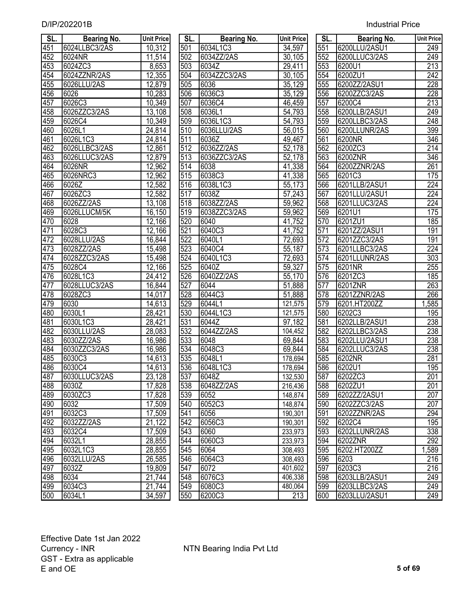| D/IP/202201B | <b>Industrial Price</b> |
|--------------|-------------------------|
|--------------|-------------------------|

| SL. | <b>Bearing No.</b> | <b>Unit Price</b> | SL. | <b>Bearing No.</b> | <b>Unit Price</b>   | SL.              | <b>Bearing No.</b> | <b>Unit Price</b> |
|-----|--------------------|-------------------|-----|--------------------|---------------------|------------------|--------------------|-------------------|
| 451 | 6024LLBC3/2AS      | 10,312            | 501 | 6034L1C3           | 34,597              | 551              | 6200LLU/2ASU1      | 249               |
| 452 | 6024NR             | 11,514            | 502 | 6034ZZ/2AS         | 30,105              | 552              | 6200LLUC3/2AS      | 249               |
| 453 | 6024ZC3            | 8,653             | 503 | 6034Z              | 29,411              | 553              | 6200U1             | $\overline{213}$  |
| 454 | 6024ZZNR/2AS       | 12,355            | 504 | 6034ZZC3/2AS       | 30,105              | 554              | 6200ZU1            | 242               |
| 455 | 6026LLU/2AS        | 12,879            | 505 | 6036               | 35,129              | 555              | 6200ZZ/2ASU1       | $\overline{228}$  |
| 456 | 6026               | 10,283            | 506 | 6036C3             | 35,129              | 556              | 6200ZZC3/2AS       | 228               |
| 457 | 6026C3             | 10,349            | 507 | 6036C4             | 46,459              | 557              | 6200C4             | 213               |
| 458 | 6026ZZC3/2AS       | 13,108            | 508 | 6036L1             | 54,793              | 558              | 6200LLB/2ASU1      | 249               |
| 459 | 6026C4             | 10,349            | 509 | 6036L1C3           | 54,793              | 559              | 6200LLBC3/2AS      | 248               |
| 460 | 6026L1             | 24,814            | 510 | 6036LLU/2AS        | 56,015              | 560              | 6200LLUNR/2AS      | 399               |
| 461 | 6026L1C3           | 24,814            | 511 | 6036Z              | 49,467              | 561              | 6200NR             | 346               |
| 462 | 6026LLBC3/2AS      | 12,861            | 512 | 6036ZZ/2AS         | 52,178              | 562              | 6200ZC3            | 214               |
| 463 | 6026LLUC3/2AS      | 12,879            | 513 | 6036ZZC3/2AS       | $\overline{52,178}$ | 563              | 6200ZNR            | 346               |
| 464 | 6026NR             | 12,962            | 514 | 6038               | 41,338              | 564              | 6200ZZNR/2AS       | 261               |
| 465 | 6026NRC3           | 12,962            | 515 | 6038C3             | 41,338              | 565              | 6201C3             | 175               |
| 466 | 6026Z              | 12,582            | 516 | 6038L1C3           | $\overline{5}5,173$ | 566              | 6201LLB/2ASU1      | $\overline{224}$  |
| 467 | 6026ZC3            | 12,582            | 517 | 6038Z              | 57,243              | 567              | 6201LLU/2ASU1      | 224               |
| 468 | 6026ZZ/2AS         | 13,108            | 518 | 6038ZZ/2AS         | 59,962              | 568              | 6201LLUC3/2AS      | 224               |
| 469 | 6026LLUCM/5K       | 16,150            | 519 | 6038ZZC3/2AS       | 59,962              | 569              | 6201U1             | 175               |
| 470 | 6028               | 12,166            | 520 | 6040               | 41,752              | 570              | 6201ZU1            | 185               |
| 471 | 6028C3             | 12,166            | 521 | 6040C3             | 41,752              | $\overline{571}$ | 6201ZZ/2ASU1       | 191               |
| 472 | 6028LLU/2AS        | 16,844            | 522 | 6040L1             | 72,693              | 572              | 6201ZZC3/2AS       | 191               |
| 473 | 6028ZZ/2AS         | 15,498            | 523 | 6040C4             | 55,187              | 573              | 6201LLBC3/2AS      | 224               |
| 474 | 6028ZZC3/2AS       | 15,498            | 524 | 6040L1C3           | 72,693              | $\overline{574}$ | 6201LLUNR/2AS      | 303               |
| 475 | 6028C4             | 12,166            | 525 | 6040Z              | 59,327              | $\overline{575}$ | 6201NR             | 255               |
| 476 | 6028L1C3           | 24,412            | 526 | 6040ZZ/2AS         | 55,170              | 576              | 6201ZC3            | 185               |
| 477 | 6028LLUC3/2AS      | 16,844            | 527 | 6044               | 51,888              | $\overline{577}$ | 6201ZNR            | 263               |
| 478 | 6028ZC3            | 14,017            | 528 | 6044C3             | 51,888              | 578              | 6201ZZNR/2AS       | 266               |
| 479 | 6030               | 14,613            | 529 | 6044L1             | 121,575             | 579              | 6201.HT200ZZ       | 1,585             |
| 480 | 6030L1             | 28,421            | 530 | 6044L1C3           | 121,575             | 580              | 6202C3             | 195               |
| 481 | 6030L1C3           | 28,421            | 531 | 6044Z              | 97,182              | 581              | 6202LLB/2ASU1      | 238               |
| 482 | 6030LLU/2AS        | 28,083            | 532 | 6044ZZ/2AS         | 104,452             | 582              | 6202LLBC3/2AS      | 238               |
| 483 | 6030ZZ/2AS         | 16,986            | 533 | 6048               | 69,844              | 583              | 6202LLU/2ASU1      | 238               |
| 484 | 6030ZZC3/2AS       | 16,986            | 534 | 6048C3             | 69,844              | 584              | 6202LLUC3/2AS      | 238               |
| 485 | 6030C3             | 14,613            | 535 | 6048L1             | 178,694             | 585              | 6202NR             | 281               |
| 486 | 6030C4             | 14,613            | 536 | 6048L1C3           | 178,694             | 586              | 6202U1             | 195               |
| 487 | 6030LLUC3/2AS      | 23,128            | 537 | 6048Z              | 132,530             | 587              | 6202ZC3            | 201               |
| 488 | 6030Z              | 17,828            | 538 | 6048ZZ/2AS         | 216,436             | 588              | 6202ZU1            | 201               |
| 489 | 6030ZC3            | 17,828            | 539 | 6052               | 148,874             | 589              | 6202ZZ/2ASU1       | 207               |
| 490 | 6032               | 17,509            | 540 | 6052C3             | 148,874             | 590              | 6202ZZC3/2AS       | 207               |
| 491 | 6032C3             | 17,509            | 541 | 6056               | 190,301             | 591              | 6202ZZNR/2AS       | 294               |
| 492 | 6032ZZ/2AS         | 21,122            | 542 | 6056C3             | 190,301             | 592              | 6202C4             | 195               |
| 493 | 6032C4             | 17,509            | 543 | 6060               | 233,973             | 593              | 6202LLUNR/2AS      | 338               |
| 494 | 6032L1             | 28,855            | 544 | 6060C3             | 233,973             | 594              | 6202ZNR            | $\overline{292}$  |
| 495 | 6032L1C3           | 28,855            | 545 | 6064               | 308,493             | 595              | 6202.HT200ZZ       | 1,589             |
| 496 | 6032LLU/2AS        | 26,585            | 546 | 6064C3             | 308,493             | 596              | 6203               | 216               |
| 497 | 6032Z              | 19,809            | 547 | 6072               | 401,602             | 597              | 6203C3             | 216               |
| 498 | 6034               | 21,744            | 548 | 6076C3             | 406,338             | 598              | 6203LLB/2ASU1      | 249               |
| 499 | 6034C3             | 21,744            | 549 | 6080C3             | 480,064             | 599              | 6203LLBC3/2AS      | 249               |
| 500 | 6034L1             | 34.597            | 550 | 6200C3             | 213                 | 600              | 6203LLU/2ASU1      | $\overline{249}$  |

| SL. | Bearing No.   | <b>Unit Price</b>   | SL. I | <b>Bearing No.</b> | <b>Unit Price</b>   | SL. I | <b>Bearing No.</b> | <b>Unit Pric</b> |
|-----|---------------|---------------------|-------|--------------------|---------------------|-------|--------------------|------------------|
| 451 | 6024LLBC3/2AS | 10,312              | 501   | 6034L1C3           | 34,597              | 551   | 6200LLU/2ASU1      | 249              |
| 452 | 6024NR        | 11,514              | 502   | 6034ZZ/2AS         | 30,105              | 552   | 6200LLUC3/2AS      | 249              |
| 453 | 6024ZC3       | 8,653               | 503   | 6034Z              | 29,411              | 553   | 6200U1             | $\overline{213}$ |
| 454 | 6024ZZNR/2AS  | 12,355              | 504   | 6034ZZC3/2AS       | 30,105              | 554   | 6200ZU1            | 242              |
| 455 | 6026LLU/2AS   | 12,879              | 505   | 6036               | 35,129              | 555   | 6200ZZ/2ASU1       | 228              |
| 456 | 6026          | 10,283              | 506   | 6036C3             | 35,129              | 556   | 6200ZZC3/2AS       | 228              |
| 457 | 6026C3        | 10,349              | 507   | 6036C4             | 46,459              | 557   | 6200C4             | 213              |
| 458 | 6026ZZC3/2AS  | 13,108              | 508   | 6036L1             | 54,793              | 558   | 6200LLB/2ASU1      | 249              |
| 459 | 6026C4        | 10,349              | 509   | 6036L1C3           | 54,793              | 559   | 6200LLBC3/2AS      | 248              |
| 460 | 6026L1        | 24,814              | 510   | 6036LLU/2AS        | 56,015              | 560   | 6200LLUNR/2AS      | 399              |
| 461 | 6026L1C3      | 24,814              | 511   | 6036Z              | 49,467              | 561   | 6200NR             | 346              |
| 462 | 6026LLBC3/2AS | 12,861              | 512   | 6036ZZ/2AS         | 52,178              | 562   | 6200ZC3            | 214              |
| 463 | 6026LLUC3/2AS | 12,879              | 513   | 6036ZZC3/2AS       | 52,178              | 563   | 6200ZNR            | 346              |
| 464 | 6026NR        | 12,962              | 514   | 6038               | 41,338              | 564   | 6200ZZNR/2AS       | 261              |
| 465 | 6026NRC3      | 12,962              | 515   | 6038C3             | 41,338              | 565   | 6201C3             | 175              |
| 466 | 6026Z         | 12,582              | 516   | 6038L1C3           | 55,173              | 566   | 6201LLB/2ASU1      | 224              |
| 467 | 6026ZC3       | 12,582              | 517   | 6038Z              | 57,243              | 567   | 6201LLU/2ASU1      | 224              |
| 468 | 6026ZZ/2AS    | 13,108              | 518   | 6038ZZ/2AS         | 59,962              | 568   | 6201LLUC3/2AS      | 224              |
| 469 | 6026LLUCM/5K  | 16,150              | 519   | 6038ZZC3/2AS       | 59,962              | 569   | 6201U1             | 175              |
| 470 | 6028          | 12,166              | 520   | 6040               | 41,752              | 570   | 6201ZU1            | 185              |
| 471 | 6028C3        | $\overline{12,166}$ | 521   | 6040C3             | 41,752              | 571   | 6201ZZ/2ASU1       | 191              |
| 472 | 6028LLU/2AS   | 16,844              | 522   | 6040L1             | 72,693              | 572   | 6201ZZC3/2AS       | 191              |
| 473 | 6028ZZ/2AS    | 15,498              | 523   | 6040C4             | 55,187              | 573   | 6201LLBC3/2AS      | $\overline{224}$ |
| 474 | 6028ZZC3/2AS  | 15,498              | 524   | 6040L1C3           | 72,693              | 574   | 6201LLUNR/2AS      | 303              |
| 475 | 6028C4        | $\overline{12,166}$ | 525   | 6040Z              | 59,327              | 575   | 6201NR             | 255              |
| 476 | 6028L1C3      | 24,412              | 526   | 6040ZZ/2AS         | 55,170              | 576   | 6201ZC3            | 185              |
| 477 | 6028LLUC3/2AS | 16,844              | 527   | 6044               | 51,888              | 577   | 6201ZNR            | 263              |
| 478 | 6028ZC3       | 14,017              | 528   | 6044C3             | $\overline{51,888}$ | 578   | 6201ZZNR/2AS       | 266              |
| 479 | 6030          | 14,613              | 529   | 6044L1             | 121,575             | 579   | 6201.HT200ZZ       | ,585             |
| 480 | 6030L1        | 28,421              | 530   | 6044L1C3           | 121,575             | 580   | 6202C3             | 195              |
| 481 | 6030L1C3      | 28,421              | 531   | 6044Z              | $\overline{97,182}$ | 581   | 6202LLB/2ASU1      | 238              |
| 482 | 6030LLU/2AS   | 28,083              | 532   | 6044ZZ/2AS         | 104,452             | 582   | 6202LLBC3/2AS      | 238              |
| 483 | 6030ZZ/2AS    | 16,986              | 533   | 6048               | 69,844              | 583   | 6202LLU/2ASU1      | 238              |
| 484 | 6030ZZC3/2AS  | 16,986              | 534   | 6048C3             | 69,844              | 584   | 6202LLUC3/2AS      | 238              |
| 485 | 6030C3        | 14,613              | 535   | 6048L1             | 178,694             | 585   | 6202NR             | 281              |
| 486 | 6030C4        | 14,613              | 536   | 6048L1C3           | 178,694             | 586   | 6202U1             | 195              |
| 487 | 6030LLUC3/2AS | 23,128              | 537   | 6048Z              | 132,530             | 587   | 6202ZC3            | 201              |
| 488 | 6030Z         | 17,828              | 538   | 6048ZZ/2AS         | 216,436             | 588   | 6202ZU1            | 201              |
| 489 | 6030ZC3       | 17,828              | 539   | 6052               | 148,874             | 589   | 6202ZZ/2ASU1       | 207              |
| 490 | 6032          | 17,509              | 540   | 6052C3             | 148,874             | 590   | 6202ZZC3/2AS       | 207              |
| 491 | 6032C3        | 17,509              | 541   | 6056               | 190,301             | 591   | 6202ZZNR/2AS       | 294              |
| 492 | 6032ZZ/2AS    | 21,122              | 542   | 6056C3             | 190,301             | 592   | 6202C4             | 195              |
| 493 | 6032C4        | 17,509              | 543   | 6060               | 233,973             | 593   | 6202LLUNR/2AS      | 338              |
| 494 | 6032L1        | 28,855              | 544   | 6060C3             | 233,973             | 594   | 6202ZNR            | 292              |
| 495 | 6032L1C3      | 28,855              | 545   | 6064               | 308,493             | 595   | 6202.HT200ZZ       | ,589             |
| 496 | 6032LLU/2AS   | 26,585              | 546   | 6064C3             | 308,493             | 596   | 6203               | 216              |
| 497 | 6032Z         | 19,809              | 547   | 6072               | 401,602             | 597   | 6203C3             | 216              |
| 498 | 6034          | 21,744              | 548   | 6076C3             | 406,338             | 598   | 6203LLB/2ASU1      | 249              |
| 499 | 6034C3        | 21,744              | 549   | 6080C3             | 480,064             | 599   | 6203LLBC3/2AS      | 249              |
| 500 | 6034L1        | 34,597              | 550   | 6200C3             | 213                 | 600   | 6203LLU/2ASU1      | 249              |

| SL.              | Bearing No.   | <b>Unit Price</b> |
|------------------|---------------|-------------------|
| 551              | 6200LLU/2ASU1 | 249               |
| 552              | 6200LLUC3/2AS | 249               |
| 553              | 6200U1        | $\overline{2}$ 13 |
| 554              | 6200ZU1       | $\overline{242}$  |
| 555              | 6200ZZ/2ASU1  | $\overline{228}$  |
| 556              | 6200ZZC3/2AS  | 228               |
| $\overline{557}$ | 6200C4        | 213               |
| 558              | 6200LLB/2ASU1 | 249               |
| 559              | 6200LLBC3/2AS | 248               |
| 560              | 6200LLUNR/2AS | 399               |
| 561              | 6200NR        | 346               |
| 562              | 6200ZC3       | 214               |
| 563              | 6200ZNR       | $\overline{346}$  |
| 564              | 6200ZZNR/2AS  | $\overline{261}$  |
| 565              | 6201C3        | 175               |
| 566              | 6201LLB/2ASU1 | $\overline{224}$  |
| 567              | 6201LLU/2ASU1 | 224               |
| 568              | 6201LLUC3/2AS | 224               |
| 569              | 6201U1        | 175               |
| $5\overline{70}$ | 6201ZU1       | $\overline{185}$  |
| 571              | 6201ZZ/2ASU1  | 191               |
| $\overline{572}$ | 6201ZZC3/2AS  | 191               |
| 573              | 6201LLBC3/2AS | 224               |
| $\frac{5}{74}$   | 6201LLUNR/2AS | $30\overline{3}$  |
| $\frac{575}{5}$  | 6201NR        | 255               |
| $\frac{576}{5}$  | 6201ZC3       | 185               |
| $\frac{57}{7}$   | 6201ZNR       | 263               |
| $\overline{578}$ | 6201ZZNR/2AS  | 266               |
| $\overline{579}$ | 6201.HT200ZZ  | 1,585             |
| 580              | 6202C3        | 195               |
| 581              |               | 238               |
| 582              | 6202LLB/2ASU1 |                   |
|                  | 6202LLBC3/2AS | 238               |
| 583              | 6202LLU/2ASU1 | 238               |
| 584              | 6202LLUC3/2AS | 238               |
| 585              | 6202NR        | 281               |
| 586              | 6202U1        | 195               |
| 587              | 6202ZC3       | 201               |
| 588              | 6202ZU1       | 201               |
| 589              | 6202ZZ/2ASU1  | 207               |
| 590              | 6202ZZC3/2AS  | 207               |
| 591              | 6202ZZNR/2AS  | 294               |
| 592              | 6202C4        | 195               |
| 593              | 6202LLUNR/2AS | 338               |
| 594              | 6202ZNR       | 292               |
| 595              | 6202.HT200ZZ  | 1,589             |
| 596              | 6203          | $\overline{216}$  |
| 597              | 6203C3        | 216               |
| 598              | 6203LLB/2ASU1 | 249               |
| 599              | 6203LLBC3/2AS | 249               |
| 600              | 6203LLU/2ASU1 | 249               |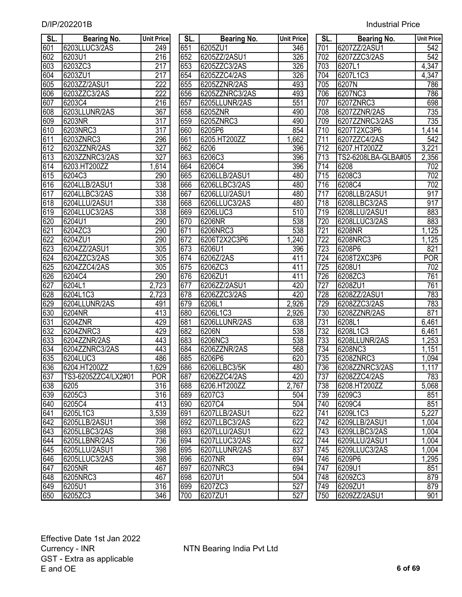| <b>Industrial Price</b> |  |
|-------------------------|--|
|                         |  |

| SL. | <b>Bearing No.</b>  | <b>Unit Price</b> | SL. | <b>Bearing No.</b> | <b>Unit Price</b> | SL.              | <b>Bearing No.</b>  | <b>Unit Price</b> |
|-----|---------------------|-------------------|-----|--------------------|-------------------|------------------|---------------------|-------------------|
| 601 | 6203LLUC3/2AS       | 249               | 651 | 6205ZU1            | 346               | 701              | 6207ZZ/2ASU1        | 542               |
| 602 | 6203U1              | 216               | 652 | 6205ZZ/2ASU1       | 326               | 702              | 6207ZZC3/2AS        | $\overline{542}$  |
| 603 | 6203ZC3             | 217               | 653 | 6205ZZC3/2AS       | 326               | 703              | 6207L1              | 4,347             |
| 604 | 6203ZU1             | $\overline{217}$  | 654 | 6205ZZC4/2AS       | 326               | 704              | 6207L1C3            | 4,347             |
| 605 | 6203ZZ/2ASU1        | 222               | 655 | 6205ZZNR/2AS       | 493               | 705              | 6207N               | 786               |
| 606 | 6203ZZC3/2AS        | 222               | 656 | 6205ZZNRC3/2AS     | 493               | 706              | 6207NC3             | 786               |
| 607 | 6203C4              | 216               | 657 | 6205LLUNR/2AS      | 551               | 707              | 6207ZNRC3           | 698               |
| 608 | 6203LLUNR/2AS       | 367               | 658 | 6205ZNR            | 490               | 708              | 6207ZZNR/2AS        | 735               |
| 609 | 6203NR              | $\overline{317}$  | 659 | 6205ZNRC3          | 490               | 709              | 6207ZZNRC3/2AS      | 735               |
| 610 | 6203NRC3            | $\overline{317}$  | 660 | 6205P6             | 854               | 710              | 6207T2XC3P6         | 1,414             |
| 611 | 6203ZNRC3           | 296               | 661 | 6205.HT200ZZ       | ,662              | 711              | 6207ZZC4/2AS        | $\overline{542}$  |
| 612 | 6203ZZNR/2AS        | 327               | 662 | 6206               | 396               | $\overline{712}$ | 6207.HT200ZZ        | 3,221             |
| 613 | 6203ZZNRC3/2AS      | $\overline{327}$  | 663 | 6206C3             | 396               | 713              | TS2-6208LBA-GLBA#05 | 2,356             |
| 614 | 6203.HT200ZZ        | ,614<br>1         | 664 | 6206C4             | 396               | 714              | 6208                | 702               |
| 615 | 6204C3              | 290               | 665 | 6206LLB/2ASU1      | 480               | 715              | 6208C3              | 702               |
| 616 | 6204LLB/2ASU1       | 338               | 666 | 6206LLBC3/2AS      | 480               | 716              | 6208C4              | 702               |
| 617 | 6204LLBC3/2AS       | 338               | 667 | 6206LLU/2ASU1      | 480               | $\overline{717}$ | 6208LLB/2ASU1       | 917               |
| 618 | 6204LLU/2ASU1       | 338               | 668 | 6206LLUC3/2AS      | 480               | $\overline{718}$ | 6208LLBC3/2AS       | 917               |
| 619 | 6204LLUC3/2AS       | 338               | 669 | 6206LUC3           | 510               | 719              | 6208LLU/2ASU1       | 883               |
| 620 | 6204U1              | 290               | 670 | 6206NR             | 538               | 720              | 6208LLUC3/2AS       | 883               |
| 621 | 6204ZC3             | 290               | 671 | 6206NRC3           | 538               | $\overline{721}$ | 6208NR              | 1,125             |
| 622 | 6204ZU1             | 290               | 672 | 6206T2X2C3P6       | ,240              | $\overline{722}$ | 6208NRC3            | 1,125             |
| 623 | 6204ZZ/2ASU1        | $\overline{305}$  | 673 | 6206U1             | 396               | 723              | 6208P6              | 821               |
| 624 | 6204ZZC3/2AS        | $\overline{305}$  | 674 | 6206Z/2AS          | 411               | 724              | 6208T2XC3P6         | <b>POR</b>        |
| 625 | 6204ZZC4/2AS        | $\overline{305}$  | 675 | 6206ZC3            | 411               | 725              | 6208U1              | 702               |
| 626 | 6204C4              | 290               | 676 | 6206ZU1            | 411               | 726              | 6208ZC3             | 761               |
| 627 | 6204L1              | 2,723             | 677 | 6206ZZ/2ASU1       | 420               | 727              | 6208ZU1             | 761               |
| 628 | 6204L1C3            | 2,723             | 678 | 6206ZZC3/2AS       | 420               | 728              | 6208ZZ/2ASU1        | 783               |
| 629 | 6204LLUNR/2AS       | 491               | 679 | 6206L1             | 2,926             | 729              | 6208ZZC3/2AS        | 783               |
| 630 | 6204NR              | 413               | 680 | 6206L1C3           | 2,926             | 730              | 6208ZZNR/2AS        | 871               |
| 631 | 6204ZNR             | 429               | 681 | 6206LLUNR/2AS      | 638               | 731              | 6208L1              | 6,461             |
| 632 | 6204ZNRC3           | 429               | 682 | 6206N              | 538               | 732              | 6208L1C3            | 6,461             |
| 633 | 6204ZZNR/2AS        | 443               | 683 | 6206NC3            | 538               | 733              | 6208LLUNR/2AS       | 1,253             |
| 634 | 6204ZZNRC3/2AS      | 443               | 684 | 6206ZZNR/2AS       | 568               | 734              | 6208NC3             | 1,151             |
| 635 | 6204LUC3            | 486               | 685 | 6206P6             | 620               | 735              | 6208ZNRC3           | 1,094             |
| 636 | 6204.HT200ZZ        | 1,629             | 686 | 6206LLBC3/5K       | 480               | 736              | 6208ZZNRC3/2AS      | 1,117             |
| 637 | TS3-6205ZZC4/LX2#01 | POR               | 687 | 6206ZZC4/2AS       | 420               | 737              | 6208ZZC4/2AS        | 783               |
| 638 | 6205                | 316               | 688 | 6206.HT200ZZ       | 2,767             | 738              | 6208.HT200ZZ        | 5,068             |
| 639 | 6205C3              | 316               | 689 | 6207C3             | 504               | 739              | 6209C3              | 851               |
| 640 | 6205C4              | 413               | 690 | 6207C4             | 504               | 740              | 6209C4              | 851               |
| 641 | 6205L1C3            | 3,539             | 691 | 6207LLB/2ASU1      | 622               | 741              | 6209L1C3            | 5,227             |
| 642 | 6205LLB/2ASU1       | 398               | 692 | 6207LLBC3/2AS      | 622               | 742              | 6209LLB/2ASU1       | 1,004             |
| 643 | 6205LLBC3/2AS       | 398               | 693 | 6207LLU/2ASU1      | 622               | 743              | 6209LLBC3/2AS       | 1,004             |
| 644 | 6205LLBNR/2AS       | 736               | 694 | 6207LLUC3/2AS      | 622               | 744              | 6209LLU/2ASU1       | 1,004             |
| 645 | 6205LLU/2ASU1       | 398               | 695 | 6207LLUNR/2AS      | 837               | 745              | 6209LLUC3/2AS       | 1,004             |
| 646 | 6205LLUC3/2AS       | 398               | 696 | 6207NR             | 694               | 746              | 6209P6              | 1,295             |
| 647 | 6205NR              | 467               | 697 | 6207NRC3           | 694               | 747              | 6209U1              | 851               |
| 648 | 6205NRC3            | 467               | 698 | 6207U1             | 504               | 748              | 6209ZC3             | 879               |
| 649 | 6205U1              | 316               | 699 | 6207ZC3            | 527               | 749              | 6209ZU1             | 879               |
| 650 | 6205ZC3             | 346               | 700 | 6207ZU1            | 527               | 750              | 6209ZZ/2ASU1        | 901               |
|     |                     |                   |     |                    |                   |                  |                     |                   |

| SL. | <b>Bearing No.</b> | <b>Unit Pric</b>   |
|-----|--------------------|--------------------|
| 651 | 6205ZU1            | 346                |
| 652 | 6205ZZ/2ASU1       | 326                |
| 653 | 6205ZZC3/2AS       | $\overline{326}$   |
| 654 | 6205ZZC4/2AS       | 326                |
| 655 | 6205ZZNR/2AS       | 493                |
| 656 | 6205ZZNRC3/2AS     | 493                |
| 657 | 6205LLUNR/2AS      | 551                |
| 658 | 6205ZNR            | 490                |
| 659 | 6205ZNRC3          | 490                |
| 660 | 6205P6             | 854                |
| 661 | 6205.HT200ZZ       | 1,662              |
| 662 | 6206               | 39 <sub>6</sub>    |
| 663 | 6206C3             | 396                |
| 664 | 6206C4             | 396                |
| 665 | 6206LLB/2ASU1      | 480                |
| 666 | 6206LLBC3/2AS      | 480                |
| 667 | 6206LLU/2ASU1      | 480                |
| 668 | 6206LLUC3/2AS      | 480                |
| 669 | 6206LUC3           | 510                |
| 670 | 6206NR             | 538                |
| 671 | 6206NRC3           |                    |
|     |                    | 538                |
| 672 | 6206T2X2C3P6       | 1,240              |
| 673 | 6206U1             | 396                |
| 674 | 6206Z/2AS          | 411                |
| 675 | 6206ZC3            | $41\overline{1}$   |
| 676 | 6206ZU1            | 411                |
| 677 | 6206ZZ/2ASU1       | 420                |
| 678 | 6206ZZC3/2AS       | 420                |
| 679 | 6206L1             | 2,926              |
| 680 | 6206L1C3           | 2,926              |
| 681 | 6206LLUNR/2AS      | 638                |
| 682 | 6206N              | 538                |
| 683 | 6206NC3            | 538                |
| 684 | 6206ZZNR/2AS       | 568                |
| 685 | 6206P6             | 620                |
| 686 | 6206LLBC3/5K       | <u>480</u>         |
| 687 | 6206ZZC4/2AS       | 420                |
| 688 | 6206.HT200ZZ       | $\overline{2,}767$ |
| 689 | 6207C3             | $50\overline{4}$   |
| 690 | 6207C4             | 504                |
| 691 | 6207LLB/2ASU1      | 622                |
| 692 | 6207LLBC3/2AS      | 622                |
| 693 | 6207LLU/2ASU1      | 622                |
| 694 | 6207LLUC3/2AS      | 622                |
| 695 | 6207LLUNR/2AS      | 837                |
| 696 | 6207NR             | 694                |
| 697 | 6207NRC3           | 694                |
| 698 | 6207U1             | 504                |
| 699 | 6207ZC3            | $\overline{5}2$    |
| 700 | 6207ZU1            | 527                |

| $\overline{\mathsf{SL}}$ . | Bearing No.         | <b>Unit Price</b>  |
|----------------------------|---------------------|--------------------|
| 701                        | 6207ZZ/2ASU1        | 542                |
| 702                        | 6207ZZC3/2AS        | 542                |
| 703                        | 6207L1              | 4,347              |
| 704                        | 6207L1C3            | 4,347              |
| 705                        | 6207N               | 786                |
| 706                        | 6207NC3             | 786                |
| 707                        | 6207ZNRC3           | 698                |
| 708                        | 6207ZZNR/2AS        | 735                |
| 709                        | 6207ZZNRC3/2AS      | 735                |
| 710                        | 6207T2XC3P6         | $1,41\overline{4}$ |
| 711                        | 6207ZZC4/2AS        | 542                |
| 712                        | 6207.HT200ZZ        | 3,221              |
| 713                        | TS2-6208LBA-GLBA#05 | 2,356              |
| 714                        | 6208                | 702                |
| 715                        | 6208C3              | 702                |
| 716                        | 6208C4              | 702                |
| 717                        | 6208LLB/2ASU1       | 917                |
| 718                        | 6208LLBC3/2AS       | 917                |
| 719                        | 6208LLU/2ASU1       | 883                |
| 720                        | 6208LLUC3/2AS       | 883                |
| 721                        | 6208NR              | 1,125              |
| 722                        | 6208NRC3            | 1,125              |
| 723                        | 6208P6              | 821                |
| 724                        | 6208T2XC3P6         | POR                |
| 725                        | 6208U1              | 702                |
| 726                        | 6208ZC3             | 761                |
| 727                        | 6208ZU1             | 761                |
| 728                        | 6208ZZ/2ASU1        | 783                |
| 729                        | 6208ZZC3/2AS        | 783                |
| 730                        | 6208ZZNR/2AS        | 871                |
| 731                        | 6208L1              | 6,461              |
| 732                        | 6208L1C3            | 6,461              |
| 733                        | 6208LLUNR/2AS       | 1,253              |
| 734                        | 6208NC3             | 1,151              |
| 735                        | 6208ZNRC3           | 1,094              |
| 736                        | 6208ZZNRC3/2AS      | 1,117              |
| 737                        | 6208ZZC4/2AS        | 783                |
| 738                        | 6208.HT200ZZ        | 5,068              |
| 739                        | 6209C3              | 851                |
| 740                        | 6209C4              | 851                |
| 741                        | 6209L1C3            | 5,227              |
| 742                        | 6209LLB/2ASU1       | 1,004              |
| 743                        | 6209LLBC3/2AS       | 1,004              |
| 744                        | 6209LLU/2ASU1       | 1,004              |
| 745                        | 6209LLUC3/2AS       | 1,004              |
| 746                        | 6209P6              | 1,295              |
| 747                        | 6209U1              | 851                |
| 748                        | 6209ZC3             | 879                |
| 749                        | 6209ZU1             | 879                |
| 750                        | 6209ZZ/2ASU1        | 901                |
|                            |                     |                    |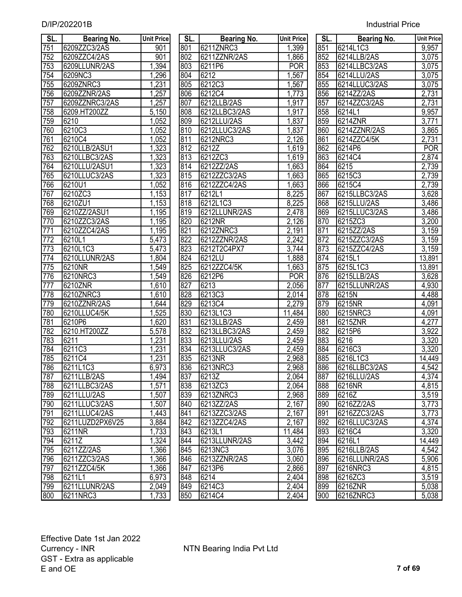| SL.              | Bearing No.     | <b>Unit Price</b> | SL. | Bearing No.   | <b>Unit Price</b> | SL. | <b>Bearing No.</b> | <b>Unit Price</b> |
|------------------|-----------------|-------------------|-----|---------------|-------------------|-----|--------------------|-------------------|
| 751              | 6209ZZC3/2AS    | 901               | 801 | 6211ZNRC3     | 1,399             | 851 | 6214L1C3           | 9,957             |
| 752              | 6209ZZC4/2AS    | 901               | 802 | 6211ZZNR/2AS  | 1,866             | 852 | 6214LLB/2AS        | 3,075             |
| 753              | 6209LLUNR/2AS   | 1,394             | 803 | 6211P6        | <b>POR</b>        | 853 | 6214LLBC3/2AS      | 3,075             |
| 754              | 6209NC3         | 1,296             | 804 | 6212          | 1,567             | 854 | 6214LLU/2AS        | 3,075             |
| 755              | 6209ZNRC3       | 1,231             | 805 | 6212C3        | 1,567             | 855 | 6214LLUC3/2AS      | 3,075             |
| 756              | 6209ZZNR/2AS    | 1,257             | 806 | 6212C4        | 1,773             | 856 | 6214ZZ/2AS         | 2,731             |
| 757              | 6209ZZNRC3/2AS  | 1,257             | 807 | 6212LLB/2AS   | 1,917             | 857 | 6214ZZC3/2AS       | 2,731             |
| 758              | 6209.HT200ZZ    | 5,150             | 808 | 6212LLBC3/2AS | 1,917             | 858 | 6214L1             | 9,957             |
| 759              | 6210            | 1,052             | 809 | 6212LLU/2AS   | 1,837             | 859 | 6214ZNR            | 3,771             |
| 760              | 6210C3          | 1,052             | 810 | 6212LLUC3/2AS | 1,837             | 860 | 6214ZZNR/2AS       | 3,865             |
| 761              | 6210C4          | 1,052             | 811 | 6212NRC3      | 2,126             | 861 | 6214ZZC4/5K        | 2,731             |
| 762              | 6210LLB/2ASU1   | 1,323             | 812 | 6212Z         | 1,619             | 862 | 6214P6             | <b>POR</b>        |
| 763              | 6210LLBC3/2AS   | 1,323             | 813 | 6212ZC3       | 1,619             | 863 | 6214C4             | 2,874             |
| 764              | 6210LLU/2ASU1   | 1,323             | 814 | 6212ZZ/2AS    | 1,663             | 864 | 6215               | 2,739             |
| 765              | 6210LLUC3/2AS   | 1,323             | 815 | 6212ZZC3/2AS  | 1,663             | 865 | 6215C3             | 2,739             |
| 766              | 6210U1          | 1,052             | 816 | 6212ZZC4/2AS  | 1,663             | 866 | 6215C4             | 2,739             |
| 767              | 6210ZC3         | 1,153             | 817 | 6212L1        | 8,225             | 867 | 6215LLBC3/2AS      | 3,628             |
| 768              | 6210ZU1         | 1,153             | 818 | 6212L1C3      | 8,225             | 868 | 6215LLU/2AS        | 3,486             |
| 769              | 6210ZZ/2ASU1    | 1,195             | 819 | 6212LLUNR/2AS | 2,478             | 869 | 6215LLUC3/2AS      | 3,486             |
| 770              | 6210ZZC3/2AS    | 1,195             | 820 | 6212NR        | 2,126             | 870 | 6215ZC3            | 3,200             |
| $\overline{771}$ | 6210ZZC4/2AS    | 1,195             | 821 | 6212ZNRC3     | 2,191             | 871 | 6215ZZ/2AS         | 3,159             |
| 772              | 6210L1          | 5,473             | 822 | 6212ZZNR/2AS  | 2,242             | 872 | 6215ZZC3/2AS       | 3,159             |
| 773              | 6210L1C3        | 5,473             | 823 | 6212T2C4PX7   | 3,744             | 873 | 6215ZZC4/2AS       | 3,159             |
| 774              | 6210LLUNR/2AS   | 1,804             | 824 | 6212LU        | 1,888             | 874 | 6215L1             | 13,891            |
| 775              | 6210NR          | 1,549             | 825 | 6212ZZC4/5K   | 1,663             | 875 | 6215L1C3           | 13,891            |
| 776              | 6210NRC3        | ,549              | 826 | 6212P6        | <b>POR</b>        | 876 | 6215LLB/2AS        | 3,628             |
| 777              | 6210ZNR         | 1,610             | 827 | 6213          | 2,056             | 877 | 6215LLUNR/2AS      | 4,930             |
| 778              | 6210ZNRC3       | 1,610             | 828 | 6213C3        | 2,014             | 878 | 6215N              | 4,488             |
| 779              | 6210ZZNR/2AS    | 1,644             | 829 | 6213C4        | 2,279             | 879 | 6215NR             | 4,091             |
| 780              | 6210LLUC4/5K    | ,525              | 830 | 6213L1C3      | 11,484            | 880 | 6215NRC3           | 4,091             |
| 781              | 6210P6          | 1,620             | 831 | 6213LLB/2AS   | 2,459             | 881 | 6215ZNR            | 4,277             |
| 782              | 6210.HT200ZZ    | 5,578             | 832 | 6213LLBC3/2AS | 2,459             | 882 | 6215P6             | 3,922             |
| 783              | 6211            | 1,231             | 833 | 6213LLU/2AS   | 2,459             | 883 | 6216               | 3,320             |
| 784              | 6211C3          | 1,231             | 834 | 6213LLUC3/2AS | 2,459             | 884 | 6216C3             | 3,320             |
| 785              | 6211C4          | 1,231             | 835 | 6213NR        | 2,968             | 885 | 6216L1C3           | 14,449            |
| 786              | 6211L1C3        | 6,973             | 836 | 6213NRC3      | 2,968             | 886 | 6216LLBC3/2AS      | 4,542             |
| 787              | 6211LLB/2AS     | 1,494             | 837 | 6213Z         | 2,064             | 887 | 6216LLU/2AS        | 4,374             |
| 788              | 6211LLBC3/2AS   | 1,571             | 838 | 6213ZC3       | 2,064             | 888 | 6216NR             | 4,815             |
| 789              | 6211LLU/2AS     | ,507              | 839 | 6213ZNRC3     | 2,968             | 889 | 6216Z              | 3,519             |
| 790              | 6211LLUC3/2AS   | ,507              | 840 | 6213ZZ/2AS    | 2,167             | 890 | 6216ZZ/2AS         | 3,773             |
| 791              | 6211LLUC4/2AS   | 1,443             | 841 | 6213ZZC3/2AS  | 2,167             | 891 | 6216ZZC3/2AS       | 3,773             |
| 792              | 6211LUZD2PX6V25 | 3,884             | 842 | 6213ZZC4/2AS  | 2,167             | 892 | 6216LLUC3/2AS      | 4,374             |
| 793              | 6211NR          | 1,733             | 843 | 6213L1        | 11,484            | 893 | 6216C4             | 3,320             |
| 794              | 6211Z           | 1,324             | 844 | 6213LLUNR/2AS | 3,442             | 894 | 6216L1             | 14,449            |
| 795              | 6211ZZ/2AS      | 1,366             | 845 | 6213NC3       | 3,076             | 895 | 6216LLB/2AS        | 4,542             |
| 796              | 6211ZZC3/2AS    | 1,366             | 846 | 6213ZZNR/2AS  | 3,060             | 896 | 6216LLUNR/2AS      | 5,906             |
| 797              | 6211ZZC4/5K     | 1,366             | 847 | 6213P6        | 2,866             | 897 | 6216NRC3           | 4,815             |
| 798              | 6211L1          | 6,973             | 848 | 6214          | 2,404             | 898 | 6216ZC3            | 3,519             |
| 799              | 6211LLUNR/2AS   | 2,049             | 849 | 6214C3        | 2,404             | 899 | 6216ZNR            | 5,038             |
| 800              | 6211NRC3        | 1,733             | 850 | 6214C4        | 2,404             | 900 | 6216ZNRC3          | 5,038             |

| SL.              | Bearing No.   | <b>Unit Pric</b>   |
|------------------|---------------|--------------------|
| 801              | 6211ZNRC3     | 1,399              |
| 802              | 6211ZZNR/2AS  | 1,866              |
| 803              | 6211P6        | <b>POR</b>         |
| $80\overline{4}$ | 6212          | 1,567              |
| 805              | 6212C3        | 1,567              |
| 806              | 6212C4        | 1,773              |
| 807              | 6212LLB/2AS   | 1,917              |
| 808              | 6212LLBC3/2AS | 1,917              |
| 809              | 6212LLU/2AS   | $\overline{1,837}$ |
| 810              | 6212LLUC3/2AS | $\overline{1,837}$ |
| 811              | 6212NRC3      | 2,126              |
| 812              | 6212Z         | 1,619              |
| 813              | 6212ZC3       | 1,619              |
| 814              | 6212ZZ/2AS    | 1,663              |
| 815              | 6212ZZC3/2AS  | 1,663              |
| 816              | 6212ZZC4/2AS  | 1,663              |
| 817              | 6212L1        | 8,225              |
| 818              | 6212L1C3      | 8,225              |
| 819              | 6212LLUNR/2AS | 2,478              |
| 820              | 6212NR        | 2,126              |
| $82\overline{1}$ | 6212ZNRC3     | 2,191              |
| 822              | 6212ZZNR/2AS  | 2,242              |
| 823              | 6212T2C4PX7   | 3,744              |
| 824              | 6212LU        | 1,888              |
| 825              | 6212ZZC4/5K   | 1,663              |
| 826              | 6212P6        | POR                |
| 827              | 6213          | 2,056              |
| 828              | 6213C3        | 2,014              |
| 829              | 6213C4        | 2,279              |
| 830              | 6213L1C3      | 11,484             |
| 831              | 6213LLB/2AS   | 2,459              |
| 832              | 6213LLBC3/2AS | 2,459              |
| 833              | 6213LLU/2AS   | 2,459              |
| 834              | 6213LLUC3/2AS | 2,459              |
| 835              | 6213NR        | 2,968              |
| 836              | 6213NRC3      | 2,968              |
| 837              | 6213Z         | 2,064              |
| 838              | 6213ZC3       | 2,064              |
| 839              | 6213ZNRC3     | 2,968              |
| 840              | 6213ZZ/2AS    | 2,167              |
| 841              | 6213ZZC3/2AS  | 2,167              |
| 842              | 6213ZZC4/2AS  | 2,167              |
| 843              | 6213L1        | 11,484             |
| 844              | 6213LLUNR/2AS | 3,442              |
| 845              | 6213NC3       | 3,076              |
| 846              | 6213ZZNR/2AS  | 3,060              |
| 847              | 6213P6        | 2,866              |
| $84\overline{8}$ | 6214          | 2,404              |
| 849              | 6214C3        | 2,404              |
| 850              | 6214C4        | 2,404              |

| SL.              | Bearing No.                | <b>Unit Price</b> |
|------------------|----------------------------|-------------------|
| 851              | 6214L1C3                   | 9,957             |
| 852              | 6214LLB/2AS                | 3,075             |
| 853              | 6214LLBC3/2AS              | 3,075             |
| 854              | 6214LLU/2AS                | 3,075             |
| 855              | 6214LLUC3/2AS              | 3,075             |
| 856              | 6214ZZ/2AS                 | 2,731             |
| 857              | 6214ZZC3/2AS               | 2,731             |
| $85\overline{8}$ | 6214L1                     | 9,957             |
| 859              | 6214ZNR                    | 3,771             |
| 860              | 6214ZZNR/2AS               | 3,865             |
| 861              | 6214ZZC4/5K                | 2,731             |
| $\frac{86}{2}$   | 6214P6                     | <b>POR</b>        |
| 863              | 6214C4                     | 2,874             |
| 864              | $\overline{6215}$          | 2,739             |
| 865              | 6215C3                     | 2,739             |
| 866              | 6215C4                     | 2,739             |
| 867              | 6215LLBC3/2AS              | 3,628             |
| 868              | 6215LLU/2AS                | 3,486             |
| 869              | 6215LLUC3/2AS              | 3,486             |
| 870              | 6215ZC3                    | 3,200             |
| $\overline{871}$ | 6215ZZ/2AS<br>6215ZZC3/2AS | 3,159             |
| 872              |                            | 3,159             |
| 873              | 6215ZZC4/2AS               | 3,159             |
| 874              | $621\overline{5L1}$        | 13,891            |
| 875              | 6215L1C3                   | 13,891            |
| $\overline{876}$ | 6215LLB/2AS                | 3,628             |
| $\overline{877}$ | 6215LLUNR/2AS              | 4,930             |
| 878              | 6215N                      | 4,488             |
| 879              | 6215NR                     | 4,091             |
| 880              | 6215NRC3                   | 4,091             |
| 881              | 6215ZNR                    | 4,277             |
| 882              | 6215P6                     | 3,922             |
| 883              | 6216                       | 3,320             |
| 884              | 6216C3                     | 3,320             |
| 885              | 6216L1C3                   | 14,449            |
| 886              | 6216LLBC3/2AS              | 4,542             |
| 887              | 6216LLU/2AS                | 4,374             |
| 888              | 6216NR                     | 4,815             |
| 889              | 6216Z                      | 3,519             |
| 890              | 6216ZZ/2AS                 | 3,773             |
| 891              | 6216ZZC3/2AS               | 3,7 <u>73</u>     |
| 892              | 6216LLUC3/2AS              | 4,374             |
| 893              | 6216C4                     | 3,320             |
| 894              | 6216L1                     | 14,449            |
| 895              | 6216LLB/2AS                | 4,542             |
| 896              | 6216LLUNR/2AS              | 5,906             |
| 897              | 6216NRC3                   | 4,815             |
| 898              | 6216ZC3                    | 3,519             |
| 899              | 6216ZNR                    | 5,038             |
| 900              | 6216ZNRC3                  | 5,038             |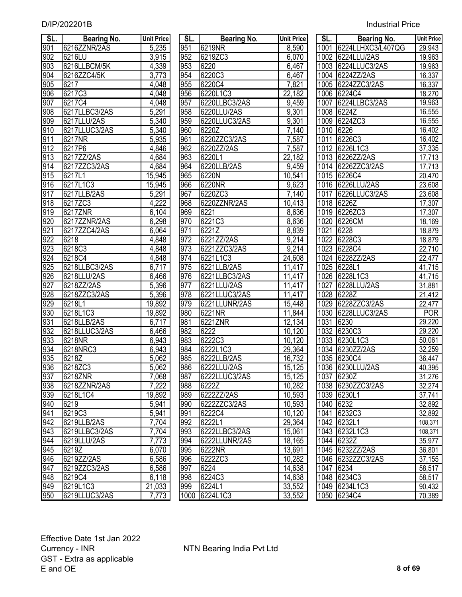| SL.              | <b>Bearing No.</b> | <b>Unit Price</b> | SL. | <b>Bearing No.</b> | <b>Unit Price</b>  | SL.  | <b>Bearing No.</b> | Unit Price |
|------------------|--------------------|-------------------|-----|--------------------|--------------------|------|--------------------|------------|
| 901              | 6216ZZNR/2AS       | 5,235             | 951 | 6219NR             | 8,590              | 1001 | 6224LLHXC3/L407QG  | 29,943     |
| 902              | 6216LU             | 3,915             | 952 | 6219ZC3            | 6,070              |      | 1002 6224LLU/2AS   | 19,963     |
| 903              | 6216LLBCM/5K       | 4,339             | 953 | 6220               | 6,467              |      | 1003 6224LLUC3/2AS | 19,963     |
| 904              | 6216ZZC4/5K        | 3,773             | 954 | 6220C3             | 6,467              |      | 1004 6224ZZ/2AS    | 16,337     |
| $\overline{905}$ | 6217               | 4,048             | 955 | 6220C4             | 7,821              | 1005 | 6224ZZC3/2AS       | 16,337     |
| 906              | 6217C3             | 4,048             | 956 | 6220L1C3           | 22,182             | 1006 | 6224C4             | 18,270     |
| 907              | 6217C4             | 4,048             | 957 | 6220LLBC3/2AS      | 9,459              | 1007 | 6224LLBC3/2AS      | 19,963     |
| 908              | 6217LLBC3/2AS      | 5,291             | 958 | 6220LLU/2AS        | 9,301              | 1008 | 6224Z              | 16,555     |
| 909              | 6217LLU/2AS        | 5,340             | 959 | 6220LLUC3/2AS      | 9,301              | 1009 | 6224ZC3            | 16,555     |
| 910              | 6217LLUC3/2AS      | 5,340             | 960 | 6220Z              | $\overline{7,1}40$ | 1010 | 6226               | 16,402     |
| 911              | 6217NR             | 5,935             | 961 | 6220ZZC3/2AS       | 7,587              | 1011 | 6226C3             | 16,402     |
| 912              | 6217P6             | 4,846             | 962 | 6220ZZ/2AS         | 7,587              |      | 1012 6226L1C3      | 37,335     |
| 913              | 6217ZZ/2AS         | 4,684             | 963 | 6220L1             | 22,182             |      | 1013 6226ZZ/2AS    | 17,713     |
| 914              | 6217ZZC3/2AS       | 4,684             | 964 | 6220LLB/2AS        | $\overline{9,459}$ |      | 1014 6226ZZC3/2AS  | 17,713     |
| $\overline{915}$ | 6217L1             | 15,945            | 965 | 6220N              | 10,541             |      | 1015 6226C4        | 20,470     |
| $\overline{916}$ | 6217L1C3           | 15,945            | 966 | 6220NR             | 9,623              |      | 1016 6226LLU/2AS   | 23,608     |
| 917              | 6217LLB/2AS        | 5,291             | 967 | 6220ZC3            | 7,140              | 1017 | 6226LLUC3/2AS      | 23,608     |
| 918              | 6217ZC3            | 4,222             | 968 | 6220ZZNR/2AS       | 10,413             | 1018 | 6226Z              | 17,307     |
| 919              | 6217ZNR            | 6,104             | 969 | 6221               | 8,636              | 1019 | 6226ZC3            | 17,307     |
| 920              | 6217ZZNR/2AS       | 6,298             | 970 | 6221C3             | 8,636              | 1020 | 6226CM             | 18,169     |
| 921              | 6217ZZC4/2AS       | 6,064             | 971 | 6221Z              | 8,839              | 1021 | 6228               | 18,879     |
| $\overline{922}$ | 6218               | 4,848             | 972 | 6221ZZ/2AS         | 9,214              | 1022 | 6228C3             | 18,879     |
| 923              | 6218C3             | 4,848             | 973 | 6221ZZC3/2AS       | 9,214              |      | 1023 6228C4        | 22,710     |
| $\overline{924}$ | 6218C4             | 4,848             | 974 | 6221L1C3           | 24,608             |      | 1024 6228ZZ/2AS    | 22,477     |
| 925              | 6218LLBC3/2AS      | 6,717             | 975 | 6221LLB/2AS        | 11,417             | 1025 | 6228L1             | 41,715     |
| 926              | 6218LLU/2AS        | 6,466             | 976 | 6221LLBC3/2AS      | 11,417             |      | 1026 6228L1C3      | 41,715     |
| $\overline{927}$ | 6218ZZ/2AS         | 5,396             | 977 | 6221LLU/2AS        | 11,417             | 1027 | 6228LLU/2AS        | 31,881     |
| 928              | 6218ZZC3/2AS       | 5,396             | 978 | 6221LLUC3/2AS      | 11,417             | 1028 | 6228Z              | 21,412     |
| 929              | 6218L1             | 19,892            | 979 | 6221LLUNR/2AS      | 15,448             | 1029 | 6228ZZC3/2AS       | 22,477     |
| 930              | 6218L1C3           | 19,892            | 980 | 6221NR             | 11,844             | 1030 | 6228LLUC3/2AS      | <b>POR</b> |
| 931              | 6218LLB/2AS        | 6,717             | 981 | 6221ZNR            | 12,134             | 1031 | 6230               | 29,220     |
| 932              | 6218LLUC3/2AS      | 6,466             | 982 | 6222               | 10,120             | 1032 | 6230C3             | 29,220     |
| 933              | 6218NR             | 6,943             | 983 | 6222C3             | 10,120             | 1033 | 6230L1C3           | 50,061     |
| 934              | 6218NRC3           | 6,943             | 984 | 6222L1C3           | 29,364             |      | 1034 6230ZZ/2AS    | 32,259     |
| 935              | 6218Z              | 5,062             | 985 | 6222LLB/2AS        | 16,732             |      | 1035 6230C4        | 36,447     |
| 936              | 6218ZC3            | 5,062             | 986 | 6222LLU/2AS        | 15,125             |      | 1036 6230LLU/2AS   | 40,395     |
| 937              | 6218ZNR            | 7,068             | 987 | 6222LLUC3/2AS      | 15,125             |      | 1037 6230Z         | 31,276     |
| 938              | 6218ZZNR/2AS       | 7,222             | 988 | 6222Z              | 10,282             |      | 1038 6230ZZC3/2AS  | 32,274     |
| 939              | 6218L1C4           | 19,892            | 989 | 6222ZZ/2AS         | 10,593             |      | 1039 6230L1        | 37,741     |
| 940              | 6219               | 5,941             | 990 | 6222ZZC3/2AS       | 10,593             |      | 1040 6232          | 32,892     |
| 941              | 6219C3             | 5,941             | 991 | 6222C4             | 10,120             |      | 1041 6232C3        | 32,892     |
| 942              | 6219LLB/2AS        | 7,704             | 992 | 6222L1             | 29,364             |      | 1042 6232L1        | 108,371    |
| 943              | 6219LLBC3/2AS      | 7,704             | 993 | 6222LLBC3/2AS      | 15,061             |      | 1043 6232L1C3      | 108,371    |
| 944              | 6219LLU/2AS        | 7,773             | 994 | 6222LLUNR/2AS      | 18,165             |      | 1044 6232Z         | 35,977     |
| 945              | 6219Z              | 6,070             | 995 | 6222NR             | 13,691             |      | 1045 6232ZZ/2AS    | 36,801     |
| 946              | 6219ZZ/2AS         | 6,586             | 996 | 6222ZC3            | 10,282             |      | 1046 6232ZZC3/2AS  | 37,155     |
| 947              | 6219ZZC3/2AS       | 6,586             | 997 | 6224               | 14,638             |      | 1047 6234          | 58,517     |
| 948              | 6219C4             | 6,118             | 998 | 6224C3             | 14,638             |      | 1048 6234C3        | 58,517     |
| 949              | 6219L1C3           | 21,033            | 999 | 6224L1             | 33,552             |      | 1049 6234L1C3      | 90,432     |
| 950              | 6219LLUC3/2AS      | 7,773             |     | 1000 6224L1C3      | 33,552             |      | 1050 6234C4        | 70,389     |

| SL.              | <b>Bearing No.</b> | <b>Unit Pric</b> |
|------------------|--------------------|------------------|
| 951              | 6219NR             | 8,590            |
| 952              | 6219ZC3            | 6,070            |
| 953              | 6220               | <u>6,467</u>     |
| $95\overline{4}$ | 6220C3             | <u>6,467</u>     |
| 955              | 6220C4             | 7,821            |
| 956              | 6220L1C3           | 22,182           |
| $95\overline{7}$ | 6220LLBC3/2AS      | 9,459            |
| 958              | 6220LLU/2AS        | 9,301            |
| 959              | 6220LLUC3/2AS      | 9,301            |
| 960              | 6220Z              | 7,140            |
| 961              | 6220ZZC3/2AS       | 7,587            |
| 962              | 6220ZZ/2AS         | 7,587            |
| 963              | 6220L1             | <u>22,182</u>    |
| 964              | 6220LLB/2AS        | 9,459            |
| 965              | 6220N              | 10,541           |
| 966              | 6220NR             | 9,623            |
| 967              | 6220ZC3            | 7,140            |
| 968              | 6220ZZNR/2AS       | 10,413           |
| 969              | 6221               | 8,636            |
| 970              | 6221C3             | 8,636            |
| 971              | 6221Z              | 8,839            |
| 972              | 6221ZZ/2AS         | 9,214            |
| 973              | 6221ZZC3/2AS       | 9,214            |
| 974              | 6221L1C3           | 24,608           |
| 975              | 6221LLB/2AS        | 11,417           |
| 976              | 6221LLBC3/2AS      | 11,417           |
| 977              | 6221LLU/2AS        | 11,417           |
| 978              | 6221LLUC3/2AS      | 11,417           |
| 979              | 6221LLUNR/2AS      | 15,448           |
| 980              | 6221NR             | 11,844           |
| 981              | 6221ZNR            | 12,134           |
| 982              | 6222               | 10,120           |
| 983              | 6222C3             | 10,120           |
| 984              | 6222L1C3           | 29,364           |
| 985              | 6222LLB/2AS        | 16,732           |
| 986              | 6222LLU/2AS        | 15,125           |
| 987              | 6222LLUC3/2AS      | 15,125           |
| 988              | 6222Z              | 10,282           |
| 989              | 6222ZZ/2AS         | 10,593           |
| 990              | 6222ZZC3/2AS       | 10,593           |
| 991              | 6222C4             | 10,120           |
| 992              | 6222L1             | 29,364           |
| 993              | 6222LLBC3/2AS      | 15,061           |
| 994              | 6222LLUNR/2AS      | 18,165           |
| 995              | 6222NR             | 13,691           |
| 996              | 6222ZC3            | 10,282           |
| 997              | 6224               | 14,638           |
| 998              | 6224C3             | 14,638           |
| 999              | 6224L1             | 33,552           |
| 1000             | 6224L1C3           | 33,552           |

| SL.               | <b>Bearing No.</b> | <b>Unit Price</b>          |
|-------------------|--------------------|----------------------------|
| 1001              | 6224LLHXC3/L407QG  | 29,943                     |
| $100\overline{2}$ | 6224LLU/2AS        | 19,963                     |
| 1003              | 6224LLUC3/2AS      | 19,963                     |
| 1004              | 6224ZZ/2AS         | 16,337                     |
| 1005              | 6224ZZC3/2AS       | 16,337                     |
| 1006              | 6224C4             | 18,270                     |
| $\overline{1007}$ | 6224LLBC3/2AS      | 19,963                     |
| 1008              | 6224Z              | 16,555                     |
| 1009              | 6224ZC3            | 16,555                     |
| 1010              | 6226               | 16,402                     |
| 1011              | 6226C3             | 16,402                     |
| $10^{12}$         | 6226L1C3           |                            |
| 1013              | 6226ZZ/2AS         |                            |
| 1014              | 6226ZZC3/2AS       | 37,335<br>17,713<br>17,713 |
| 1015              | 6226C4             | 20,470                     |
| 1016              | 6226LLU/2AS        | 23,608                     |
| 1017              | 6226LLUC3/2AS      | 23,608                     |
| 1018              | 6226Z              | 17,307                     |
| 1019              | 6226ZC3            | 17,307                     |
| 1020              | 6226CM             | 18,169                     |
| <u> 1021</u>      | 6228               | 18,879                     |
| 1022              | 6228C3             | 18,879                     |
| 1023              | 6228C4             | 22,710                     |
| 1024              | 6228ZZ/2AS         | 22,477                     |
| 1025              | 6228L1             | 41,715                     |
| 1026              | 6228L1C3           | 41,715                     |
| 1027              | 6228LLU/2AS        | 31,881                     |
| 1028              | 6228Z              | 21,412                     |
| 1029              | 6228ZZC3/2AS       | 22,477                     |
| 1030              | 6228LLUC3/2AS      | <b>POR</b>                 |
| 1031              | 6230               | 29,220                     |
| 1032              | 6230C3             | 29,220                     |
| 1033              | 6230L1C3           | 50,061                     |
| 1034              | 6230ZZ/2AS         | 32,259                     |
| 1035              | 6230C4             | 36,447                     |
| 1036              | I6230LLU/2AS       | 40,395                     |
| 1037              | 6230Z              | 31,276                     |
| 1038              | 6230ZZC3/2AS       | 32,274                     |
| 1039              | 6230L1             | $\overline{37,741}$        |
| 1040              | 6232               | 32,892                     |
| 1041              | 6232C3             | 32,892                     |
| 1042              | 6232L1             | 108,371                    |
| 1043              | 6232L1C3           | 108,371                    |
| 1044              | 6232Z              | 35,977                     |
| 1045              | 6232ZZ/2AS         | 36,801                     |
| 1046              | 6232ZZC3/2AS       | 37,155                     |
| 1047              | 6234               | 58,517                     |
| 1048              | 6234C3             | 58,517                     |
| 1049              | 6234L1C3           | 90,432                     |
| 1050              | 6234C4             | $\overline{70,389}$        |
|                   |                    |                            |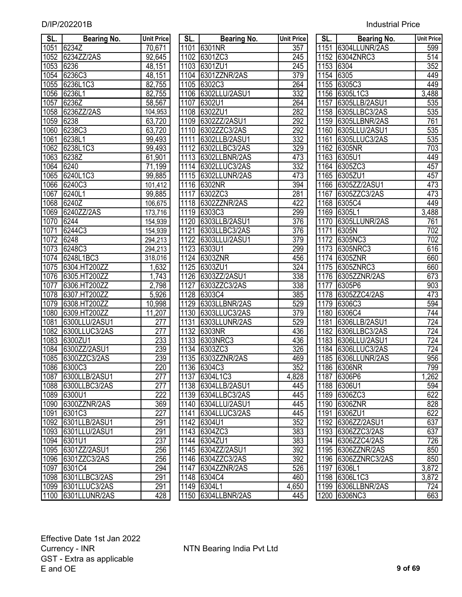| <b>Industrial Price</b> |  |
|-------------------------|--|
|                         |  |

| SL.          | <b>Bearing No.</b>      | <b>Unit Price</b> | SL.  | <b>Bearing No.</b>           | <b>Unit Price</b> | SL.  | <b>Bearing No.</b>                     | <b>Unit Price</b> |
|--------------|-------------------------|-------------------|------|------------------------------|-------------------|------|----------------------------------------|-------------------|
| 1051         | 6234Z                   | 70,671            |      | 1101 6301NR                  | 357               |      | 1151 6304LLUNR/2AS                     | 599               |
| 1052         | 6234ZZ/2AS              | 92,645            |      | 1102 6301ZC3                 | 245               |      | 1152 6304ZNRC3                         | $\overline{514}$  |
| 1053         | 6236                    | 48,151            |      | 1103 6301ZU1                 | 245               |      | 1153 6304                              | 352               |
| 1054         | 6236C3                  | 48,151            |      | 1104 6301ZZNR/2AS            | 379               | 1154 | 6305                                   | 449               |
| 1055         | 6236L1C3                | 82,755            |      | 1105 6302C3                  | 264               |      | 1155 6305C3                            | 449               |
| 1056         | 6236L1                  | 82,755            |      | 1106 6302LLU/2ASU1           | 332               |      | 1156 6305L1C3                          | 3,488             |
| 1057         | 6236Z                   | 58,567            | 1107 | <b>6302U1</b>                | 264               | 1157 | 6305LLB/2ASU1                          | 535               |
| 1058         | 6236ZZ/2AS              | 104,953           |      | 1108 6302ZU1                 | 282               |      | 1158 6305LLBC3/2AS                     | 535               |
| 1059         | 6238                    | 63,720            |      | 1109 6302ZZ/2ASU1            | 292               |      | 1159 6305LLBNR/2AS                     | 761               |
| 1060         | 6238C3                  | 63,720            |      | 1110 6302ZZC3/2AS            | 292               |      | 1160 6305LLU/2ASU1                     | 535               |
| 1061         | 6238L1                  | 99,493            | 1111 | 6302LLB/2ASU1                | 332               | 1161 | 6305LLUC3/2AS                          | 535               |
| 1062         | 6238L1C3                | 99,493            | 1112 | 6302LLBC3/2AS                | 329               | 1162 | 6305NR                                 | 703               |
| 1063         | 6238Z                   | 61,901            | 1113 | 6302LLBNR/2AS                | 473               | 1163 | 6305U1                                 | 449               |
| 1064         | 6240                    | 71,199            |      | 1114 6302LLUC3/2AS           | 332               |      | 1164 6305ZC3                           | 457               |
| 1065         | 6240L1C3                | 99,885            |      | 1115 6302LLUNR/2AS           | 473               |      | 1165 6305ZU1                           | 457               |
| 1066         | 6240C3                  | 101,412           |      | 1116 6302NR                  | 394               |      | 1166 6305ZZ/2ASU1                      | 473               |
| 1067         | 6240L1                  | 99,885            | 1117 | 6302ZC3                      | 281               | 1167 | 6305ZZC3/2AS                           | 473               |
| 1068         | 6240Z                   | 106,675           |      | 1118 6302ZZNR/2AS            | 422               |      | 1168 6305C4                            | 449               |
| 1069         | 6240ZZ/2AS              | 173,716           | 1119 | 6303C3                       | 299               | 1169 | 6305L1                                 | 3,488             |
| 1070         | 6244                    | 154,939           | 1120 | 6303LLB/2ASU1                | 376               | 1170 | 6305LLUNR/2AS                          | 761               |
| 1071         | 6244C3                  | 154,939           | 1121 | 6303LLBC3/2AS                | 376               | 1171 | 6305N                                  | 702               |
| 1072         | 6248                    | 294,213           | 1122 | 6303LLU/2ASU1                | 379               | 1172 | 6305NC3                                | 702               |
| 1073         | 6248C3                  | 294,213           | 1123 | 6303U1                       | 299               | 1173 | 6305NRC3                               | 616               |
| 1074         | 6248L1BC3               | 318,016           | 1124 | 6303ZNR                      | 456               | 1174 | 6305ZNR                                | 660               |
| 1075         | 6304.HT200ZZ            | 1,632             | 1125 | 6303ZU1                      | $\overline{324}$  | 1175 | 6305ZNRC3                              | 660               |
| 1076         | 6305.HT200ZZ            | 1,743             | 1126 | 6303ZZ/2ASU1                 | 338               |      | 1176 6305ZZNR/2AS                      | 673               |
| 1077         | 6306.HT200ZZ            | 2,798             | 1127 | 6303ZZC3/2AS                 | 338               | 1177 | 6305P6                                 | 903               |
| 1078         | 6307.HT200ZZ            | 5,926             | 1128 | 6303C4                       | 385               | 1178 | 6305ZZC4/2AS                           | 473               |
| 1079         | 6308.HT200ZZ            | 10,998            | 1129 | 6303LLBNR/2AS                | 529               |      | 1179 6306C3                            | 594               |
| 1080         | 6309.HT200ZZ            | 11,207            | 1130 | 6303LLUC3/2AS                | 379               | 1180 | 6306C4                                 | 744               |
| 1081         | 6300LLU/2ASU1           | $\overline{277}$  | 1131 | 6303LLUNR/2AS                | 529               | 1181 | 6306LLB/2ASU1                          | $\overline{724}$  |
| 1082         | 6300LLUC3/2AS           | $\overline{277}$  | 1132 | <b>6303NR</b>                | 436               | 1182 | 6306LLBC3/2AS                          | 724               |
| 1083         | 6300ZU1                 | 233               | 1133 | 6303NRC3                     | 436               | 1183 | 6306LLU/2ASU1                          | $\overline{724}$  |
| 1084         | 6300ZZ/2ASU1            | 239               |      | 1134 6303ZC3                 | 326               | 1184 | 6306LLUC3/2AS                          | $\overline{724}$  |
| 1085         | 6300ZZC3/2AS            | 239               |      | 1135 6303ZZNR/2AS            | 469               | 1185 | 6306LLUNR/2AS                          | 956               |
|              | 1086 6300C3             | 220               |      | 1136 6304C3                  | 352               |      | 1186 6306NR                            | 799               |
| 1087         | 6300LLB/2ASU1           | 277               |      | 1137 6304L1C3                | 4,828             |      | 1187 6306P6                            | 1,262             |
| 1088         | 6300LLBC3/2AS           | 277               |      | 1138 6304LLB/2ASU1           | 445               |      | 1188 6306U1                            | 594               |
| 1089         | 6300U1                  | 222               |      | 1139 6304LLBC3/2AS           | 445               |      | 1189 6306ZC3                           | 622               |
| 1090         | 6300ZZNR/2AS            | 369<br>227        | 1140 | 6304LLU/2ASU1                | 445               |      | 1190 6306ZNR                           | 828               |
| 1091         | 6301C3                  |                   |      | 1141 6304LLUC3/2AS           | 445               |      | 1191 6306ZU1                           | 622               |
| 1092         | 6301LLB/2ASU1           | 291               |      | 1142 6304U1                  | 352               |      | 1192 6306ZZ/2ASU1                      | 637               |
| 1093         | 6301LLU/2ASU1<br>6301U1 | 291<br>237        |      | 1143 6304ZC3                 | 383<br>383        |      | 1193 6306ZZC3/2AS<br>1194 6306ZZC4/2AS | 637<br>726        |
| 1094         | 6301ZZ/2ASU1            | 256               | 1144 | 6304ZU1<br>1145 6304ZZ/2ASU1 | 392               | 1195 | 6306ZZNR/2AS                           | 850               |
| 1095<br>1096 | 6301ZZC3/2AS            | 256               |      | 1146 6304ZZC3/2AS            | 392               | 1196 | 6306ZZNRC3/2AS                         | 850               |
| 1097         | 6301C4                  | 294               | 1147 | 6304ZZNR/2AS                 | 526               | 1197 | 6306L1                                 | 3,872             |
| 1098         | 6301LLBC3/2AS           | 291               |      | 1148 6304C4                  | 460               | 1198 | 6306L1C3                               | 3,872             |
| 1099         | 6301LLUC3/2AS           | 291               |      | 1149 6304L1                  | 4,650             |      | 1199 6306LLBNR/2AS                     | 724               |
| 1100         | 6301LLUNR/2AS           | 428               |      | 1150 6304LLBNR/2AS           | 445               |      | 1200 6306NC3                           | 663               |
|              |                         |                   |      |                              |                   |      |                                        |                   |

| SL.               | <b>Bearing No.</b> | <b>Unit Pric</b> |
|-------------------|--------------------|------------------|
| 1101              | 6301NR             | $\overline{357}$ |
| 1102              | 6301ZC3            | 245              |
| 1103              | 6301ZU1            | 245              |
| 1104              | 6301ZZNR/2AS       | 379              |
| 1105              | 6302C3             | 264              |
| 1106              | 6302LLU/2ASU1      | 332              |
| 1107              | 6302U1             | 264              |
| 1108              | 6302ZU1            | 282              |
| 1109              | 6302ZZ/2ASU1       | 292              |
| $\overline{11}10$ | 6302ZZC3/2AS       | 292              |
| 1111              | 6302LLB/2ASU1      | $\overline{332}$ |
| $\overline{111}2$ | 6302LLBC3/2AS      | <u>329</u>       |
| 1113              | 6302LLBNR/2AS      | 473              |
| 1114              | 6302LLUC3/2AS      | $\overline{332}$ |
| 1115              | 6302LLUNR/2AS      | 473              |
| 1116              |                    | 394              |
|                   | 6302NR             |                  |
| 1117              | 6302ZC3            | 281              |
| 1118              | 6302ZZNR/2AS       | 422              |
| 1119              | 6303C3             | 299              |
| 1120              | 6303LLB/2ASU1      | 376              |
|                   | 1121 6303LLBC3/2AS | <u>376</u>       |
|                   | 1122 6303LLU/2ASU1 | 379              |
|                   | 1123 6303U1        | 299              |
|                   | 1124 6303ZNR       | 456              |
|                   | 1125 6303ZU1       | $\overline{32}$  |
|                   | 1126 6303ZZ/2ASU1  | 338              |
|                   | 1127 6303ZZC3/2AS  | 338              |
|                   | 1128 6303C4        | 385              |
|                   | 1129 6303LLBNR/2AS | 529              |
|                   | 1130 6303LLUC3/2AS | $\overline{37}$  |
|                   | 1131 6303LLUNR/2AS | 529              |
|                   | 1132 6303NR        | 436              |
|                   | 1133 6303NRC3      | $\overline{436}$ |
|                   | 1134 6303ZC3       | 326              |
|                   | 1135 6303ZZNR/2AS  | 469              |
| 1136              | 6304C3             | <u>352</u>       |
| 1137              | 6304L1C3           | 4,828            |
| 1138              | 6304LLB/2ASU1      | 445              |
| 1139              | 6304LLBC3/2AS      | 445              |
| 1140              | 6304LLU/2ASU1      | 445              |
| 1141              | 6304LLUC3/2AS      | 445              |
| 1142              | 6304U1             | $\overline{352}$ |
| 1143              | 6304ZC3            | $\overline{383}$ |
| 1144              | 6304ZU1            | $\overline{383}$ |
| 1145              | 6304ZZ/2ASU1       | 392              |
| 1146              | 6304ZZC3/2AS       | $\frac{1}{392}$  |
| 1147              | 6304ZZNR/2AS       | 526              |
|                   | 6304C4             |                  |
| 1148              | 6304L1             | 460              |
| 1149              |                    | 4,650            |
| 1150              | 6304LLBNR/2AS      | 445              |

| SL.               | <b>Bearing No.</b> | <b>Unit Price</b> |
|-------------------|--------------------|-------------------|
| 1151              | 6304LLUNR/2AS      | 599               |
| 1152              | 6304ZNRC3          | 514               |
| 1153              | 6304               | $\overline{352}$  |
| 1154              | 6305               | 449               |
| 1155              | 6305C3             | 449               |
| 1156              | 6305L1C3           | 3,488             |
| 1157              | 6305LLB/2ASU1      | 535               |
| 1158              | 6305LLBC3/2AS      | 535               |
| 1159              | 6305LLBNR/2AS      | 761               |
| 1160              | 6305LLU/2ASU1      | $\overline{535}$  |
| 1161              | 6305LLUC3/2AS      | 535               |
| 1162              | 6305NR             | 703               |
| 1163              | 6305U1             | 449               |
| 1164              | 6305ZC3            | 457               |
| $\overline{1165}$ | 6305ZU1            | 457               |
| 1166              | 6305ZZ/2ASU1       | 473               |
| 1167              | 6305ZZC3/2AS       | 473               |
| 1168              | 6305C4             | 449               |
| 1169              | 6305L1             | 3,488             |
| 1170              | 6305LLUNR/2AS      | 761               |
| $11\overline{71}$ | 6305N              | 702               |
| 1172              | 6305NC3            | 702               |
| 1173              | 6305NRC3           | 616               |
| 1174              | 6305ZNR            | 660               |
| 1175              | 6305ZNRC3          | 660               |
| 1176              | 6305ZZNR/2AS       | 673               |
| 1177              | 6305P6             | 903               |
| 1178              | 6305ZZC4/2AS       | 473               |
| 1179              | 6306C3             | 594               |
| 1180              | 6306C4             | 744               |
| 1181              | 6306LLB/2ASU1      | 724               |
| 1182              | 6306LLBC3/2AS      | 724               |
| 1183              | 6306LLU/2ASU1      | 724               |
| 1184              | 6306LLUC3/2AS      | 724               |
| 1185              | 6306LLUNR/2AS      | 956               |
| 1186              | 6306NR             | 799               |
| 1187              | 6306P6             | 1,262             |
| 1188              | 6306U1             | 594               |
| 189               | 6306ZC3            | 622               |
| 1190              | 6306ZNR            | 828               |
| 1191              | 6306ZU1            | 622               |
| 1192              | 6306ZZ/2ASU1       | 637               |
| 1193              | 6306ZZC3/2AS       | 637               |
| 1194              | 6306ZZC4/2AS       | 726               |
| 1195              | 6306ZZNR/2AS       | 850               |
| 1196              | 6306ZZNRC3/2AS     | 850               |
| 1197              | 6306L1             | 3,872             |
| 1198              | 6306L1C3           | 3,872             |
| 1199              | 6306LLBNR/2AS      | 724               |
| 1200              | 6306NC3            | 663               |
|                   |                    |                   |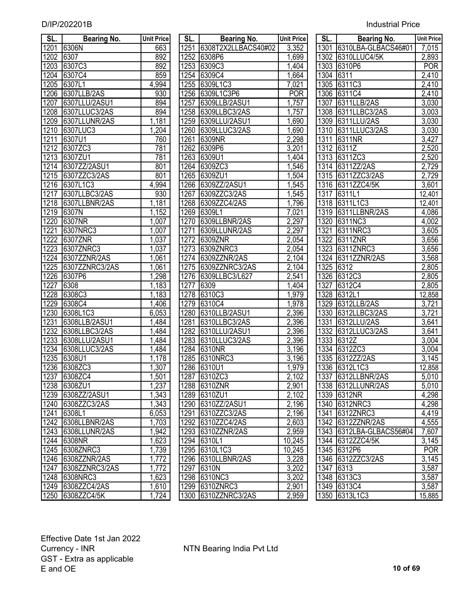| SL.               | <b>Bearing No.</b> | <b>Unit Price</b>   | SL.  | <b>Bearing No.</b>  | <b>Unit Price</b> | SL.  | <b>Bearing No.</b>       | <b>Unit Price</b>  |
|-------------------|--------------------|---------------------|------|---------------------|-------------------|------|--------------------------|--------------------|
| 1201              | 6306N              | 663                 | 1251 | 6308T2X2LLBACS40#02 | 3,352             | 1301 | 6310LBA-GLBACS46#01      | 7,015              |
| 1202              | 6307               | 892                 | 1252 | 6308P6              | 1,699             | 1302 | 6310LLUC4/5K             | 2,893              |
| $120\overline{3}$ | 6307C3             | 892                 | 1253 | 6309C3              | 1,404             | 1303 | 6310P6                   | <b>POR</b>         |
| 1204              | 6307C4             | 859                 | 1254 | 6309C4              | 1,664             | 1304 | 6311                     | $\overline{2,410}$ |
| 1205              | 6307L1             | 4,994               | 1255 | 6309L1C3            | 7,021             |      | 1305 6311C3              | $\overline{2,}410$ |
| 1206              | 6307LLB/2AS        | 930                 | 1256 | 6309L1C3P6          | <b>POR</b>        | 1306 | 6311C4                   | 2,410              |
| 1207              | 6307LLU/2ASU1      | 894                 | 1257 | 6309LLB/2ASU1       | 1,757             | 1307 | 6311LLB/2AS              | 3,030              |
| 1208              | 6307LLUC3/2AS      | 894                 | 1258 | 6309LLBC3/2AS       | 1,757             | 1308 | 6311LLBC3/2AS            | 3,003              |
| 1209              | 6307LLUNR/2AS      | 1,181               | 1259 | 6309LLU/2ASU1       | 1,690             | 1309 | 6311LLU/2AS              | 3,030              |
| 1210              | 6307LUC3           | 1,204               | 1260 | 6309LLUC3/2AS       | 1,690             | 1310 | 6311LLUC3/2AS            | 3,030              |
| 1211              | 6307U1             | 760                 | 1261 | 6309NR              | 2,298             | 1311 | 6311NR                   | 3,427              |
| 1212              | 6307ZC3            | 781                 | 1262 | 6309P6              | 3,201             | 1312 | 6311Z                    | 2,520              |
| 1213              | 6307ZU1            | 781                 | 1263 | 6309U1              | 1,404             | 1313 | 6311ZC3                  | 2,520              |
| 1214              | 6307ZZ/2ASU1       | 801                 | 1264 | 6309ZC3             | 1,546             | 1314 | 6311ZZ/2AS               | 2,729              |
| 1215              | 6307ZZC3/2AS       | 801                 | 1265 | 6309ZU1             | 1,504             | 1315 | 6311ZZC3/2AS             | 2,729              |
| 1216              | 6307L1C3           | 4,994               | 1266 | 6309ZZ/2ASU1        | 1,545             | 1316 | 6311ZZC4/5K              | 3,601              |
| 1217              | 6307LLBC3/2AS      | 930                 | 1267 | 6309ZZC3/2AS        | 1,545             | 1317 | 6311L1                   | 12,401             |
| 1218              | 6307LLBNR/2AS      | 1,181               | 1268 | 6309ZZC4/2AS        | 1,796             | 1318 | 6311L1C3                 | 12,401             |
| 1219              | 6307N              | 1,152               | 1269 | 6309L1              | 7,021             | 1319 | 6311LLBNR/2AS            | 4,086              |
| 1220              | 6307NR             | 1,007               | 1270 | 6309LLBNR/2AS       | 2,297             | 1320 | 6311NC3                  | 4,002              |
| 1221              | 6307NRC3           | 1,007               | 1271 | 6309LLUNR/2AS       | 2,297             | 1321 | 6311NRC3                 | 3,605              |
| $\frac{1}{222}$   | 6307ZNR            | 1,037               | 1272 | 6309ZNR             | 2,054             | 1322 | 6311ZNR                  | 3,656              |
| 1223              | 6307ZNRC3          | 1,037               | 1273 | 6309ZNRC3           | 2,054             | 1323 | 6311ZNRC3                | 3,656              |
| 1224              | 6307ZZNR/2AS       | 1,061               | 1274 | 6309ZZNR/2AS        | 2,104             | 1324 | 6311ZZNR/2AS             | 3,568              |
| 1225              | 6307ZZNRC3/2AS     | 1,061               | 1275 | 6309ZZNRC3/2AS      | 2,104             | 1325 | 6312                     | 2,805              |
| 1226              | 6307P6             | 1,298               | 1276 | 6309LLBC3/L627      | 2,541             | 1326 | 6312C3                   | 2,805              |
| 1227              | 6308               | 1,183               | 1277 | 6309                | 1,404             | 1327 | 6312C4                   | 2,805              |
| 1228              | 6308C3             | 1,183               | 1278 | 6310C3              | 1,979             | 1328 | 6312L1                   | 12,858             |
| 1229              | 6308C4             | 1,406               | 1279 | 6310C4              | 1,978             | 1329 | 6312LLB/2AS              | 3,721              |
| 1230              | 6308L1C3           | $\overline{6}$ ,053 | 1280 | 6310LLB/2ASU1       | 2,396             | 1330 | 6312LLBC3/2AS            | 3,721              |
| 1231              | 6308LLB/2ASU1      | 1,484               | 1281 | 6310LLBC3/2AS       | 2,396             | 1331 | 6312LLU/2AS              | 3,641              |
| 1232              | 6308LLBC3/2AS      | 1,484               | 1282 | 6310LLU/2ASU1       | 2,396             | 1332 | 6312LLUC3/2AS            | 3,641              |
| 1233              | 6308LLU/2ASU1      | 1,484               | 1283 | 6310LLUC3/2AS       | 2,396             | 1333 | 6312Z                    | 3,004              |
| 1234              | 6308LLUC3/2AS      | 1,484               | 1284 | 6310NR              | 3,196             | 1334 | 6312ZC3                  | 3,004              |
| 1235              | 6308U1             | 1,178               | 1285 | 6310NRC3            | 3,196             |      | 1335 6312ZZ/2AS          | 3,145              |
| 1236              | 6308ZC3            | 1,307               |      | 1286 6310U1         | 1,979             |      | 1336 6312L1C3            | 12,858             |
| 1237              | 6308ZC4            | 1,501               |      | 1287 6310ZC3        | 2,102             |      | 1337 6312LLBNR/2AS       | 5,010              |
| 1238              | 6308ZU1            | 1,237               |      | 1288 6310ZNR        | 2,901             |      | 1338 6312LLUNR/2AS       | 5,010              |
| 1239              | 6308ZZ/2ASU1       | 1,343               | 1289 | 6310ZU1             | 2,102             |      | 1339 6312NR              | 4,298              |
| 1240              | 6308ZZC3/2AS       | 1,343               | 1290 | 6310ZZ/2ASU1        | 2,196             |      | 1340 6312NRC3            | 4,298              |
| 1241              | 6308L1             | 6,053               | 1291 | 6310ZZC3/2AS        | 2,196             |      | 1341 6312ZNRC3           | 4,419              |
| 1242              | 6308LLBNR/2AS      | 1,703               |      | 1292 6310ZZC4/2AS   | 2,603             |      | 1342 6312ZZNR/2AS        | 4,555              |
| 1243              | 6308LLUNR/2AS      | 1,942               | 1293 | 6310ZZNR/2AS        | 2,959             |      | 1343 6312LBA-GLBACS56#04 | 7,607              |
| 1244              | 6308NR             | 1,623               | 1294 | 6310L1              | 10,245            |      | 1344 6312ZZC4/5K         | 3,145              |
| 1245              | 6308ZNRC3          | 1,739               | 1295 | 6310L1C3            | 10,245            |      | 1345 6312P6              | <b>POR</b>         |
| 1246              | 6308ZZNR/2AS       | 1,772               | 1296 | 6310LLBNR/2AS       | 3,228             |      | 1346 6312ZZC3/2AS        | 3,145              |
| 1247              | 6308ZZNRC3/2AS     | 1,772               | 1297 | 6310N               | 3,202             | 1347 | 6313                     | 3,587              |
| 1248              | 6308NRC3           | 1,623               | 1298 | 6310NC3             | 3,202             |      | 1348 6313C3              | 3,587              |
| 1249              | 6308ZZC4/2AS       | 1,610               | 1299 | 6310ZNRC3           | 2,901             |      | 1349 6313C4              | 3,587              |
| 1250              | 6308ZZC4/5K        | 1,724               | 1300 | 6310ZZNRC3/2AS      | 2,959             |      | 1350 6313L1C3            | 15,885             |

| SL.               | Bearing No.         | <b>Unit Pric</b>   |
|-------------------|---------------------|--------------------|
| 1251              | 6308T2X2LLBACS40#02 | 3,352              |
| 1252              | 6308P6              | 1,699              |
| 1253              | 6309C3              | $\overline{1,}404$ |
| 1254              | 6309C4              | 1,664              |
| $125\overline{5}$ | 6309L1C3            | 7,021              |
| $12\overline{56}$ | 6309L1C3P6          | POR<br>1,757       |
| 1257              | 6309LLB/2ASU1       |                    |
| 1258              | 6309LLBC3/2AS       | 1,757              |
| 1259              | 6309LLU/2ASU1       | 1,690              |
| 1260              | 6309LLUC3/2AS       | 1,690              |
| 1261              | 6309NR              | 2,298              |
| 1262              | 6309P6              | $\frac{1}{3,201}$  |
| 1263              | 6309U1              | 1,404              |
| 1264              | 6309ZC3             | $\overline{1,}546$ |
| 1265              | 6309ZU1             | $\overline{1,504}$ |
| 1266              | 6309ZZ/2ASU1        | $\overline{1,545}$ |
| 1267              | 6309ZZC3/2AS        | $\overline{1,545}$ |
| 1268              | 6309ZZC4/2AS        | <u>1,796</u>       |
| 1269              | 6309L1              | 7,021              |
| 1270              | 6309LLBNR/2AS       | 2,297              |
| 1271              | 6309LLUNR/2AS       | 2,297              |
| 1272              | 6309ZNR             | 2,054              |
| 1273              | 6309ZNRC3           | 2,054              |
| 1274              | 6309ZZNR/2AS        | 2,104              |
| 1275              | 6309ZZNRC3/2AS      | 2,104              |
| 1276              | 6309LLBC3/L627      | $\overline{2,541}$ |
| 1277              | 6309                | 1,404              |
| 1278              | 6310C3              | <u>1,979</u>       |
| $\overline{1}279$ | 6310C4              | 1,978              |
|                   | 1280 6310LLB/2ASU1  | 2,396              |
|                   | 1281 6310LLBC3/2AS  | 2,396              |
| $128\overline{2}$ | 6310LLU/2ASU1       | 2,396              |
| 1283              | 6310LLUC3/2AS       | 2,396              |
| 1284              | 6310NR              | 3,196              |
| 1285              | 6310NRC3            | $\overline{3,}196$ |
| 1286              | 6310U1              | 1,979              |
| 1287              | 6310ZC3             | 2,102              |
| 1288              | 6310ZNR             | $\overline{2,}901$ |
| 1289              | 6310ZU1             | 2,102              |
| 1290              | 6310ZZ/2ASU1        | 2,196              |
| 1291              | 6310ZZC3/2AS        | 2,196              |
| 1292              | 6310ZZC4/2AS        | 2,603              |
| 1293              | 6310ZZNR/2AS        | 2,959              |
| 1294              | 6310L1              | 10,245             |
| 1295              | 6310L1C3            | 10,245             |
| 1296              | 6310LLBNR/2AS       | 3,228              |
| 1297              | 6310N               | 3,202              |
| 1298              | 6310NC3             | 3,202              |
| 1299              | 6310ZNRC3           | 2,901              |
| 1300              | 6310ZZNRC3/2AS      | 2,959              |

| SL.         | Bearing No.                 | Unit Price          |
|-------------|-----------------------------|---------------------|
| 1301        | 6310LBA-GLBACS46#01         | 7,015               |
| 1302        | 6310LLUC4/5K                | 2,893               |
| 1303        | 6310P6                      | <b>POR</b>          |
| 1304        | 6311                        | 2,410               |
| 1305        | 6311C3                      | 2,410               |
| 1306        | 6311C4                      | 2,410               |
| 1307        | 6311LLB/2AS                 | 3,030               |
| 1308        | 6311LLBC3/2AS               | 3,003               |
| 1309        | 6311LLU/2AS                 | 3,030               |
| 1310        | 6311LLUC3/2AS               | 3,030               |
| 1311        | 6311NR                      | 3,427               |
| 1312        | 6311Z                       | 2,520               |
| 1313        | 6311ZC3                     | 2,520               |
| 1314        | 6311ZZ/2AS                  | <u>2,729</u>        |
| 1315        |                             | 2,729               |
| 1316        | 6311ZZC3/2AS<br>6311ZZC4/5K | 3,601               |
| 1317        | 6311L1                      | $\overline{12,}401$ |
| 1318        | 6311L1C3                    | 12,401              |
| 1319        | 6311LLBNR/2AS               | 4,086               |
| 1320        | 6311NC3                     | 4,002               |
| <u>1321</u> | 6311NRC3                    | 3,605               |
| 1322        | 6311ZNR                     | 3,656               |
| 1323        | 6311ZNRC3                   | 3,656               |
| 1324        | 6311ZZNR/2AS                | 3,568               |
| 1325        | 6312                        | 2,805               |
| 1326        | 6312C3                      | 2,805               |
| 1327        | 6312C4                      | 2,805               |
| 1328        | 6312L1                      | 12,858              |
| 1329        | 6312LLB/2AS                 | 3,721               |
| 1330        | 6312LLBC3/2AS               | 3,721               |
| 1331        | 6312LLU/2AS                 | 3,641               |
| 1332        | 6312LLUC3/2AS               | 3,641               |
| 1333        | 6312Z                       | 3,004               |
| 1334        | 6312ZC3                     | 3,004               |
| 1335        | 6312ZZ/2AS                  | 3,145               |
| 1336        | 6312L1C3                    | 12,858              |
| 1337        | 6312LLBNR/2AS               | <u>5,010</u>        |
| 1338        | 6312LLUNR/2AS               | 5,010               |
| 1339        | 6312NR                      | 4,298               |
| 1340        | 6312NRC3                    | 4,298               |
| 1341        | 6312ZNRC3                   | 4,419               |
| 1342        | 6312ZZNR/2AS                | 4,555               |
| 1343        | 6312LBA-GLBACS56#04         | 7,607               |
| 1344        | 6312ZZC4/5K                 | 3,145               |
| 1345        | 6312P6                      | <b>POR</b>          |
| 1346        | 6312ZZC3/2AS                | 3,145               |
| 1347        | 6313                        | 3,587               |
| 1348        | 6313C3                      | 3,587               |
| 1349        | 6313C4                      | 3,587               |
| 1350        | 6313L1C3                    | 15,885              |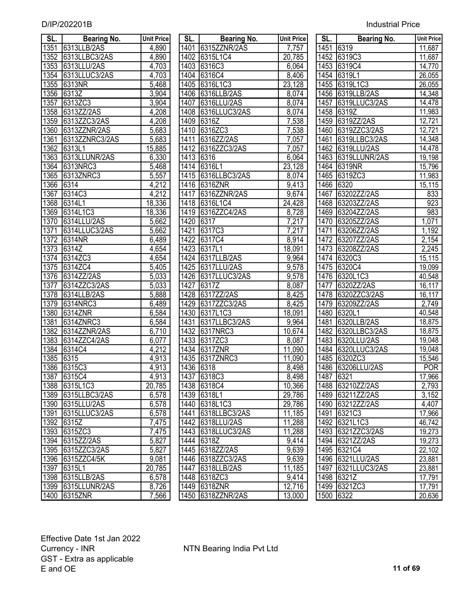| <b>Industrial Price</b> |
|-------------------------|
|                         |

| SL.          | <b>Bearing No.</b>   | <b>Unit Price</b>   | SL.          | <b>Bearing No.</b>        | <b>Unit Price</b> | SL.          | <b>Bearing No.</b>    | Unit Price           |
|--------------|----------------------|---------------------|--------------|---------------------------|-------------------|--------------|-----------------------|----------------------|
| 1351         | 6313LLB/2AS          | 4,890               | 1401         | 6315ZZNR/2AS              | 7,757             | 1451         | 6319                  | 11,687               |
| 1352         | 6313LLBC3/2AS        | 4,890               | 1402         | 6315L1C4                  | 20,785            |              | 1452 6319C3           | 11,687               |
| 1353         | 6313LLU/2AS          | 4,703               |              | 1403 6316C3               | 6,064             |              | 1453 6319C4           | 14,770               |
| 1354         | 6313LLUC3/2AS        | 4,703               |              | 1404 6316C4               | 8,406             | 1454         | 6319L1                | 26,055               |
| 1355         | 6313NR               | 5,468               |              | 1405 6316L1C3             | 23,128            |              | 1455 6319L1C3         | 26,055               |
| 1356         | 6313Z                | 3,904               | 1406         | 6316LLB/2AS               | 8,074             |              | 1456 6319LLB/2AS      | 14,348               |
| 1357         | 6313ZC3              | 3,904               | 1407         | 6316LLU/2AS               | 8,074             | 1457         | 6319LLUC3/2AS         | 14,478               |
| 1358         | 6313ZZ/2AS           | 4,208               |              | 1408 6316LLUC3/2AS        | 8,074             | 1458         | 6319Z                 | 11,983               |
| 1359         | 6313ZZC3/2AS         | 4,208               | 1409         | 6316Z                     | 7,538             | 1459         | 6319ZZ/2AS            | 12,721               |
| 1360         | 6313ZZNR/2AS         | 5,683               | 1410         | 6316ZC3                   | 7,538             | 1460         | 6319ZZC3/2AS          | 12,721               |
| 1361         | 6313ZZNRC3/2AS       | 5,683               | 1411         | 6316ZZ/2AS                | 7,057             | 1461         | 6319LLBC3/2AS         | 14,348               |
| 1362         | 6313L1               | 15,885              | 1412         | 6316ZZC3/2AS              | 7,057             | 1462         | 6319LLU/2AS           | 14,478               |
| 1363         | 6313LLUNR/2AS        | 6,330               | 1413         | 6316                      | 6,064             | 1463         | 6319LLUNR/2AS         | 19,198               |
| 1364         | 6313NRC3             | 5,468               |              | 1414 6316L1               | 23,128            | 1464         | 6319NR                | 15,796               |
| 1365         | 6313ZNRC3            | 5,557               |              | 1415 6316LLBC3/2AS        | 8,074             | 1465         | 6319ZC3               | 11,983               |
| 1366         | $\sqrt{6314}$        | 4,212               | 1416         | 6316ZNR                   | 9,413             | 1466         | 6320                  | 15,115               |
| 1367         | 6314C3               | 4,212               | 1417         | 6316ZZNR/2AS              | 9,674             | 1467         | 63202ZZ/2AS           | 833                  |
| 1368         | 6314L1               | 18,336              |              | 1418 6316L1C4             | 24,428            | 1468         | 63203ZZ/2AS           | 923                  |
| 1369         | 6314L1C3             | 18,336              | 1419         | 6316ZZC4/2AS              | 8,728             | 1469         | 63204ZZ/2AS           | 983                  |
| 1370         | 6314LLU/2AS          | 5,662               | 1420         | 6317                      | 7,217             | 1470         | 63205ZZ/2AS           | 1,071                |
| 1371         | 6314LLUC3/2AS        | 5,662               | 1421         | 6317C3                    | 7,217             | 1471         | 63206ZZ/2AS           | 1,192                |
| 1372         | 6314NR               | 6,489               | 1422         | 6317C4                    | 8,914             | 1472         | 63207ZZ/2AS           | 2,154                |
| 1373         | $\sqrt{6314}$        | 4,654               | 1423         | 6317L1                    | 18,091            | 1473         | 63208ZZ/2AS           | 2,245                |
| 1374         | 6314ZC3              | 4,654               | 1424         | 6317LLB/2AS               | 9,964             | 1474         | 6320C3                | 15,115               |
| 1375         | 6314ZC4              | 5,405               | 1425         | 6317LLU/2AS               | 9,578             | 1475         | 6320C4                | 19,099               |
| 1376         | 6314ZZ/2AS           | 5,033               | 1426         | 6317LLUC3/2AS             | 9,578             | 1476         | 6320L1C3              | 40,548               |
| 1377         | 6314ZZC3/2AS         | $\overline{5,033}$  | 1427         | 6317Z                     | 8,087             | 1477         | 6320ZZ/2AS            | $\overline{16}, 117$ |
| 1378         | 6314LLB/2AS          | 5,888               | 1428         | 6317ZZ/2AS                | 8,425             | 1478         | 6320ZZC3/2AS          | $\overline{16}, 117$ |
| 1379<br>1380 | 6314NRC3             | 6,489               | 1429         | 6317ZZC3/2AS              | 8,425             | 1479         | 63209ZZ/2AS<br>6320L1 | 2,749<br>40,548      |
| 1381         | 6314ZNR<br>6314ZNRC3 | 6,584<br>6,584      | 1430<br>1431 | 6317L1C3<br>6317LLBC3/2AS | 18,091<br>9,964   | 1480<br>1481 | 6320LLB/2AS           |                      |
| 1382         | 6314ZZNR/2AS         | 6,710               | 1432         | 6317NRC3                  | 10,674            | 1482         | 6320LLBC3/2AS         | 18,875<br>18,875     |
| 1383         | 6314ZZC4/2AS         | $\overline{6}$ ,077 | 1433         | 6317ZC3                   | 8,087             | 1483         | 6320LLU/2AS           | 19,048               |
| 1384         | 6314C4               | 4,212               | 1434         | 6317ZNR                   | 11,090            | 1484         | 6320LLUC3/2AS         | 19,048               |
| 1385         | 6315                 | 4,913               | 1435         | 6317ZNRC3                 | 11,090            | 1485         | 6320ZC3               | 15,546               |
| 1386         | 6315C3               | 4,913               |              | 1436 6318                 | 8,498             |              | 1486 63206LLU/2AS     | <b>POR</b>           |
| 1387         | 6315C4               | 4,913               |              | 1437 6318C3               | 8,498             | 1487 6321    |                       | 17,966               |
| 1388         | 6315L1C3             | 20,785              |              | 1438 6318C4               | 10,366            |              | 1488 63210ZZ/2AS      | 2,793                |
| 1389         | 6315LLBC3/2AS        | 6,578               |              | 1439 6318L1               | 29,786            |              | 1489 63211ZZ/2AS      | 3,152                |
| 1390         | 6315LLU/2AS          | 6,578               | 1440         | 6318L1C3                  | 29,786            |              | 1490 63212ZZ/2AS      | 4,407                |
| 1391         | 6315LLUC3/2AS        | 6,578               | 1441         | 6318LLBC3/2AS             | 11,185            |              | 1491 6321C3           | 17,966               |
| 1392         | 6315Z                | 7,475               |              | 1442 6318LLU/2AS          | 11,288            |              | 1492 6321L1C3         | 46,742               |
| 1393         | 6315ZC3              | 7,475               |              | 1443 6318LLUC3/2AS        | 11,288            |              | 1493 6321ZZC3/2AS     | 19,273               |
| 1394         | 6315ZZ/2AS           | 5,827               | 1444         | 6318Z                     | 9,414             |              | 1494 6321ZZ/2AS       | 19,273               |
| 1395         | 6315ZZC3/2AS         | 5,827               |              | 1445 6318ZZ/2AS           | 9,639             |              | 1495 6321C4           | 22,102               |
| 1396         | 6315ZZC4/5K          | 9,081               |              | 1446 6318ZZC3/2AS         | 9,639             |              | 1496 6321LLU/2AS      | 23,881               |
| 1397         | 6315L1               | 20,785              | 1447         | 6318LLB/2AS               | 11,185            | 1497         | 6321LLUC3/2AS         | 23,881               |
| 1398         | 6315LLB/2AS          | 6,578               |              | 1448 6318ZC3              | 9,414             |              | 1498 6321Z            | 17,791               |
|              | 1399 6315LLUNR/2AS   | 8,726               |              | 1449 6318ZNR              | 12,716            |              | 1499 6321ZC3          | 17,791               |
|              | 1400 6315ZNR         | 7,566               |              | 1450 6318ZZNR/2AS         | 13,000            | 1500 6322    |                       | 20,636               |

| SL.  | <b>Bearing No.</b> | <b>Unit Price</b>   | SL.       | <b>Bearing No.</b> | <b>Unit Price</b> | SL.       | <b>Bearing No.</b> | <b>Unit Pric</b>    |
|------|--------------------|---------------------|-----------|--------------------|-------------------|-----------|--------------------|---------------------|
| 1351 | 6313LLB/2AS        | 4,890               |           | 1401 6315ZZNR/2AS  | 7,757             |           | 1451 6319          | 11,687              |
| 1352 | 6313LLBC3/2AS      | 4,890               |           | 1402 6315L1C4      | 20,785            |           | 1452 6319C3        | 11,687              |
| 1353 | 6313LLU/2AS        | 4,703               |           | 1403 6316C3        | 6,064             |           | 1453 6319C4        | 14,770              |
| 1354 | 6313LLUC3/2AS      | 4,703               |           | 1404 6316C4        | 8,406             |           | 1454 6319L1        | 26,055              |
| 1355 | 6313NR             | 5,468               |           | 1405 6316L1C3      | 23,128            | 1455      | 6319L1C3           | 26,055              |
| 1356 | 6313Z              | 3,904               |           | 1406 6316LLB/2AS   | 8,074             |           | 1456 6319LLB/2AS   | 14,348              |
| 1357 | 6313ZC3            | 3,904               |           | 1407 6316LLU/2AS   | 8,074             | 1457      | 6319LLUC3/2AS      | 14,478              |
| 1358 | 6313ZZ/2AS         | 4,208               |           | 1408 6316LLUC3/2AS | 8,074             | 1458      | 6319Z              | 11,983              |
| 1359 | 6313ZZC3/2AS       | 4,208               |           | 1409 6316Z         | 7,538             |           | 1459 6319ZZ/2AS    | 12,721              |
| 1360 | 6313ZZNR/2AS       | 5,683               |           | 1410 6316ZC3       | 7,538             | 1460      | 6319ZZC3/2AS       | 12,721              |
| 1361 | 6313ZZNRC3/2AS     | 5,683               | 1411      | 6316ZZ/2AS         | 7,057             | 1461      | 6319LLBC3/2AS      | 14,348              |
| 1362 | 6313L1             | 15,885              |           | 1412 6316ZZC3/2AS  | 7,057             | 1462      | 6319LLU/2AS        | 14,478              |
| 1363 | 6313LLUNR/2AS      | 6,330               | 1413 6316 |                    | 6,064             | 1463      | 6319LLUNR/2AS      | 19,198              |
| 1364 | 6313NRC3           | 5,468               |           | 1414 6316L1        | 23,128            |           | 1464 6319NR        | 15,796              |
| 1365 | 6313ZNRC3          | 5,557               | 1415      | 6316LLBC3/2AS      | 8,074             | 1465      | 6319ZC3            | 11,983              |
| 1366 | 6314               | 4,212               | 1416      | 6316ZNR            | 9,413             | 1466      | 6320               | 15,115              |
| 1367 | 6314C3             | 4,212               | 1417      | 6316ZZNR/2AS       | 9,674             | 1467      | 63202ZZ/2AS        | 833                 |
| 1368 | 6314L1             | 18,336              | 1418      | 6316L1C4           | 24,428            | 1468      | 63203ZZ/2AS        | 923                 |
| 1369 | 6314L1C3           | 18,336              |           | 1419 6316ZZC4/2AS  | 8,728             | 1469      | 63204ZZ/2AS        | 983                 |
| 1370 | 6314LLU/2AS        | 5,662               | 1420 6317 |                    | 7,217             | 1470      | 63205ZZ/2AS        | 1,071               |
| 1371 | 6314LLUC3/2AS      | 5,662               | 1421      | 6317C3             | 7,217             | 1471      | 63206ZZ/2AS        | 1,192               |
| 1372 | 6314NR             | 6,489               | 1422      | 6317C4             | 8,914             | 1472      | 63207ZZ/2AS        | 2,154               |
| 1373 | 6314Z              | 4,654               | 1423      | 6317L1             | 18,091            | 1473      | 63208ZZ/2AS        | 2,245               |
| 1374 | 6314ZC3            | 4,654               |           | 1424 6317LLB/2AS   | 9,964             |           | 1474 6320C3        | 15,115              |
| 1375 | 6314ZC4            | 5,405               | 1425      | 6317LLU/2AS        | 9,578             | 1475      | 6320C4             | 19,099              |
| 1376 | 6314ZZ/2AS         | 5,033               |           | 1426 6317LLUC3/2AS | 9,578             |           | 1476 6320L1C3      | 40,548              |
| 1377 | 6314ZZC3/2AS       | 5,033               | 1427      | 6317Z              | 8,087             | 1477      | 6320ZZ/2AS         | 16,117              |
| 1378 | 6314LLB/2AS        | 5,888               | 1428      | 6317ZZ/2AS         | 8,425             | 1478      | 6320ZZC3/2AS       | 16,117              |
| 1379 | 6314NRC3           | 6,489               | 1429      | 6317ZZC3/2AS       | 8,425             | 1479      | 63209ZZ/2AS        | 2,749               |
| 1380 | 6314ZNR            | 6,584               |           | 1430 6317L1C3      | 18,091            | 1480      | 6320L1             | 40,548              |
| 1381 | 6314ZNRC3          | 6,584               | 1431      | 6317LLBC3/2AS      | 9,964             | 1481      | 6320LLB/2AS        | 18,875              |
| 1382 | 6314ZZNR/2AS       | 6,710               |           | 1432 6317NRC3      | 10,674            |           | 1482 6320LLBC3/2AS | 18,875              |
| 1383 | 6314ZZC4/2AS       | $\overline{6}$ ,077 |           | 1433 6317ZC3       | 8,087             |           | 1483 6320LLU/2AS   | 19,048              |
| 1384 | <b>6314C4</b>      | 4,212               |           | 1434 6317ZNR       | 11,090            |           | 1484 6320LLUC3/2AS | 19,048              |
| 1385 | 6315               | 4,913               |           | 1435 6317ZNRC3     | 11,090            | 1485      | 6320ZC3            | 15,546              |
|      | 1386 6315C3        | 4,913               | 1436 6318 |                    | 8,498             |           | 1486 63206LLU/2AS  | <b>POR</b>          |
|      | 1387 6315C4        | 4,913               |           | 1437 6318C3        | 8,498             | 1487 6321 |                    | 17,966              |
|      | 1388 6315L1C3      | 20,785              |           | 1438 6318C4        | 10,366            |           | 1488 63210ZZ/2AS   | 2,793               |
|      | 1389 6315LLBC3/2AS | 6,578               |           | 1439 6318L1        | 29,786            |           | 1489 63211ZZ/2AS   | 3,152               |
|      | 1390 6315LLU/2AS   | 6,578               |           | 1440 6318L1C3      | 29,786            |           | 1490 63212ZZ/2AS   | 4,407               |
|      | 1391 6315LLUC3/2AS | 6,578               |           | 1441 6318LLBC3/2AS | 11,185            |           | 1491 6321C3        | 17,966              |
|      | 1392 6315Z         | 7,475               |           | 1442 6318LLU/2AS   | 11,288            |           | 1492 6321L1C3      | 46,742              |
|      | 1393 6315ZC3       | 7,475               |           | 1443 6318LLUC3/2AS | 11,288            |           | 1493 6321ZZC3/2AS  | 19,273              |
|      | 1394 6315ZZ/2AS    | 5,827               |           | 1444 6318Z         | 9,414             |           | 1494 6321ZZ/2AS    | 19,273              |
|      | 1395 6315ZZC3/2AS  | 5,827               |           | 1445 6318ZZ/2AS    | 9,639             |           | 1495 6321C4        | 22,102              |
|      | 1396 6315ZZC4/5K   | 9,081               |           | 1446 6318ZZC3/2AS  | 9,639             |           | 1496 6321LLU/2AS   | 23,881              |
|      | 1397 6315L1        | 20,785              |           | 1447 6318LLB/2AS   | 11,185            |           | 1497 6321LLUC3/2AS | 23,881              |
|      | 1398 6315LLB/2AS   | 6,578               |           | 1448 6318ZC3       | 9,414             |           | 1498 6321Z         | $\overline{17,}791$ |
|      | 1399 6315LLUNR/2AS | 8,726               |           | 1449 6318ZNR       | 12,716            |           | 1499 6321ZC3       | 17,791              |
|      | 1400 6315ZNR       | 7,566               |           | 1450 6318ZZNR/2AS  | 13,000            |           | 1500 6322          | 20,636              |

| SL.              | <b>Bearing No.</b>  | <b>Unit Price</b>    |
|------------------|---------------------|----------------------|
| 1451             | 6319                | 11,687               |
| 1452             | 6319C3              | 11,687               |
| 1453             | 6319C4              | $\overline{14,770}$  |
| 1454             | 6319L1              | 26,055               |
| 1455             | 6319L1C3            | 26,055               |
| 1456             | 6319LLB/2AS         | 14,348               |
| 1457             | 6319LLUC3/2AS       | 14,478               |
| 1458             | 6319Z               | 11,983               |
| 1459             | 6319ZZ/2AS          | 12,721               |
| 1460             | 6319ZZC3/2AS        | 12,721               |
| 1461             | 6319LLBC3/2AS       | 14,348               |
| 1462             | 6319LLU/2AS         | 14,478               |
| 1463             | 6319LLUNR/2AS       |                      |
| 1464             | 6319NR              | 19,198<br>15,796     |
| 1465             | 6319ZC3             | 11,983               |
| 1466             | 6320                | $\overline{1}$ 5,115 |
| 1467             | 63202ZZ/2AS         | 833                  |
| 1468             | 63203ZZ/2AS         | 923                  |
| 1469             | 63204ZZ/2AS         | 983                  |
| 1470             | 63205ZZ/2AS         | 1,071                |
| 1471             | 63206ZZ/2AS         | 1,192                |
| 1472             | 63207ZZ/2AS         | 2,154                |
| 1473             | 63208ZZ/2AS         | 2,245                |
| 1474             | 6320C3              | 15,115               |
| 1475             | 6320C4              | 19,099               |
| 1476             | 6320L1C3            | 40,548               |
| 1477             | 6320ZZ/2AS          | 16,117               |
| 1478             | 6320ZZC3/2AS        | 16,117               |
| 1479             | 63209ZZ/2AS         | 2,749                |
| 1480             | 6320L1              | 40,548               |
| 1481             | 6320LLB/2AS         | 18,875               |
| 1482             | 6320LLBC3/2AS       | 18,875               |
| 1483             | 6320LLU/2AS         | 19,048               |
| 1484             | 6320LLUC3/2AS       | 19,048               |
| 1485             | 6320ZC3             | 15,546               |
| 1486             | 63206LLU/2AS        | <b>POR</b>           |
| 1487             | 6321                | 17,966               |
| 1488             | 63210ZZ/2AS         | 2,793                |
| 1489             | 63211ZZ/2AS         | 3,152                |
| 1490             | 63212ZZ/2AS         | 4,407                |
| 1491             | 6321C3              | 17,966               |
| 1492             | 6321L1C3            | 46,742               |
| 1493             | 6321ZZC3/2AS        | 19,273               |
| 1494             | 6321ZZ/2AS          | 19,273               |
| 1495             | 6321C4              | 22,102               |
| 1496             | 6321LLU/2AS         |                      |
|                  | 6321LLUC3/2AS       | 23,881               |
| 1497             |                     | 23,881               |
| 1498             | $\overline{632}$ 1Z | 17,791               |
| $\frac{1}{1499}$ | 6321ZC3             | 17,791               |
| 1500             | 6322                | 20,636               |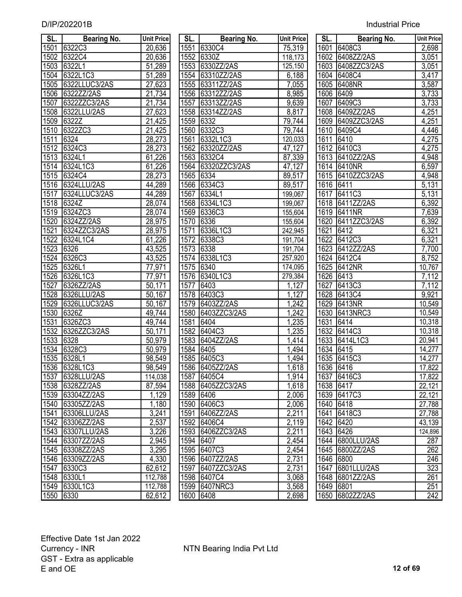| SL.       | Bearing No.       | <b>Unit Price</b> | SL.       | <b>Bearing No.</b> | <b>Unit Price</b> | SL.  | Bearing No.       | <b>Unit Price</b>       |
|-----------|-------------------|-------------------|-----------|--------------------|-------------------|------|-------------------|-------------------------|
| 1501      | 6322C3            | 20,636            | 1551      | 6330C4             | 75,319            |      | 1601 6408C3       | $\overline{2,698}$      |
| 1502      | 6322C4            | 20,636            | 1552      | 6330Z              | 118,173           | 1602 | 6408ZZ/2AS        | 3,051                   |
| 1503      | 6322L1            | 51,289            | 1553      | 6330ZZ/2AS         | 125,150           | 1603 | 6408ZZC3/2AS      | $\overline{3,051}$      |
| 1504      | 6322L1C3          | 51,289            | 1554      | 63310ZZ/2AS        | 6,188             | 1604 | 6408C4            | 3,417                   |
| 1505      | 6322LLUC3/2AS     | 27,623            |           | 1555 63311ZZ/2AS   | 7,055             | 1605 | 6408NR            | 3,587                   |
| 1506      | 6322ZZ/2AS        | 21,734            | 1556      | 63312ZZ/2AS        | 8,985             |      | 1606 6409         | 3,733                   |
| 1507      | 6322ZZC3/2AS      | 21,734            | 1557      | 63313ZZ/2AS        | 9,639             | 1607 | 6409C3            | 3,733                   |
| 1508      | 6322LLU/2AS       | 27,623            |           | 1558 63314ZZ/2AS   | 8,817             |      | 1608 6409ZZ/2AS   | 4,251                   |
| 1509      | 6322Z             | 21,425            | 1559      | 6332               | 79,744            |      | 1609 6409ZZC3/2AS | 4,251                   |
| 1510      | 6322ZC3           | 21,425            | 1560      | 6332C3             | 79,744            | 1610 | 6409C4            | 4,446                   |
| 1511      | 6324              | 28,273            | 1561      | 6332L1C3           | 120,033           | 1611 | 6410              | 4,275                   |
| 1512      | 6324C3            | 28,273            | 1562      | 63320ZZ/2AS        | 47,127            | 1612 | 6410C3            | 4,275                   |
| 1513      | 6324L1            | 61,226            | 1563      | 6332C4             | 87,339            | 1613 | 6410ZZ/2AS        | 4,948                   |
| 1514      | 6324L1C3          | 61,226            | 1564      | 63320ZZC3/2AS      | 47,127            | 1614 | 6410NR            | 6,597                   |
| 1515      | 6324C4            | 28,273            | 1565      | 6334               | 89,517            | 1615 | 6410ZZC3/2AS      | 4,948                   |
| 1516      | 6324LLU/2AS       | 44,289            | 1566      | 6334C3             | 89,517            | 1616 | 6411              | 5,131                   |
| 1517      | 6324LLUC3/2AS     | 44,289            | 1567      | 6334L1             | 199,067           | 1617 | 6411C3            | 5,131                   |
| 1518      | 6324Z             | 28,074            |           | 1568 6334L1C3      | 199,067           | 1618 | 6411ZZ/2AS        | 6,392                   |
| 1519      | 6324ZC3           | 28,074            | 1569      | <b>6336C3</b>      | 155,604           | 1619 | 6411NR            | 7,639                   |
| 1520      | 6324ZZ/2AS        | 28,975            | 1570      | 6336               | 155,604           | 1620 | 6411ZZC3/2AS      | 6,392                   |
| 1521      | 6324ZZC3/2AS      | 28,975            | 1571      | 6336L1C3           | 242,945           | 1621 | 6412              | 6,321                   |
| 1522      | 6324L1C4          | 61,226            | 1572      | 6338C3             | 191,704           | 1622 | 6412C3            | 6,321                   |
| 1523      | 6326              | 43,525            | 1573      | 6338               | 191,704           | 1623 | 6412ZZ/2AS        | 7,700                   |
| 1524      | 6326C3            | 43,525            | 1574      | 6338L1C3           | 257,920           | 1624 | 6412C4            | 8,752                   |
| 1525      | 6326L1            | 77,971            | 1575      | 6340               | 174,095           | 1625 | 6412NR            | 10,767                  |
| 1526      | 6326L1C3          | 77,971            | 1576      | 6340L1C3           | 279,384           | 1626 | 6413              | 7,112                   |
| 1527      | 6326ZZ/2AS        | 50,171            | 1577      | 6403               | 1,127             | 1627 | 6413C3            | 7,112                   |
| 1528      | 6326LLU/2AS       | 50,167            | 1578      | 6403C3             | 1,127             | 1628 | 6413C4            | 9,921                   |
| 1529      | 6326LLUC3/2AS     | 50,167            | 1579      | 6403ZZ/2AS         | 1,242             | 1629 | 6413NR            | 10,549                  |
| 1530      | 6326Z             | 49,744            | 1580      | 6403ZZC3/2AS       | 1,242             | 1630 | 6413NRC3          | 10,549                  |
| 1531      | 6326ZC3           | 49,744            | 1581      | 6404               | 1,235             | 1631 | 6414              | 10,318                  |
| 1532      | 6326ZZC3/2AS      | 50,171            | 1582      | 6404C3             | 1,235             | 1632 | 6414C3            | 10,318                  |
| 1533      | 6328              | 50,979            | 1583      | 6404ZZ/2AS         | ,414              | 1633 | 6414L1C3          | 20,941                  |
| 1534      | 6328C3            | 50,979            | 1584      | 6405               | ,494              | 1634 | 6415              | 14,277                  |
| 1535      | 6328L1            | 98,549            | 1585      | 6405C3             | ,494              |      | 1635 6415C3       | 14,277                  |
|           | 1536 6328L1C3     | 98,549            |           | 1586 6405ZZ/2AS    | 1,618             |      | 1636 6416         | 17,822                  |
| 1537      | 6328LLU/2AS       | 114,038           |           | 1587 6405C4        | 1,914             |      | 1637 6416C3       | 17,822                  |
| 1538      | 6328ZZ/2AS        | 87,594            |           | 1588 6405ZZC3/2AS  | 1,618             |      | 1638 6417         | 22,121                  |
| 1539      | 63304ZZ/2AS       | 1,129             |           | 1589 6406          | 2,006             |      | 1639 6417C3       | 22,121                  |
| 1540      | 63305ZZ/2AS       | 1,180             |           | 1590 6406C3        | 2,006             |      | 1640 6418         | 27,788                  |
| 1541      | 63306LLU/2AS      | 3,241             | 1591      | 6406ZZ/2AS         | 2,211             |      | 1641 6418C3       | 27,788                  |
| 1542      | 63306ZZ/2AS       | 2,537             |           | 1592 6406C4        | 2,119             |      | 1642 6420         | 43,139                  |
|           | 1543 63307LLU/2AS | 3,226             |           | 1593 6406ZZC3/2AS  | 2,211             |      | 1643 6426         | 124,896                 |
|           | 1544 63307ZZ/2AS  | 2,945             |           | 1594 6407          | 2,454             |      | 1644 6800LLU/2AS  | 287                     |
|           | 1545 63308ZZ/2AS  | 3,295             |           | 1595 6407C3        | 2,454             |      | 1645 6800ZZ/2AS   | 262                     |
|           | 1546 63309ZZ/2AS  | 4,330             |           | 1596 6407ZZ/2AS    | 2,731             |      | 1646 6800         | 246                     |
| 1547      | 6330C3            | 62,612            |           | 1597 6407ZZC3/2AS  | 2,731             |      | 1647 6801LLU/2AS  | 323                     |
|           | 1548 6330L1       | 112,788           |           | 1598 6407C4        | 3,068             |      | 1648 6801ZZ/2AS   | 261                     |
|           | 1549 6330L1C3     | 112,788           |           | 1599 6407NRC3      | 3,568             |      | 1649 6801         | 251<br>$\overline{242}$ |
| 1550 6330 |                   | 62,612            | 1600 6408 |                    | 2,698             |      | 1650 6802ZZ/2AS   |                         |

| SL.               | Bearing No.       | <b>Unit Pric</b>        |
|-------------------|-------------------|-------------------------|
| 1551              | 6330C4            | 75,319                  |
| 1552              | 6330Z             | 118,173                 |
| 1553              | 6330ZZ/2AS        | 125,150                 |
| 1554              | 63310ZZ/2AS       | 6,188                   |
| 1555              | 63311ZZ/2AS       | $\overline{7,055}$      |
| 1556              | 63312ZZ/2AS       | 8,985                   |
| 1557              | 63313ZZ/2AS       | 9,639                   |
| 1558              | 63314ZZ/2AS       | 8,817                   |
| 1559              | 6332              | 79,744                  |
| 1560              | 6332C3            | 79,744                  |
| 1561              | 6332L1C3          | 120,033                 |
| 1562              | 63320ZZ/2AS       | $\frac{47,127}{87,339}$ |
| 1563              | 6332C4            |                         |
| 1564              | 63320ZZC3/2AS     | 47,127                  |
| 1565              | 6334              | 89,517                  |
| 1566              | 6334C3            | 89,517                  |
| 1567              | 6334L1            | 199,067                 |
| 1568              | 6334L1C3          | 199,067                 |
| 1569              | 6336C3            | 155,604                 |
| 1570              | 6336              | 155,604                 |
|                   | 1571 6336L1C3     | 242,945                 |
| $\overline{1}572$ | 6338C3            | 191,704                 |
| 1573              | 6338              | 191,704                 |
| 1574              | 6338L1C3          | 257,920                 |
| 1575              | 6340              | 174,095                 |
| 1576              | 6340L1C3          | 279,384                 |
| 1577              | 6403              | <u>1,127</u>            |
| 1578              | 6403C3            | 1,127                   |
|                   | 1579 6403ZZ/2AS   | 1,242                   |
|                   | 1580 6403ZZC3/2AS |                         |
| 1581 6404         |                   | $\frac{1,242}{1,235}$   |
|                   | 1582 6404C3       | 1,235                   |
|                   | 1583 6404ZZ/2AS   | 1,414                   |
| 1584 6405         |                   | $\overline{1,494}$      |
|                   | 1585 6405C3       | 1,494                   |
|                   | 1586 6405ZZ/2AS   | 1,618                   |
| 1587              | 6405C4            | 1,914                   |
| 1588              | 6405ZZC3/2AS      | 1,618                   |
| 1589              | 6406              | 2,006                   |
| 1590              | 6406C3            | 2,006                   |
| 1591              | 6406ZZ/2AS        | 2,211                   |
| 1592              | 6406C4            | 2,119                   |
| 1593              | 6406ZZC3/2AS      | 2,211                   |
| 1594              | 6407              | 2,454                   |
| 1595              | 6407C3            | 2,454                   |
| 1596              | 6407ZZ/2AS        | 2,731                   |
| 1597              | 6407ZZC3/2AS      | 2,731                   |
| 1598              | 6407C4            | 3,068                   |
| 1599              | 6407NRC3          | 3,568                   |
| 1600              | 6408              | 2,698                   |
|                   |                   |                         |

| SL.               | <b>Bearing No.</b> | <b>Unit Price</b>                       |
|-------------------|--------------------|-----------------------------------------|
| $16\overline{01}$ | 6408C3             | 2,698                                   |
| 1602              | 6408ZZ/2AS         | 3,051                                   |
| 1603              | 6408ZZC3/2AS       | 3,051                                   |
| 1604              | 6408C4             | $\overline{3,417}$                      |
| 1605              | 6408NR             |                                         |
| 1606              | 6409               | $\frac{3,587}{3,733}$                   |
| 1607              | 6409C3             | $\frac{3,733}{3,733}$<br>4,251<br>4,251 |
| 1608              | 6409ZZ/2AS         |                                         |
| 1609              | 6409ZZC3/2AS       |                                         |
| 1610              | 6409C4             | 4,446                                   |
| 1611              | 6410               | 4,275                                   |
| 1612              | 6410C3             | 4,275                                   |
| 1613              | 6410ZZ/2AS         | 4,948                                   |
| 1614              | 6410NR             | 6,597                                   |
| 1615              | 6410ZZC3/2AS       | 4,948                                   |
| $161\overline{6}$ | 6411               | 5,131                                   |
| 1617              | 6411C3             | 5,131                                   |
| 1618              | 6411ZZ/2AS         | 6,392                                   |
| 1619              | 6411NR             | 7,639                                   |
| 1620              | 6411ZZC3/2AS       | 6,392                                   |
| 1621              | 6412               | 6,321                                   |
| $162\overline{2}$ | 6412C3             | 6,321                                   |
| 1623              | 6412ZZ/2AS         | 7,700                                   |
| 1624              | 6412C4             | 8,752                                   |
| 1625              | 6412NR             | 10,767                                  |
| 1626              | 6413               | 7,112                                   |
| 1627              | 6413C3             | 7,112                                   |
| 1628              | 6413C4             | 9,921                                   |
| 1629              | 6413NR             | 10,549                                  |
| 1630              | 6413NRC3           | 10,549                                  |
| 1631              | 6414               | 10,318                                  |
| 1632              | 6414C3             | 10,318                                  |
| 1633              | 6414L1C3           | 20,941                                  |
| 1634              | 6415               | 14,277                                  |
| 1635              | 6415C3             | 14,277                                  |
| 1636              | 6416               | 17,822                                  |
| 1637              | 6416C3             | 17,822                                  |
| 1638              | 6417               | 22,121                                  |
| 1639              | 6417C3             | 22, 121                                 |
| 1640              | 6418               | 27,788                                  |
| 1641              | 6418C3             | 27,788                                  |
| 1642              | 6420               | 43,139                                  |
| 1643              | 6426               | 124,896                                 |
| 1644              | 6800LLU/2AS        | 287                                     |
| 1645              | 6800ZZ/2AS         | 262                                     |
| 1646              | 6800               | $\overline{2}$ 46                       |
| 1647              | 6801LLU/2AS        | $\overline{323}$                        |
| 1648              | 6801ZZ/2AS         | 261                                     |
| 1649              | 6801               | $\overline{251}$                        |
| 1650              | 6802ZZ/2AS         | 242                                     |
|                   |                    |                                         |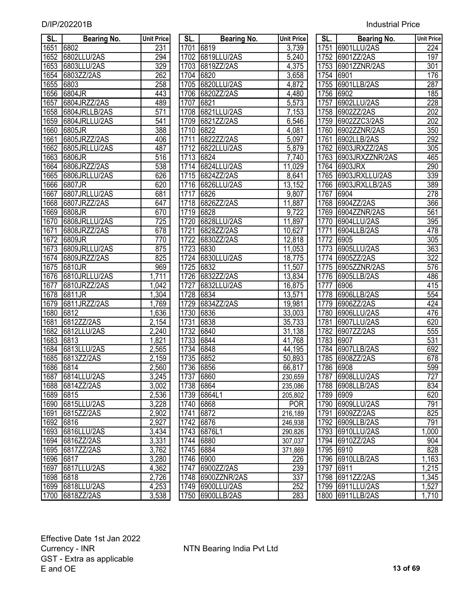| D/IP/202201B | <b>Industrial Price</b> |
|--------------|-------------------------|
|              |                         |

| SL.       | <b>Bearing No.</b> | <b>Unit Price</b> | SL.  | Bearing No.  | <b>Unit Price</b>   | SL.       | Bearing No.      | <b>Unit Pric</b> |
|-----------|--------------------|-------------------|------|--------------|---------------------|-----------|------------------|------------------|
| 1651      | 6802               | 231               | 1701 | 6819         | 3,739               | 1751      | 6901LLU/2AS      | 224              |
| 1652      | 6802LLU/2AS        | 294               | 1702 | 6819LLU/2AS  | 5,240               | 1752      | 6901ZZ/2AS       | 197              |
| 1653      | 6803LLU/2AS        | 329               | 1703 | 6819ZZ/2AS   | 4,375               | 1753      | 6901ZZNR/2AS     | 301              |
| 1654      | 6803ZZ/2AS         | 262               | 1704 | 6820         | 3,658               | 1754      | 6901             | 176              |
| 1655      | 6803               | 258               | 1705 | 6820LLU/2AS  | 4,872               | 1755      | 6901LLB/2AS      | 287              |
| 1656      | 6804JR             | 443               | 1706 | 6820ZZ/2AS   | 4,480               | 1756      | 6902             | 185              |
| 1657      | 6804JRZZ/2AS       | 489               | 1707 | 6821         | 5,573               | 1757      | 6902LLU/2AS      | 228              |
| 1658      | 6804JRLLB/2AS      | 571               | 1708 | 6821LLU/2AS  | $\overline{7}, 153$ | 1758      | 6902ZZ/2AS       | 202              |
| 1659      | 6804JRLLU/2AS      | 541               | 1709 | 6821ZZ/2AS   | 6,546               | 1759      | 6902ZZC3/2AS     | 202              |
| 1660      | 6805JR             | 388               | 1710 | 6822         | 4,081               | 1760      | 6902ZZNR/2AS     | 350              |
| 1661      | 6805JRZZ/2AS       | 406               | 1711 | 6822ZZ/2AS   | 5,097               | 1761      | 6902LLB/2AS      | 292              |
| 1662      | 6805JRLLU/2AS      | 487               | 1712 | 6822LLU/2AS  | $\frac{1}{5,879}$   | 1762      | 6903JRXZZ/2AS    | 305              |
| 1663      | 6806JR             | 516               | 1713 | 6824         | 7,740               | 1763      | 6903JRXZZNR/2AS  | 465              |
| 1664      | 6806JRZZ/2AS       | 538               | 1714 | 6824LLU/2AS  | 11,029              | 1764      | <b>6903JRX</b>   | 290              |
| 1665      | 6806JRLLU/2AS      | 626               | 1715 | 6824ZZ/2AS   | 8,641               | 1765      | 6903JRXLLU/2AS   | 339              |
| 1666      | 6807JR             | 620               | 1716 | 6826LLU/2AS  | 13,152              | 1766      | 6903JRXLLB/2AS   | 389              |
| 1667      | 6807JRLLU/2AS      | 681               | 1717 | 6826         | $\overline{9,807}$  | 1767      | 6904             | 278              |
| 1668      | 6807JRZZ/2AS       | 647               | 1718 | 6826ZZ/2AS   | 11,887              | 1768      | 6904ZZ/2AS       | 366              |
| 1669      | 6808JR             | 670               | 1719 | 6828         | 9,722               | 1769      | 6904ZZNR/2AS     | 561              |
| 1670      | 6808JRLLU/2AS      | $\overline{725}$  | 1720 | 6828LLU/2AS  | 11,897              | 1770      | 6904LLU/2AS      | 395              |
| 1671      | 6808JRZZ/2AS       | 678               | 1721 | 6828ZZ/2AS   | 10,627              | 1771      | 6904LLB/2AS      | 478              |
| 1672      | 6809JR             | 770               | 1722 | 6830ZZ/2AS   | 12,818              | 1772      | 6905             | 305              |
| 1673      | 6809JRLLU/2AS      | 875               | 1723 | 6830         | 11,053              | 1773      | 6905LLU/2AS      | 363              |
| 1674      | 6809JRZZ/2AS       | 825               | 1724 | 6830LLU/2AS  | 18,775              | 1774      | 6905ZZ/2AS       | $\overline{322}$ |
| 1675      | 6810JR             | 969               | 1725 | 6832         | 11,507              | 1775      | 6905ZZNR/2AS     | 576              |
| 1676      | 6810JRLLU/2AS      | 1,711             | 1726 | 6832ZZ/2AS   | 13,834              | 1776      | 6905LLB/2AS      | 486              |
| 1677      | 6810JRZZ/2AS       | 1,042             | 1727 | 6832LLU/2AS  | 16,875              | 1777      | 6906             | 415              |
| 1678      | 6811JR             | 1,304             | 1728 | 6834         | 13,571              | 1778      | 6906LLB/2AS      | 554              |
| 1679      | 6811JRZZ/2AS       | 1,769             | 1729 | 6834ZZ/2AS   | 19,981              | 1779      | 6906ZZ/2AS       | 424              |
| 1680      | 6812               | 1,636             | 1730 | 6836         | 33,003              | 1780      | 6906LLU/2AS      | 476              |
| 1681      | 6812ZZ/2AS         | 2,154             | 1731 | 6838         | 35,733              | 1781      | 6907LLU/2AS      | 620              |
| 1682      | 6812LLU/2AS        | 2,240             | 1732 | 6840         | 31,138              | 1782      | 6907ZZ/2AS       | 555              |
| 1683      | 6813               | 1,821             | 1733 | 6844         | 41,768              | 1783      | 6907             | 531              |
| 1684      | 6813LLU/2AS        | 2,565             | 1734 | 6848         | 44,195              | 1784      | 6907LLB/2AS      | 692              |
| 1685      | 6813ZZ/2AS         | 2,159             | 1735 | 6852         | 50,893              | 1785      | 6908ZZ/2AS       | 678              |
| 1686 6814 |                    | 2,560             |      | 1736 6856    | 66,817              | 1786 6908 |                  | 599              |
| 1687      | 6814LLU/2AS        | 3,245             | 1737 | 6860         | 230,659             |           | 1787 6908LLU/2AS | 727              |
| 1688      | 6814ZZ/2AS         | 3,002             | 1738 | 6864         | 235,086             |           | 1788 6908LLB/2AS | 834              |
| 1689      | 6815               | 2,536             | 1739 | 6864L1       | 205,802             |           | 1789 6909        | 620              |
| 1690      | 6815LLU/2AS        | 3,228             | 1740 | 6868         | <b>POR</b>          | 1790      | 6909LLU/2AS      | 791              |
| 1691      | 6815ZZ/2AS         | 2,902             | 1741 | 6872         | 216,189             | 1791      | 6909ZZ/2AS       | 825              |
| 1692      | 6816               | 2,927             | 1742 | 6876         | 246,938             | 1792      | 6909LLB/2AS      | 791              |
| 1693      | 6816LLU/2AS        | 3,434             | 1743 | 6876L1       | 290,826             |           | 1793 6910LLU/2AS | ,000             |
| 1694      | 6816ZZ/2AS         | 3,331             | 1744 | 6880         | 307,037             |           | 1794 6910ZZ/2AS  | 904              |
| 1695      | 6817ZZ/2AS         | 3,762             | 1745 | 6884         | 371,869             |           | 1795 6910        | 828              |
| 1696      | 6817               | 3,280             | 1746 | 6900         | 226                 |           | 1796 6910LLB/2AS | 1,163            |
| 1697      | 6817LLU/2AS        | 4,362             | 1747 | 6900ZZ/2AS   | 239                 | 1797      | 6911             | 1,215            |
| 1698      | 6818               | 2,726             | 1748 | 6900ZZNR/2AS | 337                 |           | 1798 6911ZZ/2AS  | 1,345            |
| 1699      | 6818LLU/2AS        | 4,253             | 1749 | 6900LLU/2AS  | 252                 | 1799      | 6911LLU/2AS      | 1,527            |
| 1700      | 6818ZZ/2AS         | 3,538             | 1750 | 6900LLB/2AS  | 283                 | 1800      | 6911LLB/2AS      | 1,710            |

| SL.               | Bearing No.      | <b>Unit Pric</b>     |
|-------------------|------------------|----------------------|
| 1701              | 6819             | 3,739                |
| 1702              | 6819LLU/2AS      | 5,240                |
| 1703              | 6819ZZ/2AS       | 4,375                |
| 1704              | 6820             | 3,658                |
| 1705              | 6820LLU/2AS      | 4, <u>872</u>        |
| 1706              | 6820ZZ/2AS       | 4,480                |
| 1707              | 6821             | 5,573                |
| 1708              | 6821LLU/2AS      | <u>7,153</u>         |
| 1709              | 6821ZZ/2AS       | 6,546                |
| 1710              | 6822             | <u>4,081</u>         |
| 1711              | 6822ZZ/2AS       | 5,097                |
| 1712              | 6822LLU/2AS      | 5,879                |
| 1713              | 6824             | 7,740                |
| 1714              | 6824LLU/2AS      | 11,029               |
|                   | 1715 6824ZZ/2AS  | 8,641                |
|                   | 1716 6826LLU/2AS | <u>13,152</u>        |
| 1717              | 6826             | 9,807                |
|                   | 1718 6826ZZ/2AS  | 11,887               |
| 1719 6828         |                  | 9,722                |
|                   | 1720 6828LLU/2AS | 11,897               |
|                   | 1721 6828ZZ/2AS  | 10,627               |
|                   | 1722 6830ZZ/2AS  | <u>12,818</u>        |
|                   | 1723 6830        | 11,053               |
|                   | 1724 6830LLU/2AS | 18,775               |
| 1725 6832         |                  | 11,507               |
|                   | 1726 6832ZZ/2AS  | 13,834               |
|                   | 1727 6832LLU/2AS | 16,875               |
| 1728 6834         |                  | 13,571               |
|                   | 1729 6834ZZ/2AS  | 19,981               |
| 1730 6836         |                  | 33,003               |
| 1731              | 6838             | 35,733               |
| 1732              | 6840             | 31,138               |
| 1733              | 6844             | 41,768               |
| 1734              | 6848             | $\overline{44,}$ 195 |
| 1735 6852         |                  | 50,893               |
| 1736              | 6856             | 66,817               |
| 1737              | 6860             | 230,659              |
| 1738              | 6864             | 235,086              |
| 1739              | 6864L1           | 205,802              |
| 1740              | 6868             | <b>POR</b>           |
| $\overline{1741}$ | 6872             | 216,189              |
| 1742              | 6876             | 246,938              |
| 1743              | 6876L1           | 290,826              |
| 1744              | 6880             | 307,037              |
| 1745              | 6884             | 371,869              |
| 1746              | 6900             | $\overline{226}$     |
| 1747              | 6900ZZ/2AS       | 239                  |
| 1748              | 6900ZZNR/2AS     | $\overline{337}$     |
| 1749              | 6900LLU/2AS      | $\frac{252}{252}$    |
| 1750              | 6900LLB/2AS      | 283                  |

| SL.              | <b>Bearing No.</b>        | <b>Unit Price</b>  | SL.          | <b>Bearing No.</b> | <b>Unit Price</b> | SL.          | <b>Bearing No.</b>        | <b>Unit Price</b> |
|------------------|---------------------------|--------------------|--------------|--------------------|-------------------|--------------|---------------------------|-------------------|
| 651              | 6802                      | 231                | 1701 6819    |                    | 3,739             |              | 1751 6901LLU/2AS          | $\overline{224}$  |
| 652              | 6802LLU/2AS               | 294                |              | 1702 6819LLU/2AS   | 5,240             |              | 1752 6901ZZ/2AS           | 197               |
| 653              | 6803LLU/2AS               | 329                |              | 1703 6819ZZ/2AS    | 4,375             | 1753         | 6901ZZNR/2AS              | 301               |
| 654              | 6803ZZ/2AS                | 262                | 1704 6820    |                    | 3,658             | 1754         | 6901                      | 176               |
| 655              | 6803                      | 258                | 1705         | 6820LLU/2AS        | 4,872             | 1755         | 6901LLB/2AS               | 287               |
| 656              | 6804JR                    | 443                | 1706         | 6820ZZ/2AS         | 4,480             | 1756         | 6902                      | 185               |
| 657              | 6804JRZZ/2AS              | 489                | 1707         | 6821               | 5,573             | 1757         | 6902LLU/2AS               | 228               |
| 658              | 6804JRLLB/2AS             | 571                |              | 1708 6821LLU/2AS   | 7,153             |              | 1758 6902ZZ/2AS           | 202               |
| 659              | 6804JRLLU/2AS             | 541                | 1709         | 6821ZZ/2AS         | 6,546             | 1759         | 6902ZZC3/2AS              | 202               |
| 660              | 6805JR                    | 388                | 1710         | 6822               | 4,081             |              | 1760 6902ZZNR/2AS         | 350               |
| 661              | 6805JRZZ/2AS              | 406                | 1711         | 6822ZZ/2AS         | 5,097             | 1761         | 6902LLB/2AS               | 292               |
| 662              | 6805JRLLU/2AS             | 487                | 1712         | 6822LLU/2AS        | 5,879             |              | 1762 6903JRXZZ/2AS        | 305               |
| 663              | 6806JR                    | 516                | 1713         | 6824               | 7,740             |              | 1763 6903JRXZZNR/2AS      | 465               |
| 664              | 6806JRZZ/2AS              | 538                | 1714         | 6824LLU/2AS        | 11,029            |              | 1764 6903JRX              | 290               |
| 665              | 6806JRLLU/2AS             | 626                | 1715         | 6824ZZ/2AS         | 8,641             |              | 1765 6903JRXLLU/2AS       | 339               |
| 666              | 6807JR                    | 620                | 1716         | 6826LLU/2AS        | 13,152            |              | 1766 6903JRXLLB/2AS       | 389               |
| 667              | 6807JRLLU/2AS             | 681                | 1717         | 6826               | 9,807             | 1767         | 6904                      | 278               |
| 668              | 6807JRZZ/2AS              | 647                | 1718         | 6826ZZ/2AS         | 11,887            |              | 1768 6904ZZ/2AS           | 366               |
| 669              | 6808JR                    | 670                | 1719         | 6828               | 9,722             |              | 1769 6904ZZNR/2AS         | 561               |
| 670              | 6808JRLLU/2AS             | 725                | 1720         | 6828LLU/2AS        | 11,897            |              | 1770 6904LLU/2AS          | 395               |
| 671              | 6808JRZZ/2AS              | $\overline{678}$   | 1721         | 6828ZZ/2AS         | 10,627            | 1771         | 6904LLB/2AS               | 478               |
| 672              | 6809JR                    | 770                | 1722         | 6830ZZ/2AS         | 12,818            | 1772 6905    |                           | 305               |
| 673              | 6809JRLLU/2AS             | 875                | 1723         | 6830               | 11,053            |              | 1773 6905LLU/2AS          | $\overline{363}$  |
| 674              | 6809JRZZ/2AS              | 825                | 1724         | 6830LLU/2AS        | 18,775            | 1774         | 6905ZZ/2AS                | $\overline{322}$  |
| 675              | 6810JR                    | 969                | 1725         | 6832               | 11,507            | 1775         | 6905ZZNR/2AS              | $\overline{576}$  |
| 676              | 6810JRLLU/2AS             | $\overline{1,711}$ | 1726         | 6832ZZ/2AS         | 13,834            | 1776         | 6905LLB/2AS               | 486               |
| $\overline{677}$ | 6810JRZZ/2AS              | 1,042              | 1727         | 6832LLU/2AS        | 16,875            | 1777         | 6906                      | 415               |
| 678              | 6811JR                    | 1,304              | 1728         | 6834               | 13,571            | 1778         | 6906LLB/2AS               | 554               |
| 679              | 6811JRZZ/2AS              | 1,769              | 1729         | 6834ZZ/2AS         | 19,981            | 1779         | 6906ZZ/2AS                | 424               |
| 680              | 6812                      | 1,636              | 1730         | 6836               | 33,003            | 1780         | 6906LLU/2AS               | 476               |
| $\overline{681}$ | 6812ZZ/2AS<br>6812LLU/2AS | 2,154              | 1731         | 6838               | 35,733            | 1781         | 6907LLU/2AS               | 620               |
| 682              |                           | 2,240              | 1732         | 6840               | 31,138            | 1782         | 6907ZZ/2AS                | 555               |
| 683              | 6813                      | 1,821              | 1733<br>1734 | 6844               | 41,768            | 1783         | 6907                      | 531               |
| 684              | 6813LLU/2AS<br>6813ZZ/2AS | 2,565<br>2,159     | 1735         | 6848<br>6852       | 44,195<br>50,893  | 1784<br>1785 | 6907LLB/2AS<br>6908ZZ/2AS | 692<br>678        |
| 685              | 686 6814                  | 2,560              | 1736 6856    |                    | 66,817            | 1786 6908    |                           | 599               |
| 687              | 6814LLU/2AS               | 3,245              | 1737         | 6860               | 230,659           | 1787         | 6908LLU/2AS               | 727               |
|                  | 688 6814ZZ/2AS            | 3,002              | 1738 6864    |                    | 235,086           |              | 1788 6908LLB/2AS          | 834               |
|                  | 689 6815                  | 2,536              |              | 1739 6864L1        | 205,802           | 1789 6909    |                           | 620               |
| 690              | 6815LLU/2AS               | 3,228              | 1740 6868    |                    | <b>POR</b>        |              | 1790 6909LLU/2AS          | 791               |
| 691              | 6815ZZ/2AS                | 2,902              | 1741         | 6872               | 216,189           |              | 1791 6909ZZ/2AS           | 825               |
| 692              | 6816                      | 2,927              | 1742 6876    |                    | 246,938           |              | 1792 6909LLB/2AS          | 791               |
| 693              | 6816LLU/2AS               | 3,434              |              | 1743 6876L1        | 290,826           |              | 1793 6910LLU/2AS          | 1,000             |
| 694              | 6816ZZ/2AS                | 3,331              | 1744 6880    |                    | 307,037           |              | 1794 6910ZZ/2AS           | 904               |
| 695              | 6817ZZ/2AS                | 3,762              | 1745 6884    |                    | 371,869           | 1795 6910    |                           | 828               |
| 696              | 6817                      | 3,280              | 1746 6900    |                    | 226               |              | 1796 6910LLB/2AS          | 1,163             |
| 697              | 6817LLU/2AS               | 4,362              |              | 1747 6900ZZ/2AS    | 239               | 1797 6911    |                           | 1,215             |
|                  | 698 6818                  | 2,726              |              | 1748 6900ZZNR/2AS  | 337               |              | 1798 6911ZZ/2AS           | 1,345             |
|                  | 699 6818LLU/2AS           | 4,253              |              | 1749 6900LLU/2AS   | 252               |              | 1799 6911LLU/2AS          | 1,527             |
| 700              | 6818ZZ/2AS                | 3,538              |              | 1750 6900LLB/2AS   | 283               |              | 1800 6911LLB/2AS          | 1,710             |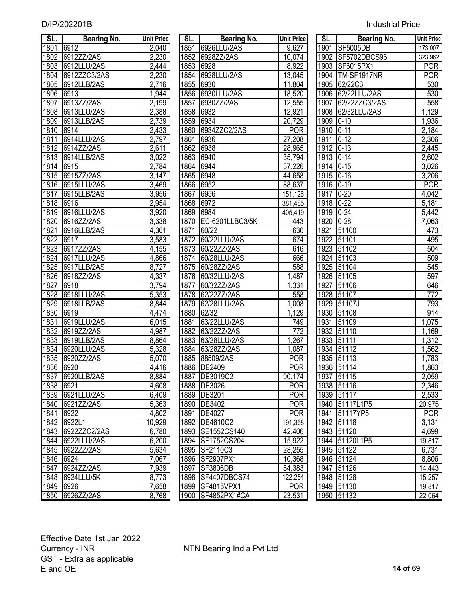| D/IP/202201B | <b>Industrial Price</b> |
|--------------|-------------------------|
|              |                         |

| SL.       | <b>Bearing No.</b> | <b>Unit Price</b> | SL.  | <b>Bearing No.</b>                     | <b>Unit Price</b> | SL.  | <b>Bearing No.</b>       | Unit Price       |
|-----------|--------------------|-------------------|------|----------------------------------------|-------------------|------|--------------------------|------------------|
| 1801      | 6912               | 2,040             | 1851 | 6926LLU/2AS                            | 9,627             | 1901 | <b>SF5005DB</b>          | 173,007          |
| 1802      | 6912ZZ/2AS         | 2,230             | 1852 | 6928ZZ/2AS                             | 10,074            | 1902 | SF5702DBCS96             | 323,962          |
| 1803      | 6912LLU/2AS        | 2,444             | 1853 | 6928                                   | 8,922             | 1903 | SF6015PX1                | <b>POR</b>       |
| 1804      | 6912ZZC3/2AS       | 2,230             | 1854 | 6928LLU/2AS                            | 13,045            | 1904 | TM-SF1917NR              | <b>POR</b>       |
| 1805      | 6912LLB/2AS        | 2,716             | 1855 | 6930                                   | 11,804            | 1905 | 62/22C3                  | 530              |
| 1806      | 6913               | 1,944             | 1856 | 6930LLU/2AS                            | 18,520            | 1906 | 62/22LLU/2AS             | 530              |
| 1807      | 6913ZZ/2AS         | 2,199             | 1857 | 6930ZZ/2AS                             | 12,555            | 1907 | 62/22ZZC3/2AS            | 558              |
| 1808      | 6913LLU/2AS        | 2,388             | 1858 | 6932                                   | 12,921            | 1908 | 62/32LLU/2AS             | 1,129            |
| 1809      | 6913LLB/2AS        | 2,739             | 1859 | 6934                                   | 20,729            | 1909 | $0 - 10$                 | 1,936            |
| 1810      | 6914               | 2,433             | 1860 | 6934ZZC2/2AS                           | <b>POR</b>        | 1910 | $0 - 11$                 | 2,184            |
| 1811      | 6914LLU/2AS        | 2,797             | 1861 | 6936                                   | 27,208            | 1911 | $0 - 12$                 | 2,306            |
| 1812      | 6914ZZ/2AS         | 2,611             | 1862 | 6938                                   | 28,965            | 1912 | $0 - 13$                 | 2,445            |
| 1813      | 6914LLB/2AS        | 3,022             | 1863 | 6940                                   | 35,794            | 1913 | $0 - 14$                 | 2,602            |
| 1814      | 6915               | 2,784             | 1864 | 6944                                   | 37,226            | 1914 | $0 - 15$                 | 3,026            |
| 1815      | 6915ZZ/2AS         | 3,147             | 1865 | 6948                                   | 44,658            | 1915 | $ 0-16\rangle$           | 3,206            |
| 1816      | 6915LLU/2AS        | 3,469             | 1866 | 6952                                   | 88,637            |      | 1916 0-19                | <b>POR</b>       |
| 1817      | 6915LLB/2AS        | 3,956             | 1867 | 6956                                   | 151,126           | 1917 | $0 - 20$                 | 4,042            |
| 1818      | 6916               | 2,954             | 1868 | 6972                                   | 381,485           | 1918 | $0 - 22$                 | 5,181            |
| 1819      | 6916LLU/2AS        | 3,920             | 1869 | 6984                                   | 405,419           | 1919 | $0 - 24$                 | 5,442            |
| 1820      | 6916ZZ/2AS         | 3,338             | 1870 | EC-6201LLBC3/5K                        | 443               | 1920 | $0 - 28$                 | 7,063            |
| 1821      | 6916LLB/2AS        | 4,361             | 1871 | 60/22                                  | 630               | 1921 | 51100                    | 473              |
| 1822      | 6917               | 3,583             | 1872 | 60/22LLU/2AS                           | 674               | 1922 | 51101                    | 495              |
| 1823      | 6917ZZ/2AS         | 4,155             | 1873 | 60/22ZZ/2AS                            | 616               | 1923 | 51102                    | 504              |
| 1824      | 6917LLU/2AS        | 4,866             | 1874 | 60/28LLU/2AS                           | 666               | 1924 | 51103                    | 509              |
| 1825      | 6917LLB/2AS        | 8,727             | 1875 | 60/28ZZ/2AS                            | 588               |      | 1925 51104               | 545              |
| 1826      | 6918ZZ/2AS         | 4,337             | 1876 | 60/32LLU/2AS                           | 1,487             |      | 1926 51105               | 597              |
| 1827      | 6918               | 3,794             | 1877 | 60/32ZZ/2AS                            | 1,331             | 1927 | 51106                    | 646              |
| 1828      | 6918LLU/2AS        | 5,353             | 1878 | 62/22ZZ/2AS                            | 558               | 1928 | 51107                    | 772              |
| 1829      | 6918LLB/2AS        | 8,844             | 1879 | 62/28LLU/2AS                           | 1,008             | 1929 | 51107J                   | 793              |
| 1830      | 6919               | 4,474             | 1880 | 62/32                                  | 1,129             | 1930 | 51108                    | 914              |
| 1831      | 6919LLU/2AS        | 6,015             | 1881 | 63/22LLU/2AS                           | 749               | 1931 | 51109                    | 1,075            |
| 1832      | 6919ZZ/2AS         | 4,987             | 1882 | 63/22ZZ/2AS                            | 772               | 1932 | 51110                    | 1,169            |
| 1833      | 6919LLB/2AS        | 8,864             | 1883 | 63/28LLU/2AS                           | 1,267             | 1933 | 51111                    | 1,312            |
| 1834      | 6920LLU/2AS        | 5,328             | 1884 | 63/28ZZ/2AS                            | 1,087             |      | 1934 51112               | 1,562            |
| 1835      | 6920ZZ/2AS         | 5,070             | 1885 | 88509/2AS                              | <b>POR</b>        |      | 1935 51113               | 1,783            |
|           | 1836 6920          | 4,416             |      | 1886 DE2409                            | <b>POR</b>        |      | 1936 51114               | 1,863            |
| 1837      | 6920LLB/2AS        | 8,884             |      | 1887   DE3019C2                        | 90,174            |      | 1937 51115               | 2,059            |
| 1838 6921 |                    | 4,608             |      | 1888 DE3026                            | POR               |      | 1938 51116               | 2,346            |
|           | 1839 6921LLU/2AS   | 6,409             |      | 1889 DE3201                            | POR               |      | 1939 51117               | 2,533            |
|           | 1840 6921ZZ/2AS    | 5,363             |      | 1890 DE3402                            | POR               |      | 1940 51117L1P5           | 20,975           |
| 1841 6922 |                    | 4,802             |      | 1891 DE4027                            | POR               |      | 1941 51117YP5            | <b>POR</b>       |
|           | 1842 6922L1        | 10,929            |      | 1892 DE4610C2                          | 191,368           |      | 1942 51118               | 3,131            |
|           | 1843 6922ZZC2/2AS  | 6,780             |      | 1893 SE1552CS140                       | 42,406            |      | 1943 51120               | 4,699            |
|           | 1844 6922LLU/2AS   | 6,200             |      | 1894 SF1752CS204                       | 15,922            |      | 1944 51120L1P5           | 19,817           |
|           | 1845 6922ZZ/2AS    | 5,634             |      | 1895 SF2110C3                          | 28,255            |      | 1945 51122               | 6,731            |
| 1846 6924 | 1847 6924ZZ/2AS    | 7,067             |      | 1896 SF2907PX1                         | 10,368            |      | 1946 51124               | 8,806            |
|           | 1848 6924LLU/5K    | 7,939             |      | 1897 SF3806DB                          | 84,383<br>122,254 |      | 1947 51126               | 14,443<br>15,257 |
| 1849 6926 |                    | 8,773<br>7,658    |      | 1898   SF4407DBCS74<br>1899 SF4815VPX1 | POR               |      | 1948 51128<br>1949 51130 | 19,817           |
|           | 1850 6926ZZ/2AS    | 8.768             |      | 1900 ISF4852PX1#CA                     | 23.531            |      | 1950 51132               | 22 064           |
|           |                    |                   |      |                                        |                   |      |                          |                  |

| SL.       | <b>Bearing No.</b> | <b>Unit Price</b> | SL.       | <b>Bearing No.</b> | <b>Unit Price</b> | SL.                    | <b>Bearing No.</b> | <b>Unit Pric</b> |
|-----------|--------------------|-------------------|-----------|--------------------|-------------------|------------------------|--------------------|------------------|
| 1801      | 6912               | 2,040             |           | 1851 6926LLU/2AS   | 9,627             |                        | 1901 SF5005DB      | 173,007          |
| 1802      | 6912ZZ/2AS         | 2,230             |           | 1852 6928ZZ/2AS    | 10,074            |                        | 1902 SF5702DBCS96  | 323,962          |
| 1803      | 6912LLU/2AS        | 2,444             | 1853      | 16928              | 8,922             | 1903                   | <b>SF6015PX1</b>   | POR              |
| 1804      | 6912ZZC3/2AS       | 2,230             | 1854      | 6928LLU/2AS        | 13,045            | 1904                   | TM-SF1917NR        | POR              |
| 1805      | 6912LLB/2AS        | 2,716             | 1855      | 6930               | 11,804            | 1905                   | 62/22C3            | 530              |
| 1806      | 6913               | 1,944             |           | 1856 6930LLU/2AS   | 18,520            |                        | 1906 62/22LLU/2AS  | 530              |
| 1807      | 6913ZZ/2AS         | 2,199             | 1857      | 6930ZZ/2AS         | 12,555            | 1907                   | 62/22ZZC3/2AS      | 558              |
| 1808      | 6913LLU/2AS        | 2,388             | 1858      | 6932               | 12,921            | 1908                   | 62/32LLU/2AS       | 1,129            |
| 1809      | 6913LLB/2AS        | 2,739             | 1859      | 6934               | 20,729            | 1909                   | $0 - 10$           | 1,936            |
| 1810      | 6914               | 2,433             | 1860      | 6934ZZC2/2AS       | <b>POR</b>        | 1910                   | $0 - 11$           | 2,184            |
| 1811      | 6914LLU/2AS        | 2,797             | 1861      | 6936               | 27,208            | 1911                   | $ 0-12 $           | 2,306            |
| 1812      | 6914ZZ/2AS         | 2,611             | 1862      | 6938               | 28,965            | $19\overline{12}$ 0-13 |                    | 2,445            |
| 1813      | 6914LLB/2AS        | 3,022             | 1863      | 6940               | 35,794            | $19\overline{13}$ 0-14 |                    | 2,602            |
| 1814 6915 |                    | 2,784             | 1864 6944 |                    | 37,226            | 1914 0-15              |                    | 3,026            |
| 1815      | 6915ZZ/2AS         | 3,147             | 1865      | 6948               | 44,658            | 1915                   | $0 - 16$           | 3,206            |
| 1816      | 6915LLU/2AS        | 3,469             | 1866      | 6952               | 88,637            | 1916                   | $0 - 19$           | <b>POR</b>       |
| 1817      | 6915LLB/2AS        | 3,956             | 1867      | 6956               | 151,126           | 1917                   | $0-20$             | 4,042            |
| 1818      | 6916               | 2,954             | 1868      | 6972               | 381,485           | 1918                   | $0-22$             | 5,181            |
| 1819      | 6916LLU/2AS        | 3,920             | 1869 6984 |                    | 405,419           | 1919 0-24              |                    | 5,442            |
| 1820      | 6916ZZ/2AS         | 3,338             | 1870      | EC-6201LLBC3/5K    | 443               | 1920                   | $0 - 28$           | 7,063            |
| 1821      | 6916LLB/2AS        | 4,361             | 1871      | 60/22              | 630               | 1921                   | 51100              | 473              |
| 1822      | 6917               | 3,583             | 1872      | 60/22LLU/2AS       | 674               | 1922                   | 51101              | 495              |
| 1823      | 6917ZZ/2AS         | 4,155             | 1873      | 60/22ZZ/2AS        | 616               | 1923                   | 51102              | 504              |
| 1824      | 6917LLU/2AS        | 4,866             | 1874      | 60/28LLU/2AS       | 666               | 1924                   | 51103              | 509              |
| 1825      | 6917LLB/2AS        | 8,727             | 1875      | 60/28ZZ/2AS        | 588               | 1925                   | 51104              | 545              |
| 1826      | 6918ZZ/2AS         | 4,337             | 1876      | 60/32LLU/2AS       | ,487              | 1926                   | 51105              | 597              |
| 1827      | 6918               | 3,794             | 1877      | 60/32ZZ/2AS        | ,331              | 1927                   | 51106              | 646              |
| 1828      | 6918LLU/2AS        | 5,353             | 1878      | 62/22ZZ/2AS        | 558               | 1928                   | 51107              | $\overline{772}$ |
| 1829      | 6918LLB/2AS        | 8,844             | 1879      | 62/28LLU/2AS       | 1,008             | 1929                   | 51107J             | 793              |
| 1830      | 6919               | 4,474             | 1880      | 62/32              | 1,129             | 1930                   | 51108              | 914              |
| 1831      | 6919LLU/2AS        | 6,015             | 1881      | 63/22LLU/2AS       | 749               | 1931                   | 51109              | 1,075            |
| 1832      | 6919ZZ/2AS         | 4,987             | 1882      | 63/22ZZ/2AS        | $\overline{772}$  | 1932                   | 51110              | 1,169            |
| 1833      | 6919LLB/2AS        | 8,864             | 1883      | 63/28LLU/2AS       | 1,267             | 1933                   | 51111              | 1,312            |
| 1834      | 6920LLU/2AS        | 5,328             | 1884      | 63/28ZZ/2AS        | 1,087             | 1934                   | 51112              | 1,562            |
| 1835      | 6920ZZ/2AS         | 5,070             | 1885      | 88509/2AS          | <b>POR</b>        | 1935                   | 51113              | 1,783            |
| 1836      | 6920               | 4,416             |           | 1886 DE2409        | <b>POR</b>        |                        | 1936 51114         | 1,863            |
|           | 1837 6920LLB/2AS   | 8,884             |           | 1887   DE3019C2    | 90,174            |                        | 1937 51115         | 2,059            |
| 1838 6921 |                    | 4,608             |           | 1888 DE3026        | POR               |                        | 1938 51116         | 2,346            |
|           | 1839 6921LLU/2AS   | 6,409             |           | 1889 DE3201        | <b>POR</b>        |                        | 1939 51117         | 2,533            |
|           | 1840 6921ZZ/2AS    | 5,363             |           | 1890 DE3402        | <b>POR</b>        |                        | 1940 51117L1P5     | 20,975           |
| 1841 6922 |                    | 4,802             |           | 1891 DE4027        | <b>POR</b>        |                        | 1941 51117YP5      | <b>POR</b>       |
|           | 1842 6922L1        | 10,929            |           | 1892 DE4610C2      | 191,368           |                        | 1942 51118         | 3,131            |
|           | 1843 6922ZZC2/2AS  | 6,780             |           | 1893 SE1552CS140   | 42,406            |                        | 1943 51120         | 4,699            |
|           | 1844 6922LLU/2AS   | 6,200             |           | 1894 SF1752CS204   | 15,922            |                        | 1944 51120L1P5     | 19,817           |
|           | 1845 6922ZZ/2AS    | 5,634             |           | 1895 SF2110C3      | 28,255            |                        | 1945 51122         | 6,731            |
| 1846 6924 |                    | 7,067             |           | 1896 SF2907PX1     | 10,368            |                        | 1946 51124         | 8,806            |
|           | 1847 6924ZZ/2AS    | 7,939             |           | 1897 SF3806DB      | 84,383            |                        | 1947 51126         | 14,443           |
|           | 1848 6924LLU/5K    | 8,773             |           | 1898 SF4407DBCS74  | 122,254           |                        | 1948 51128         | 15,257           |
| 1849 6926 |                    | 7,658             |           | 1899 SF4815VPX1    | <b>POR</b>        |                        | 1949 51130         | 19,817           |
|           | 1850 6926ZZ/2AS    | 8,768             |           | 1900 SF4852PX1#CA  | 23,531            |                        | 1950 51132         | 22,064           |

| SL.              | <b>Bearing No.</b>         | Unit Price         | SL.          | <b>Bearing No.</b>          | <b>Unit Price</b> | SL.           | Bearing No.         | <b>Unit Price</b> |
|------------------|----------------------------|--------------------|--------------|-----------------------------|-------------------|---------------|---------------------|-------------------|
| 801              | 6912                       | 2,040              | 1851         | 6926LLU/2AS                 | 9,627             |               | 1901 SF5005DB       | 173,007           |
| 802              | 6912ZZ/2AS                 | 2,230              |              | 1852 6928ZZ/2AS             | 10,074            |               | 1902 SF5702DBCS96   | 323,962           |
| 803              | 6912LLU/2AS                | 2,444              | 1853 6928    |                             | 8,922             |               | 1903 SF6015PX1      | <b>POR</b>        |
| 804              | 6912ZZC3/2AS               | 2,230              | 1854         | 6928LLU/2AS                 | 13,045            |               | 1904   TM-SF1917NR  | <b>POR</b>        |
| 805              | 6912LLB/2AS                | 2,716              | 1855         | 6930                        | 11,804            |               | 1905 62/22C3        | 530               |
| 806              | 6913                       | 1,944              |              | 1856 6930LLU/2AS            | 18,520            |               | 1906 62/22LLU/2AS   | 530               |
| 807              | 6913ZZ/2AS                 | 2,199              | 1857         | 6930ZZ/2AS                  | 12,555            | 1907          | 62/22ZZC3/2AS       | 558               |
| 808              | 6913LLU/2AS                | 2,388              | 1858         | 6932                        | 12,921            | 1908          | 62/32LLU/2AS        | 1,129             |
| 809              | 6913LLB/2AS                | $\overline{2,739}$ | 1859         | 6934                        | 20,729            | 1909 0-10     |                     | 1,936             |
| 810              | 6914                       | 2,433              | 1860         | 6934ZZC2/2AS                | <b>POR</b>        | 1910 0-11     |                     | 2,184             |
| 811              | 6914LLU/2AS                | 2,797              | 1861         | 6936                        | 27,208            | 1911          | $0 - 12$            | 2,306             |
| 812              | 6914ZZ/2AS                 | 2,611              | 1862 6938    |                             | 28,965            | 1912 0-13     |                     | 2,445             |
| 813              | 6914LLB/2AS                | 3,022              | 1863         | 6940                        | 35,794            | 1913 0-14     |                     | 2,602             |
| $\overline{814}$ | 6915                       | 2,784              | 1864 6944    |                             | 37,226            | $1914$ $0-15$ |                     | 3,026             |
| 815              | 6915ZZ/2AS                 | $\overline{3,147}$ | 1865 6948    |                             | 44,658            | 1915 0-16     |                     | 3,206             |
| 816              | 6915LLU/2AS                | 3,469              | 1866         | 6952                        | 88,637            | 1916 0-19     |                     | <b>POR</b>        |
| $\overline{817}$ | 6915LLB/2AS                | 3,956              | 1867         | 6956                        | 151,126           | 1917 0-20     |                     | 4,042             |
| $\overline{818}$ | 6916                       | 2,954              | 1868         | 6972                        | 381,485           | 1918 0-22     |                     | 5,181             |
| 819              | 6916LLU/2AS                | 3,920              | 1869         | 6984                        | 405,419           | 1919          | $0 - 24$            | 5,442             |
| 820              | 6916ZZ/2AS                 | 3,338              | 1870         | EC-6201LLBC3/5K             | 443               | 1920          | $0 - 28$            | 7,063             |
| 821              | 6916LLB/2AS                | 4,361              | 1871         | 60/22                       | 630               | 1921          | 51100               | 473               |
| 822              | 6917                       | 3,583              | 1872         | 60/22LLU/2AS                | 674               | 1922          | 51101               | 495               |
| 823              | 6917ZZ/2AS                 | 4,155              | 1873         | 60/22ZZ/2AS                 | 616               |               | 1923 51102          | 504               |
| 824              | 6917LLU/2AS<br>6917LLB/2AS | 4,866<br>8,727     | 1874<br>1875 | 60/28LLU/2AS<br>60/28ZZ/2AS | 666<br>588        | 1925          | 1924 51103<br>51104 | 509<br>545        |
| 825              | 6918ZZ/2AS                 | 4,337              | 1876         | 60/32LLU/2AS                | 1,487             |               | 1926 51105          | 597               |
| 826<br>827       | 6918                       | 3,794              | 1877         | 60/32ZZ/2AS                 | 1,331             | 1927          | 51106               | 646               |
| 828              | 6918LLU/2AS                | 5,353              | 1878         | 62/22ZZ/2AS                 | 558               |               | 1928 51107          | $\overline{772}$  |
| 829              | 6918LLB/2AS                | 8,844              | 1879         | 62/28LLU/2AS                | 1,008             | 1929          | 51107J              | 793               |
| 830              | 6919                       | 4,474              | 1880         | 62/32                       | 1,129             | 1930          | 51108               | 914               |
| 831              | 6919LLU/2AS                | 6,015              | 1881         | 63/22LLU/2AS                | 749               | 1931          | 51109               | 1,075             |
| 832              | 6919ZZ/2AS                 | 4,987              |              | 1882 63/22ZZ/2AS            | $\overline{772}$  |               | 1932 51110          | 1,169             |
| 833              | 6919LLB/2AS                | 8,864              | 1883         | 63/28LLU/2AS                | 1,267             |               | 1933 51111          | 1,312             |
| 834              | 6920LLU/2AS                | 5,328              | 1884         | 63/28ZZ/2AS                 | 1,087             |               | 1934 51112          | 1,562             |
| 835              | 6920ZZ/2AS                 | 5,070              |              | 1885 88509/2AS              | <b>POR</b>        |               | 1935 51113          | 1,783             |
|                  | 836 6920                   | 4,416              |              | 1886 DE2409                 | <b>POR</b>        |               | 1936 51114          | 1,863             |
|                  | 837 6920LLB/2AS            | 8,884              |              | 1887 DE3019C2               | 90,174            |               | 1937 51115          | 2,059             |
|                  | 838 6921                   | 4,608              |              | 1888 DE3026                 | <b>POR</b>        |               | 1938 51116          | 2,346             |
|                  | 839 6921LLU/2AS            | 6,409              |              | 1889 DE3201                 | <b>POR</b>        |               | 1939 51117          | 2,533             |
|                  | 840 6921ZZ/2AS             | 5,363              |              | 1890 DE3402                 | <b>POR</b>        |               | 1940 51117L1P5      | 20,975            |
| 841              | 6922                       | 4,802              |              | 1891 DE4027                 | <b>POR</b>        |               | 1941 51117YP5       | <b>POR</b>        |
|                  | 842 6922L1                 | 10,929             |              | 1892   DE4610C2             | 191,368           |               | 1942 51118          | 3,131             |
|                  | 843 6922ZZC2/2AS           | 6,780              |              | 1893 SE1552CS140            | 42,406            |               | 1943 51120          | 4,699             |
|                  | 844 6922LLU/2AS            | 6,200              |              | 1894 SF1752CS204            | 15,922            |               | 1944 51120L1P5      | 19,817            |
|                  | 845 6922ZZ/2AS             | 5,634              |              | 1895 SF2110C3               | 28,255            |               | 1945 51122          | 6,731             |
|                  | 846 6924                   | 7,067              |              | 1896 SF2907PX1              | 10,368            |               | 1946 51124          | 8,806             |
|                  | 847 6924ZZ/2AS             | 7,939              |              | 1897 SF3806DB               | 84,383            |               | 1947 51126          | 14,443            |
|                  | 848 6924LLU/5K             | 8,773              |              | 1898 SF4407DBCS74           | 122,254           |               | 1948 51128          | 15,257            |
|                  | 849 6926                   | 7,658              |              | 1899 SF4815VPX1             | POR               |               | 1949 51130          | 19,817            |
|                  | 850 6926ZZ/2AS             | 8,768              |              | 1900 SF4852PX1#CA           | 23,531            |               | 1950 51132          | 22,064            |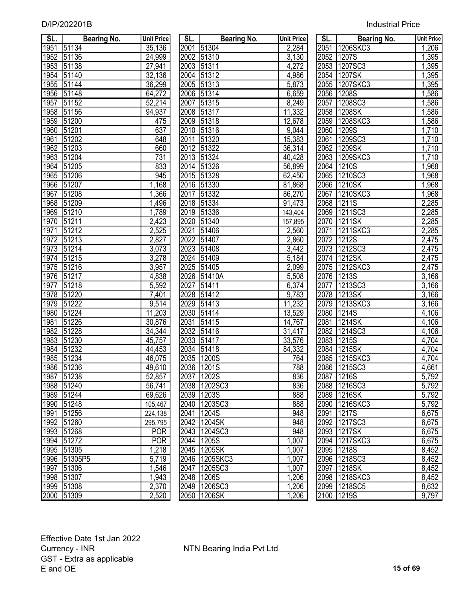| SL.  | <b>Bearing No.</b>       | <b>Unit Price</b>        | SL.  | <b>Bearing No.</b>         | <b>Unit Price</b> | SL.  | <b>Bearing No.</b>          | <b>Unit Price</b>  |
|------|--------------------------|--------------------------|------|----------------------------|-------------------|------|-----------------------------|--------------------|
| 1951 | 51134                    | 35,136                   | 2001 | 51304                      | 2,284             | 2051 | 1206SKC3                    | 1,206              |
| 1952 | 51136                    | 24,999                   | 2002 | 51310                      | 3,130             | 2052 | 1207S                       | 1,395              |
| 1953 | 51138                    | 27,941                   | 2003 | 51311                      | 4,272             | 2053 | 1207SC3                     | 1,395              |
| 1954 | 51140                    | 32,136                   | 2004 | 51312                      | 4,986             | 2054 | 1207SK                      | 1,395              |
| 1955 | 51144                    | 36,299                   | 2005 | 51313                      | 5,873             | 2055 | 1207SKC3                    | 1,395              |
| 1956 | 51148                    | 64,272                   | 2006 | 51314                      | 6,659             | 2056 | 1208S                       | 1,586              |
| 1957 | 51152                    | 52,214                   | 2007 | 51315                      | 8,249             | 2057 | 1208SC3                     | 1,586              |
| 1958 | 51156                    | 94,937                   | 2008 | 51317                      | 11,332            | 2058 | 1208SK                      | 1,586              |
| 1959 | 51200                    | 475                      | 2009 | 51318                      | 12,678            | 2059 | 1208SKC3                    | 1,586              |
| 1960 | 51201                    | 637                      | 2010 | 51316                      | 9,044             | 2060 | 1209S                       | 1,710              |
| 1961 | 51202                    | 648                      | 2011 | 51320                      | 15,383            | 2061 | 1209SC3                     | 1,710              |
| 1962 | 51203                    | 660                      | 2012 | 51322                      | 36,314            | 2062 | 1209SK                      | 1,710              |
| 1963 | 51204                    | 731                      | 2013 | 51324                      | 40,428            | 2063 | 1209SKC3                    | 1,710              |
| 1964 | 51205                    | 833                      |      | 2014 51326                 | 56,899            | 2064 | 1210S                       | 1,968              |
| 1965 | 51206                    | 945                      | 2015 | 51328                      | 62,450            | 2065 | 1210SC3                     | 1,968              |
| 1966 | 51207                    | 1,168                    | 2016 | 51330                      | 81,868            | 2066 | 1210SK                      | 1,968              |
| 1967 | 51208                    | 1,366                    | 2017 | 51332                      | 86,270            | 2067 | 1210SKC3                    | 1,968              |
| 1968 | 51209                    | 1,496                    | 2018 | 51334                      | 91,473            | 2068 | 1211S                       | 2,285              |
| 1969 | 51210                    | 1,789                    | 2019 | 51336                      | 143,404           | 2069 | 1211SC3                     | 2,285              |
| 1970 | 51211                    | 2,423                    | 2020 | 51340                      | 157,895           | 2070 | 1211SK                      | 2,285              |
| 1971 | 51212                    | 2,525                    | 2021 | 51406                      | 2,560             | 2071 | 1211SKC3                    | 2,285              |
| 1972 | 51213                    | 2,827                    | 2022 | 51407                      | 2,860             | 2072 | 1212S                       | 2,475              |
| 1973 | 51214                    | 3,073                    | 2023 | 51408                      | 3,442             | 2073 | 1212SC3                     | 2,475              |
| 1974 | 51215                    | 3,278                    | 2024 | 51409                      | 5,184             | 2074 | 1212SK                      | 2,475              |
| 1975 | 51216                    | 3,957                    | 2025 | 51405                      | 2,099             | 2075 | 1212SKC3                    | 2,475              |
| 1976 | 51217                    | 4,838                    |      | 2026 51410A                | 5,508             | 2076 | 1213S                       | 3,166              |
| 1977 | 51218                    | 5,592                    | 2027 | 51411                      | 6,374             | 2077 | 1213SC3                     | 3,166              |
| 1978 | 51220                    | 7,401                    | 2028 | 51412                      | 9,783             | 2078 | 1213SK                      | 3,166              |
| 1979 | 51222                    | 9,514                    | 2029 | 51413                      | 11,232            | 2079 | 1213SKC3                    | 3,166              |
| 1980 | 51224                    | 11,203                   | 2030 | 51414                      | 13,529            | 2080 | 1214S                       | $\overline{4,}106$ |
| 1981 | 51226                    | 30,876                   | 2031 | 51415                      | 14,767            | 2081 | 1214SK                      | 4,106              |
| 1982 | 51228                    | 34,344                   | 2032 | 51416                      | 31,417            | 2082 | 1214SC3                     | 4,106              |
| 1983 | 51230                    | 45,757                   | 2033 | 51417                      | 33,576            | 2083 | 1215S                       | 4,704              |
| 1984 | 51232                    | 44,453                   | 2034 | 51418                      | 84,332            | 2084 | 1215SK                      | 4,704              |
| 1985 | 51234                    | 46,075                   |      | 2035 1200S                 | 764               |      | 2085 1215SKC3               | 4,704              |
|      | 1986 51236               | 49,610<br>52,857         |      | 2036 1201S                 | 788               |      | 2086 1215SC3                | 4,661              |
|      | 1987 51238               |                          |      | 2037 1202S                 | 836               |      | 2087 1216S                  | 5,792<br>5,792     |
|      | 1988 51240               | 56,741                   |      | 2038 1202SC3               | 836               |      | 2088 1216SC3<br>2089 1216SK |                    |
|      | 1989 51244               | 69,626                   |      | 2039 1203S                 | 888               |      |                             | 5,792              |
|      | 1990 51248               | 105,467                  |      | 2040 1203SC3<br>2041 1204S | 888               |      | 2090 1216SKC3<br>2091 1217S | 5,792<br>6,675     |
|      | 1991 51256<br>1992 51260 | 224,138                  |      |                            | 948<br>948        |      | 2092 1217SC3                |                    |
|      | 1993 51268               | 295,795                  |      | 2042 1204SK                | 948               |      | 2093 1217SK                 | 6,675              |
|      | 1994 51272               | <b>POR</b><br><b>POR</b> |      | 2043 1204SC3<br>2044 1205S | 1,007             |      | 2094 1217SKC3               | 6,675<br>6,675     |
|      | 1995 51305               |                          |      | 2045 1205SK                |                   |      | 2095 1218S                  |                    |
|      | 1996 51305P5             | 1,218<br>5,719           |      | 2046 1205SKC3              | 1,007<br>1,007    |      | 2096 1218SC3                | 8,452<br>8,452     |
|      | 1997 51306               | 1,546                    |      | 2047 1205SC3               | 1,007             |      | 2097 1218SK                 | 8,452              |
|      | 1998 51307               | 1,943                    |      | 2048 1206S                 | 1,206             |      | 2098 1218SKC3               | 8,452              |
|      | 1999 51308               | 2,370                    |      | 2049 1206SC3               | 1,206             |      | 2099 1218SC5                | 8,632              |
|      | 2000 51309               | 2,520                    |      | 2050 1206SK                | 1,206             |      | 2100 1219S                  | 9,797              |
|      |                          |                          |      |                            |                   |      |                             |                    |

| SL.           | Bearing No. | <b>Unit Price</b>  |
|---------------|-------------|--------------------|
| 2001          | 51304       | 2,284              |
| 2002          | 51310       | 3,130              |
| 2003          | 51311       | 4,272              |
| 2004          | 51312       | 4,986              |
| 2005          | 51313       | 5,873              |
| 2006          | 51314       | 6,659              |
| $\sqrt{2007}$ | 51315       | 8,249              |
| 2008          | 51317       | 11,332             |
| 2009          | 51318       | 12,678             |
| 2010          | 51316       | $\overline{9,044}$ |
| 2011          | 51320       | 15,383             |
| 2012          | 51322       | 36,314             |
| 2013          | 51324       | 40,428             |
| 2014          | 51326       | 56,899             |
| 2015          | 51328       | 62,450             |
| 2016          | 51330       | 81,868             |
| 2017          | 51332       | 86,270             |
| 2018          | 51334       | 91,473             |
| 2019          | 51336       | 143,404            |
| 2020          | 51340       | 157,895            |
| <u>2021</u>   | 51406       | 2,560              |
| 2022          | 51407       | 2,860              |
| 2023          | 51408       | 3,442              |
| 2024          | 51409       | 5,184              |
| 2025          | 51405       | 2,099              |
| 2026          | 51410A      | 5,508              |
| <u>2027</u>   | 51411       | 6,374              |
| 2028          | 51412       | <u>9,783</u>       |
| 2029          | 51413       | 11,232             |
| 2030          | 51414       | 13,529             |
| 2031          | 51415       | 14,767             |
| 2032          | 51416       | 31,417             |
| 2033          | 51417       | 33,576             |
| 2034          | 51418       | 84,332             |
| 2035          | 1200S       | 764                |
| 2036          | 1201S       | 788                |
| 2037          | 1202S       | 836                |
| 2038          | 1202SC3     | 836                |
| 2039          | 1203S       | 888                |
| 2040          | 1203SC3     | 888                |
| 2041          | 1204S       | 948                |
| 2042          | 1204SK      | 948                |
| 2043          | 1204SC3     | 948                |
| 2044          | 1205S       |                    |
| 2045          | 1205SK      | 1,007              |
| 2046          |             | 1,007              |
|               | 1205SKC3    | 1,007              |
| 2047          | 1205SC3     | 1,007              |
| 2048          | 1206S       | 1,206              |
| 2049          | 1206SC3     | 1,206              |
| 2050          | 1206SK      | 1,206              |

| SL.               | Bearing No.       | <b>Unit Price</b>  |
|-------------------|-------------------|--------------------|
| 2051              | 1206SKC3          | 1,206              |
| 2052              | 1207S             | $\overline{1,395}$ |
| 2053              | 1207SC3           | $\overline{1,395}$ |
| 2054              | 1207SK            | 1,395              |
| 2055              | 1207SKC3          | 1,395              |
| 2056              | 1208S             | 1,586              |
| 2057              | 1208SC3           | 1,586              |
| 2058              | 1208SK            | 1,586              |
| 2059              | 1208SKC3          | 1,586              |
| 2060              | 1209S             | 1,710              |
| 2061              | 1209SC3           | 1,710              |
| 2062              | 1209SK            | 1,710              |
|                   | 2063 1209SKC3     | 1,710              |
|                   | 2064 1210S        | 1,968              |
|                   | 2065 1210SC3      | 1,968              |
|                   | 2066 1210SK       | 1,968              |
|                   | 2067 1210SKC3     | 1,968              |
| 2068              | 1211S             | 2,285              |
| 2069              | 1211SC3           | 2,285              |
| 2070              | 1211SK            | 2,285              |
| 2071              | 1211SKC3          | 2,285              |
| $\frac{1}{2072}$  | 1212S             | 2,475              |
| 2073              | 1212SC3           | 2,475              |
| 2074              | 1212SK            | 2,475              |
| $\overline{2075}$ | 1212SKC3          | 2,475              |
| 2076              | 1213S             | 3,166              |
| 2077              | 1213SC3           | 3,166              |
| $\frac{2078}{5}$  | 1213SK            | 3,166              |
| 2079              | 1213SKC3          | 3,166              |
| 2080              | 1214S             | 4,106              |
| $\overline{2081}$ | 1214SK            | 4,106              |
| 2082              | 1214SC3           | 4,106              |
| 2083              | 1215S             | 4,704              |
| 2084              | 1215SK            | 4,704              |
| 2085              | 1215SKC3          | 4,704              |
| 2086              | 1215SC3           | 4,661              |
| 2087              | 1216S             | 5,792              |
| 2088              | 1216SC3           | <u>5,792</u>       |
| 2089              | 1216SK            | <u>5,792</u>       |
| 2090              | 1216SKC3          | 5,792              |
| 2091              | 1217S             | 6,675              |
|                   |                   |                    |
| 2092<br>2093      | 1217SC3<br>1217SK | 6,675<br>6,675     |
| 2094              | 1217SKC3          |                    |
|                   |                   | 6,675<br>8,452     |
| 2095              | 1218S             |                    |
| 2096              | 1218SC3           | <u>8,452</u>       |
| 2097              | 1218SK            | 8,452              |
| 2098              | 1218SKC3          | 8,452              |
| 2099              | 1218SC5           | 8,632              |
| 2100              | 1219S             | 9,797              |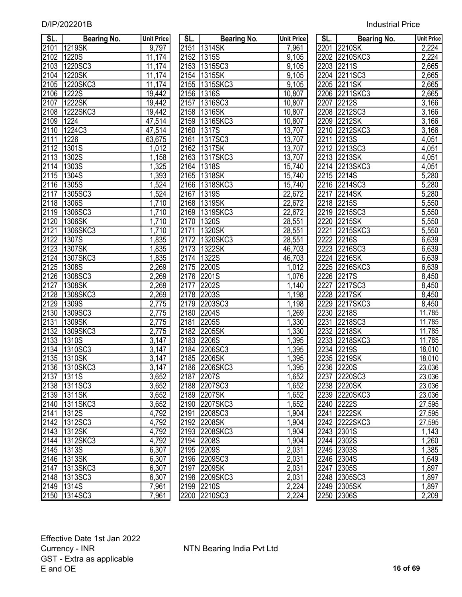| SL.  | <b>Bearing No.</b> | <b>Unit Price</b>  | SL.  | <b>Bearing No.</b> | <b>Unit Price</b>  | SL.  | <b>Bearing No.</b> | <b>Unit Price</b>  |
|------|--------------------|--------------------|------|--------------------|--------------------|------|--------------------|--------------------|
| 2101 | 1219SK             | 9,797              |      | 2151 1314SK        | 7,961              | 2201 | 2210SK             | 2,224              |
| 2102 | 1220S              | 11,174             |      | 2152 1315S         | $\overline{9,105}$ |      | 2202 2210SKC3      | 2,224              |
| 2103 | 1220SC3            | 11,174             |      | 2153 1315SC3       | $\overline{9,105}$ | 2203 | 2211S              | 2,665              |
| 2104 | 1220SK             | 11,174             |      | 2154 1315SK        | 9,105              |      | 2204 2211SC3       | 2,665              |
| 2105 | 1220SKC3           | 11,174             | 2155 | 1315SKC3           | 9,105              | 2205 | 2211SK             | 2,665              |
| 2106 | 1222S              | 19,442             | 2156 | <b>1316S</b>       | 10,807             | 2206 | 2211SKC3           | 2,665              |
| 2107 | 1222SK             | 19,442             | 2157 | 1316SC3            | 10,807             | 2207 | 2212S              | 3,166              |
| 2108 | 1222SKC3           | 19,442             |      | 2158 1316SK        | 10,807             |      | 2208 2212SC3       | $\overline{3,}166$ |
| 2109 | 1224               | 47,514             |      | 2159 1316SKC3      | 10,807             | 2209 | 2212SK             | $\overline{3,}166$ |
| 2110 | 1224C3             | 47,514             | 2160 | 1317S              | 13,707             |      | 2210 2212SKC3      | $\overline{3,}166$ |
| 2111 | 1226               | 63,675             |      | 2161 1317SC3       | 13,707             | 2211 | 2213S              | 4,051              |
| 2112 | 1301S              | 1,012              |      | 2162 1317SK        | 13,707             |      | 2212 2213SC3       | 4,051              |
| 2113 | 1302S              | 1,158              | 2163 | 1317SKC3           | 13,707             |      | 2213 2213SK        | 4,051              |
| 2114 | 1303S              | ,325               | 2164 | 1318S              | 15,740             |      | 2214 2213SKC3      | 4,051              |
| 2115 | 1304S              | 1,393              |      | 2165 1318SK        | 15,740             |      | 2215 2214S         | 5,280              |
| 2116 | 1305S              | 1,524              |      | 2166 1318SKC3      | 15,740             |      | 2216 2214SC3       | 5,280              |
| 2117 | 1305SC3            | 1,524              | 2167 | 1319S              | 22,672             |      | 2217 2214SK        | 5,280              |
| 2118 | 1306S              | 1,710              |      | 2168 1319SK        | 22,672             |      | 2218 2215S         | 5,550              |
| 2119 | 1306SC3            | 1,710              | 2169 | 1319SKC3           | 22,672             |      | 2219 2215SC3       | 5,550              |
| 2120 | 1306SK             | 1,710              |      | 2170 1320S         | 28,551             |      | 2220 2215SK        | 5,550              |
| 2121 | 1306SKC3           | 1,710              | 2171 | 1320SK             | 28,551             | 2221 | 2215SKC3           | 5,550              |
| 2122 | 1307S              | 1,835              | 2172 | 1320SKC3           | 28,551             | 2222 | 2216S              | 6,639              |
| 2123 | 1307SK             | 1,835              | 2173 | 1322SK             | 46,703             | 2223 | 2216SC3            | 6,639              |
| 2124 | 1307SKC3           | 1,835              | 2174 | 1322S              | 46,703             | 2224 | 2216SK             | 6,639              |
| 2125 | 1308S              | 2,269              | 2175 | 2200S              | 1,012              | 2225 | 2216SKC3           | 6,639              |
| 2126 | 1308SC3            | 2,269              | 2176 | 2201S              | 1,076              | 2226 | 2217S              | 8,450              |
| 2127 | 1308SK             | 2,269              | 2177 | 2202S              | 1,140              | 2227 | 2217SC3            | 8,450              |
| 2128 | 1308SKC3           | 2,269              | 2178 | 2203S              | 1,198              | 2228 | 2217SK             | 8,450              |
| 2129 | 1309S              | 2,775              | 2179 | 2203SC3            | 1,198              | 2229 | 2217SKC3           | 8,450              |
| 2130 | 1309SC3            | 2,775              | 2180 | 2204S              | 1,269              | 2230 | 2218S              | 11,785             |
| 2131 | 1309SK             | 2,775              | 2181 | 2205S              | 1,330              | 2231 | 2218SC3            | 11,785             |
| 2132 | 1309SKC3           | 2,775              | 2182 | 2205SK             | 1,330              | 2232 | 2218SK             | 11,785             |
| 2133 | 1310S              | 3,147              | 2183 | 2206S              | 1,395              | 2233 | 2218SKC3           | 11,785             |
| 2134 | 1310SC3            | 3,147              |      | 2184 2206SC3       | 1,395              | 2234 | <b>2219S</b>       | 18,010             |
| 2135 | 1310SK             | $\overline{3,}147$ |      | 2185 2206SK        | 1,395              |      | 2235 2219SK        | 18,010             |
|      | 2136 1310SKC3      | 3,147              |      | 2186 2206SKC3      | 1,395              |      | 2236 2220S         | 23,036             |
|      | 2137 1311S         | 3,652              |      | 2187 2207S         | 1,652              |      | 2237 2220SC3       | 23,036             |
|      | 2138 1311SC3       | 3,652              |      | 2188 2207SC3       | 1,652              |      | 2238 2220SK        | 23,036             |
|      | 2139 1311SK        | 3,652              |      | 2189 2207SK        | 1,652              |      | 2239 2220SKC3      | 23,036             |
| 2140 | 1311SKC3           | 3,652              |      | 2190 2207SKC3      | 1,652              |      | 2240 2222S         | 27,595             |
| 2141 | <b>1312S</b>       | 4,792              |      | 2191 2208SC3       | 1,904              |      | 2241 2222SK        | 27,595             |
|      | 2142 1312SC3       | 4,792              |      | 2192 2208SK        | 1,904              |      | 2242 2222SKC3      | 27,595             |
|      | 2143 1312SK        | 4,792              |      | 2193 2208SKC3      | 1,904              |      | 2243 2301S         | 1,143              |
|      | 2144 1312SKC3      | 4,792              |      | 2194 2208S         | 1,904              |      | 2244 2302S         | 1,260              |
|      | 2145 1313S         | 6,307              |      | 2195 2209S         | 2,031              |      | 2245 2303S         | 1,385              |
|      | 2146 1313SK        | 6,307              |      | 2196 2209SC3       | 2,031              |      | 2246 2304S         | 1,649              |
| 2147 | 1313SKC3           | 6,307              |      | 2197 2209SK        | 2,031              |      | 2247 2305S         | 1,897              |
|      | 2148 1313SC3       | 6,307              |      | 2198 2209SKC3      | 2,031              |      | 2248 2305SC3       | 1,897              |
|      | 2149 1314S         | 7,961              |      | 2199 2210S         | 2,224              |      | 2249 2305SK        | 1,897              |
|      | 2150 1314SC3       | 7,961              |      | 2200 2210SC3       | 2,224              |      | 2250 2306S         | 2,209              |

| SL.               | <b>Bearing No.</b> | <b>Unit Price</b> | SL.  | <b>Bearing No.</b> | <b>Unit Price</b>   | <b>SL.</b> | <b>Bearing No.</b>    | <b>Unit Pric</b>   |
|-------------------|--------------------|-------------------|------|--------------------|---------------------|------------|-----------------------|--------------------|
| 2101              | 1219SK             | 9,797             |      | 2151 1314SK        | 7,961               |            | 2201 2210SK           | 2,224              |
| 2102              | 1220S              | 11,174            |      | 2152 1315S         | 9,105               |            | 2202 2210SKC3         | 2,224              |
| 2103              | 1220SC3            | 11,174            | 2153 | 1315SC3            | 9,105               | 2203       | 2211S                 | 2,665              |
| 2104              | 1220SK             | 11,174            |      | 2154 1315SK        | 9,105               | 2204       | 2211SC3               | 2,665              |
| 2105              | 1220SKC3           | 11,174            |      | 2155 1315SKC3      | 9,105               | 2205       | 2211SK                | 2,665              |
| 2106              | <b>1222S</b>       | 19,442            |      | 2156 1316S         | 10,807              | 2206       | 2211SKC3              | 2,665              |
| 2107              | 1222SK             | 19,442            | 2157 | 1316SC3            | 10,807              | 2207       | 2212S                 | 3,166              |
| 2108              | 1222SKC3           | 19,442            |      | 2158 1316SK        | 10,807              |            | 2208 2212SC3          | 3,166              |
| 2109              | 1224               | 47,514            |      | 2159 1316SKC3      | 10,807              |            | 2209 2212SK           | 3,166              |
| 2110              | 1224C3             | 47,514            |      | 2160 1317S         | 13,707              | 2210       | 2212SKC3              | 3,166              |
| 2111              | 1226               | 63,675            |      | 2161 1317SC3       | 13,707              |            | 2211 2213S            | 4,051              |
| 2112              | 1301S              | 1,012             |      | 2162 1317SK        | 13,707              |            | 2212 2213SC3          | 4,051              |
| 2113              | 1302S              | 1,158             |      | 2163 1317SKC3      | 13,707              |            | 2213 2213SK           | 4,051              |
| 2114              | 1303S              | 1,325             |      | 2164 1318S         | 15,740              |            | 2214 2213SKC3         | 4,051              |
| 2115              | 1304S              | 1,393             |      | 2165 1318SK        | 15,740              |            | 2215 2214S            | 5,280              |
| 2116              | 1305S              | 1,524             |      | 2166 1318SKC3      | 15,740              |            | 2216 2214SC3          | 5,280              |
| 2117              | 1305SC3            | 1,524             | 2167 | 1319S              | 22,672              | 2217       | $\overline{1221}$ 4SK | 5,280              |
|                   | 2118 1306S         | 1,710             |      | 2168 1319SK        | $\overline{22,672}$ |            | 2218 2215S            | 5,550              |
| 2119              | 1306SC3            | 1,710             |      | 2169 1319SKC3      | $\overline{2}2,672$ |            | 2219 2215SC3          | 5,550              |
| 2120              | 1306SK             | 1,710             |      | 2170 1320S         | 28,551              |            | 2220 2215SK           | 5,550              |
| $\overline{212}1$ | 1306SKC3           | 1,710             | 2171 | 1320SK             | 28,551              | 2221       | 2215SKC3              | $\overline{5,550}$ |
| 2122              | 1307S              | 1,835             |      | 2172 1320SKC3      | 28,551              |            | 2222 2216S            | 6,639              |
| 2123              | 1307SK             | 1,835             |      | 2173 1322SK        | 46,703              |            | 2223 2216SC3          | 6,639              |
| $\sqrt{2124}$     | 1307SKC3           | 1,835             |      | 2174 1322S         | 46,703              |            | 2224 2216SK           | 6,639              |
| 2125              | 1308S              | 2,269             |      | 2175 2200S         | 1,012               |            | 2225 2216SKC3         | 6,639              |
| 2126              | 1308SC3            | 2,269             | 2176 | 2201S              | 1,076               |            | 2226 2217S            | 8,450              |
| 2127              | 1308SK             | 2,269             | 2177 | 2202S              | 1,140               | 2227       | 2217SC3               | 8,450              |
| 2128              | 1308SKC3           | 2,269             | 2178 | 2203S              | 1,198               | 2228       | 2217SK                | 8,450              |
| 2129              | 1309S              | 2,775             | 2179 | 2203SC3            | 1,198               | 2229       | 2217SKC3              | 8,450              |
| 2130              | 1309SC3            | 2,775             | 2180 | 2204S              | 1,269               | 2230       | 2218S                 | 11,785             |
| 2131              | 1309SK             | 2,775             | 2181 | 2205S              | 1,330               | 2231       | 2218SC3               | 11,785             |
| 2132              | 1309SKC3           | 2,775             | 2182 | 2205SK             | , 330               | 2232       | 2218SK                | 11,785             |
| 2133              | 1310S              | 3,147             |      | 2183 2206S         | ,395                |            | 2233 2218SKC3         | 11,785             |
| 2134              | 1310SC3            | 3,147             | 2184 | 2206SC3            | ,395                | 2234       | 2219S                 | 18,010             |
| 2135              | 1310SK             | 3,147             | 2185 | 2206SK             | ,395                | 2235       | 2219SK                | 18,010             |
|                   | 2136 1310SKC3      | 3,147             |      | 2186 2206SKC3      | 1,395               |            | 2236 2220S            | 23,036             |
| 2137              | <b>1311S</b>       | 3,652             |      | 2187 2207S         | 1,652               |            | 2237 2220SC3          | 23,036             |
|                   | 2138 1311SC3       | 3,652             |      | 2188 2207SC3       | 1,652               |            | 2238 2220SK           | 23,036             |
|                   | 2139 1311SK        | 3,652             |      | 2189 2207SK        | 1,652               |            | 2239 2220SKC3         | 23,036             |
|                   | 2140 1311SKC3      | 3,652             |      | 2190 2207SKC3      | 1,652               |            | 2240 2222S            | 27,595             |
| 2141              | 1312S              | 4,792             |      | 2191 2208SC3       | 1,904               |            | 2241 2222SK           | 27,595             |
|                   | 2142 1312SC3       | 4,792             |      | 2192 2208SK        | 1,904               |            | 2242 2222SKC3         | 27,595             |
| 2143              | 1312SK             | 4,792             |      | 2193 2208SKC3      | 1,904               |            | 2243 2301S            | $\overline{1,}143$ |
|                   | 2144 1312SKC3      | 4,792             |      | 2194 2208S         | 1,904               |            | 2244 2302S            | 1,260              |
|                   | 2145 1313S         | 6,307             |      | 2195 2209S         | 2,031               |            | 2245 2303S            | 1,385              |
|                   | 2146 1313SK        | 6,307             |      | 2196 2209SC3       | 2,031               |            | 2246 2304S            | 1,649              |
| 2147              | 1313SKC3           | 6,307             |      | 2197 2209SK        | 2,031               |            | 2247 2305S            | 1,897              |
|                   | 2148 1313SC3       | 6,307             |      | 2198 2209SKC3      | 2,031               |            | 2248 2305SC3          | 1,897              |
|                   | 2149 1314S         | 7,961             |      | 2199 2210S         | 2,224               |            | 2249 2305SK           | 1,897              |
|                   | 2150 1314SC3       | 7,961             |      | 2200 2210SC3       | 2,224               |            | 2250 2306S            | 2,209              |

| SL.                          | <b>Bearing No.</b>          | <b>Unit Price</b> |
|------------------------------|-----------------------------|-------------------|
| 2201                         | 2210SK                      | 2,224             |
| 2202                         | 2210SKC3                    | 2,224             |
| 2203                         | 2211S                       | 2,665             |
| 2204                         | 2211SC3                     | 2,665             |
| 2205                         | 2211SK                      | 2,665             |
| 2206                         | 2211SKC3                    | 2,665             |
|                              | 2207 2212S                  | 3,166             |
|                              | 2208 2212SC3                | 3,166             |
|                              | 2209 2212SK                 | 3,166             |
|                              | 2210 2212SKC3               | 3,166             |
| 2211                         | <b>2213S</b>                | 4,051             |
|                              | 2212 2213SC3                | 4,051             |
|                              | 2213 2213SK                 | 4,051             |
|                              | 2214 2213SKC3               | 4,051             |
|                              | 2215 2214S                  | 5,280             |
|                              | 2216 2214SC3                | 5,280             |
| 2217                         | 2214SK                      | 5,280             |
| 2218                         | 2215S                       | 5,550             |
| 2219                         | 2215SC3                     | 5,550             |
| 2220                         | 2215SK                      | 5,550             |
| 2221                         | 2215SKC3                    | 5,550             |
| 2222                         | 2216S                       | 6,639             |
|                              | 2216SC3                     | 6,639             |
|                              | 2216SK                      | 6,639             |
| $\frac{2223}{22224}$         | 2216SKC3                    | 6,639             |
| 2228<br>2227<br>2228<br>2229 | 2217S                       | 8,450             |
|                              | 2217SC3                     | 8,450             |
|                              | 2217SK                      | 8,450             |
|                              | 2217SKC3                    | 8,450             |
| 2230<br>2231                 | 2218S                       | 11,785            |
|                              | 2218SC3                     | 11,785            |
| 2232                         | 2218SK                      | 11,785            |
|                              | 2218SKC3<br>2219S<br>2219SK | 11,785            |
| $\frac{2233}{2234}$          |                             | 18,010            |
| 2235                         |                             | 18,010            |
| 2236                         | 2220S                       | 23,036            |
| 2237                         | 2220SC3                     | 23,036            |
| 2238                         | 2220SK                      | 23,036            |
| 2239                         | 2220SKC3                    | 23,036            |
| 2240                         | 2222S                       | 27,595            |
| 2241                         | 2222SK                      | 27,595            |
| $\frac{224}{2}$              | 2222SKC3                    | <u>27,595</u>     |
| 2243                         | 2301S                       | 1,143             |
| 2244                         | 2302S                       | 1,260             |
| 2245                         | 2303S                       | 1,385             |
| $22\overline{46}$            | 2304S                       | 1,649             |
| 2247                         | 2305S                       | 1,897             |
| 2248                         | 2305SC3                     | 1,897             |
| 2249                         | 2305SK                      | 1,897             |
| 2250                         | 2306S                       | 2,209             |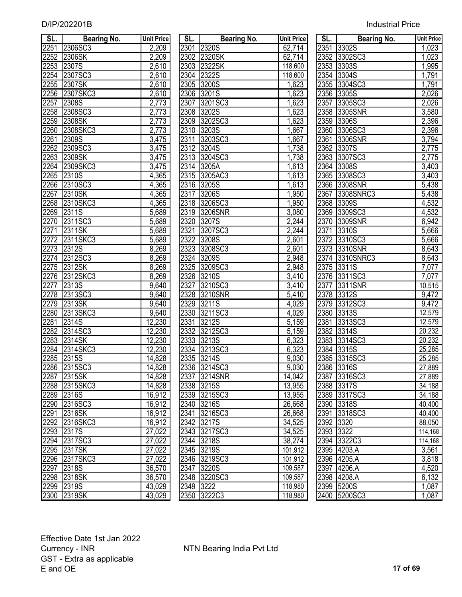| SL.               | <b>Bearing No.</b> | <b>Unit Price</b> | SL.       | <b>Bearing No.</b>  | <b>Unit Price</b>  | SL.       | <b>Bearing No.</b> | <b>Unit Price</b> |
|-------------------|--------------------|-------------------|-----------|---------------------|--------------------|-----------|--------------------|-------------------|
| $\overline{2251}$ | 2306SC3            | 2,209             |           | 2301 2320S          | 62,714             |           | 2351 3302S         | 1,023             |
| 2252              | 2306SK             | 2,209             |           | 2302 2320SK         | 62,714             |           | 2352 3302SC3       | 1,023             |
| 2253              | 2307S              | 2,610             |           | 2303 2322SK         | 118,600            |           | 2353 3303S         | 1,995             |
| 2254              | 2307SC3            | 2,610             |           | 2304 2322S          | 118,600            |           | 2354 3304S         | 1,791             |
| 2255              | 2307SK             | 2,610             |           | 2305 3200S          | 1,623              |           | 2355 3304SC3       | 1,791             |
| 2256              | 2307SKC3           | 2,610             |           | 2306 3201S          | 1,623              |           | 2356 3305S         | 2,026             |
| 2257              | 2308S              | 2,773             | 2307      | 3201SC3             | 1,623              | 2357      | 3305SC3            | 2,026             |
| 2258              | 2308SC3            | 2,773             |           | 2308 3202S          | 1,623              |           | 2358 3305SNR       | 3,580             |
| 2259              | 2308SK             | 2,773             |           | 2309 3202SC3        | 1,623              |           | 2359 3306S         | 2,396             |
| 2260              | 2308SKC3           | 2,773             | 2310      | 3203S               | 1,667              |           | 2360 3306SC3       | 2,396             |
| 2261              | 2309S              | 3,475             | 2311      | 3203SC3             | 1,667              | 2361      | 3306SNR            | 3,794             |
| 2262              | 2309SC3            | 3,475             |           | 2312 3204S          | 1,738              | 2362      | 3307S              | 2,775             |
| 2263              | 2309SK             | 3,475             |           | 2313 3204SC3        | 1,738              |           | 2363 3307SC3       | 2,775             |
| 2264              | 2309SKC3           | 3,475             |           | 2314 3205A          | 1,613              | 2364      | 3308S              | 3,403             |
| 2265              | 2310S              | 4,365             |           | 2315 3205AC3        | 1,613              |           | 2365 3308SC3       | 3,403             |
| 2266              | 2310SC3            | 4,365             |           | 2316 3205S          | 1,613              | 2366      | 3308SNR            | 5,438             |
| 2267              | 2310SK             | 4,365             |           | 2317 3206S          | 1,950              | 2367      | 3308SNRC3          | 5,438             |
| 2268              | 2310SKC3           | 4,365             |           | 2318 3206SC3        | 1,950              |           | 2368 3309S         | 4,532             |
| 2269              | 2311S              | 5,689             |           | 2319 3206SNR        | 3,080              | 2369      | 3309SC3            | 4,532             |
| 2270              | 2311SC3            | 5,689             | 2320      | 3207S               | 2,244              |           | 2370 3309SNR       | 6,942             |
| 2271              | 2311SK             | 5,689             | 2321      | 3207SC3             | 2,244              | 2371      | <b>3310S</b>       | 5,666             |
| 2272              | 2311SKC3           | 5,689             | 2322      | 3208S               | 2,601              | 2372      | 3310SC3            | 5,666             |
| 2273              | 2312S              | 8,269             |           | 2323 3208SC3        | $\overline{2,}601$ |           | 2373 3310SNR       | 8,643             |
| 2274              | 2312SC3            | 8,269             | 2324      | 3209S               | 2,948              |           | 2374 3310SNRC3     | 8,643             |
| 2275              | 2312SK             | 8,269             | 2325      | 3209SC3             | 2,948              | 2375      | 3311S              | 7,077             |
| 2276              | 2312SKC3           | 8,269             |           | 2326 3210S          | $\overline{3,}410$ |           | 2376 3311SC3       | 7,077             |
| 2277              | 2313S              | 9,640             | 2327      | 3210SC3             | 3,410              | 2377      | 3311SNR            | 10,515            |
| 2278              | 2313SC3            | 9,640             | 2328      | 3210SNR             | 5,410              | 2378      | 3312S              | 9,472             |
| 2279              | 2313SK             | 9,640             | 2329      | <b>3211S</b>        | 4,029              | 2379      | 3312SC3            | 9,472             |
| 2280              | 2313SKC3           | 9,640             | 2330      | 3211SC3             | 4,029              | 2380      | 3313S              | 12,579            |
| 2281              | 2314S              | 12,230            | 2331      | 3212S               | 5,159              | 2381      | 3313SC3            | 12,579            |
| 2282              | 2314SC3            | 12,230            |           | 2332 3212SC3        | 5,159              |           | 2382 3314S         | 20,232            |
| 2283              | 2314SK             | 12,230            | 2333      | 3213S               | 6,323              | 2383      | 3314SC3            | 20,232            |
| 2284              | 2314SKC3           | 12,230            |           | 2334 3213SC3        | 6,323              |           | 2384 3315S         | 25,285            |
| 2285              | <b>2315S</b>       | 14,828            | 2335      | $\overline{3214}$ S | 9,030              | 2385      | 3315SC3            | 25,285            |
|                   | 2286 2315SC3       | 14,828            |           | 2336 3214SC3        | 9,030              |           | 2386 3316S         | 27,889            |
| 2287              | 2315SK             | 14,828            | 2337      | 3214SNR             | 14,042             |           | 2387 3316SC3       | 27,889            |
| 2288              | 2315SKC3           | 14,828            |           | 2338 3215S          | 13,955             |           | 2388 3317S         | 34,188            |
| 2289              | <b>2316S</b>       | 16,912            |           | 2339 3215SC3        | 13,955             |           | 2389 3317SC3       | 34,188            |
| 2290              | 2316SC3            | 16,912            |           | 2340 3216S          | 26,668             |           | 2390 3318S         | 40,400            |
| 2291              | 2316SK             | 16,912            | 2341      | 3216SC3             | 26,668             |           | 2391 3318SC3       | 40,400            |
|                   | 2292 2316SKC3      | 16,912            |           | 2342 3217S          | 34,525             | 2392 3320 |                    | 88,050            |
| 2293              | <b>2317S</b>       | 27,022            |           | 2343 3217SC3        | 34,525             | 2393 3322 |                    | 114,168           |
|                   | 2294 2317SC3       | 27,022            |           | 2344 3218S          | 38,274             |           | 2394 3322C3        | 114,168           |
| 2295              | 2317SK             | 27,022            |           | 2345 3219S          | 101,912            |           | 2395 4203.A        | 3,561             |
| 2296              | 2317SKC3           | 27,022            |           | 2346 3219SC3        | 101,912            |           | 2396 4205.A        | 3,818             |
| 2297              | <b>2318S</b>       | 36,570            | 2347      | 3220S               | 109,587            |           | 2397 4206.A        | 4,520             |
|                   | 2298 2318SK        | 36,570            |           | 2348 3220SC3        | 109,587            |           | 2398 4208.A        | 6,132             |
|                   | 2299 2319S         | 43,029            | 2349 3222 |                     | 118,980            |           | 2399 5200S         | 1,087             |
|                   | 2300 2319SK        | 43,029            |           | 2350 3222C3         | 118,980            |           | 2400 5200SC3       | 1,087             |

| SL.               | <b>Bearing No.</b> | <b>Unit Price</b>  | SL.       | <b>Bearing No.</b>  | <b>Unit Price</b>  | SL.       | <b>Bearing No.</b> | <b>Unit Pric</b>   |
|-------------------|--------------------|--------------------|-----------|---------------------|--------------------|-----------|--------------------|--------------------|
| 2251              | 2306SC3            | 2,209              |           | 2301 2320S          | 62,714             |           | 2351 3302S         | $\overline{1,023}$ |
| 2252              | 2306SK             | 2,209              |           | 2302 2320SK         | 62,714             |           | 2352 3302SC3       | 1,023              |
| 2253              | 2307S              | 2,610              | 2303      | 2322SK              | 118,600            | 2353      | 3303S              | 1,995              |
| 2254              | 2307SC3            | 2,610              |           | 2304 2322S          | 118,600            |           | 2354 3304S         | 1,791              |
| 2255              | 2307SK             | 2,610              | 2305      | 3200S               | 1,623              | 2355      | 3304SC3            | 1,791              |
| 2256              | 2307SKC3           | 2,610              | 2306      | 3201S               | 1,623              | 2356      | 3305S              | 2,026              |
| 2257              | 2308S              | 2,773              | 2307      | 3201SC3             | ,623               | 2357      | 3305SC3            | 2,026              |
| 2258              | 2308SC3            | 2,773              | 2308      | 3202S               | 1,623              | 2358      | 3305SNR            | 3,580              |
| 2259              | 2308SK             | 2,773              | 2309      | 3202SC3             | ,623               | 2359      | 3306S              | 2,396              |
| 2260              | 2308SKC3           | 2,773              | 2310      | 3203S               | 1,667              | 2360      | 3306SC3            | 2,396              |
| 2261              | 2309S              | 3,475              | 2311      | 3203SC3             | ,667               | 2361      | 3306SNR            | 3,794              |
| 2262              | 2309SC3            | 3,475              |           | 2312 3204S          | ,738               | 2362      | 3307S              | 2,775              |
| 2263              | 2309SK             | 3,475              | 2313      | 3204SC3             | ,738               | 2363      | 3307SC3            | 2,775              |
| 2264              | 2309SKC3           | 3,475              |           | 2314 3205A          | 1,613              | 2364      | <b>3308S</b>       | $\overline{3,}403$ |
| 2265              | $\overline{2310S}$ | 4,365              |           | 2315 3205AC3        | 1,613              | 2365      | 3308SC3            | 3,403              |
| 2266              | 2310SC3            | 4,365              |           | 2316 3205S          | 1,613              |           | 2366 3308SNR       | 5,438              |
| 2267              | 2310SK             | 4,365              | 2317      | 3206S               | 1,950              | 2367      | 3308SNRC3          | 5,438              |
| 2268              | 2310SKC3           | 4,365              |           | 2318 3206SC3        | 1,950              |           | 2368 3309S         | 4,532              |
| 2269              | 2311S              | 5,689              | 2319      | 3206SNR             | 3,080              | 2369      | 3309SC3            | 4,532              |
| 2270              | 2311SC3            | $\overline{5,689}$ | 2320      | 3207S               | 2,244              | 2370      | 3309SNR            | 6,942              |
| 2271              | 2311SK             | 5,689              | 2321      | 3207SC3             | 2,244              | 2371      | 3310S              | 5,666              |
| 2272              | 2311SKC3           | 5,689              | 2322      | 3208S               | 2,601              |           | 2372 3310SC3       | $\overline{5,666}$ |
| $\overline{2273}$ | 2312S              | 8,269              |           | 2323 3208SC3        | 2,601              |           | 2373 3310SNR       | 8,643              |
| 2274              | 2312SC3            | 8,269              | 2324      | 3209S               | 2,948              |           | 2374 3310SNRC3     | 8,643              |
| 2275              | 2312SK             | 8,269              | 2325      | 3209SC3             | 2,948              | 2375      | 3311S              | 7,077              |
| 2276              | 2312SKC3           | 8,269              |           | 2326 3210S          | 3,410              |           | 2376 3311SC3       | 7,077              |
| $\overline{2277}$ | 2313S              | 9,640              | 2327      | 3210SC3             | 3,410              | 2377      | 3311SNR            | 10,515             |
| 2278              | 2313SC3            | $\overline{9,640}$ | 2328      | 3210SNR             | 5,410              |           | 2378 3312S         | 9,472              |
| 2279              | 2313SK             | 9,640              | 2329      | 3211S               | 4,029              | 2379      | 3312SC3            | 9,472              |
| 2280              | 2313SKC3           | $\overline{9,640}$ | 2330      | 3211SC3             | 4,029              | 2380      | 3313S              | 12,579             |
| 2281              | 2314S              | 12,230             | 2331      | 3212S               | 5,159              | 2381      | 3313SC3            | 12,579             |
| 2282              | 2314SC3            | 12,230             | 2332      | 3212SC3             | 5,159              | 2382      | 3314S              | 20,232             |
| 2283              | 2314SK             | 12,230             | 2333      | 3213S               | 6,323              | 2383      | 3314SC3            | 20,232             |
| 2284              | 2314SKC3           | 12,230             | 2334      | 3213SC3             | 6,323              | 2384      | 3315S              | 25,285             |
| 2285              | 2315S              | 14,828             | 2335      | $\overline{3214}$ S | $\overline{9,030}$ | 2385      | 3315SC3            | 25,285             |
|                   | 2286 2315SC3       | 14,828             |           | 2336 3214SC3        | 9,030              |           | 2386 3316S         | 27,889             |
| <u> 2287 </u>     | 2315SK             | 14,828             |           | 2337 3214SNR        | 14,042             |           | 2387 3316SC3       | 27,889             |
|                   | 2288 2315SKC3      | 14,828             |           | 2338 3215S          | 13,955             |           | 2388 3317S         | 34,188             |
|                   | 2289 2316S         | 16,912             |           | 2339 3215SC3        | 13,955             |           | 2389 3317SC3       | 34,188             |
|                   | 2290 2316SC3       | 16,912             |           | 2340 3216S          | 26,668             |           | 2390 3318S         | 40,400             |
| 2291              | 2316SK             | 16,912             |           | 2341 3216SC3        | 26,668             |           | 2391 3318SC3       | 40,400             |
|                   | 2292 2316SKC3      | 16,912             |           | 2342 3217S          | 34,525             | 2392 3320 |                    | 88,050             |
|                   | 2293 2317S         | 27,022             |           | 2343 3217SC3        | 34,525             | 2393 3322 |                    | 114,168            |
|                   | 2294 2317SC3       | 27,022             | 2344      | 3218S               | 38,274             |           | 2394 3322C3        | 114,168            |
| 2295              | 2317SK             | 27,022             |           | 2345 3219S          | 101,912            |           | 2395 4203.A        | 3,561              |
| 2296              | 2317SKC3           | 27,022             |           | 2346 3219SC3        | 101,912            |           | 2396 4205.A        | 3,818              |
| 2297              | 2318S              | 36,570             |           | 2347 3220S          | 109,587            |           | 2397 4206.A        | 4,520              |
| 2298              | 2318SK             | 36,570             |           | 2348 3220SC3        | 109,587            |           | 2398 4208.A        | 6,132              |
|                   | 2299 2319S         | 43,029             | 2349 3222 |                     | 118,980            |           | 2399 5200S         | 1,087              |
| 2300              | 2319SK             | 43,029             |           | 2350 3222C3         | 118,980            |           | 2400 5200SC3       | 1,087              |

| SL.              | Bearing No.      | <b>Unit Price</b>       |
|------------------|------------------|-------------------------|
| 2351             | 3302S            | 1,023                   |
| 2352             | 3302SC3          | 1,023                   |
| 2353             | 3303S            | 1,995                   |
| 2354             | 3304S            | 1,791                   |
| 2355             | 3304SC3          | 1,791                   |
|                  | 2356 3305S       | 2,026                   |
|                  | 2357 3305SC3     | 2,026                   |
|                  | 2358 3305SNR     | 3,580                   |
|                  | 2359 3306S       | 2,396                   |
|                  | 2360 3306SC3     | 2,396                   |
|                  | 2361 3306SNR     | 3,794                   |
|                  | 2362 3307S       | 2,775                   |
|                  | 2363 3307SC3     | 2,775                   |
|                  | 2364 3308S       | 3,403                   |
|                  | 2365 3308SC3     | 3,403                   |
|                  | 2366 3308SNR     | 5,438                   |
| 2367             | 3308SNRC3        | 5,438                   |
| 2368             | 3309S            | 4,532                   |
| 2369             | 3309SC3          | 4,532                   |
| 2370             | 3309SNR          | 6,942                   |
| 2371             | 3310S            | 5,666                   |
| 2372             | 3310SC3          | 5,666                   |
| 2373             | 3310SNR          | 8,643                   |
| 2374             | 3310SNRC3        | 8,643                   |
| 2375             | 3311S            | 7,077                   |
| 2376             | 3311SC3          | 7,077                   |
| 2377             | 3311SNR          | 10,515                  |
| 2378             | 3312S            | 9,472                   |
| 2379             | 3312SC3          | 9,472                   |
|                  | 3313S            | 12,579                  |
| 2380<br>2381     | 3313SC3          | 12,579                  |
| 2382             | 3314S            | 20,232                  |
|                  | 3314SC3          | 20,232                  |
| 2383<br>2384     | 3315S            | 25,285                  |
| 2385             | 3315SC3          | 25,285                  |
| $\frac{2386}{ }$ | 3316S            | 27,889                  |
| 2387             | 3316SC3          |                         |
| 2388             | 3317S            | <u>27,889</u>           |
| 2389             | 3317SC3          | 34,188<br><u>34,188</u> |
| 2390             | 3318S            | 40,400                  |
| 2391             | 3318SC3          | 40,400                  |
| 2392             | 3320             | 88,050                  |
| 2393             | 3322             | 114,168                 |
| 2394             | 3322C3           | 114,168                 |
| 2395             |                  |                         |
|                  | 4203.A<br>4205.A | 3,561                   |
| 2396             |                  | 3,818                   |
| 2397             | 4206.A           | 4,520                   |
| 2398             | 4208.A           | 6,132                   |
| 2399             | 5200S            | 1,087                   |
| 2400             | 5200SC3          | 1,087                   |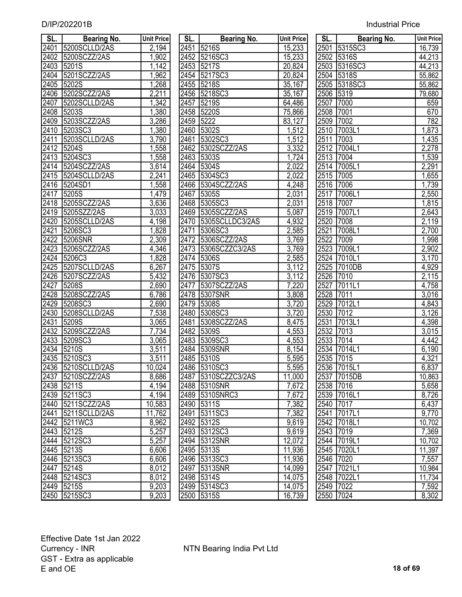| D/IP/202201B | <b>Industrial Price</b> |
|--------------|-------------------------|
|              |                         |

| SL.               | <b>Bearing No.</b> | <b>Unit Price</b> | SL.  | <b>Bearing No.</b>  | <b>Unit Price</b> | SL.       | <b>Bearing No.</b> | <b>Unit Price</b>  |
|-------------------|--------------------|-------------------|------|---------------------|-------------------|-----------|--------------------|--------------------|
| 2401              | 5200SCLLD/2AS      | 2,194             | 2451 | 5216S               | 15,233            | 2501      | 5315SC3            | 16,739             |
| 2402              | 5200SCZZ/2AS       | 1,902             | 2452 | 5216SC3             | 15,233            | 2502      | 5316S              | 44,213             |
| 2403              | 5201S              | 1,142             | 2453 | <b>15217S</b>       | 20,824            | 2503      | 5316SC3            | 44,213             |
| 2404              | 5201SCZZ/2AS       | 1,962             |      | 2454 5217SC3        | 20,824            | 2504      | 5318S              | 55,862             |
| 2405              | <b>5202S</b>       | 1,268             | 2455 | <b>15218S</b>       | 35,167            | 2505      | 5318SC3            | 55,862             |
| 2406              | 5202SCZZ/2AS       | 2,211             | 2456 | 5218SC3             | 35,167            | 2506      | 5319               | 79,680             |
| 2407              | 5202SCLLD/2AS      | 1,342             | 2457 | <b>5219S</b>        | 64,486            | 2507      | 7000               | 659                |
| 2408              | 5203S              | 1,380             | 2458 | <b>5220S</b>        | 75,866            | 2508      | 7001               | 670                |
| 2409              | 5203SCZZ/2AS       | 3,286             | 2459 | 5222                | 83,127            | 2509      | 7002               | 782                |
| 2410              | 5203SC3            | 1,380             | 2460 | <b>5302S</b>        | 1,512             | 2510      | 7003L1             | 1,873              |
| 2411              | 5203SCLLD/2AS      | 3,790             | 2461 | 5302SC3             | 1,512             | 2511      | 7003               | 1,435              |
| 2412              | 5204S              | ,558              | 2462 | 5302SCZZ/2AS        | 3,332             | 2512      | 7004L1             | 2,278              |
| 2413              | 5204SC3            | 1,558             | 2463 | 5303S               | 1,724             | 2513      | 7004               | 1,539              |
| 2414              | 5204SCZZ/2AS       | 3,614             |      | 2464 5304S          | 2,022             | 2514      | 7005L1             | 2,291              |
| 2415              | 5204SCLLD/2AS      | 2,241             |      | 2465 5304SC3        | 2,022             | 2515      | 7005               | 1,655              |
| 2416              | 5204SD1            | 1,558             | 2466 | 5304SCZZ/2AS        | 4,248             | 2516      | 7006               | 1,739              |
| 2417              | 5205S              | 1,479             | 2467 | 5305S               | 2,031             | 2517      | 7006L1             | 2,550              |
| 2418              | 5205SCZZ/2AS       | 3,636             | 2468 | 5305SC3             | 2,031             | 2518      | 7007               | 1,815              |
| 2419              | 5205SZZ/2AS        | 3,033             |      | 2469 5305SCZZ/2AS   | 5,087             | 2519      | 7007L1             | 2,643              |
| 2420              | 5205SCLLD/2AS      | 4,198             | 2470 | 5305SCLLDC3/2AS     | 4,932             | 2520      | 7008               | 2,119              |
| 2421              | 5206SC3            | 1,828             | 2471 | 5306SC3             | 2,585             | 2521      | 7008L1             | 2,700              |
| 2422              | <b>15206SNR</b>    | 2,309             | 2472 | 5306SCZZ/2AS        | 3,769             | 2522      | 7009               | 1,998              |
| $\overline{2423}$ | 5206SCZZ/2AS       | 4,346             | 2473 | 5306SCZZC3/2AS      | 3,769             | 2523      | 7009L1             | 2,902              |
| 2424              | 5206C3             | 1,828             | 2474 | <b>15306S</b>       | 2,585             | 2524      | 7010L1             | $\overline{3,170}$ |
| 2425              | 5207SCLLD/2AS      | 6,267             | 2475 | 5307S               | 3,112             | 2525      | 7010DB             | 4,929              |
| 2426              | 5207SCZZ/2AS       | 5,432             | 2476 | 5307SC3             | 3,112             | 2526      | 7010               | 2,115              |
| 2427              | 5208S              | 2,690             | 2477 | 5307SCZZ/2AS        | 7,220             | 2527      | 7011L1             | 4,758              |
| 2428              | 5208SCZZ/2AS       | 6,786             | 2478 | 5307SNR             | 3,808             | 2528      | 7011               | 3,016              |
| 2429              | 5208SC3            | 2,690             | 2479 | <b>5308S</b>        | 3,720             | 2529      | 7012L1             | 4,843              |
| 2430              | 5208SCLLD/2AS      | 7,538             | 2480 | 5308SC3             | 3,720             | 2530      | 7012               | 3,126              |
| 2431              | 5209S              | 3,065             | 2481 | 5308SCZZ/2AS        | 8,475             | 2531      | 7013L1             | 4,398              |
| 2432              | 5209SCZZ/2AS       | 7,734             | 2482 | <b>5309S</b>        | 4,553             | 2532      | 7013               | 3,015              |
| 2433              | 5209SC3            | 3,065             | 2483 | 5309SC3             | 4,553             | 2533      | 7014               | 4,442              |
| 2434              | 5210S              | 3,511             | 2484 | 5309SNR             | 8,154             | 2534      | 7014L1             | 6,190              |
| 2435              | 5210SC3            | 3,511             |      | 2485 5310S          | 5,595             | 2535      | 7015               | 4,321              |
|                   | 2436 5210SCLLD/2AS | 10,024            |      | 2486 5310SC3        | 5,595             |           | 2536 7015L1        | 6,837              |
|                   | 2437 5210SCZZ/2AS  | 8,686             |      | 2487 5310SCZZC3/2AS | 11,000            |           | 2537 7015DB        | 10,863             |
|                   | 2438 5211S         | 4,194             |      | 2488 5310SNR        | 7,672             | 2538 7016 |                    | 5,658              |
|                   | 2439 5211SC3       | 4,194             |      | 2489 5310SNRC3      | 7,672             |           | 2539 7016L1        | 8,726              |
| 2440              | 5211SCZZ/2AS       | 10,583            |      | 2490 5311S          | 7,382             | 2540      | 7017               | 6,437              |
| 2441              | 5211SCLLD/2AS      | 11,762            | 2491 | 5311SC3             | 7,382             | 2541      | 7017L1             | 9,770              |
|                   | 2442 5211WC3       | 8,962             |      | 2492 5312S          | 9,619             |           | 2542 7018L1        | 10,702             |
|                   | 2443 5212S         | 5,257             |      | 2493 5312SC3        | 9,619             | 2543 7019 |                    | 7,369              |
|                   | 2444 5212SC3       | 5,257             |      | 2494 5312SNR        | 12,072            |           | 2544 7019L1        | 10,702             |
|                   | 2445 5213S         | 6,606             |      | 2495 5313S          | 11,936            |           | 2545 7020L1        | 11,397             |
|                   | 2446 5213SC3       | 6,606             |      | 2496 5313SC3        | 11,936            | 2546 7020 |                    | 7,557              |
| 2447              | 5214S              | 8,012             |      | 2497 5313SNR        | 14,099            | 2547      | 7021L1             | 10,984             |
|                   | 2448 5214SC3       | 8,012             |      | 2498 5314S          | 14,075            |           | 2548 7022L1        | 11,734             |
|                   | 2449 5215S         | 9,203             |      | 2499 5314SC3        | 14,075            | 2549 7022 |                    | 7,592              |
|                   | 2450 5215SC3       | 9.203             |      | 2500 5315S          | 16.739            | 2550 7024 |                    | 8.302              |

| SL.  | <b>Bearing No.</b> | <b>Unit Price</b> | SL.       | <b>Bearing No.</b>  | <b>Unit Price</b>  | SL.       | <b>Bearing No.</b> | <b>Unit Pric</b>     |
|------|--------------------|-------------------|-----------|---------------------|--------------------|-----------|--------------------|----------------------|
| 2401 | 5200SCLLD/2AS      | 2,194             |           | 2451 5216S          | 15,233             |           | 2501 5315SC3       | 16,739               |
| 2402 | 5200SCZZ/2AS       | 1,902             |           | 2452 5216SC3        | 15,233             |           | 2502 5316S         | 44,213               |
| 2403 | 5201S              | 1,142             | 2453      | 5217S               | 20,824             |           | 2503 5316SC3       | 44,213               |
| 2404 | 5201SCZZ/2AS       | 1,962             |           | 2454 5217SC3        | 20,824             |           | 2504 5318S         | 55,862               |
| 2405 | 5202S              | 1,268             |           | 2455 5218S          | 35,167             |           | 2505 5318SC3       | 55,862               |
| 2406 | 5202SCZZ/2AS       | 2,211             |           | 2456 5218SC3        | 35,167             | 2506 5319 |                    | 79,680               |
| 2407 | 5202SCLLD/2AS      | 1,342             | 2457      | <b>5219S</b>        | 64,486             | 2507      | 7000               | 659                  |
| 2408 | 5203S              | 1,380             |           | 2458 5220S          | 75,866             | 2508      | 7001               | 670                  |
| 2409 | 5203SCZZ/2AS       | 3,286             | 2459 5222 |                     | 83,127             | 2509 7002 |                    | 782                  |
| 2410 | 5203SC3            | 1,380             |           | 2460 5302S          | 1,512              |           | 2510 7003L1        | 1,873                |
| 2411 | 5203SCLLD/2AS      | 3,790             | 2461      | 5302SC3             | 1,512              | 2511      | 7003               | 1,435                |
| 2412 | 5204S              | 1,558             |           | 2462 5302SCZZ/2AS   | 3,332              |           | 2512 7004L1        | 2,278                |
| 2413 | 5204SC3            | 1,558             |           | 2463 5303S          | 1,724              | 2513 7004 |                    | 1,539                |
|      | 2414 5204SCZZ/2AS  | 3,614             |           | 2464 5304S          | 2,022              |           | 2514 7005L1        | 2,291                |
| 2415 | 5204SCLLD/2AS      | 2,241             | 2465      | 5304SC3             | 2,022              | 2515      | 7005               | 1,655                |
| 2416 | 5204SD1            | 1,558             | 2466      | 5304SCZZ/2AS        | 4,248              | 2516      | 7006               | 1,739                |
| 2417 | 5205S              | 1,479             | 2467      | 5305S               | 2,031              | 2517      | 7006L1             | 2,550                |
| 2418 | 5205SCZZ/2AS       | 3,636             | 2468      | 5305SC3             | 2,031              | 2518 7007 |                    | 1,815                |
| 2419 | 5205SZZ/2AS        | 3,033             | 2469      | 5305SCZZ/2AS        | 5,087              |           | 2519 7007L1        | 2,643                |
| 2420 | 5205SCLLD/2AS      | 4,198             | 2470      | 5305SCLLDC3/2AS     | 4,932              | 2520      | 7008               | 2,119                |
| 2421 | 5206SC3            | 1,828             | 2471      | 5306SC3             | 2,585              | 2521      | 7008L1             | 2,700                |
| 2422 | 5206SNR            | 2,309             | 2472      | 5306SCZZ/2AS        | 3,769              | 2522      | 7009               | 1,998                |
| 2423 | 5206SCZZ/2AS       | 4,346             | 2473      | 5306SCZZC3/2AS      | 3,769              |           | 2523 7009L1        | 2,902                |
| 2424 | <b>15206C3</b>     | 1,828             |           | 2474 5306S          | 2,585              |           | 2524 7010L1        | 3,170                |
| 2425 | 5207SCLLD/2AS      | 6,267             |           | 2475 5307S          | 3,112              | 2525      | 7010DB             | 4,929                |
| 2426 | 5207SCZZ/2AS       | 5,432             |           | 2476 5307SC3        | 3,112              | 2526 7010 |                    | $\overline{2,}115$   |
| 2427 | 5208S              | 2,690             | 2477      | 5307SCZZ/2AS        | 7,220              | 2527      | 7011L1             | 4,758                |
| 2428 | 5208SCZZ/2AS       | 6,786             |           | 2478 5307SNR        | 3,808              | 2528      | 7011               | 3,016                |
| 2429 | 5208SC3            | 2,690             | 2479      | 5308S               | 3,720              | 2529      | 7012L1             | $\sqrt{4,843}$       |
| 2430 | 5208SCLLD/2AS      | 7,538             |           | 2480 5308SC3        | $\overline{3,720}$ | 2530 7012 |                    | 3,126                |
| 2431 | 5209S              | 3,065             | 2481      | 5308SCZZ/2AS        | 8,475              | 2531      | 7013L1             | $\overline{4}$ , 398 |
| 2432 | 5209SCZZ/2AS       | 7,734             |           | 2482 5309S          | 4,553              | 2532 7013 |                    | 3,015                |
| 2433 | 5209SC3            | 3,065             |           | 2483 5309SC3        | 4,553              | 2533 7014 |                    | 4,442                |
| 2434 | <b>5210S</b>       | 3,511             |           | 2484 5309SNR        | 8,154              |           | 2534 7014L1        | 6,190                |
| 2435 | 5210SC3            | 3,511             |           | 2485 5310S          | 5,595              | 2535 7015 |                    | 4,321                |
|      | 2436 5210SCLLD/2AS | 10,024            |           | 2486 5310SC3        | 5,595              |           | 2536 7015L1        | 6,837                |
|      | 2437 5210SCZZ/2AS  | 8,686             |           | 2487 5310SCZZC3/2AS | 11,000             |           | 2537 7015DB        | 10,863               |
|      | 2438 5211S         | 4,194             |           | 2488 5310SNR        | 7,672              | 2538 7016 |                    | 5,658                |
|      | 2439 5211SC3       | 4,194             |           | 2489 5310SNRC3      | 7,672              |           | 2539 7016L1        | 8,726                |
|      | 2440 5211SCZZ/2AS  | 10,583            |           | 2490 5311S          | 7,382              | 2540 7017 |                    | 6,437                |
|      | 2441 5211SCLLD/2AS | 11,762            | 2491      | 5311SC3             | 7,382              |           | 2541 7017L1        | $\overline{9,770}$   |
|      | 2442 5211WC3       | 8,962             |           | 2492 5312S          | 9,619              |           | 2542 7018L1        | 10,702               |
| 2443 | 5212S              | 5,257             |           | 2493 5312SC3        | 9,619              | 2543 7019 |                    | 7,369                |
|      | 2444 5212SC3       | 5,257             |           | 2494 5312SNR        | 12,072             |           | 2544 7019L1        | 10,702               |
|      | 2445 5213S         | 6,606             |           | 2495 5313S          | 11,936             |           | 2545 7020L1        | 11,397               |
|      | 2446 5213SC3       | 6,606             |           | 2496 5313SC3        | 11,936             | 2546 7020 |                    | 7,557                |
| 2447 | 5214S              | 8,012             |           | 2497 5313SNR        | 14,099             |           | 2547 7021L1        | 10,984               |
|      | 2448 5214SC3       | 8,012             |           | 2498 5314S          | 14,075             |           | 2548 7022L1        | 11,734               |
|      | 2449 5215S         | 9,203             |           | 2499 5314SC3        | 14,075             | 2549 7022 |                    | 7,592                |
|      | 2450 5215SC3       | 9,203             |           | 2500 5315S          | 16,739             | 2550 7024 |                    | 8,302                |
|      |                    |                   |           |                     |                    |           |                    |                      |

| SL.                  | <b>Bearing No.</b> | <b>Unit Price</b>  |
|----------------------|--------------------|--------------------|
| 2501                 | 5315SC3            | 16,739             |
| 2502                 | 5316S              | 44,213             |
| 2503                 | 5316SC3            | 44,213             |
| 2504                 | 5318S              | 55,862             |
|                      | 5318SC3            | 55,862             |
| 2505<br>2506<br>2507 | 5319               | 79,680             |
|                      | 7000               | 659                |
| 2508                 | 7001               | 670                |
| 2509                 | 7002               | 782                |
| 2510                 | 7003L1             | 1,873              |
| 2511                 | 7003               | 1,435              |
| 2512                 | 7004L1             | 2,278              |
| 2513                 | 7004               | 1,539              |
| 2514                 | 7005L1             | 2,291              |
| 2515                 | 7005               | $\overline{1,655}$ |
| 2516                 | 7006               | $\overline{1,739}$ |
| 2517                 | 7006L1             | 2,550              |
| 2518                 | 7007               | 1,815              |
| 2519                 | 7007L1             | 2,643              |
| 2520                 | 7008               | 2,119              |
| 2521                 | 7008L1             | 2,700              |
| 2522                 | 7009               | $\overline{1,}998$ |
| 2523                 | 7009L1             | 2,902              |
| 2524                 | 7010L1             | 3,170              |
| 2525                 | 7010DB             | 4,929              |
| 2526                 | 7010               | 2,115              |
| 2527                 | 7011L1             | 4,758              |
| 2528                 | 7011               | 3,016              |
| 2529                 | 7012L1             | 4,843              |
| 2530                 | 7012               | 3,126              |
| 2531                 | 7013L1             | 4,398              |
| 2532                 | 7013               | 3,015              |
| 2533                 | 7014               | 4,442              |
| 2534                 | 7014L1             | 6,190              |
| 2535                 | 7015               | 4,321              |
| 2536                 | 7015L1             | 6,837              |
| 2537                 | 7015DB             | 10,863             |
| 2538                 | 7016               | 5,658              |
| $25\overline{39}$    | 7016L1             | 8,726              |
| 2540                 | 7017               | 6,437              |
| 2541                 | 7017L1             | 9,770              |
| 2542                 | 7018L1             | 10,702             |
| 2543                 | 7019               | 7,369              |
| 2544                 | 7019L1             | 10,702             |
| $\sqrt{2545}$        | 7020L1             | 11,397             |
| 2546                 | 7020               | 7,557              |
| 2547                 | 7021L1             | 10,984             |
| 2548                 | 7022L1             | 11,734             |
| 2549                 | 7022               | 7,592              |
| 2550                 | 7024               | 8,302              |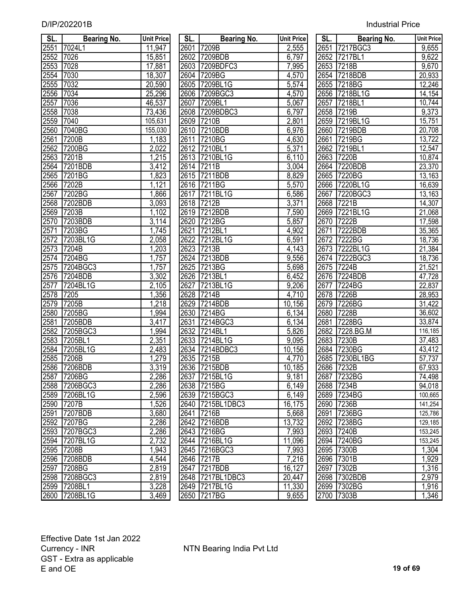| SL.          | <b>Bearing No.</b> | <b>Unit Price</b>  | SL.  | <b>Bearing No.</b> | <b>Unit Price</b> | <b>SL.</b> | <b>Bearing No.</b> | <b>Unit Price</b>  |
|--------------|--------------------|--------------------|------|--------------------|-------------------|------------|--------------------|--------------------|
| 2551         | 7024L1             | 11,947             | 2601 | 7209B              | 2,555             |            | 2651 7217BGC3      | 9,655              |
| 2552         | 7026               | 15,851             |      | 2602 7209BDB       | 6,797             |            | 2652 7217BL1       | 9,622              |
| 2553         | 7028               | 17,881             |      | 2603 7209BDFC3     | 7,995             |            | 2653 7218B         | $\overline{9,670}$ |
| 2554         | 7030               | 18,307             |      | 2604 7209BG        | 4,570             |            | 2654 7218BDB       | 20,933             |
| 2555         | 7032               | 20,590             |      | 2605 7209BL1G      | 5,574             |            | 2655 7218BG        | 12,246             |
| 2556         | 7034               | 25,296             |      | 2606 7209BGC3      | 4,570             |            | 2656 7218BL1G      | 14,154             |
| 2557         | 7036               | 46,537             | 2607 | 7209BL1            | 5,067             | 2657       | 7218BL1            | 10,744             |
| 2558         | 7038               | 73,436             | 2608 | 7209BDBC3          | 6,797             |            | 2658 7219B         | 9,373              |
| 2559         | 7040               | 105,631            | 2609 | 7210B              | 2,801             |            | 2659 7219BL1G      | 15,751             |
| 2560         | 7040BG             | 155,030            | 2610 | 7210BDB            | 6,976             | 2660       | 7219BDB            | 20,708             |
| 2561         | 7200B              | 1,183              | 2611 | 7210BG             | 4,630             | 2661       | 7219BG             | 13,722             |
| 2562         | 7200BG             | 2,022              | 2612 | 7210BL1            | 5,371             | 2662       | 7219BL1            | 12,547             |
| 2563         | 7201B              | 1,215              |      | 2613 7210BL1G      | 6,110             | 2663       | 7220B              | 10,874             |
| 2564         | 7201BDB            | 3,412              |      | 2614 7211B         | 3,004             | 2664       | 7220BDB            | 23,370             |
| 2565         | 7201BG             | 1,823              |      | 2615 7211BDB       | 8,829             | 2665       | 7220BG             | 13,163             |
| 2566         | 7202B              | 1,121              |      | 2616 7211BG        | 5,570             | 2666       | 7220BL1G           | 16,639             |
| 2567         | 7202BG             | 1,866              |      | 2617 7211BL1G      | 6,586             | 2667       | 7220BGC3           | 13,163             |
| 2568         | 7202BDB            | 3,093              |      | 2618 7212B         | 3,371             | 2668       | 7221B              | 14,307             |
| 2569         | 7203B              | 1,102              |      | 2619 7212BDB       | 7,590             | 2669       | 7221BL1G           | 21,068             |
| 2570         | 7203BDB            | 3,114              | 2620 | 7212BG             | 5,857             | 2670       | 7222B              | 17,598             |
| 2571         | 7203BG             | 1,745              | 2621 | 7212BL1            | 4,902             | 2671       | 7222BDB            | 35,365             |
| 2572         | 7203BL1G           | 2,058              | 2622 | 7212BL1G           | 6,591             | 2672       | 7222BG             | 18,736             |
| 2573         | 7204B              | 1,203              | 2623 | 7213B              | 4,143             |            | 2673 7222BL1G      | 21,384             |
| 2574         | 7204BG             | 1,757              | 2624 | 7213BDB            | 9,556             |            | 2674 7222BGC3      | 18,736             |
| 2575         | 7204BGC3           | 1,757              | 2625 | 7213BG             | 5,698             | 2675       | 7224B              | 21,521             |
| 2576         | 7204BDB            | 3,302              | 2626 | 7213BL1            | 6,452             |            | 2676 7224BDB       | 47,728             |
|              | 7204BL1G           | 2,105              | 2627 | 7213BL1G           | 9,206             | 2677       | 7224BG             | 22,837             |
| 2577<br>2578 | 7205               | 1,356              | 2628 | 7214B              | 4,710             | 2678       | 7226B              | 28,953             |
| 2579         | 7205B              | 1,218              | 2629 | 7214BDB            | 10,156            | 2679       | 7226BG             | 31,422             |
| 2580         | 7205BG             | 1,994              | 2630 | 7214BG             | 6,134             |            | 2680 7228B         | 36,602             |
| 2581         | 7205BDB            | $\overline{3,417}$ | 2631 | 7214BGC3           | 6,134             | 2681       | 7228BG             | 33,874             |
| 2582         | 7205BGC3           | 1,994              | 2632 | 7214BL1            | 5,826             |            | 2682 7228.BG.M     | 116,185            |
| 2583         | 7205BL1            | 2,351              | 2633 | 7214BL1G           | 9,095             | 2683       | 7230B              | 37,483             |
| 2584         | 7205BL1G           | 2,483              |      | 2634 7214BDBC3     | 10,156            | 2684       | 7230BG             | 43,412             |
| 2585         | 7206B              | 1,279              | 2635 | 7215B              | 4,770             | 2685       | 7230BL1BG          | 57,737             |
| 2586         | 7206BDB            | $\overline{3,}319$ |      | 2636 7215BDB       | 10,185            |            | 2686 7232B         | 67,933             |
| 2587         | 7206BG             | 2,286              |      | 2637 7215BL1G      | 9,181             |            | 2687 7232BG        | 74,498             |
| 2588         | 7206BGC3           | 2,286              |      | 2638 7215BG        | 6,149             |            | 2688 7234B         | 94,018             |
| 2589         | 7206BL1G           | 2,596              |      | 2639 7215BGC3      | 6,149             |            | 2689 7234BG        | 100,665            |
| 2590         | 7207B              | 1,526              | 2640 | 7215BL1DBC3        | 16,175            |            | 2690 7236B         | 141,254            |
| 2591         | 7207BDB            | 3,680              | 2641 | 7216B              | 5,668             |            | 2691 7236BG        | 125,786            |
| 2592         | 7207BG             | 2,286              |      | 2642 7216BDB       | 13,732            |            | 2692 7238BG        | 129,185            |
| 2593         | 7207BGC3           | 2,286              |      | 2643 7216BG        | 7,993             |            | 2693 7240B         | 153,245            |
| 2594         | <b>7207BL1G</b>    | 2,732              |      | 2644 7216BL1G      | 11,096            |            | 2694 7240BG        | 153,245            |
| 2595         | 7208B              | 1,943              |      | 2645 7216BGC3      | 7,993             |            | 2695 7300B         | 1,304              |
| 2596         | 7208BDB            | 4,544              |      | 2646 7217B         | 7,216             |            | 2696 7301B         | 1,929              |
| 2597         | <b>7208BG</b>      | 2,819              | 2647 | <b>7217BDB</b>     | 16,127            | 2697       | 7302B              | 1,316              |
| 2598         | 7208BGC3           | 2,819              |      | 2648 7217BL1DBC3   | 20,447            |            | 2698 7302BDB       | 2,979              |
|              | 2599 7208BL1       | 3,228              |      | 2649 7217BL1G      | 11,330            |            | 2699 7302BG        | 1,916              |
|              | 2600 7208BL1G      | 3,469              |      | 2650 7217BG        | 9,655             |            | 2700 7303B         | 1,346              |

| SL.         | <b>Bearing No.</b> | <b>Unit Price</b>    | SL.  | <b>Bearing No.</b>           | <b>Unit Price</b>  | SL.  | <b>Bearing No.</b> | <b>Unit Pric</b> |
|-------------|--------------------|----------------------|------|------------------------------|--------------------|------|--------------------|------------------|
| 2551        | 7024L1             | 11,947               |      | 2601 7209B                   | 2,555              |      | 2651 7217BGC3      | 9,655            |
| 2552        | 7026               | 15,851               |      | 2602 7209BDB                 | 6,797              |      | 2652 7217BL1       | 9,622            |
| 2553        | 7028               | 17,881               |      | 2603 7209BDFC3               | 7,995              |      | 2653 7218B         | 9,670            |
| 2554        | 7030               | 18,307               |      | 2604 7209BG                  | 4,570              |      | 2654 7218BDB       | 20,933           |
| 2555        | 7032               | 20,590               |      | 2605 7209BL1G                | 5,574              |      | 2655 7218BG        | 12,246           |
| 2556        | 7034               | 25,296               |      | 2606 7209BGC3                | 4,570              |      | 2656 7218BL1G      | 14,154           |
| 2557        | 7036               | 46,537               | 2607 | 7209BL1                      | 5,067              | 2657 | 7218BL1            | 10,744           |
| 2558        | 7038               | 73,436               |      | 2608 7209BDBC3               | 6,797              |      | 2658 7219B         | 9,373            |
| 2559        | 7040               | 105,631              |      | 2609 7210B                   | 2,801              |      | 2659 7219BL1G      | 15,751           |
| 2560        | 7040BG             | 155,030              |      | 2610 7210BDB                 | 6,976              |      | 2660 7219BDB       | 20,708           |
| 2561        | 7200B              | 1,183                |      | 2611 7210BG                  | 4,630              |      | 2661 7219BG        | 13,722           |
| 2562        | 7200BG             | 2,022                |      | 2612 7210BL1                 | 5,371              |      | 2662 7219BL1       | 12,547           |
| 2563        | 7201B              | 1,215                |      | 2613 7210BL1G                | 6,110              |      | 2663 7220B         | 10,874           |
| 2564        | 7201BDB            | 3,412                |      | 2614 7211B                   | 3,004              |      | 2664 7220BDB       | 23,370           |
| 2565        | 7201BG             | 1,823                |      | 2615 7211BDB                 | 8,829              |      | 2665 7220BG        | 13,163           |
| 2566        | 7202B              | 1,121                |      | 2616 7211BG                  | $\overline{5,570}$ |      | 2666 7220BL1G      | 16,639           |
| 2567        | 7202BG             | 1,866                |      | 2617 7211BL1G                | 6,586              | 2667 | 7220BGC3           | 13,163           |
| 2568        | 7202BDB            | 3,093                |      | 2618 7212B                   | 3,371              |      | 2668 7221B         | 14,307           |
| 2569        | 7203B              | 1,102                |      | 2619 7212BDB                 | 7,590              | 2669 | 7221BL1G           | 21,068           |
| 2570        | 7203BDB            | 3,114                | 2620 | 7212BG                       | 5,857              | 2670 | 7222B              | 17,598           |
| 2571        | 7203BG             | 1,745                | 2621 | 7212BL1                      | 4,902              | 2671 | 7222BDB            | 35,365           |
| 2572        | 7203BL1G           | $\overline{2,058}$   | 2622 | 7212BL1G                     | 6,591              | 2672 | 7222BG             | 18,736           |
| 2573        | 7204B              | ,203                 |      | 2623 7213B                   | 4,143              |      | 2673 7222BL1G      | 21,384           |
| 2574        | 7204BG             | 1,757                |      | 2624 7213BDB                 | 9,556              |      | 2674 7222BGC3      | 18,736           |
| 2575        | 7204BGC3           | ,757                 | 2625 | 7213BG                       | 5,698              |      | 2675 7224B         | 21,521           |
| 2576        | 7204BDB            | 3,302                |      | 2626 7213BL1                 | 6,452              |      | 2676 7224BDB       | 47,728           |
| 2577        | 7204BL1G           | $\overline{2}$ , 105 | 2627 | 7213BL1G                     | 9,206              |      | 2677 7224BG        | 22,837           |
| 2578        | 7205               | 1,356                |      | 2628 7214B                   | 4,710              |      | 2678 7226B         | 28,953           |
| 2579        | 7205B              | 1,218                | 2629 | 7214BDB                      | 10,156             | 2679 | 7226BG             | 31,422           |
| 2580        | 7205BG             | 1,994                |      | 2630 7214BG                  | 6,134              |      | 2680 7228B         | 36,602           |
| 2581        | 7205BDB            | 3,417                | 2631 | 7214BGC3                     | 6,134              | 2681 | 7228BG             | 33,874           |
| 2582        | 7205BGC3           | 1,994                |      | 2632 7214BL1                 | 5,826              |      | 2682 7228.BG.M     | 116,185          |
| 2583        | 7205BL1            | 2,351                |      | 2633 7214BL1G                | 9,095              |      | 2683 7230B         | 37,483           |
| <u>2584</u> | 7205BL1G           | 2,483                |      | 2634 7214BDBC3               | 10,156             |      | 2684 7230BG        | 43,412           |
| 2585        | 7206B              | 1,279                |      | 2635 7215B                   | 4,770              |      | 2685 7230BL1BG     | 57,737           |
|             | 2586 7206BDB       | 3,319                |      | 2636 7215BDB                 | 10,185             |      | 2686 7232B         | 67,933           |
| 2587        | 7206BG             | 2,286                |      | 2637 7215BL1G                | 9,181              |      | 2687 7232BG        | 74,498           |
|             | 2588 7206BGC3      | $\sqrt{2}$ , 286     |      | 2638 7215BG                  | 6,149              |      | 2688 7234B         | 94,018           |
|             | 2589 7206BL1G      | 2,596                |      | 2639 7215BGC3                | 6,149              |      | 2689 7234BG        | 100,665          |
|             | 2590 7207B         | 1,526                |      | 2640 7215BL1DBC3             | 16,175             |      | 2690 7236B         | 141,254          |
|             | 2591 7207BDB       | 3,680                |      | 2641 7216B                   |                    |      | 2691 7236BG        |                  |
|             |                    |                      |      | 2642 7216BDB                 | 5,668              |      | 2692 7238BG        | 125,786          |
|             | 2592 7207BG        | 2,286                |      |                              | 13,732             |      | 2693 7240B         | 129,185          |
|             | 2593 7207BGC3      | 2,286                |      | 2643 7216BG<br>2644 7216BL1G | 7,993              |      | 2694 7240BG        | 153,245          |
|             | 2594 7207BL1G      | 2,732                |      |                              | 11,096             |      |                    | 153,245          |
|             | 2595 7208B         | 1,943                |      | 2645 7216BGC3                | 7,993              |      | 2695 7300B         | 1,304            |
|             | 2596 7208BDB       | 4,544                |      | 2646 7217B                   | 7,216              |      | 2696 7301B         | 1,929            |
|             | 2597 7208BG        | 2,819                |      | 2647 7217BDB                 | 16,127             |      | 2697 7302B         | 1,316            |
|             | 2598 7208BGC3      | 2,819                |      | 2648 7217BL1DBC3             | 20,447             |      | 2698 7302BDB       | 2,979            |
|             | 2599 7208BL1       | 3,228                |      | 2649 7217BL1G                | 11,330             |      | 2699 7302BG        | 1,916            |
|             | 2600 7208BL1G      | 3,469                |      | 2650 7217BG                  | 9,655              |      | 2700 7303B         | 1,346            |

| SL.          | Bearing No.   | <b>Unit Price</b> |
|--------------|---------------|-------------------|
|              | 2651 7217BGC3 | 9,655             |
|              | 2652 7217BL1  | 9,622             |
|              | 2653 7218B    | 9,670             |
|              | 2654 7218BDB  | 20,933            |
|              | 2655 7218BG   | 12,246            |
|              | 2656 7218BL1G | 14,154            |
|              | 2657 7218BL1  | 10,744            |
|              | 2658 7219B    | 9,373             |
|              | 2659 7219BL1G | 15,751            |
|              | 2660 7219BDB  | 20,708            |
| 2661         | 7219BG        | 13,722            |
|              | 2662 7219BL1  | 12,547            |
|              | 2663 7220B    | 10,874            |
| 2664         | 7220BDB       | 23,370            |
| 2665         | 7220BG        | 13,163            |
| 2666         | 7220BL1G      | 16,639            |
| 2667         | 7220BGC3      | 13,163            |
| 2668         | 7221B         | 14,307            |
| 2669         | 7221BL1G      | 21,068            |
| 2670         | 7222B         | 17,598            |
| 2671         | 7222BDB       | 35,365            |
| 2672         | 7222BG        | 18,736            |
| 2673         | 7222BL1G      | 21,384            |
| 2674         | 7222BGC3      | 18,736            |
| 2675         | 7224B         | 21,521            |
| 2676         | 7224BDB       | 47,728            |
| 2677         | 7224BG        | 22,837            |
| 2678         | 7226B         | 28,953            |
| 2679         | 7226BG        | 31,422            |
| 2680         | 7228B         | 36,602            |
| 2681         | 7228BG        | 33,874            |
| 2682         | 7228.BG.M     | 116,185           |
| 2683         | 7230B         | 37,483            |
| 2684         | 7230BG        | 43,412            |
| 2685         | 7230BL1BG     | 57,737            |
| 2686         | 7232B         | 67,933            |
| <u> 2687</u> | 7232BG        | 74,498            |
| 2688         | 7234B         | 94,018            |
| 2689         | 7234BG        | 100,665           |
| 2690         | 7236B         | 141,254           |
| 2691         | 7236BG        | 125,786           |
| 2692         | 7238BG        | 129, 185          |
| 2693         | 7240B         | 153,245           |
| 2694         | 7240BG        | 153,245           |
| 2695         | 7300B         | 1,304             |
| 2696         | 7301B         | 1,929             |
| 2697         | 7302B         | 1,316             |
| 2698         | 7302BDB       | 2,979             |
| 2699         | 7302BG        | 1,916             |
| 2700         | 7303B         | 1,346             |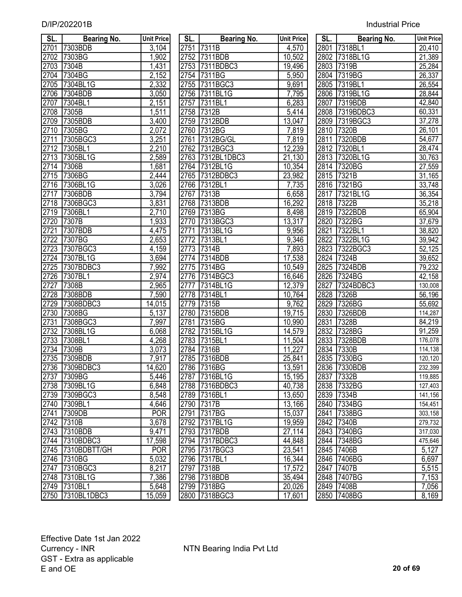| SL.  | <b>Bearing No.</b> | <b>Unit Price</b>  | SL.  | <b>Bearing No.</b> | <b>Unit Price</b> | SL.               | <b>Bearing No.</b> | <b>Unit Price</b>   |
|------|--------------------|--------------------|------|--------------------|-------------------|-------------------|--------------------|---------------------|
| 2701 | 7303BDB            | $\overline{3,}104$ | 2751 | 7311B              | 4,570             | 2801              | 7318BL1            | $\overline{20,}410$ |
| 2702 | 7303BG             | 1,902              | 2752 | 7311BDB            | 10,502            | 2802              | 7318BL1G           | 21,389              |
| 2703 | 7304B              | $\overline{1,}431$ | 2753 | 7311BDBC3          | 19,496            | 2803              | 7319B              | 25,284              |
| 2704 | 7304BG             | 2,152              |      | 2754 7311BG        | 5,950             | 2804              | 7319BG             | 26,337              |
| 2705 | 7304BL1G           | 2,332              |      | 2755 7311BGC3      | 9,691             |                   | 2805 7319BL1       | 26,554              |
| 2706 | 7304BDB            | 3,050              |      | 2756 7311BL1G      | 7,795             |                   | 2806 7319BL1G      | 28,844              |
| 2707 | 7304BL1            | 2,151              | 2757 | 7311BL1            | 6,283             | 2807              | 7319BDB            | 42,840              |
| 2708 | 7305B              | 1,511              | 2758 | 7312B              | 5,414             |                   | 2808 7319BDBC3     | 60,331              |
| 2709 | 7305BDB            | 3,400              | 2759 | 7312BDB            | 13,047            |                   | 2809 7319BGC3      | 37,278              |
| 2710 | 7305BG             | 2,072              | 2760 | 7312BG             | 7,819             | 2810              | 7320B              | 26,101              |
| 2711 | 7305BGC3           | 3,251              | 2761 | 7312BG/GL          | 7,819             | 2811              | 7320BDB            | 54,677              |
| 2712 | 7305BL1            | 2,210              | 2762 | 7312BGC3           | 12,239            | 2812              | 7320BL1            | 28,474              |
| 2713 | 7305BL1G           | 2,589              | 2763 | 7312BL1DBC3        | 21,130            | 2813              | 7320BL1G           | 30,763              |
| 2714 | 7306B              | 1,681              | 2764 | 7312BL1G           | 10,354            |                   | 2814 7320BG        | 27,559              |
| 2715 | 7306BG             | $\sqrt{2}$ ,444    | 2765 | 7312BDBC3          | 23,982            | $\overline{2815}$ | 7321B              | 31,165              |
| 2716 | 7306BL1G           | 3,026              | 2766 | 7312BL1            | 7,735             |                   | 2816 7321BG        | 33,748              |
| 2717 | 7306BDB            | 3,794              | 2767 | 7313B              | 6,658             | 2817              | 7321BL1G           | 36,354              |
| 2718 | 7306BGC3           | 3,831              |      | 2768 7313BDB       | 16,292            | 2818              | 7322B              | 35,218              |
| 2719 | 7306BL1            | 2,710              | 2769 | 7313BG             | 8,498             | 2819              | 7322BDB            | 65,904              |
| 2720 | 7307B              | 1,933              | 2770 | 7313BGC3           | 13,317            | 2820              | 7322BG             | 37,679              |
| 2721 | 7307BDB            | 4,475              | 2771 | 7313BL1G           | 9,956             | 2821              | 7322BL1            | 38,820              |
| 2722 | 7307BG             | 2,653              | 2772 | 7313BL1            | 9,346             | 2822              | 7322BL1G           | 39,942              |
| 2723 | 7307BGC3           | 4,159              | 2773 | 7314B              | 7,893             | 2823              | 7322BGC3           | 52,125              |
| 2724 | 7307BL1G           | 3,694              | 2774 | 7314BDB            | 17,538            | 2824              | 7324B              | 39,652              |
| 2725 | 7307BDBC3          | $\overline{7,992}$ | 2775 | 7314BG             | 10,549            | 2825              | 7324BDB            | 79,232              |
| 2726 | 7307BL1            | 2,974              | 2776 | 7314BGC3           | 16,646            |                   | 2826 7324BG        | 42,158              |
| 2727 | 7308B              | 2,965              | 2777 | 7314BL1G           | 12,379            | 2827              | 7324BDBC3          | 130,008             |
| 2728 | 7308BDB            | 7,590              | 2778 | 7314BL1            | 10,764            | 2828              | 7326B              | 56,196              |
| 2729 | 7308BDBC3          | 14,015             | 2779 | 7315B              | 9,762             | 2829              | 7326BG             | 55,692              |
| 2730 | 7308BG             | 5,137              | 2780 | 7315BDB            | 19,715            | 2830              | 7326BDB            | 114,287             |
| 2731 | 7308BGC3           | 7,997              | 2781 | 7315BG             | 10,990            | 2831              | 7328B              | 84,219              |
| 2732 | 7308BL1G           | 6,068              | 2782 | 7315BL1G           | 14,579            | 2832              | 7328BG             | 91,259              |
| 2733 | 7308BL1            | 4,268              | 2783 | 7315BL1            | 11,504            | 2833              | 7328BDB            | 176,078             |
| 2734 | 7309B              | 3,073              | 2784 | 7316B              | 11,227            | 2834              | 7330B              | 114,138             |
| 2735 | 7309BDB            | 7,917              | 2785 | 7316BDB            | 25,841            |                   | 2835 7330BG        | 120,120             |
|      | 2736 7309BDBC3     | 14,620             |      | 2786 7316BG        | 13,591            |                   | 2836 7330BDB       | 232,399             |
|      | 2737 7309BG        | 5,446              |      | 2787 7316BL1G      | 15,195            |                   | 2837 7332B         | 119,885             |
|      | 2738 7309BL1G      | 6,848              |      | 2788 7316BDBC3     | 40,738            |                   | 2838 7332BG        | 127,403             |
| 2739 | 7309BGC3           | 8,548              |      | 2789 7316BL1       | 13,650            |                   | 2839 7334B         | 141,156             |
| 2740 | 7309BL1            | 4,646              |      | 2790 7317B         | 13,166            |                   | 2840 7334BG        | 154,451             |
| 2741 | 7309DB             | <b>POR</b>         | 2791 | 7317BG             | 15,037            |                   | 2841 7338BG        | 303,158             |
| 2742 | 7310B              | 3,678              |      | 2792 7317BL1G      | 19,959            |                   | 2842 7340B         | 279,732             |
|      | 2743 7310BDB       | 9,471              |      | 2793 7317BDB       | 27,114            |                   | 2843 7340BG        | 317,030             |
|      | 2744 7310BDBC3     | 17,598             |      | 2794 7317BDBC3     | 44,848            |                   | 2844 7348BG        | 475,646             |
|      | 2745 7310BDBTT/GH  | <b>POR</b>         |      | 2795 7317BGC3      | 23,541            |                   | 2845 7406B         | 5,127               |
|      | 2746 7310BG        | 5,032              |      | 2796 7317BL1       | 16,344            |                   | 2846 7406BG        | 6,697               |
| 2747 | 7310BGC3           | 8,217              |      | 2797 7318B         | 17,572            |                   | 2847 7407B         | 5,515               |
|      | 2748 7310BL1G      | 7,386              |      | 2798 7318BDB       | 35,494            |                   | 2848 7407BG        | 7,153               |
|      | 2749 7310BL1       | 5,648              |      | 2799 7318BG        | 20,026            |                   | 2849 7408B         | 7,056               |
|      | 2750 7310BL1DBC3   | 15,059             |      | 2800 7318BGC3      | 17,601            |                   | 2850 7408BG        | 8,169               |

| SL.               | <b>Bearing No.</b> | <b>Unit Price</b>  | SL.  | <b>Bearing No.</b> | <b>Unit Price</b> | SL. I | <b>Bearing No.</b> | <b>Unit Pric</b>     |
|-------------------|--------------------|--------------------|------|--------------------|-------------------|-------|--------------------|----------------------|
| 2701              | 7303BDB            | 3,104              |      | 2751 7311B         | 4,570             |       | 2801 7318BL1       | $\overline{20,4}10$  |
| 2702              | 7303BG             | 1,902              |      | 2752 7311BDB       | 10,502            |       | 2802 7318BL1G      | 21,389               |
| $\frac{1}{2703}$  | 7304B              | 1,431              |      | 2753 7311BDBC3     | 19,496            |       | 2803 7319B         | 25,284               |
|                   | 2704 7304BG        | 2,152              |      | 2754 7311BG        | 5,950             |       | 2804 7319BG        | 26,337               |
|                   | 2705 7304BL1G      | 2,332              |      | 2755 7311BGC3      | 9,691             |       | 2805 7319BL1       | 26,554               |
| 2706              | 7304BDB            | 3,050              |      | 2756 7311BL1G      | 7,795             |       | 2806 7319BL1G      | 28,844               |
| $\overline{2707}$ | 7304BL1            | 2,151              |      | 2757 7311BL1       | 6,283             |       | 2807 7319BDB       | 42,840               |
| 2708              | 7305B              | 1,511              |      | 2758 7312B         | 5,414             |       | 2808 7319BDBC3     | 60,331               |
| 2709              | 7305BDB            | 3,400              |      | 2759 7312BDB       | 13,047            |       | 2809 7319BGC3      | 37,278               |
| 2710              | 7305BG             | 2,072              |      | 2760 7312BG        | 7,819             |       | 2810 7320B         | 26,101               |
| 2711              | 7305BGC3           | 3,251              |      | 2761 7312BG/GL     | 7,819             |       | 2811 7320BDB       | 54,677               |
| 2712              | 7305BL1            | 2,210              |      | 2762 7312BGC3      | 12,239            |       | 2812 7320BL1       | 28,474               |
| 2713              | 7305BL1G           | 2,589              |      | 2763 7312BL1DBC3   | 21,130            |       | 2813 7320BL1G      | 30,763               |
|                   | 2714 7306B         | 1,681              |      | 2764 7312BL1G      | 10,354            |       | 2814 7320BG        | 27,559               |
| 2715              | 7306BG             | 2,444              |      | 2765 7312BDBC3     | 23,982            |       | 2815 7321B         | 31,165               |
| 2716              | 7306BL1G           | 3,026              |      | 2766 7312BL1       | 7,735             |       | 2816 7321BG        | 33,748               |
| 2717              | 7306BDB            | 3,794              |      | 2767 7313B         | 6,658             |       | 2817 7321BL1G      | 36,354               |
| 2718              | 7306BGC3           | 3,831              |      | 2768 7313BDB       | 16,292            |       | 2818 7322B         | 35,218               |
| 2719              | 7306BL1            | 2,710              |      | 2769 7313BG        | 8,498             |       | 2819 7322BDB       | 65,904               |
| 2720              | 7307B              | 1,933              |      | 2770 7313BGC3      | 13,317            |       | 2820 7322BG        | 37,679               |
| 2721              | 7307BDB            | 4,475              |      | 2771 7313BL1G      | 9,956             |       | 2821 7322BL1       | 38,820               |
| 2722              | 7307BG             | 2,653              |      | 2772 7313BL1       | 9,346             | 2822  | 7322BL1G           | 39,942               |
| 2723              | 7307BGC3           | 4,159              |      | 2773 7314B         | 7,893             |       | 2823 7322BGC3      | 52,125               |
| 2724              | 7307BL1G           | 3,694              |      | 2774 7314BDB       | 17,538            |       | 2824 7324B         | 39,652               |
| 2725              | 7307BDBC3          | 7,992              |      | 2775 7314BG        | 10,549            |       | 2825 7324BDB       | 79,232               |
| 2726              | 7307BL1            | 2,974              |      | 2776 7314BGC3      | 16,646            |       | 2826 7324BG        | 42,158               |
| 2727              | 7308B              | 2,965              | 2777 | 7314BL1G           | 12,379            | 2827  | 7324BDBC3          | 130,008              |
| 2728              | 7308BDB            | 7,590              |      | 2778 7314BL1       | 10,764            |       | 2828 7326B         | $\overline{56, 196}$ |
| 2729              | 7308BDBC3          | 14,015             |      | 2779 7315B         | 9,762             |       | 2829 7326BG        | 55,692               |
| 2730              | 7308BG             | 5,137              |      | 2780 7315BDB       | 19,715            |       | 2830 7326BDB       | 114,287              |
| 2731              | 7308BGC3           | 7,997              |      | 2781 7315BG        | 10,990            | 2831  | 7328B              | 84,219               |
| 2732              | 7308BL1G           | 6,068              |      | 2782 7315BL1G      | 14,579            |       | 2832 7328BG        | 91,259               |
| 2733              | 7308BL1            | 4,268              |      | 2783 7315BL1       | 11,504            |       | 2833 7328BDB       | 176,078              |
| 2734              | 7309B              | $\overline{3,073}$ |      | 2784 7316B         | 11,227            |       | 2834 7330B         | 114,138              |
| 2735              | 7309BDB            | 7,917              | 2785 | <b>7316BDB</b>     | 25,841            | 2835  | 7330BG             | 120,120              |
|                   | 2736 7309BDBC3     | 14,620             |      | 2786 7316BG        | 13,591            |       | 2836 7330BDB       | 232,399              |
|                   | 2737  7309BG       | 5,446              |      | 2787 7316BL1G      | 15,195            |       | 2837 7332B         | 119,885              |
|                   | 2738 7309BL1G      | 6,848              |      | 2788 7316BDBC3     | 40,738            |       | 2838 7332BG        | 127,403              |
|                   | 2739 7309BGC3      |                    |      | 2789 7316BL1       |                   |       |                    | 141,156              |
|                   | 2740 7309BL1       | 8,548              |      |                    | 13,650            |       | 2839 7334B         | 154,451              |
|                   | 2741 7309DB        | 4,646              |      | 2790 7317B         | 13,166            |       | 2840 7334BG        | 303,158              |
|                   |                    | <b>POR</b>         |      | 2791 7317BG        | 15,037            |       | 2841 7338BG        |                      |
|                   | 2742 7310B         | 3,678              |      | 2792 7317BL1G      | 19,959            |       | 2842 7340B         | 279,732              |
|                   | 2743 7310BDB       | 9,471              |      | 2793 7317BDB       | 27,114            |       | 2843 7340BG        | 317,030              |
|                   | 2744 7310BDBC3     | 17,598             |      | 2794 7317BDBC3     | 44,848            |       | 2844 7348BG        | 475,646              |
|                   | 2745 7310BDBTT/GH  | <b>POR</b>         |      | 2795 7317BGC3      | 23,541            |       | 2845 7406B         | 5,127                |
|                   | 2746 7310BG        | 5,032              |      | 2796 7317BL1       | 16,344            |       | 2846 7406BG        | 6,697                |
|                   | 2747 7310BGC3      | 8,217              |      | 2797 7318B         | 17,572            |       | 2847 7407B         | 5,515                |
|                   | 2748 7310BL1G      | 7,386              |      | 2798 7318BDB       | 35,494            |       | 2848 7407BG        | 7,153                |
|                   | 2749 7310BL1       | 5,648              |      | 2799 7318BG        | 20,026            |       | 2849 7408B         | 7,056                |
|                   | 2750 7310BL1DBC3   | 15,059             |      | 2800 7318BGC3      | 17,601            |       | 2850 7408BG        | 8,169                |

| SL.               | <b>Bearing No.</b> | <b>Unit Price</b>   |
|-------------------|--------------------|---------------------|
|                   | 2801 7318BL1       | 20,410              |
|                   | 2802 7318BL1G      | 21,389              |
| 2803              | 7319B              | 25,284              |
| 2804              | 7319BG             | 26,337              |
| 2805              | 7319BL1            | 26,554              |
| 2806              | 7319BL1G           | 28,844              |
| 2807              | 7319BDB            | 42,840              |
| 2808              | 7319BDBC3          | 60,331              |
| 2809              | 7319BGC3           | 37,278              |
| 2810              | 7320B              | 26,101              |
| $\overline{281}1$ | 7320BDB            | 54,677              |
| 2812              | 7320BL1            | 28,474              |
| 2813              | 7320BL1G           | 30,763              |
| 2814              | 7320BG             | 27,559              |
| $\overline{28}15$ | 7321B              | 31,165              |
| $\overline{2}816$ | 7321BG             | 33,748              |
| 2817              | 7321BL1G           | 36,354              |
| $\overline{28}18$ | 7322B              | 35,218              |
| 2819              | 7322BDB            | 65,904              |
| 2820              | 7322BG             | 37,679              |
| 2821              | 7322BL1            | 38,820              |
| 2822              | 7322BL1G           | 39,942              |
| 2823              | 7322BGC3           | $\overline{52,125}$ |
| 2824              | 7324B              | 39,652              |
| 2825              | 7324BDB            | 79,232              |
| 2826              | 7324BG             | 42,158              |
| 2827              | 7324BDBC3          | 130,008             |
| 2828              | 7326B              | 56,196              |
| $\frac{2829}{ }$  | 7326BG             | 55,692              |
| 2830              | 7326BDB            | 114,287             |
| 2831              | 7328B              | 84,219              |
| 2832              | 7328BG             | 91,259              |
|                   | 2833 7328BDB       | 176,078             |
| $283\overline{4}$ | 7330B              | 114,138             |
| 2835              | 7330BG             | 120,120             |
| 2836              | 7330BDB            | 232,399             |
| 2837              | 7332B              | 119,885             |
| 2838              | 7332BG             | 127,403             |
| 2839              | 7334B              | 141,156             |
| 2840              | 7334BG             | 154,451             |
| 2841              | 7338BG             | 303,158             |
| 2842              | 7340B              | 279,732             |
| 2843              | 7340BG             | 317,030             |
| 2844              | 7348BG             | 475,646             |
| 2845              | 7406B              | 5,127               |
| 2846              | 7406BG             | 6,697               |
| 2847              | 7407B              | 5,515               |
| 2848              | 7407BG             | 7,153               |
| 2849              | 7408B              | 7,056               |
| 2850              | 7408BG             | 8,169               |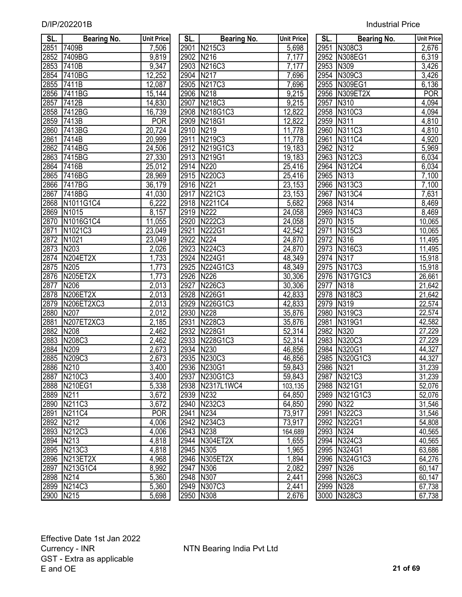| SL.       | Bearing No.       | <b>Unit Price</b> | SL.       | <b>Bearing No.</b>               | <b>Unit Price</b> | SL.  | <b>Bearing No.</b> | <b>Unit Price</b> |
|-----------|-------------------|-------------------|-----------|----------------------------------|-------------------|------|--------------------|-------------------|
| 2851      | 7409B             | 7,506             | 2901      | N215C3                           | 5,698             |      | 2951 N308C3        | 2,676             |
| 2852      | 7409BG            | 9,819             | 2902      | N216                             | 7,177             |      | 2952 N308EG1       | 6,319             |
| 2853      | 7410B             | 9,347             |           | 2903 N216C3                      | 7,177             |      | 2953 N309          | 3,426             |
| 2854      | 7410BG            | 12,252            | 2904      | N217                             | 7,696             |      | 2954 N309C3        | 3,426             |
| 2855      | 7411B             | 12,087            | 2905      | N217C3                           | 7,696             |      | 2955 N309EG1       | 6,136             |
| 2856      | 7411BG            | 15,144            | 2906      | N218                             | 9,215             |      | 2956 N309ET2X      | <b>POR</b>        |
| 2857      | 7412B             | 14,830            | 2907      | N218C3                           | 9,215             | 2957 | N310               | 4,094             |
| 2858      | 7412BG            | 16,739            |           | 2908 N218G1C3                    | 12,822            |      | 2958 N310C3        | 4,094             |
| 2859      | 7413B             | <b>POR</b>        | 2909      | N218G1                           | 12,822            | 2959 | N311               | 4,810             |
| 2860      | 7413BG            | 20,724            | 2910      | N219                             | 11,778            |      | 2960 N311C3        | 4,810             |
| 2861      | 7414B             | 20,999            | 2911      | N219C3                           | 11,778            | 2961 | N311C4             | 4,920             |
| 2862      | 7414BG            | 24,506            |           | 2912 N219G1C3                    | 19,183            | 2962 | N312               | 5,969             |
| 2863      | 7415BG            | 27,330            |           | 2913 N219G1                      | 19,183            | 2963 | N312C3             | 6,034             |
| 2864      | 7416B             | 25,012            | 2914      | N220                             | 25,416            |      | 2964 N312C4        | 6,034             |
| 2865      | 7416BG            | 28,969            |           | 2915 N220C3                      | 25,416            | 2965 | N313               | 7,100             |
| 2866      | 7417BG            | 36,179            | 2916      | N221                             | 23,153            |      | 2966 N313C3        | 7,100             |
| 2867      | 7418BG            | 41,030            | 2917      | N221C3                           | 23,153            | 2967 | N313C4             | 7,631             |
| 2868      | N1011G1C4         | 6,222             |           | 2918 N2211C4                     | 5,682             | 2968 | N314               | 8,469             |
| 2869      | N1015             | 8,157             | 2919      | <b>N222</b>                      | 24,058            | 2969 | N314C3             | 8,469             |
| 2870      | N1016G1C4         | 11,055            | 2920      | N222C3                           | 24,058            | 2970 | N315               | 10,065            |
| 2871      | N1021C3           | 23,049            | 2921      | N222G1                           | 42,542            | 2971 | N315C3             | 10,065            |
| 2872      | N <sub>1021</sub> | 23,049            | 2922      | N <sub>224</sub>                 | 24,870            | 2972 | N316               | 11,495            |
| 2873      | N <sub>20</sub> 3 | 2,026             |           | 2923 N224C3                      | 24,870            | 2973 | N316C3             | 11,495            |
| 2874      | N204ET2X          | 1,733             | 2924      | <b>N224G1</b>                    | 48,349            |      | 2974 N317          | 15,918            |
| 2875      | N205              | 1,773             | 2925      | N224G1C3                         | 48,349            |      | 2975 N317C3        | 15,918            |
| 2876      | <b>N205ET2X</b>   | 1,773             | 2926      | N226                             | 30,306            |      | 2976 N317G1C3      | 26,661            |
| 2877      | N206              | 2,013             | 2927      | N226C3                           | 30,306            | 2977 | N318               | 21,642            |
| 2878      | <b>N206ET2X</b>   | 2,013             | 2928      | N226G1                           | 42,833            | 2978 | N318C3             | 21,642            |
| 2879      | N206ET2XC3        | 2,013             | 2929      | N226G1C3                         | 42,833            | 2979 | N319               | 22,574            |
| 2880      | N207              | 2,012             | 2930      | N228                             | 35,876            | 2980 | N319C3             | 22,574            |
| 2881      | N207ET2XC3        | 2,185             | 2931      | N228C3                           | 35,876            | 2981 | N319G1             |                   |
| 2882      | N208              | 2,462             | 2932      | N228G1                           | 52,314            | 2982 | N320               | 42,582<br>27,229  |
| 2883      | N208C3            | $\sqrt{2,462}$    | 2933      | N228G1C3                         | 52,314            | 2983 | N320C3             | 27,229            |
| 2884      | N209              | 2,673             | 2934      | N230                             | 46,856            | 2984 | N320G1             |                   |
| 2885      | N209C3            | 2,673             | 2935      | N230C3                           | 46,856            |      | 2985 N320G1C3      | 44,327<br>44,327  |
| 2886 N210 |                   | 3,400             |           | 2936 N230G1                      | 59,843            |      | 2986 N321          | 31,239            |
|           | 2887 N210C3       |                   |           |                                  |                   |      | 2987 N321C3        |                   |
| 2888      | N210EG1           | 3,400<br>5,338    |           | 2937 N230G1C3<br>2938 N2317L1WC4 | 59,843            |      | 2988 N321G1        | 31,239<br>52,076  |
|           |                   |                   |           |                                  | 103,135           |      |                    |                   |
| 2889      | N211              | 3,672             | 2939      | N232                             | 64,850            |      | 2989 N321G1C3      | 52,076            |
|           | 2890 N211C3       | 3,672             | 2940      | N232C3                           | 64,850            |      | 2990 N322          | 31,546            |
| 2891      | N211C4            | <b>POR</b>        | 2941      | N234                             | 73,917            |      | 2991 N322C3        | 31,546            |
| 2892      | N <sub>2</sub> 12 | 4,006             |           | 2942 N234C3                      | 73,917            |      | 2992 N322G1        | 54,808            |
|           | 2893 N212C3       | 4,006             | 2943 N238 |                                  | 164,689           |      | 2993 N324          | 40,565            |
| 2894 N213 |                   | 4,818             | 2944      | N304ET2X                         | 1,655             |      | 2994 N324C3        | 40,565            |
|           | 2895 N213C3       | 4,818             | 2945 N305 |                                  | 1,965             |      | 2995 N324G1        | 63,686            |
|           | 2896 N213ET2X     | 4,968             |           | 2946 N305ET2X                    | 1,894             |      | 2996 N324G1C3      | 64,276            |
| 2897      | N213G1C4          | 8,992             | 2947      | N306                             | 2,082             |      | 2997 N326          | 60,147            |
| 2898 N214 |                   | 5,360             | 2948 N307 |                                  | 2,441             |      | 2998 N326C3        | 60,147            |
|           | 2899 N214C3       | 5,360             |           | 2949 N307C3                      | 2,441             |      | 2999 N328          | 67,738            |
| 2900 N215 |                   | 5,698             | 2950 N308 |                                  | 2,676             |      | 3000 N328C3        | 67,738            |

| 2851 | <b>Bearing No.</b><br>7409B | $\overline{7,506}$  |           | <b>Bearing No.</b> |                     |           | <b>Bearing No.</b> |                     |
|------|-----------------------------|---------------------|-----------|--------------------|---------------------|-----------|--------------------|---------------------|
|      |                             |                     |           | 2901 N215C3        | 5,698               |           | 2951 N308C3        | 2,676               |
| 2852 | 7409BG                      | 9,819               | 2902      | N216               | 7,177               | 2952      | N308EG1            | 6,319               |
| 2853 | 7410B                       | 9,347               | 2903      | N216C3             | 7,177               | 2953      | N309               | 3,426               |
| 2854 | 7410BG                      | 12,252              | 2904      | N217               | 7,696               | 2954      | N309C3             | 3,426               |
| 2855 | 7411B                       | 12,087              | 2905      | N217C3             | 7,696               | 2955      | N309EG1            | 6,136               |
| 2856 | 7411BG                      | 15,144              | 2906      | N218               | 9,215               | 2956      | N309ET2X           | <b>POR</b>          |
| 2857 | 7412B                       | 14,830              | 2907      | N218C3             | 9,215               | 2957      | N310               | 4,094               |
| 2858 | 7412BG                      | 16,739              | 2908      | N218G1C3           | 12,822              | 2958      | N310C3             | 4,094               |
| 2859 | 7413B                       | <b>POR</b>          |           | 2909 N218G1        | 12,822              | 2959      | N311               | 4,810               |
| 2860 | 7413BG                      | 20,724              | 2910 N219 |                    | 11,778              | 2960      | N311C3             | 4,810               |
| 2861 | 7414B                       | 20,999              | 2911      | N219C3             | 11,778              | 2961      | N311C4             | 4,920               |
| 2862 | 7414BG                      | 24,506              |           | 2912 N219G1C3      | 19,183              | 2962      | N312               | 5,969               |
| 2863 | 7415BG                      | 27,330              |           | 2913 N219G1        | 19,183              | 2963      | N312C3             | 6,034               |
| 2864 | 7416B                       | 25,012              | 2914 N220 |                    | 25,416              | 2964      | N312C4             | 6,034               |
| 2865 | 7416BG                      | 28,969              |           | 2915 N220C3        | 25,416              | 2965      | N313               | 7,100               |
| 2866 | <b>7417BG</b>               | 36,179              | 2916 N221 |                    | 23,153              |           | 2966 N313C3        | 7,100               |
| 2867 | 7418BG                      | 41,030              | 2917      | N221C3             | 23,153              | 2967      | N313C4             | 7,631               |
| 2868 | N1011G1C4                   | 6,222               |           | 2918 N2211C4       | 5,682               | 2968 N314 |                    | 8,469               |
| 2869 | N1015                       | 8,157               | 2919 N222 |                    | $\overline{2}4,058$ |           | 2969 N314C3        | 8,469               |
| 2870 | N1016G1C4                   | $\overline{11,055}$ |           | 2920 N222C3        | 24,058              | 2970      | N315               | 10,065              |
| 2871 | N1021C3                     | $\overline{2}3,049$ | 2921      | N222G1             | 42,542              | 2971      | N315C3             | 10,065              |
| 2872 | N1021                       | 23,049              | 2922      | N224               | 24,870              | 2972 N316 |                    | 11,495              |
| 2873 | N203                        | 2,026               |           | 2923 N224C3        | 24,870              |           | 2973 N316C3        | 11,495              |
| 2874 | N204ET2X                    | 1,733               |           | 2924 N224G1        | 48,349              | 2974 N317 |                    | 15,918              |
| 2875 | N205                        | 1,773               | 2925      | N224G1C3           | 48,349              | 2975      | N317C3             | 15,918              |
| 2876 | <b>N205ET2X</b>             | 1,773               | 2926 N226 |                    | 30,306              |           | 2976 N317G1C3      | 26,661              |
| 2877 | N206                        | 2,013               | 2927      | N226C3             | 30,306              | 2977      | N318               | $\overline{2}1,642$ |
| 2878 | <b>N206ET2X</b>             | 2,013               |           | 2928 N226G1        | 42,833              | 2978      | N318C3             | 21,642              |
| 2879 | N206ET2XC3                  | 2,013               |           | 2929 N226G1C3      | 42,833              | 2979      | N319               | 22,574              |
| 2880 | N207                        | 2,012               | 2930      | N228               | 35,876              | 2980      | N319C3             | 22,574              |
| 2881 | N207ET2XC3                  | 2,185               | 2931      | N228C3             | 35,876              | 2981      | N319G1             | 42,582              |
| 2882 | N208                        | 2,462               |           | 2932 N228G1        | 52,314              | 2982      | N320               | 27,229              |
| 2883 | N208C3                      | 2,462               | 2933      | N228G1C3           | 52,314              | 2983      | N320C3             | 27,229              |
| 2884 | N209                        | 2,673               | 2934      | N230               | 46,856              | 2984      | N320G1             | 44,327              |
| 2885 | N209C3                      | 2,673               |           | 2935 N230C3        | 46,856              |           | 2985 N320G1C3      | 44,327              |
|      | 2886 N210                   | 3,400               |           | 2936 N230G1        | 59,843              | 2986 N321 |                    | 31,239              |
| 2887 | N210C3                      | 3,400               |           | 2937 N230G1C3      | 59,843              |           | 2987 N321C3        | 31,239              |
| 2888 | <b>N210EG1</b>              | 5,338               |           | 2938 N2317L1WC4    | 103,135             |           | 2988 N321G1        | 52,076              |
| 2889 | N211                        | 3,672               | 2939 N232 |                    | 64,850              |           | 2989 N321G1C3      | 52,076              |
| 2890 | N211C3                      | 3,672               |           | 2940 N232C3        | 64,850              | 2990 N322 |                    | 31,546              |
| 2891 | N211C4                      | <b>POR</b>          | 2941 N234 |                    | 73,917              |           | 2991 N322C3        | 31,546              |
| 2892 | N212                        | 4,006               |           | 2942 N234C3        | 73,917              |           | 2992 N322G1        | 54,808              |
| 2893 | N212C3                      | 4,006               | 2943 N238 |                    | 164,689             | 2993 N324 |                    | 40,565              |
| 2894 | N213                        | 4,818               |           | 2944 N304ET2X      | 1,655               |           | 2994 N324C3        | 40,565              |
| 2895 | N213C3                      | 4,818               | 2945 N305 |                    | 1,965               |           | 2995 N324G1        | 63,686              |
| 2896 | N213ET2X                    | 4,968               |           | 2946 N305ET2X      | 1,894               |           | 2996 N324G1C3      | 64,276              |
| 2897 | N213G1C4                    | 8,992               | 2947 N306 |                    | 2,082               | 2997 N326 |                    | 60,147              |
| 2898 | N214                        | 5,360               | 2948 N307 |                    | 2,441               |           | 2998 N326C3        | 60,147              |
|      | 2899 N214C3                 | 5,360               |           | 2949 N307C3        | 2,441               | 2999 N328 |                    | 67,738              |
| 2900 | N215                        | 5,698               | 2950 N308 |                    | 2,676               |           | 3000 N328C3        | 67,738              |

| SL.               | Bearing No.   | <b>Unit Price</b>     |
|-------------------|---------------|-----------------------|
|                   | 2951 N308C3   | 2,676                 |
|                   | 2952 N308EG1  | 6,319                 |
|                   | 2953 N309     | 3,426                 |
|                   | 2954 N309C3   | 3,426                 |
| 2955              | N309EG1       | 6,136                 |
| 2956              | N309ET2X      | POR                   |
| 2957              | N310          | 4,094                 |
| 2958              | <b>N310C3</b> | 4,094                 |
| 2959              | N311          | 4,810                 |
| 2960              | N311C3        | 4,810                 |
| 2961              | N311C4        | 4,920                 |
| 2962              | N312          | 5,969                 |
| 2963              | N312C3        | 6,034                 |
| 2964              | <b>N312C4</b> | 6,034                 |
| 2965              | N313          |                       |
| 2966              | N313C3        | $\frac{7,100}{7,100}$ |
| 2967              | N313C4        | 7,631                 |
|                   | N314          | 8,469                 |
| 2968<br>2969      | N314C3        | 8,469                 |
| 2970              | N315          | 10,065                |
| 2971              | N315C3        | 10,065                |
| 2972              | N316          | 11,495                |
| 2973              | N316C3        | 11,495                |
| $29\overline{74}$ | N317          | 15,918                |
| $\frac{2975}{ }$  | N317C3        | 15,918                |
| 2976              | N317G1C3      | 26,661                |
| <u>2977</u>       | N318          | 21,642                |
| 2978              | N318C3        | 21,642                |
| 2979              | N319          | 22,574                |
| 2980              | N319C3        | 22,574                |
| 2981              | N319G1        | 42,582                |
| 2982              | N320          | 27,229                |
| 2983              | N320C3        | $\overline{27,229}$   |
| 2984              | N320G1        | 44,327                |
| 2985              | N320G1C3      | 44,327                |
| 2986              | N321          | 31,239                |
| 2987              | N321C3        | 31,239                |
| 2988              | N321G1        | 52,076                |
| 2989              | N321G1C3      | 52,076                |
| 2990              | N322          | 31,546                |
| 2991              | N322C3        | 31,546                |
| 2992              | N322G1        | 54,808                |
| 2993              | N324          | 40,565                |
| 2994              | N324C3        | 40,565                |
| 2995              | N324G1        | 63,686                |
| 2996              | N324G1C3      | 64,276                |
| 2997              | N326          | 60,147                |
| 2998              | N326C3        | 60,147                |
| 2999              | N328          | 67,738                |
| 3000              | N328C3        | 67,738                |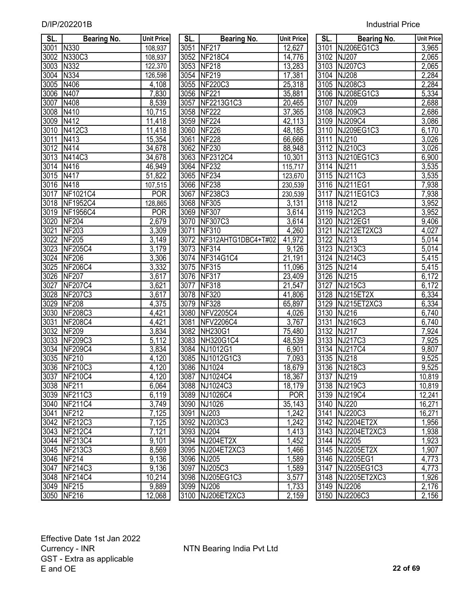| SL.  | <b>Bearing No.</b> | <b>Unit Price</b> | SL.  | <b>Bearing No.</b>       | <b>Unit Price</b> | SL. I | <b>Bearing No.</b> | Unit Price         |
|------|--------------------|-------------------|------|--------------------------|-------------------|-------|--------------------|--------------------|
| 3001 | N330               | 108,937           | 3051 | <b>NF217</b>             | 12,627            |       | 3101 NJ206EG1C3    | 3,965              |
| 3002 | N330C3             | 108,937           |      | 3052 NF218C4             | 14,776            |       | 3102 NJ207         | 2,065              |
| 3003 | N332               | 122,370           |      | 3053 NF218               | 13,283            |       | 3103 NJ207C3       | 2,065              |
| 3004 | N334               | 126,598           |      | 3054 NF219               | 17,381            |       | 3104 NJ208         | 2,284              |
| 3005 | N406               | 4,108             |      | 3055 NF220C3             | 25,318            |       | 3105 NJ208C3       | 2,284              |
| 3006 | N407               | 7,830             |      | 3056 NF221               | 35,881            |       | 3106 NJ208EG1C3    | 5,334              |
| 3007 | N408               | 8,539             | 3057 | NF2213G1C3               | 20,465            |       | 3107 NJ209         | 2,688              |
| 3008 | N410               | 10,715            |      | 3058 NF222               | 37,365            |       | 3108 NJ209C3       | 2,686              |
| 3009 | N412               | 11,418            | 3059 | <b>NF224</b>             | 42,113            |       | 3109 NJ209C4       | 3,086              |
| 3010 | N412C3             | 11,418            | 3060 | <b>NF226</b>             | 48,185            |       | 3110 NJ209EG1C3    | 6,170              |
| 3011 | N413               | 15,354            | 3061 | <b>NF228</b>             | 66,666            |       | 3111 NJ210         | 3,026              |
| 3012 | N414               | 34,678            |      | 3062 NF230               | 88,948            |       | 3112 NJ210C3       | 3,026              |
| 3013 | N414C3             | 34,678            |      | 3063 NF2312C4            | 10,301            |       | 3113 NJ210EG1C3    | 6,900              |
| 3014 | N416               | 46,949            | 3064 | <b>NF232</b>             | 115,717           |       | 3114 NJ211         | 3,535              |
| 3015 | N417               | 51,822            |      | 3065 NF234               | 123,670           |       | 3115 NJ211C3       | 3,535              |
| 3016 | N418               | 107,515           |      | 3066 NF238               | 230,539           |       | 3116 NJ211EG1      | 7,938              |
| 3017 | NF1021C4           | <b>POR</b>        | 3067 | <b>NF238C3</b>           | 230,539           |       | 3117 NJ211EG1C3    | 7,938              |
| 3018 | NF1952C4           | 128,865           | 3068 | <b>NF305</b>             | 3,131             |       | 3118 NJ212         | 3,952              |
| 3019 | <b>NF1956C4</b>    | <b>POR</b>        | 3069 | <b>NF307</b>             | 3,614             |       | 3119 NJ212C3       | 3,952              |
| 3020 | <b>NF204</b>       | 2,679             | 3070 | <b>NF307C3</b>           | 3,614             |       | 3120 NJ212EG1      | 9,406              |
| 3021 | <b>NF203</b>       | 3,309             | 3071 | <b>NF310</b>             | 4,260             | 3121  | NJ212ET2XC3        | 4,027              |
| 3022 | <b>NF205</b>       | 3,149             |      | 3072 NF312AHTG1DBC4+T#02 | 41,972            |       | 3122 NJ213         | 5,014              |
| 3023 | <b>NF205C4</b>     | 3,179             |      | 3073 NF314               | 9,126             |       | 3123 NJ213C3       | $\overline{5,01}4$ |
| 3024 | <b>NF206</b>       | 3,306             |      | 3074 NF314G1C4           | 21,191            |       | 3124 NJ214C3       | $\overline{5,415}$ |
| 3025 | <b>NF206C4</b>     | 3,332             | 3075 | NF315                    | 11,096            | 3125  | <b>NJ214</b>       | 5,415              |
| 3026 | <b>NF207</b>       | 3,617             | 3076 | <b>NF317</b>             | 23,409            |       | 3126 NJ215         | 6,172              |
| 3027 | <b>NF207C4</b>     | 3,621             | 3077 | <b>NF318</b>             | 21,547            | 3127  | NJ215C3            | 6,172              |
| 3028 | <b>NF207C3</b>     | 3,617             | 3078 | <b>NF320</b>             | 41,806            |       | 3128 NJ215ET2X     | 6,334              |
| 3029 | <b>NF208</b>       | 4,375             | 3079 | <b>NF328</b>             | 65,897            |       | 3129 NJ215ET2XC3   | 6,334              |
| 3030 | <b>NF208C3</b>     | 4,421             | 3080 | <b>NFV2205C4</b>         | 4,026             |       | 3130 NJ216         | 6,740              |
| 3031 | <b>NF208C4</b>     | 4,421             | 3081 | <b>NFV2206C4</b>         | 3,767             | 3131  | NJ216C3            | 6,740              |
| 3032 | <b>NF209</b>       | 3,834             | 3082 | <b>NH230G1</b>           | 75,480            | 3132  | <b>NJ217</b>       | 7,924              |
| 3033 | <b>NF209C3</b>     | 5,112             | 3083 | NH320G1C4                | 48,539            | 3133  | NJ217C3            | 7,925              |
| 3034 | <b>NF209C4</b>     | 3,834             | 3084 | NJ1012G1                 | 6,901             |       | 3134 NJ217C4       | 9,807              |
| 3035 | NF210              | 4,120             | 3085 | NJ1012G1C3               | 7,093             |       | 3135 NJ218         | 9,525              |
|      | 3036 NF210C3       | 4,120             |      | 3086 NJ1024              | 18,679            |       | 3136 NJ218C3       | 9,525              |
|      | 3037 NF210C4       | 4,120             |      | 3087 NJ1024C4            | 18,367            |       | 3137 NJ219         | 10,819             |
|      | 3038 NF211         | 6,064             |      | 3088 NJ1024C3            | 18,179            |       | 3138 NJ219C3       | 10,819             |
|      | 3039 NF211C3       | 6,119             |      | 3089 NJ1026C4            | <b>POR</b>        |       | 3139 NJ219C4       | 12,241             |
| 3040 | NF211C4            | 3,749             |      | 3090 NJ1026              | 35,143            |       | 3140 NJ220         | 16,271             |
| 3041 | <b>NF212</b>       | 7,125             |      | 3091 NJ203               | 1,242             |       | 3141 NJ220C3       | 16,271             |
|      | 3042 NF212C3       | 7,125             |      | 3092 NJ203C3             | 1,242             |       | 3142 NJ2204ET2X    | 1,956              |
|      | 3043 NF212C4       | 7,121             |      | 3093 NJ204               | 1,413             |       | 3143 NJ2204ET2XC3  | 1,938              |
|      | 3044 NF213C4       | 9,101             |      | 3094 NJ204ET2X           | 1,452             |       | 3144 NJ2205        | 1,923              |
|      | 3045 NF213C3       | 8,569             |      | 3095 NJ204ET2XC3         | 1,466             |       | 3145 NJ2205ET2X    | 1,907              |
|      | 3046 NF214         | 9,136             |      | 3096 NJ205               | 1,589             |       | 3146 NJ2205EG1     | 4,773              |
| 3047 | NF214C3            | 9,136             |      | 3097 NJ205C3             | 1,589             |       | 3147 NJ2205EG1C3   | 4,773              |
|      | 3048 NF214C4       | 10,214            |      | 3098 NJ205EG1C3          | 3,577             |       | 3148 NJ2205ET2XC3  | 1,926              |
|      | 3049 NF215         | 9,889             |      | 3099 NJ206               | 1,733             |       | 3149 NJ2206        | 2,176              |
|      | 3050 NF216         | 12.068            |      | 3100 NJ206ET2XC3         | 2.159             |       | 3150 NJ2206C3      | 2.156              |

| SL.               | <b>Bearing No.</b>  | <b>Unit Price</b>       |
|-------------------|---------------------|-------------------------|
| 3051              | <b>NF217</b>        | 12,627                  |
| $305\overline{2}$ | <b>NF218C4</b>      | 14,776                  |
| 3053              | <b>NF218</b>        |                         |
| 3054              | <b>NF219</b>        | $\frac{13,283}{17,381}$ |
| 3055              | <b>NF220C3</b>      | 25,318                  |
| 3056              | <b>NF221</b>        | 35,881                  |
| 3057              | NF2213G1C3          | <u>20,465</u>           |
| 3058              | <b>NF222</b>        | <u>37,365</u>           |
| 3059              | <b>NF224</b>        | <u>42,113</u>           |
| 3060              | <b>NF226</b>        | <u>48,185</u>           |
| 3061              | <b>NF228</b>        | 66,666                  |
| 3062              | <b>NF230</b>        | 88,948                  |
| 3063              | NF2312C4            | 10,301                  |
| 3064              | <b>NF232</b>        | 115,717                 |
|                   | 3065 NF234          | 123,670                 |
|                   | 3066 NF238          | 230,539                 |
|                   | 3067 NF238C3        | 230,539                 |
| 3068              | NF305               | 3,131                   |
| 3069              | <b>NF307</b>        | 3,614                   |
| 3070              | NF307C3             | 3,614                   |
| 3071              | <b>NF310</b>        | 4,260                   |
| 3072              | NF312AHTG1DBC4+T#02 | 41,972                  |
|                   | 3073 NF314          | 9,126                   |
|                   | 3074 NF314G1C4      | $\overline{2}1,191$     |
|                   | 3075 NF315          | 11,096                  |
|                   | 3076 NF317          | 23,409                  |
|                   | 3077 NF318          | 21,547                  |
|                   | 3078 NF320          | 41,806                  |
|                   | 3079 NF328          | 65,897                  |
|                   | 3080 NFV2205C4      | 4,026                   |
|                   | 3081 NFV2206C4      | 3,767                   |
|                   | 3082 NH230G1        | 75,480                  |
|                   | 3083 NH320G1C4      | 48,539                  |
|                   | 3084 NJ1012G1       | 6,901                   |
|                   | 3085 NJ1012G1C3     | 7,093                   |
| 3086              | NJ1024              | 18,679                  |
| 3087              | NJ1024C4            | 18,367                  |
| 3088              | NJ1024C3            | 18,179                  |
| 3089              | NJ1026C4            | <b>POR</b>              |
| 3090              | NJ1026              | 35,143                  |
| 3091              | NJ203               | 1,242                   |
| 3092              | NJ203C3             | 1,242                   |
| 3093              | <b>NJ204</b>        | 1,413                   |
| 3094              | NJ204ET2X           | 1,452                   |
| 3095              | NJ204ET2XC3         | $\overline{1,}466$      |
| 3096              | <b>NJ205</b>        | 1,589                   |
| 3097              | NJ205C3             | <u>1,589</u>            |
| 3098              | NJ205EG1C3          | 3,577                   |
| 3099              | <b>NJ206</b>        | 1,733                   |
| 3100              | NJ206ET2XC3         | 2,159                   |

| SL.               | <b>Bearing No.</b> | <b>Unit Price</b> | SL.  | <b>Bearing No.</b>       | <b>Unit Price</b> | SL.  | <b>Bearing No.</b> | <b>Unit Price</b>  |
|-------------------|--------------------|-------------------|------|--------------------------|-------------------|------|--------------------|--------------------|
| 3001              | N330               | 108,937           |      | 3051 NF217               | 12,627            |      | 3101 NJ206EG1C3    | 3,965              |
| 3002              | N330C3             | 108,937           |      | 3052 NF218C4             | 14,776            |      | 3102 NJ207         | 2,065              |
| 3003              | N332               | 122,370           |      | 3053 NF218               | 13,283            |      | 3103 NJ207C3       | 2,065              |
| 3004              | N334               | 126,598           |      | 3054 NF219               | 17,381            |      | 3104 NJ208         | 2,284              |
| 3005              | N406               | 4,108             |      | 3055 NF220C3             | 25,318            |      | 3105 NJ208C3       | 2,284              |
| 3006              | N407               | 7,830             |      | 3056 NF221               | 35,881            |      | 3106 NJ208EG1C3    | 5,334              |
| $\overline{3007}$ | N408               | 8,539             |      | 3057 NF2213G1C3          | 20,465            |      | 3107 NJ209         | 2,688              |
| $\overline{3008}$ | N410               | 10,715            |      | 3058 NF222               | 37,365            |      | 3108 NJ209C3       | $\overline{2,686}$ |
| $\overline{3009}$ | N412               | 11,418            |      | 3059 NF224               | 42,113            |      | 3109 NJ209C4       | 3,086              |
| $\overline{3010}$ | N412C3             | 11,418            |      | 3060 NF226               | 48,185            |      | 3110 NJ209EG1C3    | 6,170              |
| 3011              | N413               | 15,354            |      | 3061 NF228               | 66,666            |      | 3111 NJ210         | 3,026              |
| $\overline{3012}$ | N414               | 34,678            |      | 3062 NF230               | 88,948            |      | 3112 NJ210C3       | 3,026              |
|                   | 3013 N414C3        | 34,678            |      | 3063 NF2312C4            | 10,301            |      | 3113 NJ210EG1C3    | 6,900              |
| 3014              | N416               | 46,949            |      | 3064 NF232               | 115,717           |      | 3114 NJ211         | 3,535              |
| 3015              | N417               | 51,822            |      | 3065 NF234               | 123,670           |      | 3115 NJ211C3       | 3,535              |
| $\overline{3016}$ | N418               | 107,515           |      | 3066 NF238               | 230,539           |      | 3116 NJ211EG1      | 7,938              |
|                   | 3017 NF1021C4      | <b>POR</b>        |      | 3067 NF238C3             | 230,539           |      | 3117 NJ211EG1C3    | 7,938              |
|                   | 3018 NF1952C4      | 128,865           |      | 3068 NF305               | 3,131             |      | 3118 NJ212         | 3,952              |
|                   | 3019 NF1956C4      | <b>POR</b>        |      | 3069 NF307               | 3,614             |      | 3119 NJ212C3       | 3,952              |
| 3020              | <b>NF204</b>       | 2,679             |      | 3070 NF307C3             | 3,614             |      | 3120 NJ212EG1      | 9,406              |
| 3021              | <b>NF203</b>       | 3,309             |      | 3071 NF310               | 4,260             | 3121 | NJ212ET2XC3        | 4,027              |
| 3022              | <b>NF205</b>       | 3,149             |      | 3072 NF312AHTG1DBC4+T#02 | 41,972            |      | 3122 NJ213         | 5,014              |
|                   | 3023 NF205C4       | 3,179             |      | 3073 NF314               | 9,126             |      | 3123 NJ213C3       | 5,014              |
| 3024              | <b>NF206</b>       | 3,306             |      | 3074 NF314G1C4           | 21,191            |      | 3124 NJ214C3       | 5,415              |
| $\overline{3025}$ | <b>NF206C4</b>     | 3,332             |      | 3075 NF315               | 11,096            |      | 3125 NJ214         | $\overline{5,4}15$ |
| 3026              | <b>NF207</b>       | 3,617             |      | 3076 NF317               | 23,409            |      | 3126 NJ215         | 6,172              |
| 3027              | <b>NF207C4</b>     | 3,621             | 3077 | <b>NF318</b>             | 21,547            | 3127 | NJ215C3            | 6,172              |
| 3028              | <b>NF207C3</b>     | 3,617             |      | 3078 NF320               | 41,806            | 3128 | NJ215ET2X          | 6,334              |
| 3029              | <b>NF208</b>       | 4,375             |      | 3079 NF328               | 65,897            |      | 3129 NJ215ET2XC3   | 6,334              |
| 3030              | <b>NF208C3</b>     | 4,421             | 3080 | <b>NFV2205C4</b>         | 4,026             |      | 3130 NJ216         | 6,740              |
| 3031              | <b>NF208C4</b>     | 4,421             | 3081 | <b>NFV2206C4</b>         | 3,767             | 3131 | NJ216C3            | 6,740              |
| $\overline{3032}$ | <b>NF209</b>       | 3,834             |      | 3082 NH230G1             | 75,480            |      | 3132 NJ217         | 7,924              |
| 3033              | <b>NF209C3</b>     | 5,112             | 3083 | <b>NH320G1C4</b>         | 48,539            | 3133 | NJ217C3            | 7,925              |
|                   | 3034 NF209C4       | 3,834             |      | 3084 NJ1012G1            | 6,901             |      | 3134 NJ217C4       | 9,807              |
| 3035              | <b>NF210</b>       | 4,120             |      | 3085 NJ1012G1C3          | 7,093             | 3135 | <b>NJ218</b>       | 9,525              |
|                   | 3036 NF210C3       | 4,120             |      | 3086 NJ1024              | 18,679            |      | 3136 NJ218C3       | 9,525              |
| 3037              | NF210C4            | 4,120             |      | 3087 NJ1024C4            | 18,367            |      | 3137 NJ219         | 10,819             |
|                   | 3038 NF211         | 6,064             |      | 3088 NJ1024C3            | 18,179            |      | 3138 NJ219C3       | 10,819             |
|                   | 3039 NF211C3       | 6,119             |      | 3089 NJ1026C4            | <b>POR</b>        |      | 3139 NJ219C4       | 12,241             |
| 3040              | NF211C4            | 3,749             |      | 3090 NJ1026              | 35,143            |      | 3140 NJ220         | 16,271             |
| 3041              | <b>NF212</b>       | 7,125             |      | 3091 NJ203               | 1,242             |      | 3141 NJ220C3       | 16,271             |
|                   | 3042 NF212C3       | 7,125             |      | 3092 NJ203C3             | 1,242             |      | 3142 NJ2204ET2X    | 1,956              |
|                   | 3043 NF212C4       | 7,121             |      | 3093 NJ204               | 1,413             |      | 3143 NJ2204ET2XC3  | 1,938              |
| 3044              | NF213C4            | 9,101             |      | 3094 NJ204ET2X           | 1,452             |      | 3144 NJ2205        | 1,923              |
| 3045              | <b>NF213C3</b>     | 8,569             |      | 3095 NJ204ET2XC3         | 1,466             |      | 3145 NJ2205ET2X    | 1,907              |
|                   | 3046 NF214         | 9,136             |      | 3096 NJ205               | 1,589             |      | 3146 NJ2205EG1     | 4,773              |
| 3047              | <b>NF214C3</b>     | 9,136             |      | 3097 NJ205C3             | 1,589             |      | 3147 NJ2205EG1C3   | 4,773              |
|                   | 3048 NF214C4       | 10,214            |      | 3098 NJ205EG1C3          | 3,577             |      | 3148 NJ2205ET2XC3  | 1,926              |
|                   | 3049 NF215         | 9,889             |      | 3099 NJ206               | 1,733             |      | 3149 NJ2206        | 2,176              |
|                   | 3050 NF216         | 12,068            |      | 3100 NJ206ET2XC3         | 2,159             |      | 3150 NJ2206C3      | 2,156              |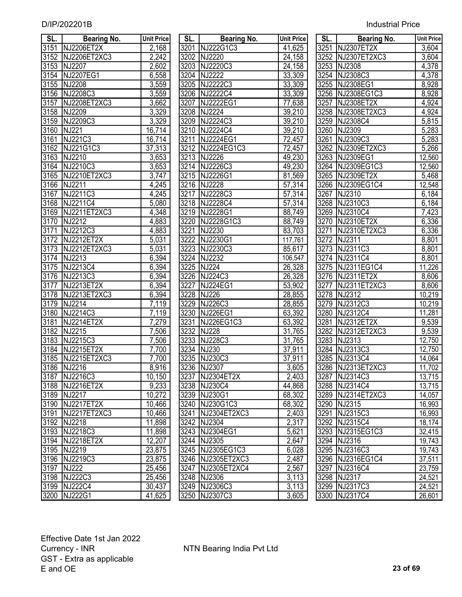| <b>Industrial Price</b> |
|-------------------------|
|                         |

| SL.  | <b>Bearing No.</b> | <b>Unit Price</b>   | SL.  | <b>Bearing No.</b>  | <b>Unit Price</b> | SL. I             | <b>Bearing No.</b> | <b>Unit Pric</b> |
|------|--------------------|---------------------|------|---------------------|-------------------|-------------------|--------------------|------------------|
| 3151 | NJ2206ET2X         | 2,168               | 3201 | NJ222G1C3           | 41,625            | 3251              | NJ2307ET2X         | 3,604            |
| 3152 | NJ2206ET2XC3       | 2,242               | 3202 | NJ2220              | 24,158            | 3252              | NJ2307ET2XC3       | 3,604            |
| 3153 | NJ2207             | $\overline{2,602}$  | 3203 | NJ2220C3            | 24,158            | 3253              | NJ2308             | 4,378            |
| 3154 | NJ2207EG1          | 6,558               | 3204 | NJ2222              | 33,309            |                   | 3254 NJ2308C3      | 4,378            |
| 3155 | NJ2208             | 3,559               |      | 3205 NJ2222C3       | 33,309            |                   | 3255 NJ2308EG1     | 8,928            |
| 3156 | NJ2208C3           | 3,559               |      | 3206 NJ2222C4       | 33,309            |                   | 3256 NJ2308EG1C3   | 8,928            |
| 3157 | NJ2208ET2XC3       | 3,662               | 3207 | NJ2222EG1           | 77,638            | 3257              | NJ2308ET2X         | 4,924            |
|      | 3158 NJ2209        | 3,329               |      | 3208 NJ2224         | 39,210            |                   | 3258 NJ2308ET2XC3  | 4,924            |
| 3159 | NJ2209C3           | 3,329               |      | 3209 NJ2224C3       | 39,210            |                   | 3259 NJ2308C4      | 5,815            |
| 3160 | NJ221              | $\overline{16,714}$ | 3210 | NJ2224C4            | 39,210            |                   | 3260 NJ2309        | 5,283            |
| 3161 | NJ221C3            | 16,714              | 3211 | NJ2224EG1           | 72,457            | 3261              | NJ2309C3           | 5,283            |
| 3162 | NJ221G1C3          | 37,313              |      | 3212 NJ2224EG1C3    | 72,457            |                   | 3262 NJ2309ET2XC3  | 5,266            |
| 3163 | NJ2210             | 3,653               |      | 3213 NJ2226         | 49,230            |                   | 3263 NJ2309EG1     | 12,560           |
| 3164 | NJ2210C3           | 3,653               |      | 3214 NJ2226C3       | 49,230            |                   | 3264 NJ2309EG1C3   | 12,560           |
| 3165 | NJ2210ET2XC3       | 3,747               |      | 3215 NJ2226G1       | 81,569            |                   | 3265 NJ2309ET2X    | 5,468            |
| 3166 | NJ2211             | 4,245               | 3216 | <b>NJ2228</b>       | 57,314            |                   | 3266 NJ2309EG1C4   | 12,548           |
| 3167 | NJ2211C3           | 4,245               | 3217 | NJ2228C3            | 57,314            |                   | 3267 NJ2310        | 6,184            |
| 3168 | NJ2211C4           | $\frac{1}{5,080}$   |      | 3218 NJ2228C4       | 57,314            |                   | 3268 NJ2310C3      | 6,184            |
| 3169 | NJ2211ET2XC3       | 4,348               |      | 3219 NJ2228G1       | 88,749            |                   | 3269 NJ2310C4      | 7,423            |
| 3170 | NJ2212             | 4,883               | 3220 | NJ2228G1C3          | 88,749            | 3270              | NJ2310ET2X         | 6,336            |
| 3171 | NJ2212C3           | 4,883               | 3221 | NJ2230              | 83,703            | 3271              | NJ2310ET2XC3       | 6,336            |
| 3172 | NJ2212ET2X         | 5,031               | 3222 | NJ2230G1            | 117,761           | 3272              | NJ2311             | 8,801            |
| 3173 | NJ2212ET2XC3       | 5,031               | 3223 | NJ2230C3            | 85,617            |                   | 3273 NJ2311C3      | 8,801            |
| 3174 | NJ2213             | 6,394               | 3224 | <b>NJ2232</b>       | 106,547           | 3274              | NJ2311C4           | 8,801            |
| 3175 | NJ2213C4           | 6,394               | 3225 | <b>NJ224</b>        | 26,328            | 3275              | NJ2311EG1C4        | 11,226           |
| 3176 | NJ2213C3           | 6,394               | 3226 | NJ224C3             | 26,328            | 3276              | NJ2311ET2X         | 8,606            |
| 3177 | NJ2213ET2X         | 6,394               | 3227 | <b>NJ224EG1</b>     | 53,902            | $\overline{3277}$ | NJ2311ET2XC3       | 8,606            |
| 3178 | NJ2213ET2XC3       | 6,394               | 3228 | <b>NJ226</b>        | 28,855            | 3278              | NJ2312             | 10,219           |
| 3179 | NJ2214             | 7,119               | 3229 | <b>NJ226C3</b>      | 28,855            | 3279              | NJ2312C3           | 10,219           |
| 3180 | NJ2214C3           | 7,119               | 3230 | <b>NJ226EG1</b>     | 63,392            | 3280              | NJ2312C4           | 11,281           |
| 3181 | NJ2214ET2X         | 7,279               | 3231 | NJ226EG1C3          | 63,392            | 3281              | NJ2312ET2X         | 9,539            |
| 3182 | NJ2215             | 7,506               | 3232 | <b>NJ228</b>        | 31,765            |                   | 3282 NJ2312ET2XC3  | 9,539            |
| 3183 | NJ2215C3           | 7,506               | 3233 | <b>NJ228C3</b>      | 31,765            |                   | 3283 NJ2313        | 12,750           |
| 3184 | NJ2215ET2X         | 7,700               | 3234 | $\overline{N}$ J230 | 37,911            |                   | 3284 NJ2313C3      | 12,750           |
| 3185 | NJ2215ET2XC3       | 7,700               | 3235 | NJ230C3             | 37,911            | 3285              | NJ2313C4           | 14,064           |
|      | 3186 NJ2216        | 8,916               |      | 3236 NJ2307         | 3,605             |                   | 3286 NJ2313ET2XC3  | 11,702           |
|      | 3187 NJ2216C3      |                     |      | 3237 NJ2304ET2X     | 2,403             |                   | 3287 NJ2314C3      |                  |
|      | 3188 NJ2216ET2X    | 10,150              |      |                     |                   |                   | 3288 NJ2314C4      | 13,715           |
|      |                    | 9,233               |      | 3238 NJ230C4        | 44,868            |                   |                    | 13,715           |
|      | 3189 NJ2217        | 10,272              |      | 3239 NJ230G1        | 68,302            |                   | 3289 NJ2314ET2XC3  | 14,057           |
| 3190 | NJ2217ET2X         | 10,466              |      | 3240 NJ230G1C3      | 68,302            |                   | 3290 NJ2315        | 16,993           |
| 3191 | NJ2217ET2XC3       | 10,466              |      | 3241 NJ2304ET2XC3   | 2,403             |                   | 3291 NJ2315C3      | 16,993           |
|      | 3192 NJ2218        | 11,898              |      | 3242 NJ2304         | 2,317             |                   | 3292 NJ2315C4      | 18,174           |
|      | 3193 NJ2218C3      | 11,898              |      | 3243 NJ2304EG1      | 5,621             |                   | 3293 NJ2315EG1C3   | 32,415           |
|      | 3194 NJ2218ET2X    | 12,207              |      | 3244 NJ2305         | 2,647             |                   | 3294 NJ2316        | 19,743           |
|      | 3195 NJ2219        | 23,875              |      | 3245 NJ2305EG1C3    | 6,028             |                   | 3295 NJ2316C3      | 19,743           |
|      | 3196 NJ2219C3      | 23,875              |      | 3246 NJ2305ET2XC3   | 2,487             |                   | 3296 NJ2316EG1C4   | 37,511           |
|      | 3197 NJ222         | 25,456              |      | 3247 NJ2305ET2XC4   | 2,567             |                   | 3297 NJ2316C4      | 23,759           |
|      | 3198 NJ222C3       | 25,456              |      | 3248 NJ2306         | 3,113             |                   | 3298 NJ2317        | 24,521           |
|      | 3199 NJ222C4       | 30,437              |      | 3249 NJ2306C3       | 3,113             |                   | 3299 NJ2317C3      | 24,521           |
|      | 3200 NJ222G1       | 41.625              |      | 3250 NJ2307C3       | 3.605             |                   | 3300 NJ2317C4      | 26.601           |

| SL.  | <b>Bearing No.</b> | <b>Unit Price</b>  | SL.  | <b>Bearing No.</b> | <b>Unit Price</b>    | SL.  | <b>Bearing No.</b> | <b>Unit Pric</b>   |
|------|--------------------|--------------------|------|--------------------|----------------------|------|--------------------|--------------------|
| 3151 | <b>NJ2206ET2X</b>  | 2,168              |      | 3201 NJ222G1C3     | 41,625               |      | 3251 NJ2307ET2X    | 3,604              |
| 3152 | NJ2206ET2XC3       | 2,242              |      | 3202 NJ2220        | $\overline{2}$ 4,158 |      | 3252 NJ2307ET2XC3  | 3,604              |
| 3153 | NJ2207             | 2,602              |      | 3203 NJ2220C3      | $\overline{2}4, 158$ |      | 3253 NJ2308        | 4,378              |
| 3154 | <b>NJ2207EG1</b>   | 6,558              | 3204 | <b>NJ2222</b>      | 33,309               |      | 3254 NJ2308C3      | 4,378              |
| 3155 | NJ2208             | 3,559              | 3205 | NJ2222C3           | 33,309               | 3255 | NJ2308EG1          | 8,928              |
| 3156 | NJ2208C3           | 3,559              | 3206 | NJ2222C4           | 33,309               | 3256 | NJ2308EG1C3        | 8,928              |
| 3157 | NJ2208ET2XC3       | 3,662              | 3207 | NJ2222EG1          | 77,638               | 3257 | NJ2308ET2X         | 4,924              |
| 3158 | NJ2209             | 3,329              | 3208 | <b>NJ2224</b>      | 39,210               | 3258 | NJ2308ET2XC3       | 4,924              |
| 3159 | NJ2209C3           | 3,329              | 3209 | NJ2224C3           | 39,210               | 3259 | NJ2308C4           | 5,815              |
| 3160 | <b>NJ221</b>       | 16,714             |      | 3210 NJ2224C4      | 39,210               | 3260 | NJ2309             | $\overline{5,}283$ |
| 3161 | NJ221C3            | 16,714             | 3211 | NJ2224EG1          | 72,457               | 3261 | NJ2309C3           | 5,283              |
| 3162 | NJ221G1C3          | 37,313             |      | 3212 NJ2224EG1C3   | 72,457               | 3262 | NJ2309ET2XC3       | 5,266              |
| 3163 | NJ2210             | 3,653              |      | 3213 NJ2226        | 49,230               | 3263 | NJ2309EG1          | 12,560             |
| 3164 | NJ2210C3           | 3,653              |      | 3214 NJ2226C3      | 49,230               | 3264 | NJ2309EG1C3        | 12,560             |
| 3165 | NJ2210ET2XC3       | 3,747              |      | 3215 NJ2226G1      | 81,569               | 3265 | NJ2309ET2X         | 5,468              |
| 3166 | NJ2211             | 4,245              |      | 3216 NJ2228        | 57,314               | 3266 | NJ2309EG1C4        | 12,548             |
| 3167 | NJ2211C3           | 4,245              | 3217 | NJ2228C3           | 57,314               | 3267 | NJ2310             | 6,184              |
| 3168 | NJ2211C4           | 5,080              |      | 3218 NJ2228C4      | 57,314               | 3268 | NJ2310C3           | 6,184              |
| 3169 | NJ2211ET2XC3       | 4,348              |      | 3219 NJ2228G1      | 88,749               | 3269 | NJ2310C4           | 7,423              |
| 3170 | NJ2212             | 4,883              |      | 3220 NJ2228G1C3    | 88,749               |      | 3270 NJ2310ET2X    | 6,336              |
| 3171 | NJ2212C3           | 4,883              | 3221 | NJ2230             | 83,703               | 3271 | NJ2310ET2XC3       | 6,336              |
| 3172 | NJ2212ET2X         | 5,031              |      | 3222 NJ2230G1      | 117,761              |      | 3272 NJ2311        | 8,801              |
|      | 3173 NJ2212ET2XC3  | 5,031              |      | 3223 NJ2230C3      | 85,617               |      | 3273 NJ2311C3      | 8,801              |
|      | 3174 NJ2213        | 6,394              |      | 3224 NJ2232        | 106,547              |      | 3274 NJ2311C4      | 8,801              |
| 3175 | NJ2213C4           | 6,394              | 3225 | <b>NJ224</b>       | 26,328               | 3275 | NJ2311EG1C4        | 11,226             |
| 3176 | NJ2213C3           | 6,394              |      | 3226 NJ224C3       | 26,328               |      | 3276 NJ2311ET2X    | 8,606              |
| 3177 | NJ2213ET2X         | 6,394              | 3227 | <b>NJ224EG1</b>    | $\overline{53,902}$  | 3277 | NJ2311ET2XC3       | 8,606              |
| 3178 | NJ2213ET2XC3       | 6,394              |      | 3228 NJ226         | 28,855               |      | 3278 NJ2312        | 10,219             |
| 3179 | NJ2214             | 7,119              |      | 3229 NJ226C3       | 28,855               |      | 3279 NJ2312C3      | 10,219             |
| 3180 | NJ2214C3           | 7,119              | 3230 | <b>NJ226EG1</b>    | 63,392               | 3280 | NJ2312C4           | 11,281             |
| 3181 | NJ2214ET2X         | 7,279              | 3231 | NJ226EG1C3         | 63,392               | 3281 | NJ2312ET2X         | 9,539              |
| 3182 | NJ2215             | 7,506              | 3232 | <b>NJ228</b>       | 31,765               | 3282 | NJ2312ET2XC3       | 9,539              |
| 3183 | NJ2215C3           | $\overline{7,506}$ |      | 3233 NJ228C3       | 31,765               |      | 3283 NJ2313        | 12,750             |
| 3184 | NJ2215ET2X         | $\overline{7,700}$ | 3234 | <b>NJ230</b>       | 37,911               | 3284 | NJ2313C3           | 12,750             |
| 3185 | NJ2215ET2XC3       | 7,700              |      | 3235 NJ230C3       | 37,911               |      | 3285 NJ2313C4      | 14,064             |
|      | 3186 NJ2216        | 8,916              |      | 3236 NJ2307        | 3,605                |      | 3286 NJ2313ET2XC3  | 11,702             |
|      | 3187 NJ2216C3      | 10,150             |      | 3237 NJ2304ET2X    | 2,403                |      | 3287 NJ2314C3      | 13,715             |
|      | 3188 NJ2216ET2X    | 9,233              |      | 3238 NJ230C4       | 44,868               |      | 3288 NJ2314C4      | 13,715             |
|      | 3189 NJ2217        | 10,272             |      | 3239 NJ230G1       | 68,302               |      | 3289 NJ2314ET2XC3  | 14,057             |
|      | 3190 NJ2217ET2X    | 10,466             |      | 3240 NJ230G1C3     | 68,302               |      | 3290 NJ2315        | 16,993             |
|      | 3191 NJ2217ET2XC3  | 10,466             |      | 3241 NJ2304ET2XC3  | 2,403                |      | 3291 NJ2315C3      | 16,993             |
|      | 3192 NJ2218        | 11,898             |      | 3242 NJ2304        | 2,317                |      | 3292 NJ2315C4      | 18,174             |
|      | 3193 NJ2218C3      | 11,898             |      | 3243 NJ2304EG1     | 5,621                |      | 3293 NJ2315EG1C3   | 32,415             |
|      | 3194 NJ2218ET2X    | 12,207             |      | 3244 NJ2305        | 2,647                |      | 3294 NJ2316        | 19,743             |
| 3195 | NJ2219             | 23,875             |      | 3245 NJ2305EG1C3   | 6,028                |      | 3295 NJ2316C3      | 19,743             |
| 3196 | NJ2219C3           | 23,875             |      | 3246 NJ2305ET2XC3  | 2,487                |      | 3296 NJ2316EG1C4   | 37,511             |
| 3197 | <b>NJ222</b>       | 25,456             |      | 3247 NJ2305ET2XC4  | 2,567                |      | 3297 NJ2316C4      | 23,759             |
|      | 3198 NJ222C3       | 25,456             |      | 3248 NJ2306        | 3,113                |      | 3298 NJ2317        | 24,521             |
|      | 3199 NJ222C4       | 30,437             |      | 3249 NJ2306C3      | 3,113                |      | 3299 NJ2317C3      | 24,521             |
| 3200 | <b>NJ222G1</b>     | 41,625             |      | 3250 NJ2307C3      | 3,605                | 3300 | NJ2317C4           | 26,601             |
|      |                    |                    |      |                    |                      |      |                    |                    |

| SL.              | <b>Bearing No.</b>         | Unit Price         | SL.  | <b>Bearing No.</b>                     | <b>Unit Price</b> | SL.  | <b>Bearing No.</b>           | Unit Price       |
|------------------|----------------------------|--------------------|------|----------------------------------------|-------------------|------|------------------------------|------------------|
| 151              | NJ2206ET2X                 | 2,168              |      | 3201 NJ222G1C3                         | 41,625            |      | 3251 NJ2307ET2X              | 3,604            |
|                  | 152 NJ2206ET2XC3           | 2,242              |      | 3202 NJ2220                            | 24,158            |      | 3252 NJ2307ET2XC3            | 3,604            |
| 153              | NJ2207                     | 2,602              |      | 3203 NJ2220C3                          | 24,158            |      | 3253 NJ2308                  | 4,378            |
|                  | 154 NJ2207EG1              | 6,558              |      | 3204 NJ2222                            | 33,309            |      | 3254 NJ2308C3                | 4,378            |
|                  | 155 NJ2208                 | 3,559              |      | 3205 NJ2222C3                          | 33,309            |      | 3255 NJ2308EG1               | 8,928            |
|                  | 156 NJ2208C3               | 3,559              |      | 3206 NJ2222C4                          | 33,309            |      | 3256 NJ2308EG1C3             | 8,928            |
| 157              | NJ2208ET2XC3               | 3,662              |      | 3207 NJ2222EG1                         | 77,638            |      | 3257 NJ2308ET2X              | 4,924            |
|                  | 158 NJ2209                 | 3,329              |      | 3208 NJ2224                            | 39,210            |      | 3258 NJ2308ET2XC3            | 4,924            |
|                  | 159 NJ2209C3               | 3,329              |      | 3209 NJ2224C3                          | 39,210            |      | 3259 NJ2308C4                | 5,815            |
| 160              | <b>NJ221</b>               | 16,714             |      | 3210 NJ2224C4                          | 39,210            |      | 3260 NJ2309                  | 5,283            |
| 161              | NJ221C3                    | 16,714             |      | 3211 NJ2224EG1                         | 72,457            |      | 3261 NJ2309C3                | 5,283            |
|                  | 162 NJ221G1C3              | 37,313             |      | 3212 NJ2224EG1C3                       | 72,457            |      | 3262 NJ2309ET2XC3            | 5,266            |
|                  | 163 NJ2210                 | 3,653              |      | 3213 NJ2226                            | 49,230            |      | 3263 NJ2309EG1               | 12,560           |
|                  | 164 NJ2210C3               | 3,653              |      | 3214 NJ2226C3                          | 49,230            |      | 3264 NJ2309EG1C3             | 12,560           |
|                  | 165 NJ2210ET2XC3           | 3,747              |      | 3215 NJ2226G1                          | 81,569            |      | 3265 NJ2309ET2X              | 5,468            |
|                  | 166 NJ2211                 | 4,245              |      | 3216 NJ2228                            | 57,314            |      | 3266 NJ2309EG1C4             | 12,548           |
| 167              | NJ2211C3                   | 4,245              |      | 3217 NJ2228C3                          | 57,314            |      | 3267 NJ2310                  | 6,184            |
|                  | 168 NJ2211C4               | 5,080              |      | 3218 NJ2228C4                          | 57,314            |      | 3268 NJ2310C3                | 6,184            |
|                  | 169 NJ2211ET2XC3           | 4,348              |      | 3219 NJ2228G1                          | 88,749            |      | 3269 NJ2310C4                | 7,423            |
| 170              | NJ2212                     | 4,883              |      | 3220 NJ2228G1C3                        | 88,749            |      | 3270 NJ2310ET2X              | 6,336            |
| 171              | NJ2212C3                   | 4,883              | 3221 | NJ2230                                 | 83,703            | 3271 | NJ2310ET2XC3                 | 6,336            |
| 172              | NJ2212ET2X                 | 5,031              |      | 3222 NJ2230G1                          | 117,761           |      | 3272 NJ2311                  | 8,801            |
|                  | 173 NJ2212ET2XC3           | $\overline{5,031}$ |      | 3223 NJ2230C3                          | 85,617            |      | 3273 NJ2311C3                | 8,801            |
|                  | 174 NJ2213                 | 6,394              |      | 3224 NJ2232                            | 106,547           |      | 3274 NJ2311C4                | 8,801            |
|                  | 175 NJ2213C4               | 6,394              |      | 3225 NJ224                             | 26,328            | 3275 | NJ2311EG1C4                  | 11,226           |
| 176              | NJ2213C3                   | 6,394              |      | 3226 NJ224C3                           | 26,328            |      | 3276 NJ2311ET2X              | 8,606            |
| 177              | <b>NJ2213ET2X</b>          | 6,394              |      | 3227 NJ224EG1                          | 53,902            | 3277 | NJ2311ET2XC3                 | 8,606            |
| 178              | NJ2213ET2XC3               | 6,394              | 3228 | <b>NJ226</b>                           | 28,855            | 3278 | NJ2312                       | 10,219           |
| 179              | NJ2214                     | 7,119              |      | 3229 NJ226C3                           | 28,855            | 3279 | NJ2312C3                     | 10,219           |
| 180              | NJ2214C3                   | 7,119              | 3230 | <b>NJ226EG1</b>                        | 63,392            | 3280 | NJ2312C4                     | 11,281           |
| 181              | NJ2214ET2X                 | 7,279              | 3231 | NJ226EG1C3                             | 63,392            | 3281 | NJ2312ET2X                   | 9,539            |
| $\overline{182}$ | NJ2215                     | 7,506              |      | 3232 NJ228                             | 31,765            |      | 3282 NJ2312ET2XC3            | 9,539            |
| 183              | NJ2215C3                   | 7,506              |      | 3233 NJ228C3                           | 31,765            |      | 3283 NJ2313                  | 12,750           |
| 184              | <b>NJ2215ET2X</b>          | 7,700              |      | 3234 NJ230                             | 37,911            | 3284 | NJ2313C3                     | 12,750           |
| 185              | NJ2215ET2XC3               | 7,700              |      | 3235 NJ230C3                           | 37,911            | 3285 | NJ2313C4                     | 14,064           |
|                  | 186 NJ2216                 | 8.916              |      | 3236 NJ2307                            | 3.605             |      | 3286 NJ2313ET2XC3            | 11,702           |
|                  | 187 NJ2216C3               | 10,150             |      | 3237 NJ2304ET2X                        | 2,403             |      | 3287 NJ2314C3                | 13,715           |
|                  | 188 NJ2216ET2X             | 9,233              |      | 3238 NJ230C4                           | 44,868            |      | 3288 NJ2314C4                | 13,715           |
|                  | 189 NJ2217                 | 10,272             |      | 3239 NJ230G1                           | 68,302            |      | 3289 NJ2314ET2XC3            | 14,057           |
|                  | 190 NJ2217ET2X             | 10,466             |      | 3240 NJ230G1C3                         | 68,302            |      | 3290 NJ2315                  | 16,993           |
| 191              | NJ2217ET2XC3               | 10,466             |      | 3241 NJ2304ET2XC3                      | 2,403             |      | 3291 NJ2315C3                | 16,993           |
|                  | 192 NJ2218                 | 11,898             |      | 3242 NJ2304                            | 2,317             |      | 3292 NJ2315C4                | 18,174           |
|                  | 193 NJ2218C3               | 11,898             |      | 3243 NJ2304EG1                         | 5,621             |      | 3293 NJ2315EG1C3             | 32,415           |
|                  | 194 NJ2218ET2X             | 12,207             |      | 3244 NJ2305                            | 2,647             |      | 3294 NJ2316                  | 19,743           |
|                  | 195 NJ2219                 | 23,875             |      | 3245 NJ2305EG1C3                       | 6,028             |      | 3295 NJ2316C3                | 19,743           |
|                  | 196 NJ2219C3               | 23,875             |      | 3246 NJ2305ET2XC3<br>3247 NJ2305ET2XC4 | 2,487             |      | 3296 NJ2316EG1C4             | 37,511           |
| 197              | <b>NJ222</b>               | 25,456             |      | 3248 NJ2306                            | 2,567             |      | 3297 NJ2316C4                | 23,759<br>24,521 |
|                  | 198 NJ222C3<br>199 NJ222C4 | 25,456<br>30,437   |      | 3249 NJ2306C3                          | 3,113<br>3,113    |      | 3298 NJ2317<br>3299 NJ2317C3 | 24,521           |
|                  | 200 NJ222G1                | 41,625             |      | 3250 NJ2307C3                          | 3,605             |      | 3300 NJ2317C4                | 26,601           |
|                  |                            |                    |      |                                        |                   |      |                              |                  |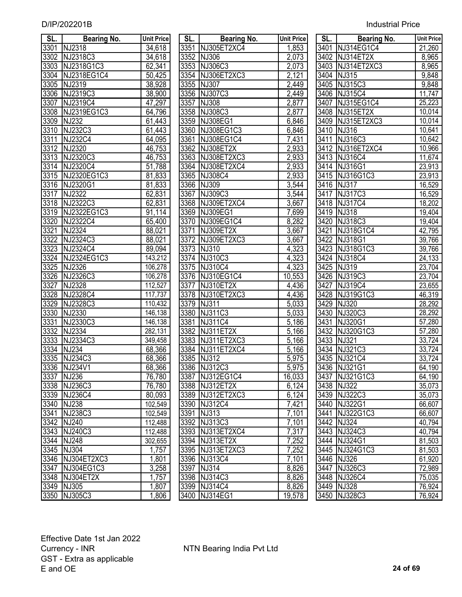| <b>Industrial Price</b> |  |
|-------------------------|--|
|                         |  |

| SL.  | <b>Bearing No.</b>                  | <b>Unit Price</b> | SL.  | <b>Bearing No.</b>               | <b>Unit Price</b> | SL.               | <b>Bearing No.</b>         | <b>Unit Price</b> |
|------|-------------------------------------|-------------------|------|----------------------------------|-------------------|-------------------|----------------------------|-------------------|
|      | 3301 NJ2318                         | 34,618            |      | 3351 NJ305ET2XC4                 | 1,853             |                   | 3401 NJ314EG1C4            | 21,260            |
| 3302 | NJ2318C3                            | 34,618            |      | 3352 NJ306                       | 2,073             |                   | 3402 NJ314ET2X             | 8,965             |
| 3303 | NJ2318G1C3                          | 62,341            |      | 3353 NJ306C3                     | 2,073             |                   | 3403 NJ314ET2XC3           | 8,965             |
| 3304 | NJ2318EG1C4                         | 50,425            |      | 3354 NJ306ET2XC3                 | 2,121             |                   | 3404 NJ315                 | 9,848             |
| 3305 | NJ2319                              | 38,928            |      | 3355 NJ307                       | 2,449             |                   | 3405 NJ315C3               | 9,848             |
| 3306 | NJ2319C3                            | 38,900            |      | 3356 NJ307C3                     | 2,449             |                   | 3406 NJ315C4               | 11,747            |
| 3307 | NJ2319C4                            | 47,297            | 3357 | <b>NJ308</b>                     | 2,877             |                   | 3407 NJ315EG1C4            | 25,223            |
| 3308 | NJ2319EG1C3                         | 64,796            |      | 3358 NJ308C3                     | 2,877             |                   | 3408 NJ315ET2X             | 10,014            |
| 3309 | $\overline{N}$ NJ232                | 61,443            |      | 3359 NJ308EG1                    | 6,846             |                   | 3409 NJ315ET2XC3           | 10,014            |
| 3310 | <b>NJ232C3</b>                      | 61,443            | 3360 | NJ308EG1C3                       | 6,846             |                   | 3410 NJ316                 | 10,641            |
| 3311 | <b>NJ232C4</b>                      | 64,095            |      | 3361 NJ308EG1C4                  | 7,431             |                   | 3411 NJ316C3               | 10,642            |
|      | 3312 NJ2320                         | 46,753            |      | 3362 NJ308ET2X                   | 2,933             |                   | 3412 NJ316ET2XC4           | 10,966            |
| 3313 | NJ2320C3                            | 46,753            |      | 3363 NJ308ET2XC3                 | 2,933             |                   | 3413 NJ316C4               | 11,674            |
| 3314 | NJ2320C4                            | 51,788            |      | 3364 NJ308ET2XC4                 | 2,933             |                   | 3414 NJ316G1               | 23,913            |
| 3315 | NJ2320EG1C3                         | 81,833            |      | 3365 NJ308C4                     | 2,933             |                   | 3415 NJ316G1C3             | 23,913            |
| 3316 | NJ2320G1                            | 81,833            |      | 3366 NJ309                       | 3,544             |                   | 3416 NJ317                 | 16,529            |
| 3317 | NJ2322                              | 62,831            |      | 3367 NJ309C3                     | 3,544             |                   | 3417 NJ317C3               | 16,529            |
|      | 3318 NJ2322C3                       | 62,831            |      | 3368 NJ309ET2XC4                 | 3,667             |                   | 3418 NJ317C4               | 18,202            |
| 3319 | NJ2322EG1C3                         | 91,114            |      | 3369 NJ309EG1                    | 7,699             |                   | 3419 NJ318                 | 19,404            |
| 3320 | NJ2322C4                            | 65,400            |      | 3370 NJ309EG1C4                  | 8,282             |                   | 3420 NJ318C3               | 19,404            |
| 3321 | NJ2324                              | 88,021            | 3371 | NJ309ET2X                        | 3,667             | 3421              | NJ318G1C4                  | 42,795            |
| 3322 | NJ2324C3                            | 88,021            |      | 3372 NJ309ET2XC3                 | 3,667             |                   | 3422 NJ318G1               | 39,766            |
| 3323 | NJ2324C4                            | 89,094            |      | 3373 NJ310                       | 4,323             |                   | 3423 NJ318G1C3             | 39,766            |
| 3324 | NJ2324EG1C3                         | 143,212           |      | 3374 NJ310C3                     | 4,323             |                   | 3424 NJ318C4               | 24,133            |
| 3325 | NJ2326                              | 106,278           |      | 3375 NJ310C4                     | 4,323             | $\overline{3425}$ | <b>NJ319</b>               | 23,704            |
| 3326 | NJ2326C3                            | 106,278           |      | 3376 NJ310EG1C4                  | 10,553            |                   | 3426 NJ319C3               | 23,704            |
| 3327 | NJ2328                              | 112,527           | 3377 | NJ310ET2X                        | 4,436             | 3427              | NJ319C4                    | 23,655            |
| 3328 | NJ2328C4                            | 117,737           |      | 3378 NJ310ET2XC3                 | 4,436             |                   | 3428 NJ319G1C3             | 46,319            |
| 3329 | NJ2328C3                            | 110,432           | 3379 | <b>NJ311</b>                     | 5,033             |                   | 3429 NJ320                 | 28,292            |
| 3330 | NJ2330                              | 146,138           | 3380 | NJ311C3                          | 5,033             |                   | 3430 NJ320C3               | 28,292            |
| 3331 | NJ2330C3                            | 146,138           | 3381 | NJ311C4                          | 5,186             | 3431              | NJ320G1                    | 57,280            |
| 3332 | NJ2334                              | 282,131           |      | 3382 NJ311ET2X                   | 5,166             |                   | 3432 NJ320G1C3             | 57,280            |
| 3333 | NJ2334C3                            | 349,458           |      | 3383 NJ311ET2XC3                 | 5,166             |                   | 3433 NJ321                 | 33,724            |
| 3334 | <b>NJ234</b>                        | 68,366            |      | 3384 NJ311ET2XC4                 | 5,166             |                   | 3434 NJ321C3               | 33,724            |
| 3335 | NJ234C3                             | 68,366            | 3385 | $\overline{N}$ NJ312             | 5,975             |                   | 3435 NJ321C4               | 33,724            |
|      | 3336 NJ234V1                        | 68,366            |      | 3386 NJ312C3                     | 5,975             |                   | 3436 NJ321G1               | 64,190            |
|      | 3337 NJ236                          | 76,780            |      | 3387 NJ312EG1C4                  | 16,033            |                   | 3437 NJ321G1C3             | 64,190            |
|      | 3338 NJ236C3                        | 76,780            |      | 3388 NJ312ET2X                   | 6,124             |                   | 3438 NJ322                 | 35,073            |
|      | 3339 NJ236C4                        | 80,093            |      | 3389 NJ312ET2XC3                 | 6,124             |                   | 3439 NJ322C3               | 35,073            |
|      | 3340 NJ238                          | 102,549           |      | 3390 NJ312C4                     | 7,421             |                   | 3440 NJ322G1               | 66,607            |
| 3341 | NJ238C3                             | 102,549           | 3391 | NJ313                            | 7,101             |                   | 3441 NJ322G1C3             | 66,607            |
|      | 3342 NJ240                          | 112,488           |      | 3392 NJ313C3                     | 7,101             |                   | 3442 NJ324                 | 40,794            |
|      | 3343 NJ240C3                        | 112,488           |      | 3393 NJ313ET2XC4                 | 7,317             |                   | 3443 NJ324C3               | 40,794            |
|      | 3344 NJ248                          | 302,655           |      | 3394 NJ313ET2X                   | 7,252             |                   | 3444 NJ324G1               | 81,503            |
|      | 3345 NJ304                          | 1,757             |      | 3395 NJ313ET2XC3<br>3396 NJ313C4 | 7,252             |                   | 3445 NJ324G1C3             | 81,503            |
|      | 3346 NJ304ET2XC3<br>3347 NJ304EG1C3 | 1,801<br>3,258    | 3397 | <b>NJ314</b>                     | 7,101             |                   | 3446 NJ326<br>3447 NJ326C3 | 61,920            |
|      | 3348 NJ304ET2X                      | 1,757             |      | 3398 NJ314C3                     | 8,826<br>8,826    |                   | 3448 NJ326C4               | 72,989<br>75,035  |
|      | 3349 NJ305                          | 1,807             |      | 3399 NJ314C4                     | 8,826             |                   | 3449 NJ328                 | 76,924            |
|      | 3350 NJ305C3                        | 1806              |      | 3400 NJ314EG1                    | 19.578            |                   | 3450 NJ328C3               | 76 924            |

| SL.  | <b>Bearing No.</b> | <b>Unit Price</b>    | SL.  | Bearing No.      | <b>Unit Price</b>    | SL.  | Bearing No.      | <b>Unit Pric</b>   |
|------|--------------------|----------------------|------|------------------|----------------------|------|------------------|--------------------|
| 3301 | NJ2318             | 34,618               |      | 3351 NJ305ET2XC4 | 1,853                |      | 3401 NJ314EG1C4  | 21,260             |
| 3302 | NJ2318C3           | 34,618               |      | 3352 NJ306       | 2,073                |      | 3402 NJ314ET2X   | 8,965              |
| 3303 | NJ2318G1C3         | 62,341               |      | 3353 NJ306C3     | 2,073                | 3403 | NJ314ET2XC3      | 8,965              |
|      | 3304 NJ2318EG1C4   | 50,425               |      | 3354 NJ306ET2XC3 | 2,121                | 3404 | NJ315            | $\overline{9,848}$ |
|      | 3305 NJ2319        | 38,928               |      | 3355 NJ307       | 2,449                |      | 3405 NJ315C3     | 9,848              |
| 3306 | NJ2319C3           | 38,900               |      | 3356 NJ307C3     | 2,449                | 3406 | NJ315C4          | 11,747             |
| 3307 | NJ2319C4           | 47,297               |      | 3357 NJ308       | 2,877                | 3407 | NJ315EG1C4       | 25,223             |
| 3308 | NJ2319EG1C3        | 64,796               |      | 3358 NJ308C3     | 2,877                | 3408 | NJ315ET2X        | 10,014             |
| 3309 | <b>NJ232</b>       | 61,443               |      | 3359 NJ308EG1    | 6,846                |      | 3409 NJ315ET2XC3 | 10,014             |
| 3310 | NJ232C3            | 61,443               | 3360 | NJ308EG1C3       | 6,846                | 3410 | <b>NJ316</b>     | 10,641             |
| 3311 | <b>NJ232C4</b>     | 64,095               | 3361 | NJ308EG1C4       | 7,431                | 3411 | NJ316C3          | 10,642             |
| 3312 | NJ2320             | 46,753               | 3362 | NJ308ET2X        | 2,933                |      | 3412 NJ316ET2XC4 | 10,966             |
| 3313 | NJ2320C3           | 46,753               | 3363 | NJ308ET2XC3      | 2,933                |      | 3413 NJ316C4     | 11,674             |
| 3314 | NJ2320C4           | 51,788               |      | 3364 NJ308ET2XC4 | 2,933                |      | 3414 NJ316G1     | 23,913             |
| 3315 | NJ2320EG1C3        | 81,833               |      | 3365 NJ308C4     | 2,933                |      | 3415 NJ316G1C3   | 23,913             |
| 3316 | NJ2320G1           | 81,833               |      | 3366 NJ309       | 3,544                | 3416 | <b>NJ317</b>     | 16,529             |
| 3317 | <b>NJ2322</b>      | 62,831               | 3367 | NJ309C3          | 3,544                | 3417 | NJ317C3          | 16,529             |
| 3318 | NJ2322C3           | 62,831               |      | 3368 NJ309ET2XC4 | 3,667                |      | 3418 NJ317C4     | 18,202             |
| 3319 | NJ2322EG1C3        | 91,114               |      | 3369 NJ309EG1    | 7,699                |      | 3419 NJ318       | 19,404             |
| 3320 | NJ2322C4           | 65,400               |      | 3370 NJ309EG1C4  | 8,282                | 3420 | NJ318C3          | 19,404             |
| 3321 | NJ2324             | 88,021               | 3371 | NJ309ET2X        | 3,667                | 3421 | NJ318G1C4        | 42,795             |
| 3322 | NJ2324C3           | 88,021               |      | 3372 NJ309ET2XC3 | 3,667                | 3422 | <b>NJ318G1</b>   | 39,766             |
| 3323 | NJ2324C4           | 89,094               |      | 3373 NJ310       | 4,323                |      | 3423 NJ318G1C3   | 39,766             |
| 3324 | NJ2324EG1C3        | 143,212              |      | 3374 NJ310C3     | 4,323                | 3424 | NJ318C4          | 24,133             |
| 3325 | NJ2326             | 106,278              |      | 3375 NJ310C4     | 4,323                |      | 3425 NJ319       | 23,704             |
| 3326 | NJ2326C3           | 106,278              |      | 3376 NJ310EG1C4  | 10,553               |      | 3426 NJ319C3     | 23,704             |
| 3327 | NJ2328             | $\overline{112,}527$ |      | 3377 NJ310ET2X   | 4,436                | 3427 | NJ319C4          | 23,655             |
| 3328 | NJ2328C4           | 117,737              |      | 3378 NJ310ET2XC3 | 4,436                |      | 3428 NJ319G1C3   | 46,319             |
| 3329 | NJ2328C3           | 110,432              |      | 3379 NJ311       | 5,033                | 3429 | <b>NJ320</b>     | 28,292             |
| 3330 | NJ2330             | 146,138              |      | 3380 NJ311C3     | 5,033                |      | 3430 NJ320C3     | 28,292             |
| 3331 | NJ2330C3           | 146,138              | 3381 | NJ311C4          | 5,186                |      | 3431 NJ320G1     | 57,280             |
| 3332 | NJ2334             | 282,131              |      | 3382 NJ311ET2X   | 5,166                |      | 3432 NJ320G1C3   | 57,280             |
| 3333 | NJ2334C3           | 349,458              |      | 3383 NJ311ET2XC3 | 5,166                |      | 3433 NJ321       | 33,724             |
| 3334 | <b>NJ234</b>       | 68,366               |      | 3384 NJ311ET2XC4 | $\overline{5}$ , 166 |      | 3434 NJ321C3     | 33,724             |
| 3335 | NJ234C3            | 68,366               |      | 3385 NJ312       | 5,975                |      | 3435 NJ321C4     | 33,724             |
|      | 3336 NJ234V1       | 68,366               |      | 3386 NJ312C3     | 5,975                |      | 3436 NJ321G1     | 64,190             |
| 3337 | <b>NJ236</b>       | 76,780               |      | 3387 NJ312EG1C4  | 16,033               |      | 3437 NJ321G1C3   | 64,190             |
|      | 3338 NJ236C3       | 76,780               |      | 3388 NJ312ET2X   | 6,124                |      | 3438 NJ322       | 35,073             |
|      | 3339 NJ236C4       | 80,093               |      | 3389 NJ312ET2XC3 | 6,124                |      | 3439 NJ322C3     | 35,073             |
|      | 3340 NJ238         | 102,549              |      | 3390 NJ312C4     | 7,421                |      | 3440 NJ322G1     | 66,607             |
| 3341 | NJ238C3            | 102,549              |      | 3391 NJ313       | 7,101                |      | 3441 NJ322G1C3   | 66,607             |
|      | 3342 NJ240         | 112,488              |      | 3392 NJ313C3     | 7,101                |      | 3442 NJ324       | 40,794             |
|      | 3343 NJ240C3       | 112,488              |      | 3393 NJ313ET2XC4 | 7,317                |      | 3443 NJ324C3     | 40,794             |
|      | 3344 NJ248         | 302,655              |      | 3394 NJ313ET2X   | 7,252                |      | 3444 NJ324G1     | 81,503             |
|      | 3345 NJ304         | 1,757                |      | 3395 NJ313ET2XC3 | 7,252                |      | 3445 NJ324G1C3   | 81,503             |
|      | 3346 NJ304ET2XC3   | 1,801                |      | 3396 NJ313C4     | 7,101                |      | 3446 NJ326       | 61,920             |
|      | 3347 NJ304EG1C3    | 3,258                |      | 3397 NJ314       | 8,826                |      | 3447 NJ326C3     | 72,989             |
|      | 3348 NJ304ET2X     | 1,757                |      | 3398 NJ314C3     | 8,826                |      | 3448 NJ326C4     | 75,035             |
|      | 3349 NJ305         | 1,807                |      | 3399 NJ314C4     | 8,826                |      | 3449 NJ328       | 76,924             |
|      | 3350 NJ305C3       | 1,806                |      | 3400 NJ314EG1    | 19,578               |      | 3450 NJ328C3     | 76,924             |

| SL.               | <b>Bearing No.</b> | <b>Unit Price</b>  |
|-------------------|--------------------|--------------------|
| 3401              | NJ314EG1C4         | 21,260             |
| 3402              | NJ314ET2X          | 8,965              |
| 3403              | NJ314ET2XC3        | 8,965              |
| 3404              | <b>NJ315</b>       | 9,848              |
| 3405              | NJ315C3            | 9,848              |
|                   | 3406 NJ315C4       | 11,747             |
|                   | 3407 NJ315EG1C4    | 25,223             |
|                   | 3408 NJ315ET2X     | 10,014             |
|                   | 3409 NJ315ET2XC3   | 10,014             |
|                   | 3410 NJ316         | 10,641             |
| 3411              | NJ316C3            | 10,642             |
|                   | 3412 NJ316ET2XC4   | 10,966             |
|                   | 3413 NJ316C4       | 11,674             |
|                   | 3414 NJ316G1       | 23,913             |
|                   | 3415 NJ316G1C3     | 23,913             |
|                   | 3416 NJ317         | 16,529             |
|                   | 3417 NJ317C3       | 16,529             |
|                   | 3418 NJ317C4       | 18,202             |
|                   | 3419 NJ318         | 19,404             |
|                   | 3420 NJ318C3       | 19,404             |
|                   | 3421 NJ318G1C4     | 42,795             |
|                   | 3422 NJ318G1       | 39,766             |
|                   | 3423 NJ318G1C3     | 39,766             |
| 3424              | <b>NJ318C4</b>     | 24,133             |
| 3425              | <b>NJ319</b>       | 23,704             |
| 3426              | <b>NJ319C3</b>     | 23,704             |
| 3427              | <b>NJ319C4</b>     | 23,655             |
| 3428              | NJ319G1C3          | 46,319             |
| 3429              | <b>NJ320</b>       | 28,292             |
| 3430              | NJ320C3            | 28,292             |
| 3431              | <b>NJ320G1</b>     | 57,280             |
| 3432              | NJ320G1C3          | $\frac{1}{57,280}$ |
| 3433              | NJ321              | 33,724             |
| 3434              | NJ321C3            | 33,724             |
| 3435              | <b>NJ321C4</b>     | 33,724             |
| 3436              | <b>NJ321G1</b>     | 64, 190            |
| 3437              | NJ321G1C3          | 64,190             |
| 3438              | <b>NJ322</b>       | 35,073             |
| 3439              | NJ322C3            | 35,073             |
| 3440              | NJ322G1            | 66,607             |
| 3441              | NJ322G1C3          | <u>66,607</u>      |
| 3442              | <b>NJ324</b>       | 40,794             |
| 3443              | NJ324C3            | 40,794             |
| 3444              | NJ324G1            | 81,503             |
| $344\overline{5}$ | NJ324G1C3          | 81,503             |
| 3446              | <b>NJ326</b>       | 61,920             |
| 3447              | NJ326C3            | 72,989             |
| 3448              | NJ326C4            | 75,035             |
| 3449              | <b>NJ328</b>       | 76,924             |
| 3450              | NJ328C3            | 76,924             |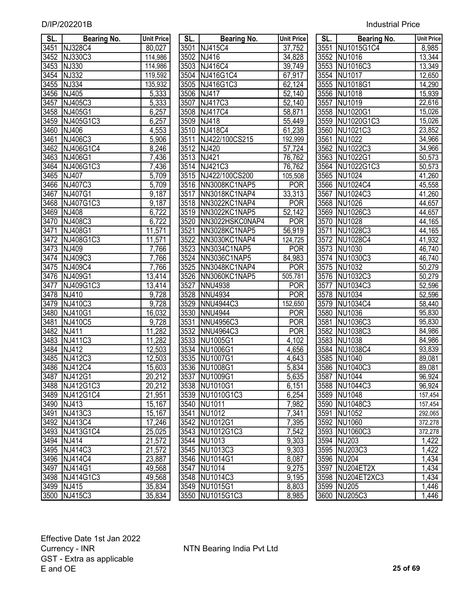| SL.  | Bearing No.    | <b>Unit Price</b> | SL. I | Bearing No.         | <b>Unit Price</b>   | SL. I | Bearing No.      | <b>Unit Pric</b>     |
|------|----------------|-------------------|-------|---------------------|---------------------|-------|------------------|----------------------|
| 3451 | <b>NJ328C4</b> | 80,027            |       | 3501 NJ415C4        | 37,752              | 3551  | NU1015G1C4       | 8,985                |
| 3452 | <b>NJ330C3</b> | 114,986           |       | 3502 NJ416          | 34,828              |       | 3552 NU1016      | 13,344               |
| 3453 | <b>NJ330</b>   | 114,986           |       | 3503 NJ416C4        | 39,749              |       | 3553 NU1016C3    | 13,349               |
| 3454 | NJ332          | 119,592           |       | 3504 NJ416G1C4      | 67,917              | 3554  | NU1017           | 12,650               |
| 3455 | <b>NJ334</b>   | 135,932           |       | 3505 NJ416G1C3      | 62,124              | 3555  | NU1018G1         | 14,290               |
| 3456 | NJ405          | 5,333             |       | 3506 NJ417          | $\overline{52,140}$ | 3556  | <b>NU1018</b>    | 15,939               |
| 3457 | NJ405C3        | 5,333             |       | 3507 NJ417C3        | 52,140              | 3557  | <b>NU1019</b>    | 22,616               |
| 3458 | NJ405G1        | 6,257             |       | 3508 NJ417C4        | 58,871              |       | 3558 NU1020G1    | 15,026               |
| 3459 | NJ405G1C3      | 6,257             |       | 3509 NJ418          | 55,449              |       | 3559 NU1020G1C3  | 15,026               |
| 3460 | NJ406          | 4,553             |       | 3510 NJ418C4        | 61,238              | 3560  | NU1021C3         | 23,852               |
| 3461 | NJ406C3        | 5,906             |       | 3511 NJ422/100CS215 | 192,999             | 3561  | <b>NU1022</b>    | 34,966               |
| 3462 | NJ406G1C4      | 8,246             |       | 3512 NJ420          | 57,724              | 3562  | NU1022C3         | 34,966               |
| 3463 | NJ406G1        | 7,436             |       | 3513 NJ421          | 76,762              | 3563  | NU1022G1         | 50,573               |
| 3464 | NJ406G1C3      | 7,436             |       | 3514 NJ421C3        | 76,762              | 3564  | NU1022G1C3       | 50,573               |
| 3465 | <b>NJ407</b>   | 5,709             |       | 3515 NJ422/100CS200 | 105,508             |       | 3565 NU1024      | 41,260               |
|      | 3466 NJ407C3   | 5,709             |       | 3516 NN3008KC1NAP5  | <b>POR</b>          | 3566  | NU1024C4         | 45,558               |
| 3467 | NJ407G1        | 9,187             | 3517  | NN3018KC1NAP4       | 33,313              | 3567  | NU1024C3         | 41,260               |
|      | 3468 NJ407G1C3 | 9,187             |       | 3518 NN3022KC1NAP4  | <b>POR</b>          |       | 3568 NU1026      | 44,657               |
| 3469 | <b>NJ408</b>   | 6,722             |       | 3519 NN3022KC1NAP5  | 52,142              | 3569  | NU1026C3         | 44,657               |
|      | 3470 NJ408C3   | 6,722             | 3520  | NN3022HSKC0NAP4     | <b>POR</b>          | 3570  | NU1028           | 44,165               |
| 3471 | NJ408G1        | 11,571            | 3521  | NN3028KC1NAP5       | 56,919              | 3571  | NU1028C3         | $\overline{44, 165}$ |
| 3472 | NJ408G1C3      | 11,571            | 3522  | NN3030KC1NAP4       | 124,725             | 3572  | NU1028C4         | 41,932               |
| 3473 | NJ409          | 7,766             | 3523  | NN3034C1NAP5        | <b>POR</b>          | 3573  | NU1030           | 46,740               |
| 3474 | NJ409C3        | 7,766             | 3524  | NN3036C1NAP5        | 84,983              | 3574  | NU1030C3         | $\overline{46,740}$  |
| 3475 | NJ409C4        | 7,766             | 3525  | NN3048KC1NAP4       | <b>POR</b>          | 3575  | NU1032           | 50,279               |
|      | 3476 NJ409G1   | 13,414            |       | 3526 NN3060KC1NAP5  | 505,781             | 3576  | NU1032C3         | 50,279               |
| 3477 | NJ409G1C3      | 13,414            | 3527  | <b>NNU4938</b>      | <b>POR</b>          | 3577  | NU1034C3         | 52,596               |
| 3478 | NJ410          | 9,728             | 3528  | <b>NNU4934</b>      | <b>POR</b>          | 3578  | <b>NU1034</b>    | 52,596               |
| 3479 | NJ410C3        | 9,728             | 3529  | <b>NNU4944C3</b>    | 152,650             | 3579  | NU1034C4         | 58,440               |
| 3480 | <b>NJ410G1</b> | 16,032            | 3530  | <b>NNU4944</b>      | <b>POR</b>          | 3580  | <b>NU1036</b>    | 95,830               |
| 3481 | NJ410C5        | 9,728             | 3531  | <b>NNU4956C3</b>    | <b>POR</b>          | 3581  | NU1036C3         | 95,830               |
| 3482 | NJ411          | 11,282            | 3532  | <b>NNU4964C3</b>    | <b>POR</b>          | 3582  | <b>NU1038C3</b>  | 84,986               |
| 3483 | NJ411C3        | 11,282            | 3533  | NU1005G1            | 4,102               | 3583  | <b>NU1038</b>    | 84,986               |
| 3484 | NJ412          | 12,503            | 3534  | NU1006G1            | 4,656               | 3584  | <b>NU1038C4</b>  | 93,839               |
| 3485 | NJ412C3        | 12,503            | 3535  | NU1007G1            | 4,643               | 3585  | <b>NU1040</b>    | 89,081               |
| 3486 | NJ412C4        | 15,603            |       | 3536 NU1008G1       | 5,834               | 3586  | NU1040C3         | 89,081               |
|      | 3487 NJ412G1   | 20,212            |       | 3537 NU1009G1       | 5,635               |       | 3587 NU1044      | 96,924               |
|      | 3488 NJ412G1C3 | 20,212            |       | 3538 NU1010G1       | 6,151               |       | 3588 NU1044C3    | 96,924               |
|      | 3489 NJ412G1C4 | 21,951            |       | 3539 NU1010G1C3     | 6,254               |       | 3589 NU1048      | 157,454              |
|      | 3490 NJ413     | 15,167            |       | 3540 NU1011         | 7,982               |       | 3590 NU1048C3    | 157,454              |
|      | 3491 NJ413C3   | 15,167            |       | 3541 NU1012         | 7,341               |       | 3591 NU1052      | 292,065              |
|      | 3492 NJ413C4   | 17,246            |       | 3542 NU1012G1       | 7,395               |       | 3592 NU1060      | 372,278              |
|      | 3493 NJ413G1C4 | 25,025            |       | 3543 NU1012G1C3     | 7,542               |       | 3593 NU1060C3    | 372,278              |
|      | 3494 NJ414     | 21,572            |       | 3544 NU1013         | 9,303               |       | 3594 NU203       | 1,422                |
|      | 3495 NJ414C3   | 21,572            |       | 3545 NU1013C3       | 9,303               |       | 3595 NU203C3     | 1,422                |
|      | 3496 NJ414C4   | 23,887            |       | 3546 NU1014G1       | 8,087               |       | 3596 NU204       | 1,434                |
|      | 3497 NJ414G1   | 49,568            |       | 3547 NU1014         | 9,275               |       | 3597 NU204ET2X   | 1,434                |
|      | 3498 NJ414G1C3 | 49,568            |       | 3548 NU1014C3       | 9,195               |       | 3598 NU204ET2XC3 | 1,434                |
|      | 3499 NJ415     | 35,834            |       | 3549 NU1015G1       | 8,803               |       | 3599 NU205       | 1,446                |
|      | 3500 INJ415C3  | 35.834            |       | 3550 NU1015G1C3     | 8.985               |       | 3600 NU205C3     | 1446                 |
|      |                |                   |       |                     |                     |       |                  |                      |

| SL.               | Bearing No.      | <b>Unit Price</b>  |
|-------------------|------------------|--------------------|
| 3501              | NJ415C4          | 37,752             |
| 3502              | NJ416            | 34,828             |
| 3503              | <b>NJ416C4</b>   | 39,749             |
| 3504              | NJ416G1C4        | 67,917             |
| 3505              | NJ416G1C3        | 62,124             |
| 3506              | NJ417            | 52,140             |
| 3507              | <b>NJ417C3</b>   | 52,140             |
| 3508              | NJ417C4          | 58,871             |
| 3509              | <b>NJ418</b>     | 55,449             |
| 3510              | <b>NJ418C4</b>   | 61,238             |
| 3511              | NJ422/100CS215   | 192,999            |
| $\frac{351}{2}$   | <b>NJ420</b>     | 57,724             |
| $35\overline{13}$ | <b>NJ421</b>     | 76,762             |
| $351\overline{4}$ | NJ421C3          | <u>76,762</u>      |
| 3515              | NJ422/100CS200   | 105,508            |
| 3516              | NN3008KC1NAP5    | <b>POR</b>         |
| 3517              | NN3018KC1NAP4    | 33,313             |
| 3518              | NN3022KC1NAP4    | <b>POR</b>         |
| 3519              | NN3022KC1NAP5    | 52,142             |
| 3520              | NN3022HSKC0NAP4  | <b>POR</b>         |
| 3521              | NN3028KC1NAP5    | 56,919             |
| 3522              | NN3030KC1NAP4    | 124,725            |
| 3523              | NN3034C1NAP5     | <b>POR</b>         |
| 3524              | NN3036C1NAP5     | 84,983             |
| 3525              | NN3048KC1NAP4    | <b>POR</b>         |
| 3526              | NN3060KC1NAP5    | 505,781            |
| 3527              | <b>NNU4938</b>   | <b>POR</b>         |
| 3528              | <b>NNU4934</b>   | <b>POR</b>         |
| $\overline{3}529$ | <b>NNU4944C3</b> | 152,650            |
| 3530              | NNU4944          | <b>POR</b>         |
| 3531              | <b>NNU4956C3</b> | <b>POR</b>         |
| 3532              | NNU4964C3        | <b>POR</b>         |
|                   | 3533 NU1005G1    | 4,102              |
|                   | 3534 NU1006G1    | 4,656              |
| 3535              | NU1007G1         | 4,643              |
| 3536              | NU1008G1         | 5,834              |
| 3537              | <b>NU1009G1</b>  | 5,635              |
| 3538              | NU1010G1         | 6,151              |
| 3539              | NU1010G1C3       | 6,254              |
| 3540              | NU1011           | 7,982              |
| 3541              | NU1012           | 7,341              |
| 3542              | NU1012G1         | 7,395              |
| 3543              | NU1012G1C3       | 7,542              |
| 3544              | <b>NU1013</b>    | 9,303              |
| 3545              | NU1013C3         | 9,303              |
| 3546              | NU1014G1         | 8,087              |
| 3547              | <b>NU1014</b>    | 9,275              |
| 3548              | NU1014C3         | $\overline{9,195}$ |
| 3549              | NU1015G1         | 8,803              |
| 3550              | NU1015G1C3       | 8,985              |

| SL.          | <b>Bearing No.</b> | <b>Unit Price</b> | SL.          | <b>Bearing No.</b>          | <b>Unit Price</b>        | SL.          | <b>Bearing No.</b>        | Unit Price       |
|--------------|--------------------|-------------------|--------------|-----------------------------|--------------------------|--------------|---------------------------|------------------|
| 3451         | <b>NJ328C4</b>     | 80,027            | 3501         | NJ415C4                     | 37,752                   | 3551         | NU1015G1C4                | 8,985            |
| 3452         | NJ330C3            | 114,986           |              | 3502 NJ416                  | 34,828                   | 3552         | NU1016                    | 13,344           |
| 3453         | NJ330              | 114,986           |              | 3503 NJ416C4                | 39,749                   | 3553         | NU1016C3                  | 13,349           |
| 3454         | <b>NJ332</b>       | 119,592           |              | 3504 NJ416G1C4              | 67,917                   | 3554         | NU1017                    | 12,650           |
| 3455         | <b>NJ334</b>       | 135,932           |              | 3505 NJ416G1C3              | 62,124                   |              | 3555 NU1018G1             | 14,290           |
| 3456         | NJ405              | 5,333             |              | 3506 NJ417                  | 52,140                   |              | 3556 NU1018               | 15,939           |
| 3457         | NJ405C3            | 5,333             |              | 3507 NJ417C3                | 52,140                   | 3557         | NU1019                    | 22,616           |
|              | 3458 NJ405G1       | 6,257             |              | 3508 NJ417C4                | 58,871                   |              | 3558 NU1020G1             | 15,026           |
| 3459         | NJ405G1C3          | 6,257             |              | 3509 NJ418                  | 55,449                   | 3559         | NU1020G1C3                | 15,026           |
| 3460         | <b>NJ406</b>       | 4,553             |              | 3510 NJ418C4                | 61,238                   | 3560         | NU1021C3                  | 23,852           |
| 3461         | NJ406C3            | 5,906             | 3511         | NJ422/100CS215              | 192,999                  | 3561         | <b>NU1022</b>             | 34,966           |
| 3462         | NJ406G1C4          | 8,246             |              | 3512 NJ420                  | 57,724                   | 3562         | NU1022C3                  | 34,966           |
| 3463         | NJ406G1            | 7,436             |              | 3513 NJ421                  | 76,762                   | 3563         | NU1022G1                  | 50,573           |
|              | 3464 NJ406G1C3     | 7,436             |              | 3514 NJ421C3                | 76,762                   | 3564         | NU1022G1C3                | 50,573           |
| 3465         | <b>NJ407</b>       | 5,709             |              | 3515 NJ422/100CS200         | 105,508                  |              | 3565 NU1024               | 41,260           |
| 3466         | NJ407C3            | 5,709             |              | 3516 NN3008KC1NAP5          | <b>POR</b>               |              | 3566 NU1024C4             | 45,558           |
| 3467         | NJ407G1            | 9,187             | 3517         | NN3018KC1NAP4               | 33,313                   | 3567         | <b>NU1024C3</b>           | 41,260           |
| 3468         | NJ407G1C3          | 9,187             |              | 3518 NN3022KC1NAP4          | POR                      | 3568         | NU1026                    | 44,657           |
| 3469         | <b>NJ408</b>       | 6,722             | 3519         | NN3022KC1NAP5               | 52,142                   | 3569         | NU1026C3                  | 44,657           |
| 3470         | NJ408C3            | 6,722             | 3520         | NN3022HSKC0NAP4             | <b>POR</b>               | 3570         | NU1028                    | 44,165           |
| 3471         | NJ408G1            | 11,571            | 3521         | NN3028KC1NAP5               | 56,919                   | 3571         | NU1028C3                  | 44,165           |
| 3472         | NJ408G1C3          | 11,571            | 3522         | NN3030KC1NAP4               | 124,725                  | 3572         | NU1028C4                  | 41,932           |
| 3473         | NJ409              | 7,766             | 3523         | NN3034C1NAP5                | <b>POR</b>               | 3573         | NU1030                    | 46,740           |
| 3474         | NJ409C3            | 7,766             |              | 3524 NN3036C1NAP5           | 84,983                   | 3574         | NU1030C3                  | 46,740           |
| 3475         | NJ409C4            | 7,766             |              | 3525 NN3048KC1NAP4          | <b>POR</b>               | 3575         | NU1032                    | 50,279           |
| 3476         | NJ409G1            | 13,414            |              | 3526 NN3060KC1NAP5          | 505,781                  | 3576         | NU1032C3                  | 50,279           |
| 3477         | NJ409G1C3          | 13,414            | 3527         | <b>NNU4938</b>              | <b>POR</b>               | 3577         | NU1034C3                  | 52,596           |
| 3478         | NJ410<br>NJ410C3   | 9,728             | 3528         | <b>NNU4934</b>              | <b>POR</b>               | 3578         | NU1034<br><b>NU1034C4</b> | 52,596           |
| 3479         | NJ410G1            | 9,728             | 3529<br>3530 | NNU4944C3<br><b>NNU4944</b> | 152,650                  | 3579         | <b>NU1036</b>             | 58,440<br>95,830 |
| 3480<br>3481 | NJ410C5            | 16,032<br>9,728   | 3531         | <b>NNU4956C3</b>            | <b>POR</b><br><b>POR</b> | 3580<br>3581 | <b>NU1036C3</b>           | 95,830           |
| 3482         | NJ411              | 11,282            | 3532         | <b>NNU4964C3</b>            | <b>POR</b>               | 3582         | <b>NU1038C3</b>           | 84,986           |
| 3483         | NJ411C3            | 11,282            | 3533         | NU1005G1                    | 4,102                    | 3583         | <b>NU1038</b>             | 84,986           |
| 3484         | NJ412              | 12,503            |              | 3534 NU1006G1               | 4,656                    | 3584         | NU1038C4                  | 93,839           |
| 3485         | NJ412C3            | 12,503            |              | 3535 NU1007G1               | 4,643                    | 3585         | NU1040                    | 89,081           |
|              | 3486 NJ412C4       | 15,603            |              | 3536 NU1008G1               | 5,834                    |              | 3586 NU1040C3             | 89,081           |
|              | 3487 NJ412G1       | 20,212            | 3537         | NU1009G1                    | 5,635                    | 3587         | NU1044                    | 96,924           |
|              | 3488 NJ412G1C3     | 20,212            |              | 3538 NU1010G1               | 6,151                    |              | 3588 NU1044C3             | 96,924           |
|              | 3489 NJ412G1C4     | 21,951            |              | 3539 NU1010G1C3             | 6,254                    |              | 3589 NU1048               | 157,454          |
|              | 3490 NJ413         | 15,167            |              | 3540 NU1011                 | 7,982                    |              | 3590 NU1048C3             | 157,454          |
|              | 3491 NJ413C3       | 15,167            | 3541         | NU1012                      | 7,341                    | 3591         | NU1052                    | 292,065          |
|              | 3492 NJ413C4       | 17,246            |              | 3542 NU1012G1               | 7,395                    |              | 3592 NU1060               | 372,278          |
|              | 3493 NJ413G1C4     | 25,025            |              | 3543 NU1012G1C3             | 7,542                    |              | 3593 NU1060C3             | 372,278          |
|              | 3494 NJ414         | 21,572            |              | 3544 NU1013                 | 9,303                    |              | 3594 NU203                | 1,422            |
|              | 3495 NJ414C3       | 21,572            |              | 3545 NU1013C3               | 9,303                    |              | 3595 NU203C3              | 1,422            |
|              | 3496 NJ414C4       | 23,887            |              | 3546 NU1014G1               | 8,087                    |              | 3596 NU204                | 1,434            |
| 3497         | NJ414G1            | 49,568            |              | 3547 NU1014                 | 9,275                    |              | 3597 NU204ET2X            | 1,434            |
|              | 3498 NJ414G1C3     | 49,568            |              | 3548 NU1014C3               | 9,195                    |              | 3598 NU204ET2XC3          | 1,434            |
|              | 3499 NJ415         | 35,834            |              | 3549 NU1015G1               | 8,803                    |              | 3599 NU205                | 1,446            |
|              | 3500 NJ415C3       | 35,834            |              | 3550 NU1015G1C3             | 8,985                    |              | 3600 NU205C3              | 1,446            |
|              |                    |                   |              |                             |                          |              |                           |                  |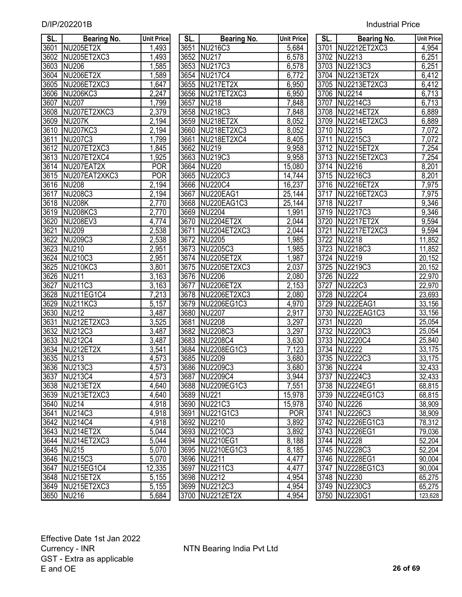| <b>Industrial Price</b> |
|-------------------------|
|                         |

| SL.  | <b>Bearing No.</b>                | <b>Unit Price</b>    | SL <sub>1</sub> | <b>Bearing No.</b> | <b>Unit Price</b>   | SL.  | <b>Bearing No.</b> | <b>Unit Price</b>   |
|------|-----------------------------------|----------------------|-----------------|--------------------|---------------------|------|--------------------|---------------------|
| 3601 | NU205ET2X                         | 1,493                |                 | 3651 NU216C3       | 5,684               |      | 3701 NU2212ET2XC3  | 4,954               |
| 3602 | NU205ET2XC3                       | 1,493                |                 | 3652 NU217         | 6,578               |      | 3702 NU2213        | 6,251               |
| 3603 | <b>NU206</b>                      | 1,585                |                 | 3653 NU217C3       | 6,578               |      | 3703 NU2213C3      | 6,251               |
| 3604 | NU206ET2X                         | ,589                 |                 | 3654 NU217C4       | 6,772               |      | 3704 NU2213ET2X    | 6,412               |
| 3605 | NU206ET2XC3                       | ,647                 |                 | 3655 NU217ET2X     | 6,950               |      | 3705 NU2213ET2XC3  | 6,412               |
| 3606 | NU <sub>206</sub> KC <sub>3</sub> | 2,247                |                 | 3656 NU217ET2XC3   | 6,950               |      | 3706 NU2214        | 6,713               |
| 3607 | <b>NU207</b>                      | 1,799                |                 | 3657 NU218         | 7,848               |      | 3707 NU2214C3      | 6,713               |
| 3608 | NU207ET2XKC3                      | 2,379                |                 | 3658 NU218C3       | 7,848               |      | 3708 NU2214ET2X    | 6,889               |
| 3609 | NU207K                            | 2,194                |                 | 3659 NU218ET2X     | 8,052               |      | 3709 NU2214ET2XC3  | 6,889               |
| 3610 | NU207KC3                          | 2,194                | 3660            | NU218ET2XC3        | 8,052               |      | 3710 NU2215        | $\overline{7,072}$  |
| 3611 | NU207C3                           | 1,799                | 3661            | NU218ET2XC4        | 8,405               | 3711 | NU2215C3           | 7,072               |
| 3612 | NU207ET2XC3                       | 1,845                |                 | 3662 NU219         | 9,958               |      | 3712 NU2215ET2X    | 7,254               |
| 3613 | NU207ET2XC4                       | 1,925                |                 | 3663 NU219C3       | 9,958               |      | 3713 NU2215ET2XC3  | 7,254               |
| 3614 | NU207EAT2X                        | <b>POR</b>           |                 | 3664 NU220         | 15,080              |      | 3714 NU2216        | 8,201               |
| 3615 | NU207EAT2XKC3                     | <b>POR</b>           |                 | 3665 NU220C3       | 14,744              |      | 3715 NU2216C3      | 8,201               |
| 3616 | <b>NU208</b>                      | $\overline{2}$ , 194 |                 | 3666 NU220C4       | 16,237              |      | 3716 NU2216ET2X    | 7,975               |
| 3617 | <b>NU208C3</b>                    | 2,194                | 3667            | NU220EAG1          | $\overline{2}5,144$ |      | 3717 NU2216ET2XC3  | 7,975               |
| 3618 | NU208K                            | 2,770                |                 | 3668 NU220EAG1C3   | 25,144              |      | 3718 NU2217        | 9,346               |
| 3619 | <b>NU208KC3</b>                   | $\overline{2,770}$   |                 | 3669 NU2204        | 1,991               |      | 3719 NU2217C3      | 9,346               |
| 3620 | NU208EV3                          | 4,774                |                 | 3670 NU2204ET2X    | 2,044               |      | 3720 NU2217ET2X    | 9,594               |
| 3621 | <b>NU209</b>                      | 2,538                | 3671            | NU2204ET2XC3       | 2,044               |      | 3721 NU2217ET2XC3  | 9,594               |
| 3622 | <b>NU209C3</b>                    | 2,538                |                 | 3672 NU2205        | 1,985               |      | 3722 NU2218        | 11,852              |
| 3623 | NU210                             | 2,951                |                 | 3673 NU2205C3      | 1,985               |      | 3723 NU2218C3      | 11,852              |
| 3624 | NU210C3                           | 2,951                |                 | 3674 NU2205ET2X    | 1,987               |      | 3724 NU2219        | 20,152              |
| 3625 | <b>NU210KC3</b>                   | 3,801                |                 | 3675 NU2205ET2XC3  | 2,037               |      | 3725 NU2219C3      | $\overline{20,152}$ |
| 3626 | NU211                             | 3,163                |                 | 3676 NU2206        | 2,080               |      | 3726 NU222         | 22,970              |
| 3627 | NU211C3                           | 3,163                | 3677            | <b>NU2206ET2X</b>  | 2,153               | 3727 | NU222C3            | 22,970              |
| 3628 | NU211EG1C4                        | 7,213                |                 | 3678 NU2206ET2XC3  | 2,080               | 3728 | <b>NU222C4</b>     | 23,693              |
| 3629 | <b>NU211KC3</b>                   | 5,157                |                 | 3679 NU2206EG1C3   | 4,970               | 3729 | NU222EAG1          | 33,156              |
| 3630 | <b>NU212</b>                      | 3,487                |                 | 3680 NU2207        | 2,917               |      | 3730 NU222EAG1C3   | 33,156              |
| 3631 | NU212ET2XC3                       | 3,525                | 3681            | <b>NU2208</b>      | 3,297               | 3731 | <b>NU2220</b>      | 25,054              |
| 3632 | NU212C3                           | 3,487                |                 | 3682 NU2208C3      | 3,297               |      | 3732 NU2220C3      | 25,054              |
| 3633 | <b>NU212C4</b>                    | 3,487                |                 | 3683 NU2208C4      | 3,630               |      | 3733 NU2220C4      | 25,840              |
| 3634 | NU212ET2X                         | 3,541                |                 | 3684 NU2208EG1C3   | 7,123               |      | 3734 NU2222        | 33,175              |
| 3635 | NU213                             | 4,573                |                 | 3685 NU2209        | 3,680               |      | 3735 NU2222C3      | 33,175              |
|      | 3636 NU213C3                      | 4,573                |                 | 3686 NU2209C3      | 3,680               |      | 3736 NU2224        | 32,433              |
| 3637 | NU213C4                           | 4,573                |                 | 3687 NU2209C4      | 3,944               |      | 3737 NU2224C3      | 32,433              |
| 3638 | NU213ET2X                         | 4,640                |                 | 3688 NU2209EG1C3   | 7,551               |      | 3738 NU2224EG1     | 68,815              |
| 3639 | NU213ET2XC3                       | 4,640                |                 | 3689 NU221         | 15,978              |      | 3739 NU2224EG1C3   | 68,815              |
| 3640 | $\overline{\text{NU}}$ 214        | 4,918                |                 | 3690 NU221C3       | 15,978              |      | 3740 NU2226        | 38,909              |
| 3641 | NU214C3                           | 4,918                |                 | 3691 NU221G1C3     | <b>POR</b>          |      | 3741 NU2226C3      | 38,909              |
| 3642 | <b>NU214C4</b>                    | 4,918                |                 | 3692 NU2210        | 3,892               |      | 3742 NU2226EG1C3   | 78,312              |
| 3643 | NU214ET2X                         | 5,044                |                 | 3693 NU2210C3      | 3,892               |      | 3743 NU2226EG1     | 79,036              |
| 3644 | NU214ET2XC3                       | 5,044                |                 | 3694 NU2210EG1     | 8,188               |      | 3744 NU2228        | 52,204              |
| 3645 | <b>NU215</b>                      | $\overline{5,070}$   |                 | 3695 NU2210EG1C3   | 8,185               |      | 3745 NU2228C3      | 52,204              |
| 3646 | NU215C3                           | 5,070                |                 | 3696 NU2211        | 4,477               |      | 3746 NU2228EG1     | 90,004              |
| 3647 | NU215EG1C4                        | 12,335               |                 | 3697 NU2211C3      | 4,477               |      | 3747 NU2228EG1C3   | 90,004              |
|      | 3648 NU215ET2X                    | 5,155                |                 | 3698 NU2212        | 4,954               |      | 3748 NU2230        | 65,275              |
|      | 3649 NU215ET2XC3                  | 5,155                |                 | 3699 NU2212C3      | 4,954               |      | 3749 NU2230C3      | 65,275              |
|      | 3650 NU216                        | 5,684                |                 | 3700 NU2212ET2X    | 4,954               |      | 3750 NU2230G1      | 123,628             |

| SL.               | <b>Bearing No.</b> | <b>Unit Price</b>  | <b>SL.</b> | <b>Bearing No.</b> | <b>Unit Price</b>  | SL.  | <b>Bearing No.</b> | <b>Unit Price</b> |
|-------------------|--------------------|--------------------|------------|--------------------|--------------------|------|--------------------|-------------------|
| 3601              | NU205ET2X          | 1,493              |            | 3651 NU216C3       | 5,684              |      | 3701 NU2212ET2XC3  | 4,954             |
| 3602              | NU205ET2XC3        | 1,493              |            | 3652 NU217         | 6,578              |      | 3702 NU2213        | 6,251             |
| 3603              | <b>NU206</b>       | 1,585              |            | 3653 NU217C3       | 6,578              |      | 3703 NU2213C3      | 6,251             |
| 3604              | NU206ET2X          | 1,589              | 3654       | NU217C4            | 6,772              |      | 3704 NU2213ET2X    | 6,412             |
| 3605              | NU206ET2XC3        | 1,647              | 3655       | NU217ET2X          | 6,950              |      | 3705 NU2213ET2XC3  | 6,412             |
| 3606              | <b>NU206KC3</b>    | 2,247              | 3656       | NU217ET2XC3        | 6,950              |      | 3706 NU2214        | 6,713             |
| 3607              | <b>NU207</b>       | 1,799              | 3657       | <b>NU218</b>       | 7,848              |      | 3707 NU2214C3      | 6,713             |
| 3608              | NU207ET2XKC3       | 2,379              |            | 3658 NU218C3       | 7,848              |      | 3708 NU2214ET2X    | 6,889             |
| 3609              | <b>NU207K</b>      | 2,194              |            | 3659 NU218ET2X     | 8,052              |      | 3709 NU2214ET2XC3  | 6,889             |
| $\overline{3610}$ | <b>NU207KC3</b>    | 2,194              | 3660       | NU218ET2XC3        | 8,052              |      | 3710 NU2215        | 7,072             |
| 3611              | <b>NU207C3</b>     | 1,799              | 3661       | NU218ET2XC4        | 8,405              |      | 3711 NU2215C3      | 7,072             |
| 3612              | NU207ET2XC3        | 1,845              |            | 3662 NU219         | 9,958              |      | 3712 NU2215ET2X    | 7,254             |
| 3613              | NU207ET2XC4        | 1,925              | 3663       | NU219C3            | 9,958              |      | 3713 NU2215ET2XC3  | 7,254             |
|                   | 3614 NU207EAT2X    | <b>POR</b>         |            | 3664 NU220         | 15,080             |      | 3714 NU2216        | 8,201             |
| 3615              | NU207EAT2XKC3      | <b>POR</b>         | 3665       | <b>NU220C3</b>     | 14,744             |      | 3715 NU2216C3      | 8,201             |
| 3616              | <b>NU208</b>       | 2,194              | 3666       | <b>NU220C4</b>     | 16,237             | 3716 | NU2216ET2X         | 7,975             |
| 3617              | <b>NU208C3</b>     | 2,194              | 3667       | NU220EAG1          | 25,144             | 3717 | NU2216ET2XC3       | 7,975             |
| 3618              | <b>NU208K</b>      | 2,770              | 3668       | NU220EAG1C3        | 25,144             |      | 3718 NU2217        | 9,346             |
| 3619              | <b>NU208KC3</b>    | $\overline{2,770}$ | 3669       | <b>NU2204</b>      | 1,991              | 3719 | NU2217C3           | 9,346             |
| 3620              | <b>NU208EV3</b>    | 4,774              | 3670       | NU2204ET2X         | 2,044              | 3720 | NU2217ET2X         | 9,594             |
| 3621              | <b>NU209</b>       | 2,538              | 3671       | NU2204ET2XC3       | 2,044              | 3721 | NU2217ET2XC3       | 9,594             |
| 3622              | <b>NU209C3</b>     | 2,538              |            | 3672 NU2205        | 1,985              | 3722 | NU2218             | 11,852            |
| 3623              | <b>NU210</b>       | 2,951              | 3673       | NU2205C3           | 1,985              | 3723 | NU2218C3           | 11,852            |
| 3624              | <b>NU210C3</b>     | 2,951              |            | 3674 NU2205ET2X    | 1,987              |      | 3724 NU2219        | 20,152            |
| 3625              | <b>NU210KC3</b>    | 3,801              | 3675       | NU2205ET2XC3       | 2,037              | 3725 | NU2219C3           | 20,152            |
| 3626              | <b>NU211</b>       | 3,163              |            | 3676 NU2206        | 2,080              | 3726 | <b>NU222</b>       | 22,970            |
| 3627              | <b>NU211C3</b>     | $\overline{3,}163$ | 3677       | <b>NU2206ET2X</b>  | 2,153              | 3727 | <b>NU222C3</b>     | 22,970            |
| 3628              | NU211EG1C4         | 7,213              | 3678       | NU2206ET2XC3       | $\overline{2,080}$ | 3728 | <b>NU222C4</b>     | 23,693            |
| 3629              | NU211KC3           | 5,157              | 3679       | NU2206EG1C3        | 4,970              | 3729 | NU222EAG1          | 33,156            |
| 3630              | <b>NU212</b>       | $\overline{3,}487$ | 3680       | <b>NU2207</b>      | 2,917              | 3730 | NU222EAG1C3        | 33,156            |
| 3631              | NU212ET2XC3        | 3,525              | 3681       | <b>NU2208</b>      | 3,297              | 3731 | <b>NU2220</b>      | 25,054            |
| 3632              | <b>NU212C3</b>     | 3,487              |            | 3682 NU2208C3      | 3,297              |      | 3732 NU2220C3      | 25,054            |
| 3633              | <b>NU212C4</b>     | 3,487              |            | 3683 NU2208C4      | 3,630              |      | 3733 NU2220C4      | 25,840            |
| 3634              | NU212ET2X          | 3,541              |            | 3684 NU2208EG1C3   | 7,123              |      | 3734 NU2222        | 33,175            |
| 3635              | <b>NU213</b>       | 4,573              | 3685       | <b>NU2209</b>      | 3,680              | 3735 | NU2222C3           | 33,175            |
|                   | 3636 NU213C3       | 4,573              |            | 3686 NU2209C3      | 3,680              |      | 3736 NU2224        | 32,433            |
|                   | 3637 NU213C4       | 4,573              |            | 3687 NU2209C4      | 3,944              |      | 3737 NU2224C3      | 32,433            |
|                   | 3638 NU213ET2X     | 4,640              |            | 3688 NU2209EG1C3   | 7,551              |      | 3738 NU2224EG1     | 68,815            |
|                   | 3639 NU213ET2XC3   | 4,640              |            | 3689 NU221         | 15,978             |      | 3739 NU2224EG1C3   | 68,815            |
|                   | 3640 NU214         | 4,918              |            | 3690 NU221C3       | 15,978             |      | 3740 NU2226        | 38,909            |
| 3641              | NU214C3            | 4,918              |            | 3691 NU221G1C3     | <b>POR</b>         |      | 3741 NU2226C3      | 38,909            |
|                   | 3642 NU214C4       | 4,918              |            | 3692 NU2210        | 3,892              |      | 3742 NU2226EG1C3   | 78,312            |
|                   | 3643 NU214ET2X     | 5,044              |            | 3693 NU2210C3      | 3,892              |      | 3743 NU2226EG1     | 79,036            |
|                   | 3644 NU214ET2XC3   | 5,044              |            | 3694 NU2210EG1     | 8,188              |      | 3744 NU2228        | 52,204            |
|                   | 3645 NU215         | 5,070              |            | 3695 NU2210EG1C3   | 8,185              |      | 3745 NU2228C3      | 52,204            |
|                   | 3646 NU215C3       | 5,070              |            | 3696 NU2211        | 4,477              |      | 3746 NU2228EG1     | 90,004            |
| 3647              | NU215EG1C4         | 12,335             |            | 3697 NU2211C3      | 4,477              |      | 3747 NU2228EG1C3   | 90,004            |
|                   | 3648 NU215ET2X     | 5,155              |            | 3698 NU2212        | 4,954              |      | 3748 NU2230        | 65,275            |
|                   | 3649 NU215ET2XC3   | 5,155              |            | 3699 NU2212C3      | 4,954              |      | 3749 NU2230C3      | 65,275            |
|                   | 3650 NU216         | 5,684              |            | 3700 NU2212ET2X    | 4,954              |      | 3750 NU2230G1      | 123,628           |

| SL.               | Bearing No.                                             | <b>Unit Price</b> |
|-------------------|---------------------------------------------------------|-------------------|
|                   | 3701 NU2212ET2XC3                                       | 4,954             |
|                   | 3702 NU2213                                             | 6,251             |
|                   | 3703 NU2213C3                                           | 6,251             |
|                   | 3704 NU2213ET2X                                         | 6,412             |
|                   | 3705 NU2213ET2XC3                                       | 6,412             |
|                   | 3706 NU2214                                             | 6,713             |
| 3707              | NU2214C3                                                | 6,713             |
| 3708              | NU2214ET2X                                              | 6,889             |
| 3709              | NU2214ET2XC3                                            | 6,889             |
| 3710              | <b>NU2215</b>                                           | 7,072             |
| 3711              | NU2215C3                                                | 7,072             |
| 3712              | NU2215ET2X                                              | 7,254             |
| 3713              | NU2215ET2XC3                                            | 7,254             |
| 3714              | <b>NU2216</b>                                           | 8,201             |
| 3715              | NU2216C3                                                | 8,201             |
| 3716              | <b>NU2216ET2X</b>                                       | 7,975             |
| 3717              | <b>NU2216ET2XC3</b>                                     | 7,975             |
| 3718              | <b>NU2217</b>                                           | 9,346             |
| 3719              | <b>NU2217C3</b>                                         | 9,346             |
|                   | NU2217ET2X<br>3720 NU2217<br>3721 NU2217<br>3722 NU2218 | 9,594             |
|                   | NU2217ET2XC3                                            | 9,594             |
|                   |                                                         | 11,852            |
|                   |                                                         | 11,852            |
|                   |                                                         | 20,152            |
|                   | 3723 NU2218C3<br>3724 NU2219<br>3725 NU2219C3           | 20,152            |
| 3726              | <b>NU222</b>                                            | 22,970            |
| 3727              | NU222C3<br>NU222C4<br>NU222EAG1                         | 22,970            |
| 3728              |                                                         | 23,693            |
| 3729              |                                                         | 33,156            |
| 3730              | NU222EAG1C3                                             | 33, 156           |
| 3731              | <b>NU2220</b>                                           | 25,054            |
| 3732              | <b>NU2220C3</b>                                         | 25,054            |
| 3733              | <b>NU2220C4</b>                                         | 25,840            |
| 3734              | <b>NU2222</b>                                           | 33,175            |
| 3735              | <b>NU2222C3</b>                                         | 33,175            |
| 3736              | <b>NU2224</b>                                           | 32,433            |
| $\overline{3}737$ | NU2224C3                                                | 32,433            |
| 3738              | NU2224EG1                                               | 68,815            |
| 3739              | NU2224EG1C3                                             | 68,815            |
| 3740              | NU2226                                                  | 38,909            |
| 3741              | NU2226C3                                                | 38,909            |
| 3742              | NU2226EG1C3                                             | 78,312            |
| 3743              | NU2226EG1                                               | 79,036            |
| 3744              | NU2228                                                  | 52,204            |
| 3745              | <b>NU2228C3</b>                                         | 52,204            |
| 3746              | <b>NU2228EG1</b>                                        | 90,004            |
| 3747              | NU2228EG1C3                                             | 90,004            |
| 3748              | <b>NU2230</b>                                           | 65,275            |
| 3749              | NU2230C3                                                | 65,275            |
| 3750              | NU2230G1                                                | 123,628           |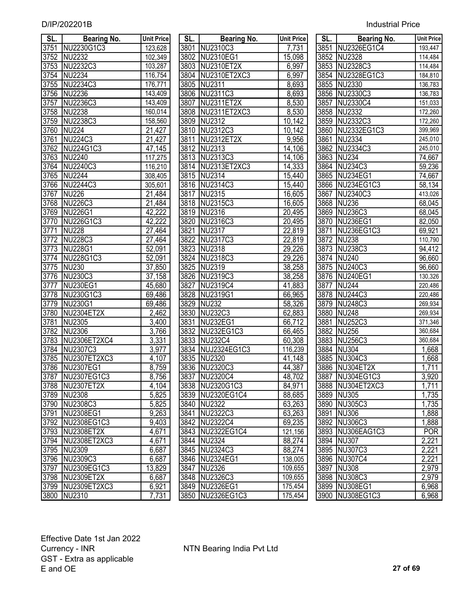| D/IP/202201B | <b>Industrial Price</b> |
|--------------|-------------------------|
|--------------|-------------------------|

| SL.          | <b>Bearing No.</b>             | <b>Unit Price</b>   | SL.          | <b>Bearing No.</b>     | <b>Unit Price</b> | SL.  | <b>Bearing No.</b>             | <b>Unit Price</b>  |
|--------------|--------------------------------|---------------------|--------------|------------------------|-------------------|------|--------------------------------|--------------------|
| 3751         | NU2230G1C3                     | 123,628             |              | 3801 NU2310C3          | 7,731             |      | 3851 NU2326EG1C4               | 193,447            |
| 3752         | <b>NU2232</b>                  | 102,349             |              | 3802 NU2310EG1         | 15,098            |      | 3852 NU2328                    | 114,484            |
| 3753         | NU2232C3                       | 103,287             | 3803         | NU2310ET2X             | 6,997             | 3853 | NU2328C3                       | 114,484            |
| 3754         | <b>NU2234</b>                  | 116,754             | 3804         | NU2310ET2XC3           | 6,997             | 3854 | NU2328EG1C3                    | 184,810            |
| 3755         | NU2234C3                       | 176,771             |              | 3805 NU2311            | 8,693             |      | 3855 NU2330                    | 136,783            |
| 3756         | NU2236                         | 143,409             | 3806         | NU2311C3               | 8,693             |      | 3856 NU2330C3                  | 136,783            |
| 3757         | NU2236C3                       | 143,409             | 3807         | NU2311ET2X             | 8,530             | 3857 | NU2330C4                       | 151,033            |
| 3758         | NU2238                         | 160,014             |              | 3808 NU2311ET2XC3      | 8,530             | 3858 | <b>NU2332</b>                  | 172,260            |
| 3759         | NU2238C3                       | 158,560             | 3809         | <b>NU2312</b>          | 10,142            | 3859 | NU2332C3                       | 172,260            |
| 3760         | <b>NU224</b>                   | 21,427              |              | 3810 NU2312C3          | 10,142            | 3860 | NU2332EG1C3                    | 399,969            |
| 3761         | NU224C3                        | $\overline{2}1,427$ | 3811         | NU2312ET2X             | 9,956             | 3861 | <b>NU2334</b>                  | 245,010            |
| 3762         | NU224G1C3                      | 47,145              |              | 3812 NU2313            | 14,106            | 3862 | <b>NU2334C3</b>                | 245,010            |
| 3763         | NU2240                         | 117,275             |              | 3813 NU2313C3          | 14,106            |      | 3863 NU234                     | 74,667             |
| 3764         | NU2240C3                       | 116,210             |              | 3814 NU2313ET2XC3      | 14,333            |      | 3864 NU234C3                   | 59,236             |
| 3765         | <b>NU2244</b>                  | 308,405             |              | 3815 NU2314            | 15,440            |      | 3865 NU234EG1                  | 74,667             |
| 3766         | NU2244C3                       | 305,601             |              | 3816 NU2314C3          | 15,440            |      | 3866 NU234EG1C3                | 58,134             |
| 3767         | <b>NU226</b>                   | 21,484              | 3817         | NU2315                 | 16,605            |      | 3867 NU2340C3                  | 413,026            |
| 3768         | <b>NU226C3</b>                 | 21,484              |              | 3818 NU2315C3          | 16,605            |      | 3868 NU236                     | 68,045             |
| 3769         | <b>NU226G1</b>                 | 42,222              |              | 3819 NU2316            | 20,495            |      | 3869 NU236C3                   | 68,045             |
| 3770         | NU226G1C3                      | 42,222              | 3820         | NU2316C3               | 20,495            |      | 3870 NU236EG1                  | 82,050             |
| 3771         | <b>NU228</b>                   | $\overline{27,}464$ | 3821         | NU2317                 | 22,819            | 3871 | NU236EG1C3                     | 69,921             |
| 3772         | <b>NU228C3</b>                 | 27,464              |              | 3822 NU2317C3          | 22,819            | 3872 | <b>NU238</b>                   | 110,790            |
| 3773         | <b>NU228G1</b>                 | 52,091              |              | 3823 NU2318            | 29,226            |      | 3873 NU238C3                   | 94,412             |
| 3774         | NU228G1C3                      | 52,091              |              | 3824 NU2318C3          | 29,226            |      | 3874 NU240                     | 96,660             |
| 3775         | <b>NU230</b>                   | 37,850              |              | 3825 NU2319            | 38,258            |      | 3875 NU240C3                   | 96,660             |
| 3776         | <b>NU230C3</b>                 | 37,158              |              | 3826 NU2319C3          | 38,258            |      | 3876 NU240EG1                  | 130,326            |
| 3777         | <b>NU230EG1</b>                | 45,680              | 3827         | NU2319C4               | 41,883            |      | 3877 NU244                     | 220,486            |
| 3778         | NU230G1C3                      | 69,486              |              | 3828 NU2319G1          | 66,965            |      | 3878 NU244C3                   | 220,486            |
| 3779         | NU230G1                        | 69,486              |              | 3829 NU232             | 58,326            |      | 3879 NU248C3                   | 269,934            |
| 3780         | NU2304ET2X                     | 2,462               |              | 3830 NU232C3           | 62,883            |      | 3880 NU248                     | 269,934            |
| 3781         | <b>NU2305</b>                  | 3,400               | 3831         | <b>NU232EG1</b>        | 66,712            | 3881 | <b>NU252C3</b>                 | 371,346            |
| 3782         | <b>NU2306</b>                  | 3,766               | 3832         | NU232EG1C3             | 66,465            | 3882 | <b>NU256</b>                   | 360,684            |
| 3783         | NU2306ET2XC4                   | 3,331               | 3833         | <b>NU232C4</b>         | 60,308            | 3883 | <b>NU256C3</b>                 | 360,684            |
| 3784<br>3785 | NU2307C3                       | 3,977               | 3834<br>3835 | NUJ2324EG1C3<br>NU2320 | 116,239           | 3884 | <b>NU304</b><br><b>NU304C3</b> | $\overline{1,668}$ |
|              | NU2307ET2XC3<br>3786 NU2307EG1 | 4,107               |              | 3836 NU2320C3          | 41,148            | 3885 | 3886 NU304ET2X                 | 1,668              |
|              |                                | 8,759               |              | 3837 NU2320C4          | 44,387<br>48,702  |      | 3887 NU304EG1C3                | 1,711              |
| 3788         | 3787 NU2307EG1C3<br>NU2307ET2X | 8,756<br>4,104      |              | 3838 NU2320G1C3        | 84,971            |      | 3888 NU304ET2XC3               | 3,920<br>1,711     |
| 3789         | <b>NU2308</b>                  | 5,825               |              | 3839 NU2320EG1C4       | 88,685            |      | 3889 NU305                     | 1,735              |
| 3790         | NU2308C3                       | 5,825               |              | 3840 NU2322            | 63,263            |      | 3890 NU305C3                   | 1,735              |
| 3791         | NU2308EG1                      | $\overline{9,263}$  | 3841         | NU2322C3               | 63,263            |      | 3891 NU306                     | 1,888              |
| 3792         | NU2308EG1C3                    | 9,403               |              | 3842 NU2322C4          | 69,235            |      | 3892 NU306C3                   | 1,888              |
| 3793         | NU2308ET2X                     | 4,671               |              | 3843 NU2322EG1C4       | 121,156           |      | 3893 NU306EAG1C3               | <b>POR</b>         |
| 3794         | NU2308ET2XC3                   | 4,671               |              | 3844 NU2324            | 88,274            |      | 3894 NU307                     | 2,221              |
| 3795         | <b>NU2309</b>                  | 6,687               |              | 3845 NU2324C3          | 88,274            |      | 3895 NU307C3                   | 2,221              |
| 3796         | NU2309C3                       | 6,687               |              | 3846 NU2324EG1         | 138,005           |      | 3896 NU307C4                   | 2,221              |
| 3797         | NU2309EG1C3                    | 13,829              |              | 3847 NU2326            | 109,655           |      | 3897 NU308                     | 2,979              |
| 3798         | NU2309ET2X                     | 6,687               |              | 3848 NU2326C3          | 109,655           |      | 3898 NU308C3                   | 2,979              |
| 3799         | NU2309ET2XC3                   | 6,921               |              | 3849 NU2326EG1         | 175,454           |      | 3899 NU308EG1                  | 6,968              |
| 3800         | NU2310                         | 7,731               |              | 3850 NU2326EG1C3       | 175,454           |      | 3900 NU308EG1C3                | 6,968              |
|              |                                |                     |              |                        |                   |      |                                |                    |

| SL.  | Bearing No.       | <b>Unit Pric</b> |
|------|-------------------|------------------|
| 3801 | NU2310C3          | 7,731            |
| 3802 | <b>NU2310EG1</b>  | 15,098           |
| 3803 | NU2310ET2X        | 6,997            |
| 3804 | NU2310ET2XC3      | 6,997            |
|      | 3805 NU2311       | 8,693            |
|      | 3806 NU2311C3     | 8,693            |
|      | 3807 NU2311ET2X   | 8,530            |
|      | 3808 NU2311ET2XC3 | 8,530            |
|      | 3809 NU2312       | 10,142           |
|      | 3810 NU2312C3     | 10,142           |
|      | 3811 NU2312ET2X   | 9,956            |
|      | 3812 NU2313       | 14,106           |
|      | 3813 NU2313C3     | 14,106           |
|      | 3814 NU2313ET2XC3 | 14,333           |
|      | 3815 NU2314       | 15,440           |
|      | 3816 NU2314C3     | 15,440           |
|      | 3817 NU2315       | 16,605           |
|      | 3818 NU2315C3     | 16,605           |
|      | 3819 NU2316       | 20,495           |
|      | 3820 NU2316C3     | 20,495           |
|      | 3821 NU2317       | 22,819           |
|      | 3822 NU2317C3     | 22,819           |
|      | 3823 NU2318       | 29,226           |
|      | 3824 NU2318C3     | 29,226           |
|      | 3825 NU2319       | 38,258           |
|      | 3826 NU2319C3     | 38,258           |
|      | 3827 NU2319C4     | 41,883           |
|      | 3828 NU2319G1     | 66,965           |
|      | 3829 NU232        | 58,326           |
|      | 3830 NU232C3      | 62,883           |
|      | 3831 NU232EG1     | 66,712           |
|      | 3832 NU232EG1C3   | 66,465           |
|      | 3833 NU232C4      | 60,308           |
|      | 3834 NUJ2324EG1C3 | 116,239          |
|      | 3835 NU2320       | 41,148           |
| 3836 | <b>NU2320C3</b>   | 44,387           |
| 3837 | <b>NU2320C4</b>   | 48,702           |
| 3838 | NU2320G1C3        | 84,971           |
| 3839 | NU2320EG1C4       | 88,685           |
| 3840 | <b>NU2322</b>     | 63,263           |
| 3841 | NU2322C3          | 63,263           |
| 3842 | <b>NU2322C4</b>   | 69,235           |
| 3843 | NU2322EG1C4       | 121,156          |
| 3844 | <b>NU2324</b>     | 88,274           |
| 3845 | NU2324C3          | 88,274           |
| 3846 | <b>NU2324EG1</b>  | 138,005          |
| 3847 | <b>NU2326</b>     | 109,655          |
| 3848 | NU2326C3          | 109,655          |
| 3849 | <b>NU2326EG1</b>  | 175,454          |
| 3850 | NU2326EG1C3       | 175,454          |

| SL.               | <b>Bearing No.</b> | <b>Unit Price</b> |
|-------------------|--------------------|-------------------|
| 3851              | NU2326EG1C4        | 193,447           |
| 3852              | <b>NU2328</b>      | 114,484           |
| 3853              | <b>NU2328C3</b>    | 114,484           |
| $\overline{3854}$ | <b>NU2328EG1C3</b> | 184,810           |
| $\overline{3855}$ | <b>NU2330</b>      | 136,783           |
| 3856              | <b>NU2330C3</b>    | 136,783           |
| $\overline{3857}$ | <b>NU2330C4</b>    | 151,033           |
| 3858              | <b>NU2332</b>      | 172,260           |
| 3859              | <b>NU2332C3</b>    | 172,260           |
| 3860              | NU2332EG1C3        | 399,969           |
| 3861              | <b>NU2334</b>      | 245,010           |
| 3862              | <b>NU2334C3</b>    | 245,010           |
| 3863              | <b>NU234</b>       | 74,667            |
| 3864              | <b>NU234C3</b>     | 59,236            |
| 3865              | <b>NU234EG1</b>    | 74,667            |
| 3866              | <b>NU234EG1C3</b>  | 58,134            |
| 3867              | NU2340C3           | 413,026           |
| 3868              | <b>NU236</b>       | 68,045            |
| 3869              | <b>NU236C3</b>     | 68,045            |
| 3870              | <b>NU236EG1</b>    | 82,050            |
| 3871              | NU236EG1C3         | 69,921            |
| 3872              | <b>NU238</b>       | 110,790           |
| 3873              | <b>NU238C3</b>     | 94,412            |
| 3874              | <b>NU240</b>       | 96,660            |
| 3875              | <b>NU240C3</b>     | 96,660            |
| 3876              | <b>NU240EG1</b>    | 130,326           |
| 3877              | <b>NU244</b>       | 220,486           |
| 3878              | <b>NU244C3</b>     | 220,486           |
| 3879              | <b>NU248C3</b>     | 269,934           |
| 3880              | <b>NU248</b>       | 269,934           |
| 3881              | <b>NU252C3</b>     | 371,346           |
| 3882              | <b>NU256</b>       | 360,684           |
| 3883              | <b>NU256C3</b>     | 360,684           |
| 3884              | <b>NU304</b>       | 1,668             |
| 3885              | <b>NU304C3</b>     | 1,668             |
| 3886              | NU304ET2X          | 1,711             |
| 3887              | <b>NU304EG1C3</b>  | 3,920             |
| 3888              | NU304ET2XC3        | 1,711             |
| 3889              | <b>NU305</b>       | 1,735             |
| 3890              | <b>NU305C3</b>     | 1,735             |
| 3891              | <b>NU306</b>       | 1,888             |
| 3892              | <b>NU306C3</b>     | 1,888             |
| 3893              | NU306EAG1C3        | <b>POR</b>        |
| 3894              | <b>NU307</b>       | 2,221             |
| 3895              | <b>NU307C3</b>     | 2,221             |
| 3896              | <b>NU307C4</b>     | 2,221             |
| 3897              | <b>NU308</b>       | 2,979             |
| 3898              | <b>NU308C3</b>     | 2,979             |
| 3899              | <b>NU308EG1</b>    | 6,968             |
| 3900              | <b>NU308EG1C3</b>  | 6,968             |
|                   |                    |                   |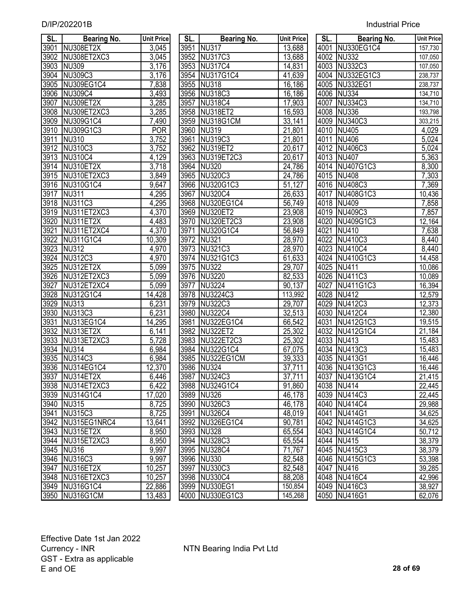| <b>Industrial Price</b> |  |
|-------------------------|--|
|                         |  |

| SL.              | <b>Bearing No.</b> | <b>Unit Price</b>  | SL.  | <b>Bearing No.</b> | <b>Unit Price</b> | SL.  | <b>Bearing No.</b>        | <b>Unit Price</b> |
|------------------|--------------------|--------------------|------|--------------------|-------------------|------|---------------------------|-------------------|
| 3901             | NU308ET2X          | 3,045              | 3951 | <b>NU317</b>       | 13,688            |      | 4001 NU330EG1C4           | 157,730           |
| 3902             | NU308ET2XC3        | 3,045              |      | 3952 NU317C3       | 13,688            |      | 4002 NU332                | 107,050           |
| 3903             | <b>NU309</b>       | 3,176              | 3953 | NU317C4            | 14,831            |      | 4003 NU332C3              | 107,050           |
| 3904             | NU309C3            | 3,176              | 3954 | NU317G1C4          | 41,639            |      | 4004 NU332EG1C3           | 238,737           |
| 3905             | NU309EG1C4         | 7,838              | 3955 | <b>NU318</b>       | 16,186            |      | 4005 NU332EG1             | 238,737           |
| 3906             | <b>NU309C4</b>     | 3,493              |      | 3956 NU318C3       | 16,186            |      | 4006 NU334                | 134,710           |
| 3907             | NU309ET2X          | 3,285              | 3957 | <b>NU318C4</b>     | 17,903            | 4007 | <b>NU334C3</b>            | 134,710           |
| 3908             | NU309ET2XC3        | 3,285              |      | 3958 NU318ET2      | 16,593            |      | 4008 NU336                | 193,798           |
| 3909             | NU309G1C4          | 7,490              |      | 3959 NU318G1CM     | 33,141            |      | 4009 NU340C3              | 303,215           |
| 3910             | NU309G1C3          | <b>POR</b>         |      | 3960 NU319         | 21,801            |      | 4010 NU405                | 4,029             |
| 3911             | NU310              | 3,752              | 3961 | NU319C3            | 21,801            |      | 4011 NU406                | 5,024             |
| 3912             | NU310C3            | 3,752              |      | 3962 NU319ET2      | 20,617            |      | 4012 NU406C3              | 5,024             |
| 3913             | <b>NU310C4</b>     | 4,129              |      | 3963 NU319ET2C3    | 20,617            |      | 4013 NU407                | 5,363             |
| 3914             | NU310ET2X          | 3,718              |      | 3964 NU320         | 24,786            |      | 4014 NU407G1C3            | 8,300             |
| 3915             | NU310ET2XC3        | 3,849              |      | 3965 NU320C3       | 24,786            |      | 4015 NU408                | 7,303             |
| 3916             | <b>NU310G1C4</b>   | 9,647              |      | 3966 NU320G1C3     | 51,127            |      | 4016 NU408C3              | 7,369             |
| 3917             | <b>NU311</b>       | 4,295              | 3967 | <b>NU320C4</b>     | 26,633            |      | 4017 NU408G1C3            | 10,436            |
| 3918             | <b>NU311C3</b>     | 4,295              |      | 3968 NU320EG1C4    | 56,749            |      | 4018 NU409                | 7,858             |
| 3919             | NU311ET2XC3        | 4,370              |      | 3969 NU320ET2      | 23,908            |      | 4019 NU409C3              | 7,857             |
| 3920             | NU311ET2X          | 4,483              |      | 3970 NU320ET2C3    | 23,908            |      | 4020 NU409G1C3            | 12,164            |
| 3921             | NU311ET2XC4        | 4,370              | 3971 | <b>NU320G1C4</b>   | 56,849            |      | 4021 NU410                | 7,638             |
| 3922             | NU311G1C4          | 10,309             | 3972 | <b>NU321</b>       | 28,970            |      | 4022 NU410C3              | 8,440             |
| 3923             | <b>NU312</b>       | 4,970              |      | 3973 NU321C3       | 28,970            |      | 4023 NU410C4              | 8,440             |
| $\frac{1}{3924}$ | NU312C3            | 4,970              | 3974 | NU321G1C3          | 61,633            |      | 4024 NU410G1C3            | 14,458            |
| 3925             | NU312ET2X          | 5,099              | 3975 | <b>NU322</b>       | 29,707            | 4025 | <b>NU411</b>              | 10,086            |
| 3926             | NU312ET2XC3        | 5,099              |      | 3976 NU3220        | 82,533            |      | 4026 NU411C3              | 10,089            |
| 3927             | NU312ET2XC4        | 5,099              | 3977 | <b>NU3224</b>      | 90,137            | 4027 | NU411G1C3                 | 16,394            |
| 3928             | NU312G1C4          | 14,428             | 3978 | NU3224C3           | 113,992           | 4028 | <b>NU412</b>              | 12,579            |
| 3929             | <b>NU313</b>       | 6,231              | 3979 | NU322C3            | 29,707            | 4029 | <b>NU412C3</b>            | 12,373            |
| 3930             | NU313C3            | 6,231              | 3980 | <b>NU322C4</b>     | 32,513            |      | 4030 NU412C4              | 12,380            |
| 3931             | NU313EG1C4         | 14,295             | 3981 | <b>NU322EG1C4</b>  | 66,542            | 4031 | NU412G1C3                 | 19,515            |
| 3932             | NU313ET2X          | 6,141              |      | 3982 NU322ET2      | 25,302            |      | 4032 NU412G1C4            | 21,184            |
| 3933             | NU313ET2XC3        | $\overline{5,728}$ | 3983 | NU322ET2C3         | 25,302            | 4033 | $\overline{\text{NU}}413$ | 15,483            |
| 3934             | <b>NU314</b>       | 6,984              | 3984 | NU322G1C4          | 67,075            |      | 4034 NU413C3              | 15,483            |
| 3935             | NU314C3            | 6,984              | 3985 | NU322EG1CM         | 39,333            |      | 4035 NU413G1              | 16,446            |
|                  | 3936 NU314EG1C4    | 12,370             |      | 3986 NU324         | 37,711            |      | 4036 NU413G1C3            | 16,446            |
|                  | 3937 NU314ET2X     | 6,446              |      | 3987 NU324C3       | 37,711            |      | 4037 NU413G1C4            | 21,415            |
| 3938             | NU314ET2XC3        | 6,422              |      | 3988 NU324G1C4     | 91,860            |      | 4038 NU414                | 22,445            |
| 3939             | NU314G1C4          | 17,020             |      | 3989 NU326         | 46,178            |      | 4039 NU414C3              | 22,445            |
| 3940             | <b>NU315</b>       | 8,725              |      | 3990 NU326C3       | 46,178            |      | 4040 NU414C4              | 29,988            |
| 3941             | NU315C3            | 8,725              | 3991 | <b>NU326C4</b>     | 48,019            |      | 4041 NU414G1              | 34,625            |
| 3942             | NU315EG1NRC4       | 13,641             | 3992 | NU326EG1C4         | 90,781            |      | 4042 NU414G1C3            | 34,625            |
| 3943             | NU315ET2X          | 8,950              |      | 3993 NU328         | 65,554            |      | 4043 NU414G1C4            | 50,712            |
| 3944             | NU315ET2XC3        | 8,950              | 3994 | <b>NU328C3</b>     | 65,554            |      | 4044 NU415                | 38,379            |
| 3945             | <b>NU316</b>       | 9,997              | 3995 | NU328C4            | 71,767            |      | 4045 NU415C3              | 38,379            |
| 3946             | NU316C3            | 9,997              |      | 3996 NU330         | 82,548            |      | 4046 NU415G1C3            | 53,398            |
| 3947             | NU316ET2X          | 10,257             | 3997 | NU330C3            | 82,548            |      | 4047 NU416                | 39,285            |
|                  | 3948 NU316ET2XC3   | 10,257             |      | 3998 NU330C4       | 88,208            |      | 4048 NU416C4              | 42,996            |
|                  | 3949 NU316G1C4     | 22,886             |      | 3999 NU330EG1      | 150,854           |      | 4049 NU416C3              | 38,927            |
|                  | 3950 NU316G1CM     | 13.483             |      | 4000 NU330EG1C3    | 145 268           |      | 4050 NU416G1              | 62 076            |

| SL.  | <b>Bearing No.</b> | <b>Unit Pric</b>    |
|------|--------------------|---------------------|
| 3951 | <b>NU317</b>       | 13,688              |
| 3952 | NU317C3            | 13,688              |
|      | 3953 NU317C4       | 14,831              |
|      | 3954 NU317G1C4     | <u>41,639</u>       |
|      | 3955 NU318         | 16,186              |
|      | 3956 NU318C3       | <u>16,186</u>       |
|      | 3957 NU318C4       | $\overline{17,903}$ |
|      | 3958 NU318ET2      | 16,593              |
|      | 3959 NU318G1CM     | <u>33,141</u>       |
|      | 3960 NU319         | 21,801              |
|      | 3961 NU319C3       | 21,801              |
|      | 3962 NU319ET2      | 20,617              |
|      | 3963 NU319ET2C3    | 20,617              |
|      | 3964 NU320         | 24,786              |
|      | 3965 NU320C3       | 24,786              |
|      | 3966 NU320G1C3     | 51,127              |
|      | 3967 NU320C4       | 26,633              |
|      | 3968 NU320EG1C4    | 56,749              |
|      | 3969 NU320ET2      | 23,908              |
|      | 3970 NU320ET2C3    | 23,908              |
|      | 3971 NU320G1C4     | 56,849              |
|      | 3972 NU321         | 28,970              |
|      | 3973 NU321C3       | 28,970              |
|      | 3974 NU321G1C3     | 61,633              |
|      | 3975 NU322         | 29,707              |
|      | 3976 NU3220        | 82,533              |
|      | 3977 NU3224        | 90,137              |
|      | 3978 NU3224C3      | 113,992             |
|      | 3979 NU322C3       | 29,707              |
|      | 3980 NU322C4       | 32,513              |
|      | 3981 NU322EG1C4    | 66,542              |
|      | 3982 NU322ET2      | 25,302              |
|      | 3983 NU322ET2C3    | 25,302              |
|      | 3984 NU322G1C4     | 67,075              |
|      | 3985 NU322EG1CM    | 39,333              |
| 3986 | <b>NU324</b>       | 37,711              |
| 3987 | <b>NU324C3</b>     | $\overline{37,711}$ |
| 3988 | <b>NU324G1C4</b>   | 91,860              |
| 3989 | <b>NU326</b>       | 46,178              |
| 3990 | <b>NU326C3</b>     | 46,178              |
| 3991 | <b>NU326C4</b>     | <u>48,019</u>       |
| 3992 | NU326EG1C4         | $\overline{90,}781$ |
| 3993 | <b>NU328</b>       | 65,554              |
| 3994 | <b>NU328C3</b>     | 65,554              |
| 3995 | NU328C4            | 71,767              |
| 3996 | <b>NU330</b>       | 82,548              |
| 3997 | NU330C3            | 82,548              |
| 3998 | <b>NU330C4</b>     | 88,208              |
| 3999 | <b>NU330EG1</b>    | 150,854             |
| 4000 | <b>NU330EG1C3</b>  | 145,268             |

| SL.               | <b>Bearing No.</b> | <b>Unit Price</b> | SL.  | <b>Bearing No.</b> | <b>Unit Price</b>   | SL.  | <b>Bearing No.</b> | <b>Unit Price</b> |
|-------------------|--------------------|-------------------|------|--------------------|---------------------|------|--------------------|-------------------|
| 3901              | NU308ET2X          | 3,045             |      | 3951 NU317         | 13,688              |      | 4001 NU330EG1C4    | 157,730           |
| 3902              | NU308ET2XC3        | 3,045             |      | 3952 NU317C3       | 13,688              |      | 4002 NU332         | 107,050           |
| 3903              | <b>NU309</b>       | 3,176             |      | 3953 NU317C4       | 14,831              |      | 4003 NU332C3       | 107,050           |
|                   | 3904 NU309C3       | 3,176             |      | 3954 NU317G1C4     | 41,639              |      | 4004 NU332EG1C3    | 238,737           |
|                   | 3905 NU309EG1C4    | 7,838             |      | 3955 NU318         | 16,186              |      | 4005 NU332EG1      | 238,737           |
|                   | 3906 NU309C4       | 3,493             |      | 3956 NU318C3       | 16,186              |      | 4006 NU334         | 134,710           |
| 3907              | NU309ET2X          | 3,285             |      | 3957 NU318C4       | 17,903              |      | 4007 NU334C3       | 134,710           |
|                   | 3908 NU309ET2XC3   | 3,285             |      | 3958 NU318ET2      | 16,593              |      | 4008 NU336         | 193,798           |
|                   | 3909 NU309G1C4     | 7,490             |      | 3959 NU318G1CM     | 33,141              |      | 4009 NU340C3       | 303,215           |
| $\overline{3910}$ | NU309G1C3          | <b>POR</b>        |      | 3960 NU319         | 21,801              |      | 4010 NU405         | 4,029             |
| 3911              | <b>NU310</b>       | 3,752             |      | 3961 NU319C3       | 21,801              |      | 4011 NU406         | 5,024             |
|                   | 3912 NU310C3       | 3,752             |      | 3962 NU319ET2      | 20,617              |      | 4012 NU406C3       | 5,024             |
|                   | 3913 NU310C4       | 4,129             |      | 3963 NU319ET2C3    | 20,617              |      | 4013 NU407         | 5,363             |
|                   | 3914 NU310ET2X     | 3,718             |      | 3964 NU320         | 24,786              |      | 4014 NU407G1C3     | 8,300             |
|                   | 3915 NU310ET2XC3   | 3,849             |      | 3965 NU320C3       | 24,786              |      | 4015 NU408         | 7,303             |
|                   | 3916 NU310G1C4     | 9,647             |      | 3966 NU320G1C3     | 51,127              |      | 4016 NU408C3       | 7,369             |
| 3917              | NU311              | 4,295             |      | 3967 NU320C4       | $\overline{26,633}$ |      | 4017 NU408G1C3     | 10,436            |
|                   | 3918 NU311C3       | 4,295             |      | 3968 NU320EG1C4    | 56,749              |      | 4018 NU409         | 7,858             |
|                   | 3919 NU311ET2XC3   | 4,370             |      | 3969 NU320ET2      | 23,908              |      | 4019 NU409C3       | 7,857             |
| 3920              | NU311ET2X          | 4,483             |      | 3970 NU320ET2C3    | 23,908              |      | 4020 NU409G1C3     | 12,164            |
| 3921              | NU311ET2XC4        | 4,370             |      | 3971 NU320G1C4     | 56,849              | 4021 | <b>NU410</b>       | 7,638             |
| 3922              | NU311G1C4          | 10,309            |      | 3972 NU321         | 28,970              |      | 4022 NU410C3       | 8,440             |
| 3923              | <b>NU312</b>       | 4,970             |      | 3973 NU321C3       | 28,970              |      | 4023 NU410C4       | $\sqrt{8,440}$    |
|                   | 3924 NU312C3       | 4,970             |      | 3974 NU321G1C3     | 61,633              |      | 4024 NU410G1C3     | 14,458            |
| 3925              | NU312ET2X          | 5,099             |      | 3975 NU322         | 29,707              |      | 4025 NU411         | 10,086            |
| 3926              | NU312ET2XC3        | $\frac{1}{5,099}$ |      | 3976 NU3220        | 82,533              |      | 4026 NU411C3       | 10,089            |
| 3927              | NU312ET2XC4        | $\frac{1}{5,099}$ |      | 3977 NU3224        | 90,137              |      | 4027 NU411G1C3     | 16,394            |
| 3928              | NU312G1C4          | 14,428            | 3978 | NU3224C3           | 113,992             | 4028 | <b>NU412</b>       | 12,579            |
| 3929              | <b>NU313</b>       | 6,231             |      | 3979 NU322C3       | 29,707              | 4029 | NU412C3            | 12,373            |
| 3930              | <b>NU313C3</b>     | 6,231             |      | 3980 NU322C4       | 32,513              |      | 4030 NU412C4       | 12,380            |
| 3931              | NU313EG1C4         | 14,295            |      | 3981 NU322EG1C4    | 66,542              |      | 4031 NU412G1C3     | 19,515            |
| 3932              | NU313ET2X          | 6,141             |      | 3982 NU322ET2      | 25,302              |      | 4032 NU412G1C4     | 21,184            |
| 3933              | NU313ET2XC3        | 5,728             |      | 3983 NU322ET2C3    | 25,302              |      | 4033 NU413         | 15,483            |
| 3934              | <b>NU314</b>       | 6,984             |      | 3984 NU322G1C4     | 67,075              |      | 4034 NU413C3       | 15,483            |
| 3935              | NU314C3            | 6,984             |      | 3985 NU322EG1CM    | 39,333              |      | 4035 NU413G1       | 16,446            |
|                   | 3936 NU314EG1C4    | 12,370            |      | 3986 NU324         | 37,711              |      | 4036 NU413G1C3     | 16,446            |
|                   | 3937 NU314ET2X     | 6,446             |      | 3987 NU324C3       | 37,711              |      | 4037 NU413G1C4     | 21,415            |
|                   | 3938 NU314ET2XC3   | 6,422             |      | 3988 NU324G1C4     | 91,860              |      | 4038 NU414         | 22,445            |
|                   | 3939 NU314G1C4     | 17,020            |      | 3989 NU326         | 46,178              |      | 4039 NU414C3       | 22,445            |
|                   | 3940 NU315         | 8,725             |      | 3990 NU326C3       | 46,178              |      | 4040 NU414C4       | 29,988            |
| 3941              | NU315C3            | 8,725             |      | 3991 NU326C4       | 48,019              |      | 4041 NU414G1       | 34,625            |
|                   | 3942 NU315EG1NRC4  | 13,641            |      | 3992 NU326EG1C4    | 90,781              |      | 4042 NU414G1C3     | 34,625            |
|                   | 3943 NU315ET2X     | 8,950             |      | 3993 NU328         | 65,554              |      | 4043 NU414G1C4     | 50,712            |
|                   | 3944 NU315ET2XC3   | 8,950             |      | 3994 NU328C3       | 65,554              |      | 4044 NU415         | 38,379            |
|                   | 3945 NU316         | 9,997             |      | 3995 NU328C4       | 71,767              |      | 4045 NU415C3       | 38,379            |
|                   | 3946 NU316C3       | 9,997             |      | 3996 NU330         | 82,548              |      | 4046 NU415G1C3     | 53,398            |
|                   | 3947 NU316ET2X     | 10,257            |      | 3997 NU330C3       | 82,548              |      | 4047 NU416         | 39,285            |
|                   | 3948 NU316ET2XC3   | 10,257            |      | 3998 NU330C4       | 88,208              |      | 4048 NU416C4       | 42,996            |
|                   | 3949 NU316G1C4     | 22,886            |      | 3999 NU330EG1      | 150,854             |      | 4049 NU416C3       | 38,927            |
|                   | 3950 NU316G1CM     | 13,483            |      | 4000 NU330EG1C3    | 145,268             |      | 4050 NU416G1       | 62,076            |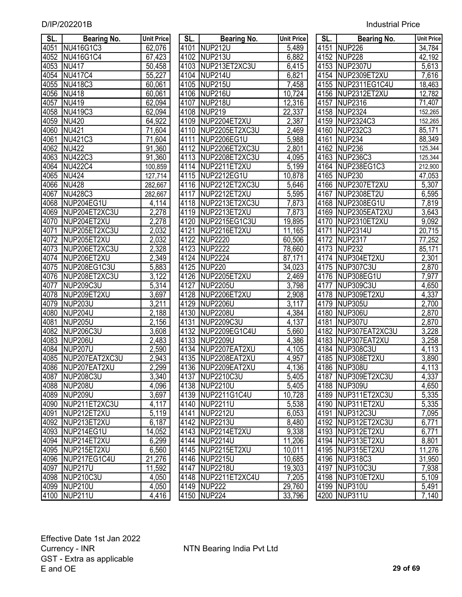| SL.  | Bearing No.        | <b>Unit Price</b>  | SL.  | Bearing No.         | <b>Unit Price</b>   | SL.  | Bearing No.         | <b>Unit Price</b> |
|------|--------------------|--------------------|------|---------------------|---------------------|------|---------------------|-------------------|
| 4051 | NU416G1C3          | 62,076             | 4101 | NUP212U             | 5,489               | 4151 | NUP <sub>226</sub>  | 34,784            |
| 4052 | NU416G1C4          | 67,423             | 4102 | NUP213U             | 6,882               |      | 4152 NUP228         | 42,192            |
| 4053 | <b>NU417</b>       | 50,458             | 4103 | NUP213ET2XC3U       | 6,415               | 4153 | <b>NUP2307U</b>     | 5,613             |
| 4054 | <b>NU417C4</b>     | 55,227             | 4104 | <b>NUP214U</b>      | 6,821               | 4154 | NUP2309ET2XU        | 7,616             |
| 4055 | <b>NU418C3</b>     | 60,061             | 4105 | NUP215U             | 7,458               | 4155 | NUP2311EG1C4U       | 18,463            |
| 4056 | <b>NU418</b>       | 60,061             | 4106 | NUP216U             | 10,724              | 4156 | NUP2312ET2XU        | 12,782            |
| 4057 | <b>NU419</b>       | 62,094             | 4107 | NUP218U             | 12,316              | 4157 | <b>NUP2316</b>      | 71,407            |
| 4058 | <b>NU419C3</b>     | 62,094             | 4108 | <b>NUP219</b>       | 22,337              | 4158 | <b>NUP2324</b>      | 152,265           |
| 4059 | <b>NU420</b>       | 64,922             | 4109 | NUP2204ET2XU        | 2,387               | 4159 | <b>NUP2324C3</b>    | 152,265           |
| 4060 | <b>NU421</b>       | 71,604             | 4110 | NUP2205ET2XC3U      | 2,469               | 4160 | <b>NUP232C3</b>     | 85,171            |
| 4061 | <b>NU421C3</b>     | 71,604             | 4111 | NUP2206EG1U         | 5,988               | 4161 | <b>NUP234</b>       | 88,349            |
| 4062 | <b>NU422</b>       | 91,360             | 4112 | NUP2206ET2XC3U      | 2,801               | 4162 | <b>NUP236</b>       | 125,344           |
| 4063 | <b>NU422C3</b>     | 91,360             | 4113 | NUP2208ET2XC3U      | 4,095               | 4163 | <b>NUP236C3</b>     | 125,344           |
| 4064 | <b>NU422C4</b>     | 100,859            | 4114 | NUP2211ET2XU        | 5,199               | 4164 | NUP238EG1C3         | 212,900           |
| 4065 | <b>NU424</b>       | 127,714            | 4115 | NUP2212EG1U         | 10,878              | 4165 | <b>NUP230</b>       | 47,053            |
| 4066 | <b>NU428</b>       | 282,667            | 4116 | NUP2212ET2XC3U      | 5,646               | 4166 | NUP2307ET2XU        | 5,307             |
| 4067 | <b>NU428C3</b>     | 282,667            | 4117 | NUP2212ET2XU        | 5,595               | 4167 | NUP2308ET2U         | 6,595             |
| 4068 | NUP204EG1U         | 4,114              | 4118 | NUP2213ET2XC3U      | 7,873               | 4168 | NUP2308EG1U         | 7,819             |
| 4069 | NUP204ET2XC3U      | 2,278              | 4119 | NUP2213ET2XU        | 7,873               | 4169 | NUP2305EAT2XU       | 3,643             |
| 4070 | NUP204ET2XU        | 2,278              | 4120 | NUP2215EG1C3U       | 19,895              | 4170 | NUP2310ET2XU        | 9,092             |
| 4071 | NUP205ET2XC3U      | 2,032              | 4121 | NUP2216ET2XU        | 11,165              | 4171 | <b>NUP2314U</b>     | 20,715            |
| 4072 | NUP205ET2XU        | 2,032              | 4122 | <b>NUP2220</b>      | 60,506              | 4172 | <b>NUP2317</b>      | 77,252            |
| 4073 | NUP206ET2XC3U      | 2,328              | 4123 | <b>NUP2222</b>      | 78,660              | 4173 | <b>NUP232</b>       | 85,171            |
| 4074 | NUP206ET2XU        | 2,349              | 4124 | <b>NUP2224</b>      | 87,171              | 4174 | NUP304ET2XU         | 2,301             |
| 4075 | NUP208EG1C3U       | 5,883              | 4125 | <b>NUP220</b>       | 34,023              | 4175 | NUP307C3U           | 2,870             |
| 4076 | NUP208ET2XC3U      | 3,122              | 4126 | NUP2205ET2XU        | 2,469               |      | 4176 NUP308EG1U     | 7,977             |
| 4077 | NUP209C3U          | $\overline{5,314}$ | 4127 | <b>NUP2205U</b>     | 3,798               | 4177 | NUP309C3U           | 4,650             |
| 4078 | NUP209ET2XU        | 3,697              | 4128 | NUP2206ET2XU        | 2,908               |      | 4178 NUP309ET2XU    | 4,337             |
| 4079 | <b>NUP203U</b>     | 3,211              | 4129 | <b>NUP2206U</b>     | $\overline{3,}117$  |      | 4179 NUP305U        | 2,700             |
| 4080 | NUP204U            | 2,188              | 4130 | <b>NUP2208U</b>     | 4,384               |      | 4180 NUP306U        | 2,870             |
| 4081 | <b>NUP205U</b>     | 2,156              | 4131 | <b>NUP2209C3U</b>   | 4,137               | 4181 | NUP307U             | 2,870             |
| 4082 | <b>NUP206C3U</b>   | 3,608              | 4132 | NUP2209EG1C4U       | 5,660               |      | 4182 NUP307EAT2XC3U | 3,228             |
| 4083 | NUP206U            | 2,483              | 4133 | <b>NUP2209U</b>     | 4,386               |      | 4183 NUP307EAT2XU   | 3,258             |
| 4084 | NUP207U            | 2,590              | 4134 | NUP2207EAT2XU       | 4,105               |      | 4184 NUP308C3U      | 4,113             |
| 4085 | NUP207EAT2XC3U     | 2,943              | 4135 | NUP2208EAT2XU       | 4,957               |      | 4185 NUP308ET2XU    | 3,890             |
|      | 4086 NUP207EAT2XU  | 2,299              |      | 4136 NUP2209EAT2XU  | 4,136               |      | 4186 NUP308U        | 4,113             |
|      | 4087 NUP208C3U     | 3,340              |      | 4137 NUP2210C3U     | 5,405               |      | 4187 NUP309ET2XC3U  | 4,337             |
|      | 4088 NUP208U       | 4,096              |      | 4138 NUP2210U       | 5,405               |      | 4188 NUP309U        | 4,650             |
|      | 4089 NUP209U       | 3,697              |      | 4139 NUP2211G1C4U   | 10,728              |      | 4189 NUP311ET2XC3U  | 5,335             |
|      | 4090 NUP211ET2XC3U | 4,117              |      | 4140 NUP2211U       | 5,538               |      | 4190 NUP311ET2XU    | 5,335             |
|      | 4091 NUP212ET2XU   | 5,119              |      | 4141 NUP2212U       | 6,053               |      | 4191 NUP312C3U      | 7,095             |
|      | 4092 NUP213ET2XU   | 6,187              |      | 4142 NUP2213U       | 8,480               |      | 4192 NUP312ET2XC3U  | 6,771             |
|      | 4093 NUP214EG1U    | 14,052             |      | 4143 NUP2214ET2XU   | 9,338               |      | 4193 NUP312ET2XU    | 6,771             |
|      | 4094 NUP214ET2XU   | 6,299              |      | 4144 NUP2214U       | $\overline{11,}206$ |      | 4194 NUP313ET2XU    | 8,801             |
|      | 4095 NUP215ET2XU   | 6,560              |      | 4145 NUP2215ET2XU   | 10,011              |      | 4195 NUP315ET2XU    | 11,276            |
|      | 4096 NUP217EG1C4U  | 21,276             |      | 4146 NUP2215U       | 10,685              |      | 4196 NUP318C3       | 31,950            |
|      | 4097 NUP217U       | 11,592             |      | 4147 NUP2218U       | 19,303              |      | 4197 NUP310C3U      | 7,938             |
|      | 4098 NUP210C3U     | 4,050              |      | 4148 NUP2211ET2XC4U | 7,205               |      | 4198 NUP310ET2XU    | 5,109             |
|      | 4099 NUP210U       | 4,050              |      | 4149 NUP222         | 29,760              |      | 4199 NUP310U        | 5,491             |
|      | 4100 NUP211U       | 4,416              |      | 4150 NUP224         | 33,796              |      | 4200 NUP311U        | 7,140             |

| SL.               | <b>Bearing No.</b> | <b>Unit Price</b>      |
|-------------------|--------------------|------------------------|
| 4101              | <b>NUP212U</b>     | 5,489                  |
| 4102              | <b>NUP213U</b>     | 6,882                  |
| 4103              | NUP213ET2XC3U      | 6,415                  |
| 4104              | <b>NUP214U</b>     | 6,821                  |
| 4105              | <b>NUP215U</b>     | 7,458                  |
| 4106              | <b>NUP216U</b>     | 10,724                 |
| 4107              | <b>NUP218U</b>     | 12,316                 |
| 4108              | <b>NUP219</b>      | $\frac{22,337}{2,387}$ |
| 4109              | NUP2204ET2XU       |                        |
| 4110              | NUP2205ET2XC3U     | 2,469                  |
| $411\overline{1}$ | NUP2206EG1U        | 5,988                  |
| 4112              | NUP2206ET2XC3U     | 2,801                  |
| 4113              | NUP2208ET2XC3U     | 4,095                  |
| 4114              | NUP2211ET2XU       | 5,199                  |
| 4115              | NUP2212EG1U        | 10,878                 |
| 4116              | NUP2212ET2XC3U     | 5,646                  |
| $\overline{41}17$ | NUP2212ET2XU       | 5,595                  |
| 4118              | NUP2213ET2XC3U     | <u>7,873</u>           |
| 4119              | NUP2213ET2XU       | 7,873                  |
| 4120              | NUP2215EG1C3U      | 19,895                 |
| 4121              | NUP2216ET2XU       | 11,165                 |
| 4122              | <b>NUP2220</b>     | 60,506                 |
| 4123              | <b>NUP2222</b>     | 78,660                 |
| 4124              | <b>NUP2224</b>     | 87,171                 |
| 4125              | <b>NUP220</b>      | 34,023                 |
| 4126              | NUP2205ET2XU       | 2,469                  |
| 4127              | <b>NUP2205U</b>    | 3,798                  |
| 4128              | NUP2206ET2XU       | 2,908                  |
| 4129              | <b>NUP2206U</b>    | 3,117                  |
| 4130              | <b>NUP2208U</b>    | 4,384                  |
| 4131              | <b>NUP2209C3U</b>  | 4,137                  |
| 4132              | NUP2209EG1C4U      | 5,660                  |
| 4133              | <b>NUP2209U</b>    | 4,386                  |
| 4134              | NUP2207EAT2XU      | 4,105                  |
| 4135              | NUP2208EAT2XU      | 4,957                  |
| 4136              | NUP2209EAT2XU      | 4,136                  |
| 4137              | NUP2210C3U         | 5,405                  |
| 4138              | <b>NUP2210U</b>    | 5,405                  |
| 4139              | NUP2211G1C4U       | 10,728                 |
| 4140              | <b>NUP2211U</b>    | 5,538                  |
| 4141              | <b>NUP2212U</b>    | 6,053                  |
| 4142              | <b>NUP2213U</b>    | 8,480                  |
| 4143              | NUP2214ET2XU       | 9,338                  |
| 4144              | <b>NUP2214U</b>    | 11,206                 |
| 4145              | NUP2215ET2XU       | 10,011                 |
| 4146              | <b>NUP2215U</b>    | 10,685                 |
| 4147              | <b>NUP2218U</b>    | 19,303                 |
| 4148              | NUP2211ET2XC4U     | 7,205                  |
| 4149              | <b>NUP222</b>      | 29,760                 |
| 4150              | <b>NUP224</b>      | 33,796                 |

| SL.               | Bearing No.         | Unit Price       |
|-------------------|---------------------|------------------|
|                   | 4151 NUP226         | 34,784           |
|                   | 4152 NUP228         | 42,192           |
|                   | 4153 NUP2307U       | 5,613            |
|                   | 4154 NUP2309ET2XU   | 7,616            |
|                   | 4155 NUP2311EG1C4U  | 18,463           |
|                   | 4156 NUP2312ET2XU   | 12,782           |
|                   | 4157 NUP2316        | 71,407           |
| 4158              | <b>NUP2324</b>      | 152,265          |
| $\overline{4159}$ | <b>NUP2324C3</b>    | 152,265          |
| 4160              | <b>NUP232C3</b>     | 85,171           |
| 4161              | <b>NUP234</b>       | 88,349           |
| $416\overline{2}$ | <b>NUP236</b>       | 125,344          |
| 4163              | <b>NUP236C3</b>     | 125,344          |
| 4164              | NUP238EG1C3         | 212,900          |
| 4165              | <b>NUP230</b>       | 47,053           |
| 4166              | NUP2307ET2XU        | 5,307            |
| 4167              | <b>NUP2308ET2U</b>  | 6,595            |
| $\frac{4168}{ }$  | NUP2308EG1U         | 7,819            |
|                   | 4169 NUP2305EAT2XU  | 3,643            |
|                   | 4170 NUP2310ET2XU   | 9,092            |
| 4171              | <b>NUP2314U</b>     | 20,715           |
| 4172              | <b>NUP2317</b>      |                  |
| 4173              | NUP232              | 77,252<br>85,171 |
| 4174              | NUP304ET2XU         | 2,301            |
| 4175              | NUP307C3U           | 2,870            |
| 4176              | NUP308EG1U          | 7,977            |
| 4177              | NUP309C3U           | 4,650            |
| 4178              | NUP309ET2XU         | 4,337            |
| 4179              | NUP305U             | 2,700            |
| 4180              | NUP306U             | 2,870            |
| 4181              | NUP307U             | 2,870            |
|                   | 4182 NUP307EAT2XC3U | 3,228            |
|                   | 4183 NUP307EAT2XU   | 3,258            |
| 4184              | <b>NUP308C3U</b>    | 4,113            |
| 4185              | NUP308ET2XU         | 3,890            |
| 4186              | NUP308U             | 4,113            |
| 4187              | NUP309ET2XC3U       | 4,337            |
| 4188              | <b>NUP309U</b>      | 4,650            |
| 4189              | NUP311ET2XC3U       | 5,335            |
| 4190              | NUP311ET2XU         | 5,335            |
| 4191              | <b>NUP312C3U</b>    | 7,095            |
| 4192              | NUP312ET2XC3U       | 6,771            |
| 4193              | NUP312ET2XU         | 6,771            |
| 4194              | NUP313ET2XU         | 8,801            |
| 4195              | NUP315ET2XU         | 11,276           |
| 4196              | <b>NUP318C3</b>     | 31,950           |
| 4197              | <b>NUP310C3U</b>    | 7,938            |
| 4198              | NUP310ET2XU         | 5,109            |
| 4199              | <b>NUP310U</b>      | 5,491            |
| 4200              | <b>NUP311U</b>      | 7,140            |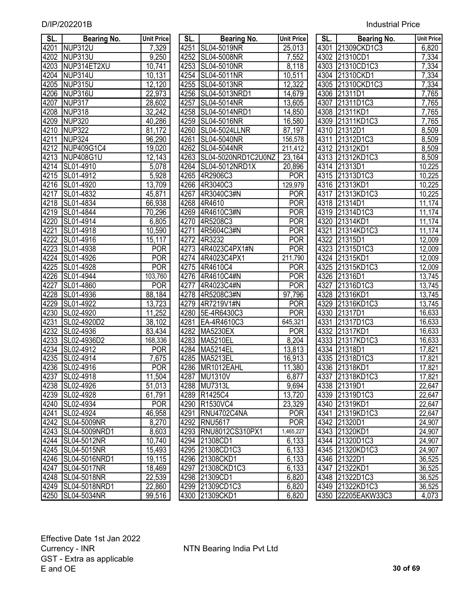| SL.               | <b>Bearing No.</b>   | <b>Unit Price</b> | SL.  | <b>Bearing No.</b>       | <b>Unit Price</b>   | SL. I | <b>Bearing No.</b> | <b>Unit Price</b>  |
|-------------------|----------------------|-------------------|------|--------------------------|---------------------|-------|--------------------|--------------------|
| 4201              | <b>NUP312U</b>       | 7,329             |      | 4251 SL04-5019NR         | $\overline{2}5,013$ |       | 4301 21309CKD1C3   | 6,820              |
| 4202              | NUP313U              | 9,250             |      | 4252 SL04-5008NR         | 7,552               |       | 4302 21310CD1      | 7,334              |
| 4203              | NUP314ET2XU          | 10,741            | 4253 | <b>SL04-5010NR</b>       | 8,118               |       | 4303 21310CD1C3    | 7,334              |
| 4204              | NUP314U              | 10,131            |      | 4254 SL04-5011NR         | 10,511              |       | 4304 21310CKD1     | 7,334              |
| 4205              | <b>NUP315U</b>       | 12,120            |      | 4255 SL04-5013NR         | 12,322              |       | 4305 21310CKD1C3   | 7,334              |
| 4206              | NUP316U              | 22,973            |      | 4256 SL04-5013NRD1       | 14,679              |       | 4306 21311D1       | 7,765              |
| 4207              | NUP317               | 28,602            | 4257 | <b>SL04-5014NR</b>       | 13,605              |       | 4307 21311D1C3     | 7,765              |
| 4208              | <b>NUP318</b>        | 32,242            |      | 4258 SL04-5014NRD1       | 14,850              |       | 4308 21311KD1      | $\overline{7,}765$ |
| 4209              | <b>NUP320</b>        | 40,286            |      | 4259 SL04-5016NR         | 16,580              |       | 4309 21311KD1C3    | 7,765              |
| 4210              | <b>NUP322</b>        | 81,172            | 4260 | <b>SL04-5024LLNR</b>     | 87,197              |       | 4310 21312D1       | 8,509              |
| 4211              | <b>NUP324</b>        | 96,290            | 4261 | SL04-5040NR              | 156,578             |       | 4311 21312D1C3     | 8,509              |
| 4212              | NUP409G1C4           | 19,020            |      | 4262 SL04-5044NR         | 211,412             |       | 4312 21312KD1      | 8,509              |
| 4213              | NUP408G1U            | 12,143            |      | 4263 SL04-5020NRD1C2U0NZ | 23,164              |       | 4313 21312KD1C3    | 8,509              |
| 4214              | SL01-4910            | 5,078             |      | 4264 SL04-5012NRD1X      | 20,896              |       | 4314 21313D1       | 10,225             |
| 4215              | SL01-4912            | 5,928             |      | 4265 4R2906C3            | <b>POR</b>          |       | 4315 21313D1C3     | 10,225             |
| 4216              | SL01-4920            | 13,709            |      | 4266 4R3040C3            | 129,979             |       | 4316 21313KD1      | 10,225             |
| 4217              | SL01-4832            | 45,871            |      | 4267 4R3040C3#N          | <b>POR</b>          |       | 4317 21313KD1C3    | 10,225             |
| 4218              | SL01-4834            | 66,938            |      | 4268 4R4610              | <b>POR</b>          |       | 4318 21314D1       | 11,174             |
| 4219              | SL01-4844            | 70,296            |      | 4269 4R4610C3#N          | <b>POR</b>          |       | 4319 21314D1C3     | 11,174             |
| 4220              | SL01-4914            | 6,805             |      | 4270 4R5208C3            | <b>POR</b>          |       | 4320 21314KD1      | 11,174             |
| 4221              | SL01-4918            | 10,590            | 4271 | 4R5604C3#N               | <b>POR</b>          | 4321  | 21314KD1C3         | 11,174             |
| 4222              | SL01-4916            | 15,117            | 4272 | 4R3232                   | <b>POR</b>          | 4322  | 21315D1            | 12,009             |
| 4223              | SL01-4938            | <b>POR</b>        |      | 4273 4R4023C4PX1#N       | <b>POR</b>          |       | 4323 21315D1C3     | 12,009             |
| 4224              | SL01-4926            | <b>POR</b>        |      | 4274 4R4023C4PX1         | 211,790             |       | 4324 21315KD1      | 12,009             |
| 4225              | SL01-4928            | <b>POR</b>        | 4275 | 4R4610C4                 | <b>POR</b>          |       | 4325 21315KD1C3    | 12,009             |
| 4226              | SL01-4944            | 103,760           |      | 4276 4R4610C4#N          | <b>POR</b>          |       | 4326 21316D1       | 13,745             |
| 4227              | SL01-4860            | <b>POR</b>        | 4277 | 4R4023C4#N               | <b>POR</b>          | 4327  | 21316D1C3          | 13,745             |
| $4\overline{228}$ | SL01-4936            | 88,184            | 4278 | 4R5208C3#N               | 97,796              | 4328  | 21316KD1           | 13,745             |
| 4229              | SL01-4922            | 13,723            | 4279 | 4R7219V1#N               | <b>POR</b>          |       | 4329 21316KD1C3    | 13,745             |
| 4230              | SL02-4920            | 11,252            | 4280 | 5E-4R6430C3              | <b>POR</b>          |       | 4330 21317D1       | 16,633             |
| 4231              | SL02-4920D2          | 38,102            | 4281 | EA-4R4610C3              | 645,321             | 4331  | 21317D1C3          | 16,633             |
| 4232              | SL02-4936            | 83,434            | 4282 | <b>MA5230EX</b>          | <b>POR</b>          |       | 4332 21317KD1      | 16,633             |
| 4233              | SL02-4936D2          | 168,336           | 4283 | <b>MA5210EL</b>          | 8,204               |       | 4333 21317KD1C3    | 16,633             |
| 4234              | SL02-4912            | <b>POR</b>        | 4284 | MA5214EL                 | 13,813              |       | 4334 21318D1       | 17,821             |
| 4235              | SL02-4914            | 7,675             | 4285 | <b>MA5213EL</b>          | 16,913              |       | 4335 21318D1C3     | 17,821             |
|                   | 4236 SL02-4916       | <b>POR</b>        |      | 4286 MR1012EAHL          | 11,380              |       | 4336 21318KD1      | 17,821             |
|                   | 4237 SL02-4918       | 11,504            |      | 4287 MU1310V             | 6,877               |       | 4337 21318KD1C3    | 17,821             |
|                   | 4238 SL02-4926       | 51,013            |      | 4288 MU7313L             | 9,694               |       | 4338 21319D1       | 22,647             |
| 4239              | SL02-4928            | 61,791            |      | 4289 R1425C4             | 13,720              |       | 4339 21319D1C3     | 22,647             |
| 4240              | SL02-4934            | POR               |      | 4290 R1530VC4            | 23,329              |       | 4340 21319KD1      | 22,647             |
| 4241              | SL02-4924            | 46,958            | 4291 | RNU4702C4NA              | <b>POR</b>          |       | 4341 21319KD1C3    | 22,647             |
| 4242              | <b>SL04-5009NR</b>   | 8,270             |      | 4292 RNU5617             | <b>POR</b>          |       | 4342 21320D1       | 24,907             |
|                   | 4243 SL04-5009NRD1   | 8,603             |      | 4293  RNU8012CS310PX1    | 1,465,227           |       | 4343 21320KD1      | 24,907             |
|                   | 4244 SL04-5012NR     | 10,740            |      | 4294 21308CD1            | 6,133               |       | 4344 21320D1C3     | 24,907             |
|                   | 4245 SL04-5015NR     | 15,493            |      | 4295 21308CD1C3          | 6,133               |       | 4345 21320KD1C3    | 24,907             |
|                   | 4246 SL04-5016NRD1   | 19,115            |      | 4296 21308CKD1           | 6,133               |       | 4346 21322D1       | 36,525             |
| 4247              | <b>SL04-5017NR</b>   | 18,469            |      | 4297 21308CKD1C3         | 6,133               |       | 4347 21322KD1      | 36,525             |
|                   | 4248 SL04-5018NR     | 22,539            |      | 4298 21309CD1            | 6,820               |       | 4348 21322D1C3     | 36,525             |
|                   | 4249   SL04-5018NRD1 | 22,860            |      | 4299 21309CD1C3          | 6,820               |       | 4349 21322KD1C3    | 36,525             |
|                   | 4250 SL04-5034NR     | 99.516            |      | 4300 21309CKD1           | 6.820               |       | 4350 22205EAKW33C3 | 4.073              |

| SL.  | <b>Bearing No.</b> | <b>Unit Price</b> | SL. I | Bearing No.          | Unit Price         | SL. I | Bearing No.        | <b>Unit Pric</b> |
|------|--------------------|-------------------|-------|----------------------|--------------------|-------|--------------------|------------------|
| 4201 | <b>NUP312U</b>     | 7,329             |       | 4251 SL04-5019NR     | 25,013             |       | 4301 21309CKD1C3   | 6,820            |
| 4202 | NUP313U            | 9,250             |       | 4252 SL04-5008NR     | 7,552              |       | 4302 21310CD1      | 7,334            |
| 4203 | NUP314ET2XU        | 10,741            | 4253  | SL04-5010NR          | $\overline{8,}118$ |       | 4303 21310CD1C3    | 7,334            |
| 4204 | NUP314U            | 10,131            |       | 4254 SL04-5011NR     | 10,511             |       | 4304 21310CKD1     | 7,334            |
| 4205 | NUP315U            | 12,120            | 4255  | SL04-5013NR          | 12,322             |       | 4305 21310CKD1C3   | 7,334            |
| 4206 | NUP316U            | 22,973            | 4256  | SL04-5013NRD1        | 14,679             |       | 4306 21311D1       | 7,765            |
| 4207 | <b>NUP317</b>      | 28,602            | 4257  | SL04-5014NR          | 13,605             |       | 4307 21311D1C3     | 7,765            |
| 4208 | <b>NUP318</b>      | 32,242            | 4258  | SL04-5014NRD1        | 14,850             |       | 4308 21311KD1      | 7,765            |
| 4209 | <b>NUP320</b>      | 40,286            | 4259  | SL04-5016NR          | 16,580             |       | 4309 21311KD1C3    | 7,765            |
| 4210 | <b>NUP322</b>      | 81,172            | 4260  | SL04-5024LLNR        | 87,197             |       | 4310 21312D1       | 8,509            |
| 4211 | <b>NUP324</b>      | 96,290            | 4261  | <b>SL04-5040NR</b>   | 156,578            |       | 4311 21312D1C3     | 8,509            |
| 4212 | NUP409G1C4         | 19,020            | 4262  | SL04-5044NR          | 211,412            |       | 4312 21312KD1      | 8,509            |
| 4213 | NUP408G1U          | 12,143            | 4263  | SL04-5020NRD1C2U0NZ  | 23,164             |       | 4313 21312KD1C3    | 8,509            |
|      | 4214 SL01-4910     | 5,078             |       | 4264 SL04-5012NRD1X  | 20,896             |       | 4314 21313D1       | 10,225           |
| 4215 | SL01-4912          | 5,928             |       | 4265 4R2906C3        | <b>POR</b>         |       | 4315 21313D1C3     | 10,225           |
| 4216 | SL01-4920          | 13,709            |       | 4266 4R3040C3        | 129,979            |       | 4316 21313KD1      | 10,225           |
| 4217 | SL01-4832          | 45,871            | 4267  | 4R3040C3#N           | <b>POR</b>         |       | 4317 21313KD1C3    | 10,225           |
| 4218 | SL01-4834          | 66,938            |       | 4268 4R4610          | $\overline{P}$ OR  |       | 4318 21314D1       |                  |
|      | SL01-4844          |                   | 4269  | 4R4610C3#N           |                    |       | 4319 21314D1C3     | 11,174           |
| 4219 |                    | 70,296            |       |                      | <b>POR</b>         |       | 4320 21314KD1      | 11,174           |
| 4220 | SL01-4914          | 6,805             |       | 4270 4R5208C3        | <b>POR</b>         |       |                    | 11,174           |
| 4221 | SL01-4918          | 10,590            | 4271  | 4R5604C3#N           | $\overline{P}$ OR  | 4321  | 21314KD1C3         | 11,174           |
| 4222 | SL01-4916          | 15,117            |       | 4272 4R3232          | <b>POR</b>         |       | 4322 21315D1       | 12,009           |
| 4223 | SL01-4938          | <b>POR</b>        |       | 4273 4R4023C4PX1#N   | <b>POR</b>         |       | 4323 21315D1C3     | 12,009           |
| 4224 | SL01-4926          | <b>POR</b>        |       | 4274 4R4023C4PX1     | 211,790            |       | 4324 21315KD1      | 12,009           |
| 4225 | SL01-4928          | <b>POR</b>        | 4275  | 4R4610C4             | <b>POR</b>         |       | 4325 21315KD1C3    | 12,009           |
| 4226 | SL01-4944          | 103,760           |       | 4276 4R4610C4#N      | $\overline{P}$ OR  |       | 4326 21316D1       | 13,745           |
| 4227 | SL01-4860          | <b>POR</b>        | 4277  | 4R4023C4#N           | <b>POR</b>         | 4327  | 21316D1C3          | 13,745           |
| 4228 | SL01-4936          | 88,184            | 4278  | 4R5208C3#N           | 97,796             |       | 4328 21316KD1      | 13,745           |
| 4229 | SL01-4922          | 13,723            | 4279  | 4R7219V1#N           | <b>POR</b>         |       | 4329 21316KD1C3    | 13,745           |
| 4230 | SL02-4920          | 11,252            | 4280  | 5E-4R6430C3          | <b>POR</b>         |       | 4330 21317D1       | 16,633           |
| 4231 | SL02-4920D2        | 38,102            | 4281  | EA-4R4610C3          | 645,321            | 4331  | 21317D1C3          | 16,633           |
| 4232 | SL02-4936          | 83,434            | 4282  | <b>MA5230EX</b>      | <b>POR</b>         | 4332  | 21317KD1           | 16,633           |
| 4233 | SL02-4936D2        | 168,336           | 4283  | <b>MA5210EL</b>      | 8,204              |       | 4333 21317KD1C3    | 16,633           |
| 4234 | SL02-4912          | <b>POR</b>        | 4284  | <b>MA5214EL</b>      | 13,813             | 4334  | 21318D1            | 17,821           |
| 4235 | SL02-4914          | 7,675             | 4285  | MA5213EL             | 16,913             | 4335  | 21318D1C3          | 17,821           |
| 4236 | SL02-4916          | <b>POR</b>        |       | 4286 MR1012EAHL      | 11,380             |       | 4336 21318KD1      | 17,821           |
| 4237 | SL02-4918          | 11,504            |       | 4287 MU1310V         | 6,877              |       | 4337 21318KD1C3    | 17,821           |
|      | 4238 SL02-4926     | 51,013            |       | 4288 MU7313L         | 9,694              |       | 4338 21319D1       | 22,647           |
|      | 4239 SL02-4928     | 61,791            |       | 4289 R1425C4         | 13,720             |       | 4339 21319D1C3     | 22,647           |
|      | 4240 SL02-4934     | POR               |       | 4290 R1530VC4        | 23,329             |       | 4340 21319KD1      | 22,647           |
| 4241 | SL02-4924          | 46,958            |       | 4291 RNU4702C4NA     | POR                |       | 4341 21319KD1C3    | 22,647           |
|      | 4242 SL04-5009NR   | 8,270             |       | 4292 RNU5617         | <b>POR</b>         |       | 4342 21320D1       | 24,907           |
|      | 4243 SL04-5009NRD1 | 8,603             |       | 4293 RNU8012CS310PX1 | 1,465,227          |       | 4343 21320KD1      | 24,907           |
|      | 4244 SL04-5012NR   | 10,740            |       | 4294 21308CD1        | 6,133              |       | 4344 21320D1C3     | 24,907           |
|      | 4245 SL04-5015NR   | 15,493            |       | 4295 21308CD1C3      | 6,133              |       | 4345 21320KD1C3    | 24,907           |
| 4246 | SL04-5016NRD1      | 19,115            |       | 4296 21308CKD1       | 6,133              |       | 4346 21322D1       | 36,525           |
| 4247 | <b>SL04-5017NR</b> | 18,469            |       | 4297 21308CKD1C3     | 6,133              |       | 4347 21322KD1      | 36,525           |
|      | 4248 SL04-5018NR   | 22,539            |       | 4298 21309CD1        | 6,820              |       | 4348 21322D1C3     | 36,525           |
|      | 4249 SL04-5018NRD1 | 22,860            |       | 4299 21309CD1C3      | 6,820              |       | 4349 21322KD1C3    | 36,525           |
|      | 4250 SL04-5034NR   | 99,516            |       | 4300 21309CKD1       | 6,820              |       | 4350 22205EAKW33C3 | 4,073            |
|      |                    |                   |       |                      |                    |       |                    |                  |

| SL.               | <b>Bearing No.</b> | <b>Unit Price</b>                                                 |
|-------------------|--------------------|-------------------------------------------------------------------|
| 4301              | 21309CKD1C3        | 6,820                                                             |
| 4302              | 21310CD1           |                                                                   |
| 4303              | 21310CD1C3         |                                                                   |
| 4304              | 21310CKD1          |                                                                   |
| 4305              | 21310CKD1C3        | $\frac{7,334}{7,334}$ $\frac{7,334}{7,765}$ $\frac{7,765}{7,765}$ |
| 4306              | 21311D1            |                                                                   |
| 4307              | 21311D1C3          |                                                                   |
| 4308              | 21311KD1           | $\frac{7,765}{7}$                                                 |
| 4309              | 21311KD1C3         | 7,765                                                             |
| 4310              | 21312D1            | 8,509                                                             |
| 4311              | 21312D1C3          | 8,509                                                             |
|                   | 4312 21312KD1      | 8,509                                                             |
| 4313              | 21312KD1C3         | 8,509                                                             |
|                   | 4314 21313D1       | 10,225                                                            |
|                   | 4315 21313D1C3     | 10,225                                                            |
| 4316              | 21313KD1           | 10,225                                                            |
| $4\overline{317}$ | 21313KD1C3         | 10,225                                                            |
| 4318              | 21314D1            | 11,174                                                            |
| 4319              | 21314D1C3          | 11,174                                                            |
| 4320              | 21314KD1           | 11,174                                                            |
| 4321              | 21314KD1C3         | 11,174                                                            |
| 4322              | 21315D1            | 12,009                                                            |
| 4323              | 21315D1C3          | 12,009                                                            |
| 4324              | 21315KD1           | 12,009                                                            |
| 4325              | 21315KD1C3         | 12,009                                                            |
| 4326              | 21316D1            | 13,745                                                            |
| 4327              | 21316D1C3          | 13,745                                                            |
| 4328              | 21316KD1           | 13,745                                                            |
| 4329              | 21316KD1C3         | 13,745                                                            |
| 4330              | 21317D1            | 16,633                                                            |
| 4331              | 21317D1C3          | 16,633                                                            |
| 4332              | 21317KD1           | 16,633                                                            |
| 4333              | 21317KD1C3         | 16,633                                                            |
| 4334              | 21318D1            | 17,821                                                            |
| 4335              | 21318D1C3          | 17,821                                                            |
| 4336              | 21318KD1           | 17,821                                                            |
| 4337              | 21318KD1C3         | 17,821                                                            |
| 4338              | 21319D1            | 22,647                                                            |
| 4339              | 21319D1C3          | 22,647                                                            |
| 4340              | 21319KD1           | 22,647                                                            |
| 4341              | 21319KD1C3         | 22,647                                                            |
| 4342              | 21320D1            | $\overline{24,907}$                                               |
| 4343              | 21320KD1           | 24,907                                                            |
| 4344              | 21320D1C3          | $\overline{24,907}$                                               |
| 4345              | 21320KD1C3         | 24,907                                                            |
| 4346              | 21322D1            | <u>36,525</u>                                                     |
| 4347              | 21322KD1           | 36,525                                                            |
| 4348              | 21322D1C3          | <u>36,525</u>                                                     |
| 4349              | 21322KD1C3         | 36,525                                                            |
| 4350              | 22205EAKW33C3      | 4,073                                                             |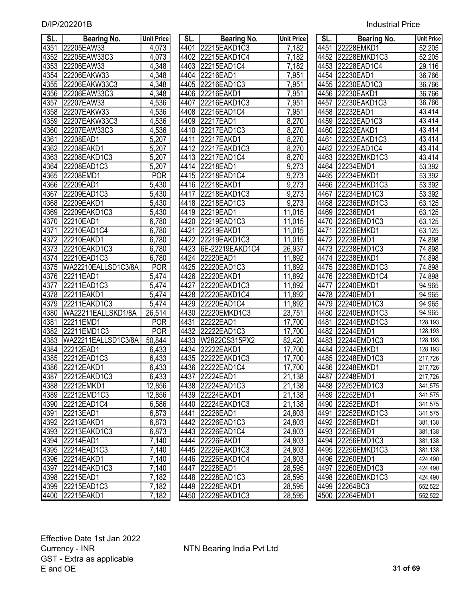| SL.  | <b>Bearing No.</b>  | <b>Unit Price</b>  | SL.  | <b>Bearing No.</b> | <b>Unit Price</b> | SL.  | <b>Bearing No.</b> | <b>Unit Price</b>   |
|------|---------------------|--------------------|------|--------------------|-------------------|------|--------------------|---------------------|
| 4351 | 22205EAW33          | 4,073              | 4401 | 22215EAKD1C3       | 7,182             | 4451 | 22228EMKD1         | 52,205              |
| 4352 | 22205EAW33C3        | 4,073              | 4402 | 22215EAKD1C4       | 7,182             | 4452 | 22228EMKD1C3       | 52,205              |
| 4353 | 22206EAW33          | 4,348              | 4403 | 22215EAD1C4        | 7,182             | 4453 | 22228EAD1C4        | 29,116              |
| 4354 | 22206EAKW33         | 4,348              | 4404 | 22216EAD1          | 7,951             | 4454 | 22230EAD1          | 36,766              |
| 4355 | 22206EAKW33C3       | 4,348              | 4405 | 22216EAD1C3        | 7,951             | 4455 | 22230EAD1C3        | 36,766              |
| 4356 | 22206EAW33C3        | 4,348              | 4406 | 22216EAKD1         | 7,951             | 4456 | 22230EAKD1         | 36,766              |
| 4357 | 22207EAW33          | 4,536              | 4407 | 22216EAKD1C3       | 7,951             | 4457 | 22230EAKD1C3       | 36,766              |
| 4358 | 22207EAKW33         | 4,536              | 4408 | 22216EAD1C4        | 7,951             | 4458 | 22232EAD1          | 43,414              |
| 4359 | 22207EAKW33C3       | 4,536              | 4409 | 22217EAD1          | 8,270             | 4459 | 22232EAD1C3        | 43,414              |
| 4360 | 22207EAW33C3        | 4,536              | 4410 | 22217EAD1C3        | 8,270             | 4460 | 22232EAKD1         | 43,414              |
| 4361 | 22208EAD1           | $\overline{5,207}$ | 4411 | 22217EAKD1         | 8,270             | 4461 | 22232EAKD1C3       | 43,414              |
| 4362 | 22208EAKD1          | 5,207              | 4412 | 22217EAKD1C3       | 8,270             | 4462 | 22232EAD1C4        | $\overline{43,414}$ |
| 4363 | 22208EAKD1C3        | 5,207              | 4413 | 22217EAD1C4        | 8,270             | 4463 | 22232EMKD1C3       | 43,414              |
| 4364 | 22208EAD1C3         | 5,207              | 4414 | 22218EAD1          | 9,273             | 4464 | 22234EMD1          | 53,392              |
| 4365 | 22208EMD1           | <b>POR</b>         | 4415 | 22218EAD1C4        | 9,273             | 4465 | 22234EMKD1         | 53,392              |
| 4366 | 22209EAD1           | 5,430              | 4416 | 22218EAKD1         | 9,273             | 4466 | 22234EMKD1C3       | 53,392              |
| 4367 | 22209EAD1C3         | 5,430              | 4417 | 22218EAKD1C3       | 9,273             | 4467 | 22234EMD1C3        | 53,392              |
| 4368 | 22209EAKD1          | 5,430              | 4418 | 22218EAD1C3        | 9,273             | 4468 | 22236EMKD1C3       | 63,125              |
| 4369 | 22209EAKD1C3        | 5,430              | 4419 | 22219EAD1          | 11,015            | 4469 | 22236EMD1          | 63,125              |
| 4370 | 22210EAD1           | 6,780              | 4420 | 22219EAD1C3        | 11,015            | 4470 | 22236EMD1C3        | 63,125              |
| 4371 | 22210EAD1C4         | 6,780              | 4421 | 22219EAKD1         | 11,015            | 4471 | 22236EMKD1         | 63,125              |
| 4372 | 22210EAKD1          | 6,780              | 4422 | 22219EAKD1C3       | 11,015            | 4472 | 22238EMD1          | 74,898              |
| 4373 | 22210EAKD1C3        | 6,780              | 4423 | 6E-22219EAKD1C4    | 26,937            | 4473 | 22238EMD1C3        | 74,898              |
| 4374 | 22210EAD1C3         | 6,780              | 4424 | 22220EAD1          | 11,892            | 4474 | 22238EMKD1         | 74,898              |
| 4375 | WA22210EALLSD1C3/8A | <b>POR</b>         | 4425 | 22220EAD1C3        | 11,892            | 4475 | 22238EMKD1C3       | 74,898              |
| 4376 | 22211EAD1           | $\overline{5,}474$ | 4426 | 22220EAKD1         | 11,892            | 4476 | 22238EMKD1C4       | 74,898              |
| 4377 | 22211EAD1C3         | 5,474              | 4427 | 22220EAKD1C3       | 11,892            | 4477 | 22240EMKD1         | 94,965              |
| 4378 | 22211EAKD1          | 5,474              | 4428 | 22220EAKD1C4       | 11,892            | 4478 | 22240EMD1          | 94,965              |
| 4379 | 22211EAKD1C3        | $\overline{5,474}$ | 4429 | 22220EAD1C4        | 11,892            | 4479 | 22240EMD1C3        | 94,965              |
| 4380 | WA22211EALLSKD1/8A  | 26,514             | 4430 | 22220EMKD1C3       | 23,751            | 4480 | 22240EMKD1C3       | 94,965              |
| 4381 | 22211EMD1           | <b>POR</b>         | 4431 | 22222EAD1          | 17,700            | 4481 | 22244EMKD1C3       | 128,193             |
| 4382 | 22211EMD1C3         | <b>POR</b>         | 4432 | 22222EAD1C3        | 17,700            | 4482 | 22244EMD1          | 128,193             |
| 4383 | WA22211EALLSD1C3/8A | 50,844             | 4433 | W2822CS315PX2      | 82,420            | 4483 | 22244EMD1C3        | 128,193             |
| 4384 | 22212EAD1           | 6,433              | 4434 | 22222EAKD1         | 17,700            | 4484 | 22244EMKD1         | 128,193             |
| 4385 | 22212EAD1C3         | 6,433              | 4435 | 22222EAKD1C3       | 17,700            | 4485 | 22248EMD1C3        | 217,726             |
|      | 4386 22212EAKD1     | 6,433              |      | 4436 22222EAD1C4   | 17,700            |      | 4486 22248EMKD1    | 217,726             |
|      | 4387 22212EAKD1C3   | 6,433              |      | 4437 22224EAD1     | 21,138            |      | 4487 22248EMD1     | 217,726             |
| 4388 | 22212EMKD1          | 12,856             |      | 4438 22224EAD1C3   | 21,138            |      | 4488 22252EMD1C3   | 341,575             |
| 4389 | 22212EMD1C3         | 12,856             |      | 4439 22224EAKD1    | 21,138            |      | 4489 22252EMD1     | 341,575             |
| 4390 | 22212EAD1C4         | 6,586              |      | 4440 22224 EAKD1C3 | 21,138            |      | 4490 22252EMKD1    | 341,575             |
| 4391 | 22213EAD1           | 6,873              | 4441 | 22226EAD1          | 24,803            |      | 4491 22252EMKD1C3  | 341,575             |
|      | 4392 22213EAKD1     | 6,873              |      | 4442 22226EAD1C3   | 24,803            |      | 4492 22256EMKD1    | 381,138             |
|      | 4393 22213EAKD1C3   | 6,873              |      | 4443 22226EAD1C4   | 24,803            |      | 4493 22256EMD1     | 381,138             |
|      | 4394 22214EAD1      | 7,140              |      | 4444 22226EAKD1    | 24,803            |      | 4494 22256EMD1C3   | 381,138             |
|      | 4395 22214EAD1C3    | 7,140              |      | 4445 22226EAKD1C3  | 24,803            |      | 4495 22256EMKD1C3  | 381,138             |
|      | 4396 22214EAKD1     | 7,140              |      | 4446 22226EAKD1C4  | 24,803            |      | 4496 22260EMD1     | 424,490             |
| 4397 | 22214EAKD1C3        | 7,140              |      | 4447 22228EAD1     | 28,595            |      | 4497 22260EMD1C3   | 424,490             |
|      | 4398 22215EAD1      | 7,182              |      | 4448 22228EAD1C3   | 28,595            |      | 4498 22260EMKD1C3  | 424,490             |
|      | 4399 22215EAD1C3    | 7,182              |      | 4449 22228EAKD1    | 28,595            |      | 4499 22264BC3      | 552,522             |
|      | 4400 22215EAKD1     | 7.182              |      | 4450 22228EAKD1C3  | 28.595            |      | 4500 22264EMD1     | 552,522             |

| SL.         | <b>Bearing No.</b>  | <b>Unit Price</b>  | SL.  | <b>Bearing No.</b> | <b>Unit Price</b>   | SL.  | <b>Bearing No.</b> | <b>Unit Pric</b> |
|-------------|---------------------|--------------------|------|--------------------|---------------------|------|--------------------|------------------|
| 4351        | 22205EAW33          | 4,073              |      | 4401 22215EAKD1C3  | 7,182               | 4451 | 22228EMKD1         | 52,205           |
| 4352        | 22205EAW33C3        | 4,073              |      | 4402 22215EAKD1C4  | 7,182               |      | 4452 22228EMKD1C3  | 52,205           |
| 4353        | 22206EAW33          | 4,348              |      | 4403 22215EAD1C4   | 7,182               | 4453 | 22228EAD1C4        | 29,116           |
| 4354        | 22206EAKW33         | 4,348              |      | 4404 22216EAD1     | 7,951               |      | 4454 22230EAD1     | 36,766           |
| 4355        | 22206EAKW33C3       | 4,348              | 4405 | 22216EAD1C3        | 7,951               |      | 4455 22230EAD1C3   | 36,766           |
| 4356        | 22206EAW33C3        | 4,348              | 4406 | 22216EAKD1         | 7,951               | 4456 | 22230EAKD1         | 36,766           |
| 4357        | 22207EAW33          | 4,536              | 4407 | 22216EAKD1C3       | 7,951               | 4457 | 22230EAKD1C3       | 36,766           |
| <u>4358</u> | 22207EAKW33         | 4,536              | 4408 | 22216EAD1C4        | 7,951               | 4458 | 22232EAD1          | 43,414           |
| 4359        | 22207EAKW33C3       | 4,536              |      | 4409 22217EAD1     | 8,270               | 4459 | 22232EAD1C3        | 43,414           |
| 4360        | 22207EAW33C3        | 4,536              | 4410 | 22217EAD1C3        | 8,270               | 4460 | 22232EAKD1         | 43,414           |
| 4361        | 22208EAD1           | 5,207              | 4411 | 22217EAKD1         | 8,270               | 4461 | 22232EAKD1C3       | 43,414           |
| 4362        | 22208EAKD1          | $\overline{5,207}$ |      | 4412 22217EAKD1C3  | 8,270               | 4462 | 22232EAD1C4        | 43,414           |
| 4363        | 22208EAKD1C3        | 5,207              | 4413 | 22217EAD1C4        | 8,270               | 4463 | 22232EMKD1C3       | 43,414           |
| 4364        | 22208EAD1C3         | 5,207              | 4414 | 22218EAD1          | 9,273               | 4464 | 22234EMD1          | 53,392           |
| 4365        | 22208EMD1           | <b>POR</b>         | 4415 | 22218EAD1C4        | 9,273               | 4465 | 22234EMKD1         | 53,392           |
| 4366        | 22209EAD1           | $\overline{5,}430$ | 4416 | 22218EAKD1         | 9,273               | 4466 | 22234EMKD1C3       | 53,392           |
| 4367        | 22209EAD1C3         | 5,430              | 4417 | 22218EAKD1C3       | 9,273               | 4467 | 22234EMD1C3        | 53,392           |
| 4368        | 22209EAKD1          | 5,430              | 4418 | 22218EAD1C3        | 9,273               | 4468 | 22236EMKD1C3       | 63,125           |
| 4369        | 22209EAKD1C3        | 5,430              | 4419 | 22219EAD1          | 11,015              | 4469 | 22236EMD1          | 63,125           |
| 4370        | 22210EAD1           | 6,780              | 4420 | 22219EAD1C3        | 11,015              | 4470 | 22236EMD1C3        | 63,125           |
| 4371        | 22210EAD1C4         | 6,780              | 4421 | 22219EAKD1         | 11,015              | 4471 | 22236EMKD1         | 63,125           |
| 4372        | 22210EAKD1          | 6,780              | 4422 | 22219EAKD1C3       | 11,015              | 4472 | 22238EMD1          | 74,898           |
| 4373        | 22210EAKD1C3        | 6,780              | 4423 | 6E-22219EAKD1C4    | 26,937              | 4473 | 22238EMD1C3        | 74,898           |
| 4374        | 22210EAD1C3         | 6,780              | 4424 | 22220EAD1          | 11,892              |      | 4474 22238EMKD1    | 74,898           |
| 4375        | WA22210EALLSD1C3/8A | <b>POR</b>         | 4425 | 22220EAD1C3        | 11,892              | 4475 | 22238EMKD1C3       | 74,898           |
| 4376        | 22211EAD1           | $\overline{5,}474$ |      | 4426 22220EAKD1    | 11,892              | 4476 | 22238EMKD1C4       | 74,898           |
| 4377        | 22211EAD1C3         | 5,474              | 4427 | 22220EAKD1C3       | 11,892              | 4477 | 22240EMKD1         | 94,965           |
| 4378        | 22211EAKD1          | 5,474              | 4428 | 22220EAKD1C4       | 11,892              | 4478 | 22240EMD1          | 94,965           |
| 4379        | 22211EAKD1C3        | $\overline{5,474}$ | 4429 | 22220EAD1C4        | 11,892              | 4479 | 22240EMD1C3        | 94,965           |
| 4380        | WA22211EALLSKD1/8A  | 26,514             |      | 4430 22220 EMKD1C3 | 23,751              | 4480 | 22240EMKD1C3       | 94,965           |
| 4381        | 22211EMD1           | <b>POR</b>         | 4431 | 22222EAD1          | 17,700              | 4481 | 22244EMKD1C3       | 128,193          |
| 4382        | 22211EMD1C3         | <b>POR</b>         |      | 4432 22222EAD1C3   | 17,700              | 4482 | 22244EMD1          | 128,193          |
| 4383        | WA22211EALLSD1C3/8A | 50,844             |      | 4433 W2822CS315PX2 | $\overline{82,}420$ | 4483 | 22244EMD1C3        | 128,193          |
| 4384        | 22212EAD1           | 6,433              |      | 4434 22222EAKD1    | 17,700              | 4484 | 22244EMKD1         | 128,193          |
| 4385        | 22212EAD1C3         | 6,433              | 4435 | 22222EAKD1C3       | 17,700              | 4485 | 22248EMD1C3        | 217,726          |
|             | 4386 22212EAKD1     | 6,433              |      | 4436 22222EAD1C4   | 17,700              |      | 4486 22248EMKD1    | 217,726          |
| 4387        | 22212EAKD1C3        | 6,433              |      | 4437 22224EAD1     | 21,138              |      | 4487 22248EMD1     | 217,726          |
|             | 4388 22212EMKD1     | 12,856             |      | 4438 22224EAD1C3   | 21,138              |      | 4488 22252EMD1C3   | 341,575          |
|             | 4389 22212EMD1C3    | 12,856             |      | 4439 22224EAKD1    | 21,138              |      | 4489 22252EMD1     | 341,575          |
|             | 4390 22212EAD1C4    | 6,586              |      | 4440 22224 EAKD1C3 | 21,138              |      | 4490 22252EMKD1    | 341,575          |
|             | 4391 22213EAD1      | 6,873              |      | 4441 22226EAD1     | 24,803              |      | 4491 22252EMKD1C3  | 341,575          |
|             | 4392 22213EAKD1     | 6,873              |      | 4442 22226EAD1C3   | 24,803              |      | 4492 22256EMKD1    | 381,138          |
|             | 4393 22213EAKD1C3   | 6,873              |      | 4443 22226EAD1C4   | 24,803              |      | 4493 22256EMD1     | 381,138          |
|             | 4394 22214EAD1      | 7,140              |      | 4444 22226EAKD1    | 24,803              |      | 4494 22256EMD1C3   | 381,138          |
|             | 4395 22214EAD1C3    | 7,140              |      | 4445 22226EAKD1C3  | 24,803              |      | 4495 22256EMKD1C3  | 381,138          |
|             | 4396 22214EAKD1     | 7,140              |      | 4446 22226EAKD1C4  | 24,803              |      | 4496 22260EMD1     | 424,490          |
|             | 4397 22214EAKD1C3   | 7,140              |      | 4447 22228EAD1     | 28,595              |      | 4497 22260EMD1C3   | 424,490          |
|             | 4398 22215EAD1      | 7,182              |      | 4448 22228EAD1C3   | 28,595              |      | 4498 22260EMKD1C3  | 424,490          |
|             | 4399 22215EAD1C3    | 7,182              |      | 4449 22228EAKD1    | 28,595              |      | 4499 22264BC3      | 552,522          |
|             | 4400 22215EAKD1     | 7,182              |      | 4450 22228EAKD1C3  | 28,595              |      | 4500 22264EMD1     | 552,522          |

| SL.  | <b>Bearing No.</b> | <b>Unit Price</b> |
|------|--------------------|-------------------|
|      | 4451 22228EMKD1    | 52,205            |
|      | 4452 22228EMKD1C3  | 52,205            |
|      | 4453 22228EAD1C4   | 29,116            |
|      | 4454 22230EAD1     | 36,766            |
| 4455 | 22230EAD1C3        | 36,766            |
| 4456 | 22230EAKD1         | 36,766            |
| 4457 | 22230EAKD1C3       | 36,766            |
| 4458 | 22232EAD1          | 43,414            |
| 4459 | 22232EAD1C3        | 43,414            |
| 4460 | 22232EAKD1         | 43,414            |
| 4461 | 22232EAKD1C3       | 43,414            |
| 4462 | 22232EAD1C4        | 43,414            |
| 4463 | 22232EMKD1C3       | 43,414            |
| 4464 | 22234EMD1          | 53,392            |
| 4465 | 22234EMKD1         | 53,392            |
| 4466 | 22234EMKD1C3       | 53,392            |
| 4467 | 22234EMD1C3        | 53,392            |
| 4468 | 22236EMKD1C3       | 63,125            |
| 4469 | 22236EMD1          | 63,125            |
| 4470 | 22236EMD1C3        | 63,125            |
| 4471 | 22236EMKD1         | 63,125            |
| 4472 | 22238EMD1          | 74,898            |
| 4473 | 22238EMD1C3        | 74,898            |
| 4474 | 22238EMKD1         | 74,898            |
| 4475 | 22238EMKD1C3       | 74,898            |
| 4476 | 22238EMKD1C4       | 74,898            |
| 4477 | 22240EMKD1         | 94,965            |
| 4478 | 22240EMD1          | 94,965            |
| 4479 | 22240EMD1C3        | 94,965            |
| 4480 | 22240EMKD1C3       | 94,965            |
| 4481 | 22244EMKD1C3       | 128,193           |
| 4482 | 22244EMD1          | 128,193           |
| 4483 | 22244EMD1C3        | 128,193           |
| 4484 | 22244EMKD1         | 128,193           |
| 4485 | 22248EMD1C3        | 217,726           |
| 4486 | 22248EMKD1         | 217,726           |
| 4487 | 22248EMD1          | 217,726           |
| 4488 | 22252EMD1C3        | 341,575           |
| 4489 | 22252EMD1          | 341,575           |
| 4490 | 22252EMKD1         | 341,575           |
| 4491 | 22252EMKD1C3       | 341,575           |
| 4492 | 22256EMKD1         | 381,138           |
| 4493 | 22256EMD1          | 381,138           |
| 4494 | 22256EMD1C3        | 381,138           |
| 4495 | 22256EMKD1C3       | 381,138           |
| 4496 | 22260EMD1          | 424,490           |
| 4497 | 22260EMD1C3        | 424,490           |
| 4498 | 22260EMKD1C3       | 424,490           |
| 4499 | 22264BC3           | 552,522           |
| 4500 | 22264EMD1          | 552,522           |
|      |                    |                   |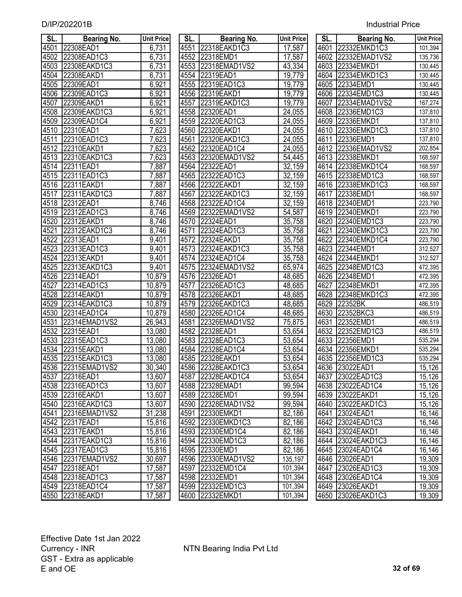| SL.  | <b>Bearing No.</b>   | <b>Unit Price</b> | SL.               | <b>Bearing No.</b>   | <b>Unit Price</b> | SL.  | <b>Bearing No.</b> | <b>Unit Price</b> |
|------|----------------------|-------------------|-------------------|----------------------|-------------------|------|--------------------|-------------------|
| 4501 | 22308EAD1            | 6,731             | 4551              | 22318EAKD1C3         | 17,587            | 4601 | 22332EMKD1C3       | 101,394           |
| 4502 | 22308EAD1C3          | 6,731             | 4552              | 22318EMD1            | 17,587            |      | 4602 22332EMAD1VS2 | 135,736           |
| 4503 | 22308EAKD1C3         | 6,731             | 4553              | 22318EMAD1VS2        | 43,334            |      | 4603 22334EMKD1    | 130,445           |
| 4504 | 22308EAKD1           | 6,731             | 4554              | 22319EAD1            | 19,779            |      | 4604 22334EMKD1C3  | 130,445           |
| 4505 | 22309EAD1            | 6,921             | 4555              | 22319EAD1C3          | 19,779            | 4605 | 22334EMD1          | 130,445           |
| 4506 | 22309EAD1C3          | 6,921             | 4556              | 22319EAKD1           | 19,779            | 4606 | 22334EMD1C3        | 130,445           |
| 4507 | 22309EAKD1           | 6,921             | 4557              | 22319EAKD1C3         | 19,779            | 4607 | 22334EMAD1VS2      | 167,274           |
| 4508 | 22309EAKD1C3         | 6,921             | 4558              | 22320EAD1            | 24,055            | 4608 | 22336EMD1C3        | 137,810           |
| 4509 | 22309EAD1C4          | 6,921             | 4559              | 22320EAD1C3          | 24,055            | 4609 | 22336EMKD1         | 137,810           |
| 4510 | 22310EAD1            | 7,623             | 4560              | 22320EAKD1           | 24,055            |      | 4610 22336EMKD1C3  | 137,810           |
| 4511 | 22310EAD1C3          | 7,623             | 4561              | 22320EAKD1C3         | 24,055            | 4611 | 22336EMD1          | 137,810           |
| 4512 | 22310EAKD1           | 7,623             | 4562              | 22320EAD1C4          | 24,055            |      | 4612 22336EMAD1VS2 | 202,854           |
| 4513 | 22310EAKD1C3         | 7,623             | 4563              | 22320EMAD1VS2        | 54,445            |      | 4613 22338EMKD1    | 168,597           |
| 4514 | 22311EAD1            | 7,887             | 4564              | 22322EAD1            | 32,159            |      | 4614 22338EMKD1C4  | 168,597           |
| 4515 | 22311EAD1C3          | 7,887             | 4565              | 22322EAD1C3          | 32,159            | 4615 | 22338EMD1C3        | 168,597           |
| 4516 | 22311EAKD1           | 7,887             | 4566              | 22322EAKD1           | 32,159            |      | 4616 22338EMKD1C3  | 168,597           |
| 4517 | 22311EAKD1C3         | 7,887             | 4567              | 22322EAKD1C3         | 32,159            | 4617 | 22338EMD1          | 168,597           |
| 4518 | 22312EAD1            | 8,746             | 4568              | 22322EAD1C4          | 32,159            | 4618 | 22340EMD1          | 223,790           |
| 4519 | 22312EAD1C3          | 8,746             | 4569              | 22322EMAD1VS2        | 54,587            | 4619 | 22340EMKD1         | 223,790           |
| 4520 | 22312EAKD1           | 8,746             | 4570              | 22324EAD1            | 35,758            | 4620 | 22340EMD1C3        | 223,790           |
| 4521 | 22312EAKD1C3         | 8,746             | 4571              | 22324EAD1C3          | 35,758            | 4621 | 22340EMKD1C3       | 223,790           |
| 4522 | 22313EAD1            | 9,401             | 4572              | 22324EAKD1           | 35,758            | 4622 | 22340EMKD1C4       | 223,790           |
| 4523 | 22313EAD1C3          | 9,401             | $\overline{4573}$ | 22324EAKD1C3         | 35,758            | 4623 | 22344EMD1          | 312,527           |
| 4524 | 22313EAKD1           | 9,401             | 4574              | 22324EAD1C4          | 35,758            | 4624 | 22344EMKD1         | 312,527           |
| 4525 | 22313EAKD1C3         | 9,401             | 4575              | 22324EMAD1VS2        | 65,974            | 4625 | 22348EMD1C3        | 472,395           |
| 4526 | 22314EAD1            | 10,879            | 4576              | 22326EAD1            | 48,685            | 4626 | 22348EMD1          | 472,395           |
| 4527 | 22314EAD1C3          | 10,879            | 4577              | 22326EAD1C3          | 48,685            | 4627 | 22348EMKD1         | 472,395           |
| 4528 | 22314EAKD1           | 10,879            | 4578              | 22326EAKD1           | 48,685            | 4628 | 22348EMKD1C3       | 472,395           |
| 4529 | 22314EAKD1C3         | 10,879            | 4579              | 22326EAKD1C3         | 48,685            | 4629 | 22352BK            | 486,519           |
| 4530 | 22314EAD1C4          | 10,879            | 4580              | 22326EAD1C4          | 48,685            | 4630 | 22352BKC3          | 486,519           |
| 4531 | 22314EMAD1VS2        | 26,943            | 4581              | 22326EMAD1VS2        | 75,875            | 4631 | 22352EMD1          | 486,519           |
| 4532 | 22315EAD1            | 13,080            | 4582              | 22328EAD1            | 53,654            | 4632 | 22352EMD1C3        | 486,519           |
| 4533 | 22315EAD1C3          | 13,080            | 4583              | 22328EAD1C3          | 53,654            | 4633 | 22356EMD1          | 535,294           |
| 4534 | 22315EAKD1           | 13,080            | 4584              | 22328EAD1C4          | 53,654            | 4634 | 22356EMKD1         | 535,294           |
| 4535 | 22315EAKD1C3         | 13,080            | 4585              | 22328EAKD1           | 53,654            |      | 4635 22356EMD1C3   | 535,294           |
|      | 4536 22315 EMAD1 VS2 | 30,340            |                   | 4586 22328EAKD1C3    | 53,654            |      | 4636 23022EAD1     | 15,126            |
|      | 4537 22316EAD1       | 13,607            |                   | 4587 22328EAKD1C4    | 53,654            |      | 4637 23022EAD1C3   | 15,126            |
| 4538 | 22316EAD1C3          | 13,607            |                   | 4588 22328EMAD1      | 99,594            |      | 4638 23022EAD1C4   | 15,126            |
| 4539 | 22316EAKD1           | 13,607            |                   | 4589 22328EMD1       | 99,594            |      | 4639 23022EAKD1    | 15,126            |
| 4540 | 22316EAKD1C3         | 13,607            |                   | 4590 22328EMAD1VS2   | 99,594            |      | 4640 23022EAKD1C3  | 15,126            |
| 4541 | 22316EMAD1VS2        | 31,238            |                   | 4591 22330EMKD1      | 82,186            |      | 4641 23024EAD1     | 16,146            |
| 4542 | 22317EAD1            | 15,816            |                   | 4592 22330EMKD1C3    | 82,186            |      | 4642 23024EAD1C3   | 16,146            |
| 4543 | 22317EAKD1           | 15,816            |                   | 4593 22330EMD1C4     | 82,186            |      | 4643 23024EAKD1    | 16,146            |
|      | 4544 22317EAKD1C3    | 15,816            |                   | 4594 22330EMD1C3     | 82,186            |      | 4644 23024 EAKD1C3 | 16,146            |
|      | 4545 22317EAD1C3     | 15,816            |                   | 4595 22330EMD1       | 82,186            |      | 4645 23024EAD1C4   | 16,146            |
|      | 4546 22317EMAD1VS2   | 30,697            |                   | 4596 22330 EMAD1 VS2 | 135,197           |      | 4646 23026EAD1     | 19,309            |
| 4547 | 22318EAD1            | 17,587            |                   | 4597 22332EMD1C4     | 101,394           |      | 4647 23026EAD1C3   | 19,309            |
|      | 4548 22318EAD1C3     | 17,587            |                   | 4598 22332EMD1       | 101,394           |      | 4648 23026EAD1C4   | 19,309            |
|      | 4549 22318EAD1C4     | 17,587            |                   | 4599 22332EMD1C3     | 101,394           |      | 4649 23026EAKD1    | 19,309            |
|      | 4550 22318EAKD1      | 17,587            |                   | 4600 22332EMKD1      | 101,394           |      | 4650 23026EAKD1C3  | 19,309            |

| SL.  | <b>Bearing No.</b> | <b>Unit Price</b> | SL.  | <b>Bearing No.</b>   | <b>Unit Price</b>    | SL.  | <b>Bearing No.</b> | <b>Unit Pric</b> |
|------|--------------------|-------------------|------|----------------------|----------------------|------|--------------------|------------------|
| 4501 | 22308EAD1          | 6,731             |      | 4551 22318EAKD1C3    | 17,587               |      | 4601 22332EMKD1C3  | 101,394          |
| 4502 | 22308EAD1C3        | 6,731             |      | 4552 22318EMD1       | 17,587               |      | 4602 22332EMAD1VS2 | 135,736          |
| 4503 | 22308EAKD1C3       | 6,731             |      | 4553 22318EMAD1VS2   | 43,334               |      | 4603 22334EMKD1    | 130,445          |
| 4504 | 22308EAKD1         | 6,731             |      | 4554 22319EAD1       | 19,779               |      | 4604 22334EMKD1C3  | 130,445          |
| 4505 | 22309EAD1          | 6,921             |      | 4555 22319EAD1C3     | 19,779               |      | 4605 22334EMD1     | 130,445          |
| 4506 | 22309EAD1C3        | 6,921             | 4556 | 22319EAKD1           | 19,779               |      | 4606 22334EMD1C3   | 130,445          |
| 4507 | 22309EAKD1         | 6,921             | 4557 | 22319EAKD1C3         | 19,779               | 4607 | 22334EMAD1VS2      | 167,274          |
| 4508 | 22309EAKD1C3       | 6,921             | 4558 | 22320EAD1            | 24,055               |      | 4608 22336EMD1C3   | 137,810          |
| 4509 | 22309EAD1C4        | 6,921             | 4559 | 22320EAD1C3          | 24,055               |      | 4609 22336EMKD1    | 137,810          |
| 4510 | 22310EAD1          | 7,623             | 4560 | 22320EAKD1           | 24,055               |      | 4610 22336EMKD1C3  | 137,810          |
| 4511 | 22310EAD1C3        | 7,623             | 4561 | 22320EAKD1C3         | 24,055               |      | 4611 22336EMD1     | 137,810          |
| 4512 | 22310EAKD1         | 7,623             |      | 4562 22320EAD1C4     | 24,055               |      | 4612 22336EMAD1VS2 | 202,854          |
| 4513 | 22310EAKD1C3       | 7,623             | 4563 | 22320EMAD1VS2        | 54,445               |      | 4613 22338EMKD1    | 168,597          |
|      | 4514 22311EAD1     | 7,887             |      | 4564 22322EAD1       | $\overline{32, 159}$ |      | 4614 22338EMKD1C4  | 168,597          |
| 4515 | 22311EAD1C3        | 7,887             | 4565 | 22322EAD1C3          | 32,159               | 4615 | 22338EMD1C3        | 168,597          |
| 4516 | 22311EAKD1         | 7,887             | 4566 | 22322EAKD1           | 32,159               | 4616 | 22338EMKD1C3       | 168,597          |
| 4517 | 22311EAKD1C3       | 7,887             | 4567 | 22322EAKD1C3         | 32,159               | 4617 | 22338EMD1          | 168,597          |
| 4518 | 22312EAD1          | 8,746             | 4568 | 22322EAD1C4          | 32,159               |      | 4618 22340EMD1     | 223,790          |
| 4519 | 22312EAD1C3        | 8,746             | 4569 | 22322EMAD1VS2        | 54,587               | 4619 | 22340EMKD1         | 223,790          |
| 4520 | 22312EAKD1         | 8,746             | 4570 | 22324EAD1            | 35,758               | 4620 | 22340EMD1C3        | 223,790          |
| 4521 | 22312EAKD1C3       | 8,746             | 4571 | 22324EAD1C3          | 35,758               | 4621 | 22340EMKD1C3       | 223,790          |
| 4522 | 22313EAD1          | 9,401             | 4572 | 22324EAKD1           | 35,758               | 4622 | 22340EMKD1C4       | 223,790          |
| 4523 | 22313EAD1C3        | 9,401             | 4573 | 22324EAKD1C3         | 35,758               | 4623 | 22344EMD1          | 312,527          |
| 4524 | 22313EAKD1         | 9,401             |      | 4574 22324EAD1C4     | 35,758               |      | 4624 22344EMKD1    | 312,527          |
| 4525 | 22313EAKD1C3       | 9,401             | 4575 | 22324EMAD1VS2        | 65,974               | 4625 | 22348EMD1C3        | 472,395          |
| 4526 | 22314EAD1          | 10,879            | 4576 | 22326EAD1            | 48,685               |      | 4626 22348EMD1     | 472,395          |
| 4527 | 22314EAD1C3        | 10,879            | 4577 | 22326EAD1C3          | 48,685               | 4627 | 22348EMKD1         | 472,395          |
| 4528 | 22314EAKD1         | 10,879            |      | 4578 22326EAKD1      | 48,685               |      | 4628 22348EMKD1C3  | 472,395          |
| 4529 | 22314EAKD1C3       | 10,879            | 4579 | 22326EAKD1C3         | 48,685               | 4629 | 22352BK            | 486,519          |
| 4530 | 22314EAD1C4        | 10,879            |      | 4580 22326EAD1C4     | 48,685               | 4630 | 22352BKC3          | 486,519          |
| 4531 | 22314EMAD1VS2      | 26,943            | 4581 | 22326EMAD1VS2        | 75,875               | 4631 | 22352EMD1          | 486,519          |
| 4532 | 22315EAD1          | 13,080            |      | 4582 22328EAD1       | 53,654               |      | 4632 22352EMD1C3   | 486,519          |
| 4533 | 22315EAD1C3        | 13,080            | 4583 | 22328EAD1C3          | 53,654               |      | 4633 22356EMD1     | 535,294          |
| 4534 | 22315EAKD1         | 13,080            |      | 4584 22328EAD1C4     | 53,654               |      | 4634 22356EMKD1    | 535,294          |
| 4535 | 22315EAKD1C3       | 13,080            | 4585 | 22328EAKD1           | 53,654               |      | 4635 22356EMD1C3   | 535,294          |
|      | 4536 22315EMAD1VS2 | 30,340            |      | 4586 22328EAKD1C3    | $\overline{53,654}$  |      | 4636 23022EAD1     | 15,126           |
|      | 4537 22316EAD1     | 13,607            |      | 4587 22328EAKD1C4    | 53,654               |      | 4637 23022EAD1C3   | 15,126           |
|      | 4538 22316EAD1C3   | 13,607            |      | 4588 22328EMAD1      | 99,594               |      | 4638 23022EAD1C4   | 15,126           |
|      | 4539 22316EAKD1    | 13,607            |      | 4589 22328EMD1       | 99,594               |      | 4639 23022EAKD1    | 15,126           |
|      | 4540 22316EAKD1C3  | 13,607            |      | 4590 22328EMAD1VS2   | 99,594               |      | 4640 23022EAKD1C3  | 15,126           |
|      | 4541 22316EMAD1VS2 | 31,238            |      | 4591 22330EMKD1      | 82,186               |      | 4641 23024EAD1     | 16,146           |
|      | 4542 22317EAD1     | 15,816            |      | 4592 22330EMKD1C3    | 82,186               |      | 4642 23024EAD1C3   | 16,146           |
|      | 4543 22317EAKD1    | 15,816            |      | 4593 22330EMD1C4     | 82,186               |      | 4643 23024EAKD1    | 16,146           |
|      | 4544 22317EAKD1C3  | 15,816            |      | 4594 22330 EMD1 C3   | 82,186               |      | 4644 23024EAKD1C3  | 16,146           |
|      | 4545 22317EAD1C3   | 15,816            |      | 4595 22330EMD1       | $\overline{82,186}$  |      | 4645 23024EAD1C4   | 16,146           |
|      | 4546 22317EMAD1VS2 | 30,697            |      | 4596 22330 EMAD1 VS2 | 135,197              |      | 4646 23026EAD1     | 19,309           |
| 4547 | 22318EAD1          | 17,587            |      | 4597 22332EMD1C4     | 101,394              |      | 4647 23026EAD1C3   | 19,309           |
|      | 4548 22318EAD1C3   | 17,587            |      | 4598 22332EMD1       | 101,394              |      | 4648 23026EAD1C4   | 19,309           |
|      | 4549 22318EAD1C4   | 17,587            |      | 4599 22332EMD1C3     | 101,394              |      | 4649 23026EAKD1    | 19,309           |
| 4550 | 22318EAKD1         | 17,587            |      | 4600 22332EMKD1      | 101,394              |      | 4650 23026EAKD1C3  | 19,309           |
|      |                    |                   |      |                      |                      |      |                    |                  |

| SL.  | Bearing No.     | <b>Unit Price</b> |
|------|-----------------|-------------------|
| 4601 | 22332EMKD1C3    | 101,394           |
| 4602 | 22332EMAD1VS2   | 135,736           |
| 4603 | 22334EMKD1      | 130,445           |
| 4604 | 22334EMKD1C3    | 130,445           |
| 4605 | 22334EMD1       | 130,445           |
| 4606 | 22334EMD1C3     | 130,445           |
| 4607 | 22334EMAD1VS2   | 167,274           |
| 4608 | 22336EMD1C3     | 137,810           |
| 4609 | 22336EMKD1      | 137,810           |
| 4610 | 22336EMKD1C3    | 137,810           |
| 4611 | 22336EMD1       | 137,810           |
| 4612 | 22336EMAD1VS2   | 202,854           |
| 4613 | 22338EMKD1      | 168,597           |
| 4614 | 22338EMKD1C4    | 168,597           |
| 4615 | 22338EMD1C3     | 168,597           |
| 4616 | 22338EMKD1C3    | 168,597           |
| 4617 | 22338EMD1       | 168,597           |
| 4618 | 22340EMD1       | 223,790           |
| 4619 | 22340EMKD1      | 223,790           |
| 4620 | 22340EMD1C3     | 223,790           |
| 4621 | 22340EMKD1C3    | 223,790           |
| 4622 | 22340EMKD1C4    | 223,790           |
| 4623 | 22344EMD1       | 312,527           |
| 4624 | 22344EMKD1      | 312,527           |
| 4625 | 22348EMD1C3     | 472,395           |
| 4626 | 22348EMD1       | 472,395           |
| 4627 | 22348EMKD1      | 472,395           |
| 4628 | 22348EMKD1C3    | 472,395           |
| 4629 | 22352BK         | 486,519           |
| 4630 | 22352BKC3       | 486,519           |
| 4631 | 22352EMD1       | 486,519           |
| 4632 | 22352EMD1C3     | 486,519           |
|      | 4633 22356EMD1  | 535,294           |
|      | 4634 22356EMKD1 | 535,294           |
| 4635 | 22356EMD1C3     | 535,294           |
| 4636 | 23022EAD1       | 15.126            |
| 4637 | 23022EAD1C3     | 15,126            |
| 4638 | 23022EAD1C4     | 15,126            |
| 4639 | 23022EAKD1      | 15,126            |
| 4640 | 23022EAKD1C3    | 15,126            |
| 4641 | 23024EAD1       | 16,146            |
| 4642 | 23024EAD1C3     | 16, 146           |
| 4643 | 23024EAKD1      | 16,146            |
| 4644 | 23024EAKD1C3    | 16, 146           |
| 4645 | 23024EAD1C4     | 16,146            |
| 4646 | 23026EAD1       | 19,309            |
| 4647 | 23026EAD1C3     | 19,309            |
| 4648 | 23026EAD1C4     | 19,309            |
| 4649 | 23026EAKD1      | 19,309            |
| 4650 | 23026EAKD1C3    | 19,309            |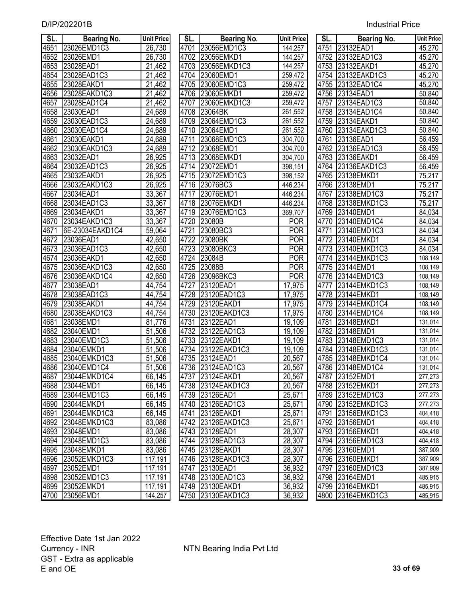| SL.  | <b>Bearing No.</b> | <b>Unit Price</b>   | SL.  | <b>Bearing No.</b> | <b>Unit Price</b> | SL.  | <b>Bearing No.</b> | <b>Unit Price</b> |
|------|--------------------|---------------------|------|--------------------|-------------------|------|--------------------|-------------------|
| 4651 | 23026EMD1C3        | 26,730              |      | 4701 23056EMD1C3   | 144,257           | 4751 | 23132EAD1          | 45,270            |
| 4652 | 23026EMD1          | 26,730              |      | 4702 23056EMKD1    | 144,257           |      | 4752 23132EAD1C3   | 45,270            |
| 4653 | 23028EAD1          | $\overline{21,462}$ |      | 4703 23056EMKD1C3  | 144,257           |      | 4753 23132EAKD1    | 45,270            |
| 4654 | 23028EAD1C3        | $\overline{21,462}$ |      | 4704 23060EMD1     | 259,472           |      | 4754 23132EAKD1C3  | 45,270            |
| 4655 | 23028EAKD1         | $\overline{2}1,462$ |      | 4705 23060EMD1C3   | 259,472           |      | 4755 23132EAD1C4   | 45,270            |
| 4656 | 23028EAKD1C3       | $\overline{21,}462$ |      | 4706 23060EMKD1    | 259,472           |      | 4756 23134EAD1     | 50,840            |
| 4657 | 23028EAD1C4        | 21,462              | 4707 | 23060EMKD1C3       | 259,472           | 4757 | 23134EAD1C3        | 50,840            |
| 4658 | 23030EAD1          | 24,689              |      | 4708 23064BK       | 261,552           | 4758 | 23134EAD1C4        | 50,840            |
| 4659 | 23030EAD1C3        | 24,689              |      | 4709 23064EMD1C3   | 261,552           |      | 4759 23134EAKD1    | 50,840            |
| 4660 | 23030EAD1C4        | 24,689              | 4710 | 23064EMD1          | 261,552           | 4760 | 23134EAKD1C3       | 50,840            |
| 4661 | 23030EAKD1         | 24,689              | 4711 | 23068EMD1C3        | 304,700           | 4761 | 23136EAD1          | 56,459            |
| 4662 | 23030EAKD1C3       | 24,689              | 4712 | 23068EMD1          | 304,700           | 4762 | 23136EAD1C3        | 56,459            |
| 4663 | 23032EAD1          | 26,925              | 4713 | 23068EMKD1         | 304,700           |      | 4763 23136EAKD1    | 56,459            |
| 4664 | 23032EAD1C3        | 26,925              | 4714 | 23072EMD1          | 398,151           | 4764 | 23136EAKD1C3       | 56,459            |
| 4665 | 23032EAKD1         | 26,925              | 4715 | 23072EMD1C3        | 398,152           | 4765 | 23138EMKD1         | 75,217            |
| 4666 | 23032EAKD1C3       | 26,925              | 4716 | 23076BC3           | 446,234           | 4766 | 23138EMD1          | 75,217            |
| 4667 | 23034EAD1          | 33,367              | 4717 | 23076EMD1          | 446,234           | 4767 | 23138EMD1C3        | 75,217            |
| 4668 | 23034EAD1C3        | 33,367              | 4718 | 23076EMKD1         | 446,234           | 4768 | 23138EMKD1C3       | 75,217            |
| 4669 | 23034EAKD1         | 33,367              | 4719 | 23076EMD1C3        | 369,707           | 4769 | 23140EMD1          | 84,034            |
| 4670 | 23034EAKD1C3       | 33,367              | 4720 | 23080B             | <b>POR</b>        | 4770 | 23140EMD1C4        | 84,034            |
| 4671 | 6E-23034EAKD1C4    | 59,064              | 4721 | 23080BC3           | <b>POR</b>        | 4771 | 23140EMD1C3        | 84,034            |
| 4672 | 23036EAD1          | 42,650              | 4722 | 23080BK            | <b>POR</b>        | 4772 | 23140EMKD1         | 84,034            |
| 4673 | 23036EAD1C3        | 42,650              |      | 4723 23080BKC3     | <b>POR</b>        | 4773 | 23140EMKD1C3       | 84,034            |
| 4674 | 23036EAKD1         | 42,650              | 4724 | 23084B             | <b>POR</b>        | 4774 | 23144EMKD1C3       | 108,149           |
| 4675 | 23036EAKD1C3       | 42,650              | 4725 | <b>123088B</b>     | <b>POR</b>        | 4775 | 23144EMD1          | 108,149           |
| 4676 | 23036EAKD1C4       | 42,650              |      | 4726 23096BKC3     | <b>POR</b>        | 4776 | 23144EMD1C3        | 108,149           |
| 4677 | 23038EAD1          | 44,754              | 4727 | 23120EAD1          | 17,975            | 4777 | 23144EMKD1C3       | 108,149           |
| 4678 | 23038EAD1C3        | 44,754              | 4728 | 23120EAD1C3        | 17,975            | 4778 | 23144EMKD1         | 108,149           |
| 4679 | 23038EAKD1         | 44,754              | 4729 | 23120EAKD1         | 17,975            | 4779 | 23144EMKD1C4       | 108,149           |
| 4680 | 23038EAKD1C3       | 44,754              | 4730 | 23120EAKD1C3       | 17,975            | 4780 | 23144EMD1C4        | 108,149           |
| 4681 | 23038EMD1          | 81,776              | 4731 | 23122EAD1          | 19,109            | 4781 | 23148EMKD1         | 131,014           |
| 4682 | 23040EMD1          | 51,506              | 4732 | 23122EAD1C3        | 19,109            | 4782 | 23148EMD1          | 131,014           |
| 4683 | 23040EMD1C3        | 51,506              | 4733 | 23122EAKD1         | 19,109            | 4783 | 23148EMD1C3        | 131,014           |
| 4684 | 23040EMKD1         | 51,506              | 4734 | 23122EAKD1C3       | 19,109            | 4784 | 23148EMKD1C3       | 131,014           |
| 4685 | 23040EMKD1C3       | 51,506              | 4735 | 23124EAD1          | 20,567            |      | 4785 23148EMKD1C4  | 131,014           |
| 4686 | 23040EMD1C4        | 51,506              |      | 4736 23124EAD1C3   | 20,567            |      | 4786 23148EMD1C4   | 131,014           |
| 4687 | 23044EMKD1C4       | 66,145              |      | 4737 23124EAKD1    | 20,567            |      | 4787 23152EMD1     | 277,273           |
| 4688 | 23044EMD1          | 66,145              |      | 4738 23124 EAKD1C3 | 20,567            |      | 4788 23152EMKD1    | 277,273           |
| 4689 | 23044EMD1C3        | 66,145              |      | 4739 23126EAD1     | 25,671            |      | 4789 23152EMD1C3   | 277,273           |
| 4690 | 23044EMKD1         | 66,145              |      | 4740 23126EAD1C3   | 25,671            |      | 4790 23152EMKD1C3  | 277,273           |
| 4691 | 23044EMKD1C3       | 66,145              |      | 4741 23126EAKD1    | 25,671            |      | 4791 23156EMKD1C3  | 404,418           |
| 4692 | 23048EMKD1C3       | 83,086              |      | 4742 23126EAKD1C3  | 25,671            |      | 4792 23156EMD1     | 404,418           |
| 4693 | 23048EMD1          | 83,086              |      | 4743 23128EAD1     | 28,307            |      | 4793 23156EMKD1    | 404,418           |
| 4694 | 23048EMD1C3        | 83,086              |      | 4744 23128EAD1C3   | 28,307            |      | 4794 23156EMD1C3   | 404,418           |
| 4695 | 23048EMKD1         | 83,086              |      | 4745 23128EAKD1    | 28,307            |      | 4795 23160EMD1     | 387,909           |
| 4696 | 23052EMKD1C3       | 117,191             |      | 4746 23128EAKD1C3  | 28,307            |      | 4796 23160 EMKD1   | 387,909           |
| 4697 | 23052EMD1          | 117,191             |      | 4747 23130EAD1     | 36,932            |      | 4797 23160EMD1C3   | 387,909           |
| 4698 | 23052EMD1C3        | 117,191             |      | 4748 23130EAD1C3   | 36,932            |      | 4798 23164EMD1     | 485,915           |
| 4699 | 23052EMKD1         | 117,191             |      | 4749 23130EAKD1    | 36,932            |      | 4799 23164EMKD1    | 485,915           |
| 4700 | 23056EMD1          | 144,257             |      | 4750 23130EAKD1C3  | 36,932            |      | 4800 23164EMKD1C3  | 485,915           |

| SL.  | Bearing No.       | <b>Unit Price</b> |
|------|-------------------|-------------------|
| 4701 | 23056EMD1C3       | 144,257           |
| 4702 | 23056EMKD1        | 144,257           |
| 4703 | 23056EMKD1C3      | 144,257           |
| 4704 | 23060EMD1         | 259,472           |
| 4705 | 23060EMD1C3       | 259,472           |
| 4706 | 23060EMKD1        | 259,472           |
| 4707 | 23060EMKD1C3      | 259,472           |
| 4708 | 23064BK           | 261,552           |
| 4709 | 23064EMD1C3       | 261,552           |
| 4710 | 23064EMD1         | 261,552           |
| 4711 | 23068EMD1C3       | 304,700           |
| 4712 | 23068EMD1         | 304,700           |
| 4713 | 23068EMKD1        | 304,700           |
|      | 4714 23072EMD1    | 398,151           |
|      | 4715 23072EMD1C3  | 398,152           |
|      | 4716 23076BC3     | 446,234           |
|      | 4717 23076EMD1    | 446,234           |
|      | 4718 23076EMKD1   | 446,234           |
|      | 4719 23076EMD1C3  | 369,707           |
|      | 4720 23080B       | POR               |
|      | 4721 23080BC3     | <b>POR</b>        |
|      | 4722 23080BK      | <b>POR</b>        |
|      | 4723 23080BKC3    | <b>POR</b>        |
|      | 4724 23084B       | <b>POR</b>        |
|      | 4725 23088B       | <b>POR</b>        |
|      | 4726 23096BKC3    | <b>POR</b>        |
|      | 4727 23120EAD1    | 17,975            |
|      | 4728 23120EAD1C3  | 17,975            |
| 4729 | 23120EAKD1        | 17,975            |
| 4730 | 23120EAKD1C3      | 17,975            |
| 4731 | 23122EAD1         | 19,109            |
|      | 4732 23122EAD1C3  | 19,109            |
|      | 4733 23122EAKD1   | 19,109            |
|      | 4734 23122EAKD1C3 | 19,109            |
|      | 4735 23124EAD1    | 20,567            |
| 4736 | 23124EAD1C3       | 20,567            |
| 4737 | 23124EAKD1        | 20,567            |
| 4738 | 23124EAKD1C3      | 20,567            |
| 4739 | 23126EAD1         | 25,671            |
| 4740 | 23126EAD1C3       | 25,671            |
| 4741 | 23126EAKD1        | 25,671            |
| 4742 | 23126EAKD1C3      | 25,671            |
| 4743 | 23128EAD1         | 28,307            |
| 4744 | 23128EAD1C3       | 28,307            |
| 4745 | 23128EAKD1        | 28,307            |
| 4746 | 23128EAKD1C3      | 28,307            |
| 4747 | 23130EAD1         | 36,932            |
| 4748 | 23130EAD1C3       | 36,932            |
| 4749 | 23130EAKD1        | 36,932            |
| 4750 | 23130EAKD1C3      | 36,932            |

| SL.               | Bearing No.             | <b>Unit Price</b> |
|-------------------|-------------------------|-------------------|
|                   | 4751 23132EAD1          | 45,270            |
| 4752              | 23132EAD1C3             | 45,270            |
| 4753              | 23132EAKD1              | 45,270            |
| 4754              | 23132EAKD1C3            | 45,270            |
| 4755              | 23132EAD1C4             | 45,270            |
| 4756              | 23134EAD1               | 50,840            |
| $4\overline{757}$ | 23134EAD1C3             | 50,840            |
| 4758              | 23134EAD1C4             | 50,840            |
| 4759              | 23134EAKD1              | 50,840            |
| 4760              | 23134EAKD1C3            | 50,840            |
| 4761              | 23136EAD1               | 56,459            |
| 4762              | 23136EAD1C3             | 56,459            |
| 4763              | 23136EAKD1              | 56,459            |
| 4764              | 23136EAKD1C3            | 56,459            |
| 4765              |                         | 75,217            |
| 4766              | 23138EMKD1<br>23138EMD1 | 75,217            |
| 4767              | 23138EMD1C3             | 75,217            |
| 4768              | 23138EMKD1C3            | 75,217            |
| 4769              | 23140EMD1               | 84,034            |
| 4770              | 23140EMD1C4             | 84,034            |
| 4771              | 23140EMD1C3             | 84,034            |
|                   | 4772 23140EMKD1         | 84,034            |
| 4773              | 23140EMKD1C3            | 84,034            |
| 4774              | 23144EMKD1C3            | 108,149           |
| 4775              | 23144EMD1               | 108,149           |
| 4776              | 23144EMD1C3             | 108,149           |
| 4777              | 23144EMKD1C3            | 108,149           |
| 4778              | 23144EMKD1              | 108,149           |
| 4779              | 23144EMKD1C4            | 108,149           |
| 4780              | 23144EMD1C4             | 108,149           |
| 4781              | 23148EMKD1              | 131,014           |
| 4782              | 23148EMD1               | 131,014           |
| 4783              | 23148EMD1C3             | 131,014           |
| 4784              | 23148EMKD1C3            | 131,014           |
| 4785              | 23148EMKD1C4            | 131,014           |
| 4786              | 23148EMD1C4             | 131,014           |
| 4787              | 23152EMD1               | 277,273           |
| 4788              | 23152EMKD1              | 277,273           |
| 4789              | 23152EMD1C3             | 277,273           |
| 4790              | 23152EMKD1C3            | 277,273           |
| 4791              | 23156EMKD1C3            | 404,418           |
| 4792              | 23156EMD1               | 404,418           |
| 4793              | 23156EMKD1              | 404,418           |
| 4794              | 23156EMD1C3             | 404,418           |
| 4795              | 23160EMD1               | 387,909           |
| 4796              | 23160EMKD1              | 387,909           |
| 4797              | 23160EMD1C3             | 387,909           |
| 4798              | 23164EMD1               | 485,915           |
| 4799              | 23164EMKD1              | 485,915           |
| 4800              | 23164EMKD1C3            | 485,915           |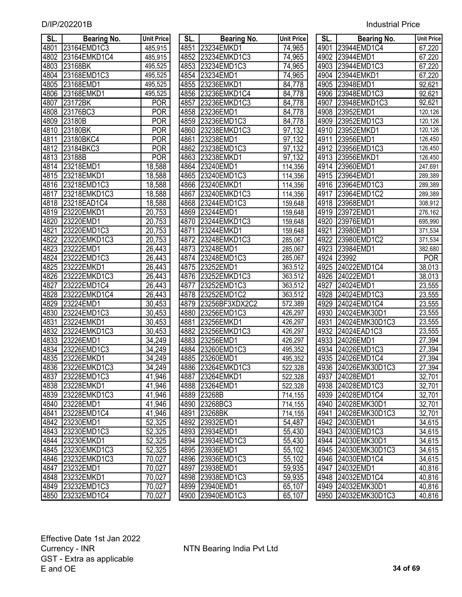| SL.               | <b>Bearing No.</b> | <b>Unit Price</b>   | SL.  | <b>Bearing No.</b> | <b>Unit Price</b> | SL.  | <b>Bearing No.</b>  | <b>Unit Price</b> |
|-------------------|--------------------|---------------------|------|--------------------|-------------------|------|---------------------|-------------------|
| 4801              | 23164EMD1C3        | 485,915             |      | 4851 23234EMKD1    | 74,965            |      | 4901 23944EMD1C4    | 67,220            |
| 4802              | 23164EMKD1C4       | 485,915             |      | 4852 23234EMKD1C3  | 74,965            |      | 4902 23944EMD1      | 67,220            |
| 4803              | 23168BK            | 495,525             |      | 4853 23234EMD1C3   | 74,965            |      | 4903 23944EMD1C3    | 67,220            |
| 4804              | 23168EMD1C3        | 495,525             |      | 4854 23234EMD1     | 74,965            |      | 4904 23944EMKD1     | 67,220            |
| 4805              | 23168EMD1          | 495,525             |      | 4855 23236EMKD1    | 84,778            |      | 4905 23948EMD1      | 92,621            |
| 4806              | 23168EMKD1         | 495,525             |      | 4856 23236EMKD1C4  | 84,778            |      | 4906 23948EMD1C3    | 92,621            |
| 4807              | 23172BK            | <b>POR</b>          | 4857 | 23236EMKD1C3       | 84,778            |      | 4907 23948EMKD1C3   | 92,621            |
| 4808              | 23176BC3           | <b>POR</b>          |      | 4858 23236EMD1     | 84,778            |      | 4908 23952EMD1      | 120,126           |
| 4809              | 23180B             | <b>POR</b>          |      | 4859 23236EMD1C3   | 84,778            |      | 4909 23952EMD1C3    | 120,126           |
| 4810              | 23180BK            | <b>POR</b>          | 4860 | 23238EMKD1C3       | 97,132            |      | 4910 23952EMKD1     | 120,126           |
| 4811              | 23180BKC4          | <b>POR</b>          | 4861 | 23238EMD1          | 97,132            |      | 4911 23956EMD1      | 126,450           |
| 4812              | 23184BKC3          | <b>POR</b>          |      | 4862 23238EMD1C3   | 97,132            |      | 4912 23956EMD1C3    | 126,450           |
| $\overline{4}813$ | 23188B             | <b>POR</b>          | 4863 | 23238EMKD1         | 97,132            |      | 4913 23956EMKD1     | 126,450           |
| 4814              | 23218EMD1          | 18,588              | 4864 | 23240EMD1          | 114,356           |      | 4914 23960EMD1      | 247,691           |
| 4815              | 23218EMKD1         | 18,588              | 4865 | 23240EMD1C3        | 114,356           |      | 4915 23964EMD1      | 289,389           |
| 4816              | 23218EMD1C3        | 18,588              | 4866 | 23240EMKD1         | 114,356           |      | 4916 23964EMD1C3    | 289,389           |
| 4817              | 23218EMKD1C3       | 18,588              | 4867 | 23240EMKD1C3       | 114,356           |      | 4917 23964EMD1C2    | 289,389           |
| 4818              | 23218EAD1C4        | 18,588              | 4868 | 23244EMD1C3        | 159,648           |      | 4918 23968EMD1      | 308,912           |
| 4819              | 23220EMKD1         | 20,753              | 4869 | 23244EMD1          | 159,648           | 4919 | 23972EMD1           | 276,162           |
| 4820              | 23220EMD1          | 20,753              | 4870 | 23244EMKD1C3       | 159,648           |      | 4920 23976EMD1      | 695,990           |
| 4821              | 23220EMD1C3        | 20,753              | 4871 | 23244EMKD1         | 159,648           | 4921 | 23980EMD1           | 371,534           |
| 4822              | 23220EMKD1C3       | 20,753              |      | 4872 23248EMKD1C3  | 285,067           | 4922 | 23980EMD1C2         | 371,534           |
| 4823              | 23222EMD1          | 26,443              |      | 4873 23248EMD1     | 285,067           |      | 4923 23984EMD1      | 382,680           |
| 4824              | 23222EMD1C3        | 26,443              | 4874 | 23248EMD1C3        | 285,067           | 4924 | 23992               | <b>POR</b>        |
| 4825              | 23222EMKD1         | 26,443              | 4875 | 23252EMD1          | 363,512           | 4925 | 24022EMD1C4         | 38,013            |
| 4826              | 23222EMKD1C3       | $\overline{26,}443$ |      | 4876 23252EMKD1C3  | 363,512           |      | 4926 24022EMD1      | 38,013            |
| 4827              | 23222EMD1C4        | 26,443              | 4877 | 23252EMD1C3        | 363,512           | 4927 | 24024EMD1           | 23,555            |
| 4828              | 23222EMKD1C4       | 26,443              | 4878 | 23252EMD1C2        | 363,512           | 4928 | 24024EMD1C3         | 23,555            |
| 4829              | 23224EMD1          | 30,453              | 4879 | 23256BF3XDX2C2     | 572,389           | 4929 | 24024EMD1C4         | 23,555            |
| 4830              | 23224EMD1C3        | 30,453              | 4880 | 23256EMD1C3        | 426,297           |      | 4930 24024EMK30D1   | 23,555            |
| 4831              | 23224EMKD1         | 30,453              | 4881 | 23256EMKD1         | 426,297           | 4931 | 24024EMK30D1C3      | 23,555            |
| 4832              | 23224EMKD1C3       | 30,453              | 4882 | 23256EMKD1C3       | 426,297           |      | 4932 24024EAD1C3    | 23,555            |
| 4833              | 23226EMD1          | 34,249              | 4883 | 23256EMD1          | 426,297           | 4933 | 24026EMD1           | 27,394            |
| 4834              | 23226EMD1C3        | 34,249              | 4884 | 23260EMD1C3        | 495,352           | 4934 | 24026EMD1C3         | 27,394            |
| 4835              | 23226EMKD1         | 34,249              | 4885 | 23260EMD1          | 495,352           |      | 4935 24026EMD1C4    | 27,394            |
|                   | 4836 23226EMKD1C3  | 34,249              |      | 4886 23264EMKD1C3  | 522,328           |      | 4936 24026EMK30D1C3 | 27,394            |
| 4837              | 23228EMD1C3        | 41,946              |      | 4887 23264EMKD1    | 522,328           |      | 4937 24028EMD1      | 32,701            |
| 4838              | 23228EMKD1         | 41,946              |      | 4888 23264EMD1     | 522,328           |      | 4938 24028EMD1C3    | 32,701            |
| 4839              | 23228EMKD1C3       | 41,946              |      | 4889 23268B        | 714,155           |      | 4939 24028EMD1C4    | 32,701            |
| 4840              | 23228EMD1          | 41,946              |      | 4890 23268BC3      | 714,155           |      | 4940 24028EMK30D1   | 32,701            |
| 4841              | 23228EMD1C4        | 41,946              |      | 4891 23268BK       | 714,155           |      | 4941 24028EMK30D1C3 | 32,701            |
|                   | 4842 23230EMD1     | 52,325              |      | 4892 23932EMD1     | 54,487            |      | 4942 24030EMD1      | 34,615            |
| 4843              | 23230EMD1C3        | 52,325              |      | 4893 23934EMD1     | 55,430            |      | 4943 24030EMD1C3    | 34,615            |
|                   | 4844 23230EMKD1    | 52,325              |      | 4894 23934EMD1C3   | 55,430            |      | 4944 24030EMK30D1   | 34,615            |
|                   | 4845 23230EMKD1C3  | 52,325              |      | 4895 23936EMD1     | 55,102            |      | 4945 24030EMK30D1C3 | 34,615            |
|                   | 4846 23232 EMKD1C3 | 70,027              |      | 4896 23936EMD1C3   | 55,102            |      | 4946 24030EMD1C4    | 34,615            |
| 4847              | 23232EMD1          | 70,027              |      | 4897 23938EMD1     | 59,935            |      | 4947 24032EMD1      | 40,816            |
|                   | 4848 23232EMKD1    | 70,027              |      | 4898 23938EMD1C3   | 59,935            |      | 4948 24032EMD1C4    | 40,816            |
|                   | 4849 23232EMD1C3   | 70,027              |      | 4899 23940EMD1     | 65,107            |      | 4949 24032EMK30D1   | 40,816            |
|                   | 4850 23232EMD1C4   | 70,027              |      | 4900 23940EMD1C3   | 65,107            |      | 4950 24032EMK30D1C3 | 40,816            |

| SL.         | <b>Bearing No.</b> | Unit Price          | SL.  | <b>Bearing No.</b> | <b>Unit Price</b>    | SL.  | <b>Bearing No.</b>  | <b>Unit Pric</b> |
|-------------|--------------------|---------------------|------|--------------------|----------------------|------|---------------------|------------------|
|             | 4801 23164EMD1C3   | 485,915             |      | 4851 23234EMKD1    | 74,965               |      | 4901 23944EMD1C4    | 67,220           |
| 4802        | 23164EMKD1C4       | 485,915             |      | 4852 23234EMKD1C3  | 74,965               |      | 4902 23944EMD1      | 67,220           |
| 4803        | 23168BK            | 495,525             |      | 4853 23234EMD1C3   | 74,965               |      | 4903 23944EMD1C3    | 67,220           |
| 4804        | 23168EMD1C3        | 495,525             |      | 4854 23234EMD1     | 74,965               |      | 4904 23944EMKD1     | 67,220           |
| 4805        | 23168EMD1          | 495,525             |      | 4855 23236EMKD1    | 84,778               |      | 4905 23948EMD1      | 92,621           |
| 4806        | 23168EMKD1         | 495,525             | 4856 | 23236EMKD1C4       | 84,778               |      | 4906 23948EMD1C3    | 92,621           |
| 4807        | 23172BK            | POR                 | 4857 | 23236EMKD1C3       | 84,778               | 4907 | 23948EMKD1C3        | 92,621           |
| 4808        | 23176BC3           | <b>POR</b>          |      | 4858 23236EMD1     | 84,778               |      | 4908 23952EMD1      | 120,126          |
| <u>4809</u> | 23180B             | <b>POR</b>          |      | 4859 23236EMD1C3   | 84,778               |      | 4909 23952EMD1C3    | 120,126          |
| 4810        | 23180BK            | <b>POR</b>          |      | 4860 23238EMKD1C3  | 97,132               |      | 4910 23952EMKD1     | 120,126          |
| 4811        | 23180BKC4          | POR                 | 4861 | 23238EMD1          | 97,132               |      | 4911 23956EMD1      | 126,450          |
| 4812        | 23184BKC3          | <b>POR</b>          |      | 4862 23238EMD1C3   | 97,132               |      | 4912 23956EMD1C3    | 126,450          |
| 4813        | 23188B             | <b>POR</b>          | 4863 | 23238EMKD1         | 97,132               |      | 4913 23956EMKD1     | 126,450          |
|             | 4814 23218EMD1     | 18,588              |      | 4864 23240EMD1     | 114,356              |      | 4914 23960EMD1      | 247,691          |
| 4815        | 23218EMKD1         | 18,588              | 4865 | 23240EMD1C3        | 114,356              | 4915 | 23964EMD1           | 289,389          |
| 4816        | 23218EMD1C3        | 18,588              | 4866 | 23240EMKD1         | 114,356              |      | 4916 23964EMD1C3    | 289,389          |
| 4817        | 23218EMKD1C3       | 18,588              | 4867 | 23240EMKD1C3       | 114,356              |      | 4917 23964EMD1C2    | 289,389          |
| 4818        | 23218EAD1C4        | 18,588              |      | 4868 23244EMD1C3   | 159,648              |      | 4918 23968EMD1      | 308,912          |
| 4819        | 23220EMKD1         | 20,753              |      | 4869 23244EMD1     | 159,648              |      | 4919 23972EMD1      | 276,162          |
| 4820        | 23220EMD1          | 20,753              |      | 4870 23244EMKD1C3  | 159,648              | 4920 | 23976EMD1           | 695,990          |
| 4821        | 23220EMD1C3        | 20,753              |      | 4871 23244EMKD1    | 159,648              | 4921 | 23980EMD1           | 371,534          |
| 4822        | 23220EMKD1C3       | 20,753              |      | 4872 23248EMKD1C3  | 285,067              | 4922 | 23980EMD1C2         | 371,534          |
| 4823        | 23222EMD1          | 26,443              |      | 4873 23248EMD1     | 285,067              | 4923 | 23984EMD1           | 382,680          |
| 4824        | 23222EMD1C3        | $\overline{26,}443$ |      | 4874 23248EMD1C3   | 285,067              |      | 4924 23992          | <b>POR</b>       |
| 4825        | 23222EMKD1         | 26,443              | 4875 | 23252EMD1          | 363,512              | 4925 | 24022EMD1C4         | 38,013           |
| 4826        | 23222EMKD1C3       | 26,443              |      | 4876 23252EMKD1C3  | 363,512              | 4926 | 24022EMD1           | 38,013           |
| 4827        | 23222EMD1C4        | 26,443              | 4877 | 23252EMD1C3        | 363,512              | 4927 | 24024EMD1           | 23,555           |
| 4828        | 23222EMKD1C4       | 26,443              |      | 4878 23252EMD1C2   | 363,512              |      | 4928 24024EMD1C3    | 23,555           |
| 4829        | 23224EMD1          | 30,453              | 4879 | 23256BF3XDX2C2     | 572,389              | 4929 | 24024EMD1C4         | 23,555           |
| 4830        | 23224EMD1C3        | 30,453              |      | 4880 23256EMD1C3   | 426,297              |      | 4930 24024EMK30D1   | 23,555           |
| 4831        | 23224EMKD1         | 30,453              | 4881 | 23256EMKD1         | 426,297              | 4931 | 24024EMK30D1C3      | 23,555           |
| 4832        | 23224EMKD1C3       | 30,453              |      | 4882 23256EMKD1C3  | 426,297              |      | 4932 24024EAD1C3    | 23,555           |
| 4833        | 23226EMD1          | $\overline{3}4,249$ | 4883 | 23256EMD1          | 426,297              |      | 4933 24026EMD1      | 27,394           |
| 4834        | 23226EMD1C3        | 34,249              |      | 4884 23260EMD1C3   | 495,352              |      | 4934 24026EMD1C3    | 27,394           |
| 4835        | 23226EMKD1         | 34,249              |      | 4885 23260EMD1     | 495,352              |      | 4935 24026EMD1C4    | 27,394           |
|             | 4836 23226EMKD1C3  | 34,249              |      | 4886 23264EMKD1C3  | $\overline{52}2,328$ |      | 4936 24026EMK30D1C3 | 27,394           |
|             | 4837 23228EMD1C3   | 41,946              |      | 4887 23264EMKD1    | 522,328              |      | 4937 24028EMD1      | 32,701           |
|             | 4838 23228EMKD1    | 41,946              |      | 4888 23264EMD1     | 522,328              |      | 4938 24028EMD1C3    | 32,701           |
|             | 4839 23228EMKD1C3  | 41,946              |      | 4889 23268B        | 714,155              |      | 4939 24028EMD1C4    | 32,701           |
|             | 4840 23228EMD1     | 41,946              |      | 4890 23268BC3      | 714,155              |      | 4940 24028EMK30D1   | 32,701           |
|             | 4841 23228EMD1C4   | 41,946              |      | 4891 23268BK       | 714,155              |      | 4941 24028EMK30D1C3 | 32,701           |
|             | 4842 23230EMD1     | 52,325              |      | 4892 23932EMD1     | 54,487               |      | 4942 24030EMD1      | 34,615           |
|             | 4843 23230EMD1C3   | 52,325              |      | 4893 23934EMD1     | 55,430               |      | 4943 24030EMD1C3    | 34,615           |
|             | 4844 23230EMKD1    | 52,325              |      | 4894 23934EMD1C3   | 55,430               |      | 4944 24030EMK30D1   | 34,615           |
|             | 4845 23230EMKD1C3  | 52,325              |      | 4895 23936EMD1     | 55,102               |      | 4945 24030EMK30D1C3 | 34,615           |
|             | 4846 23232EMKD1C3  | 70,027              |      | 4896 23936EMD1C3   | 55,102               |      | 4946 24030EMD1C4    | 34,615           |
| 4847        | 23232EMD1          | 70,027              |      | 4897 23938EMD1     | 59,935               |      | 4947 24032EMD1      | 40,816           |
|             | 4848 23232EMKD1    | 70,027              |      | 4898 23938EMD1C3   | 59,935               |      | 4948 24032EMD1C4    | 40,816           |
|             | 4849 23232EMD1C3   | 70,027              |      | 4899 23940EMD1     | 65,107               |      | 4949 24032EMK30D1   | 40,816           |
|             | 4850 23232EMD1C4   | 70,027              |      | 4900 23940EMD1C3   | 65,107               |      | 4950 24032EMK30D1C3 | 40,816           |
|             |                    |                     |      |                    |                      |      |                     |                  |

| SL.  | <b>Bearing No.</b> | <b>Unit Price</b> |
|------|--------------------|-------------------|
| 4901 | 23944EMD1C4        | 67,220            |
| 4902 | 23944EMD1          | 67,220            |
| 4903 | 23944EMD1C3        | 67,220            |
| 4904 | 23944EMKD1         | 67,220            |
| 4905 | 23948EMD1          | 92,621            |
| 4906 | 23948EMD1C3        | 92,621            |
| 4907 | 23948EMKD1C3       | 92,621            |
| 4908 | 23952EMD1          | 120,126           |
| 4909 | 23952EMD1C3        | 120,126           |
| 4910 | 23952EMKD1         | 120,126           |
| 4911 | 23956EMD1          | 126,450           |
| 4912 | 23956EMD1C3        | 126,450           |
| 4913 | 23956EMKD1         | 126,450           |
| 4914 | 23960EMD1          | 247,691           |
| 4915 | 23964EMD1          | 289,389           |
| 4916 | 23964EMD1C3        | 289,389           |
| 4917 | 23964EMD1C2        | 289,389           |
| 4918 | 23968EMD1          | 308,912           |
| 4919 | 23972EMD1          | 276,162           |
| 4920 | 23976EMD1          | 695,990           |
| 4921 | 23980EMD1          | 371,534           |
| 4922 | 23980EMD1C2        | 371,534           |
| 4923 | 23984EMD1          | 382,680           |
| 4924 | 23992              | <b>POR</b>        |
| 4925 | 24022EMD1C4        | 38,013            |
| 4926 | 24022EMD1          | 38,013            |
| 4927 | 24024EMD1          | 23,555            |
| 4928 | 24024EMD1C3        | 23,555            |
| 4929 | 24024EMD1C4        | 23,555            |
| 4930 | 24024EMK30D1       | 23,555            |
| 4931 | 24024EMK30D1C3     | 23,555            |
| 4932 | 24024EAD1C3        | 23,555            |
| 4933 | 24026EMD1          | 27,394            |
| 4934 | 24026EMD1C3        | 27,394            |
| 4935 | 24026EMD1C4        | 27,394            |
| 4936 | 24026EMK30D1C3     | 27,394            |
| 4937 | 24028EMD1          | 32,701            |
| 4938 | 24028EMD1C3        | 32,701            |
| 4939 | 24028EMD1C4        | 32,701            |
| 4940 | 24028EMK30D1       | 32,701            |
| 4941 | 24028EMK30D1C3     | 32,701            |
| 4942 | 24030EMD1          | 34,615            |
| 4943 | 24030EMD1C3        | 34,615            |
| 4944 | 24030EMK30D1       | 34,615            |
| 4945 | 24030EMK30D1C3     | 34,615            |
| 4946 | 24030EMD1C4        | 34,615            |
| 4947 | 24032EMD1          | 40,816            |
| 4948 | 24032EMD1C4        | 40,816            |
| 4949 | 24032EMK30D1       | 40,816            |
| 4950 | 24032EMK30D1C3     | 40,816            |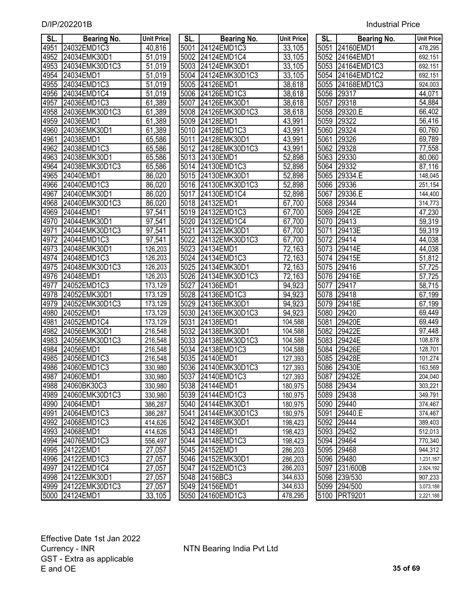| SL.          | <b>Bearing No.</b>       | <b>Unit Price</b>   | SL.  | <b>Bearing No.</b>                      | <b>Unit Price</b>  | SL.               | <b>Bearing No.</b>         | Unit Price           |
|--------------|--------------------------|---------------------|------|-----------------------------------------|--------------------|-------------------|----------------------------|----------------------|
| 4951         | 24032EMD1C3              | 40,816              |      | 5001 24124EMD1C3                        | 33,105             |                   | 5051 24160EMD1             | 478,295              |
| 4952         | 24034EMK30D1             | $\overline{51,019}$ |      | 5002 24124EMD1C4                        | 33,105             |                   | 5052 24164EMD1             | 692,151              |
| 4953         | 24034EMK30D1C3           | $\overline{51,019}$ |      | 5003 24124EMK30D1                       | 33,105             |                   | 5053 24164EMD1C3           | 692,151              |
| 4954         | 24034EMD1                | $\overline{51,019}$ |      | 5004 24124EMK30D1C3                     | 33,105             |                   | 5054 24164EMD1C2           | $\overline{692,}151$ |
| 4955         | 24034EMD1C3              | 51,019              |      | 5005 24126EMD1                          | 38,618             |                   | 5055 24168EMD1C3           | $\overline{924,003}$ |
| 4956         | 24034EMD1C4              | 51,019              |      | 5006 24126EMD1C3                        | 38,618             |                   | 5056 29317                 | 44,071               |
| 4957         | 24036EMD1C3              | 61,389              |      | 5007 24126EMK30D1                       | 38,618             |                   | 5057 29318                 | 54,884               |
| 4958         | 24036EMK30D1C3           | 61,389              |      | 5008 24126EMK30D1C3                     | 38,618             |                   | 5058 29320.E               | 66,402               |
| 4959         | 24036EMD1                | 61,389              |      | 5009 24128EMD1                          | 43,991             |                   | 5059 29322                 | 56,416               |
| 4960         | 24036EMK30D1             | 61,389              |      | 5010 24128EMD1C3                        | 43,991             |                   | 5060 29324                 | 60,760               |
| 4961         | 24038EMD1                | 65,586              |      | 5011 24128EMK30D1                       | 43,991             | 5061              | 29326                      | 69,789               |
| 4962         | 24038EMD1C3              | 65,586              |      | 5012 24128EMK30D1C3                     | 43,991             | 5062              | 29328                      | 77,558               |
| 4963         | 24038EMK30D1             | 65,586              |      | 5013 24130EMD1                          | 52,898             |                   | 5063 29330                 | 80,060               |
| 4964         | 24038EMK30D1C3           | 65,586              |      | 5014 24130EMD1C3                        | 52,898             |                   | 5064 29332                 | 87,116               |
| 4965         | 24040EMD1                | 86,020              |      | 5015 24130EMK30D1                       | 52,898             |                   | 5065 29334.E               | 148,045              |
| 4966         | 24040EMD1C3              | 86,020              |      | 5016 24130EMK30D1C3                     | 52,898             |                   | 5066 29336                 | 251,154              |
| 4967         | 24040EMK30D1             | 86,020              |      | 5017 24130EMD1C4                        | 52,898             | 5067              | 29336.E                    | 144,400              |
| 4968         | 24040EMK30D1C3           | 86,020              |      | 5018 24132EMD1                          | 67,700             |                   | 5068 29344                 | 314,773              |
| 4969         | 24044EMD1                | 97,541              |      | 5019 24132EMD1C3                        | 67,700             | 5069              | 29412E                     | 47,230               |
| 4970         | 24044EMK30D1             | 97,541              |      | 5020 24132EMD1C4                        | 67,700             |                   | 5070 29413                 | 59,319               |
| 4971         | 24044EMK30D1C3           | 97,541              |      | 5021 24132EMK30D1                       | 67,700             | 5071              | 29413E                     | 59,319               |
| 4972         | 24044EMD1C3              | 97,541              |      | 5022 24132EMK30D1C3                     | 67,700             |                   | 5072 29414                 | $\overline{4}4,038$  |
| 4973         | 24048EMK30D1             | 126,203             |      | 5023 24134EMD1                          | 72,163             |                   | 5073 29414E                | 44,038               |
| 4974         | 24048EMD1C3              | 126,203             |      | 5024 24134EMD1C3                        | 72,163             |                   | 5074 29415E                | 51,812               |
| 4975         | 24048EMK30D1C3           | 126,203             |      | 5025 24134EMK30D1                       | 72,163             | 5075              | 29416                      | 57,725               |
| 4976         | 24048EMD1                | 126,203             |      | 5026 24134EMK30D1C3                     | 72,163             |                   | 5076 29416E                | 57,725               |
| 4977         | 24052EMD1C3              | 173,129             |      | 5027 24136EMD1                          | 94,923             | 5077              | 29417                      | 58,715               |
| 4978         | 24052EMK30D1             | 173,129             |      | 5028 24136EMD1C3                        | 94,923             | $50\overline{78}$ | 29418                      | 67,199               |
| 4979         | 24052EMK30D1C3           | 173,129             |      | 5029 24136EMK30D1                       | 94,923             |                   | 5079 29418E                | 67,199               |
| 4980         | 24052EMD1                | 173,129             |      | 5030 24136EMK30D1C3                     | 94,923             |                   | 5080 29420                 | 69,449               |
| 4981         | 24052EMD1C4              | 173,129             | 5031 | 24138EMD1                               | 104,588            | 5081              | 29420E                     | 69,449               |
| 4982         | 24056EMK30D1             | 216,548             |      | 5032 24138EMK30D1                       | 104,588            |                   | 5082 29422E<br>5083 29424E | 97,448               |
| 4983         | 24056EMK30D1C3           | 216,548<br>216,548  |      | 5033 24138EMK30D1C3<br>5034 24138EMD1C3 | 104,588<br>104,588 |                   | 5084 29426E                | 108,878              |
| 4984<br>4985 | 24056EMD1<br>24056EMD1C3 | 216,548             |      | 5035 24140EMD1                          |                    |                   | 5085 29428E                | 128,701              |
| 4986         | 24060EMD1C3              | 330,980             |      | 5036 24140EMK30D1C3                     | 127,393<br>127,393 |                   | 5086 29430E                | 101,274<br>163,569   |
| 4987         | 24060EMD1                | 330,980             |      | 5037 24140EMD1C3                        | 127,393            |                   | 5087 29432E                | 204,040              |
| 4988         | 24060BK30C3              | 330,980             |      | 5038 24144EMD1                          | 180,975            |                   | 5088 29434                 | 303,221              |
| 4989         | 24060EMK30D1C3           | 330,980             |      | 5039 24144EMD1C3                        | 180,975            |                   | 5089 29438                 | 349,791              |
| 4990         | 24064EMD1                | 386,287             |      | 5040 24144EMK30D1                       | 180,975            |                   | 5090 29440                 | 374,467              |
| 4991         | 24064EMD1C3              | 386,287             |      | 5041 24144EMK30D1C3                     | 180,975            |                   | 5091 29440.E               | 374,467              |
| 4992         | 24068EMD1C3              | 414,626             |      | 5042 24148EMK30D1                       | 198,423            |                   | 5092 29444                 | 389,403              |
| 4993         | 24068EMD1                | 414,626             |      | 5043 24148EMD1                          | 198,423            |                   | 5093 29452                 | 512,013              |
| 4994         | 24076EMD1C3              | 556,497             |      | 5044 24148EMD1C3                        | 198,423            |                   | 5094 29464                 | 770,340              |
| 4995         | 24122EMD1                | 27,057              |      | 5045 24152EMD1                          | 286,203            |                   | 5095 29468                 | 944,312              |
| 4996         | 24122EMD1C3              | 27,057              |      | 5046 24152EMK30D1                       | 286,203            |                   | 5096 29480                 | 1,231,167            |
| 4997         | 24122EMD1C4              | 27,057              | 5047 | 24152EMD1C3                             | 286,203            |                   | 5097 231/600B              | 2,924,192            |
| 4998         | 24122EMK30D1             | 27,057              |      | 5048 24156BC3                           | 344,633            |                   | 5098 239/530               | 907,233              |
| 4999         | 24122EMK30D1C3           | 27,057              |      | 5049 24156EMD1                          | 344,633            |                   | 5099 294/500               | 3,073,188            |
|              | 5000 24124EMD1           | 33,105              |      | 5050 24160EMD1C3                        | 478,295            |                   | 5100 PRT9201               | 2,221,188            |
|              |                          |                     |      |                                         |                    |                   |                            |                      |

| SL.               | <b>Bearing No.</b>  | <b>Unit Price</b>    |
|-------------------|---------------------|----------------------|
| 5001              | 24124EMD1C3         | 33,105               |
| 5002              | 24124EMD1C4         | 33,105               |
| 5003              | 24124EMK30D1        | 33,105               |
| 5004              | 24124EMK30D1C3      | 33,105               |
| 5005              | 24126EMD1           | 38,618               |
| 5006              | 24126EMD1C3         | 38,618               |
| 5007              | 24126EMK30D1        | 38,618               |
| 5008              | 24126EMK30D1C3      | 38,618               |
| 5009              | 24128EMD1           | 43,991               |
| 5010              | 24128EMD1C3         | 43,991               |
| 5011              | 24128EMK30D1        | 43,991               |
|                   | 5012 24128EMK30D1C3 | 43,991               |
|                   | 5013 24130EMD1      | 52,898               |
|                   | 5014 24130EMD1C3    | 52,898               |
|                   | 5015 24130EMK30D1   | 52,898               |
|                   | 5016 24130EMK30D1C3 | 52,898               |
|                   | 5017 24130EMD1C4    | 52,898               |
|                   | 5018 24132EMD1      | 67,700               |
|                   | 5019 24132EMD1C3    | 67,700               |
|                   | 5020 24132EMD1C4    | $\overline{6}$ 7,700 |
|                   | 5021 24132EMK30D1   | 67,700               |
|                   | 5022 24132EMK30D1C3 | 67,700               |
|                   | 5023 24134EMD1      | $\overline{72,}163$  |
|                   | 5024 24134EMD1C3    | 72,163               |
|                   | 5025 24134EMK30D1   | $\overline{72,}163$  |
| 5026              | 24134EMK30D1C3      | 72,163               |
| 5027              | 24136EMD1           | 94,923               |
| 5028              | 24136EMD1C3         | 94,923               |
| 5029              | 24136EMK30D1        | 94,923               |
| $50\overline{30}$ | 24136EMK30D1C3      | 94,923               |
| 5031              | 24138EMD1           | 104,588              |
| 5032              | 24138EMK30D1        | 104,588              |
| 5033              | 24138EMK30D1C3      | 104,588              |
| 5034              | 24138EMD1C3         | 104,588              |
| 5035              | 24140EMD1           | 127, 393             |
| 5036              | 24140EMK30D1C3      | 127,393              |
| 5037              | 24140EMD1C3         | 127,393              |
| 5038              | 24144EMD1           | 180,975              |
| 5039              | 24144EMD1C3         | 180,975              |
| 5040              | 24144EMK30D1        | 180,975              |
| 5041              | 24144EMK30D1C3      | 180,975              |
| 5042              | 24148EMK30D1        | 198,423              |
| 5043              | 24148EMD1           | 198,423              |
| 5044              | 24148EMD1C3         | 198,423              |
| $504\overline{5}$ | 24152EMD1           | 286,203              |
| 5046              | 24152EMK30D1        | 286,203              |
| 5047              | 24152EMD1C3         | 286,203              |
| 5048              | 24156BC3            | 344,633              |
| 5049              | 24156EMD1           | 344,633              |
| 5050              | 24160EMD1C3         | 478,295              |

| SL.  | Bearing No.     | <b>Unit Price</b> |
|------|-----------------|-------------------|
| 5051 | 24160EMD1       | 478,295           |
| 5052 | 24164EMD1       | 692,151           |
| 5053 | 24164EMD1C3     | 692,151           |
| 5054 | 24164EMD1C2     | 692,151           |
| 5055 | 24168EMD1C<br>3 | 924,003           |
| 5056 | 29317           | 44,071            |
| 5057 | 29318           | 54,884            |
| 5058 | 29320.E         | 66,402            |
| 5059 | 29322           | 56,416            |
| 5060 | 29324           | 60,760            |
| 5061 | 29326           | 69,789            |
| 5062 | 29328           | 77,558            |
| 5063 | 29330           | 80,060            |
| 5064 | 29332           | 87,116            |
| 5065 | 29334.E         | 148,045           |
| 5066 | 29336           | 251,154           |
| 5067 | 29336.E         | 144,400           |
| 5068 | 29344           | 314,773           |
| 5069 | 29412E          | 47,230            |
| 5070 | 29413           | 59,319            |
| 5071 | 29413E          | 59,319            |
| 5072 | 29414           | 44,038            |
| 5073 | 29414E          | 44,038            |
| 5074 | 29415E          | 51,812            |
| 5075 | 29416           | 57,725            |
| 5076 | 29416E          | 57,725            |
| 5077 | 29417           | 58,715            |
| 5078 | 29418           | 67,199            |
| 5079 | 29418E          | 67,199            |
| 5080 | 29420           | 69,449            |
| 5081 | 29420E          | 69,449            |
| 5082 | 29422E          | 97,448            |
| 5083 | 29424E          | 108,878           |
| 5084 | 29426E          | 128,701           |
| 5085 | 29428E          | 101,274           |
| 5086 | 29430E          | 163,569           |
|      | 29432E          | 204,040           |
| 5087 | 29434           |                   |
| 5088 | 29438           | 303,221           |
| 5089 | 29440           | 349,791           |
| 5090 |                 | 374,467           |
| 5091 | 29440.E         | 374,467           |
| 5092 | 29444           | 389,403           |
| 5093 | 29452           | 512,013           |
| 5094 | 29464           | 770,340           |
| 5095 | 29468           | 944,312           |
| 5096 | 29480           | 1,231,167         |
| 5097 | 231/600B        | 2,924,192         |
| 5098 | 239/530         | 907,233           |
| 5099 | 294/500         | 3,073,188         |
| 5100 | PRT9201         | 2,221,188         |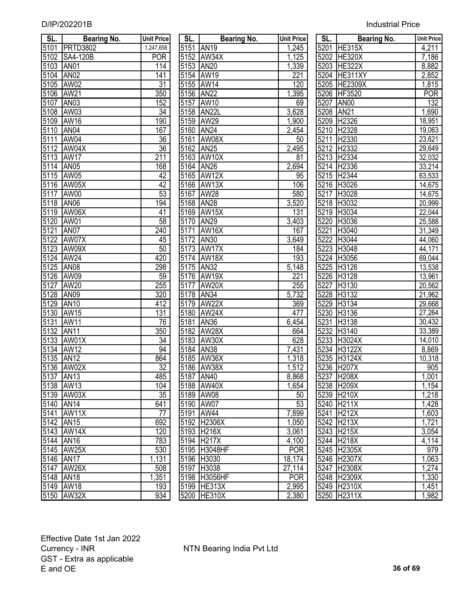| <b>Industrial Price</b> |  |
|-------------------------|--|
|                         |  |

| SL.       | <b>Bearing No.</b> | <b>Unit Price</b> | SL.       | <b>Bearing No.</b> | <b>Unit Price</b>  | SL.  | <b>Bearing No.</b> | <b>Unit Price</b> |
|-----------|--------------------|-------------------|-----------|--------------------|--------------------|------|--------------------|-------------------|
| 5101      | <b>PRTD3802</b>    | 1,247,658         |           | 5151 AN19          | 1,245              |      | 5201 HE315X        | 4,211             |
| 5102      | SA4-120B           | <b>POR</b>        |           | 5152 AW34X         | 1,125              |      | 5202 HE320X        | 7,186             |
| 5103      | AN <sub>01</sub>   | 114               | 5153      | <b>AN20</b>        | 1,339              | 5203 | <b>HE322X</b>      | 8,882             |
| 5104      | AN <sub>02</sub>   | 141               | 5154      | <b>AW19</b>        | 221                | 5204 | HE311XY            | 2,852             |
| 5105      | AW02               | 31                |           | 5155 AW14          | 120                |      | 5205 HE2309X       | 1,815             |
| 5106      | <b>AW21</b>        | 350               | 5156      | AN <sub>22</sub>   | 1,395              |      | 5206 HF3520        | <b>POR</b>        |
| 5107      | AN <sub>03</sub>   | 152               | 5157      | <b>AW10</b>        | 69                 | 5207 | <b>AN00</b>        | 132               |
| 5108      | AW03               | 34                |           | 5158 AN22L         | 3,628              | 5208 | <b>AN21</b>        | 1,690             |
| 5109      | AW16               | 190               | 5159      | AW29               | 1,900              | 5209 | H2326              | 18,951            |
| 5110      | AN <sub>04</sub>   | 167               | 5160      | <b>AN24</b>        | 2,454              |      | 5210 H2328         | 19,063            |
| 5111      | AW04               | 36                | 5161      | AW08X              | 50                 | 5211 | H2330              | 23,621            |
| 5112      | AW04X              | 36                | 5162 AN25 |                    | 2,495              |      | 5212 H2332         | 29,649            |
| 5113      | AW17               | 211               |           | 5163 AW10X         | 81                 |      | 5213 H2334         | 32,032            |
| 5114      | <b>AN05</b>        | 168               |           | 5164 AN26          | 2,694              |      | 5214 H2336         | 33,214            |
| 5115      | AW05               | 42                |           | 5165 AW12X         | 95                 |      | 5215 H2344         | 63,533            |
| 5116      | AW05X              | 42                |           | 5166 AW13X         | 106                |      | 5216 H3026         | 14,675            |
| 5117      | AW00               | 53                | 5167      | <b>AW28</b>        | 580                |      | 5217 H3028         | 14,675            |
| 5118      | <b>AN06</b>        | 194               |           | 5168 AN28          | 3,520              |      | 5218 H3032         | 20,999            |
| 5119      | AW06X              | 41                |           | 5169 AW15X         | 131                |      | 5219 H3034         | 22,044            |
| 5120      | AW01               | 58                | 5170      | <b>AN29</b>        | 3,403              |      | 5220 H3036         | 25,588            |
| 5121      | AN <sub>07</sub>   | 240               | 5171      | AW16X              | 167                | 5221 | H3040              | 31,349            |
| 5122      | AW07X              | 45                | 5172      | <b>AN30</b>        | 3,649              | 5222 | H3044              | 44,060            |
| 5123      | AW09X              | 50                | 5173      | AW17X              | 184                |      | 5223 H3048         | 44,171            |
| 5124      | AW24               | 420               |           | 5174 AW18X         | 193                |      | 5224 H3056         | 69,044            |
| 5125      | AN <sub>08</sub>   | 298               | 5175 AN32 |                    | $\overline{5,148}$ |      | 5225 H3126         | 13,538            |
| 5126      | AW09               | 59                |           | 5176 AW19X         | 221                |      | 5226 H3128         | 13,961            |
| 5127      | <b>AW20</b>        | 255               | 5177      | AW20X              | 255                | 5227 | H3130              | 20,562            |
| 5128      | <b>AN09</b>        | 320               | 5178      | <b>AN34</b>        | 5,732              | 5228 | H3132              | 21,962            |
| 5129      | <b>AN10</b>        | 412               | 5179      | AW <sub>22</sub> X | 369                | 5229 | H3134              | 29,668            |
| 5130      | <b>AW15</b>        | 131               |           | 5180 AW24X         | 477                | 5230 | H3136              | 27,264            |
| 5131      | <b>AW11</b>        | 76                | 5181      | <b>AN36</b>        | 6,454              | 5231 | H3138              | 30,432            |
| 5132      | <b>AN11</b>        | 350               |           | 5182 AW28X         | 664                | 5232 | H3140              | 33,389            |
| 5133      | AW01X              | 34                | 5183      | AW30X              | 628                | 5233 | H3024X             | 14,010            |
| 5134      | <b>AW12</b>        | 94                | 5184      | <b>AN38</b>        | 7,431              | 5234 | <b>H3122X</b>      | 8,869             |
| 5135      | <b>AN12</b>        | 864               |           | 5185 AW36X         | 1,318              | 5235 | <b>H3124X</b>      | 10,318            |
|           | 5136 AW02X         | 32                |           | 5186 AW38X         | 1,512              |      | 5236 H207X         | 905               |
| 5137 AN13 |                    | 485               | 5187 AN40 |                    | 8,868              |      | 5237 H208X         | 1,001             |
| 5138      | AW13               | 104               |           | 5188 AW40X         | 1,654              |      | 5238 H209X         | 1,154             |
|           | 5139 AW03X         | 35                |           | 5189 AW08          | 50                 |      | 5239 H210X         | 1,218             |
| 5140      | <b>AN14</b>        | 641               |           | 5190 AW07          | 53                 |      | 5240 H211X         | 1,428             |
| 5141      | AW11X              | 77                |           | 5191 AW44          | 7,899              |      | 5241 H212X         | 1,603             |
| 5142      | <b>AN15</b>        | 692               |           | 5192 H2306X        | 1,050              |      | 5242 H213X         | 1,721             |
| 5143      | AW14X              | 120               |           | 5193 H216X         | 3,061              |      | 5243 H215X         | 3,054             |
| 5144      | <b>AN16</b>        | 783               |           | 5194 H217X         | 4,100              |      | 5244 H218X         | 4,114             |
| 5145      | <b>AW25X</b>       | 530               |           | 5195 H3048HF       | <b>POR</b>         |      | 5245 H2305X        | 979               |
| 5146      | <b>AN17</b>        | 1,131             |           | 5196 H3030         | 18,174             |      | 5246 H2307X        | 1,063             |
| 5147      | <b>AW26X</b>       | 508               |           | 5197 H3038         | 27,114             |      | 5247 H2308X        | 1,274             |
| 5148 AN18 |                    | 1,351             |           | 5198 H3056HF       | <b>POR</b>         |      | 5248 H2309X        | 1,330             |
|           | 5149 AW18          | 193               |           | 5199 HE313X        | 2,995              |      | 5249 H2310X        | 1,451             |
|           | 5150 AW32X         | 934               |           | 5200 HE310X        | 2.380              |      | 5250 H2311X        | 1.982             |
|           |                    |                   |           |                    |                    |      |                    |                   |

| SL.               | <b>Bearing No.</b> | <b>Unit Price</b> | SL.       | <b>Bearing No.</b> | <b>Unit Price</b> | SL.       | <b>Bearing No.</b> | <b>Unit Pric</b>    |
|-------------------|--------------------|-------------------|-----------|--------------------|-------------------|-----------|--------------------|---------------------|
| 5101              | <b>PRTD3802</b>    | 1,247,658         | 5151 AN19 |                    | 1,245             |           | 5201 HE315X        | 4,211               |
| 5102              | SA4-120B           | <b>POR</b>        |           | 5152 AW34X         | 1,125             |           | 5202 HE320X        | 7,186               |
| 5103              | AN01               | 114               | 5153 AN20 |                    | 1,339             |           | 5203 HE322X        | 8,882               |
| 5104              | AN <sub>02</sub>   | 141               |           | 5154 AW19          | 221               |           | 5204 HE311XY       | 2,852               |
| 5105              | <b>AW02</b>        | 31                |           | 5155 AW14          | 120               |           | 5205 HE2309X       | 1,815               |
| 5106              | AW21               | 350               | 5156 AN22 |                    | ,395              |           | 5206 HF3520        | POR                 |
| 5107              | AN <sub>03</sub>   | 152               |           | 5157 AW10          | 69                | 5207 AN00 |                    | 132                 |
| 5108              | AW03               | 34                |           | 5158 AN22L         | 3,628             | 5208 AN21 |                    | 1,690               |
| 5109              | AW16               | 190               |           | 5159 AW29          | 1,900             |           | 5209 H2326         | 18,951              |
| 5110              | AN <sub>04</sub>   | 167               | 5160 AN24 |                    | 2,454             |           | 5210 H2328         | 19,063              |
| 5111              | AW04               | 36                | 5161      | AW08X              | 50                | 5211      | H2330              | 23,621              |
| 5112              | AW04X              | 36                | 5162 AN25 |                    | 2,495             |           | 5212 H2332         | 29,649              |
| $\overline{5113}$ | <b>AW17</b>        | 211               | 5163      | AW10X              | 81                | 5213      | H2334              | 32,032              |
| 5114              | <b>AN05</b>        | 168               | 5164      | <b>AN26</b>        | 2,694             |           | 5214 H2336         | 33,214              |
| 5115              | AW05               | 42                |           | 5165 AW12X         | 95                |           | 5215 H2344         | 63,533              |
| 5116              | AW05X              | 42                |           | 5166 AW13X         | 106               |           | 5216 H3026         | 14,675              |
| 5117              | AW00               | 53                | 5167      | <b>AW28</b>        | 580               |           | 5217 H3028         | 14,675              |
| 5118              | AN <sub>06</sub>   | 194               | 5168 AN28 |                    | 3,520             |           | 5218 H3032         | 20,999              |
| 5119              | AW06X              | 41                |           | 5169 AW15X         | 131               |           | 5219 H3034         | 22,044              |
| 5120              | AW01               | 58                | 5170 AN29 |                    | 3,403             |           | 5220 H3036         | 25,588              |
| 5121              | AN07               | 240               | 5171      | AW16X              | 167               | 5221      | H3040              | 31,349              |
| 5122              | AW07X              | 45                | 5172 AN30 |                    | 3,649             | 5222      | H3044              | 44,060              |
| 5123              | AW09X              | 50                |           | 5173 AW17X         | 184               | 5223      | H3048              | 44,171              |
| 5124              | AW24               | 420               |           | 5174 AW18X         | 193               |           | 5224 H3056         | 69,044              |
| 5125              | <b>AN08</b>        | 298               | 5175      | <b>AN32</b>        | 5,148             | 5225      | H3126              | 13,538              |
| 5126              | AW09               | 59                |           | 5176 AW19X         | 221               |           | 5226 H3128         | 13,961              |
| 5127              | AW20               | 255               | 5177      | AW20X              | 255               | 5227      | H3130              | 20,562              |
| 5128              | <b>AN09</b>        | 320               | 5178 AN34 |                    | 5,732             |           | 5228 H3132         | $\overline{2}1,962$ |
| 5129              | <b>AN10</b>        | 412               |           | 5179 AW22X         | 369               | 5229      | H3134              | 29,668              |
| 5130              | AW15               | 131               |           | 5180 AW24X         | 477               |           | 5230 H3136         | 27,264              |
| 5131              | AW11               | 76                | 5181      | AN36               | 6,454             | 5231      | H3138              | 30,432              |
| 5132              | <b>AN11</b>        | 350               |           | 5182 AW28X         | 664               |           | 5232 H3140         | 33,389              |
| $\overline{5133}$ | AW01X              | 34                |           | 5183 AW30X         | 628               |           | 5233 H3024X        | 14,010              |
| 5134              | AW12               | 94                | 5184 AN38 |                    | 7,431             |           | 5234 H3122X        | 8,869               |
| 5135              | <b>AN12</b>        | 864               |           | 5185 AW36X         | 1,318             |           | 5235 H3124X        | 10,318              |
|                   | 5136 AW02X         | $\overline{32}$   |           | 5186 AW38X         | 1,512             |           | 5236 H207X         | 905                 |
|                   | 5137   AN13        | 485               | 5187 AN40 |                    | 8,868             |           | 5237 H208X         | 1,001               |
|                   | 5138 AW13          | 104               |           | 5188 AW40X         | 1,654             |           | 5238 H209X         | 1,154               |
|                   | 5139 AW03X         | 35                | 5189 AW08 |                    | 50                |           | 5239 H210X         | 1,218               |
|                   | 5140 AN14          | 641               |           | 5190 AW07          | 53                |           | 5240 H211X         | 1,428               |
|                   | 5141 AW11X         | 77                |           | 5191 AW44          | 7,899             |           | 5241 H212X         | 1,603               |
|                   | 5142 AN15          | 692               |           | 5192 H2306X        | 1,050             |           | 5242 H213X         | 1,721               |
|                   | 5143 AW14X         | 120               |           | 5193 H216X         | 3,061             |           | 5243 H215X         | 3,054               |
|                   | 5144 AN16          | 783               |           | 5194 H217X         | 4,100             |           | 5244 H218X         | 4,114               |
|                   | 5145 AW25X         | 530               |           | 5195 H3048HF       | <b>POR</b>        |           | 5245 H2305X        | 979                 |
|                   | 5146 AN17          | 1,131             |           | 5196 H3030         | 18,174            |           | 5246 H2307X        | 1,063               |
|                   | 5147 AW26X         | 508               |           | 5197 H3038         | 27,114            |           | 5247 H2308X        | 1,274               |
|                   | 5148 AN18          | 1,351             |           | 5198 H3056HF       | <b>POR</b>        |           | 5248 H2309X        | 1,330               |
|                   | 5149 AW18          | 193               |           | 5199 HE313X        | 2,995             |           | 5249 H2310X        | 1,451               |
|                   | 5150 AW32X         | 934               |           | 5200 HE310X        | 2,380             |           | 5250 H2311X        | 1,982               |

| SL.                 | <b>Bearing No.</b> | Unit Price          |
|---------------------|--------------------|---------------------|
|                     | 5201 HE315X        | 4,211               |
|                     | 5202 HE320X        | 7,186               |
|                     | 5203 HE322X        | 8,882               |
|                     | 5204 HE311XY       | 2,852               |
|                     | 5205 HE2309X       | 1,815               |
| 5206                | HF3520             | <b>POR</b>          |
| 5207                | <b>AN00</b>        | 132                 |
| 5208                | <b>AN21</b>        | 1,690               |
| 5209                | H2326              | 18,951              |
| 5210                | H2328              | 19,063              |
| 5211                | H2330              | 23,621              |
| 5212                | H2332              | 29,649              |
| 5213                | H2334              | 32,032              |
| 5214                | H <sub>23</sub> 36 | 33,214              |
| 5215                | H2344              | 63,533              |
| 5216                | H3026              | 14,675              |
| $\overline{5217}$   | H3028              | 14,675              |
| 5218                | H3032              | 20,999              |
| 5219                | H3034              | 22,044              |
| 5220                | H3036              | 25,588              |
| 5221                | H <sub>3040</sub>  | 31,349              |
| 5222                | H <sub>3044</sub>  | 44,060              |
| $\frac{5223}{5223}$ | H3048              | 44,171              |
| 5224                | H3056              | 69,044              |
| 5225                | H3126              | 13,538              |
| 5226                | H3128              | 13,961              |
| 5227                | H3130              | 20,562              |
| $\frac{5228}{5}$    | H3132              | 21,962              |
| 5229                | H3134              | 29,668              |
| $\frac{5230}{ }$    | H3136              | 27,264              |
| 5231                | H3138              | 30,432              |
| 5232                | H3140              | 33,389              |
| $523\overline{3}$   | <b>H3024X</b>      | $\overline{14,010}$ |
| 5234                | <b>H3122X</b>      | 8,869               |
| 5235                | H3124X             | 10,318              |
| $\frac{5236}{ }$    | <b>H207X</b>       | 905                 |
| 5237                | H208X              | 1,001               |
| 5238                | H209X              | <u>1,154</u>        |
| 5239                | 1210X              | 1,218               |
| 5240                | 1211X              | 1,428               |
| 5241                | $\overline{12}12X$ | 1,603               |
| 5242                | H213X              | 1,721               |
| 5243                | H215X              | 3,054               |
| 5244                | H218X              | 4,114               |
| 5245                | H2305X             | 979                 |
| 5246                | H2307X             | 1,063               |
| 5247                | H2308X             | 1,274               |
| 5248                | H2309X             | 1,330               |
| 5249                | H2310X             | 1,451               |
| 5250                | H2311X             | 1,982               |
|                     |                    |                     |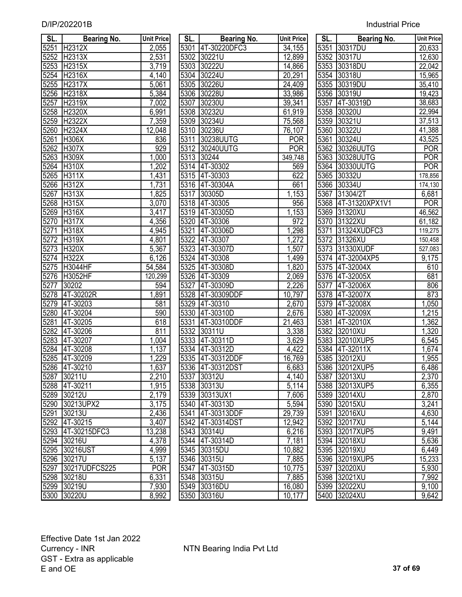| SL.  | Bearing No.         | <b>Unit Price</b> | SL.  | <b>Bearing No.</b> | <b>Unit Price</b>  | SL.  | <b>Bearing No.</b>  | Unit Price     |
|------|---------------------|-------------------|------|--------------------|--------------------|------|---------------------|----------------|
| 5251 | H2312X              | 2,055             |      | 5301 4T-30220DFC3  | 34,155             |      | 5351 30317DU        | 20,633         |
| 5252 | H <sub>2313</sub> X | 2,531             |      | 5302 30221U        | 12,899             | 5352 | 30317U              | 12,630         |
| 5253 | H2315X              | 3,719             | 5303 | 30222U             | 14,866             | 5353 | 30318DU             | 22,042         |
| 5254 | H2316X              | 4,140             |      | 5304 30224U        | 20,291             | 5354 | 30318U              | 15,965         |
| 5255 | H2317X              | 5,061             |      | 5305 30226U        | 24,409             |      | 5355 30319DU        | 35,410         |
| 5256 | H2318X              | 5,384             |      | 5306 30228U        | 33,986             | 5356 | 30319U              | 19,423         |
| 5257 | H2319X              | 7,002             | 5307 | 30230U             | 39,341             | 5357 | 4T-30319D           | 38,683         |
| 5258 | H2320X              | 6,991             |      | 5308 30232U        | 61,919             | 5358 | 30320U              | 22,994         |
| 5259 | H2322X              | 7,359             |      | 5309 30234U        | 75,568             | 5359 | 30321U              | 37,513         |
| 5260 | H2324X              | 12,048            |      | 5310 30236U        | 76,107             | 5360 | 30322U              | 41,388         |
| 5261 | H306X               | 836               | 5311 | 30238UUTG          | <b>POR</b>         | 5361 | 30324U              | 43,525         |
| 5262 | <b>H307X</b>        | 929               |      | 5312 30240UUTG     | <b>POR</b>         | 5362 | 30326UUTG           | <b>POR</b>     |
| 5263 | H309X               | 1,000             |      | 5313 30244         | 349,748            | 5363 | 30328UUTG           | <b>POR</b>     |
| 5264 | <b>H310X</b>        | 1,202             |      | 5314 4T-30302      | 569                |      | 5364 30330UUTG      | <b>POR</b>     |
| 5265 | <b>H311X</b>        | 1,431             |      | 5315 4T-30303      | 622                | 5365 | 30332U              | 178,856        |
| 5266 | <b>H312X</b>        | 1,731             |      | 5316 4T-30304A     | 661                | 5366 | 30334U              | 174,130        |
| 5267 | <b>H313X</b>        | 1,825             |      | 5317 30305D        | 1,153              | 5367 | 31304/2T            | 6,681          |
| 5268 | H315X               | 3,070             |      | 5318 4T-30305      | 956                |      | 5368 4T-31320XPX1V1 | <b>POR</b>     |
| 5269 | H316X               | 3,417             |      | 5319 4T-30305D     | 1,153              |      | 5369 31320XU        | 46,562         |
| 5270 | <b>H317X</b>        | 4,356             |      | 5320 4T-30306      | 972                |      | 5370 31322XU        | 61,182         |
| 5271 | H318X               | 4,945             | 5321 | 4T-30306D          | 1,298              | 5371 | 31324XUDFC3         | 119,275        |
| 5272 | <b>H319X</b>        | 4,801             | 5322 | 4T-30307           | 1,272              | 5372 | 31326XU             | 150,458        |
| 5273 | <b>H320X</b>        | 5,367             | 5323 | 4T-30307D          | 1,507              | 5373 | 31330XUDF           | 527,083        |
| 5274 | <b>H322X</b>        | 6,126             | 5324 | 4T-30308           | 1,499              |      | 5374 4T-32004XP5    | 9,175          |
| 5275 | <b>H3044HF</b>      | 54,584            | 5325 | 4T-30308D          | 1,820              |      | 5375 4T-32004X      | 610            |
| 5276 | H3052HF             | 120,299           |      | 5326 4T-30309      | $\overline{2,069}$ |      | 5376 4T-32005X      | 681            |
| 5277 | 30202               | 594               | 5327 | 4T-30309D          | 2,226              | 5377 | 4T-32006X           | 806            |
| 5278 | 4T-30202R           | 1,891             | 5328 | 4T-30309DDF        | 10,797             |      | 5378 4T-32007X      | 873            |
| 5279 | 4T-30203            | 581               | 5329 | 4T-30310           | 2,670              | 5379 | 4T-32008X           | 1,050          |
| 5280 | 4T-30204            | 590               | 5330 | 4T-30310D          | 2,676              |      | 5380 4T-32009X      | 1,215          |
| 5281 | 4T-30205            | 618               | 5331 | 4T-30310DDF        | 21,463             | 5381 | 4T-32010X           | 1,362          |
| 5282 | 4T-30206            | 811               |      | 5332 30311U        | 3,338              |      | 5382 32010XU        | 1,320          |
| 5283 | 4T-30207            | 1,004             | 5333 | 4T-30311D          | 3,629              | 5383 | 32010XUP5           | 6,545          |
| 5284 | 4T-30208            | 1,137             |      | 5334 4T-30312D     | 4,422              |      | 5384 4T-32011X      | 1,674          |
| 5285 | 4T-30209            | 1,229             |      | 5335 4T-30312DDF   | 16,769             |      | 5385 32012XU        | 1,955          |
|      | 5286 4T-30210       | 1,637             |      | 5336 4T-30312DST   | 6,683              |      | 5386 32012XUP5      | 6,486          |
|      | 5287 30211U         | 2,210             |      | 5337 30312U        | 4,140              |      | 5387 32013XU        | 2,370          |
|      | 5288 4T-30211       | 1,915             |      | 5338 30313U        | 5,114              |      | 5388 32013XUP5      | 6,355          |
|      | 5289 30212U         | 2,179             |      | 5339 30313UX1      | 7,606              |      | 5389 32014XU        | $\sqrt{2,870}$ |
|      | 5290 30213UPX2      | 3,175             |      | 5340 4T-30313D     | 5,594              |      | 5390 32015XU        | 3,241          |
|      | 5291 30213U         | 2,436             |      | 5341 4T-30313DDF   | 29,739             |      | 5391 32016XU        | 4,630          |
|      | 5292 4T-30215       | 3,407             |      | 5342 4T-30314DST   | 12,942             |      | 5392 32017XU        | 5,144          |
|      | 5293 4T-30215DFC3   | 13,238            |      | 5343 30314U        | 6,216              |      | 5393 32017XUP5      | 9,491          |
|      | 5294 30216U         | 4,378             |      | 5344 4T-30314D     | 7,181              |      | 5394 32018XU        | 5,636          |
|      | 5295 30216UST       | 4,999             |      | 5345 30315DU       | 10,882             |      | 5395 32019XU        | 6,449          |
|      | 5296 30217U         | 5,137             |      | 5346 30315U        | 7,885              |      | 5396 32019XUP5      | 15,233         |
|      | 5297 30217UDFCS225  | POR               |      | 5347 4T-30315D     | 10,775             |      | 5397 32020XU        | 5,930          |
|      | 5298 30218U         | 6,331             |      | 5348 30315U        | 7,885              |      | 5398 32021XU        | 7,992          |
|      | 5299 30219U         | 7,930             |      | 5349 30316DU       | 16,080             |      | 5399 32022XU        | 9,100          |
|      | 5300 30220U         | 8,992             |      | 5350 30316U        | 10,177             |      | 5400 32024XU        | 9,642          |

| SL.  | Bearing No.         | <b>Unit Price</b>  | SL. I | Bearing No.       | <b>Unit Price</b> | SL. I | Bearing No.         | <b>Unit Pric</b>      |
|------|---------------------|--------------------|-------|-------------------|-------------------|-------|---------------------|-----------------------|
| 5251 | H2312X              | 2,055              |       | 5301 4T-30220DFC3 | 34,155            | 5351  | 30317DU             | 20,633                |
| 5252 | <b>H2313X</b>       | 2,531              |       | 5302 30221U       | 12,899            | 5352  | 30317U              | 12,630                |
| 5253 | H2315X              | 3,719              |       | 5303 30222U       | 14,866            | 5353  | 30318DU             | 22,042                |
| 5254 | H2316X              | 4,140              | 5304  | 30224U            | 20,291            | 5354  | 30318U              | 15,965                |
| 5255 | H2317X              | $\overline{5,061}$ | 5305  | 30226U            | 24,409            |       | 5355 30319DU        | 35,410                |
| 5256 | <b>H2318X</b>       | 5,384              |       | 5306 30228U       | 33,986            |       | 5356 30319U         | 19,423                |
| 5257 | H2319X              | 7,002              | 5307  | 30230U            | 39,341            | 5357  | 4T-30319D           | 38,683                |
| 5258 | <b>H2320X</b>       | 6,991              | 5308  | 30232U            | 61,919            |       | 5358 30320U         | 22,994                |
| 5259 | H2322X              | 7,359              |       | 5309 30234U       | 75,568            | 5359  | 30321U              | 37,513                |
| 5260 | H <sub>23</sub> 24X | 12,048             | 5310  | 30236U            | 76,107            | 5360  | 30322U              | 41,388                |
| 5261 | <b>H306X</b>        | 836                | 5311  | 30238UUTG         | <b>POR</b>        | 5361  | 30324U              | 43,525                |
| 5262 | <b>H307X</b>        | 929                | 5312  | 30240UUTG         | <b>POR</b>        | 5362  | 30326UUTG           | <b>POR</b>            |
| 5263 | <b>H309X</b>        | 1,000              | 5313  | 30244             | 349,748           | 5363  | 30328UUTG           | <b>POR</b>            |
| 5264 | <b>H310X</b>        | ,202               |       | 5314 4T-30302     | 569               | 5364  | 30330UUTG           | POR                   |
| 5265 | <b>H311X</b>        | 1,431              |       | 5315 4T-30303     | 622               | 5365  | 30332U              | 178,856               |
| 5266 | H312X               | 1,731              |       | 5316 4T-30304A    | 661               | 5366  | 30334U              | 174,130               |
| 5267 | <b>H313X</b>        | 1,825              | 5317  | 30305D            | 1,153             | 5367  | 31304/2T            | 6,681                 |
| 5268 | <b>H315X</b>        | 3,070              |       | 5318 4T-30305     | 956               |       | 5368 4T-31320XPX1V1 | POR                   |
| 5269 | <b>H316X</b>        | 3,417              |       | 5319 4T-30305D    | 1,153             |       | 5369 31320XU        | 46,562                |
| 5270 | <b>H317X</b>        | 4,356              |       | 5320 4T-30306     | 972               |       | 5370 31322XU        | 61,182                |
| 5271 | <b>H318X</b>        | 4,945              | 5321  | 4T-30306D         | ,298              | 5371  | 31324XUDFC3         | 119,275               |
| 5272 | <b>H319X</b>        | 4,801              |       | 5322 4T-30307     | 1,272             |       | 5372 31326XU        | 150,458               |
| 5273 | <b>H320X</b>        | 5,367              |       | 5323 4T-30307D    | 1,507             |       | 5373 31330XUDF      | $\overline{527}$ ,083 |
| 5274 | <b>H322X</b>        | 6,126              |       | 5324 4T-30308     | 1,499             |       | 5374 4T-32004XP5    | $\overline{9,175}$    |
| 5275 | <b>H3044HF</b>      | 54,584             | 5325  | 4T-30308D         | 1,820             |       | 5375 4T-32004X      | 610                   |
| 5276 | H3052HF             | 120,299            |       | 5326 4T-30309     | 2,069             |       | 5376 4T-32005X      | 681                   |
| 5277 | 30202               | 594                | 5327  | 4T-30309D         | 2,226             | 5377  | 4T-32006X           | 806                   |
| 5278 | 4T-30202R           | 1,891              | 5328  | 4T-30309DDF       | 10,797            | 5378  | 4T-32007X           | 873                   |
| 5279 | 4T-30203            | 581                | 5329  | 4T-30310          | 2,670             | 5379  | 4T-32008X           | ,050                  |
| 5280 | 4T-30204            | 590                | 5330  | 4T-30310D         | 2,676             | 5380  | 4T-32009X           | ,215                  |
| 5281 | 4T-30205            | 618                | 5331  | 4T-30310DDF       | 21,463            | 5381  | 4T-32010X           | $\overline{,}362$     |
| 5282 | 4T-30206            | 811                | 5332  | 30311U            | 3,338             | 5382  | 32010XU             | ,320                  |
| 5283 | 4T-30207            | 1,004              | 5333  | 4T-30311D         | 3,629             | 5383  | 32010XUP5           | 6,545                 |
| 5284 | 4T-30208            | 1,137              | 5334  | 4T-30312D         | 4,422             | 5384  | 4T-32011X           | 1,674                 |
| 5285 | 4T-30209            | 1,229              | 5335  | 4T-30312DDF       | 16,769            | 5385  | 32012XU             | 1,955                 |
| 5286 | 4T-30210            | 1,637              |       | 5336 4T-30312DST  | 6,683             |       | 5386 32012XUP5      | 6,486                 |
|      | 5287 30211U         | 2,210              |       | 5337 30312U       | 4,140             |       | 5387 32013XU        | 2,370                 |
|      | 5288 4T-30211       | 1,915              |       | 5338 30313U       | 5,114             |       | 5388 32013XUP5      | 6,355                 |
| 5289 | 30212U              | 2,179              |       | 5339 30313UX1     | 7,606             |       | 5389 32014XU        | 2,870                 |
| 5290 | 30213UPX2           | 3,175              |       | 5340 4T-30313D    | 5,594             |       | 5390 32015XU        | 3,241                 |
| 5291 | 30213U              | 2,436              |       | 5341 4T-30313DDF  | 29,739            |       | 5391 32016XU        | 4,630                 |
|      | 5292 4T-30215       | 3,407              |       | 5342 4T-30314DST  | 12,942            |       | 5392 32017XU        | 5,144                 |
|      | 5293 4T-30215DFC3   | 13,238             |       | 5343 30314U       | 6,216             |       | 5393 32017XUP5      | 9,491                 |
|      | 5294 30216U         | 4,378              |       | 5344 4T-30314D    | 7,181             |       | 5394 32018XU        | 5,636                 |
| 5295 | 30216UST            | 4,999              |       | 5345 30315DU      | 10,882            |       | 5395 32019XU        | 6,449                 |
| 5296 | 30217U              | 5,137              |       | 5346 30315U       | 7,885             |       | 5396 32019XUP5      | 15,233                |
| 5297 | 30217UDFCS225       | <b>POR</b>         |       | 5347 4T-30315D    | 10,775            |       | 5397 32020XU        | 5,930                 |
| 5298 | 30218U              | 6,331              |       | 5348 30315U       | 7,885             |       | 5398 32021XU        | 7,992                 |
| 5299 | 30219U              | 7,930              |       | 5349 30316DU      | 16,080            |       | 5399 32022XU        | 9,100                 |
|      | 5300 30220U         | 8,992              |       | 5350 30316U       | 10,177            |       | 5400 32024XU        | 9,642                 |
|      |                     |                    |       |                   |                   |       |                     |                       |

| sl.  | Bearing No.          | Unit Price         |
|------|----------------------|--------------------|
| 5351 | 30317DU              | 20,633             |
| 5352 | 30317U               | 12,630             |
| 5353 | 30318DU              | 22,042             |
| 5354 | 30318U               | 15,965             |
| 5355 | 30319DU              | 35,410             |
| 5356 | 30319U               | 19,423             |
| 5357 | 4T-30319D            | 38,683             |
| 5358 | 30320U               | 22,994             |
| 5359 | 30321U               | 37,513             |
| 5360 | 30322U               | 41,388             |
| 5361 | 30324U               | 43,525             |
| 5362 | 30326UUTG            | <b>POR</b>         |
| 5363 | 30328UUTG            | <b>POR</b>         |
| 5364 | 30330UUTG            | POR                |
| 5365 | 30332U               | 178,856            |
| 5366 | 30334U               | 174,130            |
|      | 5367 31304/2T        | 6,681              |
| 5368 | 4T-31320XPX1V1       | <b>POR</b>         |
|      | 5369 31320XU         | 46,562             |
|      | 5370 31322XU         | 61,182             |
|      | 5371 31324XUDFC3     | 119,275            |
|      | 5372 31326XU         | 150,458            |
|      | 5373 31330XUDF       | 527,083            |
|      | 5374 4T-32004XP5     | 9,175              |
|      | 5375 4T-32004X       | 610                |
|      | 5376 4T-32005X       | 681                |
|      | 5377 4T-32006X       | 806                |
|      | 5378 4T-32007X       | 873                |
| 5379 | 4T-32008X            | $\overline{1,050}$ |
| 5380 | 4T-32009X            | 1,215              |
| 5381 | 4T-32010X            | 1,362              |
| 5382 | 32010XU              | 1,320              |
| 5383 | 32010XUP5            | 6,545              |
| 5384 | 4T-32011X            | 1,674              |
| 5385 | 32012XU              | 1,955              |
| 5386 | 32012XUP5            | 6,486              |
| 5387 | 32013XU              | 2,370              |
| 5388 | 32013XUP5            | 6,355              |
| 5389 | 32014XU              | 2,870              |
| 5390 | 32015XU              | 3,241              |
| 5391 | 32016XU              | 4,630              |
| 5392 | 32017XU              | 5,144              |
| 5393 | 32017XUP5            | <u>9,491</u>       |
| 5394 | 32018XU              | 5,636              |
| 5395 | 32019XU              | 6,449              |
| 5396 | 32019XUP5            | 15,233             |
| 5397 | 32020XU              | <u>5,930</u>       |
| 5398 | $32021X\overline{U}$ | <u>7,992</u>       |
| 5399 | $32022X\overline{U}$ | 9,100              |
| 5400 | 32024XU              | 9,642              |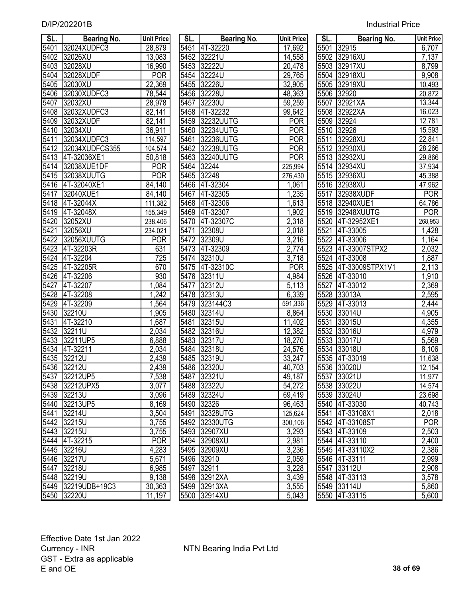| SL.               | <b>Bearing No.</b> | <b>Unit Price</b>  | SL.  | <b>Bearing No.</b> | Unit Price | SL.  | <b>Bearing No.</b> | Unit Price |
|-------------------|--------------------|--------------------|------|--------------------|------------|------|--------------------|------------|
| 5401              | 32024XUDFC3        | 28,879             | 5451 | 4T-32220           | 17,692     | 5501 | 32915              | 6,707      |
| 5402              | 32026XU            | 13,083             | 5452 | 32221U             | 14,558     | 5502 | 32916XU            | 7,137      |
| 5403              | 32028XU            | 16,990             | 5453 | 32222U             | 20,478     | 5503 | 32917XU            | 8,799      |
| 5404              | 32028XUDF          | <b>POR</b>         | 5454 | 32224U             | 29,765     | 5504 | 32918XU            | 9,908      |
| 5405              | 32030XU            | 22,369             |      | 5455 32226U        | 32,905     | 5505 | 32919XU            | 10,493     |
| 5406              | 32030XUDFC3        | 78,544             | 5456 | 32228U             | 48,363     | 5506 | 32920              | 20,872     |
| 5407              | 32032XU            | 28,978             | 5457 | 32230U             | 59,259     | 5507 | 32921XA            | 13,344     |
| 5408              | 32032XUDFC3        | 82,141             |      | 5458 4T-32232      | 99,642     | 5508 | 32922XA            | 16,023     |
| 5409              | 32032XUDF          | 82,141             |      | 5459 32232UUTG     | <b>POR</b> | 5509 | 32924              | 12,781     |
| 5410              | 32034XU            | 36,911             | 5460 | 32234UUTG          | <b>POR</b> | 5510 | 32926              | 15,593     |
| 5411              | 32034XUDFC3        | 114,597            | 5461 | 32236UUTG          | <b>POR</b> | 5511 | 32928XU            | 22,841     |
| 5412              | 32034XUDFCS355     | 104,574            | 5462 | 32238UUTG          | <b>POR</b> | 5512 | 32930XU            | 28,266     |
| $\overline{5413}$ | 4T-32036XE1        | 50,818             | 5463 | 32240UUTG          | <b>POR</b> | 5513 | 32932XU            | 29,866     |
| 5414              | 32038XUE1DF        | <b>POR</b>         | 5464 | 32244              | 225,994    | 5514 | 32934XU            | 37,934     |
| 5415              | 32038XUUTG         | <b>POR</b>         | 5465 | 32248              | 276,430    |      | 5515 32936XU       | 45,388     |
| 5416              | 4T-32040XE1        | 84,140             |      | 5466 4T-32304      | 1,061      |      | 5516 32938XU       | 47,962     |
| 5417              | 32040XUE1          | 84,140             | 5467 | 4T-32305           | 1,235      |      | 5517 32938XUDF     | <b>POR</b> |
| 5418              | 4T-32044X          | 111,382            |      | 5468 4T-32306      | 1,613      |      | 5518 32940XUE1     | 64,786     |
| 5419              | 4T-32048X          | 155,349            |      | 5469 4T-32307      | 1,902      |      | 5519 32948XUUTG    | <b>POR</b> |
| 5420              | 32052XU            | 238,406            |      | 5470 4T-32307C     | 2,318      |      | 5520 4T-32952XE1   | 268,953    |
| 5421              | 32056XU            | 234,021            | 5471 | 32308U             | 2,018      | 5521 | 4T-33005           | 1,428      |
| 5422              | 32056XUUTG         | <b>POR</b>         | 5472 | 32309U             | 3,216      | 5522 | 4T-33006           | 1,164      |
| 5423              | 4T-32203R          | 631                | 5473 | 4T-32309           | 2,774      |      | 5523 4T-33007STPX2 | 2,032      |
| 5424              | 4T-32204           | 725                |      | 5474 32310U        | 3,718      |      | 5524 4T-33008      | 1,887      |
| 5425              | 4T-32205R          | 670                | 5475 | 4T-32310C          | <b>POR</b> | 5525 | 4T-33009STPX1V1    | 2,113      |
| 5426              | 4T-32206           | 930                | 5476 | 32311U             | 4,984      |      | 5526 4T-33010      | 1,910      |
| 5427              | 4T-32207           | 1,084              | 5477 | 32312U             | 5,113      | 5527 | 4T-33012           | 2,369      |
| 5428              | 4T-32208           | 1,242              | 5478 | 32313U             | 6,339      | 5528 | 33013A             | 2,595      |
| 5429              | 4T-32209           | ,564               | 5479 | 323144C3           | 591,336    | 5529 | 4T-33013           | 2,444      |
| 5430              | 32210U             | 1,905              | 5480 | 32314U             | 8,864      | 5530 | 33014U             | 4,905      |
| 5431              | 4T-32210           | ,687               | 5481 | 32315U             | 11,402     | 5531 | 33015U             | 4,355      |
| 5432              | 32211U             | 2,034              | 5482 | 32316U             | 12,382     | 5532 | 33016U             | 4,979      |
| 5433              | 32211UP5           | 6,888              | 5483 | 32317U             | 18,270     | 5533 | 33017U             | 5,569      |
| 5434              | 4T-32211           | 2,034              | 5484 | 32318U             | 24,576     | 5534 | 33018U             | 8,106      |
| 5435              | 32212U             | 2,439              | 5485 | 32319U             | 33,247     | 5535 | 4T-33019           | 11,638     |
|                   | 5436 32212U        | $\overline{2,439}$ |      | 5486 32320U        | 40,703     |      | 5536 33020U        | 12,154     |
|                   | 5437 32212UP5      | 7,538              |      | 5487 32321U        | 49,187     |      | 5537 33021U        | 11,977     |
|                   | 5438 32212UPX5     | 3,077              |      | 5488 32322U        | 54,272     |      | 5538 33022U        | 14,574     |
|                   | 5439 32213U        | 3,096              |      | 5489 32324U        | 69,419     |      | 5539 33024U        | 23,698     |
|                   | 5440 32213UP5      | 8,169              |      | 5490 32326         | 96,463     |      | 5540 4T-33030      | 40,743     |
| 5441              | 32214U             | 3,504              |      | 5491 32328UTG      | 125,624    |      | 5541 4T-33108X1    | 2,018      |
|                   | 5442 32215U        | 3,755              |      | 5492 32330UTG      | 300,106    |      | 5542 4T-33108ST    | <b>POR</b> |
|                   | 5443 32215U        | 3,755              |      | 5493 32907XU       | 3,293      |      | 5543 4T-33109      | 2,503      |
|                   | 5444 4T-32215      | <b>POR</b>         |      | 5494 32908XU       | 2,981      |      | 5544 4T-33110      | 2,400      |
|                   | 5445 32216U        | 4,283              |      | 5495 32909XU       | 3,236      |      | 5545 4T-33110X2    | 2,386      |
|                   | 5446 32217U        | 5,671              |      | 5496 32910         | 2,059      |      | 5546 4T-33111      | 2,999      |
| 5447              | 32218U             | 6,985              |      | 5497 32911         | 3,228      |      | 5547 33112U        | 2,908      |
|                   | 5448 32219U        | 9,138              |      | 5498 32912XA       | 3,439      |      | 5548 4T-33113      | 3,578      |
|                   | 5449 32219UDB+19C3 | 30,363             |      | 5499 32913XA       | 3,555      |      | 5549 33114U        | 5,860      |
|                   | 5450 32220U        | 11 197             |      | 5500 32914XU       | 5.043      |      | 5550 4T-33115      | 5600       |

| SL.               | <b>Bearing No.</b> | <b>Unit Price</b>   | SL.  | <b>Bearing No.</b> | <b>Unit Price</b> | SL.  | Bearing No.     | <b>Unit Pric</b>   |
|-------------------|--------------------|---------------------|------|--------------------|-------------------|------|-----------------|--------------------|
| 5401              | 32024XUDFC3        | 28,879              |      | 5451 4T-32220      | 17,692            | 5501 | 32915           | 6,707              |
| 5402              | 32026XU            | 13,083              | 5452 | 32221U             | 14,558            | 5502 | 32916XU         | $\overline{7,1}37$ |
| 5403              | 32028XU            | 16,990              | 5453 | 32222U             | 20,478            | 5503 | 32917XU         | 8,799              |
| 5404              | 32028XUDF          | <b>POR</b>          | 5454 | 32224U             | 29,765            | 5504 | 32918XU         | 9,908              |
| 5405              | 32030XU            | 22,369              |      | 5455 32226U        | 32,905            |      | 5505 32919XU    | 10,493             |
| 5406              | 32030XUDFC3        | 78,544              |      | 5456 32228U        | 48,363            | 5506 | 32920           | 20,872             |
| 5407              | 32032XU            | 28,978              | 5457 | 32230U             | 59,259            | 5507 | 32921XA         | 13,344             |
| 5408              | 32032XUDFC3        | 82,141              |      | 5458 4T-32232      | 99,642            |      | 5508 32922XA    | 16,023             |
| 5409              | 32032XUDF          | 82,141              | 5459 | 32232UUTG          | <b>POR</b>        |      | 5509 32924      | 12,781             |
| 5410              | 32034XU            | 36,911              | 5460 | 32234UUTG          | <b>POR</b>        | 5510 | 32926           | 15,593             |
| $\overline{5411}$ | 32034XUDFC3        | 114,597             | 5461 | 32236UUTG          | <b>POR</b>        | 5511 | 32928XU         | 22,841             |
| $\overline{5412}$ | 32034XUDFCS355     | 104,574             | 5462 | 32238UUTG          | <b>POR</b>        |      | 5512 32930XU    | 28,266             |
| $\overline{5413}$ | 4T-32036XE1        | 50,818              | 5463 | 32240UUTG          | <b>POR</b>        |      | 5513 32932XU    | 29,866             |
| $\overline{5414}$ | 32038XUE1DF        | $\overline{P}$ OR   | 5464 | 32244              | 225,994           |      | 5514 32934XU    | 37,934             |
| 5415              | 32038XUUTG         | <b>POR</b>          | 5465 | 32248              | 276,430           |      | 5515 32936XU    | 45,388             |
| 5416              | 4T-32040XE1        | $\overline{8}4,140$ |      | 5466 4T-32304      | 1,061             |      | 5516 32938XU    | 47,962             |
| $\overline{5417}$ | 32040XUE1          | 84,140              | 5467 | 4T-32305           | 1,235             | 5517 | 32938XUDF       | POR                |
| $\overline{5418}$ | 4T-32044X          | 111,382             |      | 5468 4T-32306      | 1,613             |      | 5518 32940XUE1  | 64,786             |
| $\overline{5419}$ | 4T-32048X          | 155,349             |      | 5469 4T-32307      | 1,902             | 5519 | 32948XUUTG      | POR                |
| 5420              | 32052XU            | 238,406             | 5470 | 4T-32307C          | 2,318             | 5520 | 4T-32952XE1     | 268,953            |
| 5421              | 32056XU            | 234,021             | 5471 | 32308U             | 2,018             | 5521 | 4T-33005        | 1,428              |
| 5422              | 32056XUUTG         | <b>POR</b>          | 5472 | 32309U             | 3,216             | 5522 | 4T-33006        | 1,164              |
| 5423              | 4T-32203R          | 631                 | 5473 | 4T-32309           | 2,774             | 5523 | 4T-33007STPX2   | 2,032              |
| 5424              | 4T-32204           | 725                 | 5474 | 32310U             | 3,718             | 5524 | 4T-33008        | 1,887              |
| 5425              | 4T-32205R          | 670                 | 5475 | 4T-32310C          | <b>POR</b>        | 5525 | 4T-33009STPX1V1 | 2,113              |
| 5426              | 4T-32206           | 930                 | 5476 | 32311U             | 4,984             | 5526 | 4T-33010        | 1,910              |
| 5427              | 4T-32207           | ,084                | 5477 | 32312U             | 5,113             | 5527 | 4T-33012        | 2,369              |
| 5428              | 4T-32208           | 1,242               | 5478 | 32313U             | 6,339             | 5528 | 33013A          | 2,595              |
| 5429              | 4T-32209           | ,564                | 5479 | 323144C3           | 591,336           | 5529 | 4T-33013        | 2,444              |
| 5430              | 32210U             | ,905                | 5480 | 32314U             | 8,864             | 5530 | 33014U          | 4,905              |
| 5431              | 4T-32210           | 1,687               | 5481 | 32315U             | 11,402            | 5531 | 33015U          | 4,355              |
| 5432              | 32211U             | 2,034               | 5482 | 32316U             | 12,382            | 5532 | 33016U          | 4,979              |
| 5433              | 32211UP5           | 6,888               | 5483 | 32317U             | 18,270            | 5533 | 33017U          | 5,569              |
| 5434              | 4T-32211           | $\overline{2,034}$  | 5484 | 32318U             | 24,576            | 5534 | 33018U          | 8,106              |
| 5435              | 32212U             | $\overline{2,}439$  | 5485 | 32319U             | 33,247            | 5535 | 4T-33019        | 11,638             |
| 5436              | 32212U             | 2,439               |      | 5486 32320U        | 40,703            |      | 5536 33020U     | 12,154             |
|                   | 5437  32212UP5     | 7,538               |      | 5487 32321U        | 49,187            |      | 5537 33021U     | 11,977             |
|                   | 5438 32212UPX5     | 3,077               |      | 5488 32322U        | 54,272            |      | 5538 33022U     | 14,574             |
|                   | 5439 32213U        | 3,096               |      | 5489 32324U        | 69,419            |      | 5539 33024U     | 23,698             |
|                   | 5440 32213UP5      | 8,169               |      | 5490 32326         | 96,463            |      | 5540 4T-33030   | 40,743             |
|                   | 5441 32214U        | 3,504               |      | 5491 32328UTG      | 125,624           |      | 5541 4T-33108X1 | 2,018              |
|                   | 5442 32215U        | 3,755               |      | 5492 32330UTG      | 300,106           |      | 5542 4T-33108ST | <b>POR</b>         |
|                   | 5443 32215U        | 3,755               |      | 5493 32907XU       | 3,293             |      | 5543 4T-33109   | 2,503              |
|                   | 5444 4T-32215      | <b>POR</b>          |      | 5494 32908XU       | 2,981             |      | 5544 4T-33110   | 2,400              |
|                   | 5445 32216U        | 4,283               |      | 5495 32909XU       | 3,236             |      | 5545 4T-33110X2 | 2,386              |
|                   | 5446 32217U        | 5,671               |      | 5496 32910         | 2,059             |      | 5546 4T-33111   | 2,999              |
|                   | 5447 32218U        | 6,985               |      | 5497 32911         | 3,228             |      | 5547 33112U     | 2,908              |
|                   | 5448 32219U        | 9,138               |      | 5498 32912XA       | 3,439             |      | 5548 4T-33113   | 3,578              |
|                   | 5449 32219UDB+19C3 | 30,363              |      | 5499 32913XA       | 3,555             |      | 5549 33114U     | 5,860              |
|                   | 5450 32220U        | $\overline{11,197}$ |      | 5500 32914XU       | 5,043             |      | 5550 4T-33115   | 5,600              |

| SL.               | <b>Bearing No.</b> | <b>Unit Price</b>  |
|-------------------|--------------------|--------------------|
|                   | 5501 32915         | 6,707              |
| 5502              | 32916XU            | 7,137              |
| 5503              | 32917XU            | 8,799              |
| 5504              | 32918XU            | 9,908              |
| 5505              | 32919XU            | 10,493             |
| 5506              | 32920              | 20,872             |
| 5507              | 32921XA            | 13,344             |
| 5508              | 32922XA            | 16,023             |
| 5509              | 32924              | 12,781             |
| 5510              | 32926              | 15,593             |
| 5511              | 32928XU            | 22,841             |
| 5512              | 32930XU            | 28,266             |
| 5513              | 32932XU            | 29,866             |
| 5514              | 32934XU            | 37,934             |
| $\overline{5515}$ | 32936XU            | 45,388             |
| 5516              | 32938XU            | 47,962             |
| 5517              | 32938XUDF          | POR                |
| 5518              | 32940XUE1          | 64,786             |
| 5519              | 32948XUUTG         | <b>POR</b>         |
| 5520              | 4T-32952XE1        | 268,953            |
| 5521              | 4T-33005           | 1,428              |
| 5522              | 4T-33006           | 1,164              |
|                   | 5523 4T-33007STPX2 | 2,032              |
| 5524              | 4T-33008           | 1,887              |
| 5525              | 4T-33009STPX1V1    | 2,113              |
| 5526              | 4T-33010           | 1,910              |
| 5527              | 4T-33012           | 2,369              |
| 5528              | 33013A             | 2,595              |
| 5529              | 4T-33013           | $\overline{2,}444$ |
| 5530              | 33014U             | 4,905              |
| 5531              | 33015U             | 4,355              |
| 5532              | 33016U             | 4,979              |
| 5533              | 33017U             | 5,569              |
| 5534              | 33018U             | 8,106              |
| 5535              | 4T-33019           | 11,638             |
| 5536              | 33020U             | 12,154             |
| 5537              | 33021U             | 11,977             |
| 5538              | 33022U             | 14,574             |
| 5539              | 33024U             | 23,698             |
| 5540              | 4T-33030           | 40,743             |
| 5541              | 4T-33108X1         | 2,018              |
| 5542              | 4T-33108ST         | <b>POR</b>         |
| 5543              | 4T-33109           | 2,503              |
| 5544              | 4T-33110           | 2,400              |
| 5545              | 4T-33110X2         | 2,386              |
| 5546              | 4T-33111           | 2,999              |
| 5547              | 33112U             | 2,908              |
| 5548              | 4T-33113           | 3,578              |
| 5549              | 33114U             | 5,860              |
| 5550              | 4T-33115           | 5,600              |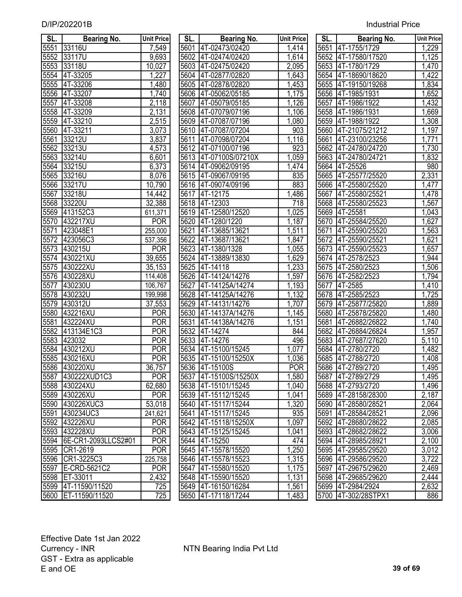| SL.  | <b>Bearing No.</b>   | <b>Unit Price</b>  | SL.  | Bearing No.           | <b>Unit Price</b> | SL.  | Bearing No.         | <b>Unit Price</b> |
|------|----------------------|--------------------|------|-----------------------|-------------------|------|---------------------|-------------------|
| 5551 | 33116U               | 7,549              |      | 5601 4T-02473/02420   | 1,414             |      | 5651 4T-1755/1729   | 1,229             |
| 5552 | 33117U               | 9,693              |      | 5602 4T-02474/02420   | 1,614             |      | 5652 4T-17580/17520 | 1,125             |
| 5553 | 33118U               | 10,027             |      | 5603 4T-02475/02420   | 2,095             |      | 5653 4T-1780/1729   | 1,470             |
| 5554 | 4T-33205             | 1,227              |      | 5604 4T-02877/02820   | 1,643             |      | 5654 4T-18690/18620 | 1,422             |
| 5555 | 4T-33206             | 1,480              |      | 5605 4T-02878/02820   | 1,453             |      | 5655 4T-19150/19268 | 1,834             |
| 5556 | 4T-33207             | 1,740              |      | 5606 4T-05062/05185   | 1,175             |      | 5656 4T-1985/1931   | 1,652             |
| 5557 | 4T-33208             | 2,118              | 5607 | 4T-05079/05185        | 1,126             | 5657 | 4T-1986/1922        | 1,432             |
| 5558 | 4T-33209             | 2,131              |      | 5608 4T-07079/07196   | 1,106             |      | 5658 4T-1986/1931   | 1,669             |
| 5559 | 4T-33210             | 2,515              |      | 5609 4T-07087/07196   | 1,080             | 5659 | 4T-1988/1922        | 1,308             |
| 5560 | 4T-33211             | 3,073              | 5610 | 4T-07087/07204        | 903               | 5660 | 4T-21075/21212      | 1,197             |
| 5561 | 33212U               | 3,837              |      | 5611 4T-07098/07204   | 1,116             | 5661 | 4T-23100/23256      | 1,771             |
| 5562 | 33213U               | 4,573              |      | 5612 4T-07100/07196   | 923               | 5662 | 4T-24780/24720      | 1,730             |
| 5563 | 33214U               | $\overline{6,}601$ |      | 5613 4T-07100S/07210X | 1,059             | 5663 | 4T-24780/24721      | 1,832             |
| 5564 | 33215U               | 6,373              |      | 5614 4T-09062/09195   | 1,474             | 5664 | 4T-25526            | 980               |
| 5565 | 33216U               | 8,076              |      | 5615 4T-09067/09195   | 835               | 5665 | 4T-25577/25520      | 2,331             |
| 5566 | 33217U               | 10,790             |      | 5616 4T-09074/09196   | 883               | 5666 | 4T-25580/25520      | 1,477             |
| 5567 | 33218U               | 14,442             |      | 5617 4T-12175         | 1,486             | 5667 | 4T-25580/25521      | 1,478             |
| 5568 | 33220U               | 32,388             |      | 5618 4T-12303         | 718               | 5668 | 4T-25580/25523      | 1,567             |
| 5569 | 413152C3             | 611,371            |      | 5619 4T-12580/12520   | 1,025             | 5669 | 4T-25581            | 1,043             |
| 5570 | 432217XU             | <b>POR</b>         |      | 5620 4T-1280/1220     | 1,187             | 5670 | 4T-25584/25520      | 1,627             |
| 5571 | 423048E1             | 255,000            | 5621 | 4T-13685/13621        | 1,511             | 5671 | 4T-25590/25520      | 1,563             |
| 5572 | 423056C3             | 537,356            | 5622 | 4T-13687/13621        | 1,847             | 5672 | 4T-25590/25521      | 1,621             |
| 5573 | 430215U              | <b>POR</b>         |      | 5623 4T-1380/1328     | 1,055             | 5673 | 4T-25590/25523      | 1,657             |
| 5574 | 430221XU             | 39,655             | 5624 | 4T-13889/13830        | 1,629             | 5674 | 4T-2578/2523        | 1,944             |
| 5575 | 430222XU             | 35,153             |      | 5625 4T-14118         | 1,233             | 5675 | 4T-2580/2523        | 1,506             |
| 5576 | 430228XU             | 114,408            |      | 5626 4T-14124/14276   | 1,597             |      | 5676 4T-2582/2523   | 1,794             |
| 5577 | 430230U              | 106,767            | 5627 | 4T-14125A/14274       | 1,193             | 5677 | 4T-2585             | 1,410             |
| 5578 | 430232U              | 199,998            | 5628 | 4T-14125A/14276       | 1,132             | 5678 | 4T-2585/2523        | 1,725             |
| 5579 | 430312U              | 37,553             | 5629 | 4T-14131/14276        | 1,707             | 5679 | 4T-25877/25820      | 1,889             |
| 5580 | 432216XU             | <b>POR</b>         | 5630 | 4T-14137A/14276       | 1,145             | 5680 | 4T-25878/25820      | 1,480             |
| 5581 | 432224XU             | <b>POR</b>         | 5631 | 4T-14138A/14276       | 1,151             | 5681 | 4T-26882/26822      | 1,740             |
| 5582 | 413134E1C3           | <b>POR</b>         | 5632 | 4T-14274              | 844               | 5682 | 4T-26884/26824      | 1,957             |
| 5583 | 423032               | <b>POR</b>         | 5633 | 4T-14276              | 496               | 5683 | 4T-27687/27620      | 5,110             |
| 5584 | 430212XU             | <b>POR</b>         | 5634 | 4T-15100/15245        | 1,077             | 5684 | 4T-2780/2720        | 1,482             |
| 5585 | 430216XU             | <b>POR</b>         | 5635 | 4T-15100/15250X       | 1,036             | 5685 | 4T-2788/2720        | 1,408             |
|      | 5586 430220XU        | 36,757             |      | 5636 4T-15100S        | <b>POR</b>        |      | 5686 4T-2789/2720   | 1,495             |
| 5587 | 430222XUD1C3         | POR                |      | 5637 4T-15100S/15250X | 1,580             | 5687 | 4T-2789/2729        | 1,495             |
| 5588 | 430224XU             | 62,680             |      | 5638 4T-15101/15245   | 1,040             | 5688 | 4T-2793/2720        | 1,496             |
| 5589 | 430226XU             | <b>POR</b>         | 5639 | 4T-15112/15245        | 1,041             | 5689 | 4T-28158/28300      | 2,187             |
| 5590 | 430226XUC3           | 53,018             | 5640 | 4T-15117/15244        | ,320              | 5690 | 4T-28580/28521      | 2,064             |
| 5591 | 430234UC3            | 241,621            | 5641 | 4T-15117/15245        | 935               | 5691 | 4T-28584/28521      | 2,096             |
| 5592 | 432226XU             | <b>POR</b>         |      | 5642 4T-15118/15250X  | 1,097             | 5692 | 4T-28680/28622      | 2,085             |
| 5593 | 432228XU             | <b>POR</b>         | 5643 | 4T-15125/15245        | 1,041             | 5693 | 4T-28682/28622      | 3,006             |
| 5594 | 6E-CR1-2093LLCS2#01  | <b>POR</b>         | 5644 | 4T-15250              | 474               | 5694 | 4T-28985/28921      | 2,100             |
| 5595 | CR1-2619             | <b>POR</b>         | 5645 | 4T-15578/15520        | 1,250             | 5695 | 4T-29585/29520      | 3,012             |
| 5596 | CR1-3225C3           | 225,758            | 5646 | 4T-15578/15523        | 1,315             | 5696 | 4T-29586/29520      | 3,722             |
| 5597 | <b>IE-CRD-5621C2</b> | <b>POR</b>         | 5647 | 4T-15580/15520        | 1,175             | 5697 | 4T-29675/29620      | 2,469             |
| 5598 | ET-33011             | 2,432              |      | 5648 4T-15590/15520   | 1,131             |      | 5698 4T-29685/29620 | 2,444             |
| 5599 | 4T-11590/11520       | 725                |      | 5649 4T-16150/16284   | 1,561             |      | 5699 4T-2984/2924   | 2,632             |
| 5600 | ET-11590/11520       | 725                |      | 5650 4T-17118/17244   | 1,483             |      | 5700 4T-302/28STPX1 | 886               |

| SL.               | <b>Bearing No.</b>               | <b>Unit Pric</b>   |
|-------------------|----------------------------------|--------------------|
| 5601              | 4T-02473/02420                   | 1,414              |
| 5602              | 4T-02474/02420                   | 1,614              |
| 5603              | 4T-02475/02420                   | 2,095              |
| 5604              | 4T-02877/02820                   | 1,643              |
| 5605              | 4T-02878/02820                   | 1,453              |
| 5606              | 4T-05062/05185                   | 1,175              |
| $\frac{1}{5607}$  | 4T-05079/05185                   | 1,126              |
| 5608              | 4T-07079/07196                   | 1,106              |
| 5609              | 4T-07087/07196                   | $\overline{1,080}$ |
| 5610              | 4T-07087/07204                   | 903                |
| 5611              | 4T-07098/07204                   | 1,116              |
| 5612              | 4T-07100/07196                   | 923                |
| 5613              | 4T-07100S/07210X                 | 1,059              |
| $56\overline{14}$ | 4T-09062/09195                   | 1,474              |
|                   | 5615 4T-09067/09195              | 835                |
| 5616              | 4T-09074/09196                   | 883                |
| 5617              | $4T-12175$                       | $\overline{1,}486$ |
| 5618              | 4T-12303                         | 718                |
|                   | 5619 4T-12580/12520              | 1,025              |
| $56\overline{20}$ | 4T-1280/1220                     | 1,187              |
| 5621              | 4T-13685/13621                   | 1,511              |
|                   | 5622 4T-13687/13621              | 1,847              |
|                   | 5623 4T-1380/1328                | 1,055              |
|                   | 5624 4T-13889/13830              | 1,629              |
| 5625              | 4T-14118                         | <u>1,233</u>       |
| 5626              | 4T-14124/14276                   | 1,597              |
| 5627              | 4T-14125A/14274                  | 1,193              |
| 5628              | 4T-14125A/14276                  | 1,132              |
| 5629              | 4T-14131/14276                   | $\overline{1,707}$ |
|                   | 5630 4T-14137A/14276             | 1,145              |
|                   | 5631 4T-14138A/14276             | 1,151              |
|                   | 5632 4T-14274                    | 844                |
|                   | 5633 4T-14276                    | 496                |
|                   | 5634 4T-15100/15245              | 1,077              |
|                   | 5635 4T-15100/15250X             | $\overline{1,036}$ |
| 5636              | 4T-15100S                        | <b>POR</b>         |
| 5637              | 4T-15100S/15250X                 | 1,580              |
| 5638              | 4T-15101/15245                   | 1,040              |
| 5639              | 4T-15112/15245                   | $\overline{1,041}$ |
| 5640              | 4T-15117/15244<br>4T-15117/15245 | 1,320<br>935       |
| 5641<br>5642      | 4T-15118/15250X                  | $\overline{1,097}$ |
|                   | 4T-15125/15245                   | 1,041              |
| 5643              | $4T-15250$                       | 474                |
| 5644<br>5645      |                                  | 1,250              |
| 5646              | 4T-15578/15520<br>4T-15578/15523 | 1,315              |
|                   | 4T-15580/15520                   | 1,175              |
| 5647<br>5648      | 4T-15590/15520                   | 1,131              |
| 5649              | 4T-16150/16284                   | 1,561              |
| 5650              | 4T-17118/17244                   | $\overline{1,}483$ |
|                   |                                  |                    |

| SL.               | Bearing No.    | <b>Unit Price</b>     |
|-------------------|----------------|-----------------------|
| 5651              | 4T-1755/1729   | 1,229                 |
| 5652              | 4T-17580/17520 | 1,125                 |
| 5653              | 4T-1780/1729   | $\overline{1,470}$    |
| 5654              | 4T-18690/18620 | 1,422                 |
| 5655              | 4T-19150/19268 | 1,834                 |
| 5656              | 4T-1985/1931   | 1,652                 |
| 5657              | 4T-1986/1922   | 1,432                 |
| 5658              | 4T-1986/1931   | 1,669                 |
| 5659              | 4T-1988/1922   | 1,308                 |
| 5660              | 4T-21075/21212 | $\frac{1}{1,197}$     |
| 5661              | 4T-23100/23256 |                       |
| 5662              | 4T-24780/24720 | $\frac{1,121}{1,771}$ |
| 5663              | 4T-24780/24721 | 1,832                 |
| 5664              | 4T-25526       | 980                   |
| 5665              | 4T-25577/25520 | 2,331                 |
| 5666              | 4T-25580/25520 | 1,477                 |
| 5667              | 4T-25580/25521 | 1,478                 |
| 5668              | 4T-25580/25523 | 1,567                 |
| 5669              | 4T-25581       | 1,043                 |
| 5670              | 4T-25584/25520 | 1,627                 |
| $\frac{5671}{ }$  | 4T-25590/25520 | 1,563                 |
| 5672              | 4T-25590/25521 | 1,621                 |
| 5673              | 4T-25590/25523 | 1,657                 |
| 5674              | 4T-2578/2523   | 1,944                 |
| 5675              | 4T-2580/2523   | 1,506                 |
| $56\overline{76}$ | 4T-2582/2523   | 1,794                 |
| 5677              | 4T-2585        | 1,410                 |
| 5678              | 4T-2585/2523   | 1,725                 |
| 5679              | 4T-25877/25820 | 1,889                 |
| 5680              | 4T-25878/25820 | 1,480                 |
| 5681              | 4T-26882/26822 | 1,740                 |
| 5682              | 4T-26884/26824 | 1,957                 |
| 5683              | 4T-27687/27620 | 5,110                 |
| 5684              | 4T-2780/2720   | 1,482                 |
| 5685              | 4T-2788/2720   | 1,408                 |
| 5686              | 4T-2789/2720   | 1.495                 |
| 5687              | 4T-2789/2729   | 1,495                 |
| 5688              | 4T-2793/2720   | 1,496                 |
| 5689              | 4T-28158/28300 | 2,187                 |
| 5690              | 4T-28580/28521 | 2,064                 |
| 5691              | 4T-28584/28521 | 2,096                 |
| 5692              | 4T-28680/28622 | 2,085                 |
| 5693              | 4T-28682/28622 | 3,006                 |
| 5694              | 4T-28985/28921 | $\overline{2,}100$    |
| 5695              | 4T-29585/29520 | 3,0 <u>12</u>         |
| 5696              | 4T-29586/29520 | $\overline{3,722}$    |
| 5697              | 4T-29675/29620 | 2,469                 |
| 5698              | 4T-29685/29620 | 2,444                 |
| 5699              | 4T-2984/2924   | 2,632                 |
| 5700              | 4T-302/28STPX1 | 886                   |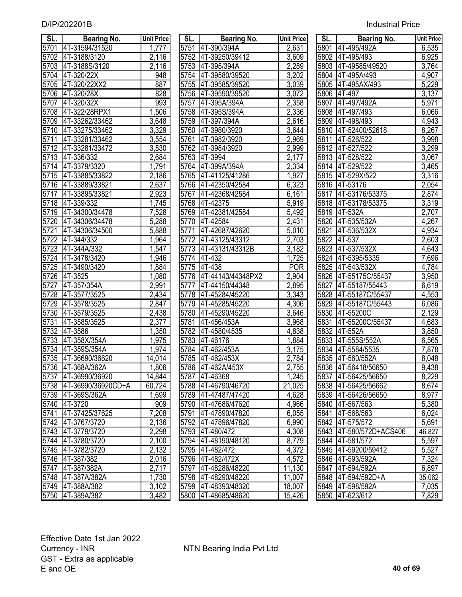| SL.               | <b>Bearing No.</b>  | <b>Unit Price</b>  | SL.  | <b>Bearing No.</b>  | <b>Unit Price</b>  | SL.  | <b>Bearing No.</b>      | <b>Unit Price</b>  |
|-------------------|---------------------|--------------------|------|---------------------|--------------------|------|-------------------------|--------------------|
| 5701              | 4T-31594/31520      | 1,777              | 5751 | 4T-390/394A         | 2,631              | 5801 | 4T-495/492A             | 6,535              |
| 5702              | 4T-3188/3120        | 2,116              | 5752 | 4T-39250/39412      | 3,609              | 5802 | 4T-495/493              | 6,925              |
| 5703              | 4T-3188S/3120       | 2,116              | 5753 | 4T-395/394A         | 2,289              | 5803 | 4T-49585/49520          | 3,764              |
| 5704              | 4T-320/22X          | 948                | 5754 | 4T-39580/39520      | 3,202              | 5804 | 4T-495A/493             | 4,907              |
| 5705              | 4T-320/22XX2        | 887                |      | 5755 4T-39585/39520 | 3,039              |      | 5805 4T-495AX/493       | 5,229              |
| 5706              | 4T-320/28X          | 828                | 5756 | 4T-39590/39520      | 3,072              |      | 5806 4T-497             | 3,137              |
| 5707              | 4T-320/32X          | 993                | 5757 | 4T-395A/394A        | 2,358              | 5807 | 4T-497/492A             | 5,971              |
| 5708              | 4T-322/28RPX1       | 1,506              | 5758 | 4T-395S/394A        | 2,336              | 5808 | 4T-497/493              | 6,066              |
| 5709              | 4T-33262/33462      | 3,648              | 5759 | 4T-397/394A         | 2,616              | 5809 | 4T-498/493              | 4,943              |
| 5710              | 4T-33275/33462      | 3,329              | 5760 | 4T-3980/3920        | 3,644              | 5810 | 4T-52400/52618          | 8,267              |
| $\overline{571}1$ | 4T-33281/33462      | 3,554              | 5761 | 4T-3982/3920        | 2,969              | 5811 | 4T-526/522              | 3,998              |
| 5712              | 4T-33281/33472      | 3,530              | 5762 | 4T-3984/3920        | 2,999              | 5812 | 4T-527/522              | 3,299              |
| $\overline{571}3$ | 4T-336/332          | 2,684              | 5763 | 4T-3994             | 2,177              | 5813 | 4T-528/522              | $\overline{3,067}$ |
| 5714              | 4T-3379/3320        | 1,791              | 5764 | 4T-399A/394A        | 2,334              | 5814 | 4T-529/522              | 3,465              |
| 5715              | 4T-33885/33822      | 2,186              | 5765 | 4T-41125/41286      | 1,927              | 5815 | 4T-529X/522             | 3,316              |
| 5716              | 4T-33889/33821      | $\overline{2,637}$ | 5766 | 4T-42350/42584      | 6,323              | 5816 | 4T-53176                | 2,054              |
| 5717              | 4T-33895/33821      | 2,923              | 5767 | 4T-42368/42584      | 6,161              | 5817 | 4T-53176/53375          | 2,874              |
| 5718              | 4T-339/332          | 1,745              |      | 5768 4T-42375       | 5,919              |      | 5818 4T-53178/53375     | $\overline{3,319}$ |
| 5719              | 4T-34300/34478      | 7,528              |      | 5769 4T-42381/42584 | 5,492              | 5819 | 4T-532A                 | 2,707              |
| 5720              | 4T-34306/34478      | 5,288              | 5770 | 4T-42584            | 2,431              |      | 5820 4T-535/532A        | 4,267              |
| 5721              | 4T-34306/34500      | 5,888              | 5771 | 4T-42687/42620      | 5,010              | 5821 | 4T-536/532X             | 4,934              |
| 5722              | 4T-344/332          | 1,964              | 5772 | 4T-43125/43312      | 2,703              | 5822 | 4T-537                  | 2,603              |
| 5723              | 4T-344A/332         | ,547               | 5773 | 4T-43131/43312B     | $\overline{3,}182$ | 5823 | 4T-537/532X             | 4,643              |
| 5724              | 4T-3478/3420        | 1,946              | 5774 | 4T-432              | 1,725              | 5824 | 4T-5395/5335            | 7,696              |
| 5725              | 4T-3490/3420        | 1,884              | 5775 | 4T-438              | <b>POR</b>         | 5825 | 4T-543/532X             | 4,784              |
| 5726              | 4T-3525             | 1,080              | 5776 | 4T-44143/44348PX2   | 2,904              | 5826 | 4T-55175C/55437         | 3,950              |
| 5727              | 4T-357/354A         | 2,991              | 5777 | 4T-44150/44348      | 2,895              | 5827 | 4T-55187/55443          | 6,619              |
| 5728              | 4T-3577/3525        | 2,434              | 5778 | 4T-45284/45220      | 3,343              | 5828 | 4T-55187C/55437         | 4,553              |
| 5729              | 4T-3578/3525        | 2,847              | 5779 | 4T-45285/45220      | 4,306              | 5829 | 4T-55187C/55443         | 6,086              |
| 5730              | 4T-3579/3525        | 2,438              | 5780 | 4T-45290/45220      | 3,646              | 5830 | 4T-55200C               | 2,129              |
| 5731              | 4T-3585/3525        | 2,377              | 5781 | 4T-456/453A         | 3,968              | 5831 | 4T-55200C/55437         | 4,683              |
| 5732              | 4T-3586             | 1,350              | 5782 | 4T-4580/4535        | 4,838              | 5832 | 4T-552A                 | 3,850              |
| 5733              | 4T-358X/354A        | 1,975              | 5783 | 4T-46176            | 1,884              | 5833 | 4T-555S/552A            | 6,565              |
| 5734              | 4T-359S/354A        | $\overline{1,}974$ | 5784 | 4T-462/453A         | 3,175              |      | 5834 4T-5584/5535       | $\overline{7,878}$ |
| 5735              | 4T-36690/36620      | 14,014             | 5785 | 4T-462/453X         | 2,784              |      | 5835 4T-560/552A        | 8,048              |
|                   | 5736 4T-368A/362A   | 1,806              |      | 5786 4T-462A/453X   | 2,755              |      | 5836 4T-56418/56650     | 9,438              |
|                   | 5737 4T-36990/36920 | 14,844             |      | 5787 4T-46368       | $\overline{1,245}$ | 5837 | 4T-56425/56650          | 8,229              |
| 5738              | 4T-36990/36920CD+A  | 60,724             |      | 5788 4T-46790/46720 | 21,025             |      | 5838 4T-56425/56662     | 8,674              |
| 5739              | 4T-369S/362A        | 1,699              |      | 5789 4T-47487/47420 | 4,628              |      | 5839 4T-56426/56650     | 8,977              |
| 5740              | 4T-3720             | 909                |      | 5790 4T-47686/47620 | 4,966              |      | 5840 4T-567/563         | 5,380              |
| 5741              | 4T-37425/37625      | 7,208              | 5791 | 4T-47890/47820      | 6,055              | 5841 | 4T-568/563              | 6,024              |
| 5742              | 4T-3767/3720        | 2,136              |      | 5792 4T-47896/47820 | 6,990              |      | 5842 4T-575/572         | 5,691              |
| 5743              | 4T-3779/3720        | 2,298              |      | 5793 4T-480/472     | 4,308              |      | 5843 4T-580/572D+ACS406 | 46,827             |
|                   | 5744 4T-3780/3720   | 2,100              |      | 5794 4T-48190/48120 | 8,779              |      | 5844 4T-581/572         | 5,597              |
|                   | 5745 4T-3782/3720   | 2,132              |      | 5795 4T-482/472     | 4,372              |      | 5845 4T-59200/59412     | 5,527              |
|                   | 5746 4T-387/382     | 2,016              |      | 5796 4T-482/472X    | 4,572              |      | 5846 4T-593/592A        | 7,324              |
| 5747              | 4T-387/382A         | 2,717              |      | 5797 4T-48286/48220 | 11,130             |      | 5847 4T-594/592A        | 6,897              |
|                   | 5748 4T-387A/382A   | 1,730              |      | 5798 4T-48290/48220 | 11,007             |      | 5848 4T-594/592D+A      | 35,062             |
|                   | 5749 4T-388A/382    | 3,102              |      | 5799 4T-48393/48320 | 18,007             |      | 5849 4T-598/592A        | 7,035              |
|                   | 5750 4T-389A/382    | 3,482              |      | 5800 4T-48685/48620 | 15,426             |      | 5850 4T-623/612         | 7,829              |

| SL.                 | Bearing No.            | <b>Unit Pric</b>   |
|---------------------|------------------------|--------------------|
|                     | 5751 4T-390/394A       | 2,631              |
| $\frac{1}{5752}$    | 4T-39250/39412         | <u>3,609</u>       |
| 5753                | 4T-395/394A            | 2,289              |
|                     | 5754 4T-39580/39520    | 3,202              |
|                     | 5755 4T-39585/39520    | 3,039              |
|                     | 5756 4T-39590/39520    | 3,072              |
|                     | 5757 4T-395A/394A      | 2,358              |
|                     | 5758 4T-395S/394A      | 2,336              |
|                     | 5759 4T-397/394A       | 2,616              |
|                     | 5760 4T-3980/3920      | 3,644              |
|                     | 5761 4T-3982/3920      | 2,969              |
|                     | 5762 4T-3984/3920      | 2,999              |
|                     | 5763 4T-3994           | <u>2,177</u>       |
|                     | 5764 4T-399A/394A      | 2,334              |
|                     | 5765 4T-41125/41286    | 1,927              |
|                     | 5766 4T-42350/42584    | 6,323              |
|                     | 5767 4T-42368/42584    | 6,161              |
|                     | 5768 4T-42375          | 5,919              |
|                     | 5769 4T-42381/42584    | $\overline{5,}492$ |
|                     | 5770 4T-42584          | 2,431              |
|                     | 5771 4T-42687/42620    | 5,010              |
|                     | 5772 4T-43125/43312    | 2,703              |
|                     | 5773 4T-43131/43312B   | 3,182              |
|                     | 5774 4T-432            | 1,725              |
|                     | 5775 4T-438            | POR                |
|                     | 5776 4T-44143/44348PX2 | 2,904              |
|                     | 5777 4T-44150/44348    | 2,895              |
|                     | 5778 4T-45284/45220    | 3,343              |
|                     | 5779 4T-45285/45220    | 4,306              |
|                     | 5780 4T-45290/45220    | 3,646              |
|                     | 5781 4T-456/453A       | 3,968              |
|                     | 5782 4T-4580/4535      | 4,838              |
|                     | 5783 4T-46176          | 1,884              |
|                     | 5784 4T-462/453A       | 3,175              |
|                     | 5785 4T-462/453X       | 2,784              |
|                     | 5786 4T-462A/453X      | 2,755              |
| 5787                | 4T-46368               | 1,245              |
| 5788                | 4T-46790/46720         | 21,025             |
| 5789                | 4T-47487/47420         | 4,628              |
| 5790                | 4T-47686/47620         | $\overline{4,966}$ |
| $\frac{5791}{5}$    | 4T-47890/47820         | 6,055              |
| $\frac{5792}{5792}$ | 4T-47896/47820         | 6,990              |
| 5793                | 4T-480/472             | 4,308              |
| $\frac{5794}{ }$    | 4T-48190/48120         | 8,779              |
| 5795                | 4T-482/472             | $\frac{1}{4,372}$  |
| 5796                | 4T-482/472X            | 4,572              |
| 5797                | 4T-48286/48220         | 11,130             |
| 5798                | 4T-48290/48220         | 11,007             |
| 5799                | 4T-48393/48320         | 18,007             |
| 5800                | 4T-48685/48620         | 15,426             |

| 5801<br>4T-495/492A<br>5802<br>6,925<br>4T-495/493<br>3,764<br>5803<br>4T-49585/49520<br>4,907<br>5804 4T-495A/493<br>5,229<br>5805<br>4T-495AX/493<br>3,137<br>4T-497<br>5806<br>5,971<br>4T-497/492A<br>5807<br>4T-497/493<br>6,066<br>5808<br>$\overline{4,943}$<br>5809<br>4T-498/493<br>4T-52400/52618<br>8,267<br>5810<br>5811<br>4T-526/522<br>3,998<br>3,299<br>$\frac{58}{12}$<br>4T-527/522<br>5813<br>4T-528/522<br>3,067<br>5814<br>4T-529/522<br>3,465<br>3,316<br>4T-529X/522<br>5815<br>$4T - 53176$<br>5816<br>2,054<br>5817<br>4T-53176/53375<br>2,874<br>4T-53178/53375<br>5818<br><u>3,319</u><br>4T-532A<br>5819<br>2,707<br>4,267<br>5820<br>4T-535/532A<br><u>5821</u><br>4T-536/532X<br>4,934<br>5822<br>4T-537<br>2,603<br>$\frac{582}{3}$<br>4T-537/532X<br>4,643<br>5824<br>4T-5395/5335<br>7,696<br>5825<br>4T-543/532X<br>4,784<br>3,950<br>5826<br>4T-55175C/55437<br>4T-55187/55443<br>5827<br>6,619<br>5828<br>4T-55187C/55437<br>4,553<br>5829<br>4T-55187C/55443<br>6,086<br>5830<br>4T-55200C<br>2,129<br>5831<br>4T-55200C/55437<br>4,683<br>5832<br>4T-552A<br>3,850<br>5833<br>4T-555S/552A<br>6,565<br>5834<br>4T-5584/5535<br>7,878<br>5835<br>4T-560/552A<br>8,048<br>5836<br>9.438<br>I4T-56418/56650<br>8,229<br>5837<br>4T-56425/56650<br>5838<br>4T-56425/56662<br>8,674<br>5839<br>4T-56426/56650<br>8,977<br>5,380<br>5840<br>4T-567/563<br>5841<br>4T-568/563<br>6,024<br>5842<br>4T-575/572<br>5,691<br>5843<br>4T-580/572D+ACS406<br>46,827<br>5844<br>4T-581/572<br>5,597<br>4T-59200/59412<br>5845<br>5,527<br>7,324<br>4T-593/592A<br>5846<br>4T-594/592A<br>5847<br>6,897<br>4T-594/592D+A<br>35,062<br>5848<br>4T-598/592A<br>5849<br>7,035 | $\overline{SL}$ | Bearing No. | <b>Unit Price</b> |
|---------------------------------------------------------------------------------------------------------------------------------------------------------------------------------------------------------------------------------------------------------------------------------------------------------------------------------------------------------------------------------------------------------------------------------------------------------------------------------------------------------------------------------------------------------------------------------------------------------------------------------------------------------------------------------------------------------------------------------------------------------------------------------------------------------------------------------------------------------------------------------------------------------------------------------------------------------------------------------------------------------------------------------------------------------------------------------------------------------------------------------------------------------------------------------------------------------------------------------------------------------------------------------------------------------------------------------------------------------------------------------------------------------------------------------------------------------------------------------------------------------------------------------------------------------------------------------------------------------------------------------------------------------------------------------------------------|-----------------|-------------|-------------------|
|                                                                                                                                                                                                                                                                                                                                                                                                                                                                                                                                                                                                                                                                                                                                                                                                                                                                                                                                                                                                                                                                                                                                                                                                                                                                                                                                                                                                                                                                                                                                                                                                                                                                                                   |                 |             | 6,535             |
|                                                                                                                                                                                                                                                                                                                                                                                                                                                                                                                                                                                                                                                                                                                                                                                                                                                                                                                                                                                                                                                                                                                                                                                                                                                                                                                                                                                                                                                                                                                                                                                                                                                                                                   |                 |             |                   |
|                                                                                                                                                                                                                                                                                                                                                                                                                                                                                                                                                                                                                                                                                                                                                                                                                                                                                                                                                                                                                                                                                                                                                                                                                                                                                                                                                                                                                                                                                                                                                                                                                                                                                                   |                 |             |                   |
|                                                                                                                                                                                                                                                                                                                                                                                                                                                                                                                                                                                                                                                                                                                                                                                                                                                                                                                                                                                                                                                                                                                                                                                                                                                                                                                                                                                                                                                                                                                                                                                                                                                                                                   |                 |             |                   |
|                                                                                                                                                                                                                                                                                                                                                                                                                                                                                                                                                                                                                                                                                                                                                                                                                                                                                                                                                                                                                                                                                                                                                                                                                                                                                                                                                                                                                                                                                                                                                                                                                                                                                                   |                 |             |                   |
|                                                                                                                                                                                                                                                                                                                                                                                                                                                                                                                                                                                                                                                                                                                                                                                                                                                                                                                                                                                                                                                                                                                                                                                                                                                                                                                                                                                                                                                                                                                                                                                                                                                                                                   |                 |             |                   |
|                                                                                                                                                                                                                                                                                                                                                                                                                                                                                                                                                                                                                                                                                                                                                                                                                                                                                                                                                                                                                                                                                                                                                                                                                                                                                                                                                                                                                                                                                                                                                                                                                                                                                                   |                 |             |                   |
|                                                                                                                                                                                                                                                                                                                                                                                                                                                                                                                                                                                                                                                                                                                                                                                                                                                                                                                                                                                                                                                                                                                                                                                                                                                                                                                                                                                                                                                                                                                                                                                                                                                                                                   |                 |             |                   |
|                                                                                                                                                                                                                                                                                                                                                                                                                                                                                                                                                                                                                                                                                                                                                                                                                                                                                                                                                                                                                                                                                                                                                                                                                                                                                                                                                                                                                                                                                                                                                                                                                                                                                                   |                 |             |                   |
|                                                                                                                                                                                                                                                                                                                                                                                                                                                                                                                                                                                                                                                                                                                                                                                                                                                                                                                                                                                                                                                                                                                                                                                                                                                                                                                                                                                                                                                                                                                                                                                                                                                                                                   |                 |             |                   |
|                                                                                                                                                                                                                                                                                                                                                                                                                                                                                                                                                                                                                                                                                                                                                                                                                                                                                                                                                                                                                                                                                                                                                                                                                                                                                                                                                                                                                                                                                                                                                                                                                                                                                                   |                 |             |                   |
|                                                                                                                                                                                                                                                                                                                                                                                                                                                                                                                                                                                                                                                                                                                                                                                                                                                                                                                                                                                                                                                                                                                                                                                                                                                                                                                                                                                                                                                                                                                                                                                                                                                                                                   |                 |             |                   |
|                                                                                                                                                                                                                                                                                                                                                                                                                                                                                                                                                                                                                                                                                                                                                                                                                                                                                                                                                                                                                                                                                                                                                                                                                                                                                                                                                                                                                                                                                                                                                                                                                                                                                                   |                 |             |                   |
|                                                                                                                                                                                                                                                                                                                                                                                                                                                                                                                                                                                                                                                                                                                                                                                                                                                                                                                                                                                                                                                                                                                                                                                                                                                                                                                                                                                                                                                                                                                                                                                                                                                                                                   |                 |             |                   |
|                                                                                                                                                                                                                                                                                                                                                                                                                                                                                                                                                                                                                                                                                                                                                                                                                                                                                                                                                                                                                                                                                                                                                                                                                                                                                                                                                                                                                                                                                                                                                                                                                                                                                                   |                 |             |                   |
|                                                                                                                                                                                                                                                                                                                                                                                                                                                                                                                                                                                                                                                                                                                                                                                                                                                                                                                                                                                                                                                                                                                                                                                                                                                                                                                                                                                                                                                                                                                                                                                                                                                                                                   |                 |             |                   |
|                                                                                                                                                                                                                                                                                                                                                                                                                                                                                                                                                                                                                                                                                                                                                                                                                                                                                                                                                                                                                                                                                                                                                                                                                                                                                                                                                                                                                                                                                                                                                                                                                                                                                                   |                 |             |                   |
|                                                                                                                                                                                                                                                                                                                                                                                                                                                                                                                                                                                                                                                                                                                                                                                                                                                                                                                                                                                                                                                                                                                                                                                                                                                                                                                                                                                                                                                                                                                                                                                                                                                                                                   |                 |             |                   |
|                                                                                                                                                                                                                                                                                                                                                                                                                                                                                                                                                                                                                                                                                                                                                                                                                                                                                                                                                                                                                                                                                                                                                                                                                                                                                                                                                                                                                                                                                                                                                                                                                                                                                                   |                 |             |                   |
|                                                                                                                                                                                                                                                                                                                                                                                                                                                                                                                                                                                                                                                                                                                                                                                                                                                                                                                                                                                                                                                                                                                                                                                                                                                                                                                                                                                                                                                                                                                                                                                                                                                                                                   |                 |             |                   |
|                                                                                                                                                                                                                                                                                                                                                                                                                                                                                                                                                                                                                                                                                                                                                                                                                                                                                                                                                                                                                                                                                                                                                                                                                                                                                                                                                                                                                                                                                                                                                                                                                                                                                                   |                 |             |                   |
|                                                                                                                                                                                                                                                                                                                                                                                                                                                                                                                                                                                                                                                                                                                                                                                                                                                                                                                                                                                                                                                                                                                                                                                                                                                                                                                                                                                                                                                                                                                                                                                                                                                                                                   |                 |             |                   |
|                                                                                                                                                                                                                                                                                                                                                                                                                                                                                                                                                                                                                                                                                                                                                                                                                                                                                                                                                                                                                                                                                                                                                                                                                                                                                                                                                                                                                                                                                                                                                                                                                                                                                                   |                 |             |                   |
|                                                                                                                                                                                                                                                                                                                                                                                                                                                                                                                                                                                                                                                                                                                                                                                                                                                                                                                                                                                                                                                                                                                                                                                                                                                                                                                                                                                                                                                                                                                                                                                                                                                                                                   |                 |             |                   |
|                                                                                                                                                                                                                                                                                                                                                                                                                                                                                                                                                                                                                                                                                                                                                                                                                                                                                                                                                                                                                                                                                                                                                                                                                                                                                                                                                                                                                                                                                                                                                                                                                                                                                                   |                 |             |                   |
|                                                                                                                                                                                                                                                                                                                                                                                                                                                                                                                                                                                                                                                                                                                                                                                                                                                                                                                                                                                                                                                                                                                                                                                                                                                                                                                                                                                                                                                                                                                                                                                                                                                                                                   |                 |             |                   |
|                                                                                                                                                                                                                                                                                                                                                                                                                                                                                                                                                                                                                                                                                                                                                                                                                                                                                                                                                                                                                                                                                                                                                                                                                                                                                                                                                                                                                                                                                                                                                                                                                                                                                                   |                 |             |                   |
|                                                                                                                                                                                                                                                                                                                                                                                                                                                                                                                                                                                                                                                                                                                                                                                                                                                                                                                                                                                                                                                                                                                                                                                                                                                                                                                                                                                                                                                                                                                                                                                                                                                                                                   |                 |             |                   |
|                                                                                                                                                                                                                                                                                                                                                                                                                                                                                                                                                                                                                                                                                                                                                                                                                                                                                                                                                                                                                                                                                                                                                                                                                                                                                                                                                                                                                                                                                                                                                                                                                                                                                                   |                 |             |                   |
|                                                                                                                                                                                                                                                                                                                                                                                                                                                                                                                                                                                                                                                                                                                                                                                                                                                                                                                                                                                                                                                                                                                                                                                                                                                                                                                                                                                                                                                                                                                                                                                                                                                                                                   |                 |             |                   |
|                                                                                                                                                                                                                                                                                                                                                                                                                                                                                                                                                                                                                                                                                                                                                                                                                                                                                                                                                                                                                                                                                                                                                                                                                                                                                                                                                                                                                                                                                                                                                                                                                                                                                                   |                 |             |                   |
|                                                                                                                                                                                                                                                                                                                                                                                                                                                                                                                                                                                                                                                                                                                                                                                                                                                                                                                                                                                                                                                                                                                                                                                                                                                                                                                                                                                                                                                                                                                                                                                                                                                                                                   |                 |             |                   |
|                                                                                                                                                                                                                                                                                                                                                                                                                                                                                                                                                                                                                                                                                                                                                                                                                                                                                                                                                                                                                                                                                                                                                                                                                                                                                                                                                                                                                                                                                                                                                                                                                                                                                                   |                 |             |                   |
|                                                                                                                                                                                                                                                                                                                                                                                                                                                                                                                                                                                                                                                                                                                                                                                                                                                                                                                                                                                                                                                                                                                                                                                                                                                                                                                                                                                                                                                                                                                                                                                                                                                                                                   |                 |             |                   |
|                                                                                                                                                                                                                                                                                                                                                                                                                                                                                                                                                                                                                                                                                                                                                                                                                                                                                                                                                                                                                                                                                                                                                                                                                                                                                                                                                                                                                                                                                                                                                                                                                                                                                                   |                 |             |                   |
|                                                                                                                                                                                                                                                                                                                                                                                                                                                                                                                                                                                                                                                                                                                                                                                                                                                                                                                                                                                                                                                                                                                                                                                                                                                                                                                                                                                                                                                                                                                                                                                                                                                                                                   |                 |             |                   |
|                                                                                                                                                                                                                                                                                                                                                                                                                                                                                                                                                                                                                                                                                                                                                                                                                                                                                                                                                                                                                                                                                                                                                                                                                                                                                                                                                                                                                                                                                                                                                                                                                                                                                                   |                 |             |                   |
|                                                                                                                                                                                                                                                                                                                                                                                                                                                                                                                                                                                                                                                                                                                                                                                                                                                                                                                                                                                                                                                                                                                                                                                                                                                                                                                                                                                                                                                                                                                                                                                                                                                                                                   |                 |             |                   |
|                                                                                                                                                                                                                                                                                                                                                                                                                                                                                                                                                                                                                                                                                                                                                                                                                                                                                                                                                                                                                                                                                                                                                                                                                                                                                                                                                                                                                                                                                                                                                                                                                                                                                                   |                 |             |                   |
|                                                                                                                                                                                                                                                                                                                                                                                                                                                                                                                                                                                                                                                                                                                                                                                                                                                                                                                                                                                                                                                                                                                                                                                                                                                                                                                                                                                                                                                                                                                                                                                                                                                                                                   |                 |             |                   |
|                                                                                                                                                                                                                                                                                                                                                                                                                                                                                                                                                                                                                                                                                                                                                                                                                                                                                                                                                                                                                                                                                                                                                                                                                                                                                                                                                                                                                                                                                                                                                                                                                                                                                                   |                 |             |                   |
|                                                                                                                                                                                                                                                                                                                                                                                                                                                                                                                                                                                                                                                                                                                                                                                                                                                                                                                                                                                                                                                                                                                                                                                                                                                                                                                                                                                                                                                                                                                                                                                                                                                                                                   |                 |             |                   |
|                                                                                                                                                                                                                                                                                                                                                                                                                                                                                                                                                                                                                                                                                                                                                                                                                                                                                                                                                                                                                                                                                                                                                                                                                                                                                                                                                                                                                                                                                                                                                                                                                                                                                                   |                 |             |                   |
|                                                                                                                                                                                                                                                                                                                                                                                                                                                                                                                                                                                                                                                                                                                                                                                                                                                                                                                                                                                                                                                                                                                                                                                                                                                                                                                                                                                                                                                                                                                                                                                                                                                                                                   |                 |             |                   |
|                                                                                                                                                                                                                                                                                                                                                                                                                                                                                                                                                                                                                                                                                                                                                                                                                                                                                                                                                                                                                                                                                                                                                                                                                                                                                                                                                                                                                                                                                                                                                                                                                                                                                                   |                 |             |                   |
|                                                                                                                                                                                                                                                                                                                                                                                                                                                                                                                                                                                                                                                                                                                                                                                                                                                                                                                                                                                                                                                                                                                                                                                                                                                                                                                                                                                                                                                                                                                                                                                                                                                                                                   |                 |             |                   |
|                                                                                                                                                                                                                                                                                                                                                                                                                                                                                                                                                                                                                                                                                                                                                                                                                                                                                                                                                                                                                                                                                                                                                                                                                                                                                                                                                                                                                                                                                                                                                                                                                                                                                                   |                 |             |                   |
|                                                                                                                                                                                                                                                                                                                                                                                                                                                                                                                                                                                                                                                                                                                                                                                                                                                                                                                                                                                                                                                                                                                                                                                                                                                                                                                                                                                                                                                                                                                                                                                                                                                                                                   |                 |             |                   |
|                                                                                                                                                                                                                                                                                                                                                                                                                                                                                                                                                                                                                                                                                                                                                                                                                                                                                                                                                                                                                                                                                                                                                                                                                                                                                                                                                                                                                                                                                                                                                                                                                                                                                                   |                 |             |                   |
|                                                                                                                                                                                                                                                                                                                                                                                                                                                                                                                                                                                                                                                                                                                                                                                                                                                                                                                                                                                                                                                                                                                                                                                                                                                                                                                                                                                                                                                                                                                                                                                                                                                                                                   | 5850            | 4T-623/612  | 7,829             |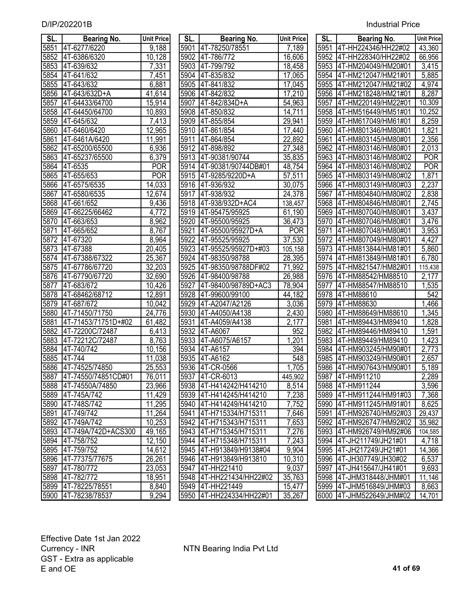# 5851 4T-6277/6220 9,188 5901 4T-78250/78551 7,189 5951 4T-HH224346/HH22#02 43,360 5852 |4T-6386/6320 10,128 | |5902 |4T-786/772 | 16,606 | |5952 |4T-HH228340/HH22#02 | 66,956<br>5853 |4T-639/632 7,331 | |5903 |4T-799/792 | 18,458 | |5953 |4T-HM204049/HM20#01 | 3,415 5854 4T-641/632 7,451 5904 4T-835/832 17,065 5954 4T-HM212047/HM21#01 5,885 5855 4T-643/632 6,881 5905 4T-841/832 17,045 5955 4T-HM212047/HM21#02 4,974 5856 4T-643/632D+A 41,614 5906 4T-842/832 17,210 5956 4T-HM218248/HM21#01 8,287 5857 4T-64433/64700 15,914 5907 4T-842/834D+A 54,963 5957 4T-HM220149/HM22#01 10,309 5858 4T-64450/64700 10,893 5908 4T-850/832 14,711 5958 4T-HM516449/HM51#01 10,252 5859 4T-645/632 7,413 5909 4T-855/854 29,941 5959 4T-HM617049/HM61#01 8,259 5860 |4T-6460/6420 | 12,965 | 5910 |4T-861/854 | 17,440 | 5960 |4T-HM801346/HM80#01 | 1,821<br>5861 |4T-6461A/6420 | 11,991 | 5911 |4T-864/854 | 22,892 | 5961 |4T-HM803145/HM80#01 | 2,356 5861 4T-6461A/6420 | 11,991 | 5911 |4T-864/854 | 22,892 | 5961 |4T-HM803145/HM80#01 5862 4T-65200/65500 6,936 5912 4T-898/892 27,348 5962 4T-HM803146/HM80#01 2,013 5863 4T-65237/65500 | 6,379 | |5913 |4T-90381/90744 | 35,835 | |5963 |4T-HM803146/HM80#02 | POR 5864 4T-6535 POR 5914 4T-90381/90744DB#01 48,754 5964 4T-HM803146/HM80#02 POR 5865 4T-655/653 POR 5915 4T-9285/9220D+A 57,511 5965 4T-HM803149/HM80#02 1,871 5866 4T-6575/6535 14,033 5916 4T-936/932 30,075 5966 4T-HM803149/HM80#03 2,237 5867 4T-6580/6535 12,674 5917 4T-938/932 24,378 5967 4T-HM804840/HM80#02 2,838 5868 4T-661/652 9,436 5918 4T-938/932D+AC4 138,457 5968 4T-HM804846/HM80#01 2,745 5869 4T-66225/66462 4,772 5919 4T-95475/95925 61,190 5969 4T-HM807040/HM80#01 3,437 5870 4T-663/653 8,962 5920 4T-95500/95925 36,473 5970 4T-HM807046/HM80#01 3,476 5871 4T-665/652 8,767 5921 4T-95500/95927D+A POR 5971 4T-HM807048/HM80#01 3,953 5872 4T-67320 8,964 5922 4T-95525/95925 37,530 5972 4T-HM807049/HM80#01 4,427 5873 4T-67388 20,405 5923 4T-95525/95927D+#03 105,158 5973 4T-HM813844/HM81#01 5,860 5874 4T-67388/67322 25,367 5924 4T-98350/98788 28,395 5974 4T-HM813849/HM81#01 6,780 5875 4T-67786/67720 32,203 5925 4T-98350/98788DF#02 71,992 5975 4T-HM821547/HM82#01 115,438 5876 4T-67790/67720 32,690 5926 4T-98400/98788 26,988 5976 4T-HM88542/HM88510 2,177 5877 4T-683/672 10,426 5927 4T-98400/98789D+AC3 78,904 5977 4T-HM88547/HM88510 1,535 5878 4T-68462/68712 12,891 5928 4T-99600/99100 44,182 5978 4T-HM88610 542 5879 4T-687/672 10,042 5929 4T-A2047/A2126 3,036 5979 4T-HM88630 1,466 5880 4T-71450/71750 24,776 5930 4T-A4050/A4138 2,430 5980 4T-HM88649/HM88610 1,345 5881 4T-71453/71751D+#02 61,482 5931 4T-A4059/A4138 2,177 5981 4T-HM89443/HM89410 1,828 5882 4T-72200C/72487 6,413 5932 4T-A6067 952 5982 4T-HM89446/HM89410 1,591 5883 4T-72212C/72487 8,763 5933 4T-A6075/A6157 1,201 5983 4T-HM89449/HM89410 1,423 5884 4T-740/742 10,156 5934 4T-A6157 394 5984 4T-HM903245/HM90#01 2,773 5885 4T-744 11,038 5935 4T-A6162 548 5985 4T-HM903249/HM90#01 2,657 5886 4T-74525/74850 25,553 5936 4T-CR-0566 1,705 5986 4T-HM907643/HM90#01 5,189 5887 4T-74550/74851CD#01 76,011 5937 4T-CR-6013 445,902 5987 4T-HM911210 2,289 5888 4T-74550A/74850 23,966 5938 4T-H414242/H414210 8,514 5988 4T-HM911244 3,596 5889 4T-745A/742 11,429 5939 4T-H414245/H414210 7,238 5989 4T-HM911244/HM91#03 7,368 5890 4T-748S/742 11,295 5940 4T-H414249/H414210 7,752 5990 4T-HM911245/HM91#01 8,625 5891 4T-749/742 11,264 5941 4T-H715334/H715311 7,646 5991 4T-HM926740/HM92#03 29,437 5892 4T-749A/742 10,253 5942 4T-H715343/H715311 7,653 5992 4T-HM926747/HM92#02 35,982 5893 4T-749A/742D+ACS300 49,165 5943 4T-H715345/H715311 7,276 5993 4T-HM926749/HM92#06 104,585 5894 |4T-758/752 | 12,150 | |5944 |4T-H715348/H715311 | 7,243 | |5994 |4T-JH211749/JH21#01 | 4,718 5895 4T-759/752 14,612 5945 4T-H913849/H9138#04 9,904 5995 4T-JH217249/JH21#01 14,366 5896 4T-77375/77675 26,261 5946 4T-H913849/H913810 10,310 5996 4T-JH307749/JH30#02 6,537 5897 4T-780/772 23,053 5947 4T-HH221410 9,037 5997 4T-JH415647/JH41#01 9,693 5898 4T-782/772 18,951 5948 4T-HH221434/HH22#02 35,763 5998 4T-JHM318448/JHM#01 11,146 5899 4T-78225/78551 8,840 5949 4T-HH221449 15,477 5999 4T-JHM516849/JHM#03 8,663 5900 4T-78238/78537 9,294 5950 4T-HH224334/HH22#01 35,267 6000 4T-JHM522649/JHM#02 14,701

| SL.              | <b>Bearing No.</b>       | <b>Unit Price</b>   | SL.  | <b>Bearing No.</b>       | <b>Unit Price</b>  | SL <sub>1</sub> | Bearing No.              | <b>Unit Price</b>   |
|------------------|--------------------------|---------------------|------|--------------------------|--------------------|-----------------|--------------------------|---------------------|
| 851              | 4T-6277/6220             | 9,188               | 5901 | 4T-78250/78551           | 7,189              |                 | 5951 4T-HH224346/HH22#02 | $\overline{4}3,360$ |
| 852              | 4T-6386/6320             | 10,128              | 5902 | 4T-786/772               | 16,606             | 5952            | 4T-HH228340/HH22#02      | 66,956              |
| 853              | 4T-639/632               | 7,331               | 5903 | 4T-799/792               | 18,458             | 5953            | 4T-HM204049/HM20#01      | $\overline{3,}415$  |
| 854              | 4T-641/632               | 7,451               | 5904 | 4T-835/832               | 17,065             | 5954            | 4T-HM212047/HM21#01      | 5,885               |
| 855              | 4T-643/632               | 6,881               | 5905 | 4T-841/832               | 17,045             | 5955            | 4T-HM212047/HM21#02      | $\sqrt{4,974}$      |
| 856              | 4T-643/632D+A            | 41,614              | 5906 | 4T-842/832               | 17,210             | 5956            | 4T-HM218248/HM21#01      | 8,287               |
| $\overline{857}$ | 4T-64433/64700           | 15,914              | 5907 | 4T-842/834D+A            | 54,963             | 5957            | 4T-HM220149/HM22#01      | 10,309              |
| 858              | 4T-64450/64700           | 10,893              | 5908 | 4T-850/832               | 14,711             | 5958            | 4T-HM516449/HM51#01      | 10,252              |
| 859              | 4T-645/632               | 7,413               | 5909 | 4T-855/854               | 29,941             | 5959            | 4T-HM617049/HM61#01      | 8,259               |
| 860              | 4T-6460/6420             | 12,965              | 5910 | 4T-861/854               | 17,440             | 5960            | 4T-HM801346/HM80#01      | 1,821               |
| 861              | 4T-6461A/6420            | 11,991              | 5911 | 4T-864/854               | 22,892             | 5961            | 4T-HM803145/HM80#01      | 2,356               |
| 862              | 4T-65200/65500           | 6,936               | 5912 | 4T-898/892               | 27,348             | 5962            | 4T-HM803146/HM80#01      | 2,013               |
| 863              | 4T-65237/65500           | 6,379               | 5913 | 4T-90381/90744           | 35,835             | 5963            | 4T-HM803146/HM80#02      | <b>POR</b>          |
| 864              | 4T-6535                  | <b>POR</b>          | 5914 | 4T-90381/90744DB#01      | 48,754             | 5964            | 4T-HM803146/HM80#02      | <b>POR</b>          |
| 865              | 4T-655/653               | <b>POR</b>          |      | 5915 4T-9285/9220D+A     | 57,511             | 5965            | 4T-HM803149/HM80#02      | 1,871               |
|                  | 866 4T-6575/6535         | 14,033              |      | 5916 4T-936/932          | 30,075             | 5966            | 4T-HM803149/HM80#03      | 2,237               |
| 867              | 4T-6580/6535             | $\overline{12,674}$ | 5917 | 4T-938/932               | 24,378             | 5967            | 4T-HM804840/HM80#02      | 2,838               |
| 868              | 4T-661/652               | 9,436               |      | 5918 4T-938/932D+AC4     | 138,457            |                 | 5968 4T-HM804846/HM80#01 | 2,745               |
| 869              | 4T-66225/66462           | 4,772               |      | 5919 4T-95475/95925      | 61,190             | 5969            | 4T-HM807040/HM80#01      | 3,437               |
| 870              | 4T-663/653               | 8,962               | 5920 | 4T-95500/95925           | 36,473             | 5970            | 4T-HM807046/HM80#01      | 3,476               |
| 871              | 4T-665/652               | 8,767               | 5921 | 4T-95500/95927D+A        | <b>POR</b>         | 5971            | 4T-HM807048/HM80#01      | 3,953               |
| 872              | 4T-67320                 | 8,964               | 5922 | 4T-95525/95925           | 37,530             | 5972            | 4T-HM807049/HM80#01      | 4,427               |
| 873              | 4T-67388                 | 20,405              | 5923 | 4T-95525/95927D+#03      | 105,158            | 5973            | 4T-HM813844/HM81#01      | 5,860               |
| 874              | 4T-67388/67322           | 25,367              | 5924 | 4T-98350/98788           | 28,395             | 5974            | 4T-HM813849/HM81#01      | 6,780               |
| 875              | 4T-67786/67720           | 32,203              | 5925 | 4T-98350/98788DF#02      | 71,992             | 5975            | 4T-HM821547/HM82#01      | 115,438             |
| 876              | 4T-67790/67720           | $\overline{32,690}$ | 5926 | 4T-98400/98788           | 26,988             | 5976            | 4T-HM88542/HM88510       | 2,177               |
| 877              | 4T-683/672               | 10,426              | 5927 | 4T-98400/98789D+AC3      | 78,904             | 5977            | 4T-HM88547/HM88510       | 1,535               |
| 878              | 4T-68462/68712           | $\overline{12,891}$ | 5928 | 4T-99600/99100           | 44,182             | 5978            | 4T-HM88610               | 542                 |
| 879              | 4T-687/672               | 10,042              | 5929 | 4T-A2047/A2126           | 3,036              | 5979            | 4T-HM88630               | 1,466               |
| 880              | 4T-71450/71750           | 24,776              | 5930 | 4T-A4050/A4138           | $\overline{2,}430$ | 5980            | 4T-HM88649/HM88610       | ,345                |
| 881              | 4T-71453/71751D+#02      | 61,482              | 5931 | 4T-A4059/A4138           | $\overline{2},177$ | 5981            | 4T-HM89443/HM89410       | ,828<br>1           |
| 882              | 4T-72200C/72487          | 6,413               | 5932 | 4T-A6067                 | 952                | 5982            | 4T-HM89446/HM89410       | ,591                |
| 883              | 4T-72212C/72487          | 8,763               | 5933 | 4T-A6075/A6157           | 1,201              | 5983            | 4T-HM89449/HM89410       | 1,423               |
| 884              | 4T-740/742               | 10,156              | 5934 | 4T-A6157                 | 394                | 5984            | 4T-HM903245/HM90#01      | 2,773               |
| 885              | 4T-744                   | 11,038              | 5935 | 4T-A6162                 | 548                | 5985            | 4T-HM903249/HM90#01      | 2,657               |
|                  | 886 4T-74525/74850       | 25,553              |      | 5936 4T-CR-0566          | 1,705              |                 | 5986 4T-HM907643/HM90#01 | 5,189               |
|                  | 887  4T-74550/74851CD#01 | 76,011              |      | 5937 4T-CR-6013          | 445,902            |                 | 5987 4T-HM911210         | 2,289               |
|                  | 888 I4T-74550A/74850     | 23,966              |      | 5938 4T-H414242/H414210  | 8,514              |                 | 5988 4T-HM911244         | 3,596               |
|                  | 889 4T-745A/742          | 11,429              |      | 5939 4T-H414245/H414210  | 7,238              |                 | 5989 4T-HM911244/HM91#03 | 7,368               |
| 890              | 4T-748S/742              | 11,295              |      | 5940 4T-H414249/H414210  | 7,752              |                 | 5990 4T-HM911245/HM91#01 | 8,625               |
| 891              | 4T-749/742               | 11,264              | 5941 | 4T-H715334/H715311       | 7,646              | 5991            | 4T-HM926740/HM92#03      | 29,437              |
| 892              | 4T-749A/742              | 10,253              |      | 5942 4T-H715343/H715311  | 7,653              | 5992            | 4T-HM926747/HM92#02      | 35,982              |
| 893              | 4T-749A/742D+ACS300      | 49,165              |      | 5943 4T-H715345/H715311  | 7,276              |                 | 5993 4T-HM926749/HM92#06 | 104,585             |
|                  | 894 4T-758/752           | 12,150              |      | 5944 4T-H715348/H715311  | 7,243              |                 | 5994 4T-JH211749/JH21#01 | 4,718               |
| 895              | 4T-759/752               | 14,612              |      | 5945 4T-H913849/H9138#04 | 9,904              |                 | 5995 4T-JH217249/JH21#01 | 14,366              |
|                  | 896 4T-77375/77675       | 26,261              |      | 5946 4T-H913849/H913810  | 10,310             |                 | 5996 4T-JH307749/JH30#02 | 6,537               |
| 897              | 4T-780/772               | 23,053              | 5947 | 4T-HH221410              | 9,037              |                 | 5997 4T-JH415647/JH41#01 | 9,693               |
| 898              | 4T-782/772               | 18,951              | 5948 | 4T-HH221434/HH22#02      | 35,763             |                 | 5998 4T-JHM318448/JHM#01 | 11,146              |
| 899              | 4T-78225/78551           | 8,840               | 5949 | 4T-HH221449              | 15,477             |                 | 5999 4T-JHM516849/JHM#03 | 8,663               |
| 900              | 4T-78238/78537           | 9,294               | 5950 | 4T-HH224334/HH22#01      | 35,267             | 6000            | 4T-JHM522649/JHM#02      | 14,701              |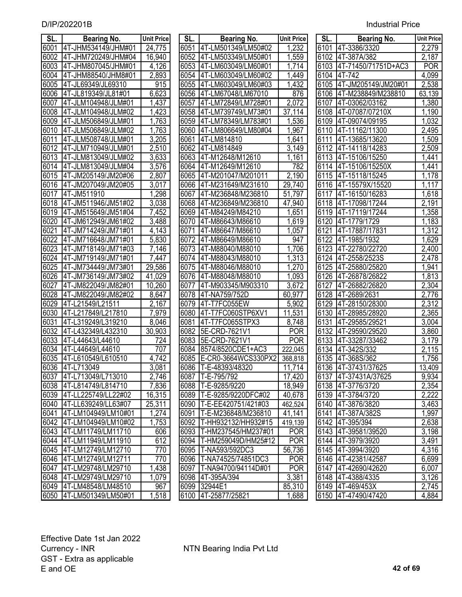| SL.  | <b>Bearing No.</b>       | <b>Unit Price</b>  | SL.  | <b>Bearing No.</b>       | <b>Unit Price</b>   | SL.  | <b>Bearing No.</b>   | <b>Unit Price</b> |
|------|--------------------------|--------------------|------|--------------------------|---------------------|------|----------------------|-------------------|
| 6001 | 4T-JHM534149/JHM#01      | 24,775             |      | 6051 4T-LM501349/LM50#02 | 1,232               |      | 6101 4T-3386/3320    | 2,279             |
| 6002 | 4T-JHM720249/JHM#04      | 16,940             | 6052 | 4T-LM503349/LM50#01      | 1,559               |      | 6102 4T-387A/382     | 2,187             |
| 6003 | 4T-JHM807045/JHM#01      | 4,126              | 6053 | 4T-LM603049/LM60#01      | 1,714               | 6103 | 4T-71450/71751D+AC3  | <b>POR</b>        |
| 6004 | 4T-JHM88540/JHM8#01      | 2,893              |      | 6054 4T-LM603049/LM60#02 | 1,449               | 6104 | 4T-742               | 4,099             |
| 6005 | 4T-JL69349/JL69310       | 915                | 6055 | 4T-LM603049/LM60#03      | 1,432               | 6105 | 4T-JM205149/JM20#01  | 2,538             |
| 6006 | 4T-JL819349/JL81#01      | 6,623              | 6056 | 4T-LM67048/LM67010       | 876                 | 6106 | 4T-M238849/M238810   | 63,139            |
| 6007 | 4T-JLM104948/JLM#01      | 1,437              | 6057 | 4T-LM72849/LM728#01      | 2,072               | 6107 | 4T-03062/03162       | 1,380             |
| 6008 | 4T-JLM104948/JLM#02      | 1,423              | 6058 | 4T-LM739749/LM73#01      | 37,114              | 6108 | 4T-07087/07210X      | 1,190             |
| 6009 | 4T-JLM506849/JLM#01      | 1,763              | 6059 | 4T-LM78349/LM783#01      | 1,536               | 6109 | 4T-09074/09195       | 1,032             |
| 6010 | 4T-JLM506849/JLM#02      | 1,763              | 6060 | 4T-LM806649/LM80#04      | 1,967               | 6110 | 4T-11162/11300       | 2,495             |
| 6011 | 4T-JLM508748/JLM#01      | 3,205              | 6061 | 4T-LM814810              | ,641                | 6111 | 4T-13685/13620       | ,509              |
| 6012 | 4T-JLM710949/JLM#01      | 2,510              | 6062 | 4T-LM814849              | 3,149               | 6112 | 4T-14118/14283       | 2,509             |
| 6013 | 4T-JLM813049/JLM#02      | 3,633              | 6063 | 4T-M12648/M12610         | 1,161               | 6113 | 4T-15106/15250       | ,441              |
| 6014 | 4T-JLM813049/JLM#04      | $\overline{3,576}$ | 6064 | 4T-M12649/M12610         | 782                 | 6114 | 4T-15106/15250X      | 1,441             |
| 6015 | 4T-JM205149/JM20#06      | 2,807              | 6065 | 4T-M201047/M201011       | 2,190               | 6115 | 4T-15118/15245       | 1,178             |
| 6016 | 4T-JM207049/JM20#05      | 3,017              | 6066 | 4T-M231649/M231610       | $\overline{29,740}$ | 6116 | 4T-15579X/15520      | 1,117             |
| 6017 | 4T-JM511910              | 1,298              | 6067 | 4T-M236848/M236810       | 51,797              | 6117 | 4T-16150/16283       | 1,618             |
| 6018 | 4T-JM511946/JM51#02      | 3,038              | 6068 | 4T-M236849/M236810       | 47,940              | 6118 | 4T-17098/17244       | 2,191             |
| 6019 | 4T-JM515649/JM51#04      | 7,452              | 6069 | 4T-M84249/M84210         | 1,651               | 6119 | 4T-17119/17244       | 1,358             |
| 6020 | 4T-JM612949/JM61#02      | 3,488              | 6070 | 4T-M86643/M86610         | 1,619               | 6120 | 4T-1779/1729         | 1,183             |
| 6021 | 4T-JM714249/JM71#01      | 4,143              | 6071 | 4T-M86647/M86610         | 1,057               | 6121 | 4T-17887/17831       | 1,312             |
| 6022 | 4T-JM716648/JM71#01      | 5,830              | 6072 | 4T-M86649/M86610         | 947                 |      | 6122 4T-1985/1932    | 1,629             |
| 6023 | 4T-JM718149/JM71#03      | 7,146              |      | 6073 4T-M88040/M88010    | 1,706               |      | 6123 4T-22780/22720  | 2,400             |
| 6024 | 4T-JM719149/JM71#01      | 7,447              |      | 6074 4T-M88043/M88010    | 1,313               |      | 6124 4T-2558/2523S   | 2,478             |
| 6025 | 4T-JM734449/JM73#01      | 29,586             | 6075 | 4T-M88046/M88010         | 1,270               | 6125 | 4T-25880/25820       | 1,941             |
| 6026 | 4T-JM736149/JM73#02      | 41,029             | 6076 | 4T-M88048/M88010         | 1,093               |      | 6126 4T-26878/26822  | 1,813             |
| 6027 | 4T-JM822049/JM82#01      | 10,260             | 6077 | 4T-M903345/M903310       | 3,672               | 6127 | 4T-26882/26820       | 2,304             |
| 6028 | 4T-JM822049/JM82#02      | 8,647              | 6078 | 4T-NA759/752D            | 60,977              |      | 6128 4T-2689/2631    | 2,776             |
| 6029 | 4T-L21549/L21511         | 2,167              | 6079 | 4T-T7FC055EW             | 5,902               |      | 6129 4T-28150/28300  | 2,312             |
| 6030 | 4T-L217849/L217810       | 7,979              | 6080 | 4T-T7FC060STP6XV1        | 11,531              | 6130 | 4T-28985/28920       | 2,365             |
| 6031 | 4T-L319249/L319210       | 8,046              | 6081 | 4T-T7FC065STPX3          | 8,748               | 6131 | 4T-29585/29521       | 3,004             |
| 6032 | 4T-L432349/L432310       | 30,903             | 6082 | 5E-CRD-7621V1            | <b>POR</b>          | 6132 | 4T-29590/29520       | 3,860             |
| 6033 | 4T-L44643/L44610         | 724                | 6083 | 5E-CRD-7621V1            | <b>POR</b>          |      | 6133 4T-33287/33462  | 3,179             |
| 6034 | 4T-L44649/L44610         | 707                | 6084 | 8574/8520CDE1+AC3        | 222,045             | 6134 | 4T-342S/332          | 2,115             |
| 6035 | 4T-L610549/L610510       | $\sqrt{4,742}$     | 6085 | E-CR0-3664WCS330PX2      | 368,818             |      | 6135 4T-368S/362     | 1,756             |
|      | 6036 4T-L713049          | 3,081              |      | 6086 T-E-48393/48320     | 11,714              |      | 6136 4T-37431/37625  | 13,409            |
|      | 6037 4T-L713049/L713010  | 2,746              |      | 6087   T-E-795/792       | 17,420              |      | 6137 4T-37431A/37625 | 9,934             |
|      | 6038 4T-L814749/L814710  | 7,836              | 6088 | T-E-9285/9220            | 18,949              |      | 6138 4T-3776/3720    | 2,354             |
|      | 6039 4T-LL225749/LL22#02 | 16,315             | 6089 | T-E-9285/9220DFC#02      | 40,678              |      | 6139 4T-3784/3720    | 2,222             |
| 6040 | 4T-LL639249/LL63#07      | 25,311             | 6090 | T-E-EE420751/421#03      | 462,524             |      | 6140 4T-3876/3820    | 3,463             |
| 6041 | 4T-LM104949/LM10#01      | 1,274              | 6091 | T-E-M236848/M236810      | 41,141              |      | 6141 4T-387A/382S    | 1,997             |
|      | 6042 4T-LM104949/LM10#02 | 1,753              | 6092 | T-HH932132/HH932#15      | 419,139             |      | 6142 4T-395/394      | 2,638             |
| 6043 | 4T-LM11749/LM11710       | 606                | 6093 | T-HM237545/HM237#01      | <b>POR</b>          |      | 6143 4T-39581/39520  | 3,198             |
| 6044 | 4T-LM11949/LM11910       | 612                | 6094 | T-HM259049D/HM25#12      | <b>POR</b>          |      | 6144 4T-3979/3920    | 3,491             |
| 6045 | 4T-LM12749/LM12710       | 770                | 6095 | T-NA593/592DC3           | 56,736              |      | 6145 4T-3994/3920    | 4,316             |
|      | 6046 4T-LM12749/LM12711  | 770                | 6096 | T-NA74525/74851DC3       | <b>POR</b>          |      | 6146 4T-42381/42587  | 6,699             |
| 6047 | 4T-LM29748/LM29710       | 1,438              | 6097 | T-NA94700/94114D#01      | <b>POR</b>          |      | 6147 4T-42690/42620  | 6,007             |
| 6048 | 4T-LM29749/LM29710       | 1,079              |      | 6098 4T-395A/394         | 3,381               |      | 6148 4T-4388/4335    | 3,126             |
|      | 6049 4T-LM48548/LM48510  | 967                |      | 6099 32944E1             | 85,310              |      | 6149 4T-469/453X     | 2,745             |
| 6050 | 4T-LM501349/LM50#01      | 1,518              |      | 6100 4T-25877/25821      | 1,688               |      | 6150 4T-47490/47420  | 4,884             |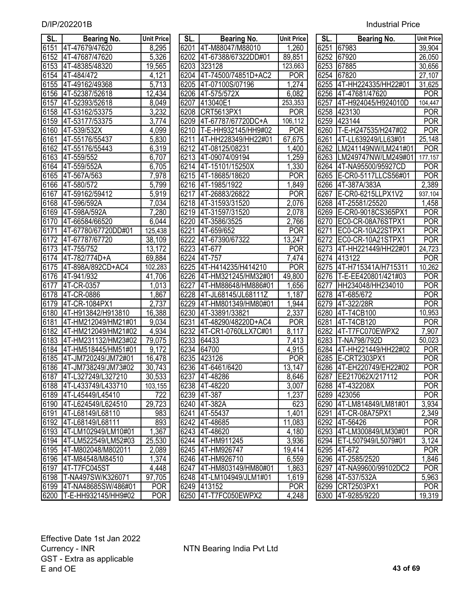| SL.  | <b>Bearing No.</b>       | <b>Unit Price</b> | SL.  | <b>Bearing No.</b>       | <b>Unit Price</b>  | SL.  | <b>Bearing No.</b>       | <b>Unit Price</b> |
|------|--------------------------|-------------------|------|--------------------------|--------------------|------|--------------------------|-------------------|
|      | 6151 4T-47679/47620      | 8,295             | 6201 | 4T-M88047/M88010         | 1,260              | 6251 | 67983                    | 39,904            |
| 6152 | 4T-47687/47620           | 5,326             | 6202 | 4T-67388/67322DD#01      | 89,851             |      | 6252 67920               | 26,050            |
| 6153 | 4T-48385/48320           | 19,565            | 6203 | 323128                   | 123,663            | 6253 | 67885                    | 30,656            |
| 6154 | 4T-484/472               | 4,121             | 6204 | 4T-74500/74851D+AC2      | <b>POR</b>         | 6254 | 67820                    | 27,107            |
| 6155 | 4T-49162/49368           | 5,713             | 6205 | 4T-07100S/07196          | 1,274              | 6255 | 4T-HH224335/HH22#01      | 31,625            |
| 6156 | 4T-52387/52618           | 12,434            | 6206 | 4T-575/572X              | 6,082              | 6256 | 4T-47681/47620           | <b>POR</b>        |
| 6157 | 4T-52393/52618           | 8,049             | 6207 | 413040E1                 | 253,353            | 6257 | 4T-H924045/H924010D      | 104,447           |
| 6158 | 4T-53162/53375           | 3,232             | 6208 | CRT5613PX1               | <b>POR</b>         | 6258 | 423130                   | <b>POR</b>        |
| 6159 | 4T-53177/53375           | 3,774             | 6209 | 4T-67787/67720DC+A       | 106,112            | 6259 | 423144                   | <b>POR</b>        |
| 6160 | 4T-539/532X              | 4,099             | 6210 | T-E-HH932145/HH9#02      | <b>POR</b>         | 6260 | T-E-H247535/H247#02      | <b>POR</b>        |
| 6161 | 4T-55176/55437           | 5,830             | 6211 | 4T-HH228349/HH22#01      | 67,675             | 6261 | 4T-LL639249/LL63#01      | 25,148            |
| 6162 | 4T-55176/55443           | 6,319             | 6212 | 4T-08125/08231           | 1,400              | 6262 | LM241149NW/LM241#01      | <b>POR</b>        |
| 6163 | 4T-559/552               | 6,707             | 6213 | 4T-09074/09194           | 1,259              | 6263 | LM249747NW/LM249#01      | 177,157           |
| 6164 | 4T-559/552A              | 6,705             | 6214 | 4T-15101/15250X          | 1,330              | 6264 | 4T-NA95500/95927CD       | <b>POR</b>        |
| 6165 | 4T-567A/563              | 7,978             | 6215 | 4T-18685/18620           | <b>POR</b>         | 6265 | E-CR0-5117LLCS56#01      | <b>POR</b>        |
| 6166 | 4T-580/572               | 5,799             |      | 6216 4T-1985/1922        | 1,849              |      | 6266 4T-387A/383A        | 2,389             |
| 6167 | 4T-59162/59412           | 5,919             | 6217 | 4T-26883/26822           | <b>POR</b>         | 6267 | E-CR0-6215LLPX1V2        | 937,104           |
| 6168 | 4T-596/592A              | 7,034             |      | 6218 4T-31593/31520      | $\overline{2,076}$ | 6268 | 4T-25581/25520           | 1,458             |
| 6169 | 4T-598A/592A             | 7,280             |      | 6219 4T-31597/31520      | $\overline{2,078}$ | 6269 | E-CR0-9018CS365PX1       | <b>POR</b>        |
| 6170 | 4T-66584/66520           | 6,044             | 6220 | 4T-3586/3525             | $\overline{2,}766$ | 6270 | EC0-CR-08A76STPX1        | <b>POR</b>        |
| 6171 | 4T-67780/67720DD#01      | 125,438           | 6221 | 4T-659/652               | <b>POR</b>         | 6271 | EC0-CR-10A22STPX1        | <b>POR</b>        |
| 6172 | 4T-67787/67720           | 38,109            | 6222 | 4T-67390/67322           | 13,247             | 6272 | EC0-CR-10A21STPX1        | <b>POR</b>        |
| 6173 | 4T-755/752               | 13,172            |      | 6223 4T-677              | <b>POR</b>         | 6273 | 4T-HH221449/HH22#01      | 24,723            |
| 6174 | 4T-782/774D+A            | 69,884            | 6224 | 4T-757                   | $\overline{7,}474$ |      | 6274 413122              | <b>POR</b>        |
| 6175 | 4T-898A/892CD+AC4        | 102,283           | 6225 | 4T-H414235/H414210       | <b>POR</b>         | 6275 | 4T-H715341A/H715311      | 10,262            |
| 6176 | 4T-941/932               | 41,706            | 6226 | 4T-HM321245/HM32#01      | 49,800             | 6276 | T-E-EE420801/421#03      | <b>POR</b>        |
| 6177 | 4T-CR-0357               | 1,013             | 6227 | 4T-HM88648/HM886#01      | 1,656              | 6277 | HH234048/HH234010        | <b>POR</b>        |
| 6178 | 4T-CR-0886               | 1,867             | 6228 | 4T-JL68145/JL68111Z      | 1,187              | 6278 | 4T-685/672               | <b>POR</b>        |
| 6179 | 4T-CR-1084PX1            | 2,737             | 6229 | 4T-HM801349/HM80#01      | 1,944              | 6279 | 4T-322/28R               | <b>POR</b>        |
| 6180 | 4T-H913842/H913810       | 16,388            | 6230 | 4T-33891/33821           | 2,337              | 6280 | 4T-T4CB100               | 10,953            |
| 6181 | 4T-HM212049/HM21#01      | 9,034             | 6231 | 4T-48290/48220D+AC4      | <b>POR</b>         | 6281 | 4T-T4CB120               | <b>POR</b>        |
| 6182 | 4T-HM212049/HM21#02      | 4,934             | 6232 | 4T-CR1-0760LLX7C#01      | 8,117              | 6282 | 4T-T7FC070EWPX2          | 7,907             |
| 6183 | 4T-HM231132/HM23#02      | 79,075            | 6233 | 64433                    | 7,413              | 6283 | T-NA798/792D             | 50,023            |
| 6184 | 4T-HM518445/HM51#01      | 9,172             | 6234 | 64700                    | 4,915              | 6284 | 4T-HH221449/HH22#02      | <b>POR</b>        |
| 6185 | 4T-JM720249/JM72#01      | 16,478            | 6235 | 423126                   | <b>POR</b>         |      | 6285 E-CRT2303PX1        | <b>POR</b>        |
|      | 6186 4T-JM738249/JM73#02 | 30,743            |      | 6236 4T-6461/6420        | 13,147             |      | 6286 4T-EH220749/EH22#02 | <b>POR</b>        |
| 6187 | 4T-L327249/L327210       | 30,533            |      | 6237 4T-48286            | 8,646              |      | 6287 EE217062X/217112    | POR               |
| 6188 | 4T-L433749/L433710       | 103,155           |      | 6238 4T-48220            | 3,007              |      | 6288 4T-432208X          | <b>POR</b>        |
|      | 6189 4T-L45449/L45410    | 722               |      | 6239 4T-387              | 1,237              |      | 6289 423056              | <b>POR</b>        |
| 6190 | 4T-L624549/L624510       | 29,723            |      | 6240 4T-382A             | 623                |      | 6290 4T-LM814849/LM81#01 | 3,934             |
| 6191 | 4T-L68149/L68110         | 983               | 6241 | 4T-55437                 | 1,401              | 6291 | 4T-CR-08A75PX1           | 2,349             |
| 6192 | 4T-L68149/L68111         | 893               |      | 6242 4T-48685            | 11,083             | 6292 | 4T-56426                 | <b>POR</b>        |
|      | 6193 4T-LM102949/LM10#01 | 1,367             |      | 6243 4T-48620            | 4,180              |      | 6293 4T-LM300849/LM30#01 | <b>POR</b>        |
|      | 6194 4T-LM522549/LM52#03 | 25,530            |      | 6244 4T-HM911245         | 3,936              |      | 6294 ET-L507949/L5079#01 | 3,124             |
|      | 6195 4T-M802048/M802011  | 2,089             |      | 6245 4T-HM926747         | 19,414             |      | 6295 4T-672              | <b>POR</b>        |
|      | 6196 4T-M84548/M84510    | 1,374             |      | 6246 4T-HM926710         | 6,559              |      | 6296 4T-2585/2520        | 1,846             |
|      | 6197 4T-T7FC045ST        | 4,448             |      | 6247 4T-HM803149/HM80#01 | 1,863              | 6297 | 4T-NA99600/99102DC2      | <b>POR</b>        |
| 6198 | T-NA497SW/K326071        | 97,705            |      | 6248 4T-LM104949/JLM1#01 | 1,619              | 6298 | 4T-537/532A              | 5,963             |
| 6199 | 4T-NA48685SW/486#01      | <b>POR</b>        |      | 6249 413152              | <b>POR</b>         |      | 6299 CRT2503PX1          | <b>POR</b>        |
| 6200 | T-E-HH932145/HH9#02      | <b>POR</b>        | 6250 | 4T-T7FC050EWPX2          | 4,248              | 6300 | 4T-9285/9220             | 19,319            |

| SL.               | <b>Bearing No.</b>  | <b>Unit Price</b> |
|-------------------|---------------------|-------------------|
| 6201              | 4T-M88047/M88010    | 1,260             |
| 6202              | 4T-67388/67322DD#01 | 89,851            |
| 6203              | 323128              | 123,663           |
| 6204              | 4T-74500/74851D+AC2 | <b>POR</b>        |
| 6205              | 4T-07100S/07196     | 1,274             |
| 6206              | 4T-575/572X         | 6,082             |
| 6207              | 413040E1            | 253,353           |
| 6208              | CRT5613PX1          | <b>POR</b>        |
| 6209              | 4T-67787/67720DC+A  | 106,112           |
| 6210              | T-E-HH932145/HH9#02 | <b>POR</b>        |
| 6211              | 4T-HH228349/HH22#01 | 67,675            |
| $621\overline{2}$ | 4T-08125/08231      | 1,400             |
| 6213              | 4T-09074/09194      | 1,259             |
| 6214              | 4T-15101/15250X     | 1,330             |
| 6215              | 4T-18685/18620      | <b>POR</b>        |
| 6216              | 4T-1985/1922        | 1,849             |
| 6217              | 4T-26883/26822      | <b>POR</b>        |
| 6218              | 4T-31593/31520      | 2,076             |
| 6219              | 4T-31597/31520      | 2,078             |
| 6220              | 4T-3586/3525        | 2,766             |
| 6221              | 4T-659/652          | <b>POR</b>        |
| 6222              | 4T-67390/67322      | 13,247            |
| 6223              | 4T-677              | <b>POR</b>        |
| 6224              | 4T-757              | 7,474             |
| 6225              | 4T-H414235/H414210  | <b>POR</b>        |
| 6226              | 4T-HM321245/HM32#01 | 49,800            |
| 6227              | 4T-HM88648/HM886#01 | 1,656             |
| 6228              | 4T-JL68145/JL68111Z | 1,187             |
| 6229              | 4T-HM801349/HM80#01 | 1,944             |
| 6230              | 4T-33891/33821      | 2,337             |
| 6231              | 4T-48290/48220D+AC4 | <b>POR</b>        |
| 6232              | 4T-CR1-0760LLX7C#01 | 8,117             |
| 6233              | 64433               | 7,413             |
| 6234              | 64700               | 4,915             |
| 6235              | 423126              | <b>POR</b>        |
| 6236              | 4T-6461/6420        | 13,147            |
| 6237              | 4T-48286            | 8,646             |
| 6238              | 4T-48220            | 3,007             |
| 6239              | <u>4T-387</u>       | 1,237             |
| 6240              | 4T-382A             | <u>623</u>        |
| 6241              | 4T-55437            | 1,401             |
| 6242              | 4T-48685            | <u>11,083</u>     |
| 6243              | 4T-48620            | 4,180             |
| 6244              | 4T-HM911245         | 3,936             |
| 6245              | 4T-HM926747         | 19,414            |
| $62\overline{46}$ | 4T-HM926710         | 6,559             |
| 6247              | 4T-HM803149/HM80#01 | 1,863             |
| 6248              | 4T-LM104949/JLM1#01 | 1,619             |
| 6249              | 413152              | <b>POR</b>        |
| 6250              | 4T-T7FC050EWPX2     | 4,248             |

| $\overline{62}51$<br>39,904<br>67983<br>6252<br>67920<br>26,050<br>6253<br>30,656<br>67885<br>27,107<br>6254<br>67820<br>31,625<br>6255<br>4T-HH224335/HH22#01<br>6256<br><b>POR</b><br>4T-47681/47620<br>6257<br>4T-H924045/H924010D<br>104,447<br>6258<br>423130<br><b>POR</b><br>423144<br>$\overline{6}$ 259<br><b>POR</b><br>T-E-H247535/H247#02<br>6260<br><b>POR</b><br>$626\overline{1}$<br>4T-LL639249/LL63#01<br>25,148<br>6262<br>LM241149NW/LM241#01<br><b>POR</b><br>6263<br>LM249747NW/LM249#01<br>177,157<br>4T-NA95500/95927CD<br><b>POR</b><br>6264<br>E-CR0-5117LLCS56#01<br><b>POR</b><br>6265<br>2,389<br>4T-387A/383A<br>6266<br>E-CR0-6215LLPX1V2<br>937,104<br>6267<br>1,458<br>6268<br>4T-25581/25520<br><b>POR</b> |
|---------------------------------------------------------------------------------------------------------------------------------------------------------------------------------------------------------------------------------------------------------------------------------------------------------------------------------------------------------------------------------------------------------------------------------------------------------------------------------------------------------------------------------------------------------------------------------------------------------------------------------------------------------------------------------------------------------------------------------------------|
|                                                                                                                                                                                                                                                                                                                                                                                                                                                                                                                                                                                                                                                                                                                                             |
|                                                                                                                                                                                                                                                                                                                                                                                                                                                                                                                                                                                                                                                                                                                                             |
|                                                                                                                                                                                                                                                                                                                                                                                                                                                                                                                                                                                                                                                                                                                                             |
|                                                                                                                                                                                                                                                                                                                                                                                                                                                                                                                                                                                                                                                                                                                                             |
|                                                                                                                                                                                                                                                                                                                                                                                                                                                                                                                                                                                                                                                                                                                                             |
|                                                                                                                                                                                                                                                                                                                                                                                                                                                                                                                                                                                                                                                                                                                                             |
|                                                                                                                                                                                                                                                                                                                                                                                                                                                                                                                                                                                                                                                                                                                                             |
|                                                                                                                                                                                                                                                                                                                                                                                                                                                                                                                                                                                                                                                                                                                                             |
|                                                                                                                                                                                                                                                                                                                                                                                                                                                                                                                                                                                                                                                                                                                                             |
|                                                                                                                                                                                                                                                                                                                                                                                                                                                                                                                                                                                                                                                                                                                                             |
|                                                                                                                                                                                                                                                                                                                                                                                                                                                                                                                                                                                                                                                                                                                                             |
|                                                                                                                                                                                                                                                                                                                                                                                                                                                                                                                                                                                                                                                                                                                                             |
|                                                                                                                                                                                                                                                                                                                                                                                                                                                                                                                                                                                                                                                                                                                                             |
|                                                                                                                                                                                                                                                                                                                                                                                                                                                                                                                                                                                                                                                                                                                                             |
|                                                                                                                                                                                                                                                                                                                                                                                                                                                                                                                                                                                                                                                                                                                                             |
|                                                                                                                                                                                                                                                                                                                                                                                                                                                                                                                                                                                                                                                                                                                                             |
|                                                                                                                                                                                                                                                                                                                                                                                                                                                                                                                                                                                                                                                                                                                                             |
|                                                                                                                                                                                                                                                                                                                                                                                                                                                                                                                                                                                                                                                                                                                                             |
| E-CR0-9018CS365PX1<br>6269                                                                                                                                                                                                                                                                                                                                                                                                                                                                                                                                                                                                                                                                                                                  |
| <b>POR</b><br>6270<br>EC0-CR-08A76STPX1                                                                                                                                                                                                                                                                                                                                                                                                                                                                                                                                                                                                                                                                                                     |
| <b>POR</b><br>6271<br>EC0-CR-10A22STPX1                                                                                                                                                                                                                                                                                                                                                                                                                                                                                                                                                                                                                                                                                                     |
| <b>POR</b><br>6272<br>EC0-CR-10A21STPX1                                                                                                                                                                                                                                                                                                                                                                                                                                                                                                                                                                                                                                                                                                     |
| 6273<br>4T-HH221449/HH22#01<br>24,723                                                                                                                                                                                                                                                                                                                                                                                                                                                                                                                                                                                                                                                                                                       |
| 6274<br>413122<br><b>POR</b>                                                                                                                                                                                                                                                                                                                                                                                                                                                                                                                                                                                                                                                                                                                |
| 6275<br>4T-H715341A/H715311<br>10,262                                                                                                                                                                                                                                                                                                                                                                                                                                                                                                                                                                                                                                                                                                       |
| 6276<br>T-E-EE420801/421#03<br><b>POR</b>                                                                                                                                                                                                                                                                                                                                                                                                                                                                                                                                                                                                                                                                                                   |
| <b>POR</b><br>HH234048/HH234010<br>6277                                                                                                                                                                                                                                                                                                                                                                                                                                                                                                                                                                                                                                                                                                     |
| <b>POR</b><br>6278<br>4T-685/672                                                                                                                                                                                                                                                                                                                                                                                                                                                                                                                                                                                                                                                                                                            |
| POR<br>$62\overline{79}$<br>4T-322/28R                                                                                                                                                                                                                                                                                                                                                                                                                                                                                                                                                                                                                                                                                                      |
| 6280<br>10,953<br>4T-T4CB100                                                                                                                                                                                                                                                                                                                                                                                                                                                                                                                                                                                                                                                                                                                |
| <b>POR</b><br>6281<br>4T-T4CB120                                                                                                                                                                                                                                                                                                                                                                                                                                                                                                                                                                                                                                                                                                            |
| $62\overline{82}$<br>4T-T7FC070EWPX2<br>7,907                                                                                                                                                                                                                                                                                                                                                                                                                                                                                                                                                                                                                                                                                               |
| 6283<br>50,023<br>T-NA798/792D                                                                                                                                                                                                                                                                                                                                                                                                                                                                                                                                                                                                                                                                                                              |
| 6284<br>4T-HH221449/HH22#02<br><b>POR</b>                                                                                                                                                                                                                                                                                                                                                                                                                                                                                                                                                                                                                                                                                                   |
| <b>POR</b><br>6285<br>E-CRT2303PX1                                                                                                                                                                                                                                                                                                                                                                                                                                                                                                                                                                                                                                                                                                          |
| 6286<br>4T-EH220749/EH22#02<br>POR                                                                                                                                                                                                                                                                                                                                                                                                                                                                                                                                                                                                                                                                                                          |
| 6287<br>EE217062X/217112<br><b>POR</b>                                                                                                                                                                                                                                                                                                                                                                                                                                                                                                                                                                                                                                                                                                      |
| 6288<br>4T-432208X<br><b>POR</b>                                                                                                                                                                                                                                                                                                                                                                                                                                                                                                                                                                                                                                                                                                            |
| 6289<br>423056<br><b>POR</b>                                                                                                                                                                                                                                                                                                                                                                                                                                                                                                                                                                                                                                                                                                                |
| 6290<br>3,934<br>4T-LM814849/LM81#01                                                                                                                                                                                                                                                                                                                                                                                                                                                                                                                                                                                                                                                                                                        |
| 2,349<br>6291<br>4T-CR-08A75PX1                                                                                                                                                                                                                                                                                                                                                                                                                                                                                                                                                                                                                                                                                                             |
| 6292<br>4T-56426<br><b>POR</b>                                                                                                                                                                                                                                                                                                                                                                                                                                                                                                                                                                                                                                                                                                              |
| 6293<br>4T-LM300849/LM30#01<br><b>POR</b>                                                                                                                                                                                                                                                                                                                                                                                                                                                                                                                                                                                                                                                                                                   |
| 3,124<br>6294<br>ET-L507949/L5079#01                                                                                                                                                                                                                                                                                                                                                                                                                                                                                                                                                                                                                                                                                                        |
| 6295<br>4T-672<br><b>POR</b>                                                                                                                                                                                                                                                                                                                                                                                                                                                                                                                                                                                                                                                                                                                |
| 6296<br>4T-2585/2520<br>1,846                                                                                                                                                                                                                                                                                                                                                                                                                                                                                                                                                                                                                                                                                                               |
| 4T-NA99600/99102DC2<br>6297<br><b>POR</b>                                                                                                                                                                                                                                                                                                                                                                                                                                                                                                                                                                                                                                                                                                   |
| 6298<br>4T-537/532A<br>5,963                                                                                                                                                                                                                                                                                                                                                                                                                                                                                                                                                                                                                                                                                                                |
| 6299<br>CRT2503PX1<br><b>POR</b>                                                                                                                                                                                                                                                                                                                                                                                                                                                                                                                                                                                                                                                                                                            |
| 4T-9285/9220<br>19,319<br>6300                                                                                                                                                                                                                                                                                                                                                                                                                                                                                                                                                                                                                                                                                                              |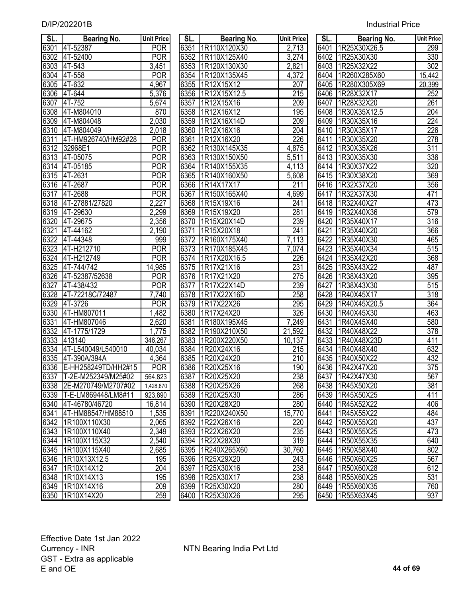| SL.  | <b>Bearing No.</b>       | <b>Unit Price</b>    | SL.               | <b>Bearing No.</b> | <b>Unit Price</b> | SL.  | <b>Bearing No.</b> | <b>Unit Price</b> |
|------|--------------------------|----------------------|-------------------|--------------------|-------------------|------|--------------------|-------------------|
| 6301 | 4T-52387                 | <b>POR</b>           | 6351              | 1R110X120X30       | 2,713             | 6401 | 1R25X30X26.5       | 299               |
| 6302 | 4T-52400                 | <b>POR</b>           | 6352              | 1R110X125X40       | 3,274             | 6402 | 1R25X30X30         | 330               |
| 6303 | 4T-543                   | 3,451                | 6353              | 1R120X130X30       | 2,821             | 6403 | 1R25X32X22         | 302               |
| 6304 | 4T-558                   | <b>POR</b>           | 6354              | 1R120X135X45       | 4,372             | 6404 | 1R260X285X60       | 15,442            |
| 6305 | 4T-632                   | 4,967                | 6355              | 1R12X15X12         | 207               | 6405 | 1R280X305X69       | 20,399            |
| 6306 | 4T-644                   | 5,376                | 6356              | 1R12X15X12.5       | 215               | 6406 | 1R28X32X17         | 252               |
| 6307 | 4T-752                   | $\overline{5,674}$   | 6357              | 1R12X15X16         | 209               | 6407 | 1R28X32X20         | 261               |
| 6308 | 4T-M804010               | 870                  | 6358              | 1R12X16X12         | 195               | 6408 | 1R30X35X12.5       | 204               |
| 6309 | 4T-M804048               | 2,030                | 6359              | 1R12X16X14D        | 209               | 6409 | 1R30X35X16         | 224               |
| 6310 | 4T-M804049               | 2,018                | 6360              | 1R12X16X16         | 204               | 6410 | 1R30X35X17         | 226               |
| 6311 | 4T-HM926740/HM92#28      | <b>POR</b>           | 6361              | 1R12X16X20         | 226               | 6411 | 1R30X35X20         | 278               |
| 6312 | 32968E1                  | <b>POR</b>           | 6362              | 1R130X145X35       | 4,875             | 6412 | 1R30X35X26         | 311               |
| 6313 | 4T-05075                 | <b>POR</b>           | 6363              | 1R130X150X50       | 5,511             | 6413 | 1R30X35X30         | 336               |
| 6314 | 4T-05185                 | <b>POR</b>           | 6364              | 1R140X155X35       | 4,113             | 6414 | 1R30X37X22         | 320               |
| 6315 | 4T-2631                  | <b>POR</b>           | 6365              | 1R140X160X50       | 5,608             | 6415 | 1R30X38X20         | 369               |
| 6316 | 4T-2687                  | <b>POR</b>           | 6366              | 1R14X17X17         | 211               | 6416 | 1R32X37X20         | 356               |
| 6317 | 4T-2688                  | <b>POR</b>           | 6367              | 1R150X165X40       | 4,699             | 6417 | 1R32X37X30         | 471               |
| 6318 | 4T-27881/27820           | 2,227                | 6368              | 1R15X19X16         | 241               | 6418 | 1R32X40X27         | 473               |
| 6319 | 4T-29630                 | 2,299                | 6369              | 1R15X19X20         | 281               | 6419 | 1R32X40X36         | 579               |
| 6320 | 4T-29675                 | 2,356                | 6370              | 1R15X20X14D        | 239               | 6420 | 1R35X40X17         | 316               |
| 6321 | 4T-44162                 | $\overline{2}$ , 190 | 6371              | 1R15X20X18         | 241               | 6421 | 1R35X40X20         | 366               |
| 6322 | 4T-44348                 | 999                  | $\overline{637}2$ | 1R160X175X40       | 7,113             | 6422 | 1R35X40X30         | 465               |
| 6323 | 4T-H212710               | <b>POR</b>           | 6373              | 1R170X185X45       | 7,074             | 6423 | 1R35X40X34         | $\overline{515}$  |
| 6324 | 4T-H212749               | <b>POR</b>           | 6374              | 1R17X20X16.5       | 226               | 6424 | 1R35X42X20         | 368               |
| 6325 | 4T-744/742               | 14,985               | 6375              | 1R17X21X16         | 231               | 6425 | 1R35X43X22         | 487               |
| 6326 | 4T-52387/52638           | <b>POR</b>           | 6376              | 1R17X21X20         | 275               | 6426 | 1R38X43X20         | 395               |
| 6327 | 4T-438/432               | <b>POR</b>           | 6377              | 1R17X22X14D        | 239               | 6427 | 1R38X43X30         | $\overline{515}$  |
| 6328 | 4T-72218C/72487          | 7,740                | 6378              | 1R17X22X16D        | 258               | 6428 | 1R40X45X17         | $\overline{318}$  |
| 6329 | 4T-3726                  | <b>POR</b>           | 6379              | 1R17X22X26         | 295               | 6429 | 1R40X45X20.5       | 364               |
| 6330 | 4T-HM807011              | 1,482                | 6380              | 1R17X24X20         | 326               | 6430 | 1R40X45X30         | 463               |
| 6331 | 4T-HM807046              | 2,620                | 6381              | 1R180X195X45       | 7,249             | 6431 | 1R40X45X40         | 580               |
| 6332 | 4T-1775/1729             | 1,775                | 6382              | 1R190X210X50       | 21,592            | 6432 | 1R40X48X22         | 378               |
| 6333 | 413140                   | 346,267              | 6383              | 1R200X220X50       | 10,137            | 6433 | 1R40X48X23D        | 411               |
| 6334 | 4T-L540049/L540010       | 40,034               | 6384              | 1R20X24X16         | 215               | 6434 | 1R40X48X40         | 632               |
| 6335 | 4T-390A/394A             | 4,364                |                   | 6385 1R20X24X20    | 210               |      | 6435   1R40X50X22  | 432               |
|      | 6336 E-HH258249TD/HH2#15 | POR                  |                   | 6386 1R20X25X16    | 190               |      | 6436 1R42X47X20    | 375               |
|      | 6337 T-2E-M252349/M25#02 | 564,823              |                   | 6387   1R20X25X20  | 238               |      | 6437 1R42X47X30    | 567               |
|      | 6338 2E-M270749/M2707#02 | 1,428,870            |                   | 6388 1R20X25X26    | 268               |      | 6438   1R45X50X20  | 381               |
|      | 6339 T-E-LM869448/LM8#11 | 923,890              |                   | 6389 1R20X25X30    | 286               |      | 6439   1R45X50X25  | 411               |
|      | 6340 4T-46780/46720      | 16,814               |                   | 6390 1R20X28X20    | 280               |      | 6440   1R45X52X22  | 406               |
|      | 6341 4T-HM88547/HM88510  | 1,535                |                   | 6391 1R220X240X50  | 15,770            |      | 6441 1R45X55X22    | 484               |
|      | 6342 1R100X110X30        | 2,065                |                   | 6392 1R22X26X16    | 220               |      | 6442 1R50X55X20    | 437               |
|      | 6343 1R100X110X40        | 2,349                |                   | 6393 1R22X26X20    | 235               |      | 6443 1R50X55X25    | 473               |
|      | 6344 1R100X115X32        | 2,540                |                   | 6394 1R22X28X30    | 319               |      | 6444 1R50X55X35    | 640               |
|      | 6345 1R100X115X40        | 2,685                |                   | 6395 1R240X265X60  | 30,760            |      | 6445   1R50X58X40  | $\overline{802}$  |
|      | 6346 1R10X13X12.5        | 195                  |                   | 6396 1R25X29X20    | 243               |      | 6446 1R50X60X25    | 567               |
| 6347 | 1R10X14X12               | 204                  |                   | 6397   1R25X30X16  | 238               |      | 6447   1R50X60X28  | 612               |
|      | 6348 1R10X14X13          | 195                  |                   | 6398 1R25X30X17    | 238               |      | 6448   1R55X60X25  | 531               |
|      | 6349 1R10X14X16          | 209                  |                   | 6399 1R25X30X20    | 280               |      | 6449   1R55X60X35  | 760               |
|      | 6350 1R10X14X20          | 259                  |                   | 6400 1R25X30X26    | 295               |      | 6450   1R55X63X45  | 937               |
|      |                          |                      |                   |                    |                   |      |                    |                   |

| JL.               | bearing No.  | UNII Price              |
|-------------------|--------------|-------------------------|
| 6351              | 1R110X120X30 | <u>2,713</u>            |
| 6352              | 1R110X125X40 | 3,274                   |
| 6353              | 1R120X130X30 | 2,821                   |
| 6354              | 1R120X135X45 | 4,372                   |
| 6355              | 1R12X15X12   | <u>207</u>              |
| 6356              | 1R12X15X12.5 | 215                     |
| $\sqrt{6357}$     | 1R12X15X16   | 209                     |
| 6358              | 1R12X16X12   | 195                     |
| 6359              | 1R12X16X14D  | 209                     |
| 6360              | 1R12X16X16   | 204                     |
| 6361              | 1R12X16X20   | 226                     |
| 6362              | 1R130X145X35 | 4,875                   |
| 6363              | 1R130X150X50 | 5,511                   |
| 6364              | 1R140X155X35 | 4,113                   |
| 6365              | 1R140X160X50 | 5,608                   |
| 6366              | 1R14X17X17   | 211                     |
| 6367              | 1R150X165X40 | 4,699                   |
| 6368              | 1R15X19X16   | $\overline{241}$        |
|                   | 1R15X19X20   | 281                     |
| 6369              | 1R15X20X14D  |                         |
| 6370              |              | 239<br>$\overline{241}$ |
| 6371              | 1R15X20X18   |                         |
| 6372              | 1R160X175X40 | 7,113                   |
| 6373              | 1R170X185X45 | 7,074                   |
| 6374              | 1R17X20X16.5 | 226                     |
| 6375              | 1R17X21X16   | 231                     |
| 6376              | 1R17X21X20   | $\overline{275}$        |
| $\overline{6}377$ | 1R17X22X14D  | 239                     |
| 6378              | 1R17X22X16D  | 258                     |
| 6379              | 1R17X22X26   | 295                     |
| 6380              | 1R17X24X20   | 326                     |
| 6381              | 1R180X195X45 | 7,249                   |
| 6382              | 1R190X210X50 | 21,592                  |
| 6383              | 1R200X220X50 | 10,137                  |
| 6384              | 1R20X24X16   | $\overline{215}$        |
| 6385              | 1R20X24X20   | $\overline{210}$        |
| 6386              | 1R20X25X16   | 190                     |
| 6387              | 1R20X25X20   | 238                     |
| 6388              | 1R20X25X26   | 268                     |
| 6389              | 1R20X25X30   | 286                     |
| 6390              | 1R20X28X20   | 280                     |
| 6391              | 1R220X240X50 | 15,770                  |
| 6392              | 1R22X26X16   | $\frac{220}{2}$         |
| 6393              | 1R22X26X20   | 235                     |
| 6394              | 1R22X28X30   | 319                     |
| 6395              | 1R240X265X60 | 30,760                  |
| 6396              | 1R25X29X20   | $\overline{243}$        |
| 6397              | 1R25X30X16   | 238                     |
| 6398              | 1R25X30X17   | 238                     |
| 6399              | 1R25X30X20   | $\frac{280}{3}$         |
| 6400              | 1R25X30X26   | 295                     |

| SL.               | Bearing No.  | <b>Unit Price</b> |
|-------------------|--------------|-------------------|
| $64\overline{01}$ | 1R25X30X26.5 | 299               |
| 6402              | 1R25X30X30   | 330               |
| 6403              | 1R25X32X22   | 302               |
| 6404              | 1R260X285X60 | 15,442            |
| 6405              | 1R280X305X69 | 20,399            |
| 6406              | 1R28X32X17   | 252               |
| 6407              | 1R28X32X20   | 261               |
| 6408              | 1R30X35X12.5 | 204               |
| 6409              | 1R30X35X16   | $\sqrt{224}$      |
| 6410              | 1R30X35X17   | 226               |
| 6411              | 1R30X35X20   | 278               |
| $641\overline{2}$ | 1R30X35X26   | 311               |
| 6413              | 1R30X35X30   | 336               |
| 6414              | 1R30X37X22   | 320               |
| 6415              | 1R30X38X20   | 369               |
| 6416              | 1R32X37X20   | 356               |
| 6417              | 1R32X37X30   | 471               |
| 6418              | 1R32X40X27   | 473               |
| 6419              | 1R32X40X36   | 579               |
| 6420              | 1R35X40X17   | $\overline{3}$ 16 |
| 6421              | 1R35X40X20   | 366               |
| 6422              | 1R35X40X30   | 465               |
| 6423              | 1R35X40X34   | 515               |
| 6424              | 1R35X42X20   | 368               |
| 6425              | 1R35X43X22   | 487               |
| 6426              | 1R38X43X20   | 395               |
| 6427              | 1R38X43X30   | 515               |
| 6428              | 1R40X45X17   | 318               |
| 6429              | 1R40X45X20.5 | 364               |
| 6430              | 1R40X45X30   | 463               |
| 6431              | 1R40X45X40   | 580               |
| 6432              | 1R40X48X22   | 378               |
| $\sqrt{6433}$     | 1R40X48X23D  | 411               |
| 6434              | 1R40X48X40   | 632               |
| 6435              | 1R40X50X22   | 432               |
| 6436              | 1R42X47X20   | $\overline{375}$  |
| 6437              | 1R42X47X30   | 567               |
| 6438              | 1R45X50X20   | 381               |
| 6439              | 1R45X50X25   | 411               |
| 6440              | 1R45X52X22   | 406               |
| 6441              | 1R45X55X22   | 484               |
| 6442              | 1R50X55X20   | 437               |
| 6443              | 1R50X55X25   | $\frac{473}{ }$   |
| 6444              | 1R50X55X35   | 640               |
| 6445              | 1R50X58X40   | 802               |
| 6446              | 1R50X60X25   | 567               |
| 6447              | 1R50X60X28   | 612               |
| 6448              | 1R55X60X25   | 531               |
| 6449              | 1R55X60X35   | 760               |
| 6450              | 1R55X63X45   | 937               |
|                   |              |                   |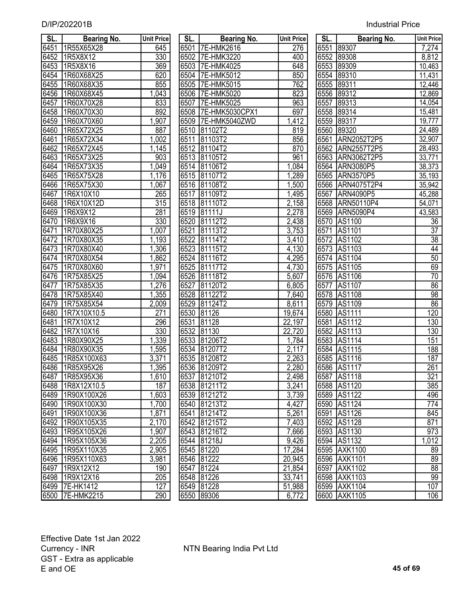| SL.               | Bearing No.     | <b>Unit Price</b> | SL.  | Bearing No.         | <b>Unit Price</b> | SL.  | <b>Bearing No.</b> | <b>Unit Price</b> |
|-------------------|-----------------|-------------------|------|---------------------|-------------------|------|--------------------|-------------------|
| 6451              | 1R55X65X28      | 645               | 6501 | 7E-HMK2616          | 276               | 6551 | 89307              | 7,274             |
| 6452              | 1R5X8X12        | 330               |      | 6502 7E-HMK3220     | 400               | 6552 | 89308              | 8,812             |
| 6453              | 1R5X8X16        | 369               |      | 6503 7E-HMK4025     | 648               | 6553 | 89309              | 10,463            |
| 6454              | 1R60X68X25      | 620               |      | 6504 7E-HMK5012     | 850               | 6554 | 89310              | 11,431            |
| 6455              | 1R60X68X35      | 855               |      | 6505 7E-HMK5015     | 762               | 6555 | 89311              | 12,446            |
| 6456              | 1R60X68X45      | 1,043             |      | 6506 7E-HMK5020     | 823               | 6556 | 89312              | 12,869            |
| 6457              | 1R60X70X28      | 833               | 6507 | 7E-HMK5025          | 963               | 6557 | 89313              | 14,054            |
| 6458              | 1R60X70X30      | 892               |      | 6508 7E-HMK5030CPX1 | 697               | 6558 | 89314              | 15,481            |
| 6459              | 1R60X70X60      | 1,907             |      | 6509 7E-HMK5040ZWD  | 1,412             | 6559 | 89317              | 19,777            |
| 6460              | 1R65X72X25      | 887               |      | 6510 81102T2        | 819               | 6560 | 89320              | 24,489            |
| 6461              | 1R65X72X34      | ,002              | 6511 | 81103T2             | 856               | 6561 | ARN2052T2P5        | 32,907            |
| 6462              | 1R65X72X45      | 1,145             |      | 6512 81104T2        | 870               |      | 6562 ARN2557T2P5   | 28,493            |
| 6463              | 1R65X73X25      | 903               |      | 6513 81105T2        | 961               | 6563 | ARN3062T2P5        | 33,771            |
| 6464              | 1R65X73X35      | 1,049             |      | 6514 81106T2        | 1,084             |      | 6564 ARN3080P5     | 38,373            |
| 6465              | 1R65X75X28      | 1,176             |      | 6515 81107T2        | 1,289             |      | 6565 ARN3570P5     | 35,193            |
| 6466              | 1R65X75X30      | 1,067             |      | 6516 81108T2        | 1,500             |      | 6566 ARN4075T2P4   | 35,942            |
| 6467              | 1R6X10X10       | 265               |      | 6517 81109T2        | 1,495             | 6567 | ARN4090P5          | 45,288            |
| 6468              | 1R6X10X12D      | 315               |      | 6518 81110T2        | 2,158             | 6568 | ARN50110P4         | 54,071            |
| 6469              | 1R6X9X12        | 281               |      | 6519 81111J         | 2,278             | 6569 | <b>ARN5090P4</b>   | 43,583            |
| 6470              | 1R6X9X16        | 330               | 6520 | 81112T2             | 2,438             |      | 6570 AS1100        | 36                |
| 6471              | 1R70X80X25      | 1,007             | 6521 | 81113T2             | 3,753             | 6571 | AS1101             | 37                |
| 6472              | 1R70X80X35      | 1,193             |      | 6522 81114T2        | 3,410             |      | 6572 AS1102        | $\overline{38}$   |
| 6473              | 1R70X80X40      | ,306              |      | 6523 81115T2        | 4,130             |      | 6573 AS1103        | 44                |
| 6474              | 1R70X80X54      | 1,862             |      | 6524 81116T2        | 4,295             |      | 6574 AS1104        | 50                |
| $\overline{6475}$ | 1R70X80X60      | 1,971             | 6525 | 81117T2             | 4,730             |      | 6575 AS1105        | 69                |
| 6476              | 1R75X85X25      | 1,094             |      | 6526 81118T2        | 5,607             |      | 6576 AS1106        | 70                |
| 6477              | 1R75X85X35      | 1,276             | 6527 | 81120T2             | 6,805             |      | 6577 AS1107        | 86                |
| 6478              | 1R75X85X40      | 1,355             | 6528 | 81122T2             | 7,640             |      | 6578 AS1108        | 98                |
| 6479              | 1R75X85X54      | 2,009             | 6529 | 81124T2             | 8,611             |      | 6579 AS1109        | 86                |
| 6480              | 1R7X10X10.5     | 271               | 6530 | 81126               | 19,674            |      | 6580 AS1111        | 120               |
| 6481              | 1R7X10X12       | 296               | 6531 | 81128               | 22,197            | 6581 | AS1112             | 130               |
| 6482              | 1R7X10X16       | 330               | 6532 | 81130               | 22,720            | 6582 | AS1113             | 130               |
| 6483              | 1R80X90X25      | 1,339             |      | 6533 81206T2        | 1,784             |      | 6583 AS1114        | 151               |
| 6484              | 1R80X90X35      | 1,595             |      | 6534 81207T2        | 2,117             |      | 6584 AS1115        | 188               |
| 6485              | 1R85X100X63     | 3,371             |      | 6535 81208T2        | 2,263             |      | 6585 AS1116        | 187               |
|                   | 6486 1R85X95X26 | 1,395             |      | 6536 81209T2        | 2,280             |      | 6586 AS1117        | 261               |
| 6487              | 1R85X95X36      | 1,610             |      | 6537 81210T2        | 2,498             | 6587 | AS1118             | 321               |
| 6488              | 1R8X12X10.5     | 187               |      | 6538 81211T2        | 3,241             |      | 6588 AS1120        | 385               |
| 6489              | 1R90X100X26     | 1,603             | 6539 | 81212T2             | 3,739             |      | 6589 AS1122        | 496               |
| 6490              | 1R90X100X30     | 1,700             | 6540 | 81213T2             | 4,427             |      | 6590 AS1124        | 774               |
| 6491              | 1R90X100X36     | 1,871             | 6541 | 81214T2             | 5,261             | 6591 | AS1126             | 845               |
| 6492              | 1R90X105X35     | 2,170             |      | 6542 81215T2        | 7,403             | 6592 | AS1128             | 871               |
| 6493              | 1R95X105X26     | 1,907             |      | 6543 81216T2        | 7,666             |      | 6593 AS1130        | 973               |
| 6494              | 1R95X105X36     | 2,205             |      | 6544 81218J         | 9,426             |      | 6594 AS1132        | 1,012             |
| 6495              | 1R95X110X35     | 2,905             |      | 6545 81220          | 17,284            |      | 6595 AXK1100       | 89                |
| 6496              | 1R95X110X63     | 3,981             |      | 6546 81222          | 20,945            |      | 6596 AXK1101       | 89                |
| 6497              | 1R9X12X12       | 190               | 6547 | 81224               | 21,854            |      | 6597 AXK1102       | 88                |
| 6498              | 1R9X12X16       | 205               |      | 6548 81226          | 33,741            |      | 6598 AXK1103       | 99                |
|                   | 6499 7E-HK1412  | 127               |      | 6549 81228          | 51,988            |      | 6599 AXK1104       | 107               |
|                   | 6500 7E-HMK2215 | 290               |      | 6550 89306          | 6,772             |      | 6600 AXK1105       | 106               |

| SL.               | Bearing No.        | <b>Unit Price</b>   |
|-------------------|--------------------|---------------------|
| 6501              | 7E-HMK2616         | 276                 |
| 6502              | 7E-HMK3220         | 400                 |
| 6503              | 7E-HMK4025         | 648                 |
| $650\overline{4}$ | 7E-HMK5012         | 850                 |
| 6505              | 7E-HMK5015         | 762                 |
| 6506              | -HMK5020<br>7E     | 823                 |
| 6507              | -HMK5025<br>7Е     | 963                 |
| 6508              | -HMK5030CPX1<br>7Е | 697                 |
| 6509              | 7E-HMK5040ZWD      | 1,412               |
| 6510              | 81102T2            | 819                 |
| 6511              | 81103T2            | 856                 |
| 6512              | 81104T2            | 870                 |
| 6513              | 81105T2            | 961                 |
| 6514              | 81106T2            | 1,084               |
| 6515              | 81107T2            | 1,289               |
| 6516              | 81108T2            | 1,500               |
| 6517              | 81109T2            | 1,495               |
| 6518              | 81110T2            | 2,158               |
| 6519              | 81111J             | 2,278               |
| 6520              | 112T2<br>81        | 2,438               |
| <u>6521</u>       | 113T2<br>81        | 3,753               |
| 6522              | 81114T2            | 3,410               |
| 6523              | 81<br>115T2        | 4,130               |
| 6524              | 81116T2            | 4,295               |
| 6525              | 81117T2            | 4,730               |
| 6526              | 118T2<br>81        | 5,607               |
| 6527              | 81120T2            | 6,805               |
| 6528              | 81122T2            | 7,640               |
| 6529              | 124T2<br>81        | 8,611               |
| 6530              | 81126              | 19,674              |
| 6531              | 81128              | 22,197              |
| 6532              | 130<br>81          | 22,720              |
| 6533              | 81206T2            | 1,784               |
| 6534              | 81207T2            | 2,117               |
| 6535              | 81208T2            | 2,263               |
| 6536              | 81209T2            | 2,280               |
| 6537              | 81210T2            | 2,498               |
| 6538              | 81211T2            | 3,241               |
| 6539              | 81212T2            | 3,739               |
| 6540              | 81213T2            | 4,427               |
| 6541              | 81214T2            | 5,261               |
| 6542              | 81215T2            | 7,403               |
| 6543              | 81216T2            | 7,666               |
| 6544              | 81218J             | 9,426               |
| 6545              | 81220              | 17,284              |
| 6546              | 81222              | $\overline{2}0,945$ |
| 6547              | 81224              | 21,854              |
| 6548              | 81226              | 33,741              |
| 6549              | 81228              | 51,988              |
| 6550              | 89306              | 6,772               |

| SL.               | Bearing No.      | <b>Unit Price</b> |
|-------------------|------------------|-------------------|
|                   | 6551 89307       | 7,274             |
|                   | 6552 89308       | 8,812             |
|                   | 6553 89309       | 10,463            |
|                   | 6554 89310       | 11,431            |
|                   | 6555 89311       | 12,446            |
| 6556              | 89312            | 12,869            |
| 6557              | 89313            | 14,054            |
| 6558              | 89314            | 15,481            |
| 6559              | 89317            | 19,777            |
| 6560              | 89320            | 24,489            |
| 6561              | ARN2052T2P5      | 32,907            |
| 6562              | ARN2557T2P5      | 28,493            |
| 6563              | ARN3062T2P5      | 33,771            |
| 6564              | <b>ARN3080P5</b> | 38,373            |
| 6565              | <b>ARN3570P5</b> | 35,193            |
| 6566              | ARN4075T2P4      | 35,942            |
| 6567              | ARN4090P5        | 45,288            |
| 6568              | ARN50110P4       | 54,071            |
| 6569              | ARN5090P4        | 43,583            |
| 6570              | AS1100           | 36                |
| 6571              | AS1101           | $\overline{37}$   |
| 6572              | AS1102           | 38                |
| 6573              | AS1103           | 44                |
| 6574              | AS1104           | 50                |
| 6575              | AS1105           | 69                |
| 6576              | AS1106           | 70                |
| 6577              | <b>AS1107</b>    | 86                |
| $65\overline{78}$ | AS1108           | 98                |
| 6579              | AS1109           | 86                |
| 6580              | AS1111           | 120               |
| 6581              | AS1112           | 130               |
| 6582              | AS1113           | 130               |
| 6583              | <b>AS1114</b>    | 151               |
| 6584              | AS1115           | $\overline{188}$  |
| 6585              | AS1116           | 187               |
| 6586              | AS1117           | 261               |
| 6587              | AS1118           | 321               |
| 6588              | AS1120           | 385               |
| 6589              | AS1122           | 496               |
| 6590              | AS1124           | 774               |
| 6591              | AS1126           | 845               |
| 6592              | AS1128           | 871               |
| 6593              | AS1130           | 973               |
| 6594              | AS1132           | 1,012             |
| 6595              | AXK1100          | 89                |
| 6596              | AXK1101          | 89                |
| 6597              | AXK1102          | 88                |
| 6598              | AXK1103          | 99                |
| 6599              | AXK1104          | 107               |
| 6600              | AXK1105          | 106               |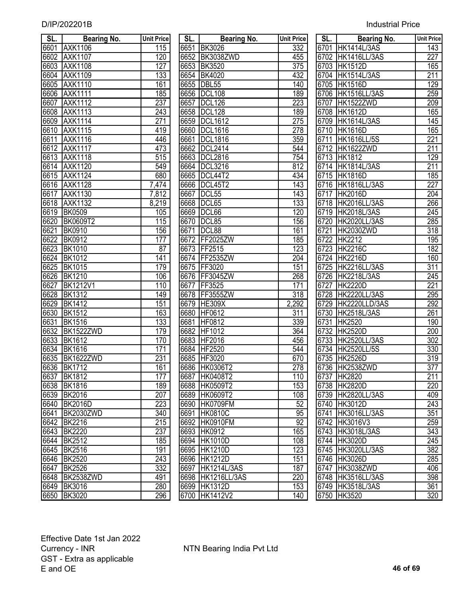|  | <b>Industrial Price</b> |
|--|-------------------------|
|  |                         |

| SL.  | <b>Bearing No.</b> | <b>Unit Price</b> | SL.  | Bearing No.       | <b>Unit Price</b> | SL. | <b>Bearing No.</b> | <b>Unit Price</b> |
|------|--------------------|-------------------|------|-------------------|-------------------|-----|--------------------|-------------------|
| 6601 | <b>AXK1106</b>     | 115               |      | 6651 BK3026       | 332               |     | 6701 HK1414L/3AS   | 143               |
| 6602 | <b>AXK1107</b>     | 120               |      | 6652 BK3038ZWD    | 455               |     | 6702 HK1416LL/3AS  | $\overline{227}$  |
| 6603 | <b>AXK1108</b>     | 127               |      | 6653 BK3520       | 375               |     | 6703 HK1512D       | 165               |
| 6604 | <b>AXK1109</b>     | 133               |      | 6654 BK4020       | 432               |     | 6704 HK1514L/3AS   | 211               |
| 6605 | <b>AXK1110</b>     | 161               |      | 6655 DBL55        | 140               |     | 6705 HK1516D       | 129               |
| 6606 | <b>AXK1111</b>     | 185               |      | 6656 DCL108       | 189               |     | 6706 HK1516LL/3AS  | 259               |
| 6607 | <b>AXK1112</b>     | 237               | 6657 | <b>DCL126</b>     | 223               |     | 6707 HK1522ZWD     | 209               |
| 6608 | <b>AXK1113</b>     | 243               |      | 6658 DCL128       | 189               |     | 6708 HK1612D       | 165               |
| 6609 | <b>AXK1114</b>     | 271               |      | 6659 DCL1612      | 275               |     | 6709 HK1614L/3AS   | 145               |
| 6610 | <b>AXK1115</b>     | 419               | 6660 | <b>DCL1616</b>    | 278               |     | 6710 HK1616D       | 165               |
| 6611 | <b>AXK1116</b>     | 446               | 6661 | <b>IDCL1816</b>   | 359               |     | 6711 HK1616LL/5S   | 221               |
| 6612 | <b>AXK1117</b>     | 473               |      | 6662 DCL2414      | 544               |     | 6712 HK1622ZWD     | 211               |
| 6613 | <b>AXK1118</b>     | $\overline{515}$  |      | 6663 DCL2816      | 754               |     | 6713 HK1812        | 129               |
| 6614 | <b>AXK1120</b>     | 549               |      | 6664 DCL3216      | 812               |     | 6714 HK1814L/3AS   | 211               |
| 6615 | <b>AXK1124</b>     | 680               |      | 6665 DCL44T2      | 434               |     | 6715 HK1816D       | 185               |
| 6616 | <b>AXK1128</b>     | 7,474             |      | 6666 DCL45T2      | 143               |     | 6716 HK1816LL/3AS  | $\overline{227}$  |
| 6617 | <b>AXK1130</b>     | 7,812             |      | 6667 DCL55        | 143               |     | 6717 HK2016D       | $\overline{204}$  |
| 6618 | <b>AXK1132</b>     | 8,219             |      | 6668 DCL65        | 133               |     | 6718 HK2016LL/3AS  | 266               |
| 6619 | <b>BK0509</b>      | 105               |      | 6669 DCL66        | 120               |     | 6719 HK2018L/3AS   | $\overline{245}$  |
| 6620 | <b>BK0609T2</b>    | 115               |      | 6670 DCL85        | 156               |     | 6720 HK2020LL/3AS  | 285               |
| 6621 | <b>BK0910</b>      | 156               | 6671 | DCL88             | 161               |     | 6721 HK2030ZWD     | $\overline{318}$  |
| 6622 | <b>BK0912</b>      | 177               |      | 6672 FF2025ZW     | 185               |     | 6722 HK2212        | 195               |
| 6623 | <b>BK1010</b>      | 87                |      | 6673 FF2515       | 123               |     | 6723 HK2216C       | 182               |
| 6624 | <b>BK1012</b>      | 141               |      | 6674 FF2535ZW     | 204               |     | 6724 HK2216D       | 160               |
| 6625 | <b>BK1015</b>      | 179               |      | 6675 FF3020       | 151               |     | 6725 HK2216LL/3AS  | $\overline{311}$  |
| 6626 | <b>BK1210</b>      | 106               |      | 6676 FF3045ZW     | 268               |     | 6726 HK2218L/3AS   | $\overline{245}$  |
| 6627 | <b>BK1212V1</b>    | 110               |      | 6677 FF3525       | 171               |     | 6727 HK2220D       | 221               |
| 6628 | <b>BK1312</b>      | 149               |      | 6678 FF3555ZW     | $\overline{318}$  |     | 6728 HK2220LL/3AS  | 295               |
| 6629 | <b>BK1412</b>      | 151               |      | 6679 HE309X       | 2,292             |     | 6729 HK2220LLD/3AS | 292               |
| 6630 | <b>BK1512</b>      | 163               |      | 6680 HF0612       | 311               |     | 6730 HK2518L/3AS   | 261               |
| 6631 | <b>BK1516</b>      | 133               | 6681 | HF0812            | 339               |     | 6731 HK2520        | 190               |
| 6632 | BK1522ZWD          | 179               |      | 6682 HF1012       | 364               |     | 6732 HK2520D       | 200               |
| 6633 | <b>BK1612</b>      | 170               |      | 6683 HF2016       | 456               |     | 6733 HK2520LL/3AS  | $\overline{302}$  |
| 6634 | <b>BK1616</b>      | 171               |      | 6684 HF2520       | 544               |     | 6734 HK2520LL/5S   | 330               |
| 6635 | <b>BK1622ZWD</b>   | 231               |      | 6685 HF3020       | 670               |     | 6735 HK2526D       | $\overline{319}$  |
|      | 6636 BK1712        | 161               |      | 6686 HK0306T2     | 278               |     | 6736 HK2538ZWD     | $\overline{377}$  |
| 6637 | <b>BK1812</b>      | 177               |      | 6687 HK0408T2     | 110               |     | 6737 HK2820        | 211               |
| 6638 | <b>BK1816</b>      | 189               |      | 6688 HK0509T2     | 153               |     | 6738 HK2820D       | 220               |
| 6639 | <b>BK2016</b>      | 207               |      | 6689 HK0609T2     | 108               |     | 6739 HK2820LL/3AS  | 409               |
| 6640 | <b>BK2016D</b>     | 223               |      | 6690 HK0709FM     | 52                |     | 6740 HK3012D       | 243               |
| 6641 | BK2030ZWD          | 340               | 6691 | <b>HK0810C</b>    | 95                |     | 6741 HK3016LL/3AS  | 351               |
| 6642 | <b>BK2216</b>      | $\overline{215}$  |      | 6692 HK0910FM     | 92                |     | 6742 HK3016V3      | 259               |
| 6643 | <b>BK2220</b>      | 237               |      | 6693 HK0912       | 165               |     | 6743 HK3018L/3AS   | $\overline{343}$  |
| 6644 | <b>BK2512</b>      | 185               |      | 6694 HK1010D      | 108               |     | 6744 HK3020D       | $\overline{245}$  |
| 6645 | <b>BK2516</b>      | 191               |      | 6695 HK1210D      | 123               |     | 6745 HK3020LL/3AS  | $\overline{382}$  |
| 6646 | <b>BK2520</b>      | 243               |      | 6696 HK1212D      | 151               |     | 6746 HK3026D       | 285               |
| 6647 | <b>BK2526</b>      | 332               |      | 6697 HK1214L/3AS  | 187               |     | 6747 HK3038ZWD     | 406               |
| 6648 | BK2538ZWD          | 491               |      | 6698 HK1216LL/3AS | 220               |     | 6748 HK3516LL/3AS  | 398               |
|      | 6649 BK3016        | 280               |      | 6699 HK1312D      | 153               |     | 6749 HK3518L/3AS   | 361               |
|      | 6650 BK3020        | 296               |      | 6700 HK1412V2     | 140               |     | 6750 HK3520        | 320               |
|      |                    |                   |      |                   |                   |     |                    |                   |

| SL.  | <b>Bearing No.</b> | <b>Unit Price</b> | SL.  | <b>Bearing No.</b> | <b>Unit Price</b> | SL.  | <b>Bearing No.</b> | <b>Unit Pric</b> |
|------|--------------------|-------------------|------|--------------------|-------------------|------|--------------------|------------------|
|      | 6601 AXK1106       | 115               |      | 6651 BK3026        | 332               |      | 6701 HK1414L/3AS   | <u>143</u>       |
| 6602 | <b>AXK1107</b>     | 120               |      | 6652 BK3038ZWD     | 455               |      | 6702 HK1416LL/3AS  | $\overline{227}$ |
| 6603 | <b>AXK1108</b>     | 127               |      | 6653 BK3520        | $\overline{375}$  |      | 6703 HK1512D       | 165              |
|      | 6604 AXK1109       | 133               |      | 6654 BK4020        | 432               |      | 6704 HK1514L/3AS   | 211              |
|      | 6605 AXK1110       | 161               | 6655 | DBL55              | 140               |      | 6705 HK1516D       | 129              |
| 6606 | <b>AXK1111</b>     | 185               | 6656 | <b>DCL108</b>      | 189               |      | 6706 HK1516LL/3AS  | 259              |
| 6607 | <b>AXK1112</b>     | 237               | 6657 | <b>DCL126</b>      | 223               | 6707 | <b>HK1522ZWD</b>   | 209              |
| 6608 | <b>AXK1113</b>     | 243               | 6658 | DCL128             | 189               |      | 6708 HK1612D       | 165              |
| 6609 | <b>AXK1114</b>     | 271               | 6659 | <b>DCL1612</b>     | 275               |      | 6709 HK1614L/3AS   | 145              |
| 6610 | <b>AXK1115</b>     | 419               | 6660 | <b>DCL1616</b>     | 278               |      | 6710 HK1616D       | 165              |
| 6611 | <b>AXK1116</b>     | 446               | 6661 | <b>DCL1816</b>     | 359               |      | 6711 HK1616LL/5S   | $\overline{221}$ |
|      | 6612 AXK1117       | 473               | 6662 | <b>DCL2414</b>     | 544               |      | 6712 HK1622ZWD     | 211              |
|      | 6613 AXK1118       | $\overline{515}$  | 6663 | <b>DCL2816</b>     | $\overline{754}$  |      | 6713 HK1812        | 129              |
|      | 6614 AXK1120       | 549               | 6664 | DCL3216            | 812               |      | 6714 HK1814L/3AS   | 211              |
|      | 6615 AXK1124       | 680               |      | 6665 DCL44T2       | 434               |      | 6715 HK1816D       | 185              |
|      | 6616 AXK1128       | 7,474             |      | 6666 DCL45T2       | 143               |      | 6716 HK1816LL/3AS  | 227              |
| 6617 | AXK1130            | 7,812             | 6667 | DCL55              | 143               | 6717 | <b>HK2016D</b>     | 204              |
|      | 6618 AXK1132       | 8,219             |      | 6668 DCL65         | 133               |      | 6718 HK2016LL/3AS  | 266              |
|      | 6619 BK0509        | 105               | 6669 | DCL66              | 120               |      | 6719 HK2018L/3AS   | 245              |
|      | 6620 BK0609T2      | 115               |      | 6670 DCL85         | 156               |      | 6720 HK2020LL/3AS  | 285              |
| 6621 | <b>BK0910</b>      | 156               | 6671 | DCL88              | 161               | 6721 | HK2030ZWD          | 318              |
|      | 6622 BK0912        | 177               |      | 6672 FF2025ZW      | 185               |      | 6722 HK2212        | 195              |
|      | 6623 BK1010        | 87                |      | 6673 FF2515        | 123               |      | 6723 HK2216C       | 182              |
|      | 6624 BK1012        | 141               |      | 6674 FF2535ZW      | 204               |      | 6724 HK2216D       | 160              |
| 6625 | <b>BK1015</b>      | 179               |      | 6675 FF3020        | 151               |      | 6725 HK2216LL/3AS  | $\overline{311}$ |
|      | 6626 BK1210        | 106               |      | 6676 FF3045ZW      | 268               |      | 6726 HK2218L/3AS   | 245              |
| 6627 | <b>BK1212V1</b>    | 110               |      | 6677 FF3525        | 171               | 6727 | <b>HK2220D</b>     | 221              |
| 6628 | <b>BK1312</b>      | 149               |      | 6678 FF3555ZW      | 318               |      | 6728 HK2220LL/3AS  | 295              |
| 6629 | <b>BK1412</b>      | 151               |      | 6679 HE309X        | 2,292             |      | 6729 HK2220LLD/3AS | 292              |
| 6630 | <b>BK1512</b>      | 163               |      | 6680 HF0612        | 311               | 6730 | <b>HK2518L/3AS</b> | 261              |
| 6631 | <b>BK1516</b>      | 133               | 6681 | <b>HF0812</b>      | 339               | 6731 | <b>HK2520</b>      | 190              |
| 6632 | BK1522ZWD          | 179               | 6682 | <b>HF1012</b>      | 364               | 6732 | <b>HK2520D</b>     | 200              |
| 6633 | <b>BK1612</b>      | 170               |      | 6683 HF2016        | 456               |      | 6733 HK2520LL/3AS  | 302              |
| 6634 | <b>BK1616</b>      | 171               | 6684 | HF2520             | 544               | 6734 | <b>HK2520LL/5S</b> | 330              |
|      | 6635 BK1622ZWD     | 231               |      | 6685 HF3020        | 670               |      | 6735 HK2526D       | 319              |
|      | 6636 BK1712        | 161               |      | 6686 HK0306T2      | $\overline{278}$  |      | 6736 HK2538ZWD     | $\overline{377}$ |
| 6637 | <b>BK1812</b>      | 177               |      | 6687 HK0408T2      | 110               |      | 6737 HK2820        | 211              |
|      | 6638 BK1816        | 189               |      | 6688 HK0509T2      | 153               |      | 6738 HK2820D       | 220              |
|      | 6639 BK2016        | 207               |      | 6689 HK0609T2      | 108               |      | 6739 HK2820LL/3AS  | 409              |
|      | 6640 BK2016D       | 223               |      | 6690 HK0709FM      | 52                |      | 6740 HK3012D       | 243              |
| 6641 | BK2030ZWD          | 340               |      | 6691 HK0810C       | 95                |      | 6741 HK3016LL/3AS  | 351              |
|      | 6642 BK2216        | 215               |      | 6692 HK0910FM      | 92                |      | 6742 HK3016V3      | 259              |
|      | 6643 BK2220        | 237               |      | 6693 HK0912        | 165               |      | 6743 HK3018L/3AS   | 343              |
| 6644 | <b>BK2512</b>      | 185               |      | 6694 HK1010D       | 108               |      | 6744 HK3020D       | 245              |
| 6645 | <b>BK2516</b>      | 191               |      | 6695 HK1210D       | 123               |      | 6745 HK3020LL/3AS  | 382              |
| 6646 | <b>BK2520</b>      | 243               |      | 6696 HK1212D       | 151               |      | 6746 HK3026D       | 285              |
| 6647 | <b>BK2526</b>      | 332               |      | 6697 HK1214L/3AS   | 187               |      | 6747 HK3038ZWD     | 406              |
|      | 6648 BK2538ZWD     | 491               |      | 6698 HK1216LL/3AS  | 220               |      | 6748 HK3516LL/3AS  | 398              |
|      | 6649 BK3016        | 280               |      | 6699 HK1312D       | 153               |      | 6749 HK3518L/3AS   | 361              |
|      | 6650 BK3020        | 296               |      | 6700 HK1412V2      | 140               |      | 6750 HK3520        | 320              |

| SL.  | Bearing No.         | <b>Unit Price</b> |
|------|---------------------|-------------------|
| 6701 | <b>HK1414L/3AS</b>  | 143               |
| 6702 | <b>HK1416LL/3AS</b> | $\overline{227}$  |
| 6703 | <b>HK1512D</b>      | 165               |
| 6704 | <b>HK1514L/3AS</b>  | 211               |
| 6705 | <b>HK1516D</b>      | 129               |
| 6706 | <b>HK1516LL/3AS</b> | 259               |
| 6707 | <b>HK1522ZWD</b>    | 209               |
| 6708 | <b>HK1612D</b>      | 165               |
| 6709 | <b>HK1614L/3AS</b>  | $\overline{1}$ 45 |
| 6710 | <b>HK1616D</b>      | 165               |
| 6711 | <b>HK1616LL/5S</b>  | 221               |
| 6712 | HK1622ZWD           | $\overline{211}$  |
| 6713 | <b>HK1812</b>       | 129               |
| 6714 | <b>HK1814L/3AS</b>  | $\overline{211}$  |
| 6715 | <b>HK1816D</b>      | 185               |
| 6716 | <b>HK1816LL/3AS</b> | 227               |
| 6717 | <b>HK2016D</b>      | $20\overline{4}$  |
| 6718 | HK2016LL/3AS        | 266               |
| 6719 | <b>HK2018L/3AS</b>  | 245               |
| 6720 | <b>HK2020LL/3AS</b> | 285               |
| 6721 | HK2030ZWD           | 318               |
| 6722 | <b>HK2212</b>       | 195               |
| 6723 | <b>HK2216C</b>      | 182               |
| 6724 | <b>HK2216D</b>      | 160               |
| 6725 | HK2216LL/3AS        | $\overline{311}$  |
| 6726 | <b>HK2218L/3AS</b>  | 245               |
| 6727 | <b>HK2220D</b>      | 221               |
| 6728 | <b>HK2220LL/3AS</b> | 295               |
| 6729 | HK2220LLD/3AS       | 292               |
| 6730 | <b>HK2518L/3AS</b>  | 261               |
| 6731 | <b>HK2520</b>       | 190               |
| 6732 | <b>HK2520D</b>      | 200               |
| 6733 | HK2520LL/3AS        | 302               |
| 6734 | <b>HK2520LL/5S</b>  | 330               |
| 6735 | <b>HK2526D</b>      | 319               |
| 6736 | HK2538ZWD           | 377               |
| 6737 | <b>HK2820</b>       | 211               |
| 6738 | <b>HK2820D</b>      | 220               |
| 6739 | <b>HK2820LL/3AS</b> | 409               |
| 6740 | <b>HK3012D</b>      | 243               |
| 6741 | HK3016LL/3AS        | 351               |
| 6742 | HK3016V3            | 259               |
| 6743 | <b>HK3018L/3AS</b>  | 343               |
| 6744 | <b>HK3020D</b>      | 245               |
| 6745 | HK3020LL/3AS        | 382               |
| 6746 | <b>HK3026D</b>      | 285               |
| 6747 | <b>HK3038ZWD</b>    | 406               |
| 6748 | <b>HK3516LL/3AS</b> | 398               |
| 6749 | <b>HK3518L/3AS</b>  | $\overline{361}$  |
| 6750 | <b>HK3520</b>       | $\overline{320}$  |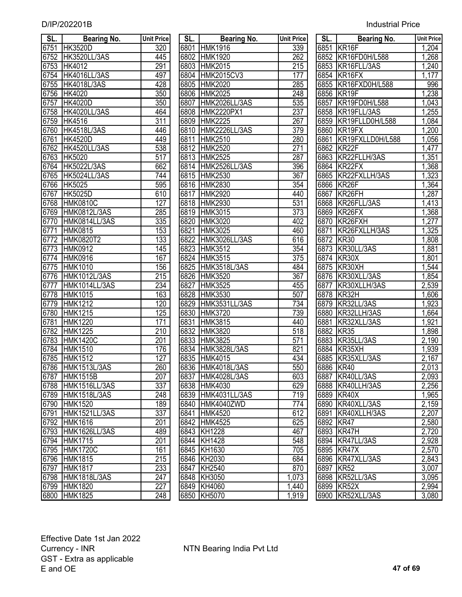| D/IP/202201B | <b>Industrial Price</b> |
|--------------|-------------------------|
|--------------|-------------------------|

| SL.  | <b>Bearing No.</b>           | <b>Unit Price</b> | SL.  | <b>Bearing No.</b>         | <b>Unit Price</b> | SL.       | <b>Bearing No.</b>             | <b>Unit Pric</b>   |
|------|------------------------------|-------------------|------|----------------------------|-------------------|-----------|--------------------------------|--------------------|
| 6751 | <b>HK3520D</b>               | 320               |      | 6801 HMK1916               | 339               |           | 6851 KR16F                     | 1,204              |
| 6752 | <b>HK3520LL/3AS</b>          | 445               | 6802 | <b>HMK1920</b>             | 262               |           | 6852 KR16FD0H/L588             | 1,268              |
| 6753 | HK4012                       | 291               | 6803 | <b>HMK2015</b>             | 215               |           | 6853 KR16FLL/3AS               | 1,240              |
| 6754 | HK4016LL/3AS                 | 497               | 6804 | <b>HMK2015CV3</b>          | 177               |           | 6854 KR16FX                    | 1,177              |
| 6755 | <b>HK4018L/3AS</b>           | 428               | 6805 | <b>HMK2020</b>             | 285               |           | 6855 KR16FXD0H/L588            | 996                |
| 6756 | HK4020                       | 350               | 6806 | <b>HMK2025</b>             | 248               |           | 6856 KR19F                     | 1,238              |
| 6757 | <b>HK4020D</b>               | 350               | 6807 | HMK2026LL/3AS              | 535               | 6857      | KR19FD0H/L588                  | 1,043              |
| 6758 | <b>HK4020LL/3AS</b>          | 464               | 6808 | HMK2220PX1                 | 237               |           | 6858 KR19FLL/3AS               | ,255               |
| 6759 | <b>HK4516</b>                | $\overline{311}$  | 6809 | <b>HMK2225</b>             | 267               |           | 6859 KR19FLLD0H/L588           | 1,084              |
| 6760 | <b>HK4518L/3AS</b>           | 446               | 6810 | HMK2226LL/3AS              | 379               | 6860      | KR19FX                         | 1,200              |
| 6761 | <b>HK4520D</b>               | 449               | 6811 | <b>HMK2510</b>             | 280               | 6861      | KR19FXLLD0H/L588               | 1,056              |
| 6762 | <b>HK4520LL/3AS</b>          | 538               | 6812 | <b>HMK2520</b>             | 271               | 6862      | KR <sub>22F</sub>              | 1,477              |
| 6763 | HK5020                       | 517               | 6813 | <b>HMK2525</b>             | 287               | 6863      | KR22FLLH/3AS                   | 1,351              |
| 6764 | <b>HK5022L/3AS</b>           | 662               | 6814 | HMK2526LL/3AS              | 396               | 6864      | KR22FX                         | 1,368              |
| 6765 | HK5024LL/3AS                 | 744               | 6815 | <b>HMK2530</b>             | 367               |           | 6865 KR22FXLLH/3AS             | 1,323              |
| 6766 | HK5025                       | 595               |      | 6816 HMK2830               | 354               |           | 6866 KR26F                     | 1,364              |
| 6767 | <b>HK5025D</b>               | 610               | 6817 | <b>HMK2920</b>             | 440               | 6867      | KR26FH                         | 1,287              |
| 6768 | <b>HMK0810C</b>              | 127               |      | 6818 HMK2930               | 531               |           | 6868 KR26FLL/3AS               | 1,413              |
| 6769 | HMK0812L/3AS                 | 285               |      | 6819 HMK3015               | 373               |           | 6869 KR26FX                    | 1,368              |
| 6770 | HMK0814LL/3AS                | 335               | 6820 | <b>HMK3020</b>             | 402               |           | 6870 KR26FXH                   | 1,277              |
| 6771 | <b>HMK0815</b>               | 153               | 6821 | HMK3025                    | 460               | 6871      | KR26FXLLH/3AS                  | 1,325              |
| 6772 | HMK0820T2                    | 133               | 6822 | <b>HMK3026LL/3AS</b>       | 616               | 6872      | KR30                           | 1,808              |
| 6773 | <b>HMK0912</b>               | 145               | 6823 | HMK3512                    | 354               |           | 6873 KR30LL/3AS                | 1,881              |
| 6774 | <b>HMK0916</b>               | 167               |      | 6824 HMK3515               | $\overline{375}$  |           | 6874 KR30X                     | 1,801              |
| 6775 | <b>HMK1010</b>               | 156               | 6825 | HMK3518L/3AS               | 484               | 6875      | KR30XH                         | 1,544              |
| 6776 | HMK1012L/3AS                 | 215               | 6826 | HMK3520                    | $\overline{367}$  |           | 6876 KR30XLL/3AS               | 1,854              |
| 6777 | HMK1014LL/3AS                | 234               | 6827 | <b>HMK3525</b>             | 455               | 6877      | KR30XLLH/3AS                   | 2,539              |
| 6778 | <b>HMK1015</b>               | 163               | 6828 | <b>HMK3530</b>             | 507               | 6878      | KR32H                          | ,606               |
| 6779 | <b>HMK1212</b>               | 120               | 6829 | HMK3531LL/3AS              | 734               | 6879      | KR32LL/3AS                     | $\overline{1,923}$ |
| 6780 | <b>HMK1215</b>               | 125               | 6830 | HMK3720                    | 739               | 6880      | KR32LLH/3AS                    | ,664               |
| 6781 | <b>HMK1220</b>               | 171               | 6831 | <b>HMK3815</b>             | 440               | 6881      | KR32XLL/3AS                    | 1,921              |
| 6782 | <b>HMK1225</b>               | 210               | 6832 | <b>HMK3820</b>             | 518               | 6882      | KR <sub>35</sub>               | 1,898              |
| 6783 | <b>HMK1420C</b>              | 201               | 6833 | <b>HMK3825</b>             | $\overline{571}$  | 6883      | KR35LL/3AS                     | 2,190              |
| 6784 | <b>HMK1510</b>               | 176               |      | 6834 HMK3828L/3AS          | 821               | 6884      | KR35XH                         | ,939               |
| 6785 | <b>HMK1512</b>               | 127               |      | 6835 HMK4015               | 434               |           | 6885 KR35XLL/3AS               | 2,167              |
|      | 6786 HMK1513L/3AS            | $\overline{260}$  |      | 6836 HMK4018L/3AS          | 550               | 6886 KR40 |                                | 2,013              |
| 6787 | <b>HMK1515B</b>              | 207               |      | 6837 HMK4028L/3AS          | 603               |           | 6887 KR40LL/3AS                | 2,093              |
| 6788 | HMK1516LL/3AS                | 337               |      | 6838 HMK4030               | 629               |           | 6888 KR40LLH/3AS               | 2,256              |
| 6789 | <b>HMK1518L/3AS</b>          | 248               |      | 6839 HMK4031LL/3AS         | 719               |           | 6889 KR40X                     | 1,965              |
| 6790 | <b>HMK1520</b>               | 189               |      | 6840 HMK4040ZWD            | 774               |           | 6890 KR40XLL/3AS               | 2,159              |
| 6791 | HMK1521LL/3AS                | 337               | 6841 | <b>HMK4520</b>             | 612               |           | 6891 KR40XLLH/3AS              | 2,207              |
| 6792 | <b>HMK1616</b>               | 201               |      | 6842 HMK4525               | 625               | 6892 KR47 |                                | 2,580              |
|      | 6793 HMK1626LL/3AS           | 489               |      | 6843 KH1228                | 467               |           | 6893 KR47H                     | 2,720              |
| 6794 | <b>HMK1715</b>               | 201               |      | 6844 KH1428                | 548               |           | 6894 KR47LL/3AS                | 2,928              |
|      | 6795 HMK1720C                | 161               |      | 6845 KH1630                | 705               |           | 6895 KR47X                     | 2,570              |
|      | 6796 HMK1815                 | 215               |      | 6846 KH2030                | 684               |           | 6896 KR47XLL/3AS               | 2,843              |
| 6797 | <b>HMK1817</b>               | 233               |      | 6847 KH2540                | 870               |           | 6897 KR52                      | 3,007              |
|      | 6798 HMK1818L/3AS            | 247<br>227        |      | 6848 KH3050<br>6849 KH4060 | 1,073             |           | 6898 KR52LL/3AS                | 3,095<br>2,994     |
|      | 6799 HMK1820<br>6800 HMK1825 | 248               |      |                            | 1,440<br>1,919    |           | 6899 KR52X<br>6900 KR52XLL/3AS | 3,080              |
|      |                              |                   |      | 6850 KH5070                |                   |           |                                |                    |

| SL.              | <b>Bearing No.</b>                 | <b>Unit Price</b>       |      | <b>Bearing No.</b><br>SL. | <b>Unit Price</b> |      | <b>Bearing No.</b><br>SL.     | <b>Unit Price</b> |
|------------------|------------------------------------|-------------------------|------|---------------------------|-------------------|------|-------------------------------|-------------------|
|                  | 751 HK3520D                        | 320                     |      | 6801 HMK1916              | 339               |      | 6851 KR16F                    | 1,204             |
|                  | 752 HK3520LL/3AS                   | 445                     |      | 6802 HMK1920              | 262               |      | 6852 KR16FD0H/L588            | 1,268             |
| 753              | HK4012                             | 291                     |      | 6803 HMK2015              | $\overline{215}$  |      | 6853 KR16FLL/3AS              | 1,240             |
| 754              | <b>HK4016LL/3AS</b>                | 497                     |      | 6804 HMK2015CV3           | 177               |      | 6854 KR16FX                   | 1,177             |
| 755              | <b>HK4018L/3AS</b>                 | 428                     | 6805 | <b>HMK2020</b>            | 285               |      | 6855 KR16FXD0H/L588           | 996               |
| 756              | HK4020                             | $\overline{350}$        |      | 6806 HMK2025              | 248               |      | 6856 KR19F                    | 1,238             |
| 757              | <b>HK4020D</b>                     | 350                     | 6807 | HMK2026LL/3AS             | 535               |      | 6857 KR19FD0H/L588            | 1,043             |
|                  | 758 HK4020LL/3AS                   | 464                     |      | 6808 HMK2220PX1           | 237               |      | 6858 KR19FLL/3AS              | 1,255             |
| 759              | <b>HK4516</b>                      | 311                     |      | 6809 HMK2225              | 267               |      | 6859 KR19FLLD0H/L588          | 1,084             |
|                  | 760 HK4518L/3AS                    | 446                     |      | 6810 HMK2226LL/3AS        | 379               |      | 6860 KR19FX                   | 1,200             |
| 761              | <b>HK4520D</b>                     | 449                     | 6811 | <b>HMK2510</b>            | 280               | 6861 | KR19FXLLD0H/L588              | 1,056             |
|                  | 762 HK4520LL/3AS                   | 538                     |      | 6812 HMK2520              | 271               |      | 6862 KR22F                    | 1,477             |
| 763              | <b>HK5020</b>                      | $\overline{517}$        |      | 6813 HMK2525              | 287               |      | 6863 KR22FLLH/3AS             | 1,351             |
|                  | 764 HK5022L/3AS                    | 662                     |      | 6814 HMK2526LL/3AS        | 396               |      | 6864 KR22FX                   | 1,368             |
| 765              | <b>HK5024LL/3AS</b>                | 744                     |      | 6815 HMK2530              | $\overline{367}$  |      | 6865 KR22FXLLH/3AS            | 1,323             |
|                  | 766 HK5025                         | 595                     |      | 6816 HMK2830              | 354               |      | 6866 KR26F                    | 1,364             |
| 767              | <b>HK5025D</b>                     | 610                     | 6817 | <b>HMK2920</b>            | 440               | 6867 | KR26FH                        | 1,287             |
| $\overline{768}$ | <b>HMK0810C</b>                    | $\overline{127}$        |      | 6818 HMK2930              | 531               |      | 6868 KR26FLL/3AS              | 1,413             |
| 769              | <b>HMK0812L/3AS</b>                | 285                     |      | 6819 HMK3015              | $\overline{373}$  |      | 6869 KR26FX                   | 1,368             |
| $\overline{770}$ | HMK0814LL/3AS                      | 335                     |      | 6820 HMK3020              | 402               |      | 6870 KR26FXH                  | 1,277             |
| 771              | <b>HMK0815</b>                     | 153                     | 6821 | <b>HMK3025</b>            | 460               | 6871 | KR26FXLLH/3AS                 | 1,325             |
| 772              | <b>HMK0820T2</b>                   | 133                     | 6822 | HMK3026LL/3AS             | 616               | 6872 | KR30                          | 1,808             |
| 773              | <b>HMK0912</b>                     | 145                     |      | 6823 HMK3512              | 354               |      | 6873 KR30LL/3AS               | 1,881             |
| 774              | <b>HMK0916</b>                     | 167                     |      | 6824 HMK3515              | $\overline{375}$  |      | 6874 KR30X                    | 1,801             |
| 775              | <b>HMK1010</b>                     | 156                     |      | 6825 HMK3518L/3AS         | 484               |      | 6875 KR30XH                   | 1,544             |
| 776              | HMK1012L/3AS                       | $\overline{215}$        |      | 6826 HMK3520              | 367               |      | 6876 KR30XLL/3AS              | 1,854             |
| 777              | HMK1014LL/3AS                      | $\overline{234}$        | 6827 | <b>HMK3525</b>            | 455               | 6877 | KR30XLLH/3AS                  | 2,539             |
| 778              | <b>HMK1015</b>                     | 163                     |      | 6828 HMK3530              | 507               |      | 6878 KR32H                    | 1,606             |
| 779              | <b>HMK1212</b>                     | 120                     |      | 6829 HMK3531LL/3AS        | 734               |      | 6879 KR32LL/3AS               | 1,923             |
| 780              | <b>HMK1215</b>                     | 125                     |      | 6830 HMK3720              | 739               |      | 6880 KR32LLH/3AS              | 1,664             |
| 781              | <b>HMK1220</b>                     | 171                     | 6831 | <b>HMK3815</b>            | 440               | 6881 | KR32XLL/3AS                   | 1,921             |
| 782              | <b>HMK1225</b>                     | 210                     |      | 6832 HMK3820              | 518               |      | 6882 KR35                     | 1,898             |
| 783              | <b>HMK1420C</b>                    | 201                     |      | 6833 HMK3825              | 571               |      | 6883 KR35LL/3AS               | 2,190             |
| 784              | <b>HMK1510</b>                     | 176                     |      | 6834 HMK3828L/3AS         | 821               |      | 6884 KR35XH                   | 1,939             |
| 785              | <b>HMK1512</b>                     | 127                     |      | 6835 HMK4015              | 434               |      | 6885 KR35XLL/3AS              | 2,167             |
|                  | 786 HMK1513L/3AS                   | 260                     |      | 6836 HMK4018L/3AS         | 550               |      | 6886 KR40                     | 2,013             |
|                  | 787 HMK1515B                       | 207                     |      | 6837 HMK4028L/3AS         | 603               |      | 6887 KR40LL/3AS               | 2,093             |
|                  | 788 HMK1516LL/3AS                  | 337                     |      | 6838 HMK4030              | 629               |      | 6888 KR40LLH/3AS              | 2,256             |
|                  | 789 HMK1518L/3AS                   | 248                     |      | 6839 HMK4031LL/3AS        | 719               |      | 6889 KR40X                    | 1,965             |
|                  | 790 HMK1520                        | 189                     |      | 6840 HMK4040ZWD           | 774               |      | 6890 KR40XLL/3AS              | 2,159             |
| 791              | HMK1521LL/3AS                      | 337                     |      | 6841 HMK4520              | 612               |      | 6891 KR40XLLH/3AS             | 2,207             |
|                  | 792 HMK1616                        | 201                     |      | 6842 HMK4525              | 625               |      | 6892 KR47                     | 2,580             |
|                  | 793 HMK1626LL/3AS                  | 489                     |      | 6843 KH1228               | 467               |      | 6893 KR47H                    | 2,720             |
|                  | 794 HMK1715                        | 201                     |      | 6844 KH1428               | 548               |      | 6894 KR47LL/3AS               | 2,928             |
|                  | 795 HMK1720C                       | 161                     |      | 6845 KH1630               | 705               |      | 6895 KR47X                    | 2,570             |
|                  |                                    | 215                     |      |                           | 684               |      |                               |                   |
| 797              | 796 HMK1815                        |                         |      | 6846 KH2030               | 870               |      | 6896 KR47XLL/3AS<br>6897 KR52 | 2,843             |
|                  | <b>HMK1817</b><br>798 HMK1818L/3AS | 233<br>$\overline{247}$ |      | 6847 KH2540               |                   |      |                               | 3,007             |
|                  |                                    |                         |      | 6848 KH3050               | 1,073             |      | 6898 KR52LL/3AS               | 3,095             |
|                  | 799 HMK1820                        | 227                     |      | 6849 KH4060               | 1,440             |      | 6899 KR52X                    | 2,994             |
|                  | 800 HMK1825                        | 248                     |      | 6850 KH5070               | 1,919             |      | 6900 KR52XLL/3AS              | 3,080             |

| KR16F<br>1,204<br>$\frac{1,268}{1,240}$<br>$\frac{1,177}{1,177}$<br>KR16FD0H/L588<br>KR16FLL/3AS<br>KR16FX<br>KR16FXD0H/L588<br>996<br>1,238<br>KR <sub>19F</sub><br>KR19FD0H/L588<br>$\overline{1,043}$<br>KR19FLL/3AS<br>1,255<br>KR19FLLD0H/L588<br>1,084<br>1,200<br>KR <sub>19FX</sub><br>KR19FXLLD0H/L588<br>1,056<br>$\overline{1,}477$<br>KR <sub>22</sub> F<br>KR22FLLH/3AS<br>1,351<br>KR22FX<br>1,368<br>KR22FXLLH/3AS<br>1,323<br>6865<br>1,364<br>6866<br>KR <sub>26</sub> F<br>KR <sub>26FH</sub><br>1,287<br>1,413<br>KR26FLL/3AS<br>1,368<br>KR26FX<br>1,277<br>6870<br>KR26FXH<br>KR26FXLLH/3AS<br>1,325<br>6871<br>6872<br>KR <sub>30</sub><br>1,808<br>KR30LL/3AS<br>6873<br>1,881<br>6874<br>KR30X<br>1,801<br>6875<br>KR30XH<br>1,544<br>6876<br>KR30XLL/3AS<br>1,854<br>KR30XLLH/3AS<br>2,539<br>6877<br>KR32H<br>6878<br>1,606<br>KR32LL/3AS<br>$\overline{1,923}$<br>6879<br>KR32LLH/3AS<br>1,664<br>6880<br>KR32XLL/3AS<br>1,921<br>6881<br>6882<br>KR35<br>$\overline{1,898}$<br>KR35LL/3AS<br>2,190<br>6883<br>1,939<br>KR35XH<br>6884<br>2,167<br>6885<br>KR35XLL/3AS<br>6886<br>2,013<br><b>KR40</b><br>2,093<br>6887<br>KR40LL/3AS<br>2,256<br>KR40LLH/3AS<br>6888<br>1,965<br>6889<br>KR40X<br>2,159<br>KR40XLL/3AS<br>6890<br>2,207<br>6891<br>KR40XLLH/3AS<br>2,580<br>6892<br>KR47<br>2,720<br>6893<br>KR47H<br>2,928<br>6894<br>KR47LL/3AS<br>2,570<br>6895<br>KR47X<br>2,843<br>6896<br>KR47XLL/3AS<br>3,007<br><b>KR52</b><br>6897<br>3,095<br>6898<br>KR52LL/3AS<br>2,994<br>6899<br>KR52X | SL.  | Bearing No. | <b>Unit Price</b> |
|----------------------------------------------------------------------------------------------------------------------------------------------------------------------------------------------------------------------------------------------------------------------------------------------------------------------------------------------------------------------------------------------------------------------------------------------------------------------------------------------------------------------------------------------------------------------------------------------------------------------------------------------------------------------------------------------------------------------------------------------------------------------------------------------------------------------------------------------------------------------------------------------------------------------------------------------------------------------------------------------------------------------------------------------------------------------------------------------------------------------------------------------------------------------------------------------------------------------------------------------------------------------------------------------------------------------------------------------------------------------------------------------------------------------------------------------------------------------------------------------------------------------------------|------|-------------|-------------------|
|                                                                                                                                                                                                                                                                                                                                                                                                                                                                                                                                                                                                                                                                                                                                                                                                                                                                                                                                                                                                                                                                                                                                                                                                                                                                                                                                                                                                                                                                                                                                  | 6851 |             |                   |
|                                                                                                                                                                                                                                                                                                                                                                                                                                                                                                                                                                                                                                                                                                                                                                                                                                                                                                                                                                                                                                                                                                                                                                                                                                                                                                                                                                                                                                                                                                                                  | 6852 |             |                   |
|                                                                                                                                                                                                                                                                                                                                                                                                                                                                                                                                                                                                                                                                                                                                                                                                                                                                                                                                                                                                                                                                                                                                                                                                                                                                                                                                                                                                                                                                                                                                  | 6853 |             |                   |
|                                                                                                                                                                                                                                                                                                                                                                                                                                                                                                                                                                                                                                                                                                                                                                                                                                                                                                                                                                                                                                                                                                                                                                                                                                                                                                                                                                                                                                                                                                                                  | 6854 |             |                   |
|                                                                                                                                                                                                                                                                                                                                                                                                                                                                                                                                                                                                                                                                                                                                                                                                                                                                                                                                                                                                                                                                                                                                                                                                                                                                                                                                                                                                                                                                                                                                  | 6855 |             |                   |
|                                                                                                                                                                                                                                                                                                                                                                                                                                                                                                                                                                                                                                                                                                                                                                                                                                                                                                                                                                                                                                                                                                                                                                                                                                                                                                                                                                                                                                                                                                                                  | 6856 |             |                   |
|                                                                                                                                                                                                                                                                                                                                                                                                                                                                                                                                                                                                                                                                                                                                                                                                                                                                                                                                                                                                                                                                                                                                                                                                                                                                                                                                                                                                                                                                                                                                  | 6857 |             |                   |
|                                                                                                                                                                                                                                                                                                                                                                                                                                                                                                                                                                                                                                                                                                                                                                                                                                                                                                                                                                                                                                                                                                                                                                                                                                                                                                                                                                                                                                                                                                                                  | 6858 |             |                   |
|                                                                                                                                                                                                                                                                                                                                                                                                                                                                                                                                                                                                                                                                                                                                                                                                                                                                                                                                                                                                                                                                                                                                                                                                                                                                                                                                                                                                                                                                                                                                  | 6859 |             |                   |
|                                                                                                                                                                                                                                                                                                                                                                                                                                                                                                                                                                                                                                                                                                                                                                                                                                                                                                                                                                                                                                                                                                                                                                                                                                                                                                                                                                                                                                                                                                                                  | 6860 |             |                   |
|                                                                                                                                                                                                                                                                                                                                                                                                                                                                                                                                                                                                                                                                                                                                                                                                                                                                                                                                                                                                                                                                                                                                                                                                                                                                                                                                                                                                                                                                                                                                  | 6861 |             |                   |
|                                                                                                                                                                                                                                                                                                                                                                                                                                                                                                                                                                                                                                                                                                                                                                                                                                                                                                                                                                                                                                                                                                                                                                                                                                                                                                                                                                                                                                                                                                                                  | 6862 |             |                   |
|                                                                                                                                                                                                                                                                                                                                                                                                                                                                                                                                                                                                                                                                                                                                                                                                                                                                                                                                                                                                                                                                                                                                                                                                                                                                                                                                                                                                                                                                                                                                  | 6863 |             |                   |
|                                                                                                                                                                                                                                                                                                                                                                                                                                                                                                                                                                                                                                                                                                                                                                                                                                                                                                                                                                                                                                                                                                                                                                                                                                                                                                                                                                                                                                                                                                                                  | 6864 |             |                   |
|                                                                                                                                                                                                                                                                                                                                                                                                                                                                                                                                                                                                                                                                                                                                                                                                                                                                                                                                                                                                                                                                                                                                                                                                                                                                                                                                                                                                                                                                                                                                  |      |             |                   |
|                                                                                                                                                                                                                                                                                                                                                                                                                                                                                                                                                                                                                                                                                                                                                                                                                                                                                                                                                                                                                                                                                                                                                                                                                                                                                                                                                                                                                                                                                                                                  |      |             |                   |
|                                                                                                                                                                                                                                                                                                                                                                                                                                                                                                                                                                                                                                                                                                                                                                                                                                                                                                                                                                                                                                                                                                                                                                                                                                                                                                                                                                                                                                                                                                                                  | 6867 |             |                   |
|                                                                                                                                                                                                                                                                                                                                                                                                                                                                                                                                                                                                                                                                                                                                                                                                                                                                                                                                                                                                                                                                                                                                                                                                                                                                                                                                                                                                                                                                                                                                  | 6868 |             |                   |
|                                                                                                                                                                                                                                                                                                                                                                                                                                                                                                                                                                                                                                                                                                                                                                                                                                                                                                                                                                                                                                                                                                                                                                                                                                                                                                                                                                                                                                                                                                                                  | 6869 |             |                   |
|                                                                                                                                                                                                                                                                                                                                                                                                                                                                                                                                                                                                                                                                                                                                                                                                                                                                                                                                                                                                                                                                                                                                                                                                                                                                                                                                                                                                                                                                                                                                  |      |             |                   |
|                                                                                                                                                                                                                                                                                                                                                                                                                                                                                                                                                                                                                                                                                                                                                                                                                                                                                                                                                                                                                                                                                                                                                                                                                                                                                                                                                                                                                                                                                                                                  |      |             |                   |
|                                                                                                                                                                                                                                                                                                                                                                                                                                                                                                                                                                                                                                                                                                                                                                                                                                                                                                                                                                                                                                                                                                                                                                                                                                                                                                                                                                                                                                                                                                                                  |      |             |                   |
|                                                                                                                                                                                                                                                                                                                                                                                                                                                                                                                                                                                                                                                                                                                                                                                                                                                                                                                                                                                                                                                                                                                                                                                                                                                                                                                                                                                                                                                                                                                                  |      |             |                   |
|                                                                                                                                                                                                                                                                                                                                                                                                                                                                                                                                                                                                                                                                                                                                                                                                                                                                                                                                                                                                                                                                                                                                                                                                                                                                                                                                                                                                                                                                                                                                  |      |             |                   |
|                                                                                                                                                                                                                                                                                                                                                                                                                                                                                                                                                                                                                                                                                                                                                                                                                                                                                                                                                                                                                                                                                                                                                                                                                                                                                                                                                                                                                                                                                                                                  |      |             |                   |
|                                                                                                                                                                                                                                                                                                                                                                                                                                                                                                                                                                                                                                                                                                                                                                                                                                                                                                                                                                                                                                                                                                                                                                                                                                                                                                                                                                                                                                                                                                                                  |      |             |                   |
|                                                                                                                                                                                                                                                                                                                                                                                                                                                                                                                                                                                                                                                                                                                                                                                                                                                                                                                                                                                                                                                                                                                                                                                                                                                                                                                                                                                                                                                                                                                                  |      |             |                   |
|                                                                                                                                                                                                                                                                                                                                                                                                                                                                                                                                                                                                                                                                                                                                                                                                                                                                                                                                                                                                                                                                                                                                                                                                                                                                                                                                                                                                                                                                                                                                  |      |             |                   |
|                                                                                                                                                                                                                                                                                                                                                                                                                                                                                                                                                                                                                                                                                                                                                                                                                                                                                                                                                                                                                                                                                                                                                                                                                                                                                                                                                                                                                                                                                                                                  |      |             |                   |
|                                                                                                                                                                                                                                                                                                                                                                                                                                                                                                                                                                                                                                                                                                                                                                                                                                                                                                                                                                                                                                                                                                                                                                                                                                                                                                                                                                                                                                                                                                                                  |      |             |                   |
|                                                                                                                                                                                                                                                                                                                                                                                                                                                                                                                                                                                                                                                                                                                                                                                                                                                                                                                                                                                                                                                                                                                                                                                                                                                                                                                                                                                                                                                                                                                                  |      |             |                   |
|                                                                                                                                                                                                                                                                                                                                                                                                                                                                                                                                                                                                                                                                                                                                                                                                                                                                                                                                                                                                                                                                                                                                                                                                                                                                                                                                                                                                                                                                                                                                  |      |             |                   |
|                                                                                                                                                                                                                                                                                                                                                                                                                                                                                                                                                                                                                                                                                                                                                                                                                                                                                                                                                                                                                                                                                                                                                                                                                                                                                                                                                                                                                                                                                                                                  |      |             |                   |
|                                                                                                                                                                                                                                                                                                                                                                                                                                                                                                                                                                                                                                                                                                                                                                                                                                                                                                                                                                                                                                                                                                                                                                                                                                                                                                                                                                                                                                                                                                                                  |      |             |                   |
|                                                                                                                                                                                                                                                                                                                                                                                                                                                                                                                                                                                                                                                                                                                                                                                                                                                                                                                                                                                                                                                                                                                                                                                                                                                                                                                                                                                                                                                                                                                                  |      |             |                   |
|                                                                                                                                                                                                                                                                                                                                                                                                                                                                                                                                                                                                                                                                                                                                                                                                                                                                                                                                                                                                                                                                                                                                                                                                                                                                                                                                                                                                                                                                                                                                  |      |             |                   |
|                                                                                                                                                                                                                                                                                                                                                                                                                                                                                                                                                                                                                                                                                                                                                                                                                                                                                                                                                                                                                                                                                                                                                                                                                                                                                                                                                                                                                                                                                                                                  |      |             |                   |
|                                                                                                                                                                                                                                                                                                                                                                                                                                                                                                                                                                                                                                                                                                                                                                                                                                                                                                                                                                                                                                                                                                                                                                                                                                                                                                                                                                                                                                                                                                                                  |      |             |                   |
|                                                                                                                                                                                                                                                                                                                                                                                                                                                                                                                                                                                                                                                                                                                                                                                                                                                                                                                                                                                                                                                                                                                                                                                                                                                                                                                                                                                                                                                                                                                                  |      |             |                   |
|                                                                                                                                                                                                                                                                                                                                                                                                                                                                                                                                                                                                                                                                                                                                                                                                                                                                                                                                                                                                                                                                                                                                                                                                                                                                                                                                                                                                                                                                                                                                  |      |             |                   |
|                                                                                                                                                                                                                                                                                                                                                                                                                                                                                                                                                                                                                                                                                                                                                                                                                                                                                                                                                                                                                                                                                                                                                                                                                                                                                                                                                                                                                                                                                                                                  |      |             |                   |
|                                                                                                                                                                                                                                                                                                                                                                                                                                                                                                                                                                                                                                                                                                                                                                                                                                                                                                                                                                                                                                                                                                                                                                                                                                                                                                                                                                                                                                                                                                                                  |      |             |                   |
|                                                                                                                                                                                                                                                                                                                                                                                                                                                                                                                                                                                                                                                                                                                                                                                                                                                                                                                                                                                                                                                                                                                                                                                                                                                                                                                                                                                                                                                                                                                                  |      |             |                   |
|                                                                                                                                                                                                                                                                                                                                                                                                                                                                                                                                                                                                                                                                                                                                                                                                                                                                                                                                                                                                                                                                                                                                                                                                                                                                                                                                                                                                                                                                                                                                  |      |             |                   |
|                                                                                                                                                                                                                                                                                                                                                                                                                                                                                                                                                                                                                                                                                                                                                                                                                                                                                                                                                                                                                                                                                                                                                                                                                                                                                                                                                                                                                                                                                                                                  |      |             |                   |
|                                                                                                                                                                                                                                                                                                                                                                                                                                                                                                                                                                                                                                                                                                                                                                                                                                                                                                                                                                                                                                                                                                                                                                                                                                                                                                                                                                                                                                                                                                                                  |      |             |                   |
|                                                                                                                                                                                                                                                                                                                                                                                                                                                                                                                                                                                                                                                                                                                                                                                                                                                                                                                                                                                                                                                                                                                                                                                                                                                                                                                                                                                                                                                                                                                                  |      |             |                   |
|                                                                                                                                                                                                                                                                                                                                                                                                                                                                                                                                                                                                                                                                                                                                                                                                                                                                                                                                                                                                                                                                                                                                                                                                                                                                                                                                                                                                                                                                                                                                  |      |             |                   |
| KR52XLL/3AS<br>3,080                                                                                                                                                                                                                                                                                                                                                                                                                                                                                                                                                                                                                                                                                                                                                                                                                                                                                                                                                                                                                                                                                                                                                                                                                                                                                                                                                                                                                                                                                                             | 6900 |             |                   |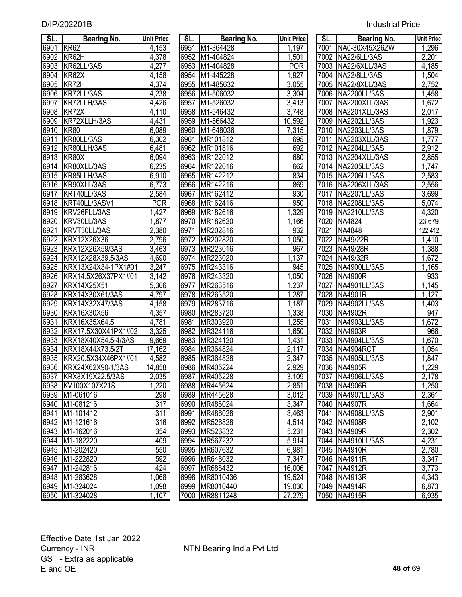| SL.  | Bearing No.            | <b>Unit Price</b>  | SL.  | <b>Bearing No.</b> | <b>Unit Price</b> | SL.  | <b>Bearing No.</b>  | <b>Unit Price</b> |
|------|------------------------|--------------------|------|--------------------|-------------------|------|---------------------|-------------------|
| 6901 | KR <sub>62</sub>       | 4,153              | 6951 | M1-364428          | 1,197             | 7001 | NA0-30X45X26ZW      | 1,296             |
| 6902 | KR62H                  | 4,378              | 6952 | M1-404824          | 1,501             |      | 7002 NA22/6LL/3AS   | 2,201             |
| 6903 | KR62LL/3AS             | 4,277              | 6953 | M1-404828          | <b>POR</b>        | 7003 | NA22/6XLL/3AS       | 4,185             |
| 6904 | KR62X                  | 4,158              | 6954 | M1-445228          | 1,927             | 7004 | NA22/8LL/3AS        | 1,504             |
| 6905 | KR72H                  | 4,374              | 6955 | M1-485632          | 3,055             | 7005 | NA22/8XLL/3AS       | 2,752             |
| 6906 | KR72LL/3AS             | 4,238              | 6956 | M1-506032          | 3,304             | 7006 | NA2200LL/3AS        | 1,458             |
| 6907 | KR72LLH/3AS            | 4,426              | 6957 | M1-526032          | 3,413             | 7007 | NA2200XLL/3AS       | 1,672             |
| 6908 | KR72X                  | 4,110              | 6958 | M1-546432          | 3,748             | 7008 | NA2201XLL/3AS       | 2,017             |
| 6909 | KR72XLLH/3AS           | 4,431              | 6959 | M1-566432          | 10,592            | 7009 | NA2202LL/3AS        | 1,923             |
| 6910 | <b>KR80</b>            | 6,089              | 6960 | M1-648036          | 7,315             | 7010 | NA2203LL/3AS        | 1,879             |
| 6911 | KR80LL/3AS             | 6,302              | 6961 | MR101812           | 695               | 7011 | NA2203XLL/3AS       | 1,777             |
| 6912 | KR80LLH/3AS            | 6,481              | 6962 | MR101816           | 692               | 7012 | NA2204LL/3AS        | 2,912             |
| 6913 | KR80X                  | 6,094              | 6963 | MR122012           | 680               | 7013 | NA2204XLL/3AS       | 2,855             |
| 6914 | KR80XLL/3AS            | 6,235              | 6964 | MR122016           | 662               |      | 7014 NA2205LL/3AS   | 1,747             |
| 6915 | KR85LLH/3AS            | 6,910              | 6965 | MR142212           | 834               |      | 7015 NA2206LL/3AS   | 2,583             |
| 6916 | KR90XLL/3AS            | $\overline{6,773}$ | 6966 | MR142216           | 869               | 7016 | NA2206XLL/3AS       | 2,556             |
| 6917 | KRT40LL/3AS            | 2,584              | 6967 | MR162412           | 930               | 7017 | <b>NA2207LL/3AS</b> | 3,699             |
| 6918 | KRT40LL/3ASV1          | <b>POR</b>         | 6968 | MR162416           | 950               | 7018 | NA2208LL/3AS        | 5,074             |
| 6919 | KRV26FLL/3AS           | 1,427              | 6969 | MR182616           | 1,329             |      | 7019 NA2210LL/3AS   | 4,320             |
| 6920 | KRV30LL/3AS            | 1,877              | 6970 | MR182620           | 1,166             | 7020 | <b>NA4824</b>       | 23,679            |
| 6921 | KRVT30LL/3AS           | 2,380              | 6971 | MR202816           | 932               | 7021 | NA4848              | 122,412           |
| 6922 | KRX12X26X36            | 2,796              | 6972 | MR202820           | 1,050             | 7022 | <b>NA49/22R</b>     | 1,410             |
| 6923 | KRX12X26X59/3AS        | 3,463              | 6973 | MR223016           | 967               | 7023 | NA49/28R            | 1,388             |
| 6924 | KRX12X28X39.5/3AS      | 4,690              | 6974 | MR223020           | 1,137             | 7024 | NA49/32R            | 1,672             |
| 6925 | KRX13X24X34-1PX1#01    | 3,247              | 6975 | MR243316           | 945               | 7025 | NA4900LL/3AS        | 1,165             |
| 6926 | KRX14.5X26X37PX1#01    | 3,142              | 6976 | MR243320           | ,050              |      | 7026 NA4900R        | 933               |
| 6927 | KRX14X25X51            | 5,366              | 6977 | MR263516           | ,237              | 7027 | NA4901LL/3AS        | 1,145             |
| 6928 | KRX14X30X61/3AS        | 4,797              | 6978 | MR263520           | ,287              | 7028 | <b>NA4901R</b>      | 1,127             |
| 6929 | KRX14X32X47/3AS        | 4,158              | 6979 | MR283716           | 1,187             | 7029 | NA4902LL/3AS        | ,403              |
| 6930 | KRX16X30X56            | 4,357              | 6980 | MR283720           | 1,338             | 7030 | <b>NA4902R</b>      | 947               |
| 6931 | KRX16X35X64.5          | 4,781              | 6981 | MR303920           | 1,255             | 7031 | NA4903LL/3AS        | 1,672             |
| 6932 | KRX17.5X30X41PX1#02    | 3,325              | 6982 | MR324116           | 1,650             | 7032 | <b>NA4903R</b>      | 966               |
| 6933 | KRX18X40X54.5-4/3AS    | 9,669              | 6983 | MR324120           | 1,431             | 7033 | NA4904LL/3AS        | 1,670             |
| 6934 | KRX18X44X73.5/2T       | 17,162             | 6984 | MR364824           | 2,117             |      | 7034 NA4904RCT      | 1,054             |
| 6935 | KRX20.5X34X46PX1#01    | 4,582              | 6985 | MR364828           | 2,347             |      | 7035 NA4905LL/3AS   | 1,847             |
|      | 6936 KRX24X62X90-1/3AS | 14,858             |      | 6986 MR405224      | 2,929             |      | 7036 NA4905R        | 1,229             |
|      | 6937 KRX8X19X22.5/3AS  | 2,035              |      | 6987 MR405228      | 3,109             |      | 7037   NA4906LL/3AS | 2,178             |
|      | 6938 KV100X107X21S     | 1,220              |      | 6988 MR445624      | 2,851             |      | 7038 NA4906R        | 1,250             |
|      | 6939 M1-061016         | 298                |      | 6989 MR445628      | 3,012             |      | 7039 NA4907LL/3AS   | 2,361             |
|      | 6940 M1-081216         | 317                |      | 6990 MR486024      | 3,347             |      | 7040 NA4907R        | 1,664             |
|      | 6941 M1-101412         | 311                |      | 6991 MR486028      | 3,463             |      | 7041 NA4908LL/3AS   | 2,901             |
|      | 6942 M1-121616         | 316                |      | 6992 MR526828      | 4,514             |      | 7042 NA4908R        | 2,102             |
|      | 6943 M1-162016         | 354                |      | 6993 MR526832      | 5,231             |      | 7043 NA4909R        | 2,302             |
|      | 6944 M1-182220         | 409                |      | 6994 MR567232      | 5,914             |      | 7044 NA4910LL/3AS   | 4,231             |
|      | 6945 M1-202420         | 550                |      | 6995 MR607632      | 6,981             |      | 7045 NA4910R        | 2,780             |
|      | 6946 M1-222820         | 592                |      | 6996 MR648032      | 7,347             |      | 7046 NA4911R        | 3,347             |
|      | 6947 M1-242816         | 424                |      | 6997 MR688432      | 16,006            |      | 7047 NA4912R        | 3,773             |
|      | 6948 M1-283628         | 1,068              |      | 6998 MR8010436     | 19,524            |      | 7048 NA4913R        | 4,343             |
|      | 6949 M1-324024         | 1,098              |      | 6999 MR8010440     | 19,030            |      | 7049 NA4914R        | 6,873             |
|      | 6950 M1-324028         | 1,107              |      | 7000 MR8811248     | 27,279            |      | 7050 NA4915R        | 6,935             |

| SL.  | <b>Bearing No.</b> | <b>Unit Price</b>      |
|------|--------------------|------------------------|
| 6951 | M1-364428          | 1,197                  |
| 6952 | M1-404824          | 1,501                  |
| 6953 | M1-404828          | <b>POR</b>             |
| 6954 | M1-445228          | 1,927                  |
| 6955 | M1-485632          | 3,055                  |
| 6956 | M1-506032          | 3,304                  |
| 6957 | M1-526032          | 3,413                  |
| 6958 | M1-546432          | 3,748                  |
| 6959 | M1-566432          |                        |
| 6960 | M1-648036          | $\frac{10,592}{7,315}$ |
| 6961 | MR101812           | 695                    |
| 6962 | MR101816           | 692                    |
| 6963 | MR122012           | 680                    |
| 6964 | MR122016           | 662                    |
| 6965 | MR142212           | 834                    |
| 6966 | MR142216           | 869                    |
| 6967 | MR162412           | 930                    |
| 6968 | MR162416           | 950                    |
| 6969 | MR182616           | 1,329                  |
| 6970 | MR182620           | 1,166                  |
| 6971 | MR202816           | 932                    |
| 6972 | MR202820           | 1,050                  |
| 6973 | MR223016           | 967                    |
| 6974 | MR223020           | 1,137                  |
| 6975 | MR243316           | 945                    |
| 6976 | MR243320           | 1,050                  |
| 6977 | MR263516           | 1,237                  |
| 6978 | MR263520           | $\overline{1,287}$     |
| 6979 | MR283716           | $\overline{1,187}$     |
| 6980 | MR283720           | 1,338                  |
| 6981 | MR303920           | 1,255                  |
| 6982 | MR324116           | 1,650                  |
| 6983 | MR324120           | 1,431                  |
| 6984 | MR364824           | 2,117                  |
| 6985 | MR364828           | 2,347                  |
| 6986 | MR405224           | 2,929                  |
| 6987 | MR405228           | 3,109                  |
| 6988 | MR445624           | 2,851                  |
| 6989 | MR445628           | 3,012                  |
| 6990 | MR486024           | 3,347                  |
| 6991 | MR486028           | 3,463                  |
| 6992 | MR526828           | 4,514                  |
| 6993 | MR526832           | 5,231                  |
| 6994 | MR567232           | 5,914                  |
| 6995 | MR607632           | 6,981                  |
| 6996 | MR648032           | 7,347                  |
| 6997 | MR688432           | 16,006                 |
| 6998 | MR8010436          | 19,524                 |
| 6999 | MR8010440          | 19,030                 |
| 7000 | MR8811248          | 27,279                 |
|      |                    |                        |

| SL.              | Bearing No.         | <b>Unit Price</b>  |
|------------------|---------------------|--------------------|
| 7001             | NA0-30X45X26ZW      | 1,296              |
| 7002             | NA22/6LL/3AS        | 2,201              |
| 7003             | NA22/6XLL/3AS       | 4,185              |
| 7004             | NA22/8LL/3AS        | 1,504              |
| 7005             | NA22/8XLL/3AS       | 2,752              |
| 7006             | NA2200LL/3AS        | 1,458              |
| 7007             | NA2200XLL/3AS       | 1,672              |
| 7008             | NA2201XLL/3AS       | 2,017              |
| 7009             | <b>NA2202LL/3AS</b> | 1,923              |
| 7010             | <b>NA2203LL/3AS</b> | $\overline{1,879}$ |
| 7011             | NA2203XLL/3AS       | 1,777              |
| 7012             | <b>NA2204LL/3AS</b> | 2,912              |
| 7013             | NA2204XLL/3AS       | 2,855              |
| 7014             | NA2205LL/3AS        | 1,747              |
| $\frac{1}{7015}$ | NA2206LL/3AS        | 2,583              |
| 7016             | NA2206XLL/3AS       | 2,556              |
| 7017             | NA2207LL/3AS        | 3,699              |
| 7018             | NA2208LL/3AS        | 5,074              |
| 7019             | NA2210LL/3AS        | 4,320              |
| 7020             | NA4824              | 23,679             |
| 7021             | NA4848              | 122,412            |
| 7022             | NA49/22R            | 1,410              |
| 7023             | <b>NA49/28R</b>     | 1,388              |
| 7024             | NA49/32R            | 1,672              |
| 7025             | NA4900LL/3AS        | $\overline{1,165}$ |
| 7026             | <b>NA4900R</b>      | 933                |
| 7027             | NA4901LL/3AS        | 1,145              |
| 7028             | NA4901R             | 1,127              |
| 7029             | NA4902LL/3AS        | $\overline{1,}403$ |
| 7030             | <b>NA4902R</b>      | 947                |
| 7031             | NA4903LL/3AS        | 1,672              |
| 7032             | <b>NA4903R</b>      | 966                |
| 7033             | NA4904LL/3AS        | 1,670              |
| 7034             | NA4904RCT           | 1,054              |
| 7035             | NA4905LL/3AS        | 1,847              |
| 7036             | <b>NA4905R</b>      | 1.229              |
| 7037             | NA4906LL/3AS        | 2,178              |
| 7038             | <b>NA4906R</b>      | 1,250              |
| 7039             | NA4907LL/3AS        | 2,361              |
| 7040             | <b>NA4907R</b>      | 1,664              |
| 7041             | NA4908LL/3AS        | 2,901              |
| 7042             | NA4908R             | 2,102              |
| 7043             | <b>NA4909R</b>      | 2,302              |
| 7044             | NA4910LL/3AS        | 4,231              |
| 7045             | <b>NA4910R</b>      | 2,780              |
| 7046             | <b>NA4911R</b>      | 3,347              |
| 7047             | <b>NA4912R</b>      | 3,773              |
| 7048             | <b>NA4913R</b>      | 4,343              |
| 7049             | <b>NA4914R</b>      | 6,873              |
| 7050             | <b>NA4915R</b>      | 6,935              |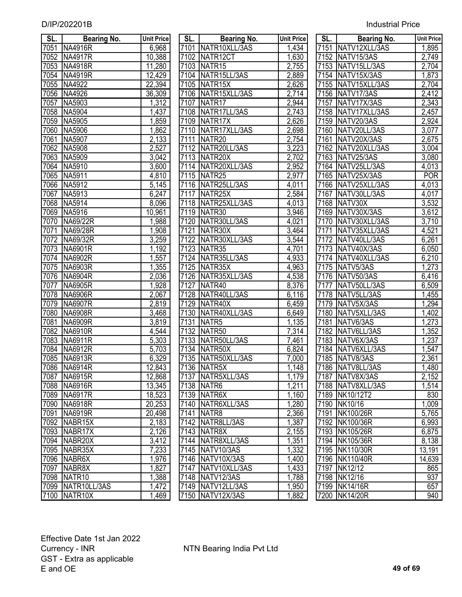| <b>Industrial Price</b> |  |
|-------------------------|--|
|                         |  |

| SL.          | <b>Bearing No.</b>   | <b>Unit Price</b> | SL.  | <b>Bearing No.</b>   | <b>Unit Price</b>  | SL.  | <b>Bearing No.</b> | <b>Unit Price</b> |
|--------------|----------------------|-------------------|------|----------------------|--------------------|------|--------------------|-------------------|
| 7051         | <b>NA4916R</b>       | 6,968             |      | 7101 NATR10XLL/3AS   | 1,434              | 7151 | NATV12XLL/3AS      | 1,895             |
| 7052         | NA4917R              | 10,388            | 7102 | NATR12CT             | 1,630              | 7152 | NATV15/3AS         | 2,749             |
| 7053         | <b>NA4918R</b>       | 11,280            | 7103 | NATR <sub>15</sub>   | 2,755              | 7153 | NATV15LL/3AS       | 2,704             |
| 7054         | <b>NA4919R</b>       | 12,429            | 7104 | NATR15LL/3AS         | 2,889              | 7154 | NATV15X/3AS        | 1,873             |
|              | NA4922               | 22,394            | 7105 | NATR <sub>15</sub> X | 2,626              | 7155 |                    |                   |
| 7055<br>7056 | NA4926               |                   | 7106 | NATR15XLL/3AS        | $\overline{2,714}$ | 7156 | NATV15XLL/3AS      | $\sqrt{2,704}$    |
| 7057         | NA5903               | 36,309            | 7107 |                      |                    | 7157 | NATV17/3AS         | 2,412             |
|              |                      | 1,312             |      | NATR <sub>17</sub>   | 2,944              |      | NATV17X/3AS        | 2,343             |
| 7058         | NA5904               | 1,437             | 7108 | NATR17LL/3AS         | 2,743              | 7158 | NATV17XLL/3AS      | 2,457             |
| 7059         | <b>NA5905</b>        | 1,859             | 7109 | NATR <sub>17X</sub>  | 2,626              | 7159 | NATV20/3AS         | 2,924             |
| 7060         | <b>NA5906</b>        | 1,862             | 7110 | NATR17XLL/3AS        | 2,698              | 7160 | NATV20LL/3AS       | 3,077             |
| 7061         | NA5907               | 2,133             | 7111 | NATR <sub>20</sub>   | 2,754              | 7161 | NATV20X/3AS        | 2,675             |
| 7062         | NA5908               | 2,527             | 7112 | NATR20LL/3AS         | 3,223              |      | 7162 NATV20XLL/3AS | 3,004             |
| 7063         | <b>NA5909</b>        | 3,042             | 7113 | NATR20X              | 2,702              |      | 7163 NATV25/3AS    | 3,080             |
| 7064         | NA5910               | 3,600             | 7114 | NATR20XLL/3AS        | 2,952              |      | 7164 NATV25LL/3AS  | 4,013             |
| 7065         | NA5911               | 4,810             | 7115 | NATR <sub>25</sub>   | 2,977              |      | 7165 NATV25X/3AS   | <b>POR</b>        |
| 7066         | NA5912               | 5,145             | 7116 | NATR25LL/3AS         | 4,011              |      | 7166 NATV25XLL/3AS | 4,013             |
| 7067         | NA5913               | 6,247             | 7117 | NATR25X              | 2,584              | 7167 | NATV30LL/3AS       | 4,017             |
| 7068         | NA5914               | 8,096             | 7118 | NATR25XLL/3AS        | 4,013              |      | 7168 NATV30X       | 3,532             |
| 7069         | NA5916               | 10,961            | 7119 | NATR30               | 3,946              |      | 7169 NATV30X/3AS   | 3,612             |
| 7070         | NA69/22R             | 1,988             | 7120 | NATR30LL/3AS         | 4,021              | 7170 | NATV30XLL/3AS      | 3,710             |
| 7071         | NA69/28R             | 1,908             | 7121 | NATR30X              | $\overline{3,}464$ | 7171 | NATV35XLL/3AS      | 4,521             |
| 7072         | NA69/32R             | 3,259             | 7122 | NATR30XLL/3AS        | 3,544              | 7172 | NATV40LL/3AS       | 6,261             |
| 7073         | NA6901R              | 1,192             | 7123 | NATR <sub>35</sub>   | 4,701              |      | 7173 NATV40X/3AS   | 6,050             |
| 7074         | <b>NA6902R</b>       | 1,557             | 7124 | NATR35LL/3AS         | 4,933              |      | 7174 NATV40XLL/3AS | 6,210             |
| 7075         | <b>NA6903R</b>       | 1,355             | 7125 | NATR35X              | 4,963              |      | 7175 NATV5/3AS     | 1,273             |
| 7076         | <b>NA6904R</b>       | 2,036             |      | 7126 NATR35XLL/3AS   | 4,538              |      | 7176 NATV50/3AS    | 6,416             |
| 7077         | <b>NA6905R</b>       | 1,928             | 7127 | NATR40               | 8,376              | 7177 | NATV50LL/3AS       | 6,509             |
| 7078         | <b>NA6906R</b>       | 2,067             | 7128 | NATR40LL/3AS         | 6,116              | 7178 | NATV5LL/3AS        | $\overline{455}$  |
| 7079         | <b>NA6907R</b>       | 2,819             | 7129 | NATR40X              | 6,459              | 7179 | NATV5X/3AS         | ,294              |
| 7080         | <b>NA6908R</b>       | 3,468             | 7130 | NATR40XLL/3AS        | 6,649              | 7180 | NATV5XLL/3AS       | 1,402             |
| 7081         | <b>NA6909R</b>       | 3,819             | 7131 | NATR <sub>5</sub>    | 1,135              | 7181 | NATV6/3AS          | 1,273             |
| 7082         | <b>NA6910R</b>       | 4,544             | 7132 | NATR <sub>50</sub>   | 7,314              | 7182 | NATV6LL/3AS        | 1,352             |
| 7083         | NA6911R              | 5,303             | 7133 | NATR50LL/3AS         | 7,461              | 7183 | NATV6X/3AS         | 1,237             |
| 7084         | <b>NA6912R</b>       | 5,703             | 7134 | NATR50X              | 6,824              | 7184 | NATV6XLL/3AS       | 1,547             |
| 7085         | NA6913R              | 6,329             | 7135 | NATR50XLL/3AS        | 7,000              | 7185 | NATV8/3AS          | 2,361             |
|              | 7086 NA6914R         | 12,843            |      | 7136 NATR5X          | 1,148              |      | 7186 NATV8LL/3AS   | 1,480             |
| 7087         | NA6915R              | 12,868            |      | 7137   NATR5XLL/3AS  | 1,179              |      | 7187 NATV8X/3AS    | 2,152             |
| 7088         | <b>NA6916R</b>       | 13,345            |      | 7138 NATR6           | 1,211              |      | 7188 NATV8XLL/3AS  | 1,514             |
| 7089         | <b>NA6917R</b>       | 18,523            |      | <b>7139 NATR6X</b>   | 1,160              |      | 7189 NK10/12T2     | 830               |
| 7090         | <b>NA6918R</b>       | 20,253            |      | 7140 NATR6XLL/3AS    | 1,280              |      | 7190 NK10/16       | 1,009             |
| 7091         | <b>NA6919R</b>       | 20,498            |      | 7141 NATR8           | 2,366              |      | 7191 NK100/26R     | 5,765             |
| 7092         | NABR15X              | 2,183             |      | 7142 NATR8LL/3AS     | 1,387              |      | 7192 NK100/36R     | 6,993             |
| 7093         | NABR <sub>17</sub> X | 2,126             |      | 7143 NATR8X          | 2,155              |      | 7193 NK105/26R     | 6,875             |
| 7094         | NABR <sub>20</sub> X | 3,412             |      | 7144 NATR8XLL/3AS    | 1,351              |      | 7194 NK105/36R     | 8,138             |
| 7095         | NABR35X              | 7,233             |      | 7145 NATV10/3AS      | 1,332              |      | 7195 NK110/30R     | 13,191            |
| 7096         | NABR6X               | 1,976             |      | 7146 NATV10X/3AS     | 1,400              |      | 7196 NK110/40R     | 14,639            |
| 7097         | NABR8X               | 1,827             |      | 7147 NATV10XLL/3AS   | 1,433              |      | 7197 NK12/12       | 865               |
| 7098         | NATR <sub>10</sub>   | 1,388             |      | 7148 NATV12/3AS      | 1,788              |      | 7198 NK12/16       | 937               |
|              | 7099 NATR10LL/3AS    | 1,472             |      | 7149 NATV12LL/3AS    | 1,950              |      | 7199 NK14/16R      | 657               |
|              | <b>7100 INATR10X</b> | 1.469             |      | 7150 NATV12X/3AS     | 1.882              |      | 7200 NK14/20R      | 940               |

| $\overline{\phantom{a}}$<br>SL. | Bearing No.                                                                                                                                                                          | <b>Unit Pric</b> |
|---------------------------------|--------------------------------------------------------------------------------------------------------------------------------------------------------------------------------------|------------------|
|                                 | 7101 NATR10XLL/3AS                                                                                                                                                                   | 1,434            |
| 7102                            | NATR12CT                                                                                                                                                                             | 1,630            |
| 7103                            | NATR <sub>15</sub>                                                                                                                                                                   | 2,755            |
| 7104                            | NATR15LL/3AS                                                                                                                                                                         | 2,889            |
|                                 | 7105 NATR15X                                                                                                                                                                         | 2,626            |
|                                 | 7106 NATR15XLL/3AS                                                                                                                                                                   | 2,71             |
|                                 | 7107 NATR17                                                                                                                                                                          | 2,944            |
|                                 | 7108 NATR17LL/3AS                                                                                                                                                                    | 2,743            |
|                                 | 7109 NATR17X                                                                                                                                                                         | 2,626            |
|                                 | 7110 NATR17XLL/3AS                                                                                                                                                                   | 2,698            |
|                                 | 7111 NATR20                                                                                                                                                                          | 2,754            |
|                                 | 7112 NATR20LL/3AS                                                                                                                                                                    | 3,223            |
|                                 | 7113 NATR20X                                                                                                                                                                         | 2,702            |
|                                 | 7114 NATR20XLL/3AS                                                                                                                                                                   | 2,952            |
|                                 | 7115 NATR25                                                                                                                                                                          | 2,977            |
|                                 | 7116 NATR25LL/3AS                                                                                                                                                                    | 4,011            |
|                                 | 7117 NATR25X                                                                                                                                                                         | 2,584            |
|                                 | 7118 NATR25XLL/3AS                                                                                                                                                                   | 4,013            |
|                                 | 7119 NATR30                                                                                                                                                                          | 3,946            |
|                                 |                                                                                                                                                                                      | $4,02^7$         |
|                                 | 7120 NATR30LL/3AS<br>7121 NATR30X                                                                                                                                                    | 3,464            |
|                                 | 7122 NATR30XLL/3AS                                                                                                                                                                   | 3,544            |
|                                 | 7123 NATR35                                                                                                                                                                          | $4,70^{\circ}$   |
|                                 | 7124 NATR35LL/3AS                                                                                                                                                                    | 4,933            |
|                                 |                                                                                                                                                                                      | 4,963            |
|                                 | 7125 NATR35X<br>7125 NATR35X<br>7126 NATR35XLL/3AS<br>7127 NATR40<br>7128 NATR40LL/3AS                                                                                               | 4,538            |
|                                 |                                                                                                                                                                                      | 8,376            |
|                                 |                                                                                                                                                                                      | 6,116            |
| 7129                            | NATR40X                                                                                                                                                                              | 6,459            |
|                                 | 7129   NATR40X<br>  7130   NATR40XLL/3AS<br>  7131   NATR5<br>  7132   NATR50<br>  7133   NATR50LL/3AS<br>  7135   NATR50XLL/3AS<br>  7135   NATR50XLL/3AS<br>  7135   NATR50XLL/3AS | 6,649            |
|                                 |                                                                                                                                                                                      | 1,135            |
|                                 |                                                                                                                                                                                      | 7,314            |
|                                 |                                                                                                                                                                                      | 7,461            |
|                                 |                                                                                                                                                                                      | 6,824            |
|                                 |                                                                                                                                                                                      | 7,000            |
|                                 |                                                                                                                                                                                      | 148<br>1.        |
| $\frac{7137}{2}$                | NATR5XLL/3AS                                                                                                                                                                         | <u>1,179</u>     |
| 7138                            | NATR6                                                                                                                                                                                | 1,211            |
| 7139                            | NATR6X                                                                                                                                                                               | 1,160            |
| 7140                            | NATR6XLL/3AS                                                                                                                                                                         | 1,280            |
| 7141                            | NATR8                                                                                                                                                                                | 2,366            |
| $71\overline{42}$               | NATR8LL/3AS                                                                                                                                                                          | <u>1,387</u>     |
| $71\overline{43}$               | NATR8X                                                                                                                                                                               | <u>2,155</u>     |
| 7144                            | NATR8XLL/3AS                                                                                                                                                                         | <u>1,351</u>     |
| 7145                            | NATV10/3AS                                                                                                                                                                           | 1,332            |
| 7146                            | NATV10X/3AS                                                                                                                                                                          | 1,400            |
| 7147                            | NATV10XLL/3AS                                                                                                                                                                        | 1,433            |
| 7148                            | NATV12/3AS                                                                                                                                                                           | 1,788            |
| 7149                            | NATV12LL/3AS                                                                                                                                                                         | 1,950            |
| 7150                            | NATV12X/3AS                                                                                                                                                                          | 1,882            |

| SL.  | <b>Bearing No.</b>               | <b>Unit Price</b>  | SL.  | <b>Bearing No.</b>                     | <b>Unit Price</b> | SL.               | <b>Bearing No.</b>           | <b>Unit Price</b>  |
|------|----------------------------------|--------------------|------|----------------------------------------|-------------------|-------------------|------------------------------|--------------------|
| 7051 | <b>NA4916R</b>                   | 6,968              |      | 7101 NATR10XLL/3AS                     | 1,434             | 7151              | NATV12XLL/3AS                | 1,895              |
| 7052 | <b>NA4917R</b>                   | 10,388             | 7102 | NATR12CT                               | 1,630             | 7152              | NATV15/3AS                   | 2,749              |
| 7053 | <b>NA4918R</b>                   | 11,280             | 7103 | NATR <sub>15</sub>                     | 2,755             | $\overline{7153}$ | NATV15LL/3AS                 | 2,704              |
| 7054 | <b>NA4919R</b>                   | 12,429             | 7104 | NATR15LL/3AS                           | 2,889             | 7154              | NATV15X/3AS                  | 1,873              |
| 7055 | NA4922                           | 22,394             |      | 7105 NATR15X                           | 2,626             | $\overline{7155}$ | NATV15XLL/3AS                | 2,704              |
| 7056 | NA4926                           | 36,309             |      | 7106 NATR15XLL/3AS                     | 2,714             | $\sqrt{7156}$     | NATV17/3AS                   | 2,412              |
| 7057 | NA5903                           | ,312               | 7107 | NATR <sub>17</sub>                     | 2,944             | 7157              | NATV17X/3AS                  | 2,343              |
| 7058 | <b>NA5904</b>                    | ,437               | 7108 | NATR17LL/3AS                           | 2,743             | 7158              | NATV17XLL/3AS                | 2,457              |
| 7059 | NA5905                           | ,859               | 7109 | NATR17X                                | 2,626             | 7159              | NATV20/3AS                   | 2,924              |
| 7060 | NA5906                           | 1,862              | 7110 | NATR17XLL/3AS                          | 2,698             | 7160              | NATV20LL/3AS                 | 3,077              |
| 7061 | NA5907                           | 2,133              | 7111 | NATR <sub>20</sub>                     | 2,754             | 7161              | NATV20X/3AS                  | 2,675              |
| 7062 | <b>NA5908</b>                    | 2,527              | 7112 | NATR20LL/3AS                           | 3,223             | 7162              | NATV20XLL/3AS                | 3,004              |
| 7063 | NA5909                           | 3,042              | 7113 | NATR <sub>20X</sub>                    | 2,702             | 7163              | NATV25/3AS                   | 3,080              |
| 7064 | NA5910                           | 3,600              | 7114 | NATR20XLL/3AS                          | 2,952             | 7164              | NATV25LL/3AS                 | 4,013              |
| 7065 | NA5911                           | 4,810              | 7115 | NATR <sub>25</sub>                     | 2,977             | $\frac{1}{7165}$  | NATV25X/3AS                  | <b>POR</b>         |
| 7066 | NA5912                           | 5,145              | 7116 | NATR25LL/3AS                           | 4,011             | 7166              | NATV25XLL/3AS                | 4,013              |
| 7067 | NA5913                           | 6,247              | 7117 | NATR <sub>25</sub> X                   | 2,584             | 7167              | NATV30LL/3AS                 | 4,017              |
| 7068 | NA5914                           | 8,096              | 7118 | NATR25XLL/3AS                          | 4,013             | 7168              | NATV30X                      | 3,532              |
| 7069 | NA5916                           | 10,961             | 7119 | NATR30                                 | 3,946             | 7169              | NATV30X/3AS                  | 3,612              |
| 7070 | NA69/22R                         | 1,988              | 7120 | NATR30LL/3AS                           | 4,021             | 7170              | NATV30XLL/3AS                | $\overline{3,710}$ |
| 7071 | NA69/28R                         | 1,908              | 7121 | NATR30X                                | 3,464             | 7171              | NATV35XLL/3AS                | 4,521              |
| 7072 | NA69/32R                         | 3,259              | 7122 | NATR30XLL/3AS                          | 3,544             | 7172              | NATV40LL/3AS                 | 6,261              |
| 7073 | NA6901R                          | 1,192              | 7123 | NATR <sub>35</sub>                     | 4,701             | 7173              | NATV40X/3AS                  | 6,050              |
| 7074 | <b>NA6902R</b>                   | 1,557              | 7124 | NATR35LL/3AS                           | 4,933             | 7174              | NATV40XLL/3AS                | 6,210              |
| 7075 | <b>NA6903R</b>                   | 1,355              | 7125 | NATR35X                                | 4,963             | 7175              | NATV5/3AS                    | 1,273              |
| 7076 | <b>NA6904R</b>                   | 2,036              | 7126 | NATR35XLL/3AS                          | 4,538             | 7176              | NATV50/3AS                   | 6,416              |
| 7077 | <b>NA6905R</b>                   | 1,928              | 7127 | NATR40                                 | 8,376             | 7177              | NATV50LL/3AS                 | 6,509              |
| 7078 | <b>NA6906R</b>                   | $\overline{2,067}$ | 7128 | NATR40LL/3AS                           | 6,116             | 7178              | NATV5LL/3AS                  | 1,455              |
| 7079 | <b>NA6907R</b>                   | 2,819              | 7129 | NATR40X                                | 6,459             | 7179              | NATV5X/3AS                   | 1,294              |
| 7080 | <b>NA6908R</b>                   | 3,468              | 7130 | NATR40XLL/3AS                          | 6,649             | 7180              | NATV5XLL/3AS                 | 1,402              |
| 7081 | <b>NA6909R</b>                   | 3,819              | 7131 | NATR <sub>5</sub>                      | 1,135             | 7181              | NATV6/3AS                    | 1,273              |
| 7082 | <b>NA6910R</b>                   | 4,544              | 7132 | NATR50                                 | 7,314             | 7182              | NATV6LL/3AS                  | ,352               |
| 7083 | NA6911R                          | 5,303              | 7133 | NATR50LL/3AS                           | 7,461             | 7183              | NATV6X/3AS                   | ,237               |
| 7084 | NA6912R                          | 5,703              | 7134 | NATR50X                                | 6,824             | 7184              | NATV6XLL/3AS                 | 1,547              |
| 7085 | NA6913R                          | 6,329              | 7135 | NATR50XLL/3AS                          | 7,000             | 7185              | NATV8/3AS                    | 2,361              |
|      | 7086 NA6914R                     | 12,843             |      | 7136 NATR5X                            | 1,148             |                   | 7186 NATV8LL/3AS             | 1,480              |
| 7087 | NA6915R                          | 12,868             |      | 7137 NATR5XLL/3AS                      | 1,179             |                   | 7187 NATV8X/3AS              | 2,152              |
|      | 7088 NA6916R                     | 13,345             |      | 7138 NATR6                             | 1,211             |                   | 7188 NATV8XLL/3AS            | 1,514              |
|      | 7089 NA6917R                     | 18,523             |      | 7139 NATR6X                            | 1,160             |                   | 7189 NK10/12T2               | 830                |
|      | 7090  NA6918R                    | 20,253             |      | 7140 NATR6XLL/3AS                      | 1,280             |                   | 7190 NK10/16                 | 1,009              |
| 7091 | NA6919R                          | 20,498             |      | 7141   NATR8                           | 2,366             |                   | 7191 NK100/26R               | 5,765              |
|      | 7092 NABR15X                     | 2,183              |      | 7142 NATR8LL/3AS                       | 1,387             |                   | 7192 NK100/36R               | 6,993              |
|      | 7093 NABR17X                     | 2,126              |      | 7143 NATR8X                            | 2,155             |                   | 7193 NK105/26R               | 6,875              |
|      | 7094 NABR20X                     | 3,412              |      | 7144   NATR8XLL/3AS                    | 1,351             |                   | 7194 NK105/36R               | 8,138<br>13,191    |
|      | 7095 NABR35X                     | 7,233              |      | 7145 NATV10/3AS                        | 1,332             |                   | 7195 NK110/30R               |                    |
|      | 7096 NABR6X                      | 1,976              |      | 7146 NATV10X/3AS<br>7147 NATV10XLL/3AS | 1,400             |                   | 7196 NK110/40R               | 14,639             |
| 7097 | NABR8X                           | 1,827              |      |                                        | 1,433             |                   | 7197 NK12/12<br>7198 NK12/16 | 865                |
|      | 7098 NATR10<br>7099 NATR10LL/3AS | 1,388<br>1,472     |      | 7148 NATV12/3AS<br>7149 NATV12LL/3AS   | 1,788<br>1,950    |                   | 7199 NK14/16R                | 937<br>657         |
|      | 7100 NATR10X                     | 1,469              |      | 7150 NATV12X/3AS                       | 1,882             |                   | 7200 NK14/20R                | 940                |
|      |                                  |                    |      |                                        |                   |                   |                              |                    |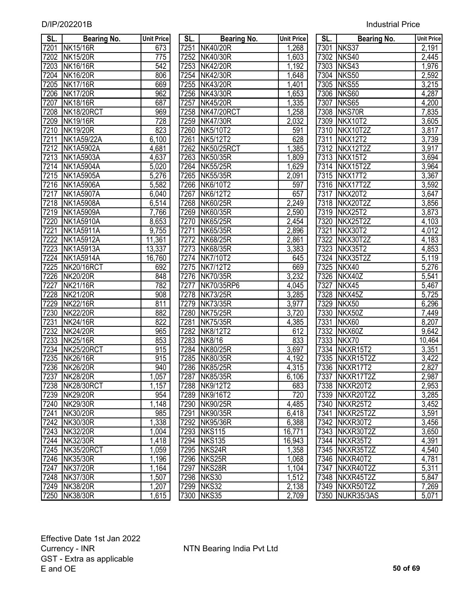| SL.               | <b>Bearing No.</b> | <b>Unit Price</b> | SL.  | <b>Bearing No.</b> | Unit Price | SL.  | <b>Bearing No.</b> | Unit Price         |
|-------------------|--------------------|-------------------|------|--------------------|------------|------|--------------------|--------------------|
| 7201              | <b>NK15/16R</b>    | 673               | 7251 | <b>NK40/20R</b>    | 1,268      |      | 7301 NKS37         | 2,191              |
| 7202              | <b>NK15/20R</b>    | 775               | 7252 | <b>NK40/30R</b>    | 1,603      |      | 7302 NKS40         | 2,445              |
| 7203              | <b>NK16/16R</b>    | 542               | 7253 | <b>NK42/20R</b>    | 1,192      |      | 7303 NKS43         | 1,976              |
| 7204              | <b>NK16/20R</b>    | 806               | 7254 | <b>NK42/30R</b>    | 1,648      |      | 7304 NKS50         | 2,592              |
| 7205              | <b>NK17/16R</b>    | 669               |      | 7255 NK43/20R      | 1,401      |      | 7305 NKS55         | 3,215              |
| 7206              | <b>NK17/20R</b>    | 962               | 7256 | <b>NK43/30R</b>    | 1,653      |      | 7306 NKS60         | 4,287              |
| 7207              | <b>NK18/16R</b>    | 687               | 7257 | <b>NK45/20R</b>    | 1,335      |      | 7307 NKS65         | 4,200              |
| 7208              | NK18/20RCT         | 969               |      | 7258 NK47/20RCT    | 1,258      |      | 7308 NKS70R        | 7,835              |
| 7209              | <b>NK19/16R</b>    | 728               | 7259 | <b>NK47/30R</b>    | 2,032      |      | 7309 NKX10T2       | 3,605              |
| 7210              | <b>NK19/20R</b>    | 823               | 7260 | NK5/10T2           | 591        |      | 7310 NKX10T2Z      | 3,817              |
| 7211              | <b>NK1A59/22A</b>  | 6,100             | 7261 | <b>NK5/12T2</b>    | 628        | 7311 | NKX12T2            | 3,739              |
| 7212              | <b>NK1A5902A</b>   | 4,681             | 7262 | <b>NK50/25RCT</b>  | 1,385      |      | 7312 NKX12T2Z      | 3,917              |
| 7213              | <b>NK1A5903A</b>   | 4,637             | 7263 | <b>NK50/35R</b>    | 1,809      |      | 7313 NKX15T2       | 3,694              |
| 7214              | <b>NK1A5904A</b>   | 5,020             | 7264 | <b>NK55/25R</b>    | 1,629      |      | 7314 NKX15T2Z      | 3,964              |
| 7215              | <b>NK1A5905A</b>   | 5,276             | 7265 | <b>NK55/35R</b>    | 2,091      |      | 7315 NKX17T2       | 3,367              |
| 7216              | <b>NK1A5906A</b>   | 5,582             |      | 7266 NK6/10T2      | 597        |      | 7316 NKX17T2Z      | 3,592              |
| 7217              | <b>NK1A5907A</b>   | 6,040             | 7267 | NK6/12T2           | 657        |      | 7317 NKX20T2       | 3,647              |
| 7218              | <b>NK1A5908A</b>   | 6,514             | 7268 | <b>NK60/25R</b>    | 2,249      |      | 7318 NKX20T2Z      | 3,856              |
| 7219              | <b>NK1A5909A</b>   | 7,766             | 7269 | NK60/35R           | 2,590      |      | 7319 NKX25T2       | 3,873              |
| 7220              | <b>NK1A5910A</b>   | 8,653             | 7270 | <b>NK65/25R</b>    | 2,454      |      | 7320 NKX25T2Z      | 4,103              |
| 7221              | <b>NK1A5911A</b>   | 9,755             | 7271 | <b>NK65/35R</b>    | 2,896      | 7321 | NKX30T2            | 4,012              |
| $7\overline{222}$ | <b>NK1A5912A</b>   | 11,361            | 7272 | <b>NK68/25R</b>    | 2,861      | 7322 | NKX30T2Z           | 4,183              |
| 7223              | <b>NK1A5913A</b>   | 13,337            | 7273 | NK68/35R           | 3,383      | 7323 | NKX35T2            | 4,853              |
| 7224              | <b>NK1A5914A</b>   | 16,760            | 7274 | NK7/10T2           | 645        | 7324 | NKX35T2Z           | 5,119              |
| 7225              | NK20/16RCT         | 692               | 7275 | <b>NK7/12T2</b>    | 669        | 7325 | NKX40              | 5,276              |
| 7226              | <b>NK20/20R</b>    | 848               | 7276 | <b>NK70/35R</b>    | 3,232      | 7326 | NKX40Z             | 5,541              |
| 7227              | <b>NK21/16R</b>    | 782               | 7277 | NK70/35RP6         | 4,045      | 7327 | NKX45              | 5,467              |
| 7228              | <b>NK21/20R</b>    | 908               | 7278 | <b>NK73/25R</b>    | 3,285      | 7328 | NKX45Z             | 5,725              |
| 7229              | <b>NK22/16R</b>    | 811               | 7279 | <b>NK73/35R</b>    | 3,977      | 7329 | NKX50              | 6,296              |
| 7230              | <b>NK22/20R</b>    | 882               | 7280 | <b>NK75/25R</b>    | 3,720      | 7330 | NKX50Z             | $\overline{7,}449$ |
| 7231              | <b>NK24/16R</b>    | 822               | 7281 | <b>NK75/35R</b>    | 4,385      | 7331 | NKX60              | 8,207              |
| 7232              | <b>NK24/20R</b>    | 965               | 7282 | <b>NK8/12T2</b>    | 612        | 7332 | NKX60Z             | 9,642              |
| 7233              | <b>NK25/16R</b>    | 853               | 7283 | <b>NK8/16</b>      | 833        | 7333 | NKX70              | 10,464             |
| 7234              | NK25/20RCT         | 915               | 7284 | <b>NK80/25R</b>    | 3,697      |      | 7334 NKXR15T2      | 3,351              |
| 7235              | <b>NK26/16R</b>    | 915               | 7285 | <b>NK80/35R</b>    | 4,192      |      | 7335 NKXR15T2Z     | 3,422              |
|                   | 7236 NK26/20R      | 940               |      | 7286 NK85/25R      | 4,315      |      | 7336 NKXR17T2      | 2.827              |
|                   | 7237 NK28/20R      | 1,057             |      | 7287 NK85/35R      | 6,106      |      | 7337   NKXR17T2Z   | 2,987              |
|                   | 7238 NK28/30RCT    | 1,157             |      | 7288 NK9/12T2      | 683        |      | 7338 NKXR20T2      | 2,953              |
|                   | 7239 NK29/20R      | 954               |      | 7289 NK9/16T2      | 720        |      | 7339 NKXR20T2Z     | 3,285              |
|                   | 7240 NK29/30R      | 1,148             |      | 7290 NK90/25R      | 4,485      |      | 7340 NKXR25T2      | 3,452              |
| 7241              | NK30/20R           | 985               |      | 7291 NK90/35R      | 6,418      |      | 7341 NKXR25T2Z     | 3,591              |
|                   | 7242 NK30/30R      | 1,338             |      | 7292 NK95/36R      | 6,388      |      | 7342 NKXR30T2      | 3,456              |
|                   | 7243 NK32/20R      | 1,004             |      | 7293 NKS115        | 16,771     |      | 7343 NKXR30T2Z     | 3,650              |
|                   | 7244 NK32/30R      | 1,418             |      | 7294 NKS135        | 16,943     |      | 7344 NKXR35T2      | 4,391              |
|                   | 7245 NK35/20RCT    | 1,059             |      | 7295 NKS24R        | 1,358      |      | 7345 NKXR35T2Z     | 4,540              |
|                   | 7246 NK35/30R      | 1,196             |      | 7296 NKS25R        | 1,068      |      | 7346 NKXR40T2      | 4,781              |
|                   | 7247 NK37/20R      | 1,164             |      | 7297 NKS28R        | 1,104      |      | 7347 NKXR40T2Z     | 5,311              |
|                   | 7248 NK37/30R      | 1,507             |      | 7298 NKS30         | 1,512      |      | 7348 NKXR45T2Z     | 5,847              |
|                   | 7249 NK38/20R      | 1,207             |      | 7299 NKS32         | 2,138      |      | 7349 NKXR50T2Z     | 7,269              |
|                   | 7250 NK38/30R      | 1.615             |      | 7300 NKS35         | 2.709      |      | 7350 NUKR35/3AS    | 5.071              |

| SL.              | <b>Bearing No.</b>                 | <b>Unit Price</b> | SL. I        | <b>Bearing No.</b>                 | <b>Unit Price</b> | SL. I | <b>Bearing No.</b>         | <b>Unit Pric</b>   |
|------------------|------------------------------------|-------------------|--------------|------------------------------------|-------------------|-------|----------------------------|--------------------|
| 7201             | <b>NK15/16R</b>                    | 673               | 7251         | <b>NK40/20R</b>                    | 1,268             |       | 7301 NKS37                 | 2,191              |
| 7202             | <b>NK15/20R</b>                    | $\overline{775}$  | 7252         | NK40/30R                           | 1,603             | 7302  | NKS40                      | 2,445              |
| 7203             | <b>NK16/16R</b>                    | 542               | 7253         | <b>NK42/20R</b>                    | 1,192             |       | 7303 NKS43                 | 1,976              |
| 7204             | <b>NK16/20R</b>                    | 806               | 7254         | <b>NK42/30R</b>                    | 1,648             | 7304  | NKS50                      | 2,592              |
| 7205             | <b>NK17/16R</b>                    | 669               | 7255         | <b>NK43/20R</b>                    | 1,401             |       | 7305 NKS55                 | 3,215              |
| 7206             | <b>NK17/20R</b>                    | 962               | 7256         | NK43/30R                           | 1,653             |       | 7306 NKS60                 | 4,287              |
| 7207             | <b>NK18/16R</b>                    | 687               | 7257         | <b>NK45/20R</b>                    | , 335             | 7307  | NKS65                      | 4,200              |
| 7208             | NK18/20RCT                         | 969               | 7258         | NK47/20RCT                         | 1,258             |       | 7308 NKS70R                | 7,835              |
| 7209             | <b>NK19/16R</b>                    | 728               | 7259         | <b>NK47/30R</b>                    | 2,032             |       | 7309 NKX10T2               | 3,605              |
| 7210             | <b>NK19/20R</b>                    | 823               | 7260         | NK5/10T2                           | 591               | 7310  | NKX10T2Z                   | 3,817              |
| $\frac{7211}{2}$ | <b>NK1A59/22A</b>                  | 6,100             | 7261         | <b>NK5/12T2</b>                    | 628               | 7311  | NKX12T2                    | 3,739              |
| 7212             | <b>NK1A5902A</b>                   | 4,681             | 7262         | NK50/25RCT                         | ,385              |       | 7312 NKX12T2Z              | 3,917              |
| 7213             | <b>NK1A5903A</b>                   | 4,637             | 7263         | <b>NK50/35R</b>                    | 1,809             |       | 7313 NKX15T2               | 3,694              |
| 7214             | <b>NK1A5904A</b>                   | 5,020             | 7264         | <b>NK55/25R</b>                    | 1,629             | 7314  | NKX15T2Z                   | 3,964              |
| 7215             | <b>NK1A5905A</b>                   | 5,276             | 7265         | <b>NK55/35R</b>                    | 2,091             | 7315  | NKX17T2                    | 3,367              |
| 7216             | <b>NK1A5906A</b>                   | 5,582             | 7266         | NK6/10T2                           | 597               |       | 7316 NKX17T2Z              | 3,592              |
| 7217             | <b>NK1A5907A</b>                   | 6,040             | 7267         | <b>NK6/12T2</b>                    | 657               | 7317  | NKX20T2                    | 3,647              |
| 7218             | <b>NK1A5908A</b>                   | 6,514             |              | 7268 NK60/25R                      | 2,249             |       | 7318 NKX20T2Z              | 3,856              |
| 7219             | <b>NK1A5909A</b>                   | 7,766             | 7269         | NK60/35R                           | 2,590             | 7319  | NKX25T2                    | 3,873              |
| 7220             | <b>NK1A5910A</b>                   | 8,653             | 7270         | <b>NK65/25R</b>                    | 2,454             | 7320  | NKX25T2Z                   | 4,103              |
| 7221             | <b>NK1A5911A</b>                   | 9,755             | 7271         | <b>NK65/35R</b>                    | 2,896             | 7321  | <b>NKX30T2</b>             | 4,012              |
| 7222             | <b>NK1A5912A</b>                   | 11,361            | 7272         | <b>NK68/25R</b>                    | 2,861             | 7322  | NKX30T2Z                   | 4,183              |
| 7223             | <b>NK1A5913A</b>                   | 13,337            | 7273         | <b>NK68/35R</b>                    | 3,383             | 7323  | NKX35T2                    |                    |
| 7224             | <b>NK1A5914A</b>                   | 16,760            | 7274         | NK7/10T2                           |                   | 7324  | NKX35T2Z                   | 4,853              |
| 7225             | <b>NK20/16RCT</b>                  | 692               | 7275         | <b>NK7/12T2</b>                    | 645<br>669        | 7325  | NKX40                      | 5,119<br>5,276     |
| 7226             | <b>NK20/20R</b>                    |                   | 7276         | <b>NK70/35R</b>                    | 3,232             | 7326  | NKX40Z                     |                    |
| 7227             | <b>NK21/16R</b>                    | 848<br>782        | 7277         | NK70/35RP6                         |                   | 7327  | NKX45                      | $\overline{5,541}$ |
| 7228             | <b>NK21/20R</b>                    | 908               | 7278         | <b>NK73/25R</b>                    | 4,045<br>3,285    | 7328  | NKX45Z                     | 5,467              |
| 7229             | <b>NK22/16R</b>                    | 811               | 7279         | <b>NK73/35R</b>                    | 3,977             | 7329  | NKX50                      | 5,725              |
|                  | <b>NK22/20R</b>                    | 882               | 7280         | <b>NK75/25R</b>                    | 3,720             | 7330  |                            | 6,296              |
| 7230<br>7231     |                                    | 822               | 7281         |                                    |                   | 7331  | NKX50Z                     | 7,449              |
| 7232             | <b>NK24/16R</b><br><b>NK24/20R</b> | 965               | 7282         | <b>NK75/35R</b><br><b>NK8/12T2</b> | 4,385<br>612      | 7332  | NKX60<br>NKX60Z            | 8,207              |
|                  |                                    | 853               | 7283         | <b>NK8/16</b>                      | 833               | 7333  |                            | 9,642              |
| 7233             | <b>NK25/16R</b>                    | 915               | 7284         | <b>NK80/25R</b>                    | 3,697             | 7334  | NKX70                      | 10,464             |
| 7234             | NK25/20RCT                         |                   |              |                                    |                   |       | NKXR15T2                   | 3,351              |
| 7235<br>7236     | <b>NK26/16R</b><br><b>NK26/20R</b> | 915<br>940        | 7285<br>7286 | NK80/35R<br><b>NK85/25R</b>        | 4,192<br>4,315    | 7335  | NKXR15T2Z<br>7336 NKXR17T2 | 3,422              |
|                  |                                    |                   |              |                                    |                   |       |                            | 2,827              |
| 7237             | NK28/20R<br>7238 NK28/30RCT        | 1,057             |              | 7287 NK85/35R                      | 6,106<br>683      |       | 7337   NKXR17T2Z           | 2,987              |
|                  |                                    | 1,157             |              | 7288 NK9/12T2                      |                   |       | 7338   NKXR20T2            | 2,953              |
|                  | 7239 NK29/20R                      | 954               |              | 7289 NK9/16T2                      | 720               |       | 7339   NKXR20T2Z           | 3,285              |
|                  | 7240 NK29/30R                      | 1,148             |              | 7290 NK90/25R                      | 4,485             |       | 7340 NKXR25T2              | 3,452              |
|                  | 7241 NK30/20R                      | 985               |              | 7291 NK90/35R                      | 6,418             |       | 7341 NKXR25T2Z             | 3,591              |
|                  | 7242 NK30/30R                      | 1,338             |              | 7292 NK95/36R                      | 6,388             |       | 7342 NKXR30T2              | 3,456              |
|                  | 7243 NK32/20R                      | 1,004             |              | 7293 NKS115                        | 16,771            |       | 7343 NKXR30T2Z             | 3,650              |
|                  | 7244 NK32/30R                      | 1,418             |              | 7294 NKS135                        | 16,943            |       | 7344 NKXR35T2              | 4,391              |
|                  | 7245 NK35/20RCT                    | 1,059             |              | 7295 NKS24R                        | 1,358             |       | 7345 NKXR35T2Z             | 4,540              |
|                  | 7246 NK35/30R                      | 1,196             |              | 7296 NKS25R                        | 1,068             |       | 7346 NKXR40T2              | 4,781              |
|                  | 7247 NK37/20R                      | 1,164             |              | 7297 NKS28R                        | 1,104             |       | 7347 NKXR40T2Z             | 5,311              |
|                  | 7248 NK37/30R                      | 1,507             |              | 7298 NKS30                         | 1,512             |       | 7348 NKXR45T2Z             | 5,847              |
|                  | 7249 NK38/20R                      | 1,207             |              | 7299 NKS32                         | 2,138             |       | 7349 NKXR50T2Z             | 7,269              |
|                  | 7250 NK38/30R                      | 1,615             |              | 7300 NKS35                         | 2,709             |       | 7350 NUKR35/3AS            | 5,071              |

| SL.         | <b>Bearing No.</b>                                                                                                                                                | <b>Unit Price</b>  |
|-------------|-------------------------------------------------------------------------------------------------------------------------------------------------------------------|--------------------|
|             | 7301 NKS37                                                                                                                                                        | 2,191              |
|             | 7302 NKS40                                                                                                                                                        | 2,445              |
|             | 7303 NKS43                                                                                                                                                        | 1,976              |
|             | 7304 NKS50                                                                                                                                                        | 2,592              |
|             | 7305 NKS55                                                                                                                                                        | 3,215              |
|             | 7306 NKS60                                                                                                                                                        | 4,287              |
|             | 7307 NKS65                                                                                                                                                        | 4,200              |
|             | 7308 NKS70R                                                                                                                                                       | 7,835              |
|             | 7309 NKX10T2                                                                                                                                                      | 3,605              |
|             | 7310 NKX10T2Z                                                                                                                                                     | 3,817              |
|             | 7311 NKX12T2                                                                                                                                                      | 3,739              |
|             | 7312 NKX12T2Z                                                                                                                                                     | 3,917              |
|             | 7313 NKX15T2                                                                                                                                                      | 3,694              |
|             | 7314 NKX15T2Z                                                                                                                                                     | 3,964              |
| 7315        | NKX17T2                                                                                                                                                           | 3,367              |
| 7316        | NKX17T2Z                                                                                                                                                          | 3,592              |
| 7317        | NKX20T2                                                                                                                                                           | 3,647              |
| <u>7318</u> | NKX20T2Z                                                                                                                                                          | 3,856              |
| 7319        | NKX25T2                                                                                                                                                           | 3,873              |
|             | <b>1919 NKX25T22</b><br><b>1920 NKX25T22</b><br><b>1922 NKX30T22</b><br><b>1922 NKX30T22</b><br><b>1924 NKX35T22</b><br><b>1924 NKX35T22</b><br><b>1925 NKX40</b> | 4,103              |
|             |                                                                                                                                                                   | 4,012              |
|             |                                                                                                                                                                   | 4,183              |
|             |                                                                                                                                                                   | 4,853              |
|             |                                                                                                                                                                   | 5,119              |
|             |                                                                                                                                                                   | 5,276              |
| 7326        | NKX40Z                                                                                                                                                            | 5,541              |
| 7327        | NKX45                                                                                                                                                             | 5,467              |
| 7328        | NKX45Z                                                                                                                                                            | 5,725              |
| 7329        | NKX50                                                                                                                                                             | 6,296              |
| 7330        | NKX50Z                                                                                                                                                            | 7,449              |
| 7331        | NKX60                                                                                                                                                             | 8,207              |
| 7332        | NKX60Z                                                                                                                                                            | 9,642              |
| 7333        | NKX70                                                                                                                                                             | 10,464             |
| 7334        | NKXR15T2                                                                                                                                                          | 3,351              |
| 7335        | NKXR15T2Z                                                                                                                                                         | $\overline{3,}422$ |
| 7336        | NKXR17T2                                                                                                                                                          | $\overline{2,827}$ |
| 7337        | NKXR17T2Z                                                                                                                                                         | 2,987              |
| 7338        | NKXR20T2                                                                                                                                                          | 2,953              |
| 7339        | NKXR20T2Z                                                                                                                                                         | 3,285              |
| 7340        | NKXR25T2                                                                                                                                                          | 3,452              |
| 7341        | NKXR25T2Z                                                                                                                                                         | 3,591              |
| 7342        | NKXR30T2                                                                                                                                                          | 3,456              |
| 7343        | NKXR30T2Z                                                                                                                                                         | 3,650              |
| 7344        | NKXR35T2                                                                                                                                                          | 4,391              |
| 7345        | NKXR35T2Z                                                                                                                                                         | 4,540              |
| 7346        | NKXR40T2                                                                                                                                                          | 4,781              |
| 7347        | NKXR40T2Z                                                                                                                                                         | <u>5,311</u>       |
| 7348        | NKXR45T2Z                                                                                                                                                         | 5,847              |
| 7349        | NKXR50T2Z                                                                                                                                                         | 7,269              |
| 7350        | NUKR35/3AS                                                                                                                                                        | 5,071              |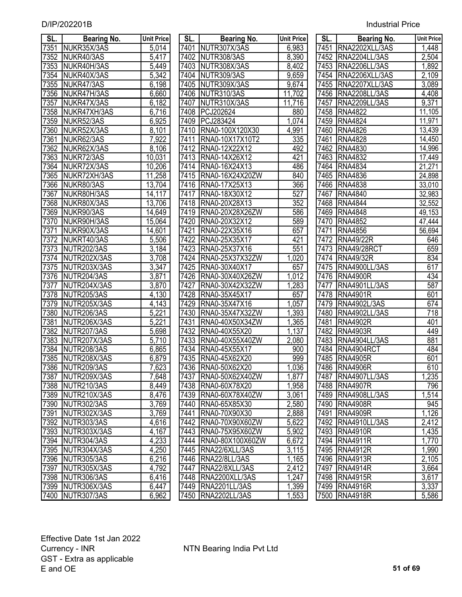| SL.  |                                   |                            | SL.  |                                    | <b>Unit Price</b> | SL.  |                                      | <b>Unit Price</b>  |
|------|-----------------------------------|----------------------------|------|------------------------------------|-------------------|------|--------------------------------------|--------------------|
| 7351 | <b>Bearing No.</b><br>NUKR35X/3AS | <b>Unit Price</b><br>5,014 | 7401 | <b>Bearing No.</b><br>NUTR307X/3AS |                   | 7451 | <b>Bearing No.</b><br>RNA2202XLL/3AS |                    |
| 7352 | NUKR40/3AS                        | 5,417                      | 7402 | NUTR308/3AS                        | 6,983<br>8,390    | 7452 | RNA2204LL/3AS                        | 1,448<br>2,504     |
| 7353 | NUKR40H/3AS                       | 5,449                      | 7403 | NUTR308X/3AS                       | 8,402             | 7453 | RNA2206LL/3AS                        | 1,892              |
| 7354 | NUKR40X/3AS                       | $\overline{5,342}$         | 7404 | NUTR309/3AS                        | 9,659             | 7454 | RNA2206XLL/3AS                       | 2,109              |
| 7355 | NUKR47/3AS                        | 6,198                      | 7405 | NUTR309X/3AS                       | 9,674             | 7455 | RNA2207XLL/3AS                       | 3,089              |
| 7356 | NUKR47H/3AS                       | 6,660                      | 7406 | NUTR310/3AS                        | 11,702            | 7456 | RNA2208LL/3AS                        | 4,408              |
| 7357 | NUKR47X/3AS                       | 6,182                      | 7407 | NUTR310X/3AS                       | 11,716            | 7457 | RNA2209LL/3AS                        | 9,371              |
| 7358 | NUKR47XH/3AS                      | 6,716                      | 7408 | PCJ202624                          | 880               | 7458 | <b>RNA4822</b>                       | 11,105             |
| 7359 | NUKR52/3AS                        | 6,925                      | 7409 | PCJ283424                          | 1,074             | 7459 | <b>RNA4824</b>                       | 11,971             |
| 7360 | NUKR52X/3AS                       | $\overline{8,}101$         | 7410 | RNA0-100X120X30                    | 4,991             | 7460 | <b>RNA4826</b>                       | 13,439             |
| 7361 | NUKR62/3AS                        | 7,922                      | 7411 | RNA0-10X17X10T2                    | 335               | 7461 | <b>RNA4828</b>                       | 14,450             |
| 7362 | NUKR62X/3AS                       | 8,106                      | 7412 | RNA0-12X22X12                      | 492               | 7462 | <b>RNA4830</b>                       | 14,996             |
| 7363 | NUKR72/3AS                        | 10,031                     | 7413 | RNA0-14X26X12                      | 421               | 7463 | <b>RNA4832</b>                       | 17,449             |
| 7364 | NUKR72X/3AS                       | 10,206                     | 7414 | RNA0-16X24X13                      | 486               | 7464 | <b>RNA4834</b>                       | 21,271             |
| 7365 | NUKR72XH/3AS                      | 11,258                     | 7415 | RNA0-16X24X20ZW                    | 840               | 7465 | <b>RNA4836</b>                       | 24,898             |
| 7366 | NUKR80/3AS                        | 13,704                     | 7416 | RNA0-17X25X13                      | 366               | 7466 | <b>RNA4838</b>                       | 33,010             |
| 7367 | NUKR80H/3AS                       | 117<br>14,                 | 7417 | RNA0-18X30X12                      | 527               | 7467 | <b>RNA4840</b>                       | 32,983             |
| 7368 | NUKR80X/3AS                       | 13,706                     | 7418 | RNA0-20X28X13                      | 352               | 7468 | <b>RNA4844</b>                       | 32,552             |
| 7369 | NUKR90/3AS                        | 14,649                     | 7419 | RNA0-20X28X26ZW                    | 586               | 7469 | <b>RNA4848</b>                       | 49,153             |
| 7370 | NUKR90H/3AS                       | 15,064                     | 7420 | RNA0-20X32X12                      | 589               | 7470 | <b>RNA4852</b>                       | 47,444             |
| 7371 | NUKR90X/3AS                       | 14,601                     | 7421 | RNA0-22X35X16                      | 657               | 7471 | <b>RNA4856</b>                       | 56,694             |
| 7372 | NUKRT40/3AS                       | 5,506                      | 7422 | RNA0-25X35X17                      | 421               | 7472 | <b>RNA49/22R</b>                     | 646                |
| 7373 | NUTR202/3AS                       | $\overline{3,}184$         | 7423 | RNA0-25X37X16                      | 551               | 7473 | RNA49/28RCT                          | 659                |
| 7374 | NUTR202X/3AS                      | 3,708                      | 7424 | RNA0-25X37X32ZW                    | ,020              | 7474 | <b>RNA49/32R</b>                     | 834                |
| 7375 | NUTR203X/3AS                      | 3,347                      | 7425 | RNA0-30X40X17                      | 657               | 7475 | RNA4900LL/3AS                        | 617                |
| 7376 | NUTR204/3AS                       | 3,871                      | 7426 | RNA0-30X40X26ZW                    | 1,012             | 7476 | <b>RNA4900R</b>                      | 434                |
| 7377 | NUTR204X/3AS                      | 3,870                      | 7427 | RNA0-30X42X32ZW                    | 1,283             | 7477 | RNA4901LL/3AS                        | 587                |
| 7378 | NUTR205/3AS                       | 4,130                      | 7428 | RNA0-35X45X17                      | 657               | 7478 | <b>RNA4901R</b>                      | 601                |
| 7379 | NUTR205X/3AS                      | 4,143                      | 7429 | RNA0-35X47X16                      | 1,057             | 7479 | RNA4902L/3AS                         | 674                |
| 7380 | NUTR206/3AS                       | 5,221                      | 7430 | RNA0-35X47X32ZW                    | 1,393             | 7480 | RNA4902LL/3AS                        | 718                |
| 7381 | NUTR206X/3AS                      | 5,221                      | 7431 | RNA0-40X50X34ZW                    | 1,365             | 7481 | <b>RNA4902R</b>                      | 401                |
| 7382 | NUTR207/3AS                       | $\overline{5,698}$         | 7432 | RNA0-40X55X20                      | 1,137             | 7482 | <b>RNA4903R</b>                      | 449                |
| 7383 | NUTR207X/3AS                      | $\overline{5,710}$         | 7433 | RNA0-40X55X40ZW                    | 2,080             | 7483 | RNA4904LL/3AS                        | 881                |
| 7384 | NUTR208/3AS                       | 6,865                      | 7434 | RNA0-45X55X17                      | 900               | 7484 | RNA4904RCT                           | 484                |
| 7385 | NUTR208X/3AS                      | 6,879                      | 7435 | RNA0-45X62X20                      | 999               | 7485 | <b>RNA4905R</b>                      | 601                |
|      | 7386 NUTR209/3AS                  | 7,623                      |      | 7436 RNA0-50X62X20                 | 1,036             |      | 7486 RNA4906R                        | 610                |
|      | 7387 NUTR209X/3AS                 | 7,648                      |      | 7437 RNA0-50X62X40ZW               | 1,877             |      | 7487   RNA4907LL/3AS                 | 1,235              |
|      | 7388 NUTR210/3AS                  | 8,449                      |      | 7438 RNA0-60X78X20                 | 1,958             |      | 7488 RNA4907R                        | 796                |
|      | 7389 NUTR210X/3AS                 | 8,476                      |      | 7439 RNA0-60X78X40ZW               | 3,061             |      | 7489 RNA4908LL/3AS                   | 1,514              |
|      | 7390 NUTR302/3AS                  | 3,769                      |      | 7440 RNA0-65X85X30                 | 2,580             |      | 7490 RNA4908R                        | 945                |
|      | 7391 NUTR302X/3AS                 | 3,769                      |      | 7441 RNA0-70X90X30                 | 2,888             |      | 7491 RNA4909R                        | 1,126              |
|      | 7392 NUTR303/3AS                  | 4,616                      |      | 7442 RNA0-70X90X60ZW               | 5,622             |      | 7492 RNA4910LL/3AS                   | 2,412              |
|      | 7393 NUTR303X/3AS                 | 4,167                      |      | 7443   RNA0-75X95X60ZW             | 5,902             |      | 7493 RNA4910R                        | 1,435              |
|      | 7394 NUTR304/3AS                  | 4,233                      |      | 7444   RNA0-80X100X60ZW            | 6,672             |      | 7494 RNA4911R                        | 1,770              |
|      | 7395 NUTR304X/3AS                 | 4,250                      |      | 7445 RNA22/6XLL/3AS                | 3,115             |      | 7495 RNA4912R                        | 1,990              |
|      | 7396 NUTR305/3AS                  | 6,216                      |      | 7446 RNA22/8LL/3AS                 | 1,165             |      | 7496 RNA4913R                        | $\overline{2,}105$ |
|      | 7397 NUTR305X/3AS                 | 4,792                      |      | 7447   RNA22/8XLL/3AS              | 2,412             |      | 7497   RNA4914R                      | 3,664              |
|      | 7398 NUTR306/3AS                  | 6,416                      |      | 7448 RNA2200XLL/3AS                | 1,247             |      | 7498 RNA4915R                        | 3,617              |
|      | 7399 NUTR306X/3AS                 | 6,447                      |      | 7449 RNA2201LL/3AS                 | 1,399             |      | 7499 RNA4916R                        | 3,337              |
|      | 7400 NUTR307/3AS                  | 6,962                      |      | 7450   RNA2202LL/3AS               | 1,553             |      | 7500 RNA4918R                        | 5,586              |

| SL.               | Bearing No.        | Unit Pric          |
|-------------------|--------------------|--------------------|
| 7401              | NUTR307X/3AS       | 6,983              |
| 7402              | NUTR308/3AS        | 8,390              |
| 7403              | NUTR308X/3AS       | 8,402              |
| 7404              | NUTR309/3AS        | $\overline{9,659}$ |
| 7405              | NUTR309X/3AS       | 9,674              |
| 7406              | NUTR310/3AS        | 11,702             |
| 7407              | NUTR310X/3AS       | 11,716             |
| 7408              | PCJ202624          | 880                |
| 7409              | PCJ283424          | $\overline{1,074}$ |
| 7410              | RNA0-100X120X30    | 4,991              |
| 7411              | RNA0-10X17X10T2    | 335                |
|                   | 7412 RNA0-12X22X12 | 492                |
| 7413              | RNA0-14X26X12      | 421                |
| 7414              | RNA0-16X24X13      | 486                |
| $\overline{7415}$ | RNA0-16X24X20ZW    | 840                |
| 7416              | RNA0-17X25X13      | 366                |
| 7417              | RNA0-18X30X12      | 527                |
| 7418              | RNA0-20X28X13      | 352                |
| 7419              | RNA0-20X28X26ZW    | 586                |
| 7420              | RNA0-20X32X12      | 589                |
| 7421              | RNA0-22X35X16      | 657                |
| 7422              | RNA0-25X35X17      | 421                |
| 7423              | RNA0-25X37X16      | $\overline{551}$   |
| 7424              | RNA0-25X37X32ZW    | $\overline{1,020}$ |
| 7425              | RNA0-30X40X17      | 657                |
| 7426              | RNA0-30X40X26ZW    | $\overline{1,012}$ |
| 7427              | RNA0-30X42X32ZW    | 1,283              |
| 7428              | RNA0-35X45X17      | 657                |
| 7429              | RNA0-35X47X16      | 1,057              |
| 7430              | RNA0-35X47X32ZW    | 1,393              |
| 7431              | RNA0-40X50X34ZW    | 1,365              |
| 7432              | RNA0-40X55X20      | <u>1,137</u>       |
| 7433              | RNA0-40X55X40ZW    | 2,080              |
| 7434              | RNA0-45X55X17      | 900                |
| 7435              | RNA0-45X62X20      | 999                |
| 7436              | RNA0-50X62X20      | 1,036              |
| 7437              | RNA0-50X62X40ZW    | 1,877              |
| 7438              | RNA0-60X78X20      | 1,958              |
| 7439              | RNA0-60X78X40ZW    | 3,061              |
| 7440              | RNA0-65X85X30      | 2,580              |
| 7441              | RNA0-70X90X30      | 2,888              |
| 7442              | RNA0-70X90X60ZW    | 5,622              |
| 7443              | RNA0-75X95X60ZW    | 5,902              |
| 7444              | RNA0-80X100X60ZW   | 6,672              |
| 7445              | RNA22/6XLL/3AS     | 3,115              |
| 7446              | RNA22/8LL/3AS      | 1,165              |
| 7447              | RNA22/8XLL/3AS     | 2,412              |
| 7448              | RNA2200XLL/3AS     | 1,247              |
| 7449              | RNA2201LL/3AS      | 1,399              |
| 7450              | RNA2202LL/3AS      | 1,553              |

| sl.  | Bearing No.          | <b>Unit Price</b> |
|------|----------------------|-------------------|
| 7451 | RNA2202XLL/3AS       | 1,448             |
| 7452 | RNA2204LL/3AS        | 2,504             |
| 7453 | RNA2206LL/3AS        | 1,892             |
| 7454 | RNA2206XLL/3AS       | 2,109             |
| 7455 | RNA2207XLL/3AS       | 3,089             |
| 7456 | <b>RNA2208LL/3AS</b> | 4,408             |
| 7457 | RNA2209LL/3AS        | 9,371             |
| 7458 | <b>RNA4822</b>       | 11,105            |
| 7459 | <b>RNA4824</b>       | 11,971            |
|      | 7460 RNA4826         | 13,439            |
|      | 7461 RNA4828         | 14,450            |
|      | 7462 RNA4830         | 14,996            |
|      | 7463 RNA4832         | 17,449            |
|      | 7464 RNA4834         | 21,271            |
|      | 7465 RNA4836         | 24,898            |
| 7466 | <b>RNA4838</b>       | 33,010            |
| 7467 | <b>RNA4840</b>       | 32,983            |
| 7468 | <b>RNA4844</b>       | 32,552            |
| 7469 | <b>RNA4848</b>       | 49,153            |
| 7470 | <b>RNA4852</b>       | 47,444            |
| 7471 | <b>RNA4856</b>       | 56,694            |
|      | 7472 RNA49/22R       | 646               |
|      | 7473 RNA49/28RCT     | 659               |
| 7474 | <b>RNA49/32R</b>     | 834               |
|      | 7475 RNA4900LL/3AS   | 617               |
| 7476 | <b>RNA4900R</b>      | 434               |
| 7477 | RNA4901LL/3AS        | 587               |
| 7478 | RNA4901R             | 601               |
| 7479 | <b>RNA4902L/3AS</b>  | 674               |
| 7480 | RNA4902LL/3AS        | 718               |
| 7481 | <b>RNA4902R</b>      | 401               |
|      | 7482 RNA4903R        | 449               |
|      | 7483 RNA4904LL/3AS   | 881               |
|      | 7484 RNA4904RCT      | 484               |
|      | 7485  RNA4905R       | 601               |
| 7486 | <b>RNA4906R</b>      | 610               |
| 7487 | RNA4907LL/3AS        | 1,235             |
| 7488 | <b>RNA4907R</b>      | 796               |
| 7489 | RNA4908LL/3AS        | 1,514             |
| 7490 | <b>RNA4908R</b>      | 945               |
| 7491 | <b>RNA4909R</b>      | 1,126             |
| 7492 | RNA4910LL/3AS        | 2,412             |
| 7493 | <b>RNA4910R</b>      | 1,435             |
| 7494 | <b>RNA4911R</b>      | 1,770             |
| 7495 | <b>RNA4912R</b>      | 1,990             |
| 7496 | <b>RNA4913R</b>      | 2,105             |
| 7497 | <b>RNA4914R</b>      | 3,664             |
| 7498 | <b>RNA4915R</b>      | 3, <u>617</u>     |
| 7499 | <b>RNA4916R</b>      | 3,337             |
| 7500 | <b>RNA4918R</b>      | 5,586             |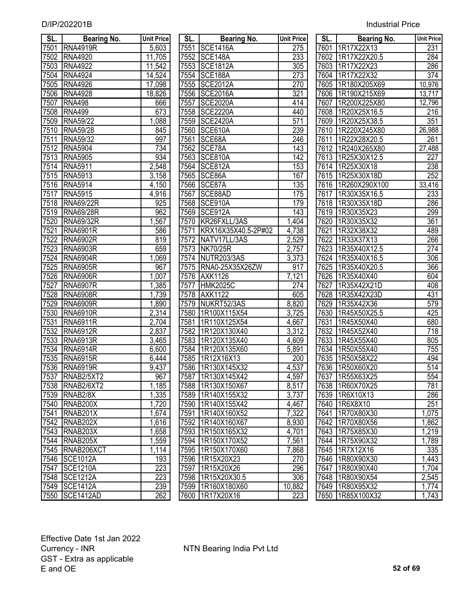| <b>Industrial Price</b> |
|-------------------------|
|-------------------------|

| SL.               | <b>Bearing No.</b>                  | <b>Unit Price</b>  | SL.  | Bearing No.          | <b>Unit Price</b> | SL.  | Bearing No.          | <b>Unit Price</b> |
|-------------------|-------------------------------------|--------------------|------|----------------------|-------------------|------|----------------------|-------------------|
| 7501              | <b>RNA4919R</b>                     | 5,603              |      | 7551 SCE1416A        | 275               |      | 7601 1R17X22X13      | 231               |
| 7502              | <b>RNA4920</b>                      | 11,705             |      | 7552 SCE148A         | 233               |      | 7602 1R17X22X20.5    | 284               |
| 7503              | <b>RNA4922</b>                      | 11,542             |      | 7553 SCE1812A        | 305               |      | 7603 1R17X22X23      | 286               |
| 7504              | <b>RNA4924</b>                      | 14,524             |      | 7554 SCE188A         | 273               |      | 7604 1R17X22X32      | 374               |
| 7505              | <b>RNA4926</b>                      | 17,098             |      | 7555 SCE2012A        | 270               |      | 7605   1R180X205X69  | 10,976            |
| 7506              | <b>RNA4928</b>                      | 18,826             |      | 7556 SCE2016A        | 321               |      | 7606 1R190X215X69    | 13,717            |
| 7507              | <b>RNA498</b>                       | 666                | 7557 | <b>SCE2020A</b>      | 414               | 7607 | 1R200X225X80         | 12,796            |
| 7508              | RNA499                              | 673                |      | 7558 SCE2220A        | 440               |      | 7608 1R20X25X16.5    | 216               |
| 7509              | <b>RNA59/22</b>                     | 1,088              | 7559 | <b>SCE2420A</b>      | 571               |      | 7609 1R20X25X38.5    | 351               |
| 7510              | <b>RNA59/28</b>                     | 845                | 7560 | SCE610A              | 239               |      | 7610 1R220X245X80    | 26,988            |
| 7511              | RNA59/32                            | 997                | 7561 | SCE68A               | 246               | 7611 | 1R22X28X20.5         | 261               |
| 7512              | <b>RNA5904</b>                      | 734                | 7562 | SCE78A               | 143               |      | 7612 1R240X265X80    | 27,488            |
| 7513              | <b>RNA5905</b>                      | 934                |      | 7563 SCE810A         | 142               |      | 7613 1R25X30X12.5    | $\overline{227}$  |
| 7514              | <b>RNA5911</b>                      | 2,548              |      | 7564 SCE812A         | 153               |      | 7614 1R25X30X18      | 238               |
| 7515              | <b>RNA5913</b>                      | 3,158              |      | 7565 SCE86A          | 167               |      | 7615   1R25X30X18D   | 252               |
| 7516              | <b>RNA5914</b>                      | 4,150              |      | 7566 SCE87A          | 135               |      | 7616   1R260X290X100 | 33,416            |
| 7517              | <b>RNA5915</b>                      | 4,916              | 7567 | SCE88AD              | 175               |      | 7617 1R30X35X16.5    | 233               |
| 7518              | <b>RNA69/22R</b>                    | 925                |      | 7568 SCE910A         | 179               |      | 7618 1R30X35X18D     | 286               |
| 7519              | <b>RNA69/28R</b>                    | 962                | 7569 | SCE912A              | 143               | 7619 | 1R30X35X23           | 299               |
| 7520              | <b>RNA69/32R</b>                    | 1,567              | 7570 | KR26FXLL/3AS         | 1,404             | 7620 | 1R30X35X32           | 361               |
| 7521              | <b>RNA6901R</b>                     | 586                | 7571 | KRX16X35X40.5-2P#02  | 4,738             | 7621 | 1R32X38X32           | 489               |
| $\overline{752}2$ | <b>RNA6902R</b>                     | 819                | 7572 | NATV17LL/3AS         | 2,529             | 7622 | 1R33X37X13           | 266               |
| 7523              | <b>RNA6903R</b>                     | 659                | 7573 | <b>NK70/25R</b>      | 2,757             | 7623 | 1R35X40X12.5         | 274               |
| 7524              | <b>RNA6904R</b>                     | 1,069              | 7574 | NUTR203/3AS          | 3,373             | 7624 | 1R35X40X16.5         | 306               |
| 7525              | <b>RNA6905R</b>                     | 967                |      | 7575 RNA0-25X35X26ZW | 917               | 7625 | 1R35X40X20.5         | 366               |
| 7526              | <b>RNA6906R</b>                     | 1<br>,007          | 7576 | <b>AXK1126</b>       | 7,121             | 7626 | 1R35X40X40           | 604               |
| 7527              | <b>RNA6907R</b>                     | ,385               | 7577 | <b>HMK2025C</b>      | 274               | 7627 | 1R35X42X21D          | 408               |
| 7528              | <b>RNA6908R</b>                     | 1,739              | 7578 | <b>AXK1122</b>       | 605               | 7628 | 1R35X42X23D          | 431               |
| 7529              | <b>RNA6909R</b>                     | 1,890              |      | 7579 NUKRT52/3AS     | 8,820             | 7629 | 1R35X42X36           | $\overline{579}$  |
| 7530              | <b>RNA6910R</b>                     | $\overline{2,314}$ | 7580 | 1R100X115X54         | 3,725             | 7630 | 1R45X50X25.5         | 425               |
| 7531              | <b>RNA6911R</b>                     | $\overline{2,704}$ | 7581 | 1R110X125X54         | 4,667             | 7631 | 1R45X50X40           | 680               |
| 7532              | <b>RNA6912R</b>                     | 2,837              | 7582 | 1R120X130X40         | 3,312             | 7632 | 1R45X52X40           | 718               |
| 7533              | <b>RNA6913R</b>                     | 3,465              | 7583 | 1R120X135X40         | 4,609             | 7633 | 1R45X55X40           | 805               |
| 7534              | <b>RNA6914R</b>                     | 6,600              | 7584 | 1R120X135X60         | 5,891             | 7634 | 1R50X55X40           | 755               |
| 7535              | <b>RNA6915R</b>                     | 6,444              | 7585 | 1R12X16X13           | 200               | 7635 | 1R50X58X22           | 494               |
|                   | 7536 RNA6919R                       | 9,437              |      | 7586 1R130X145X32    | 4,537             |      | 7636 1R50X60X20      | 514               |
| 7537              | RNAB <sub>2/5</sub> XT <sub>2</sub> | 967                | 7587 | 1R130X145X42         | 4,597             | 7637 | 1R55X63X25           | 554               |
| 7538              | RNAB <sub>2/6</sub> XT <sub>2</sub> | 1,185              | 7588 | 1R130X150X67         | 8,517             | 7638 | 1R60X70X25           | 781               |
| 7539              | RNAB <sub>2/8X</sub>                | 1,335              | 7589 | 1R140X155X32         | 3,737             | 7639 | 1R6X10X13            | 286               |
| 7540              | RNAB <sub>200</sub> X               | ,720               | 7590 | 1R140X155X42         | 4,467             | 7640 | 1R6X8X10             | 251               |
| 7541              | RNAB <sub>201X</sub>                | ,674               | 7591 | 1R140X160X52         | 7,322             | 7641 | 1R70X80X30           | 1,075             |
| 7542              | RNAB <sub>202X</sub>                | 1,616              | 7592 | 1R140X160X67         | 8,930             | 7642 | 1R70X80X56           | 1,862             |
| 7543              | RNAB <sub>203</sub> X               | 1,658              | 7593 | 1R150X165X32         | 4,701             | 7643 | 1R75X85X30           | 1,219             |
| 7544              | RNAB <sub>205</sub> X               | 1,559              |      | 7594   1R150X170X52  | 7,561             | 7644 | 1R75X90X32           | 1,789             |
| 7545              | RNAB206XCT                          | 1,114              | 7595 | 1R150X170X60         | 7,868             | 7645 | 1R7X12X16            | 335               |
| 7546              | <b>SCE1012A</b>                     | 193                |      | 7596 1R15X20X23      | 270               | 7646 | 1R80X90X30           | 1,443             |
| 7547              | <b>SCE1210A</b>                     | 223                | 7597 | 1R15X20X26           | 296               | 7647 | 1R80X90X40           | 1,704             |
| 7548              | <b>SCE1212A</b>                     | 223                |      | 7598 1R15X20X30.5    | 306               |      | 7648 1R80X90X54      | 2,545             |
| 7549              | <b>SCE1412A</b>                     | 239                |      | 7599 1R160X180X60    | 10,882            |      | 7649   1R80X95X32    | 1,774             |
|                   | 17550 ISCF1412AD                    | 262                |      | 7600 11R17X20X16     | 223               |      | 7650 L1R85X100X32    | 1 743             |

| SL.               | Bearing No.                         | <b>Unit Price</b>  | SL.  | <b>Bearing No.</b>  | <b>Unit Price</b> | SL.  | <b>Bearing No.</b> | <b>Unit Pric</b>    |
|-------------------|-------------------------------------|--------------------|------|---------------------|-------------------|------|--------------------|---------------------|
| 7501              | <b>RNA4919R</b>                     | 5,603              |      | 7551 SCE1416A       | 275               |      | 7601 1R17X22X13    | 231                 |
| 7502              | <b>RNA4920</b>                      | 11,705             |      | 7552 SCE148A        | 233               |      | 7602 1R17X22X20.5  | 284                 |
| 7503              | <b>RNA4922</b>                      | 11,542             |      | 7553 SCE1812A       | 305               |      | 7603 1R17X22X23    | 286                 |
| 7504              | <b>RNA4924</b>                      | 14,524             |      | 7554 SCE188A        | 273               |      | 7604 1R17X22X32    | $\overline{374}$    |
| 7505              | <b>RNA4926</b>                      | 17,098             | 7555 | <b>SCE2012A</b>     | 270               | 7605 | 1R180X205X69       | 10,976              |
| 7506              | <b>RNA4928</b>                      | 18,826             | 7556 | <b>SCE2016A</b>     | 321               | 7606 | 1R190X215X69       | 13,717              |
| 7507              | <b>RNA498</b>                       | 666                | 7557 | <b>SCE2020A</b>     | 414               | 7607 | 1R200X225X80       | 12,796              |
| 7508              | <b>RNA499</b>                       | 673                | 7558 | <b>SCE2220A</b>     | 440               |      | 7608 1R20X25X16.5  | 216                 |
| 7509              | <b>RNA59/22</b>                     | ,088               | 7559 | <b>SCE2420A</b>     | 571               | 7609 | 1R20X25X38.5       | 351                 |
| 7510              | <b>RNA59/28</b>                     | 845                | 7560 | SCE610A             | 239               | 7610 | 1R220X245X80       | $\overline{26,988}$ |
| 7511              | RNA59/32                            | 997                | 7561 | SCE68A              | 246               |      | 7611 1R22X28X20.5  | 261                 |
| 7512              | <b>RNA5904</b>                      | 734                |      | 7562 SCE78A         | 143               |      | 7612 1R240X265X80  | 27,488              |
| 7513              | <b>RNA5905</b>                      | 934                | 7563 | SCE810A             | 142               |      | 7613 1R25X30X12.5  | 227                 |
|                   | 7514 RNA5911                        | 2,548              |      | 7564 SCE812A        | 153               |      | 7614 1R25X30X18    | 238                 |
| 7515              | <b>RNA5913</b>                      | 3,158              |      | 7565 SCE86A         | 167               |      | 7615   1R25X30X18D | 252                 |
| 7516              | <b>RNA5914</b>                      | 4,150              |      | 7566 SCE87A         | 135               |      | 7616 1R260X290X100 | 33,416              |
| $751\overline{7}$ | <b>RNA5915</b>                      | 4,916              | 7567 | SCE88AD             | 175               | 7617 | 1R30X35X16.5       | 233                 |
| 7518              | <b>RNA69/22R</b>                    | 925                |      | 7568 SCE910A        | 179               |      | 7618   1R30X35X18D | 286                 |
| 7519              | <b>RNA69/28R</b>                    | 962                | 7569 | SCE912A             | 143               |      | 7619   1R30X35X23  | 299                 |
| 7520              | <b>RNA69/32R</b>                    | ,567               |      | 7570 KR26FXLL/3AS   | 1,404             |      | 7620 1R30X35X32    | 361                 |
| 7521              | <b>RNA6901R</b>                     | 586                | 7571 | KRX16X35X40.5-2P#02 | 4,738             | 7621 | 1R32X38X32         | 489                 |
| 7522              | <b>RNA6902R</b>                     | 819                |      | 7572 NATV17LL/3AS   | 2,529             |      | 7622 1R33X37X13    | 266                 |
| 7523              | RNA6903R                            | 659                |      | 7573 NK70/25R       | $\sqrt{2,757}$    |      | 7623 1R35X40X12.5  | 274                 |
| 7524              | <b>RNA6904R</b>                     | ,069               |      | 7574 NUTR203/3AS    | 3,373             |      | 7624 1R35X40X16.5  | 306                 |
| 7525              | RNA6905R                            | 967                | 7575 | RNA0-25X35X26ZW     | 917               |      | 7625 1R35X40X20.5  | 366                 |
| 7526              | <b>RNA6906R</b>                     | 1,007              |      | 7576 AXK1126        | 7,121             |      | 7626 1R35X40X40    | 604                 |
| 7527              | <b>RNA6907R</b>                     | ,385               | 7577 | <b>HMK2025C</b>     | 274               | 7627 | 1R35X42X21D        | 408                 |
| 7528              | <b>RNA6908R</b>                     | 1,739              |      | 7578 AXK1122        | 605               |      | 7628 1R35X42X23D   | 431                 |
| 7529              | <b>RNA6909R</b>                     | 1,890              | 7579 | NUKRT52/3AS         | 8,820             |      | 7629 1R35X42X36    | 579                 |
| 7530              | <b>RNA6910R</b>                     | 2,314              | 7580 | 1R100X115X54        | 3,725             | 7630 | 1R45X50X25.5       | 425                 |
| 7531              | <b>RNA6911R</b>                     | 2,704              | 7581 | 1R110X125X54        | 4,667             | 7631 | 1R45X50X40         | 680                 |
| 7532              | <b>RNA6912R</b>                     | 2,837              | 7582 | 1R120X130X40        | 3,312             | 7632 | 1R45X52X40         | $\overline{718}$    |
| 7533              | <b>RNA6913R</b>                     | $\overline{3,}465$ | 7583 | 1R120X135X40        | 4,609             |      | 7633   1R45X55X40  | 805                 |
| 7534              | <b>RNA6914R</b>                     | 6,600              | 7584 | 1R120X135X60        | 5,891             | 7634 | 1R50X55X40         | 755                 |
| 7535              | <b>RNA6915R</b>                     | 6,444              | 7585 | 1R12X16X13          | 200               |      | 7635   1R50X58X22  | 494                 |
|                   | 7536 RNA6919R                       | 9,437              |      | 7586 1R130X145X32   | 4,537             |      | 7636 1R50X60X20    | 514                 |
| 7537              | RNAB <sub>2</sub> /5XT <sub>2</sub> | 967                |      | 7587   1R130X145X42 | 4,597             |      | 7637   1R55X63X25  | 554                 |
| 7538              | RNAB2/6XT2                          | 1,185              |      | 7588 1R130X150X67   | 8,517             |      | 7638 1R60X70X25    | 781                 |
| 7539              | RNAB <sub>2/8X</sub>                | 1,335              |      | 7589 1R140X155X32   | 3,737             |      | 7639 1R6X10X13     | 286                 |
| 7540              | RNAB200X                            | 1,720              | 7590 | 1R140X155X42        | 4,467             | 7640 | 1R6X8X10           | 251                 |
| 7541              | RNAB201X                            | 1,674              | 7591 | 1R140X160X52        | 7,322             | 7641 | 1R70X80X30         | 1,075               |
| 7542              | RNAB <sub>202X</sub>                | 1,616              |      | 7592 1R140X160X67   | 8,930             |      | 7642 1R70X80X56    | 1,862               |
| 7543              | RNAB <sub>203</sub> X               | 1,658              | 7593 | 1R150X165X32        | 4,701             |      | 7643 1R75X85X30    | 1,219               |
| 7544              | RNAB205X                            | 1,559              | 7594 | 1R150X170X52        | 7,561             | 7644 | 1R75X90X32         | 1,789               |
| 7545              | RNAB206XCT                          | 1,114              | 7595 | 1R150X170X60        | 7,868             | 7645 | 1R7X12X16          | 335                 |
| 7546              | <b>SCE1012A</b>                     | 193                | 7596 | 1R15X20X23          | 270               |      | 7646 1R80X90X30    | 1,443               |
| 7547              | <b>SCE1210A</b>                     | 223                | 7597 | 1R15X20X26          | 296               |      | 7647 1R80X90X40    | 1,704               |
| 7548              | <b>SCE1212A</b>                     | 223                |      | 7598 1R15X20X30.5   | 306               |      | 7648   1R80X90X54  | 2,545               |
| 7549              | <b>SCE1412A</b>                     | 239                |      | 7599 1R160X180X60   | 10,882            |      | 7649 1R80X95X32    | 1,774               |
| 7550              | SCE1412AD                           | 262                |      | 7600 1R17X20X16     | 223               |      | 7650 1R85X100X32   | 1,743               |

| SL.              | <b>Bearing No.</b> | <b>Unit Price</b> |
|------------------|--------------------|-------------------|
| 7601             | 1R17X22X13         | 231               |
| 7602             | 1R17X22X20.5       | 284               |
| 7603             | 1R17X22X23         | 286               |
| 7604             | 1R17X22X32         | 374               |
| 7605             | 1R180X205X69       | 10,976            |
| 7606             | 1R190X215X69       | 13,717            |
| 7607             | 1R200X225X80       | 12,796            |
| 7608             | 1R20X25X16.5       | 216               |
| 7609             | 1R20X25X38.5       | $\overline{351}$  |
| 7610             | 1R220X245X80       | 26,988            |
| 7611             | 1R22X28X20.5       | 261               |
| 7612             | 1R240X265X80       | 27,488            |
| 7613             | 1R25X30X12.5       | 227               |
| 7614             | 1R25X30X18         | 238               |
| $\frac{1}{7615}$ | 1R25X30X18D        | $\overline{252}$  |
| 7616             | 1R260X290X100      | 33,416            |
| 7617             | 1R30X35X16.5       | 233               |
| 7618             | 1R30X35X18D        | 286               |
| $\frac{1}{7619}$ | 1R30X35X23         | 299               |
| 7620             | 1R30X35X32         | $\overline{361}$  |
| 7621             | 1R32X38X32         | 489               |
| 7622             | 1R33X37X13         | 266               |
| 7623             | 1R35X40X12.5       | 274               |
| 7624             | 1R35X40X16.5       | 306               |
| 7625             | 1R35X40X20.5       | 366               |
| 7626             | 1R35X40X40         | 604               |
| 7627             | 1R35X42X21D        | 408               |
| 7628             | 1R35X42X23D        | 431               |
| 7629             | 1R35X42X36         | 579               |
| 7630             | 1R45X50X25.5       | 425               |
| 7631             | 1R45X50X40         | 680               |
| 7632             | 1R45X52X40         | $\sqrt{718}$      |
| 7633             | 1R45X55X40         | 805               |
| 7634             | 1R50X55X40         | $\overline{755}$  |
| 7635             | 1R50X58X22         | 494               |
| 7636             | 1R50X60X20         | $\overline{514}$  |
| 7637             | 1R55X63X25         | 554               |
| 7638             | 1R60X70X25         | 781               |
| 7639             | 1R6X10X13          | 286               |
| 7640             | 1R6X8X10           | 251               |
| 7641             | 1R70X80X30         | 1,075             |
| 7642             | 1R70X80X56         | 1,862             |
| 7643             | 1R75X85X30         | <u>1,219</u>      |
| 7644             | 1R75X90X32         | 1,789             |
| 7645             | 1R7X12X16          | 335               |
| 7646             | 1R80X90X30         | 1,443             |
| 7647             | 1R80X90X40         | 1,704             |
| 7648             | 1R80X90X54         | 2,545             |
| 7649             | 1R80X95X32         | 1,774             |
| 7650             | 1R85X100X32        | 1,743             |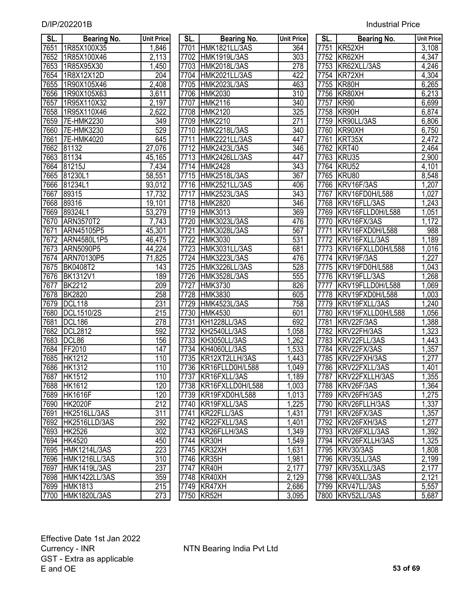| <b>Industrial Price</b> |  |
|-------------------------|--|
|                         |  |

| SL.  | <b>Bearing No.</b>  | <b>Unit Price</b> | SL.  | <b>Bearing No.</b>    | <b>Unit Price</b> | SL.  | <b>Bearing No.</b>  | <b>Unit Price</b> |
|------|---------------------|-------------------|------|-----------------------|-------------------|------|---------------------|-------------------|
| 7651 | 1R85X100X35         | 1,846             |      | 7701 HMK1821LL/3AS    | 364               |      | 7751 KR52XH         | 3,108             |
| 7652 | 1R85X100X46         | 2,113             |      | 7702 HMK1919L/3AS     | 303               |      | 7752 KR62XH         | 4,347             |
| 7653 | 1R85X95X30          | 1,450             |      | 7703 HMK2018L/3AS     | 278               |      | 7753 KR62XLL/3AS    | 4,246             |
| 7654 | 1R8X12X12D          | $\overline{204}$  |      | 7704 HMK2021LL/3AS    | 422               |      | 7754 KR72XH         | 4,304             |
| 7655 | 1R90X105X46         | 2,408             |      | 7705 HMK2023L/3AS     | 463               |      | 7755 KR80H          | 6,265             |
| 7656 | 1R90X105X63         | 3,611             |      | 7706 HMK2030          | 310               |      | 7756 KR80XH         | 6,213             |
| 7657 | 1R95X110X32         | 2,197             | 7707 | <b>HMK2116</b>        | 340               | 7757 | KR90                | 6,699             |
| 7658 | 1R95X110X46         | 2,622             | 7708 | <b>HMK2120</b>        | 325               |      | 7758 KR90H          | 6,874             |
| 7659 | 7E-HMK2230          | 349               | 7709 | <b>HMK2210</b>        | 271               |      | 7759 KR90LL/3AS     | 6,806             |
| 7660 | 7E-HMK3230          | 529               | 7710 | <b>HMK2218L/3AS</b>   | 340               |      | 7760 KR90XH         | 6,750             |
| 7661 | 7E-HMK4020          | 645               | 7711 | HMK2221LL/3AS         | 447               |      | 7761 KRT35X         | 2,472             |
| 7662 | 81132               | 27,076            | 7712 | <b>HMK2423L/3AS</b>   | 346               |      | 7762 KRT40          | 2,464             |
| 7663 | 81134               | 45,165            | 7713 | HMK2426LL/3AS         | 447               | 7763 | KRU35               | 2,900             |
| 7664 | 81215J              | 7,434             | 7714 | <b>HMK2428</b>        | 343               |      | 7764 KRU52          | 4,101             |
| 7665 | 81230L1             | 58,551            | 7715 | <b>HMK2518L/3AS</b>   | 367               |      | 7765 KRU80          | 8,548             |
| 7666 | 81234L1             | 93,012            | 7716 | HMK2521LL/3AS         | 406               |      | 7766 KRV16F/3AS     | 1,207             |
| 7667 | 89315               | 17,732            | 7717 | <b>HMK2523L/3AS</b>   | 343               | 7767 | KRV16FD0H/L588      | 1,027             |
| 7668 | 89316               | 19,101            | 7718 | <b>HMK2820</b>        | 346               | 7768 | KRV16FLL/3AS        | 1,243             |
| 7669 | 89324L1             | 53,279            | 7719 | <b>HMK3013</b>        | 369               | 7769 | KRV16FLLD0H/L588    | 1,051             |
| 7670 | <b>ARN3570T2</b>    | 7,743             | 7720 | <b>HMK3023L/3AS</b>   | 476               | 7770 | KRV16FX/3AS         | 1,172             |
| 7671 | ARN45105P5          | 45,301            | 7721 | <b>HMK3028L/3AS</b>   | 567               | 7771 | KRV16FXD0H/L588     | 988               |
| 7672 | ARN4580L1P5         | 46,475            | 7722 | <b>HMK3030</b>        | 531               | 7772 | KRV16FXLL/3AS       | 1,189             |
| 7673 | <b>ARN5090P5</b>    | 44,224            | 7723 | HMK3031LL/3AS         | 681               | 7773 | KRV16FXLLD0H/L588   | 1,016             |
| 7674 | ARN70130P5          | 71,825            | 7724 | HMK3223L/3AS          | 476               | 7774 | KRV19F/3AS          | 1,227             |
| 7675 | <b>BK0408T2</b>     | 143               | 7725 | HMK3226LL/3AS         | 528               | 7775 | KRV19FD0H/L588      | 1,043             |
| 7676 | <b>BK1312V1</b>     | 189               | 7726 | <b>HMK3528L/3AS</b>   | 555               | 7776 | KRV19FLL/3AS        | 1,268             |
| 7677 | <b>BK2212</b>       | 209               | 7727 | <b>HMK3730</b>        | 826               | 7777 | KRV19FLLD0H/L588    | 1,069             |
| 7678 | <b>BK2820</b>       | 258               | 7728 | <b>HMK3830</b>        | 605               | 7778 | KRV19FXD0H/L588     | 1,003             |
| 7679 | <b>DCL118</b>       | 231               | 7729 | <b>HMK4523L/3AS</b>   | 758               | 7779 | KRV19FXLL/3AS       | 1,240             |
| 7680 | DCL1510/2S          | $\overline{215}$  | 7730 | <b>HMK4530</b>        | 601               | 7780 | KRV19FXLLD0H/L588   | 1,056             |
| 7681 | <b>DCL186</b>       | 278               | 7731 | <b>KH1228LL/3AS</b>   | 692               | 7781 | KRV22F/3AS          | 1,388             |
| 7682 | <b>DCL2812</b>      | 592               | 7732 | KH2540LL/3AS          | 1,058             | 7782 | KRV22FH/3AS         | 1,323             |
| 7683 | DCL86               | 156               | 7733 | KH3050LL/3AS          | 1,262             | 7783 | KRV22FLL/3AS        | 1,443             |
| 7684 | FF2010              | 147               | 7734 | KH4060LL/3AS          | 1,533             | 7784 | KRV22FX/3AS         | 1,357             |
| 7685 | <b>HK1212</b>       | 110               | 7735 | KR12XT2LLH/3AS        | 1,443             | 7785 | KRV22FXH/3AS        | 1,277             |
|      | 7686 HK1312         | 110               |      | 7736 KR16FLLD0H/L588  | 1,049             |      | 7786 KRV22FXLL/3AS  | 1,401             |
| 7687 | <b>HK1512</b>       | 110               |      | 7737 KR16FXLL/3AS     | 1,189             |      | 7787 KRV22FXLLH/3AS | 1,355             |
| 7688 | <b>HK1612</b>       | 120               |      | 7738 KR16FXLLD0H/L588 | 1,003             |      | 7788 KRV26F/3AS     | 1,364             |
| 7689 | <b>HK1616F</b>      | 120               | 7739 | KR19FXD0H/L588        | 1,013             |      | 7789 KRV26FH/3AS    | 1,275             |
| 7690 | <b>HK2020F</b>      | 212               | 7740 | KR19FXLL/3AS          | 1,225             |      | 7790 KRV26FLLH/3AS  | 1,337             |
| 7691 | HK2516LL/3AS        | 311               |      | 7741 KR22FLL/3AS      | 1,431             |      | 7791 KRV26FX/3AS    | 1,357             |
| 7692 | HK2516LLD/3AS       | 292               |      | 7742 KR22FXLL/3AS     | ,401              |      | 7792 KRV26FXH/3AS   | 1,277             |
| 7693 | <b>HK2526</b>       | 302               |      | 7743 KR26FLLH/3AS     | ,349              |      | 7793 KRV26FXLL/3AS  | 1,392             |
| 7694 | <b>HK4520</b>       | 450               | 7744 | KR30H                 | ,549              |      | 7794 KRV26FXLLH/3AS | 1,325             |
| 7695 | HMK1214L/3AS        | 223               |      | 7745 KR32XH           | 1,631             |      | 7795 KRV30/3AS      | 1,808             |
| 7696 | HMK1216LL/3AS       | 310               |      | 7746 KR35H            | 1,981             |      | 7796 KRV35LL/3AS    | 2,199             |
| 7697 | HMK1419L/3AS        | 237               | 7747 | KR40H                 | 2,177             | 7797 | KRV35XLL/3AS        | 2,177             |
| 7698 | HMK1422LL/3AS       | 359               |      | 7748 KR40XH           | 2,129             |      | 7798 KRV40LL/3AS    | 2,121             |
| 7699 | <b>HMK1813</b>      | 215<br>273        |      | 7749 KR47XH           | 2,686             |      | 7799 KRV47LL/3AS    | 5,557             |
| 7700 | <b>HMK1820L/3AS</b> |                   |      | 7750 KR52H            | 3,095             |      | 7800 KRV52LL/3AS    | 5,687             |

| sl.               | <b>Bearing No.</b>  | <b>Unit Pric</b>      |
|-------------------|---------------------|-----------------------|
|                   | 7701 HMK1821LL/3AS  | 364                   |
|                   | 7702 HMK1919L/3AS   | 303                   |
| 7703              | HMK2018L/3AS        | 278                   |
| 7704              | HMK2021LL/3AS       | 422                   |
|                   | 7705 HMK2023L/3AS   | 463                   |
|                   | 7706 HMK2030        | $\overline{310}$      |
|                   | 7707 HMK2116        | 340                   |
|                   | 7708 HMK2120        | 325                   |
|                   | 7709 HMK2210        | 271                   |
|                   | 7710 HMK2218L/3AS   | 340                   |
|                   | 7711 HMK2221LL/3AS  | 447                   |
|                   | 7712 HMK2423L/3AS   | 346                   |
|                   | 7713 HMK2426LL/3AS  | 447                   |
|                   | 7714 HMK2428        | 343                   |
|                   | 7715 HMK2518L/3AS   | 367                   |
|                   | 7716 HMK2521LL/3AS  | 406                   |
|                   | 7717 HMK2523L/3AS   | 343                   |
|                   | 7718 HMK2820        | 346                   |
|                   | 7719 HMK3013        | 369                   |
|                   | 7720 HMK3023L/3AS   | 476                   |
|                   | 7721 HMK3028L/3AS   | $\overline{567}$      |
|                   | 7722 HMK3030        | 531                   |
|                   | 7723 HMK3031LL/3AS  | 681                   |
|                   | 7724 HMK3223L/3AS   | 476                   |
|                   | 7725 HMK3226LL/3AS  | 528                   |
|                   | 7726 HMK3528L/3AS   | 555                   |
|                   | 7727 HMK3730        | 826                   |
| 7728              | <b>HMK3830</b>      | 605                   |
| 7729              | <b>HMK4523L/3AS</b> | 758                   |
| 7730              | <b>HMK4530</b>      | 601                   |
| 7731              | KH1228LL/3AS        | 692                   |
| 7732              | <b>KH2540LL/3AS</b> | 1,058                 |
| 7733              | KH3050LL/3AS        |                       |
| 7734              | KH4060LL/3AS        | $\frac{1,262}{1,533}$ |
| 7735              | KR12XT2LLH/3AS      | 1,443                 |
| 7736              | KR16FLLD0H/L588     | 1,049                 |
| 7737              | KR16FXLL/3AS        | 1,189                 |
| 7738              | KR16FXLLD0H/L588    | 1,003                 |
| 7739              | KR19FXD0H/L588      |                       |
| 7740              | KR19FXLL/3AS        | 1,013<br>1,225        |
| 7741              | KR22FLL/3AS         |                       |
|                   |                     | <u>1,431</u>          |
| 7742              | KR22FXLL/3AS        | 1,401<br>1,349        |
| $77\overline{43}$ | KR26FLLH/3AS        |                       |
| 7744              | KR30H               | 1,549                 |
| 7745              | KR32XH              | 1,631                 |
| 7746              | KR35H               | 1,981                 |
| 7747              | KR40H               | 2,177                 |
| 7748              | KR40XH              | 2,129                 |
| 7749              | KR47XH              | 2,686                 |
| 7750              | KR52H               | 3,095                 |

| SL.               | Bearing No.                | <b>Unit Price</b>                              |
|-------------------|----------------------------|------------------------------------------------|
| 7751              | KR52XH                     | $\frac{3,108}{4,347}$<br>$\frac{4,246}{4,304}$ |
| $\overline{7752}$ | KR62XH                     |                                                |
| 7753              | KR62XLL/3AS                |                                                |
| 7754              | KR72XH                     |                                                |
| 7755              | KR80H                      | 6,265                                          |
| 7756              | KR80XH                     | 6,213                                          |
| 7757              | KR90                       | 6,699                                          |
| <u>7758</u>       | KR90H                      | 6,874                                          |
| 7759              | KR90LL/3AS                 | 6,806                                          |
| 7760              | KR90XH                     | 6,750                                          |
| 7761              | KRT35X                     | 2,472                                          |
| 7762              | KRT40                      | 2,464                                          |
| 7763              | KRU35                      | 2,900                                          |
| 7764              | KRU52                      | 4,101                                          |
| 7765              | KRU80                      | 8,548                                          |
| 7766              | KRV16F/3AS                 | 1,207                                          |
| 7767              | KRV16FD0H/L588             | 1,027                                          |
| 7768              | KRV16FLL/3AS               | 1,243                                          |
| 7769              | KRV16FLLD0H/L588           | 1,051                                          |
| 7770              | KRV16FX/3AS                | 1,172                                          |
| 7771              | KRV16FXD0H/L588            | 988                                            |
| 7772              | KRV16FXLL/3AS              | 1,189                                          |
| 7773              | KRV16FXLLD0H/L588          | $\overline{1,016}$                             |
| 7774              | KRV19F/3AS                 | 1,227                                          |
| 7775              | KRV19FD0H/L588             | 1,043                                          |
| 7776              | KRV19FLL/3AS               | 1,268                                          |
| 7777              | KRV19FLLD0H/L588           | 1,069                                          |
| 7778              | KRV19FXD0H/L588            | 1,003                                          |
| 7779              | KRV19FXLL/3AS              | 1,240                                          |
| 7780              | KRV19FXLLD0H/L588          | 1,056                                          |
| 7781              | KRV22F/3AS                 | 1,388                                          |
| 7782              | KRV22FH/3AS                | 1,323                                          |
| 7783              | KRV22FLL/3AS               | $\overline{1,}443$                             |
| 7784              | KRV22FX/3AS                | 1,357                                          |
| 7785              | KRV22FXH/3AS               | 1,277                                          |
| 7786              | KRV22FXLL/3AS              | 1,401                                          |
| 7787              | KRV22FXLLH/3AS             | 1,355                                          |
| 7788              | KRV26F/3AS                 | 1,364                                          |
| 7789              | KRV26FH/3AS                | 1,275                                          |
| 7790              | KRV26FLLH/3AS              | 1,337                                          |
| 7791              | KRV26FX/3AS                | 1,357                                          |
| 7792              | KRV26FXH/3AS               |                                                |
| 7793              | KRV26FXLL/3AS              | $\frac{1,277}{1,392}$                          |
| 7794              | KRV26FXLLH <sub>/3AS</sub> | 1,325                                          |
| 7795              | KRV30/3AS                  | 1,808                                          |
| 7796              | KRV35LL/3AS                | 2,199                                          |
| 7797              | KRV35XLL/3AS               | 2,177                                          |
| 7798              | KRV40LL/3AS                | 2,121                                          |
| 7799              | KRV47LL/3AS                | 5,557                                          |
| 7800              | KRV52LL/3AS                | 5,687                                          |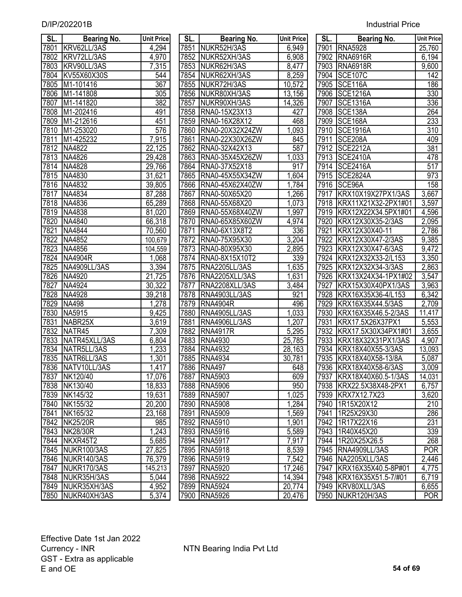| SL.  | Bearing No.          | <b>Unit Price</b>  | SL.  | <b>Bearing No.</b>   | <b>Unit Price</b> | SL.  | <b>Bearing No.</b>       | <b>Unit Price</b> |
|------|----------------------|--------------------|------|----------------------|-------------------|------|--------------------------|-------------------|
| 7801 | KRV62LL/3AS          | 4,294              | 7851 | NUKR52H/3AS          | 6,949             | 7901 | <b>RNA5928</b>           | 25,760            |
| 7802 | KRV72LL/3AS          | 4,970              | 7852 | NUKR52XH/3AS         | 6,908             | 7902 | <b>RNA6916R</b>          | 6,194             |
| 7803 | KRV90LL/3AS          | 7,315              | 7853 | NUKR62H/3AS          | 8,477             | 7903 | <b>RNA6918R</b>          | 9,600             |
| 7804 | KV55X60X30S          | 544                | 7854 | NUKR62XH/3AS         | 8,259             | 7904 | <b>SCE107C</b>           | 142               |
| 7805 | M1-101416            | 367                | 7855 | NUKR72H/3AS          | 10,572            | 7905 | SCE116A                  | 186               |
| 7806 | M1-141808            | 305                | 7856 | NUKR80XH/3AS         | 13,156            | 7906 | <b>SCE1216A</b>          | 330               |
| 7807 | M1-141820            | 382                | 7857 | NUKR90XH/3AS         | 14,326            | 7907 | <b>SCE1316A</b>          | 336               |
| 7808 | M1-202416            | 491                | 7858 | RNA0-15X23X13        | 427               | 7908 | SCE138A                  | 264               |
| 7809 | M1-212616            | 451                | 7859 | RNA0-16X28X12        | 468               | 7909 | SCE168A                  | 233               |
| 7810 | M1-253020            | 576                | 7860 | RNA0-20X32X24ZW      | 1,093             | 7910 | <b>SCE1916A</b>          | $\overline{310}$  |
| 7811 | M1-425232            | 7,915              | 7861 | RNA0-22X30X26ZW      | 845               | 7911 | SCE208A                  | 409               |
| 7812 | NA4822               | 22,125             | 7862 | RNA0-32X42X13        | 587               | 7912 | <b>SCE2212A</b>          | 381               |
| 7813 | NA4826               | 29,428             | 7863 | RNA0-35X45X26ZW      | 1,033             | 7913 | <b>SCE2410A</b>          | 478               |
| 7814 | NA4828               | 29,766             | 7864 | RNA0-37X52X18        | 917               | 7914 | <b>SCE2416A</b>          | 517               |
| 7815 | NA4830               | 31,621             | 7865 | RNA0-45X55X34ZW      | 1,604             | 7915 | <b>SCE2824A</b>          | 973               |
| 7816 | NA4832               | 39,805             | 7866 | RNA0-45X62X40ZW      | 1,784             | 7916 | SCE96A                   | 158               |
| 7817 | NA4834               | 87,288             | 7867 | RNA0-50X65X20        | 1,266             | 7917 | KRX10X19X27PX1/3AS       | 3,667             |
| 7818 | NA4836               | 65,289             | 7868 | RNA0-55X68X20        | 1,073             | 7918 | KRX11X21X32-2PX1#01      | 3,597             |
| 7819 | NA4838               | 81,020             | 7869 | RNA0-55X68X40ZW      | 1,997             | 7919 | KRX12X22X34.5PX1#01      | 4,596             |
| 7820 | NA4840               | 66,318             | 7870 | RNA0-65X85X60ZW      | 4,974             | 7920 | KRX12X30X35-2/3AS        | 2,095             |
| 7821 | NA4844               | 70,560             | 7871 | RNA0-6X13X8T2        | 336               | 7921 | KRX12X30X40-11           | 2,786             |
| 7822 | NA4852               | 100,679            | 7872 | RNA0-75X95X30        | 3,204             | 7922 | KRX12X30X47-2/3AS        | 9,385             |
| 7823 | NA4856               | 104,559            | 7873 | RNA0-80X95X30        | 2,895             | 7923 | KRX12X30X47-6/3AS        | 9,472             |
| 7824 | <b>NA4904R</b>       | ,068               | 7874 | RNA0-8X15X10T2       | 339               | 7924 | KRX12X32X33-2/L153       | 3,350             |
| 7825 | NA4909LL/3AS         | 3,394              | 7875 | RNA2205LL/3AS        | 1,635             | 7925 | KRX12X32X34-3/3AS        | 2,863             |
| 7826 | NA4920               | 21,725             | 7876 | RNA2205XLL/3AS       | 1,631             | 7926 | KRX13X24X34-1PX1#02      | 3,547             |
| 7827 | NA4924               | 30,322             | 7877 | RNA2208XLL/3AS       | 3,484             | 7927 | KRX15X30X40PX1/3AS       | 3,963             |
| 7828 | NA4928               | 39,218             | 7878 | RNA4903LL/3AS        | 921               | 7928 | KRX16X35X36-4/L153       | 6,342             |
| 7829 | <b>NA498</b>         | 1,278              | 7879 | <b>RNA4904R</b>      | 496               | 7929 | KRX16X35X44.5/3AS        | 2,709             |
| 7830 | NA5915               | 9,425              | 7880 | <b>RNA4905LL/3AS</b> | 1,033             | 7930 | KRX16X35X46.5-2/3AS      | 11,417            |
| 7831 | NABR <sub>25</sub> X | 3,619              | 7881 | RNA4906LL/3AS        | 1,207             | 7931 | KRX17.5X26X37PX1         | 5,553             |
| 7832 | NATR <sub>45</sub>   | 7,309              | 7882 | <b>RNA4917R</b>      | 5,295             | 7932 | KRX17.5X30X34PX1#01      | 3,655             |
| 7833 | NATR45XLL/3AS        | 6,804              | 7883 | <b>RNA4930</b>       | 25,785            | 7933 | KRX18X32X31PX1/3AS       | 4,907             |
| 7834 | NATR5LL/3AS          | 1,233              | 7884 | <b>RNA4932</b>       | 28,163            | 7934 | KRX18X40X55-3/3AS        | 13,093            |
| 7835 | NATR6LL/3AS          | 1,301              | 7885 | <b>RNA4934</b>       | 30,781            |      | 7935 KRX18X40X58-13/8A   | 5,087             |
|      | 7836 NATV10LL/3AS    | 1,417              |      | 7886 RNA497          | 648               |      | 7936 KRX18X40X58-6/3AS   | 3,009             |
|      | 7837 NK120/40        | 17,076             |      | 7887 RNA5903         | 609               |      | 7937 KRX18X40X60.5-1/3AS | 14,031            |
|      | 7838 NK130/40        | 18,833             |      | 7888 RNA5906         | 950               |      | 7938 KRX22.5X38X48-2PX1  | 6,757             |
|      | 7839 NK145/32        | 19,631             |      | 7889 RNA5907         | 1,025             |      | 7939 KRX7X12.7X23        | 3,620             |
|      | 7840 NK155/32        | 20,200             |      | 7890 RNA5908         | 1,284             |      | 7940 1R15X20X12          | 210               |
|      | 7841 NK165/32        | 23,168             |      | 7891 RNA5909         | 1,569             |      | 7941 1R25X29X30          | 286               |
|      | 7842 NK25/20R        | 985                |      | 7892 RNA5910         | 1,901             |      | 7942 1R17X22X16          | 231               |
|      | 7843 NK28/30R        | $\overline{1,}243$ |      | 7893 RNA5916         | 5,589             |      | 7943   1R40X45X20        | 339               |
|      | 7844 NKXR45T2        | 5,685              |      | 7894 RNA5917         | 7,917             |      | 7944 1R20X25X26.5        | 268               |
|      | 7845 NUKR100/3AS     | 27,825             |      | 7895 RNA5918         | 8,539             |      | 7945   RNA4909LL/3AS     | <b>POR</b>        |
|      | 7846 NUKR140/3AS     | 76,379             |      | 7896 RNA5919         | 7,542             |      | 7946 NA2205XLL/3AS       | 2,446             |
|      | 7847 NUKR170/3AS     | 145,213            |      | 7897 RNA5920         | 17,246            |      | 7947 KRX16X35X40.5-8P#01 | 4,775             |
|      | 7848 NUKR35H/3AS     | 5,044              |      | 7898 RNA5922         | 14,394            |      | 7948 KRX16X35X51.5-7/#01 | 6,719             |
|      | 7849 NUKR35XH/3AS    | 4,952              |      | 7899 RNA5924         | 20,774            |      | 7949 KRV80XLL/3AS        | 6,655             |
|      | 7850 NUKR40XH/3AS    | 5,374              |      | 7900 RNA5926         | 20,476            |      | 7950 NUKR120H/3AS        | <b>POR</b>        |

| SL.         | Bearing No.           | <b>Unit Pric</b>    |
|-------------|-----------------------|---------------------|
| 7851        | NUKR52H/3AS           | 6,949               |
| 7852        | NUKR52XH/3AS          | 6,908               |
| 7853        | NUKR62H/3AS           | 8,477               |
| 7854        | NUKR62XH/3AS          | 8,259               |
| 7855        | NUKR72H/3AS           | 10,572              |
| 7856        | NUKR80XH/3AS          | 13,156              |
| 7857        | NUKR90XH/3AS          | 14,326              |
| 7858        | RNA0-15X23X13         | <u>427</u>          |
| 7859        | RNA0-16X28X12         | 468                 |
| 7860        | RNA0-20X32X24ZW       | 1,093               |
| 7861        | RNA0-22X30X26ZW       | 845                 |
| 7862        | RNA0-32X42X13         | 587                 |
| 7863        | RNA0-35X45X26ZW       | 1,033               |
| 7864        | RNA0-37X52X18         | 917                 |
| 7865        | RNA0-45X55X34ZW       | 1,604               |
| 7866        | RNA0-45X62X40ZW       | <u>1,784</u>        |
| 7867        | RNA0-50X65X20         | <u>1,266</u>        |
| 7868        | RNA0-55X68X20         | 1,073               |
| 7869        | RNA0-55X68X40ZW       | <u>1,997</u>        |
| <u>7870</u> | RNA0-65X85X60ZW       | 4,974               |
| <u>7871</u> | RNA0-6X13X8T2         | <u>336</u>          |
| 7872        | RNA0-75X95X30         | 3,204               |
|             | 7873 RNA0-80X95X30    | 2,895               |
|             | 7874   RNA0-8X15X10T2 | 339                 |
|             | 7875   RNA2205LL/3AS  | 1,635               |
|             | 7876 RNA2205XLL/3AS   | 1,631               |
|             | 7877   RNA2208XLL/3AS | 3,484               |
| 7878        | RNA4903LL/3AS         | 921                 |
| 7879        | <b>RNA4904R</b>       | 496                 |
| 7880        | RNA4905LL/3AS         | 1,033               |
|             | 7881 RNA4906LL/3AS    | 1,207               |
|             | 7882 RNA4917R         | 5,295               |
|             | 7883 RNA4930          | 25,785              |
|             | 7884   RNA4932        | 28,163              |
| 7885        | <b>RNA4934</b>        | 30,781              |
| 7886        | <b>RNA497</b>         | 648                 |
| 7887        | <b>RNA5903</b>        | 609                 |
| 7888        | <b>RNA5906</b>        | 950                 |
| 7889        | <b>RNA5907</b>        | 1,025               |
| 7890        | <b>RNA5908</b>        | 1,284               |
| 7891        | <b>RNA5909</b>        | 1,569               |
| 7892        | <b>RNA5910</b>        | 1,901               |
| 7893        | <b>RNA5916</b>        | 5,589               |
| 7894        | <b>RNA5917</b>        | 7,917               |
| 7895        | <b>RNA5918</b>        | 8,539               |
| 7896        | <b>RNA5919</b>        | 7,542               |
| 7897        | <b>RNA5920</b>        | 17,246              |
| 7898        | <b>RNA5922</b>        | 14,394              |
| 7899        | <b>RNA5924</b>        | $\overline{2}0,774$ |
| 7900        | <b>RNA5926</b>        | 20,476              |

| SL.  | <b>Bearing No.</b>  | <b>Unit Price</b>  |
|------|---------------------|--------------------|
| 7901 | <b>RNA5928</b>      | 25,760             |
| 7902 | <b>RNA6916R</b>     | 6,194              |
| 7903 | <b>RNA6918R</b>     | 9,600              |
| 7904 | <b>SCE107C</b>      | $\overline{142}$   |
| 7905 | SCE116A             | 186                |
| 7906 | <b>SCE1216A</b>     | 330                |
| 7907 | <b>SCE1316A</b>     | $\overline{336}$   |
| 7908 | <b>SCE138A</b>      | $\frac{264}{ }$    |
| 7909 | SCE168A             | 233                |
| 7910 | <b>SCE1916A</b>     | $\overline{3}10$   |
| 7911 | <b>SCE208A</b>      | 409                |
| 7912 | <b>SCE2212A</b>     | 381                |
| 7913 | <b>SCE2410A</b>     | 478                |
| 7914 | <b>SCE2416A</b>     | 517                |
| 7915 | <b>SCE2824A</b>     | 973                |
| 7916 | SCE96A              | 158                |
| 7917 | KRX10X19X27PX1/3AS  | 3,667              |
| 7918 | KRX11X21X32-2PX1#01 | 3,597              |
| 7919 | KRX12X22X34.5PX1#01 | 4,596              |
| 7920 | KRX12X30X35-2/3AS   | 2,095              |
| 7921 | KRX12X30X40-11      | 2,786              |
| 7922 | KRX12X30X47-2/3AS   | 9,385              |
| 7923 | KRX12X30X47-6/3AS   | 9,472              |
| 7924 | KRX12X32X33-2/L153  | 3,350              |
| 7925 | KRX12X32X34-3/3AS   | 2,863              |
| 7926 | KRX13X24X34-1PX1#02 | 3,547              |
| 7927 | KRX15X30X40PX1/3AS  | 3,963              |
| 7928 | KRX16X35X36-4/L153  | 6,342              |
| 7929 | KRX16X35X44.5/3AS   | 2,709              |
| 7930 | KRX16X35X46.5-2/3AS | 11,417             |
| 7931 | KRX17.5X26X37PX1    | 5,553              |
| 7932 | KRX17.5X30X34PX1#01 | 3,655              |
| 7933 | KRX18X32X31PX1/3AS  | 4,907              |
| 7934 | KRX18X40X55-3/3AS   | 13,093             |
| 7935 | KRX18X40X58-13/8A   | 5,087              |
| 7936 | KRX18X40X58-6/3AS   | 3.009              |
| 7937 | KRX18X40X60.5-1/3AS | <u>14,031</u>      |
| 7938 | KRX22.5X38X48-2PX1  | 6,757              |
| 7939 | KRX7X12.7X23        | 3,620              |
| 7940 | 1R15X20X12          | 210                |
| 7941 | 1R25X29X30          | 286                |
| 7942 | 1R17X22X16          | 231                |
| 7943 | 1R40X45X20          | 339                |
| 7944 | 1R20X25X26.5        | 268                |
| 7945 | RNA4909LL/3AS       | <b>POR</b>         |
| 7946 | NA2205XLL/3AS       | $\overline{2,}446$ |
| 7947 | KRX16X35X40.5-8P#01 | 4,775              |
| 7948 | KRX16X35X51.5-7/#01 | 6,719              |
| 7949 | KRV80XLL/3AS        | 6,655              |
| 7950 | NUKR120H/3AS        | $\overline{POR}$   |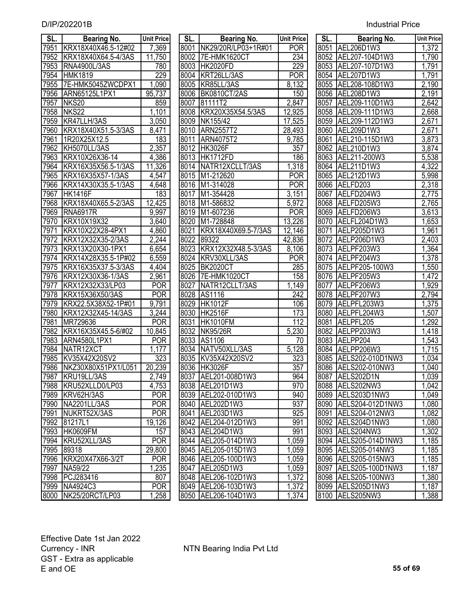| SL.  | <b>Bearing No.</b>   | <b>Unit Price</b>   | SL.  | <b>Bearing No.</b>       | <b>Unit Price</b>    | SL.  | <b>Bearing No.</b>    | <b>Unit Pric</b>     |
|------|----------------------|---------------------|------|--------------------------|----------------------|------|-----------------------|----------------------|
| 7951 | KRX18X40X46.5-12#02  | 7,369               |      | 8001 NK29/20R/LP03+1R#01 | <b>POR</b>           |      | 8051 AEL206D1W3       | 1,372                |
| 7952 | KRX18X40X64.5-4/3AS  | $\overline{11,750}$ | 8002 | 7E-HMK1620CT             | 234                  | 8052 | AEL207-104D1W3        | 1,790                |
| 7953 | <b>RNA4900L/3AS</b>  | 780                 | 8003 | <b>HK2020FD</b>          | 229                  | 8053 | AEL207-107D1W3        | 1,791                |
| 7954 | <b>HMK1819</b>       | 229                 |      | 8004 KRT26LL/3AS         | <b>POR</b>           |      | 8054 AEL207D1W3       | 1,791                |
| 7955 | 7E-HMK5045ZWCDPX1    | 1,090               | 8005 | KR85LL/3AS               | $\overline{8,132}$   | 8055 | AEL208-108D1W3        | $\overline{2}$ , 190 |
| 7956 | ARN65125L1PX1        | 95,737              | 8006 | <b>BK0810CT/2AS</b>      | 150                  | 8056 | AEL208D1W3            | $\overline{2}$ , 191 |
| 7957 | NKS20                | 859                 | 8007 | 81111T2                  | 2,847                | 8057 | AEL209-110D1W3        | 2,642                |
| 7958 | NKS <sub>22</sub>    | 1,101               | 8008 | KRX20X35X54.5/3AS        | 12,925               | 8058 | AEL209-111D1W3        | 2,668                |
| 7959 | KR47LLH/3AS          | $\overline{3,050}$  | 8009 | NK155/42                 | 17,525               | 8059 | AEL209-112D1W3        | 2,671                |
| 7960 | KRX18X40X51.5-3/3AS  | 8,471               | 8010 | <b>ARN2557T2</b>         | 28,493               | 8060 | AEL209D1W3            | 2,671                |
| 7961 | 1R20X25X12.5         | 183                 | 8011 | <b>ARN4075T2</b>         | 9,785                | 8061 | AEL210-115D1W3        | 3,873                |
| 7962 | KH5070LL/3AS         | 2,357               | 8012 | <b>HK3026F</b>           | 357                  | 8062 | AEL210D1W3            | 3,874                |
| 7963 | KRX10X26X36-14       | 4,386               | 8013 | HK1712FD                 | 186                  | 8063 | AEL211-200W3          | 5,538                |
| 7964 | KRX16X35X56.5-1/3AS  | 11,326              | 8014 | NATR12XCLLT/3AS          | 1,318                | 8064 | AEL211D1W3            | 4,322                |
| 7965 | KRX16X35X57-1/3AS    | 4,547               | 8015 | M1-212620                | <b>POR</b>           | 8065 | AEL212D1W3            | 5,998                |
| 7966 | KRX14X30X35.5-1/3AS  | 4,648               | 8016 | M1-314028                | <b>POR</b>           | 8066 | AELFD203              | 2,318                |
| 7967 | <b>HK1416F</b>       | 183                 | 8017 | M1-354428                | 3,151                | 8067 | AELFD204W3            | 2,775                |
| 7968 | KRX18X40X65.5-2/3AS  | 12,425              | 8018 | M1-586832                | 5,972                | 8068 | AELFD205W3            | 2,765                |
| 7969 | <b>RNA6917R</b>      | 9,997               | 8019 | M1-607236                | <b>POR</b>           | 8069 | AELFD206W3            | 3,613                |
| 7970 | KRX10X19X32          | 3,640               | 8020 | M1-728848                | 13,226               | 8070 | AELFL204D1W3          | 1,653                |
| 7971 | KRX10X22X28-4PX1     | 4,860               | 8021 | KRX18X40X69.5-7/3AS      | 12,146               | 8071 | AELP205D1W3           | 1,961                |
| 7972 | KRX12X32X35-2/3AS    | 2,244               | 8022 | 89322                    | 42,836               | 8072 | AELP206D1W3           | 2,403                |
| 7973 | KRX13X20X30-1PX1     | 6,654               | 8023 | KRX12X32X48.5-3/3AS      | 8,106                | 8073 | AELPF203W3            | 1,364                |
| 7974 | KRX14X28X35.5-1P#02  | 6,559               | 8024 | KRV30XLL/3AS             | <b>POR</b>           | 8074 | AELPF204W3            | 1,378                |
| 7975 | KRX16X35X37.5-3/3AS  | 4,404               | 8025 | <b>BK2020CT</b>          | 285                  | 8075 | AELPF205-100W3        | 1,550                |
| 7976 | KRX12X30X36-1/3AS    | 2,961               |      | 8026 7E-HMK1020CT        | 158                  |      | 8076 AELPF205W3       | 1,472                |
| 7977 | KRX12X32X33/LP03     | <b>POR</b>          | 8027 | NATR12CLLT/3AS           | 1,149                | 8077 | AELPF206W3            | 1,929                |
| 7978 | KRX15X36X50/3AS      | <b>POR</b>          |      | 8028 AS1116              | 242                  |      | 8078 AELPF207W3       | 2,794                |
| 7979 | KRX22.5X38X52-1P#01  | 9,791               | 8029 | <b>HK1012F</b>           | 106                  | 8079 | AELPFL203W3           | 1,375                |
| 7980 | KRX12X32X45-14/3AS   | 3,244               | 8030 | <b>THK2516F</b>          | 173                  | 8080 | AELPFL204W3           | 1,507                |
| 7981 | MR729636             | <b>POR</b>          | 8031 | <b>HK1010FM</b>          | 112                  | 8081 | AELPFL205             | 1,292                |
| 7982 | KRX16X35X45.5-6/#02  | 10,845              | 8032 | NK95/26R                 | 5,230                | 8082 | AELPP203W3            | 1,418                |
| 7983 | ARN4580L1PX1         | <b>POR</b>          |      | 8033 AS1106              | 70                   |      | 8083 AELPP204         | 1,543                |
| 7984 | NATR12XCT            | 1,177               | 8034 | NATV50XLL/3AS            | $\overline{5}$ , 128 |      | 8084 AELPP206W3       | 1,715                |
| 7985 | KV35X42X20SV2        | 323                 |      | 8035 KV35X42X20SV2       | 323                  | 8085 | AELS202-010D1NW3      | 1,034                |
| 7986 | NKZ30X80X51PX1/L051  | 20,239              |      | 8036 HK3026F             | 357                  |      | 8086 AELS202-010NW3   | 1,040                |
|      | 7987 KRU19LL/3AS     | 2,749               |      | 8037 AEL201-008D1W3      | 964                  |      | 8087 AELS202D1N       | 1,039                |
| 7988 | KRU52XLLD0/LP03      | 4,753               |      | 8038 AEL201D1W3          | 970                  |      | 8088 AELS202NW3       | 1,042                |
| 7989 | KRV62H/3AS           | <b>POR</b>          |      | 8039 AEL202-010D1W3      | 940                  |      | 8089 AELS203D1NW3     | 1,049                |
| 7990 | NA2201LL/3AS         | <b>POR</b>          |      | 8040 AEL202D1W3          | 937                  |      | 8090 AELS204-012D1NW3 | 1,080                |
| 7991 | NUKRT52X/3AS         | <b>POR</b>          |      | 8041 AEL203D1W3          | 925                  |      | 8091 AELS204-012NW3   | 1,082                |
| 7992 | 81217L1              | 19,126              |      | 8042 AEL204-012D1W3      | 991                  |      | 8092 AELS204D1NW3     | 1,080                |
| 7993 | HK0609FM             | 157                 |      | 8043 AEL204D1W3          | 991                  |      | 8093 AELS204NW3       | 1,302                |
| 7994 | KRU52XLL/3AS         | <b>POR</b>          |      | 8044 AEL205-014D1W3      | 1,059                |      | 8094 AELS205-014D1NW3 | 1,185                |
| 7995 | 89318                | 29,800              |      | 8045 AEL205-015D1W3      | 1,059                |      | 8095 AELS205-014NW3   | 1,185                |
| 7996 | KRX20X47X66-3/2T     | <b>POR</b>          |      | 8046 AEL205-100D1W3      | 1,059                |      | 8096 AELS205-015NW3   | 1,185                |
| 7997 | NA59/22              | 1,235               |      | 8047 AEL205D1W3          | 1,059                |      | 8097 AELS205-100D1NW3 | 1,187                |
| 7998 | PCJ283416            | 807                 |      | 8048 AEL206-102D1W3      | 1,372                |      | 8098 AELS205-100NW3   | 1,380                |
| 7999 | NA4924C3             | <b>POR</b>          |      | 8049 AEL206-103D1W3      | 1,372                |      | 8099 AELS205D1NW3     | 1,187                |
|      | 8000 NK25/20RCT/LP03 | 1.258               |      | 8050 AEL206-104D1W3      | 1.374                |      | 8100 AELS205NW3       | 1.388                |

| SL.  | Bearing No.                     | <b>Unit Price</b> |      | SL.<br><b>Bearing No.</b> | <b>Unit Price</b>  | SL.  | <b>Bearing No.</b>    | <b>Unit Pric</b> |
|------|---------------------------------|-------------------|------|---------------------------|--------------------|------|-----------------------|------------------|
|      | 7951 KRX18X40X46.5-12#02        | 7,369             |      | 8001 NK29/20R/LP03+1R#01  | <b>POR</b>         |      | 8051 AEL206D1W3       | 1,372            |
| 7952 | KRX18X40X64.5-4/3AS             | 11,750            |      | 8002 7E-HMK1620CT         | 234                |      | 8052 AEL207-104D1W3   | 1,790            |
| 7953 | <b>RNA4900L/3AS</b>             | 780               | 8003 | HK2020FD                  | 229                | 8053 | AEL207-107D1W3        | 1,791            |
| 7954 | <b>HMK1819</b>                  | 229               | 8004 | KRT26LL/3AS               | <b>POR</b>         |      | 8054 AEL207D1W3       | 1,791            |
| 7955 | 7E-HMK5045ZWCDPX1               | 1,090             | 8005 | KR85LL/3AS                | 8,132              | 8055 | AEL208-108D1W3        | 2,190            |
| 7956 | ARN65125L1PX1                   | 95,737            | 8006 | <b>BK0810CT/2AS</b>       | 150                |      | 8056 AEL208D1W3       | 2,191            |
| 7957 | NKS20                           | 859               | 8007 | 81111T2                   | 2,847              | 8057 | AEL209-110D1W3        | 2,642            |
| 7958 | NKS <sub>22</sub>               | 1,101             |      | 8008 KRX20X35X54.5/3AS    | 12,925             |      | 8058 AEL209-111D1W3   | 2,668            |
| 7959 | KR47LLH/3AS                     | 3,050             | 8009 | NK155/42                  | 17,525             |      | 8059 AEL209-112D1W3   | 2,671            |
| 7960 | KRX18X40X51.5-3/3AS             | 8,471             |      | 8010 ARN2557T2            | 28,493             |      | 8060 AEL209D1W3       | 2,671            |
| 7961 | 1R20X25X12.5                    | 183               |      | 8011 ARN4075T2            | $\overline{9,785}$ |      | 8061 AEL210-115D1W3   | 3,873            |
| 7962 | KH5070LL/3AS                    | 2,357             |      | 8012 HK3026F              | 357                |      | 8062 AEL210D1W3       | 3,874            |
| 7963 | KRX10X26X36-14                  | 4,386             |      | 8013 HK1712FD             | 186                |      | 8063 AEL211-200W3     | 5,538            |
|      | 7964 KRX16X35X56.5-1/3AS        | 11,326            |      | 8014 NATR12XCLLT/3AS      | 1,318              |      | 8064 AEL211D1W3       | 4,322            |
| 7965 | KRX16X35X57-1/3AS               | 4,547             |      | 8015 M1-212620            | <b>POR</b>         |      | 8065 AEL212D1W3       | 5,998            |
| 7966 | KRX14X30X35.5-1/3AS             | 4,648             |      | 8016 M1-314028            | <b>POR</b>         |      | 8066 AELFD203         | 2,318            |
| 7967 | <b>HK1416F</b>                  | 183               | 8017 | M1-354428                 | 3,151              | 8067 | AELFD204W3            | 2,775            |
| 7968 | KRX18X40X65.5-2/3AS             | 12,425            |      | 8018 M1-586832            | 5,972              |      | 8068 AELFD205W3       | 2,765            |
| 7969 | <b>RNA6917R</b>                 | 9,997             |      | 8019 M1-607236            | <b>POR</b>         |      | 8069 AELFD206W3       | 3,613            |
| 7970 | KRX10X19X32                     | 3,640             | 8020 | M1-728848                 | 13,226             |      | 8070 AELFL204D1W3     | 1,653            |
| 7971 | KRX10X22X28-4PX1                | 4,860             | 8021 | KRX18X40X69.5-7/3AS       | 12,146             | 8071 | AELP205D1W3           | 1,961            |
| 7972 | KRX12X32X35-2/3AS               | 2,244             | 8022 | 89322                     | 42,836             |      | 8072 AELP206D1W3      | 2,403            |
|      | 7973 KRX13X20X30-1PX1           | 6,654             |      | 8023 KRX12X32X48.5-3/3AS  | 8,106              |      | 8073 AELPF203W3       | , 364            |
|      | 7974 KRX14X28X35.5-1P#02        | 6,559             |      | 8024 KRV30XLL/3AS         | <b>POR</b>         |      | 8074 AELPF204W3       | ,378             |
| 7975 | KRX16X35X37.5-3/3AS             | 4,404             | 8025 | <b>BK2020CT</b>           | 285                | 8075 | AELPF205-100W3        | ,550             |
|      | 7976 KRX12X30X36-1/3AS          | 2,961             |      | 8026 7E-HMK1020CT         | 158                |      | 8076 AELPF205W3       | ,472             |
| 7977 | KRX12X32X33/LP03                | $\overline{POR}$  | 8027 | NATR12CLLT/3AS            | 1,149              | 8077 | AELPF206W3            | 1,929            |
|      | 7978 KRX15X36X50/3AS            | $\overline{POR}$  |      | 8028 AS1116               | 242                | 8078 | AELPF207W3            | 2,794            |
| 7979 | KRX22.5X38X52-1P#01             | 9,791             | 8029 | <b>HK1012F</b>            | 106                | 8079 | AELPFL203W3           | 1,375            |
| 7980 | KRX12X32X45-14/3AS              | 3,244             | 8030 | <b>HK2516F</b>            | 173                | 8080 | AELPFL204W3           | 1,507            |
| 7981 | MR729636                        | <b>POR</b>        | 8031 | <b>HK1010FM</b>           | $\overline{1}12$   | 8081 | AELPFL205             | ,292             |
| 7982 | KRX16X35X45.5-6/#02             | 10,845            |      | 8032 NK95/26R             | 5,230              |      | 8082 AELPP203W3       | 1,418            |
| 7983 | ARN4580L1PX1                    | $\overline{P}$ OR | 8033 | AS1106                    | 70                 |      | 8083 AELPP204         | 1,543            |
| 7984 | NATR12XCT                       | 1,177             | 8034 | NATV50XLL/3AS             | 5,128              | 8084 | AELPP206W3            | 1,715            |
| 7985 | KV35X42X20SV2                   | 323               | 8035 | KV35X42X20SV2             | 323                |      | 8085 AELS202-010D1NW3 | 1,034            |
|      | 7986 NKZ30X80X51PX1/L051 20,239 |                   |      | 8036 HK3026F              | $\overline{357}$   |      | 8086 AELS202-010NW3   | 1,040            |
|      | 7987 KRU19LL/3AS                | 2,749             |      | 8037 AEL201-008D1W3       | 964                |      | 8087 AELS202D1N       | 1,039            |
| 7988 | KRU52XLLD0/LP03                 | 4,753             |      | 8038 AEL201D1W3           | 970                |      | 8088 AELS202NW3       | 1,042            |
| 7989 | KRV62H/3AS                      | <b>POR</b>        |      | 8039 AEL202-010D1W3       | 940                |      | 8089 AELS203D1NW3     | 1,049            |
| 7990 | NA2201LL/3AS                    | <b>POR</b>        |      | 8040 AEL202D1W3           | 937                |      | 8090 AELS204-012D1NW3 | 1,080            |
| 7991 | NUKRT52X/3AS                    | POR               |      | 8041 AEL203D1W3           | 925                | 8091 | AELS204-012NW3        | 1,082            |
| 7992 | 81217L1                         | 19,126            |      | 8042 AEL204-012D1W3       | 991                |      | 8092 AELS204D1NW3     | 1,080            |
| 7993 | <b>HK0609FM</b>                 | 157               |      | 8043 AEL204D1W3           | 991                |      | 8093 AELS204NW3       | ,302             |
| 7994 | KRU52XLL/3AS                    | POR               |      | 8044 AEL205-014D1W3       | 1,059              | 8094 | AELS205-014D1NW3      | 1,185            |
| 7995 | 89318                           | 29,800            |      | 8045 AEL205-015D1W3       | 1,059              | 8095 | AELS205-014NW3        | 1,185            |
| 7996 | KRX20X47X66-3/2T                | <b>POR</b>        |      | 8046 AEL205-100D1W3       | 1,059              |      | 8096 AELS205-015NW3   | 1,185            |
| 7997 | NA59/22                         | 1,235             |      | 8047 AEL205D1W3           | 1,059              | 8097 | AELS205-100D1NW3      | 1,187            |
| 7998 | PCJ283416                       | 807               |      | 8048 AEL206-102D1W3       | ,372               |      | 8098 AELS205-100NW3   | ,380             |
| 7999 | NA4924C3                        | <b>POR</b>        |      | 8049 AEL206-103D1W3       | ,372               |      | 8099 AELS205D1NW3     | 1,187            |
| 8000 | NK25/20RCT/LP03                 | 1,258             |      | 8050 AEL206-104D1W3       | 1,374              |      | 8100 AELS205NW3       | ,388             |

|  | <b>Industrial Price</b> |
|--|-------------------------|
|  |                         |

| SL.              | <b>Bearing No.</b>      | <b>Unit Price</b> | SL.  | <b>Bearing No.</b>  | <b>Unit Price</b>    | SL.  | <b>Bearing No.</b>    | <b>Unit Price</b>    |
|------------------|-------------------------|-------------------|------|---------------------|----------------------|------|-----------------------|----------------------|
| $\overline{951}$ | KRX18X40X46.5-12#02     | 7,369             | 8001 | NK29/20R/LP03+1R#01 | <b>POR</b>           | 8051 | AEL206D1W3            | 1,372                |
| 952              | KRX18X40X64.5-4/3AS     | 11,750            | 8002 | 7E-HMK1620CT        | 234                  | 8052 | AEL207-104D1W3        | 1,790                |
| 953              | <b>RNA4900L/3AS</b>     | 780               | 8003 | <b>HK2020FD</b>     | 229                  | 8053 | AEL207-107D1W3        | 1,791                |
| 954              | <b>HMK1819</b>          | 229               | 8004 | KRT26LL/3AS         | <b>POR</b>           | 8054 | AEL207D1W3            | 1,791                |
| 955              | 7E-HMK5045ZWCDPX1       | 1,090             | 8005 | KR85LL/3AS          | 8,132                | 8055 | AEL208-108D1W3        | 2,190                |
| 956              | ARN65125L1PX1           | 95,737            | 8006 | <b>BK0810CT/2AS</b> | 150                  | 8056 | AEL208D1W3            | $\overline{2}$ , 191 |
| 957              | <b>NKS20</b>            | 859               | 8007 | 81111T2             | 2,847                | 8057 | AEL209-110D1W3        | 2,642                |
| 958              | NKS22                   | 1,101             | 8008 | KRX20X35X54.5/3AS   | 12,925               | 8058 | AEL209-111D1W3        | 2,668                |
| 959              | KR47LLH/3AS             | 3,050             | 8009 | NK155/42            | 17,525               | 8059 | AEL209-112D1W3        | 2,671                |
| 960              | KRX18X40X51.5-3/3AS     | 8,471             | 8010 | <b>ARN2557T2</b>    | 28,493               | 8060 | AEL209D1W3            | 2,671                |
| 961              | 1R20X25X12.5            | 183               | 8011 | <b>ARN4075T2</b>    | 9,785                | 8061 | AEL210-115D1W3        | 3,873                |
| 962              | KH5070LL/3AS            | 2,357             | 8012 | <b>HK3026F</b>      | 357                  | 8062 | AEL210D1W3            | 3,874                |
| 963              | KRX10X26X36-14          | 4,386             | 8013 | HK1712FD            | 186                  | 8063 | AEL211-200W3          | $\overline{5,538}$   |
| 964              | KRX16X35X56.5-1/3AS     | 11,326            | 8014 | NATR12XCLLT/3AS     | 1,318                | 8064 | AEL211D1W3            | 4,322                |
| 965              | KRX16X35X57-1/3AS       | 4,547             | 8015 | M1-212620           | <b>POR</b>           | 8065 | AEL212D1W3            | 5,998                |
| 966              | KRX14X30X35.5-1/3AS     | 4,648             | 8016 | M1-314028           | <b>POR</b>           | 8066 | AELFD203              | $\overline{2,318}$   |
| 967              | <b>HK1416F</b>          | 183               | 8017 | M1-354428           | 3,151                | 8067 | AELFD204W3            | 2,775                |
| 968              | KRX18X40X65.5-2/3AS     | 12,425            | 8018 | M1-586832           | 5,972                | 8068 | AELFD205W3            | 2,765                |
| 969              | <b>RNA6917R</b>         | 9,997             | 8019 | M1-607236           | <b>POR</b>           | 8069 | AELFD206W3            | 3,613                |
| 970              | <b>KRX10X19X32</b>      | 3,640             | 8020 | M1-728848           | 13,226               | 8070 | AELFL204D1W3          | 1,653                |
| 971              | KRX10X22X28-4PX1        | 4,860             | 8021 | KRX18X40X69.5-7/3AS | $\overline{12, 146}$ | 8071 | AELP205D1W3           | 1,961                |
| 972              | KRX12X32X35-2/3AS       | 2,244             | 8022 | 89322               | 42,836               | 8072 | AELP206D1W3           | 2,403                |
| 973              | KRX13X20X30-1PX1        | 6,654             | 8023 | KRX12X32X48.5-3/3AS | $\overline{8,}106$   | 8073 | AELPF203W3            | 1,364                |
| 974              | KRX14X28X35.5-1P#02     | 6,559             | 8024 | KRV30XLL/3AS        | <b>POR</b>           | 8074 | AELPF204W3            | 1,378                |
| 975              | KRX16X35X37.5-3/3AS     | 4,404             | 8025 | <b>BK2020CT</b>     | 285                  | 8075 | AELPF205-100W3        | 1,550                |
| 976              | KRX12X30X36-1/3AS       | 2,961             | 8026 | 7E-HMK1020CT        | 158                  | 8076 | AELPF205W3            | 1,472                |
| $\overline{977}$ | KRX12X32X33/LP03        | <b>POR</b>        | 8027 | NATR12CLLT/3AS      | 1,149                | 8077 | AELPF206W3            | 1,929                |
| 978              | KRX15X36X50/3AS         | <b>POR</b>        | 8028 | AS1116              | $\overline{242}$     | 8078 | AELPF207W3            | 2,794                |
| 979              | KRX22.5X38X52-1P#01     | 9,791             | 8029 | <b>HK1012F</b>      | 106                  | 8079 | AELPFL203W3           | 1,375                |
| $\overline{980}$ | KRX12X32X45-14/3AS      | 3,244             | 8030 | <b>HK2516F</b>      | 173                  | 8080 | AELPFL204W3           | 1,507                |
| 981              | MR729636                | <b>POR</b>        | 8031 | <b>HK1010FM</b>     | 112                  | 8081 | AELPFL205             | 1,292                |
| 982              | KRX16X35X45.5-6/#02     | 10,845            | 8032 | <b>NK95/26R</b>     | 5,230                | 8082 | AELPP203W3            | 1,418                |
| 983              | ARN4580L1PX1            | <b>POR</b>        |      | 8033 AS1106         | 70                   |      | 8083 AELPP204         | 1,543                |
| 984              | NATR12XCT               | 1,177             | 8034 | NATV50XLL/3AS       | 5,128                |      | 8084 AELPP206W3       | 1,715                |
| 985              | KV35X42X20SV2           | 323               | 8035 | KV35X42X20SV2       | 323                  |      | 8085 AELS202-010D1NW3 | 1,034                |
|                  | 986 NKZ30X80X51PX1/L051 | 20,239            |      | 8036 HK3026F        | 357                  |      | 8086 AELS202-010NW3   | 1,040                |
| 987              | KRU19LL/3AS             | 2,749             |      | 8037 AEL201-008D1W3 | 964                  |      | 8087 AELS202D1N       | 1,039                |
|                  | 988 KRU52XLLD0/LP03     | 4,753             |      | 8038 AEL201D1W3     | 970                  |      | 8088 AELS202NW3       | 1,042                |
| 989              | KRV62H/3AS              | <b>POR</b>        |      | 8039 AEL202-010D1W3 | 940                  |      | 8089 AELS203D1NW3     | 1,049                |
| 990              | NA2201LL/3AS            | <b>POR</b>        |      | 8040 AEL202D1W3     | 937                  |      | 8090 AELS204-012D1NW3 | 1,080                |
| 991              | NUKRT52X/3AS            | <b>POR</b>        |      | 8041 AEL203D1W3     | 925                  |      | 8091 AELS204-012NW3   | 1,082                |
|                  | 992 81217L1             | 19,126            |      | 8042 AEL204-012D1W3 | 991                  |      | 8092 AELS204D1NW3     | 1,080                |
|                  | 993  HK0609FM           | 157               |      | 8043 AEL204D1W3     | 991                  |      | 8093 AELS204NW3       | 1,302                |
|                  | 994 KRU52XLL/3AS        | <b>POR</b>        |      | 8044 AEL205-014D1W3 | 1,059                |      | 8094 AELS205-014D1NW3 | 1,185                |
|                  | 995 89318               | 29,800            |      | 8045 AEL205-015D1W3 | 1,059                |      | 8095 AELS205-014NW3   | 1,185                |
|                  | 996 KRX20X47X66-3/2T    | <b>POR</b>        |      | 8046 AEL205-100D1W3 | 1,059                |      | 8096 AELS205-015NW3   | 1,185                |
| 997              | NA59/22                 | 1,235             |      | 8047 AEL205D1W3     | 1,059                |      | 8097 AELS205-100D1NW3 | 1,187                |
| 998              | PCJ283416               | 807               |      | 8048 AEL206-102D1W3 | 1,372                |      | 8098 AELS205-100NW3   | 1,380                |
|                  | 999 NA4924C3            | <b>POR</b>        |      | 8049 AEL206-103D1W3 | 1,372                |      | 8099 AELS205D1NW3     | 1,187                |
| 000              | NK25/20RCT/LP03         | 1,258             | 8050 | AEL206-104D1W3      | 1,374                |      | 8100 AELS205NW3       | 1,388                |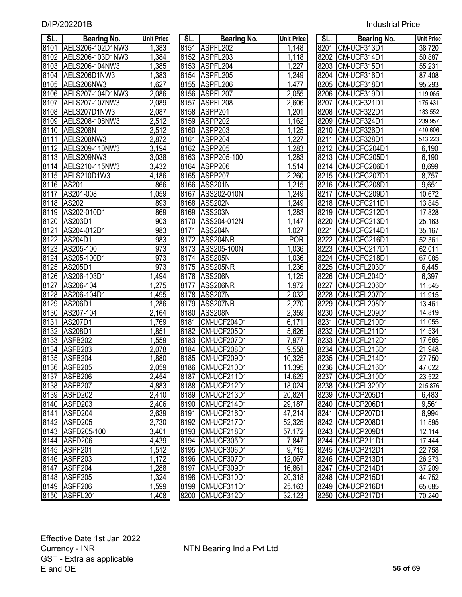| SL.               | Bearing No.         | <b>Unit Price</b>    | SL.  | <b>Bearing No.</b> | <b>Unit Price</b> | SL.  | <b>Bearing No.</b> | <b>Unit Price</b>    |
|-------------------|---------------------|----------------------|------|--------------------|-------------------|------|--------------------|----------------------|
| 8101              | AELS206-102D1NW3    | 1,383                |      | 8151 ASPFL202      | 1,148             |      | 8201 CM-UCF313D1   | 38,720               |
| 8102              | AELS206-103D1NW3    | 1,384                |      | 8152 ASPFL203      | 1,118             |      | 8202 CM-UCF314D1   | 50,887               |
| 8103              | AELS206-104NW3      | 1,385                |      | 8153 ASPFL204      | 1,227             |      | 8203 CM-UCF315D1   | 55,231               |
| 8104              | AELS206D1NW3        | 1,383                |      | 8154 ASPFL205      | 1,249             |      | 8204 CM-UCF316D1   | 87,408               |
| 8105              | AELS206NW3          | 1,627                |      | 8155 ASPFL206      | 1,477             |      | 8205 CM-UCF318D1   | 95,293               |
| 8106              | AELS207-104D1NW3    | 2,086                |      | 8156 ASPFL207      | 2,055             |      | 8206 CM-UCF319D1   | 119,065              |
| 8107              | AELS207-107NW3      | 2,089                |      | 8157 ASPFL208      | 2,606             | 8207 | CM-UCF321D1        | 175,431              |
| 8108              | AELS207D1NW3        | 2,087                |      | 8158 ASPP201       | 1,201             |      | 8208 CM-UCF322D1   | 183,552              |
| 8109              | AELS208-108NW3      | 2,512                |      | 8159 ASPP202       | 1,162             |      | 8209 CM-UCF324D1   | 239,957              |
| 8110              | AELS208N            | 2,512                |      | 8160 ASPP203       | 1,125             |      | 8210 CM-UCF326D1   | 410,606              |
| 8111              | AELS208NW3          | 2,872                |      | 8161 ASPP204       | 1,227             | 8211 | CM-UCF328D1        | $\overline{513,223}$ |
| 8112              | AELS209-110NW3      | 3,194                |      | 8162 ASPP205       | 1,283             | 8212 | CM-UCFC204D1       | 6,190                |
| 8113              | AELS209NW3          | 3,038                |      | 8163 ASPP205-100   | 1,283             | 8213 | CM-UCFC205D1       | 6,190                |
| 8114              | AELS210-115NW3      | 3,432                |      | 8164 ASPP206       | 1,514             |      | 8214 CM-UCFC206D1  | 8,699                |
| 8115              | AELS210D1W3         | 4,186                |      | 8165 ASPP207       | 2,260             | 8215 | CM-UCFC207D1       | 8,757                |
| 8116              | <b>AS201</b>        | 866                  |      | 8166 ASS201N       | 1,215             |      | 8216 CM-UCFC208D1  | 9,651                |
| 8117              | AS201-008           | 1,059                |      | 8167 ASS202-010N   | 1,249             | 8217 | CM-UCFC209D1       | 10,672               |
| $81\overline{18}$ | AS202               | 893                  |      | 8168 ASS202N       | 1,249             | 8218 | CM-UCFC211D1       | 13,845               |
| 8119              | AS202-010D1         | 869                  |      | 8169 ASS203N       | 1,283             | 8219 | CM-UCFC212D1       | 17,828               |
| 8120              | AS203D1             | 903                  |      | 8170 ASS204-012N   | 1,147             | 8220 | CM-UCFC213D1       | 25,163               |
| 8121              | AS204-012D1         | 983                  | 8171 | ASS204N            | 1,027             | 8221 | CM-UCFC214D1       | 35,167               |
| 8122              | AS204D1             | 983                  |      | 8172 ASS204NR      | <b>POR</b>        | 8222 | CM-UCFC216D1       | $\overline{52,361}$  |
| 8123              | AS205-100           | 973                  |      | 8173 ASS205-100N   | 1,036             | 8223 | CM-UCFC217D1       | 62,011               |
| 8124              | AS205-100D1         | 973                  | 8174 | ASS205N            | 1,036             | 8224 | CM-UCFC218D1       | 67,085               |
| 8125              | AS205D1             | 973                  | 8175 | ASS205NR           | 1,236             | 8225 | CM-UCFL203D1       | 6,445                |
| 8126              | AS206-103D1         | 1,494                |      | 8176 ASS206N       | 1,125             | 8226 | CM-UCFL204D1       | 6,397                |
| 8127              | AS206-104           | 1,275                | 8177 | ASS206NR           | 1,972             | 8227 | CM-UCFL206D1       | 11,545               |
| 8128              | AS206-104D1         | 1,495                |      | 8178 ASS207N       | 2,032             | 8228 | CM-UCFL207D1       | 11,915               |
| 8129              | AS206D1             | 1,286                |      | 8179 ASS207NR      | 2,270             | 8229 | CM-UCFL208D1       | 13,461               |
| 8130              | AS207-104           | $\overline{2}$ , 164 |      | 8180 ASS208N       | 2,359             | 8230 | CM-UCFL209D1       | 14,819               |
| 8131              | AS207D1             | 1,769                | 8181 | CM-UCF204D1        | 6,171             | 8231 | CM-UCFL210D1       | 11,055               |
| 8132              | AS208D1             | 1,851                | 8182 | CM-UCF205D1        | 5,626             | 8232 | CM-UCFL211D1       | 14,534               |
| 8133              | ASFB202             | 1,559                | 8183 | CM-UCF207D1        | 7,977             | 8233 | CM-UCFL212D1       | 17,665               |
| 8134              | ASFB <sub>203</sub> | $\overline{2,078}$   | 8184 | CM-UCF208D1        | 9,558             | 8234 | CM-UCFL213D1       | 21,948               |
| 8135              | ASFB204             | 1,880                | 8185 | CM-UCF209D1        | 10,325            | 8235 | CM-UCFL214D1       | 27,750               |
|                   | 8136 ASFB205        | 2,059                |      | 8186 CM-UCF210D1   | 11,395            |      | 8236 CM-UCFL216D1  | 47,022               |
|                   | 8137 ASFB206        | 2,454                |      | 8187 CM-UCF211D1   | 14,629            |      | 8237 CM-UCFL310D1  | 23,522               |
| 8138              | ASFB207             | 4,883                |      | 8188 CM-UCF212D1   | 18,024            |      | 8238 CM-UCFL320D1  | 215,876              |
| 8139              | ASFD202             | 2,410                | 8189 | CM-UCF213D1        | 20,824            | 8239 | CM-UCP205D1        | 6,483                |
| 8140              | ASFD <sub>203</sub> | 2,406                | 8190 | CM-UCF214D1        | 29,187            |      | 8240 CM-UCP206D1   | 9,561                |
| 8141              | ASFD204             | 2,639                | 8191 | CM-UCF216D1        | 47,214            |      | 8241 CM-UCP207D1   | 8,994                |
| 8142              | ASFD205             | 2,730                |      | 8192 CM-UCF217D1   | 52,325            |      | 8242 CM-UCP208D1   | 11,595               |
| 8143              | ASFD205-100         | 3,401                |      | 8193 CM-UCF218D1   | 57,172            |      | 8243 CM-UCP209D1   | 12,114               |
| 8144              | ASFD <sub>206</sub> | 4,439                |      | 8194 CM-UCF305D1   | 7,847             |      | 8244 CM-UCP211D1   | 17,444               |
| 8145              | ASPF201             | 1,512                |      | 8195 CM-UCF306D1   | 9,715             | 8245 | CM-UCP212D1        | 22,758               |
| 8146              | ASPF203             | 1,172                |      | 8196 CM-UCF307D1   | 12,067            |      | 8246 CM-UCP213D1   | 26,273               |
| 8147              | ASPF204             | 1,288                | 8197 | CM-UCF309D1        | 16,861            | 8247 | CM-UCP214D1        | 37,209               |
| 8148              | ASPF205             | 1,324                |      | 8198 CM-UCF310D1   | 20,318            | 8248 | CM-UCP215D1        | 44,752               |
|                   | 8149 ASPF206        | 1,599                |      | 8199 CM-UCF311D1   | 25,163            |      | 8249 CM-UCP216D1   | 65,685               |
| 8150              | ASPFL201            | 1,408                |      | 8200 CM-UCF312D1   | 32,123            |      | 8250 CM-UCP217D1   | 70,240               |

| SL.               | Bearing No.                | <b>Unit Price</b>              |
|-------------------|----------------------------|--------------------------------|
| 8151              | ASPFL202                   | 1,148                          |
| 8152              | ASPFL203                   | 1,118                          |
| 8153              | <b>ASPFI</b><br>-204       | 1,227                          |
| 8154              | <b>ASPFI</b><br>.205       | 1,249                          |
| 8155              | <b>ASPFI</b><br>.206       | 1,477                          |
| 8156              | ASPFL207                   | 2,055                          |
| 8157              | <b>ASPFI</b><br>.208       | 2,606                          |
| 8158              | ASPP201                    | $\overline{1,}201$             |
|                   | 8159 ASPP202               | 1,162                          |
|                   | 8160 ASPP203               | 1,125                          |
|                   | 8161 ASPP204               | 1,227                          |
|                   | 8162 ASPP205               | 1,283                          |
|                   | 8163 ASPP205-100           | 1,283                          |
|                   | 8164 ASPP206               | 1,514                          |
|                   | 8165 ASPP207               | 2,260                          |
| 8166              | ASS201N                    | 1,215                          |
| 8167              | ASS202-010N                | 1,249                          |
| 8168              | ASS202N                    | 1,249                          |
| 8169              | ASS203N                    | 1,283                          |
| 8170              | ASS204-012N                | 1,147                          |
| 8171              | <b>ASS204N</b>             | 1,027                          |
| 8172              | ASS204NR                   | <b>POR</b>                     |
| $81\overline{73}$ | ASS205-100N                | 1,036                          |
| 8174              | <b>ASS205N</b>             | 1,036                          |
| 8175              | ASS205NR                   | 1,236                          |
| 8176              | <b>ASS206N</b>             | 1,125                          |
| 8177              | <b>ASS206NR</b>            | 1,972                          |
| 8178              | <b>ASS207N</b>             | 2,032                          |
| 8179              | ASS207NR                   | 2,270                          |
| 8180              | <b>ASS208N</b>             | 2,359                          |
| 8181              | CM-UCF204D1                | 6,171                          |
| 8182              | CM-UCF205D1                | 5,626                          |
| 8183              | CM-UCF207D1                | <u>7,977</u>                   |
| 8184              | CM-UCF208D1                | 9,558                          |
| 8185              | CM-UCF209D1                | 10,325                         |
| 8186              | CM-UCF210D1                | 395<br>11.                     |
| 8187              | <b>CM-UCF211D1</b>         | 14,629                         |
| 8188              | CM-UCF212D1                | 18,024                         |
| 8189              | <b>CM-UCF213D1</b>         | 20,824                         |
| 8190              | CM-UCF214D1                | 29,187<br>47,214               |
| 8191              | CM-UCF216D1                |                                |
| 8192              | CM-UCF217D1                | 52,325                         |
| 8193              | CM-UCF218D1                | <u>57,172</u>                  |
| 8194              | CM-UCF305D1                | 7,847                          |
| 8195              | CM-UCF306D1                | 9,715                          |
| 8196              | CM-UCF307D1                | 12,067                         |
| 8197<br>8198      | CM-UCF309D1<br>CM-UCF310D1 | 16,861                         |
| 8199              | CM-UCF311D1                | <u>20,318</u><br><u>25,163</u> |
| 8200              | CM-UCF312D1                | <u>32,123</u>                  |
|                   |                            |                                |

| SL.               | Bearing No.                                  | <b>Unit Price</b> |
|-------------------|----------------------------------------------|-------------------|
| 8201              | CM-UCF313D1                                  | 38,720            |
| 8202              | CM-UCF314D1                                  | 50,887            |
| 8203              | CM-UCF315D1                                  | 55,231            |
| 8204              | CM-UCF316D1                                  | 87,408            |
| 8205              | CM-UCF318D1                                  | 95,293            |
| 8206              | CM-UCF319D1                                  | 119,065           |
| 8207              | <b>CM-UCF321D1</b>                           | 175,431           |
| 8208              | CM-UCF322D1                                  | 183,552           |
| 8209              | CM-UCF324D1                                  | 239,957           |
| 8210              | CM-UCF326D1                                  | 410,606           |
| 8211              | CM-UCF328D1                                  | 513,223           |
| 8212              | CM-UCFC204D1                                 | 6,190             |
| 8213              | CM-UCFC205D1                                 | 6,190             |
| 8214              |                                              | 8,699             |
| 8215              |                                              | 8,757             |
| 8216              | CM-UCFC206D1<br>CM-UCFC207D1<br>CM-UCFC208D1 | 9,651             |
| 8217              | CM-UCFC209D1                                 | 10,672            |
| 8218              |                                              | 13,845            |
| 8219              | CM-UCFC211D1<br>CM-UCFC212D1                 | 17,828            |
| 8220              | CM-UCFC213D1                                 | 25,163            |
| <u>8221</u>       | CM-UCFC214D1                                 | 35,167            |
| 8222              | CM-UCFC216D1                                 | 52,361            |
| 8223              | CM-UCFC217D1                                 | 62,011            |
| 8224              | CM-UCFC218D1                                 | 67,085            |
| 8225              | CM-UCFL203D1                                 | 6,445             |
| 8226              | CM-UCFL204D1                                 | 6,397             |
| 8227              | CM-UCFL206D1                                 | 11,545            |
| 8228              | CM-UCFL207D1                                 | 11,915            |
| $822\overline{9}$ | CM-UCFL208D1                                 | 13,461            |
| 8230              | CM-UCFL209D1                                 | 14,819            |
| 8231              | CM-UCFL210D1                                 | 11,055            |
| 8232              | CM-UCFL211D1                                 | 14,534            |
| 8233              | CM-UCFL212D1                                 | 17,665            |
| 8234              | CM-UCFL213D1                                 | 21,948            |
| 8235              | CM-UCFL214D1                                 | 27,750            |
| 8236              | CM-UCFL216D1                                 | 47,022            |
| 8237              | CM-UCFL310D1                                 | 23,522            |
| 8238              | CM-UCFL320D1                                 | 215,876           |
| 8239              | CM-UCP205D1                                  | 6,483             |
| 8240              | CM-UCP206D1                                  | 9,561             |
| 8241              | CM-UCP207D1                                  | 8,994             |
| 8242              | CM-UCP208D1                                  | 11,595            |
| 8243              | CM-UCP209D1                                  | 12,114            |
| 8244              | CM-UCP211D1                                  | 17,444            |
| 8245              | CM-UCP212D1                                  | 22,758            |
| 8246              | CM-UCP213D1                                  | 26,273            |
| 8247              | CM-UCP214D1                                  | 37,209            |
| 8248              | CM-UCP215D1                                  | 44,752            |
| 8249              | CM-UCP216D1                                  | 65,685            |
| 8250              | CM-UCP217D1                                  | 70,240            |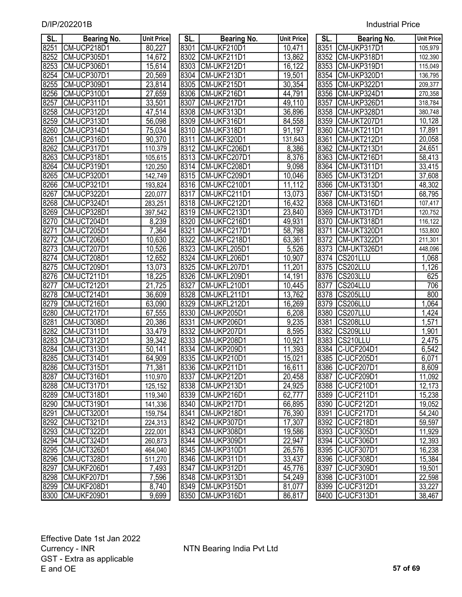| SL.  | <b>Bearing No.</b> | <b>Unit Price</b> | SL.  | <b>Bearing No.</b> | <b>Unit Price</b>   | SL.  | <b>Bearing No.</b> | <b>Unit Price</b>   |
|------|--------------------|-------------------|------|--------------------|---------------------|------|--------------------|---------------------|
| 8251 | CM-UCP218D1        | 80,227            | 8301 | CM-UKF210D1        | 10,471              | 8351 | CM-UKP317D1        | 105,979             |
| 8252 | CM-UCP305D1        | 14,672            | 8302 | CM-UKF211D1        | 13,862              | 8352 | CM-UKP318D1        | 102,390             |
| 8253 | CM-UCP306D1        | 15,614            | 8303 | CM-UKF212D1        | 16,122              | 8353 | CM-UKP319D1        | 115,049             |
| 8254 | CM-UCP307D1        | 20,569            | 8304 | CM-UKF213D1        | 19,501              | 8354 | CM-UKP320D1        | 136,795             |
| 8255 | CM-UCP309D1        | 23,814            | 8305 | CM-UKF215D1        | 30,354              | 8355 | CM-UKP322D1        | 209,377             |
| 8256 | CM-UCP310D1        | 27,659            | 8306 | CM-UKF216D1        | 44,791              | 8356 | CM-UKP324D1        | 270,358             |
| 8257 | CM-UCP311D1        | 33,501            | 8307 | CM-UKF217D1        | 49,110              | 8357 | CM-UKP326D1        | 318,784             |
| 8258 | CM-UCP312D1        | 47,514            | 8308 | CM-UKF313D1        | 36,896              | 8358 | CM-UKP328D1        | 380,748             |
| 8259 | CM-UCP313D1        | 56,098            | 8309 | CM-UKF316D1        | 84,558              | 8359 | CM-UKT207D1        | 10,128              |
| 8260 | CM-UCP314D1        | 75,034            | 8310 | CM-UKF318D1        | 91,197              | 8360 | CM-UKT211D1        | 17,891              |
| 8261 | CM-UCP316D1        | 90,370            | 8311 | CM-UKF320D1        | 131,643             | 8361 | CM-UKT212D1        | 20,058              |
| 8262 | CM-UCP317D1        | 110,379           | 8312 | CM-UKFC206D1       | 8,386               | 8362 | CM-UKT213D1        | 24,651              |
| 8263 | CM-UCP318D1        | 105,615           | 8313 | CM-UKFC207D1       | 8,376               | 8363 | CM-UKT216D1        | 58,413              |
| 8264 | CM-UCP319D1        | 120,250           | 8314 | CM-UKFC208D1       | 9,098               | 8364 | CM-UKT311D1        | 33,415              |
| 8265 | CM-UCP320D1        | 142,749           | 8315 | CM-UKFC209D1       | 10,046              | 8365 | CM-UKT312D1        | 37,608              |
| 8266 | CM-UCP321D1        | 193,824           | 8316 | CM-UKFC210D1       | 11,112              | 8366 | CM-UKT313D1        | 48,302              |
| 8267 | CM-UCP322D1        | 220,077           | 8317 | CM-UKFC211D1       | 13,073              | 8367 | CM-UKT315D1        | 68,795              |
| 8268 | CM-UCP324D1        | 283,251           | 8318 | CM-UKFC212D1       | 16,432              | 8368 | CM-UKT316D1        | 107,417             |
| 8269 | CM-UCP328D1        | 397,542           | 8319 | CM-UKFC213D1       | 23,840              | 8369 | CM-UKT317D1        | 120,752             |
| 8270 | CM-UCT204D1        | 8,239             | 8320 | CM-UKFC216D1       | 49,931              | 8370 | CM-UKT318D1        | 116,122             |
| 8271 | CM-UCT205D1        | 7,364             | 8321 | CM-UKFC217D1       | 58,798              | 8371 | CM-UKT320D1        | 153,800             |
| 8272 | CM-UCT206D1        | 10,630            | 8322 | CM-UKFC218D1       | 63,361              | 8372 | CM-UKT322D1        | 211,301             |
| 8273 | CM-UCT207D1        | 10,526            | 8323 | CM-UKFL205D1       | 5,526               | 8373 | CM-UKT326D1        | 448,096             |
| 8274 | CM-UCT208D1        | 12,652            | 8324 | CM-UKFL206D1       | 10,907              |      | 8374 CS201LLU      | $\overline{1,068}$  |
| 8275 | CM-UCT209D1        | 13,073            | 8325 | CM-UKFL207D1       | 11,201              | 8375 | CS202LLU           | 1,126               |
| 8276 | CM-UCT211D1        | 18,225            | 8326 | CM-UKFL209D1       | 14,191              | 8376 | CS203LLU           | 625                 |
| 8277 | CM-UCT212D1        | 21,725            | 8327 | CM-UKFL210D1       | 10,445              | 8377 | CS204LLU           | 706                 |
| 8278 | CM-UCT214D1        | 36,609            | 8328 | CM-UKFL211D1       | 13,762              | 8378 | CS205LLU           | 800                 |
| 8279 | CM-UCT216D1        | 63,090            | 8329 | CM-UKFL212D1       | 16,269              | 8379 | CS206LLU           | ,064<br>1           |
| 8280 | CM-UCT217D1        | 67,555            | 8330 | CM-UKP205D1        | 6,208               | 8380 | CS207LLU           | 1,424               |
| 8281 | CM-UCT308D1        | 20,386            | 8331 | CM-UKP206D1        | 9,235               | 8381 | CS208LLU           | ,571<br>1           |
| 8282 | CM-UCT311D1        | 33,479            | 8332 | CM-UKP207D1        | 8,595               | 8382 | CS209LLU           | 1,901               |
| 8283 | CM-UCT312D1        | 39,342            | 8333 | CM-UKP208D1        | 10,921              | 8383 | CS210LLU           | 2,475               |
| 8284 | CM-UCT313D1        | 50,141            | 8334 | CM-UKP209D1        | 11,393              | 8384 | C-UCF204D1         | 6,542               |
| 8285 | CM-UCT314D1        | 64,909            | 8335 | CM-UKP210D1        | 15,021              | 8385 | C-UCF205D1         | 6,071               |
| 8286 | CM-UCT315D1        | 71,381            | 8336 | CM-UKP211D1        | 16,611              | 8386 | C-UCF207D1         | 8,609               |
|      | 8287 CM-UCT316D1   | 110,970           |      | 8337 CM-UKP212D1   | 20,458              |      | 8387 C-UCF209D1    | 11,092              |
| 8288 | CM-UCT317D1        | 125,152           |      | 8338 CM-UKP213D1   | $\overline{2}4,925$ |      | 8388 C-UCF210D1    | $\overline{12,}173$ |
| 8289 | CM-UCT318D1        | 119,340           |      | 8339 CM-UKP216D1   | 62,777              |      | 8389 C-UCF211D1    | 15,238              |
| 8290 | CM-UCT319D1        | 141,336           | 8340 | CM-UKP217D1        | 66,895              |      | 8390 C-UCF212D1    | $\overline{19,052}$ |
| 8291 | CM-UCT320D1        | 159,754           | 8341 | CM-UKP218D1        | 76,390              | 8391 | C-UCF217D1         | 54,240              |
| 8292 | CM-UCT321D1        | 224,313           | 8342 | CM-UKP307D1        | 17,307              |      | 8392 C-UCF218D1    | 59,597              |
| 8293 | CM-UCT322D1        | 222,001           | 8343 | CM-UKP308D1        | 19,586              |      | 8393 C-UCF305D1    | $\overline{11,929}$ |
| 8294 | CM-UCT324D1        | 260,873           | 8344 | CM-UKP309D1        | 22,947              |      | 8394 C-UCF306D1    | 12,393              |
| 8295 | CM-UCT326D1        | 464,040           | 8345 | CM-UKP310D1        | 26,576              |      | 8395 C-UCF307D1    | 16,238              |
| 8296 | CM-UCT328D1        | 511,270           | 8346 | CM-UKP311D1        | 33,437              |      | 8396 C-UCF308D1    | 15,384              |
| 8297 | CM-UKF206D1        | 7,493             | 8347 | CM-UKP312D1        | 45,776              |      | 8397 C-UCF309D1    | 19,501              |
| 8298 | CM-UKF207D1        | 7,596             | 8348 | CM-UKP313D1        | 54,249              |      | 8398 C-UCF310D1    | 22,598              |
| 8299 | CM-UKF208D1        | 8,740             |      | 8349 CM-UKP315D1   | 81,077              |      | 8399 C-UCF312D1    | 33,227              |
| 8300 | CM-UKF209D1        | 9.699             |      | 8350 CM-UKP316D1   | 86.817              |      | 8400 C-UCF313D1    | 38.467              |

| JL.               | <b>Dearing No.</b> | UNIL PNCE            | JL.  | <b>Dearing No.</b> | UNIL PRICE          | JL.  | <b>Dearing No.</b> | UIIII PIIC |
|-------------------|--------------------|----------------------|------|--------------------|---------------------|------|--------------------|------------|
| 8251              | CM-UCP218D1        | 80,227               |      | 8301 CM-UKF210D1   | 10,471              |      | 8351 CM-UKP317D1   | 105,979    |
| $\overline{8}252$ | CM-UCP305D1        | 14,672               | 8302 | CM-UKF211D1        | 13,862              | 8352 | CM-UKP318D1        | 102,390    |
| 8253              | CM-UCP306D1        | 15,614               | 8303 | CM-UKF212D1        | 16,122              | 8353 | CM-UKP319D1        | 115,049    |
| 8254              | CM-UCP307D1        | 20,569               | 8304 | CM-UKF213D1        | 19,501              | 8354 | CM-UKP320D1        | 136,795    |
| 8255              | CM-UCP309D1        | 23,814               | 8305 | CM-UKF215D1        | 30,354              | 8355 | CM-UKP322D1        | 209,377    |
| 8256              | CM-UCP310D1        | 27,659               | 8306 | CM-UKF216D1        | 44,791              | 8356 | CM-UKP324D1        | 270,358    |
| 8257              | CM-UCP311D1        | 33,501               | 8307 | CM-UKF217D1        | 49,110              | 8357 | CM-UKP326D1        | 318,784    |
| 8258              | CM-UCP312D1        | 47,514               | 8308 | CM-UKF313D1        | 36,896              | 8358 | CM-UKP328D1        | 380,748    |
| 8259              | CM-UCP313D1        | 56,098               | 8309 | CM-UKF316D1        | 84,558              | 8359 | CM-UKT207D1        | 10,128     |
| 8260              | CM-UCP314D1        | 75,034               | 8310 | CM-UKF318D1        | 91,197              | 8360 | CM-UKT211D1        | 17,891     |
| 8261              | CM-UCP316D1        | 90,370               | 8311 | CM-UKF320D1        | 131,643             | 8361 | CM-UKT212D1        | 20,058     |
| 8262              | CM-UCP317D1        | 110,379              | 8312 | CM-UKFC206D1       | 8,386               | 8362 | CM-UKT213D1        | 24,651     |
| 8263              | CM-UCP318D1        | 105,615              | 8313 | CM-UKFC207D1       | 8,376               | 8363 | CM-UKT216D1        | 58,413     |
| 8264              | CM-UCP319D1        | 120,250              | 8314 | CM-UKFC208D1       | 9,098               | 8364 | CM-UKT311D1        | 33,415     |
| 8265              | CM-UCP320D1        | 142,749              | 8315 | CM-UKFC209D1       | 10,046              | 8365 | CM-UKT312D1        | 37,608     |
| 8266              | CM-UCP321D1        | 193,824              | 8316 | CM-UKFC210D1       | 11,112              | 8366 | CM-UKT313D1        | 48,302     |
| 8267              | CM-UCP322D1        | 220,077              | 8317 | CM-UKFC211D1       | 13,073              | 8367 | CM-UKT315D1        | 68,795     |
| 8268              | CM-UCP324D1        | 283,251              | 8318 | CM-UKFC212D1       | 16,432              | 8368 | CM-UKT316D1        | 107,417    |
| 8269              | CM-UCP328D1        | 397,542              | 8319 | CM-UKFC213D1       | 23,840              | 8369 | CM-UKT317D1        | 120,752    |
| 8270              | CM-UCT204D1        | 8,239                | 8320 | CM-UKFC216D1       | 49,931              | 8370 | CM-UKT318D1        | 116,122    |
| 8271              | CM-UCT205D1        | 7,364                | 8321 | CM-UKFC217D1       | 58,798              | 8371 | CM-UKT320D1        | 153,800    |
| 8272              | CM-UCT206D1        | 10,630               | 8322 | CM-UKFC218D1       | 63,361              | 8372 | CM-UKT322D1        | 211,301    |
| 8273              | CM-UCT207D1        | 10,526               | 8323 | CM-UKFL205D1       | 5,526               | 8373 | CM-UKT326D1        | 448,096    |
| 8274              | CM-UCT208D1        | 12,652               | 8324 | CM-UKFL206D1       | 10,907              | 8374 | CS201LLU           | 1,068      |
| 8275              | CM-UCT209D1        | 13,073               | 8325 | CM-UKFL207D1       | 11,201              | 8375 | CS202LLU           | 1,126      |
| 8276              | CM-UCT211D1        | 18,225               | 8326 | CM-UKFL209D1       | 14,191              | 8376 | CS203LLU           | 625        |
| $\overline{8277}$ | CM-UCT212D1        | 21,725               | 8327 | CM-UKFL210D1       | 10,445              | 8377 | CS204LLU           | 706        |
| 8278              | CM-UCT214D1        | 36,609               | 8328 | CM-UKFL211D1       | 13,762              | 8378 | CS205LLU           | 800        |
| 8279              | CM-UCT216D1        | 63,090               | 8329 | CM-UKFL212D1       | 16,269              | 8379 | CS206LLU           | 1,064      |
| 8280              | CM-UCT217D1        | 67,555               | 8330 | CM-UKP205D1        | 6,208               | 8380 | CS207LLU           | 1,424      |
| 8281              | CM-UCT308D1        | 20,386               | 8331 | CM-UKP206D1        | 9,235               | 8381 | CS208LLU           | 1,571      |
| 8282              | CM-UCT311D1        | 33,479               | 8332 | CM-UKP207D1        | 8,595               | 8382 | CS209LLU           | 1,901      |
| 8283              | CM-UCT312D1        | 39,342               | 8333 | CM-UKP208D1        | 10,921              | 8383 | CS210LLU           | 2,475      |
| 8284              | CM-UCT313D1        | 50,141               | 8334 | CM-UKP209D1        | 11,393              | 8384 | C-UCF204D1         | 6,542      |
| 8285              | CM-UCT314D1        | 64,909               | 8335 | CM-UKP210D1        | 15,021              | 8385 | C-UCF205D1         | 6,071      |
| 8286              | CM-UCT315D1        | 71,381               |      | 8336 CM-UKP211D1   | 16,611              |      | 8386 C-UCF207D1    | 8,609      |
|                   | 8287 CM-UCT316D1   | 110,970              |      | 8337 CM-UKP212D1   | 20,458              |      | 8387 C-UCF209D1    | 11,092     |
|                   | 8288 CM-UCT317D1   | 125,152              |      | 8338 CM-UKP213D1   | 24,925              |      | 8388 C-UCF210D1    | 12,173     |
| 8289              | CM-UCT318D1        | 119,340              |      | 8339 CM-UKP216D1   | 62,777              |      | 8389 C-UCF211D1    | 15,238     |
| 8290              | CM-UCT319D1        | 141,336              |      | 8340 CM-UKP217D1   | 66,895              |      | 8390 C-UCF212D1    | 19,052     |
| 8291              | CM-UCT320D1        | 159,754              |      | 8341 CM-UKP218D1   | 76,390              |      | 8391 C-UCF217D1    | 54,240     |
| 8292              | CM-UCT321D1        | $\overline{224,313}$ |      | 8342 CM-UKP307D1   | $\overline{17,307}$ |      | 8392 C-UCF218D1    | 59,597     |
| 8293              | CM-UCT322D1        | 222,001              |      | 8343 CM-UKP308D1   | 19,586              |      | 8393 C-UCF305D1    | 11,929     |
| 8294              | CM-UCT324D1        | 260,873              | 8344 | CM-UKP309D1        | $\overline{2}2,947$ |      | 8394 C-UCF306D1    | 12,393     |
| 8295              | CM-UCT326D1        | 464,040              |      | 8345 CM-UKP310D1   | 26,576              |      | 8395 C-UCF307D1    | 16,238     |
| 8296              | CM-UCT328D1        | 511,270              |      | 8346 CM-UKP311D1   | 33,437              |      | 8396 C-UCF308D1    | 15,384     |
| 8297              | CM-UKF206D1        | 7,493                | 8347 | CM-UKP312D1        | 45,776              |      | 8397 C-UCF309D1    | 19,501     |
| 8298              | CM-UKF207D1        | 7,596                |      | 8348 CM-UKP313D1   | 54,249              |      | 8398 C-UCF310D1    | 22,598     |
| 8299              | CM-UKF208D1        | 8,740                |      | 8349 CM-UKP315D1   | 81,077              |      | 8399 C-UCF312D1    | 33,227     |
| 8300              | CM-UKF209D1        | 9,699                |      | 8350 CM-UKP316D1   | 86,817              |      | 8400 C-UCF313D1    | 38,467     |
|                   |                    |                      |      |                    |                     |      |                    |            |

| SL.               | <b>Bearing No.</b>          | <b>Unit Price</b> |
|-------------------|-----------------------------|-------------------|
| 8351              | CM-UKP317D1                 | 105,979           |
| 8352              | CM-UKP318D1                 | 102,390           |
| 8353              | CM-UKP319D1                 | 115,049           |
| 8354              | CM-UKP320D1                 | 136,795           |
| 8355              | CM-UKP322D1                 | 209,377           |
| 8356              | CM-UKP324D1                 | 270,358           |
| 8357              | CM-UKP326D1                 | 318,784           |
| 8358              | CM-UKP328D1                 | 380,748           |
| 8359              | CM-UKT207D1                 | 10,128            |
| 8360              | <b>CM-UKT211D1</b>          | 17,891            |
| 8361              | CM-UKT212D1                 | 20,058            |
| 8362              | CM-UKT213D1                 | 24,651            |
| 8363              | CM-UKT216D1                 | 58,413            |
| 8364              | CM-UKT311D1                 | 33,415            |
| 8365              | CM-UKT312D1                 | 37,608            |
| 8366              | CM-UKT313D1                 | 48,302            |
| 8367              | CM-UKT315D1                 | 68,795            |
| 8368              | CM-UKT316D1                 | 107,417           |
| 8369              | CM-UKT317D1                 | 120,752           |
| 8370              | CM-UKT318D1                 | 116,122           |
| 8371              | CM-UKT320D1                 | 153,800           |
| 8372              | <b>CM-UKT322D1</b>          | 211,301           |
| 8373              | CM-UKT326D1                 | 448,096           |
| 8374              | CS201LLU                    | 1,068             |
| $83\overline{75}$ | CS202LLU                    | 1,126             |
| 8376              | CS203LLU                    | 625               |
| 8377              | CS204LLU                    | 706               |
| 8378              | CS205LLU                    | 800               |
| 8379              | CS206LLU                    | 1,064             |
| 8380              | CS207LLU                    | 1,424             |
| 8381              | CS208LLU                    | 1,571             |
| 8382              | <b>CS209LLU</b>             | <u>1,901</u>      |
| 8383              | $CS2$ 10LLU                 | 2,475             |
| 8384              | -UCF204D1<br>C              | 6,542             |
| 8385              | -UCF205D1                   | 6,071             |
| 8386              | $\overline{C}$<br>-UCF207D1 | 8.609             |
| 8387              | C-UCF209D1                  | <u>11,092</u>     |
| 8388              | C-UCF210D1                  | <u>12,173</u>     |
| 8389              | C-UCF211D1                  | 15,238            |
| 8390              | C-UCF212D1                  | 19,052            |
| 8391              | C-UCF217D1                  | 54,240            |
| 8392              | C-UCF218D1                  | 59,597            |
| 8393              | C-UCF305D1                  | 11,929            |
| 8394              | C-UCF306D1                  | 12,393            |
| 8395              | C-UCF307D1                  | 16,238            |
| 8396              | C-UCF308D1                  | 15,384            |
| 8397              | C-UCF309D1                  | 19,501            |
| 8398              | C-UCF310D1                  | 22,598            |
| 8399              | C-UCF312D1                  | 33,227            |
| 8400              | C-UCF313D1                  | 38,467            |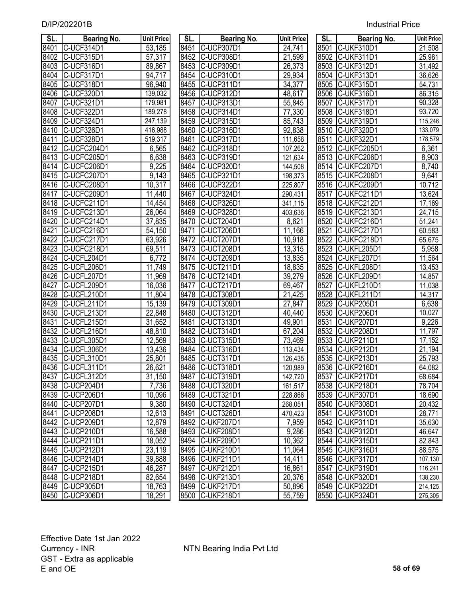| SL.  | Bearing No.      | <b>Unit Price</b>    | SL.  | <b>Bearing No.</b> | <b>Unit Price</b> | SL.               | <b>Bearing No.</b> | <b>Unit Price</b>   |
|------|------------------|----------------------|------|--------------------|-------------------|-------------------|--------------------|---------------------|
| 8401 | C-UCF314D1       | 53,185               | 8451 | C-UCP307D1         | 24,741            | 8501              | C-UKF310D1         | 21,508              |
| 8402 | C-UCF315D1       | 57,317               | 8452 | C-UCP308D1         | 21,599            | 8502              | C-UKF311D1         | 25,981              |
| 8403 | C-UCF316D1       | 89,867               | 8453 | C-UCP309D1         | 26,373            | 8503              | C-UKF312D1         | 31,492              |
| 8404 | C-UCF317D1       | 94,717               | 8454 | C-UCP310D1         | 29,934            | 8504              | C-UKF313D1         | 36,626              |
| 8405 | C-UCF318D1       | 96,940               | 8455 | C-UCP311D1         | 34,377            | 8505              | C-UKF315D1         | 54,731              |
| 8406 | C-UCF320D1       | 139,032              | 8456 | C-UCP312D1         | 48,617            | 8506              | C-UKF316D1         | 86,315              |
| 8407 | C-UCF321D1       | 179,981              | 8457 | C-UCP313D1         | 55,845            | 8507              | C-UKF317D1         | 90,328              |
| 8408 | C-UCF322D1       | 189,278              | 8458 | C-UCP314D1         | 77,330            | 8508              | C-UKF318D1         | 93,720              |
| 8409 | C-UCF324D1       | 247,139              | 8459 | C-UCP315D1         | 85,743            | 8509              | C-UKF319D1         | 115,246             |
| 8410 | C-UCF326D1       | 416,988              | 8460 | C-UCP316D1         | 92,838            | 8510              | C-UKF320D1         | 133,079             |
| 8411 | C-UCF328D1       | 519,317              | 8461 | C-UCP317D1         | 111,658           | 8511              | C-UKF322D1         | 178,579             |
| 8412 | C-UCFC204D1      | 6,565                | 8462 | C-UCP318D1         | 107,262           |                   | 8512 C-UKFC205D1   | 6,361               |
| 8413 | C-UCFC205D1      | 6,638                | 8463 | C-UCP319D1         | 121,634           | 8513              | C-UKFC206D1        | 8,903               |
| 8414 | C-UCFC206D1      | 9,225                | 8464 | C-UCP320D1         | 144,508           | 8514              | C-UKFC207D1        | 8,740               |
| 8415 | C-UCFC207D1      | $\overline{9}$ , 143 | 8465 | C-UCP321D1         | 198,373           |                   | 8515 C-UKFC208D1   | 9,641               |
| 8416 | C-UCFC208D1      | $\overline{10,317}$  | 8466 | C-UCP322D1         | 225,807           |                   | 8516 C-UKFC209D1   | 10,712              |
| 8417 | C-UCFC209D1      | 11,440               | 8467 | C-UCP324D1         | 290,431           | 8517              | C-UKFC211D1        | 13,624              |
| 8418 | C-UCFC211D1      | 14,454               | 8468 | C-UCP326D1         | 341,115           | 8518              | C-UKFC212D1        | 17,169              |
| 8419 | C-UCFC213D1      | 26,064               | 8469 | C-UCP328D1         | 403,636           | 8519              | C-UKFC213D1        | 24,715              |
| 8420 | C-UCFC214D1      | 37,835               | 8470 | C-UCT204D1         | 8,621             | 8520              | C-UKFC216D1        | 51,241              |
| 8421 | C-UCFC216D1      | 54,150               | 8471 | C-UCT206D1         | 11,166            | 8521              | C-UKFC217D1        | 60,583              |
| 8422 | C-UCFC217D1      | 63,926               | 8472 | C-UCT207D1         | 10,918            | 8522              | C-UKFC218D1        | 65,675              |
| 8423 | C-UCFC218D1      | 69,511               | 8473 | C-UCT208D1         | 13,315            | 8523              | C-UKFL205D1        | 5,958               |
| 8424 | C-UCFL204D1      | 6,772                | 8474 | C-UCT209D1         | 13,835            | 8524              | C-UKFL207D1        | 11,564              |
| 8425 | C-UCFL206D1      | 11,749               | 8475 | C-UCT211D1         | 18,835            | 8525              | C-UKFL208D1        | 13,453              |
| 8426 | C-UCFL207D1      | 11,969               | 8476 | C-UCT214D1         | 39,279            | 8526              | C-UKFL209D1        | 14,857              |
| 8427 | C-UCFL209D1      | 16,036               | 8477 | C-UCT217D1         | 69,467            | 8527              | C-UKFL210D1        | 11,038              |
| 8428 | C-UCFL210D1      | 11,804               | 8478 | C-UCT308D1         | 21,425            | 8528              | C-UKFL211D1        | $\overline{14,317}$ |
| 8429 | C-UCFL211D1      | 15,139               | 8479 | C-UCT309D1         | 27,847            | 8529              | C-UKP205D1         | 6,638               |
| 8430 | C-UCFL213D1      | 22,848               | 8480 | C-UCT312D1         | 40,440            | 8530              | C-UKP206D1         | 10,027              |
| 8431 | C-UCFL215D1      | 31,652               | 8481 | C-UCT313D1         | 49,901            | 8531              | C-UKP207D1         | 9,226               |
| 8432 | C-UCFL216D1      | 48,810               | 8482 | C-UCT314D1         | 67,204            | 8532              | <b>C-UKP208D1</b>  | 11,797              |
| 8433 | C-UCFL305D1      | 12,569               | 8483 | C-UCT315D1         | 73,469            | 8533              | C-UKP211D1         | 17,152              |
| 8434 | C-UCFL306D1      | 13,436               | 8484 | C-UCT316D1         | 113,434           | 8534              | C-UKP212D1         | 21,194              |
| 8435 | C-UCFL310D1      | 25,801               | 8485 | C-UCT317D1         | 126,435           | 8535              | C-UKP213D1         | 25,793              |
| 8436 | C-UCFL311D1      | 26,621               |      | 8486 C-UCT318D1    | 120,989           |                   | 8536 C-UKP216D1    | 64,082              |
|      | 8437 C-UCFL312D1 | 31,150               |      | 8487 C-UCT319D1    | 142,720           |                   | 8537 C-UKP217D1    | 68,684              |
| 8438 | C-UCP204D1       | 7,736                |      | 8488 C-UCT320D1    | 161,517           |                   | 8538 C-UKP218D1    | 78,704              |
| 8439 | C-UCP206D1       | 10,096               |      | 8489 C-UCT321D1    | 228,866           |                   | 8539 C-UKP307D1    | 18,690              |
| 8440 | C-UCP207D1       | 9,380                | 8490 | C-UCT324D1         | 268,051           |                   | 8540 C-UKP308D1    | 20,432              |
| 8441 | C-UCP208D1       | 12,613               | 8491 | C-UCT326D1         | 470,423           | 8541              | C-UKP310D1         | 28,771              |
| 8442 | C-UCP209D1       | 12,879               | 8492 | C-UKF207D1         | 7,959             | $85\overline{42}$ | C-UKP311D1         | 35,630              |
| 8443 | C-UCP210D1       | 16,588               | 8493 | C-UKF208D1         | 9,286             |                   | 8543 C-UKP312D1    | 46,647              |
| 8444 | C-UCP211D1       | 18,052               | 8494 | C-UKF209D1         | 10,362            |                   | 8544 C-UKP315D1    | 82,843              |
| 8445 | C-UCP212D1       | 23,119               |      | 8495 C-UKF210D1    | 11,064            |                   | 8545 C-UKP316D1    | 88,575              |
| 8446 | C-UCP214D1       | 39,888               | 8496 | C-UKF211D1         | 14,411            |                   | 8546 C-UKP317D1    | 107,130             |
| 8447 | C-UCP215D1       | 46,287               | 8497 | C-UKF212D1         | 16,861            |                   | 8547 C-UKP319D1    | 116,241             |
| 8448 | C-UCP218D1       | 82,654               |      | 8498 C-UKF213D1    | 20,376            |                   | 8548 C-UKP320D1    | 138,230             |
| 8449 | C-UCP305D1       | 18,763               | 8499 | C-UKF217D1         | 50,896            |                   | 8549 C-UKP322D1    | 214,125             |
| 8450 | C-UCP306D1       | 18,291               | 8500 | C-UKF218D1         | 55,759            |                   | 8550 C-UKP324D1    | 275,305             |

| SL.  | <b>Bearing No.</b>                     | <b>Unit Price</b>   |
|------|----------------------------------------|---------------------|
| 8451 | C-UCP307D1                             | 24,741              |
| 8452 | C-UCP308D1                             | $\overline{2}1,599$ |
| 8453 | C-UCP309D1                             | 26,373              |
| 8454 | C-UCP310D1                             | 29,934              |
| 8455 | C-UCP311D1                             | 34,377              |
| 8456 | C-UCP312D1                             | 48,617              |
| 8457 | C-UCP313D1                             | 55,845              |
| 8458 | C<br>-UCP314D1                         | 77,330              |
| 8459 | $\overline{C}$<br>-UCP315D1            | 85,743              |
| 8460 | C-UCP316D1                             | 92,838              |
| 8461 | $\overline{C}$<br>-UCP317D1            | 111,658             |
| 8462 | $\overline{C}$<br>-UCP318D1            | 107,262             |
| 8463 | C-UCP319D1                             | 121,634             |
| 8464 | C-UCP320D1                             | 144,508             |
| 8465 |                                        | 198,373             |
| 8466 |                                        | 225,807             |
| 8467 | C-UCP321D1<br>C-UCP322D1<br>C-UCP324D1 | 290, 431            |
| 8468 | C-UCP326D1                             | 341,115             |
| 8469 | C-UCP328D1                             | 403,636             |
| 8470 | C-UCT204D1                             | 8,621               |
| 8471 | <b>C-UCT206D1</b>                      | 11,166              |
| 8472 | C-UCT207D1                             | 10,918              |
| 8473 | C-UCT208D1                             | 13,315              |
| 8474 | C-UCT209D1                             | 13,835              |
| 8475 | C-UCT211D1                             | 18,835              |
| 8476 | C-UCT214D1                             | 39,279              |
| 8477 | C-UCT217D1                             | 69,467              |
| 8478 | C-UCT308D1                             | 21,425              |
| 8479 | C-UCT309D1                             | 27,847              |
| 8480 | C-UCT312D1                             | 40,440              |
| 8481 | C-UCT313D1                             | 49,901              |
|      | 8482 C-UCT314D1                        | 67,204              |
|      | 8483 C-UCT315D1                        | 73,469              |
|      | 8484 C-UCT316D1                        | 113,434             |
|      | 8485 C-UCT317D1                        | 126,435             |
|      | 8486 C-UCT318D1                        | 120,989             |
| 8487 | C-UCT319D1                             | 142,720             |
| 8488 | C-UCT320D1                             | 161,517             |
| 8489 | C-UCT321D1                             | 228,866             |
| 8490 | C-UCT324D1                             | 268,051             |
| 8491 | C-UCT326D1                             | 470,423             |
| 8492 | C-UKF207D1                             | 7,959               |
| 8493 | C-UKF208D1                             | 9,286               |
| 8494 | C-UKF209D1                             | 10,362              |
| 8495 | C.<br>$-\overline{UKF}210D1$           | 11,064              |
| 8496 | C-UKF211D1                             | 14,411              |
| 8497 | C-UKF212D1                             | 16,861              |
| 8498 | <b>C-UKF213D1</b>                      | 20,376              |
| 8499 | <b>C-UKF217D1</b>                      | 50,896              |
| 8500 | <b>C-UKF218D1</b>                      | 55,759              |

| SL.  | Bearing No.                         | <b>Unit Price</b> |
|------|-------------------------------------|-------------------|
| 8501 | C-UKF310D1                          | 21,508            |
| 8502 | C-UKF311D1                          | 25,981            |
| 8503 | <b>C-UKF312D1</b>                   | 31,492            |
| 8504 | C-UKF313D1                          | 36,626            |
| 8505 | C-UKF315D1                          | 54,731            |
| 8506 | C-UKF316D1                          | 86,315            |
| 8507 | C-UKF317D1                          | 90,328            |
| 8508 | C-UKF318D1                          | 93,720            |
| 8509 | C-UKF319D1                          | 115,246           |
| 8510 | C-UKF320D1                          | 133,079           |
| 8511 | C-UKF322D1                          | 178,579           |
| 8512 | C-UKFC205D1                         | 6,361             |
| 8513 | C-UKFC206D1                         | 8,903             |
| 8514 | C-UKFC207D1                         | 8,740             |
| 8515 | C-UKFC208D1                         | 9,641             |
| 8516 | C-UKFC209D1                         | 10,712            |
| 8517 | C-UKFC211D1                         | 13,624            |
| 8518 | C-UKFC212D1                         | 17,169            |
| 8519 | C-UKFC213D1                         | 24,715            |
| 8520 | C-UKFC216D1                         | 51,241            |
| 8521 | C-UKFC217D1                         | 60,583            |
| 8522 | C-UKFC218D1                         | 65,675            |
| 8523 | C-UKFL205D1                         | 5,958             |
| 8524 | C-UKFL207D1                         | 11,564            |
| 8525 | C-UKFL208D1                         | 13,453            |
| 8526 | C-UKFL209D1                         | 14,857            |
| 8527 | C-UKFL210D1                         | 11,038            |
| 8528 | C-UKFL211D1                         | 14,317            |
| 8529 | C-UKP205D1                          | 6,638             |
| 8530 | C-UKP206D1                          | 10,027            |
| 8531 | C-UKP207D1                          | 9,226             |
| 8532 | C-UKP208D1                          | 11,797            |
| 8533 | C-UKP211D1                          | 17,152            |
| 8534 | C-UKP212D1                          | 21,194            |
| 8535 | C-UKP213D1                          | 25,793            |
| 8536 | $\overline{\mathbb{C}}$<br>UKP216D1 | 64,082            |
| 8537 | C-UKP217D1                          | 68,684            |
| 8538 | C-UKP218D1                          | 78,704            |
| 8539 | C-UKP307D1                          | 18,690            |
| 8540 | C-UKP308D1                          | 20,432            |
| 8541 | C-UKP310D1                          | 28,771            |
| 8542 | -UKP311D1<br>C                      | 35,630            |
| 8543 | -UKP312D1<br>C                      | 46,647            |
| 8544 | C-UKP315D1                          | 82,843            |
| 8545 | <u>-UKP316D1</u><br>IC              | 88,575            |
| 8546 | C-UKP317D1                          | 107,130           |
| 8547 | C-UKP319D1                          | 116,241           |
| 8548 | C-UKP320D1                          | 138,230           |
| 8549 | C-UKP322D1                          | 214,125           |
| 8550 | C-UKP324D1                          | 275,305           |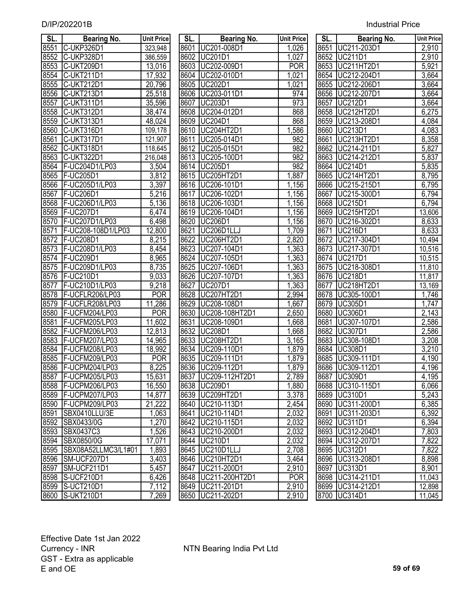| <b>Industrial Price</b> |
|-------------------------|
|                         |

| SL.  | <b>Bearing No.</b>    | <b>Unit Price</b>  | SL.  | <b>Bearing No.</b>    | <b>Unit Price</b>  | SL.  | <b>Bearing No.</b> | <b>Unit Price</b> |
|------|-----------------------|--------------------|------|-----------------------|--------------------|------|--------------------|-------------------|
| 8551 | C-UKP326D1            | 323,948            |      | 8601 UC201-008D1      | 1,026              |      | 8651 UC211-203D1   | 2,910             |
| 8552 | C-UKP328D1            | 386,559            |      | 8602 UC201D1          | 1,027              |      | 8652 UC211D1       | 2,910             |
| 8553 | C-UKT209D1            | 13,016             | 8603 | UC202-009D1           | <b>POR</b>         | 8653 | UC211HT2D1         | 5,921             |
| 8554 | C-UKT211D1            | 17,932             | 8604 | UC202-010D1           | 1,021              | 8654 | UC212-204D1        | 3,664             |
| 8555 | C-UKT212D1            | 20,796             | 8605 | <b>UC202D1</b>        | 1,021              | 8655 | UC212-206D1        | 3,664             |
| 8556 | C-UKT213D1            | 25,518             | 8606 | UC203-011D1           | 974                | 8656 | UC212-207D1        | 3,664             |
| 8557 | C-UKT311D1            | 35,596             | 8607 | <b>UC203D1</b>        | 973                | 8657 | <b>UC212D1</b>     | 3,664             |
| 8558 | C-UKT312D1            | 38,474             | 8608 | UC204-012D1           | 868                | 8658 | UC212HT2D1         | 6,275             |
| 8559 | C-UKT313D1            | 48,024             | 8609 | <b>UC204D1</b>        | 868                | 8659 | UC213-208D1        | 4,084             |
| 8560 | C-UKT316D1            | 109,178            | 8610 | UC204HT2D1            | ,586               | 8660 | <b>UC213D1</b>     | 4,083             |
| 8561 | C-UKT317D1            | 121,907            | 8611 | UC205-014D1           | 982                | 8661 | <b>UC213HT2D1</b>  | 8,358             |
| 8562 | C-UKT318D1            | 118,645            |      | 8612 UC205-015D1      | 982                | 8662 | UC214-211D1        | 5,827             |
| 8563 | C-UKT322D1            | 216,048            | 8613 | UC205-100D1           | 982                | 8663 | UC214-212D1        | 5,837             |
| 8564 | F-UC204D1/LP03        | 3,504              |      | 8614 UC205D1          | 982                | 8664 | <b>UC214D1</b>     | 5,835             |
| 8565 | <b>F-UC205D1</b>      | 3,812              | 8615 | UC205HT2D1            | 1,887              | 8665 | UC214HT2D1         | 8,795             |
| 8566 | F-UC205D1/LP03        | $\overline{3,}397$ |      | 8616 UC206-101D1      | 1,156              | 8666 | UC215-215D1        | 6,795             |
| 8567 | <b>F-UC206D1</b>      | 5,216              | 8617 | UC206-102D1           | 1,156              | 8667 | UC215-300D1        | 6,794             |
| 8568 | F-UC206D1/LP03        | 5,136              |      | 8618 UC206-103D1      | 1,156              | 8668 | <b>UC215D1</b>     | 6,794             |
| 8569 | <b>F-UC207D1</b>      | 6,474              |      | 8619 UC206-104D1      | 1,156              | 8669 | UC215HT2D1         | 13,606            |
| 8570 | F-UC207D1/LP03        | 6,498              |      | 8620 UC206D1          | 1,156              |      | 8670 UC216-302D1   | 8,633             |
| 8571 | F-UC208-108D1/LP03    | 12,800             | 8621 | UC206D1LLJ            | 1,709              | 8671 | UC216D1            | 8,633             |
| 8572 | F-UC208D1             | 8,215              | 8622 | UC206HT2D1            | 2,820              |      | 8672 UC217-304D1   | 10,494            |
| 8573 | F-UC208D1/LP03        | $\overline{8,}454$ |      | 8623 UC207-104D1      | 1,363              |      | 8673 UC217-307D1   | 10,516            |
| 8574 | <b>F-UC209D1</b>      | 8,965              |      | 8624 UC207-105D1      | 1,363              |      | 8674   UC217D1     | 10,515            |
| 8575 | F-UC209D1/LP03        | 8,735              |      | 8625 UC207-106D1      | 1,363              |      | 8675 UC218-308D1   | 11,810            |
| 8576 | <b>F-UC210D1</b>      | 9,033              |      | 8626 UC207-107D1      | 1,363              |      | 8676 UC218D1       | 11,817            |
| 8577 | F-UC210D1/LP03        | 9,218              | 8627 | UC207D1               | 1,363              | 8677 | UC218HT2D1         | 13,169            |
| 8578 | F-UCFLR206/LP03       | <b>POR</b>         | 8628 | UC207HT2D1            | 2,994              | 8678 | UC305-100D1        | 1,746             |
| 8579 | F-UCFLR208/LP03       | 11,286             | 8629 | UC208-108D1           | 1,667              | 8679 | <b>UC305D1</b>     | 1,747             |
| 8580 | F-UCFM204/LP03        | <b>POR</b>         | 8630 | UC208-108HT2D1        | 2,650              | 8680 | <b>UC306D1</b>     | 2,143             |
| 8581 | F-UCFM205/LP03        | 11,602             | 8631 | UC208-109D1           | 1,668              | 8681 | UC307-107D1        | 2,586             |
| 8582 | F-UCFM206/LP03        | 12,813             | 8632 | UC208D1               | 1,668              | 8682 | <b>UC307D1</b>     | 2,586             |
| 8583 | F-UCFM207/LP03        | 14,965             | 8633 | UC208HT2D1            | $\overline{3,}165$ | 8683 | UC308-108D1        | 3,208             |
| 8584 | F-UCFM208/LP03        | 18,992             | 8634 | UC209-110D1           | 1,879              | 8684 | <b>UC308D1</b>     | 3,210             |
| 8585 | F-UCFM209/LP03        | <b>POR</b>         | 8635 | UC209-111D1           | 1,879              | 8685 | UC309-111D1        | 4,190             |
|      | 8586   F-UCPM204/LP03 | 8,225              |      | 8636 UC209-112D1      | 1,879              |      | 8686 UC309-112D1   | 4,196             |
|      | 8587   F-UCPM205/LP03 | 15,631             |      | 8637   UC209-112HT2D1 | 2,789              |      | 8687 UC309D1       | 4,195             |
| 8588 | F-UCPM206/LP03        | 16,550             |      | 8638 UC209D1          | 1,880              |      | 8688 UC310-115D1   | 6,066             |
| 8589 | F-UCPM207/LP03        | 14,877             |      | 8639 UC209HT2D1       | 3,378              |      | 8689 UC310D1       | 5,243             |
| 8590 | F-UCPM209/LP03        | 21,222             |      | 8640 UC210-113D1      | 2,454              |      | 8690 UC311-200D1   | 6,385             |
| 8591 | SBX0410LLU/3E         | 1,063              |      | 8641 UC210-114D1      | 2,032              |      | 8691 UC311-203D1   | 6,392             |
| 8592 | SBX0433/0G            | 1,270              |      | 8642 UC210-115D1      | 2,032              |      | 8692 UC311D1       | 6,394             |
| 8593 | <b>SBX0437C3</b>      | 1,526              |      | 8643 UC210-200D1      | 2,032              |      | 8693 UC312-204D1   | 7,803             |
| 8594 | SBX0850/0G            | 17,071             |      | 8644 UC210D1          | 2,032              |      | 8694 UC312-207D1   | 7,822             |
| 8595 | SBX08A52LLMC3/L1#01   | 1,893              |      | 8645   UC210D1LLJ     | $\sqrt{2}$ ,708    |      | 8695 UC312D1       | 7,822             |
| 8596 | SM-UCF207D1           | 3,403              |      | 8646 UC210HT2D1       | 3,464              |      | 8696 UC313-208D1   | 8,898             |
| 8597 | SM-UCF211D1           | 5,457              |      | 8647 UC211-200D1      | 2,910              |      | 8697 UC313D1       | 8,901             |
| 8598 | S-UCF210D1            | 6,426              |      | 8648   UC211-200HT2D1 | <b>POR</b>         |      | 8698 UC314-211D1   | 11,043            |
| 8599 | S-UCT210D1            | 7,112              |      | 8649 UC211-201D1      | 2,910              |      | 8699 UC314-212D1   | 12,898            |
| 8600 | S-UKT210D1            | 7.269              |      | 8650 UC211-202D1      | 2.910              |      | 8700 UC314D1       | 11.045            |

| SL.  | <b>Bearing No.</b>                       | <b>Unit Price</b>  |
|------|------------------------------------------|--------------------|
| 8601 | UC201-008D1                              | 1,026              |
| 8602 | <b>UC201D1</b>                           | 1,027              |
| 8603 | UC202-009D1                              | <b>POR</b>         |
| 8604 | JC202-010D1                              | 1,021              |
| 8605 | <b>UC202D1</b>                           | 1,021              |
| 8606 | UC203-011D1                              | 974                |
| 8607 | <b>UC203D1</b>                           | 973                |
| 8608 | UC204-012D1                              | 868                |
| 8609 | <b>UC204D1</b>                           | 868                |
| 8610 | UC204HT2D1                               | 1,586              |
| 8611 | UC205-014D1                              | 982                |
| 8612 | UC205-015D1                              | 982                |
| 8613 | UC205-100D1                              | 982                |
| 8614 | <b>UC205D1</b>                           | 982                |
|      | 8615   UC205HT2D1                        | 1,887              |
| 8616 | UC206-101D1                              | 1,156              |
| 8617 | UC206-102D1                              | $\overline{1,156}$ |
| 8618 | UC206-103D1                              | $\overline{1,156}$ |
| 8619 | UC206-104D1                              | 1,156              |
| 8620 | <b>UC206D1</b>                           | 1,156              |
| 8621 | <b>UC206D1LLJ</b>                        | 1,709              |
| 8622 | <b>UC206HT2D1</b>                        | 2,820              |
| 8623 | UC207-104D1                              | 1,363              |
| 8624 | UC207-105D1                              | 1,363              |
| 8625 | UC207-106D1                              | 1,363              |
| 8626 | UC207-107D1                              | 1,363              |
| 8627 | <b>UC207D1</b>                           | 1,363              |
| 8628 | <b>UC207HT2D1</b>                        | 2,994              |
| 8629 | UC208-108D1                              | 1,667              |
| 8630 | UC208-108HT2D1                           | 2,650              |
| 8631 | UC208-109D1                              | 1,668              |
| 8632 | <b>UC208D1</b>                           | $\overline{1,}668$ |
| 8633 | UC208HT2D1                               | 3,165              |
| 8634 | UC209-110D1                              | $\overline{1,879}$ |
| 8635 | UC209-111D1                              | $\overline{1,}879$ |
| 8636 | UC209-112D1                              | 1,879              |
| 8637 | UC209-112HT2D1                           | 2,789              |
| 8638 | UC209D1                                  | <u>1,880</u>       |
| 8639 | UC209HT2D1<br>UC210-113D1<br>UC210-114D1 | 3,378              |
| 8640 |                                          | 2,454              |
| 8641 |                                          | 2,032              |
| 8642 | UC210-115D1                              | 2,032              |
| 8643 |                                          | 2,032              |
| 8644 | UC210-200D1<br>UC210D1                   | 2,032              |
| 8645 | UC210D1LLJ                               | 2,708              |
| 8646 | UC210HT2D1                               | 3,464              |
| 8647 | UC211-200D1                              | 2,9 <u>10</u>      |
| 8648 | UC211-200HT2D1                           | POR                |
| 8649 | UC211-201D1                              | 2,910              |
| 8650 | UC211-202D1                              | 2,910              |

| SL.  | Bearing No.                       | <b>Unit Price</b>  | SL.  | <b>Bearing No.</b>               | <b>Unit Price</b> | SL.  | <b>Bearing No.</b>                   | <b>Unit Price</b>    |
|------|-----------------------------------|--------------------|------|----------------------------------|-------------------|------|--------------------------------------|----------------------|
| 8551 | C-UKP326D1                        | 323,948            |      | 8601 UC201-008D1                 | 1,026             | 8651 | UC211-203D1                          | 2,910                |
| 8552 | C-UKP328D1                        | 386,559            |      | 8602 UC201D1                     | 1,027             | 8652 | <b>UC211D1</b>                       | 2,910                |
| 8553 | C-UKT209D1                        | 13,016             | 8603 | UC202-009D1                      | <b>POR</b>        | 8653 | UC211HT2D1                           | 5,921                |
| 8554 | C-UKT211D1                        | 17,932             | 8604 | UC202-010D1                      | 1,021             | 8654 | UC212-204D1                          | 3,664                |
| 8555 | C-UKT212D1                        | 20,796             |      | 8605 UC202D1                     | ,021              | 8655 | UC212-206D1                          | 3,664                |
| 8556 | C-UKT213D1                        | 25,518             | 8606 | UC203-011D1                      | 974               | 8656 | UC212-207D1                          | 3,664                |
| 8557 | C-UKT311D1                        | 35,596             | 8607 | UC203D1                          | 973               | 8657 | <b>UC212D1</b>                       | 3,664                |
| 8558 | <b>C-UKT312D1</b>                 | 38,474             | 8608 | UC204-012D1                      | 868               | 8658 | <b>UC212HT2D1</b>                    | 6,275                |
| 8559 | C-UKT313D1                        | 48,024             | 8609 | <b>UC204D1</b>                   | 868               | 8659 | UC213-208D1                          | 4,084                |
| 8560 | C-UKT316D1                        | 109,178            | 8610 | UC204HT2D1                       | 1,586             | 8660 | <b>UC213D1</b>                       | 4,083                |
| 8561 | C-UKT317D1                        | 121,907            | 8611 | UC205-014D1                      | 982               | 8661 | UC213HT2D1                           | 8,358                |
| 8562 | C-UKT318D1                        | 118,645            | 8612 | UC205-015D1                      | 982               | 8662 | UC214-211D1                          | 5,827                |
| 8563 | <b>C-UKT322D1</b>                 | 216,048            |      | 8613 UC205-100D1                 | 982               | 8663 | UC214-212D1                          | 5,837                |
| 8564 | F-UC204D1/LP03                    | 3,504              |      | 8614 UC205D1                     | 982               | 8664 | <b>UC214D1</b>                       | $\overline{5,835}$   |
| 8565 | <b>F-UC205D1</b>                  | 3,812              | 8615 | UC205HT2D1                       | 1,887             | 8665 | UC214HT2D1                           | 8,795                |
| 8566 | F-UC205D1/LP03                    | 3,397              | 8616 | UC206-101D1                      | 1,156             | 8666 | UC215-215D1                          | 6,795                |
| 8567 | <b>F-UC206D1</b>                  | 5,216              | 8617 | UC206-102D1                      | 1,156             | 8667 | UC215-300D1                          | 6,794                |
| 8568 | F-UC206D1/LP03                    | $\overline{5,136}$ | 8618 | UC206-103D1                      | 1,156             | 8668 | <b>IUC215D1</b>                      | 6,794                |
| 8569 | <b>F-UC207D1</b>                  | 6,474              | 8619 | UC206-104D1                      | 1,156             | 8669 | UC215HT2D1                           | 13,606               |
| 8570 | F-UC207D1/LP03                    | 6,498              | 8620 | <b>UC206D1</b>                   | 1,156             | 8670 | UC216-302D1                          | 8,633                |
| 8571 | F-UC208-108D1/LP03                | 12,800             | 8621 | UC206D1LLJ                       | 1,709             | 8671 | UC216D1                              | 8,633                |
| 8572 | F-UC208D1                         | 8,215              | 8622 | UC206HT2D1                       | 2,820             | 8672 | UC217-304D1                          | 10,494               |
| 8573 | F-UC208D1/LP03                    | 8,454              | 8623 | UC207-104D1                      | 1,363             | 8673 | UC217-307D1                          | 10,516               |
| 8574 | <b>F-UC209D1</b>                  | 8,965              | 8624 | UC207-105D1                      | 1,363             | 8674 | <b>UC217D1</b>                       | 10,515               |
| 8575 | F-UC209D1/LP03                    | 8,735              | 8625 | UC207-106D1                      | 1,363             | 8675 | UC218-308D1                          | 11,810               |
| 8576 | F-UC210D1                         | 9,033              |      | 8626 UC207-107D1                 | 1,363             | 8676 | <b>UC218D1</b>                       | 11,817               |
| 8577 | F-UC210D1/LP03                    | 9,218              | 8627 | <b>UC207D1</b>                   | 1,363             | 8677 | UC218HT2D1                           | 13,169               |
| 8578 | F-UCFLR206/LP03                   | <b>POR</b>         | 8628 | <b>UC207HT2D1</b>                | 2,994             | 8678 | UC305-100D1                          | 1,746                |
| 8579 | F-UCFLR208/LP03                   | 11,286             | 8629 | UC208-108D1                      | 1,667             | 8679 | <b>UC305D1</b>                       | 1,747                |
| 8580 | F-UCFM204/LP03                    | <b>POR</b>         | 8630 | UC208-108HT2D1                   | 2,650             | 8680 | <b>UC306D1</b>                       | $\overline{2}$ , 143 |
| 8581 | F-UCFM205/LP03                    | 11,602             | 8631 | UC208-109D1                      | 1,668             | 8681 | UC307-107D1                          | 2,586                |
| 8582 | F-UCFM206/LP03                    | 12,813             |      | 8632 UC208D1                     | 1,668             | 8682 | <b>UC307D1</b>                       | 2,586                |
| 8583 | F-UCFM207/LP03                    | 14,965             | 8633 | UC208HT2D1                       | 3,165             | 8683 | UC308-108D1                          | 3,208                |
| 8584 | F-UCFM208/LP03                    | 18,992             |      | 8634 UC209-110D1                 | 1,879             | 8684 | UC308D1                              | $\overline{3,210}$   |
| 8585 | F-UCFM209/LP03                    | <b>POR</b>         |      | 8635   UC209-111D1               | 1,879             | 8685 | UC309-111D1                          | 4,190                |
|      | 8586 F-UCPM204/LP03               | 8,225              |      | 8636 UC209-112D1                 | 1,879             |      | 8686 UC309-112D1                     | 4,196                |
|      | 8587 F-UCPM205/LP03               | 15,631             |      | 8637 UC209-112HT2D1              | 2,789             |      | 8687 UC309D1                         | 4,195                |
|      | 8588 F-UCPM206/LP03               | 16,550             |      | 8638 UC209D1                     | 1,880             |      | 8688 UC310-115D1                     | 6,066                |
|      | 8589 F-UCPM207/LP03               | 14,877             |      | 8639 UC209HT2D1                  | 3,378             |      | 8689 UC310D1                         | 5,243                |
|      | 8590 F-UCPM209/LP03               | 21,222             |      | 8640   UC210-113D1               | 2,454             |      | 8690 UC311-200D1                     | 6,385                |
|      | 8591 SBX0410LLU/3E                | 1,063              |      | 8641 UC210-114D1                 | 2,032             |      | 8691 UC311-203D1                     | 6,392                |
|      | 8592 SBX0433/0G                   | 1,270              |      | 8642 UC210-115D1                 | 2,032             |      | 8692 UC311D1                         | 6,394                |
|      | 8593 SBX0437C3<br>8594 SBX0850/0G | 1,526<br>17,071    |      | 8643 UC210-200D1<br>8644 UC210D1 | 2,032<br>2,032    |      | 8693 UC312-204D1<br>8694 UC312-207D1 | 7,803<br>7,822       |
|      | 8595 SBX08A52LLMC3/L1#01          | 1,893              |      | 8645   UC210D1LLJ                | 2,708             |      | 8695 UC312D1                         | 7,822                |
|      | 8596 SM-UCF207D1                  | 3,403              |      | 8646 UC210HT2D1                  | 3,464             |      | 8696 UC313-208D1                     | 8,898                |
|      | 8597 SM-UCF211D1                  | 5,457              |      | 8647   UC211-200D1               | 2,910             |      | 8697 UC313D1                         | 8,901                |
|      | 8598 S-UCF210D1                   | 6,426              |      | 8648 UC211-200HT2D1              | <b>POR</b>        |      | 8698 UC314-211D1                     | 11,043               |
|      | 8599 S-UCT210D1                   | 7,112              |      | 8649 UC211-201D1                 | 2,910             |      | 8699 UC314-212D1                     | 12,898               |
|      | 8600 S-UKT210D1                   | 7,269              |      | 8650 UC211-202D1                 | 2,910             |      | 8700 UC314D1                         | 11,045               |
|      |                                   |                    |      |                                  |                   |      |                                      |                      |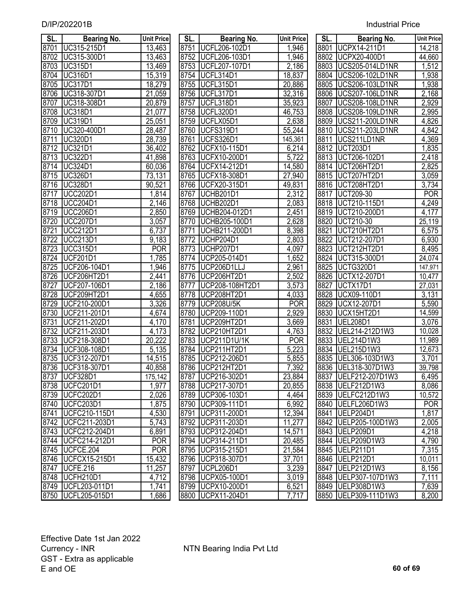| SL.  | <b>Bearing No.</b>   | <b>Unit Price</b>    | SL.  | <b>Bearing No.</b>   | <b>Unit Price</b> | SL.  | Bearing No.            | <b>Unit Price</b> |
|------|----------------------|----------------------|------|----------------------|-------------------|------|------------------------|-------------------|
| 8701 | UC315-215D1          | 13,463               | 8751 | UCFL206-102D1        | 1,946             | 8801 | UCPX14-211D1           | 14,218            |
| 8702 | UC315-300D1          | 13,463               | 8752 | <b>UCFL206-103D1</b> | 1,946             | 8802 | <b>UCPX20-400D1</b>    | 44,660            |
| 8703 | <b>UC315D1</b>       | 13,469               | 8753 | UCFL207-107D1        | 2,186             | 8803 | <b>UCS205-014LD1NR</b> | 1,512             |
| 8704 | <b>UC316D1</b>       | 15,319               | 8754 | <b>UCFL314D1</b>     | 18,837            | 8804 | <b>UCS206-102LD1NR</b> | 1,938             |
| 8705 | <b>UC317D1</b>       | 18,279               | 8755 | UCFL315D1            | 20,886            | 8805 | <b>UCS206-103LD1NR</b> | 1,938             |
| 8706 | UC318-307D1          | 21,059               | 8756 | UCFL317D1            | 32,316            | 8806 | <b>UCS207-106LD1NR</b> | 2,168             |
| 8707 | UC318-308D1          | 20,879               | 8757 | <b>UCFL318D1</b>     | 35,923            | 8807 | <b>UCS208-108LD1NR</b> | 2,929             |
| 8708 | <b>UC318D1</b>       | 21,077               | 8758 | UCFL320D1            | 46,753            | 8808 | <b>UCS208-109LD1NR</b> | 2,995             |
| 8709 | UC319D1              | 25,051               | 8759 | UCFLX05D1            | 2,638             | 8809 | <b>UCS211-200LD1NR</b> | 4,826             |
| 8710 | UC320-400D1          | 28,487               | 8760 | UCFS319D1            | 55,244            | 8810 | UCS211-203LD1NR        | 4,842             |
| 8711 | UC320D1              | 28,739               | 8761 | UCFS326D1            | 145,361           | 8811 | UCS211LD1NR            | 4,369             |
| 8712 | <b>UC321D1</b>       | 36,402               | 8762 | <b>UCFX10-115D1</b>  | 6,214             | 8812 | <b>UCT203D1</b>        | 1,835             |
| 8713 | UC322D1              | 41,898               | 8763 | <b>UCFX10-200D1</b>  | 5,722             | 8813 | UCT206-102D1           | 2,418             |
| 8714 | <b>UC324D1</b>       | 60,036               | 8764 | <b>UCFX14-212D1</b>  | 14,580            |      | 8814   UCT206HT2D1     | 2,825             |
| 8715 | <b>UC326D1</b>       | 73,131               | 8765 | <b>UCFX18-308D1</b>  | 27,940            | 8815 | UCT207HT2D1            | 3,059             |
| 8716 | <b>UC328D1</b>       | 90,521               | 8766 | <b>UCFX20-315D1</b>  | 49,831            | 8816 | UCT208HT2D1            | 3,734             |
| 8717 | <b>UCC202D1</b>      | 1,814                | 8767 | UCHB201D1            | 2,312             | 8817 | <b>UCT209-30</b>       | <b>POR</b>        |
| 8718 | <b>UCC204D1</b>      | 2,146                | 8768 | UCHB202D1            | 2,083             | 8818 | UCT210-115D1           | 4,249             |
| 8719 | <b>UCC206D1</b>      | 2,850                | 8769 | UCHB204-012D1        | 2,451             | 8819 | UCT210-200D1           | 4,177             |
| 8720 | <b>UCC207D1</b>      | 3,057                | 8770 | UCHB205-100D1        | 2,628             | 8820 | UCT210-30              | 25,119            |
| 8721 | <b>UCC212D1</b>      | 6,737                | 8771 | UCHB211-200D1        | 8,398             | 8821 | UCT210HT2D1            | 6,575             |
| 8722 | <b>UCC213D1</b>      | $\overline{9}$ , 183 | 8772 | UCHP204D1            | 2,803             | 8822 | UCT212-207D1           | 6,930             |
| 8723 | <b>UCC315D1</b>      | <b>POR</b>           | 8773 | <b>UCHP207D1</b>     | 4,097             | 8823 | UCT212HT2D1            | 8,495             |
| 8724 | <b>UCF201D1</b>      | 1,785                | 8774 | UCP205-014D1         | 1,652             | 8824 | UCT315-300D1           | 24,074            |
| 8725 | UCF206-104D1         | 1,946                | 8775 | UCP206D1LLJ          | 2,961             | 8825 | UCTG320D1              | 147,971           |
| 8726 | UCF206HT2D1          | 2,441                | 8776 | UCP206HT2D1          | 2,502             | 8826 | <b>UCTX12-207D1</b>    | 10,477            |
| 8727 | UCF207-106D1         | $\overline{2}$ , 186 | 8777 | UCP208-108HT2D1      | 3,573             | 8827 | UCTX17D1               | 27,031            |
| 8728 | UCF209HT2D1          | 4,655                | 8778 | UCP208HT2D1          | 4,033             | 8828 | UCX09-110D1            | 3,131             |
| 8729 | UCF210-200D1         | 3,326                | 8779 | <b>UCP208U/5K</b>    | <b>POR</b>        | 8829 | UCX12-207D1            | 5,590             |
| 8730 | UCF211-201D1         | 4,674                | 8780 | UCP209-110D1         | 2,929             | 8830 | UCX15HT2D1             | 14,599            |
| 8731 | UCF211-202D1         | 4,170                | 8781 | UCP209HT2D1          | 3,669             | 8831 | <b>UEL208D1</b>        | 3,076             |
| 8732 | UCF211-203D1         | 4,173                | 8782 | UCP210HT2D1          | 4,763             | 8832 | UEL214-212D1W3         | 10,028            |
| 8733 | UCF218-308D1         | 20,222               | 8783 | UCP211D1U/1K         | <b>POR</b>        | 8833 | UEL214D1W3             | 11,989            |
| 8734 | UCF308-108D1         | 5,135                | 8784 | UCP211HT2D1          | 5,223             | 8834 | UEL215D1W3             | 12,673            |
| 8735 | UCF312-207D1         | 14,515               | 8785 | UCP212-206D1         | 5,855             | 8835 | UEL306-103D1W3         | 3,701             |
|      | 8736 UCF318-307D1    | 40,858               |      | 8786 UCP212HT2D1     | 7,392             |      | 8836 UEL318-307D1W3    | 39,798            |
|      | 8737 UCF328D1        | 175,142              |      | 8787 UCP216-302D1    | 23,884            |      | 8837   UELF212-207D1W3 | 6,495             |
|      | 8738 UCFC201D1       | 1,977                |      | 8788 UCP217-307D1    | 20,855            |      | 8838 UELF212D1W3       | 8,086             |
|      | 8739 UCFC202D1       | 2,026                |      | 8789 UCP306-103D1    | 4,464             |      | 8839 UELFC212D1W3      | 10,572            |
|      | 8740   UCFC203D1     | 1,875                |      | 8790 UCP309-111D1    | 6,992             |      | 8840   UELFL206D1W3    | <b>POR</b>        |
| 8741 | UCFC210-115D1        | 4,530                |      | 8791 UCP311-200D1    | 12,394            |      | 8841 UELP204D1         | 1,817             |
|      | 8742   UCFC211-203D1 | 5,743                |      | 8792 UCP311-203D1    | 11,277            |      | 8842 UELP205-100D1W3   | 2,005             |
|      | 8743   UCFC212-204D1 | 6,891                |      | 8793 UCP312-204D1    | 14,571            |      | 8843 UELP209D1         | 4,218             |
|      | 8744   UCFC214-212D1 | <b>POR</b>           |      | 8794 UCP314-211D1    | 20,485            |      | 8844 UELP209D1W3       | 4,790             |
|      | 8745   UCFCE.204     | <b>POR</b>           |      | 8795   UCP315-215D1  | 21,584            |      | 8845   UELP211D1       | 7,315             |
|      | 8746   UCFCX15-215D1 | 15,432               |      | 8796 UCP318-307D1    | 37,701            |      | 8846 UELP212D1         | 10,011            |
|      | 8747 UCFE.216        | 11,257               |      | 8797 UCPL206D1       | 3,239             |      | 8847 UELP212D1W3       | 8,156             |
|      | 8748   UCFH210D1     | 4,712                |      | 8798 UCPX05-100D1    | 3,019             |      | 8848   UELP307-107D1W3 | 7,111             |
|      | 8749   UCFL203-011D1 | 1,741                |      | 8799 UCPX10-200D1    | 6,521             |      | 8849 UELP308D1W3       | 7,639             |
|      | 8750   UCFL205-015D1 | 1,686                |      | 8800 UCPX11-204D1    | 7,717             |      | 8850 UELP309-111D1W3   | 8,200             |
|      |                      |                      |      |                      |                   |      |                        |                   |

| SL.  | <b>Bearing No.</b>   | <b>Unit Pric</b>   |
|------|----------------------|--------------------|
| 8751 | UCFL206-102D1        | 1,946              |
| 8752 | UCFL206-103D1        | 1,946              |
| 8753 | UCFL207-107D1        | 2,186              |
| 8754 | <b>UCFL314D1</b>     | 18,837             |
| 8755 | 315D1<br><b>UCFL</b> | 20,886             |
| 8756 | 317D1<br><b>UCFL</b> |                    |
| 8757 | <b>UCFL</b><br>318D1 | 32,316<br>35,923   |
| 8758 | <b>UCFL</b><br>320D1 | 46,753             |
| 8759 | UCFLX05D1            | 2,638              |
| 8760 | UCFS319D1            | 55,244             |
| 8761 | <b>UCFS326D1</b>     | 145,361            |
| 8762 | <b>UCFX10-115D1</b>  | 6,214              |
| 8763 | <b>UCFX10-200D1</b>  | 5,722              |
| 8764 | <b>UCFX14-212D1</b>  | 14,580             |
| 8765 | <b>UCFX18-308D1</b>  | 27,940             |
| 8766 | UCFX20-315D1         | 49,831             |
| 8767 | UCHB201D1            | 2,312              |
| 8768 | UCHB202D1            | 2,083              |
| 8769 | UCHB204-012D1        | 2,451              |
| 8770 | UCHB205-100D1        | 2,628              |
| 8771 | UCHB211-200D1        | 8,398              |
| 8772 | <b>UCHP204D1</b>     | 2,803              |
| 8773 | UCHP207D1            | 4,097              |
| 8774 | UCP205-014D1         | $\overline{1,652}$ |
| 8775 | UCP206D1LLJ          | 2,961              |
| 8776 | UCP206HT2I<br>)1     | 2,502              |
| 8777 | UCP208-108HT2D1      | 3,573              |
| 8778 | UCP208HT2D1          | 4,033              |
| 8779 | <b>UCP208U/5K</b>    | <b>POR</b>         |
| 8780 | UCP209-110D1         | 2,929              |
| 8781 | UCP209HT2D1          | 3,669              |
| 8782 | UCP210HT2D1          | 4,763              |
|      | 8783 UCP211D1U/1K    | <b>POR</b>         |
|      | 8784   UCP211HT2D1   | 5,223              |
| 8785 | UCP212-206D1         | $\overline{5,855}$ |
| 8786 | UCP212HT2D1          | 7,392              |
| 8787 | UCP216-302D1         | 23,884             |
| 8788 | UCP217-307D1         | 20,855             |
| 8789 | UCP306-103D1         | 4,464              |
| 8790 | UCP309-111D1         | 6,992              |
| 8791 | UCP311-200D1         | 12,394             |
| 8792 | UCP311-203D1         | 11,277             |
| 8793 | UCP312-204D1         | 14,571             |
| 8794 | UCP314-211D1         | 20,485             |
| 8795 | UCP315-215D1         | 21,584             |
| 8796 | UCP318-307D1         | 37,701             |
| 8797 | <b>UCPL206D1</b>     | 3,239              |
| 8798 | UCPX05-100D1         | 3,019              |
| 8799 | <b>UCPX10-200D1</b>  | 6,521              |
| 8800 | <b>UCPX11-204D1</b>  | 7,717              |
|      |                      |                    |

| SL.         | <b>Bearing No.</b>                                                                                                   | Unit Price       |
|-------------|----------------------------------------------------------------------------------------------------------------------|------------------|
| 8801        | UCPX14-211D1                                                                                                         | 14,218           |
| 8802        | <b>UCPX20-400D1</b>                                                                                                  | 44,660           |
| 8803        | <b>UCS205-014LD1NR</b>                                                                                               | 1,512            |
| 8804        | <b>UCS206-102LD1NR</b>                                                                                               | 1,938            |
| 8805        | <b>UCS206-103LD1NR</b>                                                                                               | 1,938            |
| 8806        | <b>UCS207-106LD1NR</b>                                                                                               | 2,168            |
| 8807        | <b>UCS208-108LD1NR</b>                                                                                               | 2,929            |
| 8808        | <b>UCS208-109LD1NR</b>                                                                                               | 2,995            |
| 8809        | UCS211-200LD1NR                                                                                                      | 4,826            |
| 8810        | UCS211-203LD1NR                                                                                                      | 4,842            |
| 8811        | UCS211LD1NR                                                                                                          | 4,369            |
| 8812        | <b>UCT203D1</b>                                                                                                      | 1,835            |
| 8813        | UCT206-102D1                                                                                                         | 2,418            |
| 8814        | <b>UCT206HT2D1</b>                                                                                                   | 2,825            |
| 8815        | UCT207HT2D1                                                                                                          | 3,059            |
| 8816        |                                                                                                                      | 3,734            |
| 8817        | UCT207HT2DT<br>UCT208HT2D1<br>UCT209-30<br>UCT210-115D1<br>UCT210-200D1<br>UCT210-30<br>UCT212-207D1<br>UCT212-207D1 | $\overline{POR}$ |
| 8818        |                                                                                                                      | 4,249            |
| 8819        |                                                                                                                      | $\frac{4,177}{}$ |
| 8820        |                                                                                                                      | 25,119           |
| <u>8821</u> |                                                                                                                      | 6,575            |
| 8822        |                                                                                                                      | 6,930            |
| 8823        | UCT212HT2D1                                                                                                          | 8,495            |
| 8824        | UCT315-300D1                                                                                                         | 24,074           |
| 8825        | UCTG320D1                                                                                                            | 147,971          |
| 8826        | UCTX12-207D1                                                                                                         | 10,477           |
| 8827        | UCTX17D1                                                                                                             | 27,031           |
| 8828        | UCX09-110D1                                                                                                          | 3,131            |
| 8829        | <b>UCX12-207D1</b>                                                                                                   | 5,590            |
| 8830        | UCX15HT2D1                                                                                                           | 14,599           |
| 8831        | <b>UEL208D1</b>                                                                                                      | 3,076            |
| 8832        | UEL214-212D1W3                                                                                                       | 10,028           |
| 8833        | UEL214D1W3                                                                                                           | 11,989           |
| 8834        | UEL215D1W3                                                                                                           | 12,673           |
| 8835        | UEL306-103D1W3                                                                                                       | 3,701            |
| 8836        | .318-307D1W3<br>UEL                                                                                                  | 39,798           |
| 8837        | UELF212-207D1W3                                                                                                      | 6,495            |
| 8838        | UELF212D1W3                                                                                                          | 8,086            |
| 8839        | UELFC212D1W3                                                                                                         | 10,572           |
| 8840        | UELFL206D1W3                                                                                                         | POR              |
| 8841        | UELP204D1                                                                                                            | 1,817            |
| 8842        | UELP205-100D1W3                                                                                                      | 2,005            |
| 8843        | UELP209D1                                                                                                            | 4,218            |
| 8844        | UELP209D1W3                                                                                                          | 4,790            |
| 8845        | UELP211D1                                                                                                            | 7,315            |
| 8846        | UELP212D1                                                                                                            | 10,011           |
| 8847        | UELP212D1W3                                                                                                          | 8,156            |
| 8848        | UELP307-107D1W3                                                                                                      | 7,111            |
| 8849        | UELP308D1W3                                                                                                          | 7,639            |
| 8850        | UELP309-111D1W3                                                                                                      | 8,200            |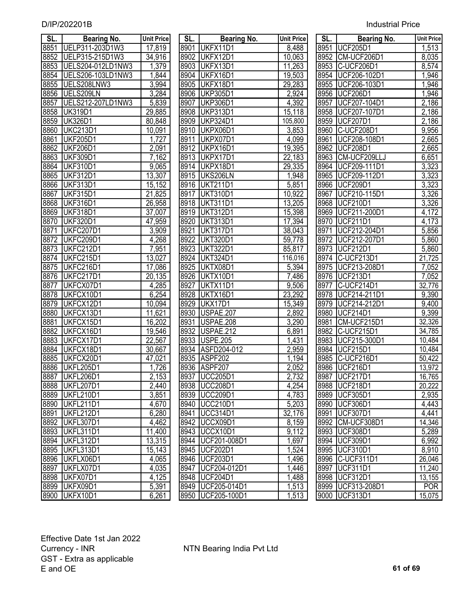| SL.  | <b>Bearing No.</b> | <b>Unit Price</b>   | SL.  | <b>Bearing No.</b>  | <b>Unit Price</b> | SL.  | <b>Bearing No.</b>  | <b>Unit Price</b>  |
|------|--------------------|---------------------|------|---------------------|-------------------|------|---------------------|--------------------|
| 8851 | UELP311-203D1W3    | 17,819              | 8901 | UKFX11D1            | 8,488             |      | 8951 UCF205D1       | 1,513              |
| 8852 | UELP315-215D1W3    | 34,916              | 8902 | UKFX12D1            | 10,063            | 8952 | CM-UCF206D1         | 8,035              |
| 8853 | UELS204-012LD1NW3  | 1,379               | 8903 | UKFX13D1            | 11,263            | 8953 | C-UCF206D1          | 8,574              |
| 8854 | UELS206-103LD1NW3  | 1,844               | 8904 | UKFX16D1            | 19,503            | 8954 | UCF206-102D1        | 1,946              |
| 8855 | UELS208LNW3        | 3,994               | 8905 | UKFX18D1            | 29,283            | 8955 | UCF206-103D1        | 1,946              |
| 8856 | UELS209LN          | 3,284               | 8906 | <b>UKP305D1</b>     | 2,924             | 8956 | <b>UCF206D1</b>     | 1,946              |
| 8857 | UELS212-207LD1NW3  | 5,839               | 8907 | <b>UKP306D1</b>     | 4,392             | 8957 | UCF207-104D1        | 2,186              |
| 8858 | <b>UK319D1</b>     | 29,885              |      | 8908 UKP313D1       | 15,118            |      | 8958 UCF207-107D1   | 2,186              |
| 8859 | <b>UK326D1</b>     | 80,848              |      | 8909 UKP324D1       | 105,800           |      | 8959 UCF207D1       | 2,186              |
| 8860 | <b>UKC213D1</b>    | 10,091              |      | 8910 UKPX06D1       | 3,853             |      | 8960 C-UCF208D1     | 9,956              |
| 8861 | <b>UKF205D1</b>    | 1,727               | 8911 | UKPX07D1            | 4,099             | 8961 | UCF208-108D1        | 2,665              |
| 8862 | <b>UKF206D1</b>    | $\overline{2,091}$  |      | 8912 UKPX16D1       | 19,395            |      | 8962 UCF208D1       | 2,665              |
| 8863 | <b>UKF309D1</b>    | 7,162               |      | 8913 UKPX17D1       | 22,183            |      | 8963 CM-UCF209LLJ   | 6,651              |
| 8864 | <b>UKF310D1</b>    | 9,065               |      | 8914 UKPX18D1       | 29,335            |      | 8964 UCF209-111D1   | 3,323              |
| 8865 | <b>UKF312D1</b>    | 13,307              |      | 8915   UKS206LN     | 1,948             |      | 8965   UCF209-112D1 | 3,323              |
| 8866 | <b>UKF313D1</b>    | 15,152              |      | 8916 UKT211D1       | 5,851             |      | 8966 UCF209D1       | 3,323              |
| 8867 | <b>UKF315D1</b>    | 21,825              | 8917 | <b>UKT310D1</b>     | 10,922            | 8967 | UCF210-115D1        | 3,326              |
| 8868 | <b>UKF316D1</b>    | $\overline{26,958}$ |      | 8918 UKT311D1       | 13,205            |      | 8968 UCF210D1       | 3,326              |
| 8869 | <b>UKF318D1</b>    | 37,007              |      | 8919 UKT312D1       | 15,398            | 8969 | UCF211-200D1        | 4,172              |
| 8870 | <b>UKF320D1</b>    | 47,959              | 8920 | <b>UKT313D1</b>     | 17,394            |      | 8970 UCF211D1       | $\overline{4,}173$ |
| 8871 | UKFC207D1          | 3,909               | 8921 | <b>UKT317D1</b>     | 38,043            | 8971 | UCF212-204D1        | 5,856              |
| 8872 | UKFC209D1          | 4,268               | 8922 | <b>UKT320D1</b>     | 59,778            | 8972 | UCF212-207D1        | 5,860              |
| 8873 | <b>UKFC212D1</b>   | 7,951               | 8923 | <b>UKT322D1</b>     | 85,817            | 8973 | <b>UCF212D1</b>     | 5,860              |
| 8874 | UKFC215D1          | 13,027              | 8924 | <b>UKT324D1</b>     | 116,016           | 8974 | C-UCF213D1          | 21,725             |
| 8875 | UKFC216D1          | 17,086              | 8925 | UKTX08D1            | 5,394             | 8975 | UCF213-208D1        | 7,052              |
| 8876 | UKFC217D1          | 20,135              | 8926 | UKTX10D1            | 7,486             |      | 8976 UCF213D1       | 7,052              |
| 8877 | UKFCX07D1          | 4,285               | 8927 | UKTX11D1            | 9,506             | 8977 | C-UCF214D1          | 32,776             |
| 8878 | UKFCX10D1          | 6,254               | 8928 | UKTX16D1            | 23,292            | 8978 | UCF214-211D1        | 9,390              |
| 8879 | UKFCX12D1          | 10,094              | 8929 | UKX17D1             | 15,349            | 8979 | UCF214-212D1        | 9,400              |
| 8880 | UKFCX13D1          | 11,621              | 8930 | USPAE.207           | 2,892             | 8980 | <b>UCF214D1</b>     | 9,399              |
| 8881 | UKFCX15D1          | 16,202              | 8931 | USPAE.208           | 3,290             | 8981 | CM-UCF215D1         | 32,326             |
| 8882 | UKFCX16D1          | 19,546              | 8932 | <b>USPAE.212</b>    | 6,891             | 8982 | C-UCF215D1          | 34,785             |
| 8883 | UKFCX17D1          | 22,567              | 8933 | <b>USPE.205</b>     | 1,431             | 8983 | UCF215-300D1        | 10,484             |
| 8884 | UKFCX18D1          | 30,667              | 8934 | ASFD204-012         | 2,959             | 8984 | <b>UCF215D1</b>     | 10,484             |
| 8885 | UKFCX20D1          | 47,021              |      | 8935 ASPF202        | 1,194             | 8985 | C-UCF216D1          | 50,422             |
| 8886 | UKFL205D1          | 1,726               |      | 8936 ASPF207        | 2,052             |      | 8986 UCF216D1       | 13,972             |
|      | 8887 UKFL206D1     | 2,153               |      | 8937   UCC205D1     | 2,732             |      | 8987 UCF217D1       | 16,765             |
| 8888 | UKFL207D1          | $\overline{2,}440$  |      | 8938 UCC208D1       | 4,254             |      | 8988 UCF218D1       | 20,222             |
| 8889 | UKFL210D1          | 3,851               |      | 8939 UCC209D1       | 4,783             |      | 8989 UCF305D1       | 2,935              |
| 8890 | UKFL211D1          | 4,670               |      | 8940 UCC210D1       | 5,203             |      | 8990 UCF306D1       | 4,443              |
| 8891 | UKFL212D1          | 6,280               | 8941 | <b>UCC314D1</b>     | 32,176            | 8991 | UCF307D1            | 4,441              |
| 8892 | UKFL307D1          | 4,462               |      | 8942 UCCX09D1       | 8,159             |      | 8992 CM-UCF308D1    | 14,346             |
| 8893 | UKFL311D1          | 11,400              |      | 8943 UCCX10D1       | 9,112             |      | 8993 UCF308D1       | 5,289              |
| 8894 | UKFL312D1          | 13,315              |      | 8944   UCF201-008D1 | 1,697             |      | 8994 UCF309D1       | 6,992              |
| 8895 | UKFL313D1          | 15,143              |      | 8945   UCF202D1     | 1,524             | 8995 | <b>UCF310D1</b>     | 8,910              |
| 8896 | UKFLX06D1          | 4,065               |      | 8946 UCF203D1       | 1,496             |      | 8996 C-UCF311D1     | 26,046             |
| 8897 | UKFLX07D1          | 4,035               | 8947 | UCF204-012D1        | 1,446             |      | 8997   UCF311D1     | 11,240             |
| 8898 | UKFX07D1           | 4,125               |      | 8948   UCF204D1     | 1,488             |      | 8998 UCF312D1       | 13,155             |
| 8899 | UKFX09D1           | 5,391               |      | 8949   UCF205-014D1 | 1,513             |      | 8999 UCF313-208D1   | <b>POR</b>         |
| 8900 | UKFX10D1           | 6,261               |      | 8950   UCF205-100D1 | 1,513             |      | 9000   UCF313D1     | 15,075             |

| SL.  | <b>Bearing No.</b> | Unit Price         |
|------|--------------------|--------------------|
|      | 8951 UCF205D1      | 1,513              |
|      | 8952 CM-UCF206D1   | 8,035              |
| 8953 | C-UCF206D1         | 8,574              |
| 8954 | UCF206-102D1       | $\overline{1,}946$ |
| 8955 | UCF206-103D1       | 1,946              |
| 8956 | <b>UCF206D1</b>    | 1,946              |
| 8957 | UCF207-104D1       | 2,186              |
| 8958 | UCF207-107D1       | 2,186              |
| 8959 | <b>UCF207D1</b>    | 2,186              |
| 8960 | C-UCF208D1         | 9,956              |
|      | 8961 UCF208-108D1  | 2,665              |
| 8962 | <b>UCF208D1</b>    | 2,665              |
| 8963 | CM-UCF209LLJ       | 6,651              |
| 8964 | UCF209-111D1       | 3,323              |
| 8965 | UCF209-112D1       | 3,323              |
| 8966 | <b>UCF209D1</b>    | 3,323              |
| 8967 | UCF210-115D1       | 3,326              |
| 8968 | <b>UCF210D1</b>    | 3,326              |
| 8969 | UCF211-200D1       | $\frac{4}{172}$    |
| 8970 | <b>UCF211D1</b>    | 4,173              |
|      | 8971 UCF212-204D1  | 5,856              |
| 8972 | UCF212-207D1       | 5,860              |
| 8973 | <b>UCF212D1</b>    | 5,860              |
| 8974 | C-UCF213D1         | 21,725             |
| 8975 | UCF213-208D1       | 7,052              |
| 8976 | <b>UCF213D1</b>    | 7,052              |
| 8977 | C-UCF214D1         | 32,776             |
| 8978 | UCF214-211D1       | 9,390              |
| 8979 | UCF214-212D1       | 9,400              |
| 8980 | <b>UCF214D1</b>    | 9,399              |
| 8981 | CM-UCF215D1        | 32,326             |
| 8982 | C-UCF215D1         | 34,785             |
| 8983 | UCF215-300D1       | 10,484             |
| 8984 | <b>UCF215D1</b>    | 10,484             |
| 8985 | C-UCF216D1         | 50,422             |
| 8986 | <b>UCF216D1</b>    | 13,972             |
| 8987 | <b>UCF217D1</b>    | 16,765             |
| 8988 | UCF218D1           | 20,222             |
| 8989 | <b>UCF305D1</b>    | 2,935              |
| 8990 | <b>UCF306D1</b>    | 4,443              |
| 8991 | <b>UCF307D1</b>    | 4,441              |
| 8992 | CM-UCF308D1        | 14,346             |
| 8993 | <b>UCF308D1</b>    | 5,289              |
| 8994 | <b>UCF309D1</b>    | 6,992              |
| 8995 | <b>UCF310D1</b>    | 8,910              |
| 8996 | C-UCF311D1         | 26,046             |
| 8997 | <b>UCF311D1</b>    | 11,240             |
| 8998 | <b>UCF312D1</b>    | 13,155             |
| 8999 | UCF313-208D1       | <b>POR</b>         |
| 9000 | <b>UCF313D1</b>    | 15,075             |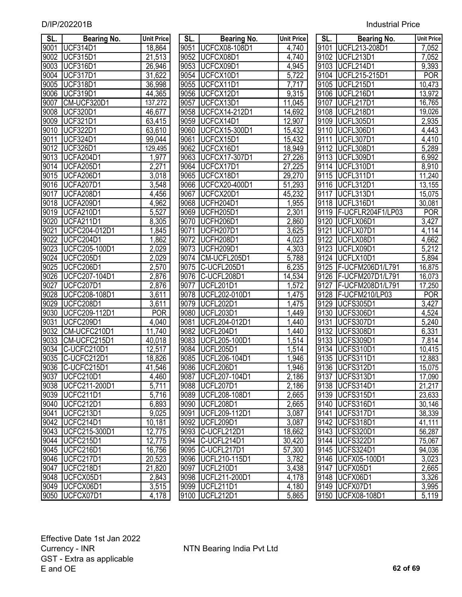| SL.              | <b>Bearing No.</b>     | <b>Unit Price</b>  | SL.  | <b>Bearing No.</b>   | Unit Price | SL.               | <b>Bearing No.</b>       | <b>Unit Price</b>  |
|------------------|------------------------|--------------------|------|----------------------|------------|-------------------|--------------------------|--------------------|
| 9001             | <b>UCF314D1</b>        | 18,864             | 9051 | <b>UCFCX08-108D1</b> | 4,740      | 9101              | UCFL213-208D1            | 7,052              |
| 9002             | <b>UCF315D1</b>        | 21,513             | 9052 | UCFCX08D1            | 4,740      |                   | 9102 UCFL213D1           | 7,052              |
| 9003             | UCF316D1               | 26,946             | 9053 | UCFCX09D1            | 4,945      |                   | 9103 UCFL214D1           | 9,393              |
| 9004             | <b>UCF317D1</b>        | 31,622             | 9054 | UCFCX10D1            | 5,722      | 9104              | <b>UCFL215-215D1</b>     | <b>POR</b>         |
| 9005             | <b>UCF318D1</b>        | 36,998             | 9055 | UCFCX11D1            | 7,717      | 9105              | UCFL215D1                | 10,473             |
| 9006             | <b>UCF319D1</b>        | 44,365             | 9056 | UCFCX12D1            | 9,315      | 9106              | UCFL216D1                | 13,972             |
| 9007             | CM-UCF320D1            | 137,272            | 9057 | UCFCX13D1            | 11,045     | 9107              | <b>UCFL217D1</b>         | 16,765             |
| 9008             | <b>UCF320D1</b>        | 46,677             | 9058 | <b>UCFCX14-212D1</b> | 14,692     | 9108              | UCFL218D1                | 19,026             |
| 9009             | <b>UCF321D1</b>        | 63,415             | 9059 | UCFCX14D1            | 12,907     | 9109              | UCFL305D1                | 2,935              |
| 9010             | <b>UCF322D1</b>        | 63,610             | 9060 | <b>UCFCX15-300D1</b> | 15,432     | 9110              | UCFL306D1                | 4,443              |
| 9011             | UCF324D1               | 99,044             | 9061 | UCFCX15D1            | 15,432     | 9111              | UCFL307D1                | 4,410              |
| 9012             | <b>UCF326D1</b>        | 129,495            | 9062 | UCFCX16D1            | 18,949     | 9112              | UCFL308D1                | 5,289              |
| 9013             | UCFA204D1              | 1,977              | 9063 | <b>UCFCX17-307D1</b> | 27,226     | 9113              | UCFL309D1                | 6,992              |
| 9014             | UCFA205D1              | 2,271              | 9064 | UCFCX17D1            | 27,225     | 9114              | UCFL310D1                | 8,910              |
| 9015             | UCFA206D1              | 3,018              | 9065 | UCFCX18D1            | 29,270     | 9115              | UCFL311D1                | 11,240             |
| 9016             | UCFA207D1              | $\overline{3,}548$ | 9066 | <b>UCFCX20-400D1</b> | 51,293     | 9116              | UCFL312D1                | 13,155             |
| 9017             | UCFA208D1              | 4,456              | 9067 | UCFCX20D1            | 45,232     | 9117              | UCFL313D1                | 15,075             |
| 9018             | UCFA209D1              | 4,962              | 9068 | UCFH204D1            | 1,955      | $91\overline{18}$ | UCFL316D1                | 30,081             |
| 9019             | UCFA210D1              | 5,527              | 9069 | UCFH205D1            | 2,301      |                   | 9119   F-UCFLR204F1/LP03 | <b>POR</b>         |
| 9020             | <b>UCFA211D1</b>       | 8,305              | 9070 | UCFH206D1            | 2,860      |                   | 9120 UCFLX06D1           | $\overline{3,427}$ |
| 9021             | UCFC204-012D1          | 1,845              | 9071 | UCFH207D1            | 3,625      | 9121              | UCFLX07D1                | 4,114              |
| 9022             | UCFC204D1              | 1,862              | 9072 | UCFH208D1            | 4,023      | 9122              | UCFLX08D1                | 4,662              |
| 9023             | UCFC205-100D1          | 2,029              | 9073 | UCFH209D1            | 4,303      | 9123              | UCFLX09D1                | 5,212              |
| 9024             | UCFC205D1              | 2,029              | 9074 | CM-UCFL205D1         | 5,788      | 9124              | UCFLX10D1                | 5,894              |
| 9025             | UCFC206D1              | 2,570              | 9075 | C-UCFL205D1          | 6,235      | 9125              | F-UCFM206D1/L791         | 16,875             |
| 9026             | UCFC207-104D1          | 2,876              | 9076 | C-UCFL208D1          | 14,534     |                   | 9126   F-UCFM207D1/L791  | 16,073             |
| 9027             | UCFC207D1              | 2,876              | 9077 | UCFL201D1            | 1,572      | 9127              | F-UCFM208D1/L791         | 17,250             |
| 9028             | UCFC208-108D1          | 3,611              | 9078 | UCFL202-010D1        | 1,475      | 9128              | F-UCFM210/LP03           | <b>POR</b>         |
| $\frac{1}{9029}$ | UCFC208D1              | 3,611              | 9079 | <b>UCFL202D1</b>     | 1,475      | 9129              | UCFS305D1                | 3,427              |
| 9030             | UCFC209-112D1          | <b>POR</b>         | 9080 | UCFL203D1            | ,449       | 9130              | UCFS306D1                | 4,524              |
| 9031             | UCFC209D1              | 4,040              | 9081 | UCFL204-012D1        | ,440       | 9131              | UCFS307D1                | 5,240              |
| 9032             | CM-UCFC210D1           | 11,740             | 9082 | <b>UCFL204D1</b>     | ,440       | 9132              | UCFS308D1                | 6,331              |
| 9033             | CM-UCFC215D1           | 40,018             | 9083 | UCFL205-100D1        | ,514       | 9133              | UCFS309D1                | 7,814              |
| 9034             | C-UCFC210D1            | 12,517             | 9084 | UCFL205D1            | ,514       | 9134              | UCFS310D1                | 10,415             |
| 9035             | C-UCFC212D1            | 18,826             | 9085 | UCFL206-104D1        | ,946       | 9135              | UCFS311D1                | 12,883             |
|                  | 9036 C-UCFC215D1       | 41,546             |      | 9086 UCFL206D1       | .946       |                   | 9136 UCFS312D1           | 15,075             |
|                  | 9037   UCFC210D1       | 4,460              |      | 9087   UCFL207-104D1 | 2,186      |                   | 9137   UCFS313D1         | 17,090             |
|                  | 9038   UCFC211-200D1   | 5,711              |      | 9088   UCFL207D1     | 2,186      |                   | 9138   UCFS314D1         | 21,217             |
|                  | 9039   UCFC211D1       | 5,716              |      | 9089   UCFL208-108D1 | 2,665      |                   | 9139   UCFS315D1         | 23,633             |
| 9040             | UCFC212D1              | 6,893              |      | 9090 UCFL208D1       | 2,665      |                   | 9140   UCFS316D1         | 30,146             |
| 9041             | UCFC213D1              | 9,025              | 9091 | UCFL209-112D1        | 3,087      |                   | 9141 UCFS317D1           | 38,339             |
|                  | 9042   UCFC214D1       | 10,181             |      | 9092   UCFL209D1     | 3,087      |                   | 9142   UCFS318D1         | 41,111             |
|                  | 9043   UCFC215-300D1   | 12,775             |      | 9093 C-UCFL212D1     | 18,662     |                   | 9143 UCFS320D1           | 56,287             |
|                  | 9044   UCFC215D1       | 12,775             |      | 9094 C-UCFL214D1     | 30,420     |                   | 9144 UCFS322D1           | 75,067             |
|                  | 9045 UCFC216D1         | 16,756             |      | 9095 C-UCFL217D1     | 57,300     |                   | 9145   UCFS324D1         | 94,036             |
|                  | 9046   UCFC217D1       | 20,523             |      | 9096 UCFL210-115D1   | 3,782      |                   | 9146 UCFX05-100D1        | 3,023              |
| 9047             | UCFC218D1              | 21,820             |      | 9097   UCFL210D1     | 3,438      |                   | 9147   UCFX05D1          | 2,665              |
|                  | 9048   UCFCX05D1       | 2,843              |      | 9098   UCFL211-200D1 | 4,178      |                   | 9148   UCFX06D1          | 3,326              |
|                  | 9049   UCFCX06D1       | 3,515              |      | 9099 UCFL211D1       | 4,180      |                   | 9149 UCFX07D1            | 3,995              |
|                  | 9050 <b>IUCFCX07D1</b> | 4.178              |      | 9100 UCFL212D1       | 5.865      |                   | 9150 IUCFX08-108D1       | 5.119              |

| SL.              | <b>Bearing No.</b>        | <b>Unit Price</b>   |
|------------------|---------------------------|---------------------|
| 9051             | <b>UCFCX08-108D1</b>      | 4,740               |
| 9052             | UCFCX08D1                 | 4,740               |
| 9053             | UCFCX09D1                 | 4,945               |
| 9054             | UCFCX10D1                 | 5,722               |
| 9055             | UCFCX11D1                 | 7,717               |
| 9056             | UCFCX12D1                 | 9,315               |
| 9057             | UCFCX13D1                 | 11,045              |
| 9058             | UCFCX14-212D1             | 14,692              |
| 9059             | UCFCX14D1                 | 12,907              |
| 9060             | UCFCX15-300D1             | 15,432              |
| 9061             | UCFCX15D1                 | 15,432              |
| 9062             | UCFCX16D1                 | 18,949              |
| 9063             | <b>UCFCX17-307D1</b>      | 27,226              |
| 9064             | UCFCX17D1                 | $27,\overline{225}$ |
| 9065             | UCFCX18D1                 | 29,270              |
| 9066             | <b>UCFCX20-400D1</b>      | <u>51,293</u>       |
| 9067             | UCFCX20D1                 | 45,232              |
| 9068             | UCFH204D1                 | 1,955               |
| 9069             | <b>UCFH205D1</b>          | 2,301               |
| 9070             | UCFH206D1                 | 2,860               |
| 9071             | UCFH207D1                 | 3,625               |
| 9072             | UCFH208D1                 | 4,023               |
| $\frac{1}{9073}$ | UCFH209D1                 | 4,303               |
| 9074             | CM-UCFL205D1              | 5,788               |
| 9075             | C-UCFL205D1               | 6,235               |
| 9076             | C-UCFL208D1               | 14,534              |
| 9077             | <b>UCFL201D1</b>          | 1,572               |
| 9078             | UCFL202-010D1             | 1,475               |
| 9079             | <b>UCFL202D1</b>          | 1,475               |
| 9080             | <b>UCFL203D1</b>          | 1,449               |
| 9081             | UCFL204-012D1             | 1,440               |
| 9082             | <b>UCFL204D1</b>          | 1,440               |
| 9083             | UCFL205-100D1             | 1,514               |
| 9084             | UCFL205D1                 | 1,514               |
| 9085             | UCFL206-104D1             | 1,946               |
| 9086             | UCFL206D1                 | 1,946               |
| 9087             | UCFL207-104D1             | 2,186               |
| 9088             | <b>UCFL207D1</b>          | 2,186               |
| 9089             | UCFL208-108D1             | 2,665               |
| 9090             | <b>UCFL208D1</b>          | 2,665               |
| 9091             | .209-112D1<br><b>UCFL</b> | 3,087               |
| 9092             | <b>UCFL209D1</b>          | 3,087               |
| 9093             | C<br>212D1<br>-UCFI       | 18,662              |
| 9094             | 214D1<br>C-UCFI           | 30,420              |
| 9095             | C-UCFL217D1               | 57,300              |
| 9096             | <b>UCFL</b><br>210-115D1  | 3,782               |
| 9097             | <b>UCFL210D1</b>          | 3,438               |
| 9098             | 211-200D1<br><b>UCFI</b>  | 4,178               |
| 9099             | <b>UCFL211D1</b>          | 4,180               |
| 9100             | <b>UCFL212D1</b>          | 5,865               |

| SL.              | <b>Bearing No.</b>   | <b>Unit Price</b> | SL.  | <b>Bearing No.</b>   | <b>Unit Price</b> | SL.  | <b>Bearing No.</b>  | <b>Unit Price</b> |
|------------------|----------------------|-------------------|------|----------------------|-------------------|------|---------------------|-------------------|
| 9001             | <b>UCF314D1</b>      | 18,864            | 9051 | <b>UCFCX08-108D1</b> | 4,740             | 9101 | UCFL213-208D1       | 7,052             |
| 9002             | <b>UCF315D1</b>      | 21,513            | 9052 | UCFCX08D1            | 4,740             | 9102 | UCFL213D1           | 7,052             |
| 9003             | TUCF316D1            | 26,946            |      | 9053 UCFCX09D1       | 4,945             |      | 9103 UCFL214D1      | 9,393             |
| 9004             | UCF317D1             | 31,622            |      | 9054 UCFCX10D1       | 5,722             | 9104 | UCFL215-215D1       | <b>POR</b>        |
| $\frac{9005}{5}$ | UCF318D1             | 36,998            |      | 9055 UCFCX11D1       | 7,717             | 9105 | UCFL215D1           | 10,473            |
| 9006             | UCF319D1             | 44,365            |      | 9056 UCFCX12D1       | 9,315             | 9106 | UCFL216D1           | 13,972            |
| 9007             | CM-UCF320D1          | 137,272           | 9057 | UCFCX13D1            | 11,045            | 9107 | UCFL217D1           | 16,765            |
| 9008             | <b>UCF320D1</b>      | 46,677            |      | 9058 UCFCX14-212D1   | 14,692            | 9108 | UCFL218D1           | 19,026            |
| $\frac{9009}{ }$ | <b>UCF321D1</b>      | 63,415            |      | 9059 UCFCX14D1       | 12,907            | 9109 | UCFL305D1           | 2,935             |
| 9010             | <b>UCF322D1</b>      | 63,610            | 9060 | UCFCX15-300D1        | 15,432            | 9110 | UCFL306D1           | 4,443             |
| 9011             | <b>UCF324D1</b>      | 99,044            | 9061 | UCFCX15D1            | 15,432            | 9111 | UCFL307D1           | 4,410             |
| 9012             | UCF326D1             | 129,495           | 9062 | UCFCX16D1            | 18,949            | 9112 | UCFL308D1           | 5,289             |
| 9013             | UCFA204D1            | 1,977             | 9063 | <b>UCFCX17-307D1</b> | 27,226            | 9113 | UCFL309D1           | 6,992             |
| 9014             | UCFA205D1            | 2,271             | 9064 | UCFCX17D1            | 27,225            | 9114 | UCFL310D1           | 8,910             |
| 9015             | UCFA206D1            | 3,018             | 9065 | UCFCX18D1            | 29,270            | 9115 | UCFL311D1           | 11,240            |
| 9016             | UCFA207D1            | 3,548             | 9066 | <b>UCFCX20-400D1</b> | 51,293            | 9116 | UCFL312D1           | 13,155            |
| 9017             | UCFA208D1            | 4,456             | 9067 | UCFCX20D1            | 45,232            | 9117 | UCFL313D1           | 15,075            |
| 9018             | UCFA209D1            | 4,962             | 9068 | UCFH204D1            | 1,955             | 9118 | UCFL316D1           | 30,081            |
| 9019             | UCFA210D1            | 5,527             | 9069 | UCFH205D1            | 2,301             | 9119 | F-UCFLR204F1/LP03   | <b>POR</b>        |
| 9020             | UCFA211D1            | 8,305             | 9070 | UCFH206D1            | 2,860             | 9120 | UCFLX06D1           | 3,427             |
| 9021             | UCFC204-012D1        | 1,845             | 9071 | UCFH207D1            | 3,625             | 9121 | UCFLX07D1           | 4,114             |
| 9022             | UCFC204D1            | 1,862             | 9072 | UCFH208D1            | 4,023             | 9122 | UCFLX08D1           | 4,662             |
| 9023             | <b>UCFC205-100D1</b> | 2,029             | 9073 | UCFH209D1            | 4,303             | 9123 | UCFLX09D1           | 5,212             |
| 9024             | UCFC205D1            | 2,029             | 9074 | CM-UCFL205D1         | 5,788             | 9124 | UCFLX10D1           | 5,894             |
| 9025             | UCFC206D1            | 2,570             | 9075 | C-UCFL205D1          | 6,235             | 9125 | F-UCFM206D1/L791    | 16,875            |
| 9026             | UCFC207-104D1        | 2,876             | 9076 | C-UCFL208D1          | 14,534            | 9126 | F-UCFM207D1/L791    | 16,073            |
| 9027             | UCFC207D1            | 2,876             | 9077 | <b>UCFL201D1</b>     | 1,572             | 9127 | F-UCFM208D1/L791    | 17,250            |
| 9028             | UCFC208-108D1        | 3,611             | 9078 | UCFL202-010D1        | 1,475             | 9128 | F-UCFM210/LP03      | <b>POR</b>        |
| 9029             | UCFC208D1            | 3,611             | 9079 | <b>UCFL202D1</b>     | 1,475             | 9129 | UCFS305D1           | 3,427             |
| 9030             | UCFC209-112D1        | <b>POR</b>        | 9080 | UCFL203D1            | 1,449             | 9130 | UCFS306D1           | 4,524             |
| 9031             | UCFC209D1            | 4,040             | 9081 | UCFL204-012D1        | 1,440             | 9131 | UCFS307D1           | 5,240             |
| 9032             | CM-UCFC210D1         | 11,740            | 9082 | <b>UCFL204D1</b>     | 1,440             | 9132 | <b>UCFS308D1</b>    | 6,331             |
| 9033             | CM-UCFC215D1         | 40,018            | 9083 | UCFL205-100D1        | 1,514             | 9133 | <b>UCFS309D1</b>    | 7,814             |
| 9034             | C-UCFC210D1          | 12,517            | 9084 | UCFL205D1            | 1,514             | 9134 | <b>UCFS310D1</b>    | 10,415            |
| 9035             | C-UCFC212D1          | 18,826            |      | 9085   UCFL206-104D1 | 1,946             | 9135 | UCFS311D1           | 12,883            |
|                  | 9036 C-UCFC215D1     | 41,546            |      | 9086 UCFL206D1       | 1,946             |      | 9136 UCFS312D1      | 15,075            |
| 9037             | UCFC210D1            | 4,460             |      | 9087   UCFL207-104D1 | 2,186             | 9137 | UCFS313D1           | 17,090            |
| 9038             | UCFC211-200D1        | 5,711             |      | 9088   UCFL207D1     | 2,186             | 9138 | UCFS314D1           | 21,217            |
| 9039             | UCFC211D1            | 5,716             |      | 9089   UCFL208-108D1 | 2,665             | 9139 | UCFS315D1           | 23,633            |
| 9040             | UCFC212D1            | 6,893             |      | 9090   UCFL208D1     | 2,665             | 9140 | UCFS316D1           | 30,146            |
| 9041             | UCFC213D1            | 9,025             | 9091 | UCFL209-112D1        | 3,087             | 9141 | UCFS317D1           | 38,339            |
| 9042             | UCFC214D1            | 10,181            |      | 9092   UCFL209D1     | 3,087             | 9142 | UCFS318D1           | 41,111            |
| 9043             | UCFC215-300D1        | 12,775            |      | 9093 C-UCFL212D1     | 18,662            | 9143 | UCFS320D1           | 56,287            |
| 9044             | UCFC215D1            | 12,775            |      | 9094 C-UCFL214D1     | 30,420            | 9144 | UCFS322D1           | 75,067            |
| 9045             | UCFC216D1            | 16,756            |      | 9095 C-UCFL217D1     | 57,300            |      | 9145   UCFS324D1    | 94,036            |
| 9046             | UCFC217D1            | 20,523            |      | 9096 UCFL210-115D1   | 3,782             |      | 9146   UCFX05-100D1 | 3,023             |
| 9047             | UCFC218D1            | 21,820            |      | 9097   UCFL210D1     | 3,438             | 9147 | UCFX05D1            | 2,665             |
| 9048             | UCFCX05D1            | 2,843             |      | 9098   UCFL211-200D1 | 4,178             |      | 9148 UCFX06D1       | 3,326             |
|                  | 9049   UCFCX06D1     | 3,515             |      | 9099 UCFL211D1       | 4,180             |      | 9149 UCFX07D1       | 3,995             |
| 9050             | UCFCX07D1            | 4,178             |      | 9100   UCFL212D1     | 5,865             |      | 9150   UCFX08-108D1 | 5,119             |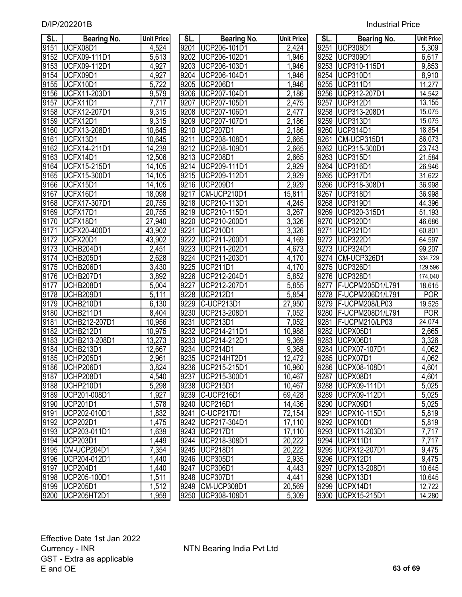|  | <b>Industrial Price</b> |
|--|-------------------------|
|  |                         |

| SL.          | <b>Bearing No.</b>                 | <b>Unit Price</b> | SL.  | <b>Bearing No.</b>               | <b>Unit Price</b>    | SL.  | <b>Bearing No.</b>             | <b>Unit Price</b>   |
|--------------|------------------------------------|-------------------|------|----------------------------------|----------------------|------|--------------------------------|---------------------|
| 9151         | UCFX08D1                           | 4,524             | 9201 | UCP206-101D1                     | 2,424                | 9251 | <b>UCP308D1</b>                | 5,309               |
| 9152         | <b>UCFX09-111D1</b>                | 5,613             | 9202 | UCP206-102D1                     | 1,946                |      | 9252 UCP309D1                  | 6,617               |
| 9153         | UCFX09-112D1                       | 4,927             |      | 9203 UCP206-103D1                | 1,946                |      | 9253 UCP310-115D1              | 9,853               |
| 9154         | UCFX09D1                           | 4,927             |      | 9204 UCP206-104D1                | 1,946                | 9254 | UCP310D1                       | 8,910               |
| 9155         | UCFX10D1                           | 5,722             | 9205 | <b>UCP206D1</b>                  | 1,946                |      | 9255 UCP311D1                  | 11,277              |
| 9156         | UCFX11-203D1                       | 9,579             | 9206 | UCP207-104D1                     | 2,186                | 9256 | UCP312-207D1                   | 14,542              |
| 9157         | UCFX11D1                           | 7,717             | 9207 | UCP207-105D1                     | 2,475                | 9257 | <b>UCP312D1</b>                | 13,155              |
| 9158         | <b>UCFX12-207D1</b>                | 9,315             | 9208 | UCP207-106D1                     | 2,477                | 9258 | UCP313-208D1                   | $\overline{15,075}$ |
| 9159         | UCFX12D1                           | 9,315             | 9209 | UCP207-107D1                     | 2,186                | 9259 | <b>UCP313D1</b>                | 15,075              |
| 9160         | UCFX13-208D1                       | 10,645            | 9210 | UCP207D1                         | $\overline{2}$ , 186 | 9260 | UCP314D1                       | 18,854              |
| 9161         | UCFX13D1                           | 10,645            | 9211 | UCP208-108D1                     | 2,665                | 9261 | CM-UCP315D1                    | 86,073              |
| 9162         | UCFX14-211D1                       | 14,239            | 9212 | UCP208-109D1                     | $\overline{2,665}$   | 9262 | UCP315-300D1                   | 23,743              |
| 9163         | UCFX14D1                           | 12,506            | 9213 | <b>UCP208D1</b>                  | 2,665                | 9263 | <b>UCP315D1</b>                | 21,584              |
| 9164         | UCFX15-215D1                       | 14,105            | 9214 | UCP209-111D1                     | 2,929                |      | 9264 UCP316D1                  | 26,946              |
| 9165         | UCFX15-300D1                       | 14,105            | 9215 | UCP209-112D1                     | 2,929                | 9265 | UCP317D1                       | 31,622              |
| 9166         | UCFX15D1                           | 14,105            | 9216 | <b>UCP209D1</b>                  | 2,929                | 9266 | UCP318-308D1                   | 36,998              |
| 9167         | UCFX16D1                           | 18,098            | 9217 | CM-UCP210D1                      | 15,811               | 9267 | <b>UCP318D1</b>                | 36,998              |
| 9168         | UCFX17-307D1                       | 20,755            | 9218 | UCP210-113D1                     | 4,245                | 9268 | <b>UCP319D1</b>                | 44,396              |
| 9169         | UCFX17D1                           | 20,755            | 9219 | UCP210-115D1                     | 3,267                | 9269 | UCP320-315D1                   | 51,193              |
| 9170         | UCFX18D1                           | 27,940            | 9220 | UCP210-200D1                     | 3,326                | 9270 | UCP320D1                       | 46,686              |
| 9171         | UCFX20-400D1                       | 43,902            | 9221 | <b>UCP210D1</b>                  | 3,326                | 9271 | <b>UCP321D1</b>                | 60,801              |
| 9172         | UCFX20D1                           | 43,902            | 9222 | UCP211-200D1                     | 4,169                | 9272 | UCP322D1                       | 64,597              |
| 9173         | UCHB204D1                          | 2,451             | 9223 | UCP211-202D1                     | 4,673                |      | 9273 UCP324D1                  | 99,207              |
| 9174         | UCHB205D1                          | 2,628             | 9224 | UCP211-203D1                     | 4,170                | 9274 | CM-UCP326D1                    | 334,729             |
| 9175         | UCHB206D1                          | 3,430             | 9225 | <b>UCP211D1</b>                  | 4,170                | 9275 | <b>UCP326D1</b>                | 129,596             |
| 9176         | UCHB207D1                          | 3,892             | 9226 | UCP212-204D1                     | 5,852                |      | 9276 UCP328D1                  | 174,040             |
| 9177         | UCHB208D1                          | 5,004             | 9227 | UCP212-207D1                     | 5,855                | 9277 | F-UCPM205D1/L791               | 18,615              |
| 9178         | UCHB209D1                          | 5,111             | 9228 | <b>UCP212D1</b>                  | 5,854                |      | 9278   F-UCPM206D1/L791        | <b>POR</b>          |
| 9179         | UCHB210D1                          | 6,130             | 9229 | C-UCP213D1                       | 27,950               |      | 9279   F-UCPM208/LP03          | 19,525              |
| 9180         | UCHB211D1                          | 8,404             | 9230 | UCP213-208D1                     | 7,052                | 9280 | F-UCPM208D1/L791               | <b>POR</b>          |
| 9181         | UCHB212-207D1                      | 10,956            | 9231 | <b>UCP213D1</b>                  | 7,052                | 9281 | F-UCPM210/LP03                 | 24,074              |
| 9182         | <b>UCHB212D1</b>                   | 10,975            | 9232 | UCP214-211D1                     | 10,988               | 9282 | UCPX05D1                       | 2,665               |
| 9183         | UCHB213-208D1                      | 13,273            | 9233 | UCP214-212D1                     | 9,369                | 9283 | UCPX06D1                       | 3,326               |
| 9184         | UCHB213D1                          | 12,667            | 9234 | <b>UCP214D1</b>                  | 9,368                | 9284 | UCPX07-107D1                   | 4,062               |
| 9185         | UCHP205D1                          | 2,961             | 9235 | UCP214HT2D1                      | 12,472               |      | 9285   UCPX07D1                | 4,062               |
|              | 9186 UCHP206D1                     | 3,824             |      | 9236 UCP215-215D1                | 10,960               |      | 9286 UCPX08-108D1              | 4,601               |
| 9187         | UCHP208D1                          | 4,540             | 9237 | UCP215-300D1                     | 10,467               | 9287 | UCPX08D1                       | 4,601               |
| 9188         | UCHP210D1                          | 5,298             |      | 9238 UCP215D1                    | 10,467               |      | 9288   UCPX09-111D1            | 5,025               |
| 9189         | UCP201-008D1                       | 1,927             | 9239 | C-UCP216D1                       | 69,428               | 9289 | UCPX09-112D1                   | 5,025               |
| 9190         | UCP201D1                           | 1,578             | 9240 | <b>UCP216D1</b>                  | 14,436               |      | 9290   UCPX09D1                | 5,025               |
| 9191         | UCP202-010D1                       | 1,832             | 9241 | C-UCP217D1                       | 72,154               | 9291 | UCPX10-115D1                   | 5,819               |
| 9192         | UCP202D1                           | 1,475             | 9242 | UCP217-304D1                     | 17,110               | 9292 | UCPX10D1                       | 5,819               |
| 9193         | UCP203-011D1                       | 1,639             | 9243 | UCP217D1                         | 17,110               | 9293 | UCPX11-203D1                   | 7,717               |
| 9194         | UCP203D1<br>CM-UCP204D1            | 1,449             | 9244 | UCP218-308D1<br>9245 UCP218D1    | 20,222               | 9294 | UCPX11D1<br>UCPX12-207D1       | 7,717               |
| 9195         |                                    | 7,354             |      |                                  | 20,222               | 9295 | UCPX12D1                       | 9,475               |
| 9196<br>9197 | UCP204-012D1<br>UCP204D1           | 1,440             |      | 9246 UCP305D1<br><b>UCP306D1</b> | 2,935                | 9296 | UCPX13-208D1                   | 9,475               |
|              |                                    | 1,440             | 9247 | 9248 UCP307D1                    | 4,443                | 9297 |                                | 10,645<br>10,645    |
|              | 9198 UCP205-100D1<br>9199 UCP205D1 | 1,511<br>1,512    |      | 9249 CM-UCP308D1                 | 4,441                |      | 9298 UCPX13D1<br>9299 UCPX14D1 | 12,722              |
|              | 9200   UCP205HT2D1                 | 1,959             |      | 9250 UCP308-108D1                | 20,569<br>5,309      |      | 9300   UCPX15-215D1            | 14,280              |
|              |                                    |                   |      |                                  |                      |      |                                |                     |

| SL.               | <b>Bearing No.</b>  | <b>Unit Pric</b>    |
|-------------------|---------------------|---------------------|
| 9201              | UCP206-101D1        | 2,424               |
| 9202              | UCP206-102D1        | 1,946               |
| 9203              | UCP206-103D1        | 1,946               |
| $920\overline{4}$ | UCP206-104D1        | 1,946               |
| 9205              | <b>UCP206D1</b>     | 1,946               |
| 9206              | UCP207-104D1        | 2,186               |
| 9207              | UCP207-105D1        | 2,475               |
| 9208              | UCP207-106D1        | 2,477               |
| 9209              | UCP207-107D1        | 2,186               |
| 9210              | <b>UCP207D1</b>     | 2,186               |
| 9211              | UCP208-108D1        | 2,665               |
| 9212              | UCP208-109D1        | 2,665               |
| 9213              | <b>UCP208D1</b>     | 2,665               |
| 9214              | UCP209-111D1        | 2,929               |
| 9215              | UCP209-112D1        | 2,929               |
|                   | 9216 UCP209D1       | <u>2,929</u>        |
| 9217              | CM-UCP210D1         | <u>15,811</u>       |
| 9218              | UCP210-113D1        | 4,245               |
|                   | 9219   UCP210-115D1 | 3,267               |
|                   | 9220 UCP210-200D1   | 3,326               |
|                   | 9221 UCP210D1       | 3,326               |
|                   | 9222   UCP211-200D1 | 4,169               |
|                   | 9223 UCP211-202D1   | 4,673               |
|                   | 9224 UCP211-203D1   | 4,170               |
|                   | 9225 UCP211D1       | 4,170               |
| 9226              | UCP212-204D1        | 5,852               |
| 9227              | UCP212-207D1        | 5,855               |
| 9228              | <b>UCP212D1</b>     | 5,854               |
| 9229              | C-UCP213D1          | 27,950              |
| 9230              | UCP213-208D1        | 7,052               |
| 9231              | <b>UCP213D1</b>     | 7,052               |
| 9232              | UCP214-211D1        | 10,988              |
| 9233              | UCP214-212D1        | 9,369               |
| 9234              | <b>UCP214D1</b>     | 9,368               |
| 9235              | UCP214HT2D1         | 12,472              |
| 9236              | UCP215-215D1        | 10,960              |
| 9237              | UCP215-300D1        | 10,467              |
| 9238              | <b>UCP215D1</b>     | 10,467              |
| 9239              | C-UCP216D1          | 69,428              |
| 9240              | <b>UCP216D1</b>     | $\overline{14,}436$ |
| 9241              | C-UCP217D1          | 72,154              |
| $\frac{9242}{ }$  | UCP217-304D1        | 17,110              |
| $\frac{9243}{ }$  | <b>UCP217D1</b>     | $\frac{11}{17,110}$ |
| 9244              | UCP218-308D1        | 20,222              |
| 9245              | <b>UCP218D1</b>     | 20,222              |
| 9246              | <b>UCP305D1</b>     | 2,935               |
| 9247              | UCP306D1            | $\overline{4,44}$ 3 |
| 9248              | UCP307D1            | 4,441               |
| 9249              | CM-UCP308D1         | 20,569              |
| 9250              | UCP308-108D1        | 5,309               |

| SL.  | <b>Bearing No.</b> | <b>Unit Price</b>     |
|------|--------------------|-----------------------|
| 9251 | <b>UCP308D1</b>    | 5,309                 |
| 9252 | <b>UCP309D1</b>    | 6,617                 |
| 9253 | UCP310-115D1       | 9,853                 |
| 9254 | <b>UCP310D1</b>    | 8,910                 |
| 9255 | <b>UCP311D1</b>    | 11,277                |
| 9256 | UCP312-207D1       | 14,542                |
| 9257 | <b>UCP312D1</b>    | 13,155                |
| 9258 | UCP313-208D1       | 15,075                |
| 9259 | <b>UCP313D1</b>    | 15,075                |
| 9260 | <b>UCP314D1</b>    | 18,854                |
| 9261 | CM-UCP315D1        | 86,073                |
| 9262 | UCP315-300D1       | 23,743                |
| 9263 | <b>UCP315D1</b>    | 21,584                |
| 9264 | <b>UCP316D1</b>    | 26,946                |
| 9265 | <b>UCP317D1</b>    | 31,622                |
| 9266 | UCP318-308D1       | 36,998                |
| 9267 | <b>UCP318D1</b>    | 36,998                |
| 9268 | <b>UCP319D1</b>    | 44,396                |
| 9269 | UCP320-315D1       | 51,193                |
| 9270 | <b>UCP320D1</b>    | 46,686                |
| 9271 | <b>UCP321D1</b>    | 60,801                |
| 9272 | <b>UCP322D1</b>    | 64,597                |
| 9273 | <b>UCP324D1</b>    | 99,207                |
| 9274 | CM-UCP326D1        | 334,729               |
| 9275 | <b>UCP326D1</b>    | 129,596               |
| 9276 | <b>UCP328D1</b>    | 174,040               |
| 9277 | F-UCPM205D1/L791   | 18,615                |
| 9278 | F-UCPM206D1/L791   | <b>POR</b>            |
| 9279 | F-UCPM208/LP03     | 19,525                |
| 9280 | F-UCPM208D1/L791   | <b>POR</b>            |
| 9281 | F-UCPM210/LP03     | 24,074                |
| 9282 | UCPX05D1           | 2,665                 |
| 9283 | UCPX06D1           | 3,326                 |
| 9284 | UCPX07-107D1       | 4,062                 |
| 9285 | UCPX07D1           | 4,062                 |
| 9286 | UCPX08-108D1       | 4,601                 |
| 9287 | UCPX08D1           | 4,601                 |
| 9288 | UCPX09-111D1       | 5,025                 |
| 9289 | UCPX09-112D1       | 5,025                 |
| 9290 | UCPX09D1           | 5,025                 |
| 9291 | UCPX10-115D1       | 5,819                 |
| 9292 | UCPX10D1           | 5,819                 |
| 9293 | UCPX11-203D1       | <u>7,717</u><br>7,717 |
| 9294 | UCPX11D1           |                       |
| 9295 | UCPX12-207D1       | 9,475                 |
| 9296 | UCPX12D1           | 9,475                 |
| 9297 | UCPX13-208D1       | 10,645                |
| 9298 | UCPX13D1           | 10,645                |
| 9299 | UCPX14D1           | 12,722                |
| 9300 | UCPX15-215D1       | 14,280                |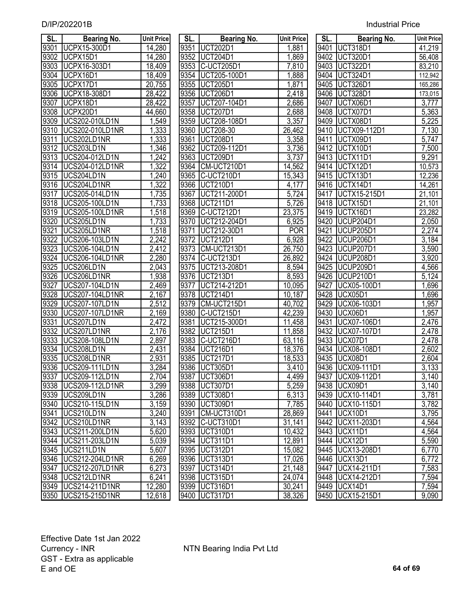| SL.          | <b>Bearing No.</b>                       | <b>Unit Price</b>  | SL.          | <b>Bearing No.</b>   | <b>Unit Price</b> | SL.          | <b>Bearing No.</b>          | <b>Unit Price</b>  |
|--------------|------------------------------------------|--------------------|--------------|----------------------|-------------------|--------------|-----------------------------|--------------------|
| 9301         | UCPX15-300D1                             | 14,280             | 9351         | <b>UCT202D1</b>      | 1,881             | 9401         | UCT318D1                    | 41,219             |
| 9302         | UCPX15D1                                 | 14,280             | 9352         | UCT204D1             | 1,869             |              | 9402 UCT320D1               | 56,408             |
| 9303         | UCPX16-303D1                             | 18,409             |              | 9353 C-UCT205D1      | 7,810             |              | 9403 UCT322D1               | 83,210             |
| 9304         | UCPX16D1                                 | 18,409             |              | 9354   UCT205-100D1  | 1,888             |              | 9404 UCT324D1               | 112,942            |
| 9305         | UCPX17D1                                 | 20,755             | 9355         | UCT205D1             | 1,871             |              | 9405   UCT326D1             | 165,286            |
| 9306         | UCPX18-308D1                             | 28,422             | 9356         | UCT206D1             | 2,418             | 9406         | UCT328D1                    | 173,015            |
| 9307         | UCPX18D1                                 | 28,422             | 9357         | UCT207-104D1         | 2,686             | 9407         | UCTX06D1                    | 3,777              |
| 9308         | UCPX20D1                                 | 44,660             | 9358         | <b>UCT207D1</b>      | 2,688             | 9408         | UCTX07D1                    | 5,363              |
| 9309         | <b>UCS202-010LD1N</b>                    | 1,549              | 9359         | UCT208-108D1         | 3,357             | 9409         | UCTX08D1                    | 5,225              |
| 9310         | UCS202-010LD1NR                          | 1,333              | 9360         | <b>UCT208-30</b>     | 26,462            | 9410         | UCTX09-112D1                | 7,130              |
| 9311         | UCS202LD1NR                              | 1,333              | 9361         | <b>UCT208D1</b>      | 3,358             | 9411         | UCTX09D1                    | 5,747              |
| 9312         | UCS203LD1N                               | ,346               | 9362         | UCT209-112D1         | 3,736             | 9412         | UCTX10D1                    | 7,500              |
| 9313         | UCS204-012LD1N                           | ,242               | 9363         | <b>UCT209D1</b>      | 3,737             | 9413         | UCTX11D1                    | 9,291              |
| 9314         | <b>UCS204-012LD1NR</b>                   | 1,322              | 9364         | CM-UCT210D1          | 14,562            |              | 9414 UCTX12D1               | 10,573             |
| 9315         | UCS204LD1N                               | 1,240              | 9365         | C-UCT210D1           | 15,343            |              | 9415   UCTX13D1             | 12,236             |
| 9316         | UCS204LD1NR                              | 1,322              | 9366         | <b>UCT210D1</b>      | 4,177             |              | 9416 UCTX14D1               | 14,261             |
| 9317         | UCS205-014LD1N                           | 1,735              | 9367         | UCT211-200D1         | 5,724             | 9417         | UCTX15-215D1                | 21,101             |
| 9318         | UCS205-100LD1N                           | 1,733              | 9368         | <b>UCT211D1</b>      | 5,726             | 9418         | UCTX15D1                    | 21,101             |
| 9319         | <b>UCS205-100LD1NR</b>                   | 1,518              | 9369         | C-UCT212D1           | 23,375            | 9419         | UCTX16D1                    | 23,282             |
| 9320         | UCS205LD1N                               | 1,733              | 9370         | UCT212-204D1         | 6,925             |              | 9420 UCUP204D1              | 2,050              |
| 9321         | UCS205LD1NR                              | 1,518              | 9371         | UCT212-30D1          | <b>POR</b>        | 9421         | UCUP205D1                   | 2,274              |
| 9322         | UCS206-103LD1N                           | 2,242              | 9372         | <b>UCT212D1</b>      | 6,928             | 9422         | UCUP206D1                   | 3,184              |
| 9323         | <b>UCS206-104LD1N</b>                    | 2,412              | 9373         | CM-UCT213D1          | 26,750            | 9423         | UCUP207D1                   | $\overline{3,590}$ |
| 9324         | <b>UCS206-104LD1NR</b>                   | 2,280              | 9374         | C-UCT213D1           | 26,892            |              | 9424 UCUP208D1              | 3,920              |
| 9325         | UCS206LD1N                               | 2,043              | 9375         | UCT213-208D1         | 8,594             | 9425         | UCUP209D1                   | 4,566              |
| 9326         | UCS206LD1NR                              | 1,938              | 9376         | UCT213D1             | 8,593             | 9426         | UCUP210D1                   | 5,124              |
| 9327         | UCS207-104LD1N                           | 2,469              | 9377         | UCT214-212D1         | 10,095            | 9427         | UCX05-100D1                 | 1,696              |
| 9328         | UCS207-104LD1NR                          | 2,167              | 9378         | <b>UCT214D1</b>      | 10,187            | 9428         | UCX05D1                     | 1,696              |
| 9329         | <b>UCS207-107LD1N</b>                    | 2,512              | 9379         | CM-UCT215D1          | 40,702            | 9429         | UCX06-103D1                 | 1,957              |
| 9330         | <b>UCS207-107LD1NR</b>                   | 2,169              | 9380         | C-UCT215D1           | 42,239            | 9430         | UCX06D1                     | 1,957              |
| 9331         | UCS207LD1N                               | 2,472              | 9381         | UCT215-300D1         | 11,458            | 9431         | UCX07-106D1                 | 2,476              |
| 9332         | UCS207LD1NR                              | 2,176              | 9382         | <b>UCT215D1</b>      | 11,858            | 9432         | <b>UCX07-107D1</b>          | 2,478              |
| 9333         | <b>UCS208-108LD1N</b>                    | 2,897              | 9383         | C-UCT216D1           | 63,116            | 9433         | UCX07D1                     | $\sqrt{2,}478$     |
| 9334         | UCS208LD1N                               | $\overline{2,}431$ | 9384         | <b>UCT216D1</b>      | 18,376            |              | 9434 UCX08-108D1            | 2,602              |
| 9335         | UCS208LD1NR                              | 2,931              | 9385         | UCT217D1             | 18,533            |              | 9435   UCX08D1              | 2,604              |
|              | 9336   UCS209-111LD1N                    | 3,284              |              | 9386 UCT305D1        | 3,410             |              | 9436 UCX09-111D1            | 3,133              |
| 9337<br>9338 | UCS209-112LD1N<br><b>UCS209-112LD1NR</b> | 2,704<br>3,299     | 9387<br>9388 | UCT306D1<br>UCT307D1 | 4,499<br>5,259    | 9437         | UCX09-112D1<br>9438 UCX09D1 | 3,140<br>3,140     |
|              | UCS209LD1N                               | 3,286              | 9389         | <b>UCT308D1</b>      |                   | 9439         | UCX10-114D1                 | 3,781              |
| 9339<br>9340 | UCS210-115LD1N                           | 3,159              | 9390         | UCT309D1             | 6,313<br>7,785    | 9440         | UCX10-115D1                 | 3,782              |
| 9341         | UCS210LD1N                               | 3,240              | 9391         | CM-UCT310D1          | 28,869            | 9441         | UCX10D1                     | 3,795              |
| 9342         | UCS210LD1NR                              | 3,143              | 9392         | C-UCT310D1           | 31,141            | 9442         | UCX11-203D1                 | 4,564              |
|              | UCS211-200LD1N                           |                    | 9393         | UCT310D1             | 10,432            |              | UCX11D1                     | 4,564              |
| 9343<br>9344 | UCS211-203LD1N                           | 5,620<br>5,039     | 9394         | UCT311D1             | 12,891            | 9443<br>9444 | <b>UCX12D1</b>              | 5,590              |
| 9345         | UCS211LD1N                               | 5,607              | 9395         | UCT312D1             | 15,082            | 9445         | UCX13-208D1                 | 6,770              |
| 9346         | UCS212-204LD1NR                          | 6,269              |              | 9396 UCT313D1        | 17,026            |              | 9446   UCX13D1              | 6,772              |
| 9347         | UCS212-207LD1NR                          | 6,273              | 9397         | UCT314D1             | 21,148            | 9447         | UCX14-211D1                 | 7,583              |
| 9348         | UCS212LD1NR                              | 6,241              |              | 9398 UCT315D1        | 24,074            |              | 9448   UCX14-212D1          | 7,594              |
|              | 9349   UCS214-211D1NR                    | 12,280             |              | 9399 UCT316D1        | 30,241            |              | 9449   UCX14D1              | 7,594              |
|              | 9350   UCS215-215D1NR                    | 12,618             |              | 9400   UCT317D1      | 38,326            |              | 9450   UCX15-215D1          | 9,090              |
|              |                                          |                    |              |                      |                   |              |                             |                    |

| SL.  | <b>Bearing No.</b>                                                            | <b>Unit Price</b>  |
|------|-------------------------------------------------------------------------------|--------------------|
| 9351 | <b>UCT202D1</b>                                                               | 1,881              |
| 9352 | UCT204D1                                                                      | 1,869              |
| 9353 | C-UCT205D1                                                                    | $\overline{7,810}$ |
| 9354 | UCT205-100D1                                                                  | 1,888              |
| 9355 | <b>UCT205D1</b>                                                               | 1,871              |
| 9356 | <b>UCT206D1</b>                                                               | 2,418              |
| 9357 |                                                                               | 2,686              |
| 9358 |                                                                               | 2,688              |
| 9359 | 0C1200D1<br>0CT207-104D1<br>0CT207D1<br>0CT208-108D1<br>0CT208-30<br>0CT208D1 | 3,357              |
| 9360 |                                                                               | 26,462             |
| 9361 |                                                                               | 3,358              |
| 9362 | UCT209-112D1                                                                  | 3,736              |
| 9363 | UCT209D1                                                                      | 3,737              |
| 9364 | CM-UCT210D1                                                                   | 14,562             |
| 9365 | C-UCT210D1                                                                    | 15,343             |
| 9366 | <b>UCT210D1</b>                                                               | 4,177              |
| 9367 | UCT211-200D1                                                                  | 5,724              |
| 9368 | <b>UCT211D1</b>                                                               | 5,726              |
| 9369 | C-UCT212D1                                                                    | 23,375             |
| 9370 | UCT212-204D1                                                                  | 6,925              |
| 9371 | UCT212-30D1                                                                   | <b>POR</b>         |
| 9372 | UCT212D1                                                                      | 6,928              |
| 9373 | CM-UCT213D1                                                                   | 26,750             |
| 9374 | C-UCT213D1                                                                    | 26,892             |
| 9375 | UCT213-208D1                                                                  | 8,594              |
| 9376 | <b>UCT213D1</b>                                                               | 8,593              |
| 9377 | UCT214-212D1                                                                  | 10,095             |
| 9378 | <b>UCT214D1</b>                                                               | 10,187             |
| 9379 | CM-UCT215D1                                                                   | 40,702             |
| 9380 | C-UCT215D1                                                                    | 42,239             |
| 9381 | UCT215-300D1                                                                  | 11,458             |
| 9382 | <b>UCT215D1</b>                                                               | 11,858             |
| 9383 | C-UCT216D1                                                                    | 63,116             |
| 9384 | UCT216D1                                                                      | 18,376             |
| 9385 | <b>UCT217D1</b>                                                               | 18,533             |
| 9386 | <b>UCT305D1</b>                                                               | 3,410              |
| 9387 | <b>UCT306D1</b>                                                               | 4,499              |
| 9388 | UCT307D1                                                                      | 5,259              |
| 9389 | <b>UCT308D1</b>                                                               | 6,313              |
| 9390 | <b>UCT309D1</b>                                                               | 7,785              |
| 9391 | CM-UCT310D1                                                                   | 28,869             |
| 9392 | C-UCT310D1                                                                    | 31,141             |
| 9393 | UCT310D1                                                                      | 10,432             |
| 9394 | UCT311D1                                                                      | 12,891             |
| 9395 | <b>UCT312D1</b>                                                               | 15,082             |
| 9396 | <b>UCT313D1</b>                                                               | 17,026             |
| 9397 | UCT314D1                                                                      | 21,148             |
| 9398 | UCT315D1                                                                      | 24,074             |
| 9399 | UCT316D1                                                                      | 30,241             |
| 9400 | <b>UCT317D1</b>                                                               | 38,326             |

| 41,219<br>9401<br><b>UCT318D1</b><br><b>UCT320D1</b><br>$94\overline{02}$<br>56,408<br><b>UCT322D1</b><br>9403<br>83,210<br><b>UCT324D1</b><br>9404<br>112,942<br><b>UCT326D1</b><br>165,286<br>9405<br><b>UCT328D1</b><br>9406<br>173,015<br>UCTX06D1<br>3,777<br>9407<br>UCTX07D1<br>$\frac{5,777}{5,363}$ $\frac{5,225}{7,130}$<br>9408<br>UCTX08D1<br>9409<br>UCTX09-112D1<br>$94\overline{10}$<br>UCTX09-11<br>UCTX09D1<br>UCTX10D1<br>UCTX12D1<br>UCTX13D1<br>UCTX14D1<br>9411<br>7,500<br>9412<br>9,291<br>9413<br>9414<br>10,573<br>9415<br>12,236<br>9416<br>14,261<br>9417<br>UCTX15-215D1<br>21,101<br>9418<br>UCTX15D1<br><u>21,101</u><br>$94\overline{19}$<br>UCTX16D1<br>23,282<br>9420<br>UCUP204D1<br>2,050<br>$942\overline{1}$<br><b>UCUP205D1</b><br>2,274<br>9422<br>UCUP206D1<br>3,184<br>$94\overline{23}$<br>3,590<br>UCUP207D1<br>3,920<br>9424<br>UCUP208D1<br>9425<br>UCUP209D1<br>4,566<br>9426<br>UCUP210D1<br>5,124<br>1,696<br>9427<br>UCX05-100D1<br>1,696<br>9428<br><b>UCX05D1</b><br>9429<br>UCX06-103D1<br>$\overline{1,}957$<br>9430<br>1,957<br>UCX06D1<br>2,476<br>9431<br>UCX07-106D1<br>9432<br>2,478<br><b>UCX07-107D1</b><br>9433<br>2,478<br>UCX07D1<br>9434<br>2,602<br><b>UCX08-108D1</b><br>9435<br>UCX08D1<br>2,604<br>9436<br>3.133<br><b>UCX09-111D1</b><br>9437<br>UCX09-112D1<br>3,140<br>9438<br>UCX09D1<br>3,140<br>9439<br>UCX10-114D1<br>3,781<br>UCX10-115D1<br>9440<br>3,782<br><b>UCX10D1</b><br>3,795<br>9441<br>UCX11-203D1<br>9442<br>4,564<br><b>UCX11D1</b><br>9443<br>4,564<br>UCX12D1<br>9444<br>5,590<br>UCX13-208D1<br>9445<br>6,770<br><b>UCX13D1</b><br>6,772<br>9446<br>UCX14-211D1<br>7,583<br>9447<br>UCX14-212D1<br>7,594<br>9448<br><b>UCX14D1</b><br>7,594<br>9449 | SL.  | <b>Bearing No.</b> | <b>Unit Price</b> |
|------------------------------------------------------------------------------------------------------------------------------------------------------------------------------------------------------------------------------------------------------------------------------------------------------------------------------------------------------------------------------------------------------------------------------------------------------------------------------------------------------------------------------------------------------------------------------------------------------------------------------------------------------------------------------------------------------------------------------------------------------------------------------------------------------------------------------------------------------------------------------------------------------------------------------------------------------------------------------------------------------------------------------------------------------------------------------------------------------------------------------------------------------------------------------------------------------------------------------------------------------------------------------------------------------------------------------------------------------------------------------------------------------------------------------------------------------------------------------------------------------------------------------------------------------------------------------------------------------------------------------------------------------------------------------------------------------------------------------------------------|------|--------------------|-------------------|
|                                                                                                                                                                                                                                                                                                                                                                                                                                                                                                                                                                                                                                                                                                                                                                                                                                                                                                                                                                                                                                                                                                                                                                                                                                                                                                                                                                                                                                                                                                                                                                                                                                                                                                                                                |      |                    |                   |
|                                                                                                                                                                                                                                                                                                                                                                                                                                                                                                                                                                                                                                                                                                                                                                                                                                                                                                                                                                                                                                                                                                                                                                                                                                                                                                                                                                                                                                                                                                                                                                                                                                                                                                                                                |      |                    |                   |
|                                                                                                                                                                                                                                                                                                                                                                                                                                                                                                                                                                                                                                                                                                                                                                                                                                                                                                                                                                                                                                                                                                                                                                                                                                                                                                                                                                                                                                                                                                                                                                                                                                                                                                                                                |      |                    |                   |
|                                                                                                                                                                                                                                                                                                                                                                                                                                                                                                                                                                                                                                                                                                                                                                                                                                                                                                                                                                                                                                                                                                                                                                                                                                                                                                                                                                                                                                                                                                                                                                                                                                                                                                                                                |      |                    |                   |
|                                                                                                                                                                                                                                                                                                                                                                                                                                                                                                                                                                                                                                                                                                                                                                                                                                                                                                                                                                                                                                                                                                                                                                                                                                                                                                                                                                                                                                                                                                                                                                                                                                                                                                                                                |      |                    |                   |
|                                                                                                                                                                                                                                                                                                                                                                                                                                                                                                                                                                                                                                                                                                                                                                                                                                                                                                                                                                                                                                                                                                                                                                                                                                                                                                                                                                                                                                                                                                                                                                                                                                                                                                                                                |      |                    |                   |
|                                                                                                                                                                                                                                                                                                                                                                                                                                                                                                                                                                                                                                                                                                                                                                                                                                                                                                                                                                                                                                                                                                                                                                                                                                                                                                                                                                                                                                                                                                                                                                                                                                                                                                                                                |      |                    |                   |
|                                                                                                                                                                                                                                                                                                                                                                                                                                                                                                                                                                                                                                                                                                                                                                                                                                                                                                                                                                                                                                                                                                                                                                                                                                                                                                                                                                                                                                                                                                                                                                                                                                                                                                                                                |      |                    |                   |
|                                                                                                                                                                                                                                                                                                                                                                                                                                                                                                                                                                                                                                                                                                                                                                                                                                                                                                                                                                                                                                                                                                                                                                                                                                                                                                                                                                                                                                                                                                                                                                                                                                                                                                                                                |      |                    |                   |
|                                                                                                                                                                                                                                                                                                                                                                                                                                                                                                                                                                                                                                                                                                                                                                                                                                                                                                                                                                                                                                                                                                                                                                                                                                                                                                                                                                                                                                                                                                                                                                                                                                                                                                                                                |      |                    |                   |
|                                                                                                                                                                                                                                                                                                                                                                                                                                                                                                                                                                                                                                                                                                                                                                                                                                                                                                                                                                                                                                                                                                                                                                                                                                                                                                                                                                                                                                                                                                                                                                                                                                                                                                                                                |      |                    |                   |
|                                                                                                                                                                                                                                                                                                                                                                                                                                                                                                                                                                                                                                                                                                                                                                                                                                                                                                                                                                                                                                                                                                                                                                                                                                                                                                                                                                                                                                                                                                                                                                                                                                                                                                                                                |      |                    |                   |
|                                                                                                                                                                                                                                                                                                                                                                                                                                                                                                                                                                                                                                                                                                                                                                                                                                                                                                                                                                                                                                                                                                                                                                                                                                                                                                                                                                                                                                                                                                                                                                                                                                                                                                                                                |      |                    |                   |
|                                                                                                                                                                                                                                                                                                                                                                                                                                                                                                                                                                                                                                                                                                                                                                                                                                                                                                                                                                                                                                                                                                                                                                                                                                                                                                                                                                                                                                                                                                                                                                                                                                                                                                                                                |      |                    |                   |
|                                                                                                                                                                                                                                                                                                                                                                                                                                                                                                                                                                                                                                                                                                                                                                                                                                                                                                                                                                                                                                                                                                                                                                                                                                                                                                                                                                                                                                                                                                                                                                                                                                                                                                                                                |      |                    |                   |
|                                                                                                                                                                                                                                                                                                                                                                                                                                                                                                                                                                                                                                                                                                                                                                                                                                                                                                                                                                                                                                                                                                                                                                                                                                                                                                                                                                                                                                                                                                                                                                                                                                                                                                                                                |      |                    |                   |
|                                                                                                                                                                                                                                                                                                                                                                                                                                                                                                                                                                                                                                                                                                                                                                                                                                                                                                                                                                                                                                                                                                                                                                                                                                                                                                                                                                                                                                                                                                                                                                                                                                                                                                                                                |      |                    |                   |
|                                                                                                                                                                                                                                                                                                                                                                                                                                                                                                                                                                                                                                                                                                                                                                                                                                                                                                                                                                                                                                                                                                                                                                                                                                                                                                                                                                                                                                                                                                                                                                                                                                                                                                                                                |      |                    |                   |
|                                                                                                                                                                                                                                                                                                                                                                                                                                                                                                                                                                                                                                                                                                                                                                                                                                                                                                                                                                                                                                                                                                                                                                                                                                                                                                                                                                                                                                                                                                                                                                                                                                                                                                                                                |      |                    |                   |
|                                                                                                                                                                                                                                                                                                                                                                                                                                                                                                                                                                                                                                                                                                                                                                                                                                                                                                                                                                                                                                                                                                                                                                                                                                                                                                                                                                                                                                                                                                                                                                                                                                                                                                                                                |      |                    |                   |
|                                                                                                                                                                                                                                                                                                                                                                                                                                                                                                                                                                                                                                                                                                                                                                                                                                                                                                                                                                                                                                                                                                                                                                                                                                                                                                                                                                                                                                                                                                                                                                                                                                                                                                                                                |      |                    |                   |
|                                                                                                                                                                                                                                                                                                                                                                                                                                                                                                                                                                                                                                                                                                                                                                                                                                                                                                                                                                                                                                                                                                                                                                                                                                                                                                                                                                                                                                                                                                                                                                                                                                                                                                                                                |      |                    |                   |
|                                                                                                                                                                                                                                                                                                                                                                                                                                                                                                                                                                                                                                                                                                                                                                                                                                                                                                                                                                                                                                                                                                                                                                                                                                                                                                                                                                                                                                                                                                                                                                                                                                                                                                                                                |      |                    |                   |
|                                                                                                                                                                                                                                                                                                                                                                                                                                                                                                                                                                                                                                                                                                                                                                                                                                                                                                                                                                                                                                                                                                                                                                                                                                                                                                                                                                                                                                                                                                                                                                                                                                                                                                                                                |      |                    |                   |
|                                                                                                                                                                                                                                                                                                                                                                                                                                                                                                                                                                                                                                                                                                                                                                                                                                                                                                                                                                                                                                                                                                                                                                                                                                                                                                                                                                                                                                                                                                                                                                                                                                                                                                                                                |      |                    |                   |
|                                                                                                                                                                                                                                                                                                                                                                                                                                                                                                                                                                                                                                                                                                                                                                                                                                                                                                                                                                                                                                                                                                                                                                                                                                                                                                                                                                                                                                                                                                                                                                                                                                                                                                                                                |      |                    |                   |
|                                                                                                                                                                                                                                                                                                                                                                                                                                                                                                                                                                                                                                                                                                                                                                                                                                                                                                                                                                                                                                                                                                                                                                                                                                                                                                                                                                                                                                                                                                                                                                                                                                                                                                                                                |      |                    |                   |
|                                                                                                                                                                                                                                                                                                                                                                                                                                                                                                                                                                                                                                                                                                                                                                                                                                                                                                                                                                                                                                                                                                                                                                                                                                                                                                                                                                                                                                                                                                                                                                                                                                                                                                                                                |      |                    |                   |
|                                                                                                                                                                                                                                                                                                                                                                                                                                                                                                                                                                                                                                                                                                                                                                                                                                                                                                                                                                                                                                                                                                                                                                                                                                                                                                                                                                                                                                                                                                                                                                                                                                                                                                                                                |      |                    |                   |
|                                                                                                                                                                                                                                                                                                                                                                                                                                                                                                                                                                                                                                                                                                                                                                                                                                                                                                                                                                                                                                                                                                                                                                                                                                                                                                                                                                                                                                                                                                                                                                                                                                                                                                                                                |      |                    |                   |
|                                                                                                                                                                                                                                                                                                                                                                                                                                                                                                                                                                                                                                                                                                                                                                                                                                                                                                                                                                                                                                                                                                                                                                                                                                                                                                                                                                                                                                                                                                                                                                                                                                                                                                                                                |      |                    |                   |
|                                                                                                                                                                                                                                                                                                                                                                                                                                                                                                                                                                                                                                                                                                                                                                                                                                                                                                                                                                                                                                                                                                                                                                                                                                                                                                                                                                                                                                                                                                                                                                                                                                                                                                                                                |      |                    |                   |
|                                                                                                                                                                                                                                                                                                                                                                                                                                                                                                                                                                                                                                                                                                                                                                                                                                                                                                                                                                                                                                                                                                                                                                                                                                                                                                                                                                                                                                                                                                                                                                                                                                                                                                                                                |      |                    |                   |
|                                                                                                                                                                                                                                                                                                                                                                                                                                                                                                                                                                                                                                                                                                                                                                                                                                                                                                                                                                                                                                                                                                                                                                                                                                                                                                                                                                                                                                                                                                                                                                                                                                                                                                                                                |      |                    |                   |
|                                                                                                                                                                                                                                                                                                                                                                                                                                                                                                                                                                                                                                                                                                                                                                                                                                                                                                                                                                                                                                                                                                                                                                                                                                                                                                                                                                                                                                                                                                                                                                                                                                                                                                                                                |      |                    |                   |
|                                                                                                                                                                                                                                                                                                                                                                                                                                                                                                                                                                                                                                                                                                                                                                                                                                                                                                                                                                                                                                                                                                                                                                                                                                                                                                                                                                                                                                                                                                                                                                                                                                                                                                                                                |      |                    |                   |
|                                                                                                                                                                                                                                                                                                                                                                                                                                                                                                                                                                                                                                                                                                                                                                                                                                                                                                                                                                                                                                                                                                                                                                                                                                                                                                                                                                                                                                                                                                                                                                                                                                                                                                                                                |      |                    |                   |
|                                                                                                                                                                                                                                                                                                                                                                                                                                                                                                                                                                                                                                                                                                                                                                                                                                                                                                                                                                                                                                                                                                                                                                                                                                                                                                                                                                                                                                                                                                                                                                                                                                                                                                                                                |      |                    |                   |
|                                                                                                                                                                                                                                                                                                                                                                                                                                                                                                                                                                                                                                                                                                                                                                                                                                                                                                                                                                                                                                                                                                                                                                                                                                                                                                                                                                                                                                                                                                                                                                                                                                                                                                                                                |      |                    |                   |
|                                                                                                                                                                                                                                                                                                                                                                                                                                                                                                                                                                                                                                                                                                                                                                                                                                                                                                                                                                                                                                                                                                                                                                                                                                                                                                                                                                                                                                                                                                                                                                                                                                                                                                                                                |      |                    |                   |
|                                                                                                                                                                                                                                                                                                                                                                                                                                                                                                                                                                                                                                                                                                                                                                                                                                                                                                                                                                                                                                                                                                                                                                                                                                                                                                                                                                                                                                                                                                                                                                                                                                                                                                                                                |      |                    |                   |
|                                                                                                                                                                                                                                                                                                                                                                                                                                                                                                                                                                                                                                                                                                                                                                                                                                                                                                                                                                                                                                                                                                                                                                                                                                                                                                                                                                                                                                                                                                                                                                                                                                                                                                                                                |      |                    |                   |
|                                                                                                                                                                                                                                                                                                                                                                                                                                                                                                                                                                                                                                                                                                                                                                                                                                                                                                                                                                                                                                                                                                                                                                                                                                                                                                                                                                                                                                                                                                                                                                                                                                                                                                                                                |      |                    |                   |
|                                                                                                                                                                                                                                                                                                                                                                                                                                                                                                                                                                                                                                                                                                                                                                                                                                                                                                                                                                                                                                                                                                                                                                                                                                                                                                                                                                                                                                                                                                                                                                                                                                                                                                                                                |      |                    |                   |
|                                                                                                                                                                                                                                                                                                                                                                                                                                                                                                                                                                                                                                                                                                                                                                                                                                                                                                                                                                                                                                                                                                                                                                                                                                                                                                                                                                                                                                                                                                                                                                                                                                                                                                                                                |      |                    |                   |
|                                                                                                                                                                                                                                                                                                                                                                                                                                                                                                                                                                                                                                                                                                                                                                                                                                                                                                                                                                                                                                                                                                                                                                                                                                                                                                                                                                                                                                                                                                                                                                                                                                                                                                                                                |      |                    |                   |
|                                                                                                                                                                                                                                                                                                                                                                                                                                                                                                                                                                                                                                                                                                                                                                                                                                                                                                                                                                                                                                                                                                                                                                                                                                                                                                                                                                                                                                                                                                                                                                                                                                                                                                                                                |      |                    |                   |
|                                                                                                                                                                                                                                                                                                                                                                                                                                                                                                                                                                                                                                                                                                                                                                                                                                                                                                                                                                                                                                                                                                                                                                                                                                                                                                                                                                                                                                                                                                                                                                                                                                                                                                                                                |      |                    |                   |
|                                                                                                                                                                                                                                                                                                                                                                                                                                                                                                                                                                                                                                                                                                                                                                                                                                                                                                                                                                                                                                                                                                                                                                                                                                                                                                                                                                                                                                                                                                                                                                                                                                                                                                                                                |      |                    |                   |
|                                                                                                                                                                                                                                                                                                                                                                                                                                                                                                                                                                                                                                                                                                                                                                                                                                                                                                                                                                                                                                                                                                                                                                                                                                                                                                                                                                                                                                                                                                                                                                                                                                                                                                                                                | 9450 | <b>UCX15-215D1</b> | 9,090             |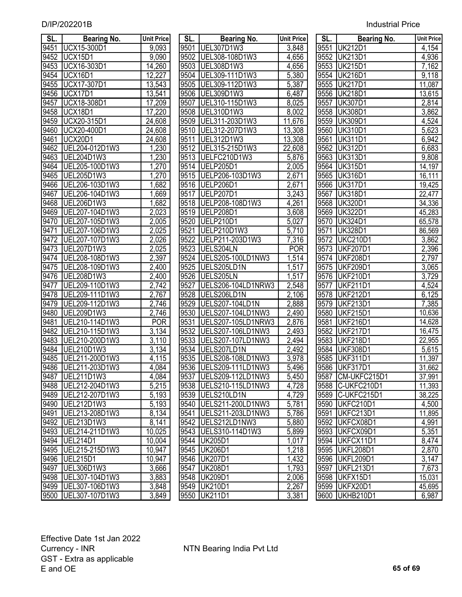| SL.  | <b>Bearing No.</b>    | <b>Unit Price</b>  | SL.  | <b>Bearing No.</b>           | Unit Price         | SL.  | <b>Bearing No.</b> | <b>Unit Price</b>  |
|------|-----------------------|--------------------|------|------------------------------|--------------------|------|--------------------|--------------------|
| 9451 | UCX15-300D1           | 9,093              | 9501 | UEL307D1W3                   | 3,848              | 9551 | <b>UK212D1</b>     | 4,154              |
| 9452 | UCX15D1               | 9,090              | 9502 | UEL308-108D1W3               | 4,656              |      | 9552 UK213D1       | 4,936              |
| 9453 | UCX16-303D1           | 14,260             | 9503 | UEL308D1W3                   | 4,656              | 9553 | <b>UK215D1</b>     | 7,162              |
| 9454 | UCX16D1               | 12,227             | 9504 | UEL309-111D1W3               | 5,380              | 9554 | <b>UK216D1</b>     | 9,118              |
| 9455 | UCX17-307D1           | 13,543             | 9505 | UEL309-112D1W3               | $\frac{1}{5,387}$  |      | 9555 UK217D1       | 11,087             |
| 9456 | UCX17D1               | 13,541             | 9506 | UEL309D1W3                   | 6,487              | 9556 | <b>UK218D1</b>     | 13,615             |
| 9457 | UCX18-308D1           | 17,209             | 9507 | UEL310-115D1W3               | 8,025              | 9557 | <b>UK307D1</b>     | 2,814              |
|      | UCX18D1               |                    | 9508 |                              |                    | 9558 | <b>UK308D1</b>     |                    |
| 9458 | UCX20-315D1           | 17,220             | 9509 | UEL310D1W3<br>UEL311-203D1W3 | 8,002              | 9559 | <b>UK309D1</b>     | 3,862              |
| 9459 | UCX20-400D1           | 24,608             | 9510 |                              | 11,676             | 9560 | <b>UK310D1</b>     | 4,524              |
| 9460 |                       | 24,608             |      | UEL312-207D1W3               | 13,308             |      |                    | 5,623              |
| 9461 | UCX20D1               | 24,608             | 9511 | UEL312D1W3                   | 13,308             | 9561 | <b>UK311D1</b>     | 6,942              |
| 9462 | UEL204-012D1W3        | 1,230              | 9512 | UEL315-215D1W3               | 22,608             | 9562 | <b>UK312D1</b>     | 6,683              |
| 9463 | UEL204D1W3            | 1,230              | 9513 | UELFC210D1W3                 | 5,876              | 9563 | <b>UK313D1</b>     | 9,808              |
| 9464 | UEL205-100D1W3        | 1,270              | 9514 | UELP205D1                    | 2,005              | 9564 | <b>UK315D1</b>     | 14,197             |
| 9465 | UEL205D1W3            | 1,270              | 9515 | UELP206-103D1W3              | $\overline{2,671}$ | 9565 | <b>UK316D1</b>     | 16,111             |
| 9466 | UEL206-103D1W3        | 1,682              | 9516 | UELP206D1                    | $\overline{2,671}$ | 9566 | <b>UK317D1</b>     | 19,425             |
| 9467 | UEL206-104D1W3        | 1,669              | 9517 | <b>UELP207D1</b>             | 3,243              | 9567 | <b>UK318D1</b>     | 22,477             |
| 9468 | UEL206D1W3            | 1,682              | 9518 | UELP208-108D1W3              | 4,261              | 9568 | <b>UK320D1</b>     | 34,336             |
| 9469 | UEL207-104D1W3        | 2,023              | 9519 | UELP208D1                    | 3,608              | 9569 | <b>UK322D1</b>     | 45,283             |
| 9470 | UEL207-105D1W3        | 2,005              | 9520 | UELP210D1                    | 5,027              |      | 9570 UK324D1       | 65,578             |
| 9471 | UEL207-106D1W3        | 2,025              | 9521 | UELP210D1W3                  | 5,710              | 9571 | <b>UK328D1</b>     | 86,569             |
| 9472 | UEL207-107D1W3        | 2,026              | 9522 | UELP211-203D1W3              | 7,316              | 9572 | <b>UKC210D1</b>    | 3,862              |
| 9473 | UEL207D1W3            | 2,025              | 9523 | UELS204LN                    | <b>POR</b>         | 9573 | <b>UKF207D1</b>    | 2,396              |
| 9474 | UEL208-108D1W3        | 2,397              | 9524 | UELS205-100LD1NW3            | 1,514              | 9574 | <b>UKF208D1</b>    | $\overline{2,797}$ |
| 9475 | UEL208-109D1W3        | $\sqrt{2,400}$     | 9525 | UELS205LD1N                  | 1,517              | 9575 | <b>UKF209D1</b>    | 3,065              |
| 9476 | UEL208D1W3            | 2,400              | 9526 | UELS205LN                    | 1,517              | 9576 | <b>UKF210D1</b>    | 3,729              |
| 9477 | UEL209-110D1W3        | 2,742              | 9527 | UELS206-104LD1NRW3           | 2,548              | 9577 | <b>UKF211D1</b>    | 4,524              |
| 9478 | UEL209-111D1W3        | 2,767              | 9528 | UELS206LD1N                  | 2,106              | 9578 | <b>UKF212D1</b>    | 6,125              |
| 9479 | UEL209-112D1W3        | 2,746              | 9529 | <b>UELS207-104LD1N</b>       | 2,888              | 9579 | <b>UKF213D1</b>    | 7,385              |
| 9480 | UEL209D1W3            | 2,746              | 9530 | UELS207-104LD1NW3            | 2,490              | 9580 | <b>UKF215D1</b>    | 10,636             |
| 9481 | UEL210-114D1W3        | <b>POR</b>         | 9531 | UELS207-105LD1NRW3           | 2,876              | 9581 | <b>UKF216D1</b>    | 14,628             |
| 9482 | UEL210-115D1W3        | 3,134              | 9532 | <b>UELS207-106LD1NW3</b>     | 2,493              | 9582 | <b>UKF217D1</b>    | 16,475             |
| 9483 | UEL210-200D1W3        | 3,110              | 9533 | UELS207-107LD1NW3            | 2,494              | 9583 | <b>UKF218D1</b>    | 22,955             |
| 9484 | UEL210D1W3            | $\overline{3,}134$ | 9534 | UELS207LD1N                  | 2,492              | 9584 | <b>UKF308D1</b>    | 5,615              |
| 9485 | UEL211-200D1W3        | 4,115              | 9535 | UELS208-108LD1NW3            | 3,978              | 9585 | <b>UKF311D1</b>    | 11,397             |
|      | 9486 UEL211-203D1W3   | 4,084              |      | 9536 UELS209-111LD1NW3       | 5,496              |      | 9586 UKF317D1      | 31,662             |
| 9487 | UEL211D1W3            | 4,084              | 9537 | UELS209-112LD1NW3            | 5,450              |      | 9587 CM-UKFC215D1  | 37,991             |
|      | 9488 UEL212-204D1W3   | 5,215              |      | 9538   UELS210-115LD1NW3     | 4,728              |      | 9588 C-UKFC210D1   | 11,393             |
| 9489 | UEL212-207D1W3        | 5,193              | 9539 | UELS210LD1N                  | 4,729              |      | 9589 C-UKFC215D1   | 38,225             |
| 9490 | UEL212D1W3            | 5,193              | 9540 | UELS211-200LD1NW3            | 5,781              |      | 9590 UKFC210D1     | 4,500              |
| 9491 | UEL213-208D1W3        | 8,134              | 9541 | UELS211-203LD1NW3            | 5,786              | 9591 | UKFC213D1          | 11,895             |
| 9492 | UEL213D1W3            | 8,141              | 9542 | UELS212LD1NW3                | 5,880              |      | 9592 UKFCX08D1     | 4,991              |
| 9493 | UEL214-211D1W3        | 10,025             |      | 9543   UELS310-114D1W3       | 5,899              |      | 9593 UKFCX09D1     | 5,351              |
| 9494 | UEL214D1              | 10,004             |      | 9544 UK205D1                 | 1,017              |      | 9594 UKFCX11D1     | 8,474              |
|      | 9495   UEL215-215D1W3 | 10,947             |      | 9545 UK206D1                 | 1,218              |      | 9595 UKFL208D1     | 2,870              |
|      | 9496   UEL215D1       | 10,947             |      | 9546 UK207D1                 | 1,432              |      | 9596 UKFL209D1     | 3,147              |
| 9497 | UEL306D1W3            | 3,666              |      | 9547 UK208D1                 | 1,793              |      | 9597 UKFL213D1     | $\overline{7,673}$ |
|      | 9498   UEL307-104D1W3 | 3,883              |      | 9548 UK209D1                 | 2,006              |      | 9598 UKFX15D1      | 15,031             |
|      | 9499   UEL307-106D1W3 | 3,848              |      | 9549 UK210D1                 | 2,267              |      | 9599 UKFX20D1      | 45,695             |
|      | 9500 UEL307-107D1W3   | 3,849              |      | 9550 UK211D1                 | 3,381              |      | 9600 UKHB210D1     | 6,987              |

| SL.               | <b>Bearing No.</b>  | <b>Unit Price</b>  | SL.  | <b>Bearing No.</b>       | <b>Unit Price</b>  | SL.  | <b>Bearing No.</b>  | <b>Unit Pric</b> |
|-------------------|---------------------|--------------------|------|--------------------------|--------------------|------|---------------------|------------------|
| 9451              | <b>UCX15-300D1</b>  | $\overline{9,093}$ | 9501 | UEL307D1W3               | 3,848              | 9551 | <b>UK212D1</b>      | 4,154            |
| 9452              | UCX15D1             | $\overline{9,090}$ | 9502 | UEL308-108D1W3           | $\overline{4,}656$ | 9552 | <b>UK213D1</b>      | 4,936            |
| 9453              | UCX16-303D1         | 14,260             | 9503 | UEL308D1W3               | 4,656              | 9553 | <b>UK215D1</b>      | 7,162            |
| 9454              | <b>UCX16D1</b>      | 12,227             | 9504 | UEL309-111D1W3           | 5,380              | 9554 | <b>UK216D1</b>      | 9,118            |
| $\frac{1}{9455}$  | <b>UCX17-307D1</b>  | 13,543             | 9505 | UEL309-112D1W3           | 5,387              |      | 9555 UK217D1        | 11,087           |
| 9456              | UCX17D1             | 13,541             |      | 9506 UEL309D1W3          | 6,487              |      | 9556 UK218D1        | 13,615           |
| $\overline{9457}$ | UCX18-308D1         | 17,209             | 9507 | UEL310-115D1W3           | 8,025              | 9557 | <b>UK307D1</b>      | 2,814            |
| 9458              | UCX18D1             | 17,220             |      | 9508 UEL310D1W3          | 8,002              |      | 9558 UK308D1        | 3,862            |
| 9459              | UCX20-315D1         | 24,608             | 9509 | UEL311-203D1W3           | 11,676             |      | 9559 UK309D1        | 4,524            |
| 9460              | UCX20-400D1         | 24,608             | 9510 | UEL312-207D1W3           | 13,308             | 9560 | <b>UK310D1</b>      | 5,623            |
| 9461              | <b>UCX20D1</b>      | 24,608             | 9511 | UEL312D1W3               | 13,308             | 9561 | <b>UK311D1</b>      | 6,942            |
| 9462              | UEL204-012D1W3      | 1,230              |      | 9512 UEL315-215D1W3      | 22,608             |      | 9562 UK312D1        | 6,683            |
| 9463              | UEL204D1W3          | 1,230              | 9513 | UELFC210D1W3             | 5,876              | 9563 | <b>UK313D1</b>      | 9,808            |
| 9464              | UEL205-100D1W3      | 1,270              | 9514 | UELP205D1                | 2,005              | 9564 | <b>UK315D1</b>      | 14,197           |
| 9465              | <b>UEL205D1W3</b>   | 1,270              | 9515 | UELP206-103D1W3          | 2,671              | 9565 | <b>UK316D1</b>      | 16,111           |
| 9466              | UEL206-103D1W3      | 1,682              |      | 9516 UELP206D1           | $\overline{2,}671$ | 9566 | <b>UK317D1</b>      | 19,425           |
| $\overline{9467}$ | UEL206-104D1W3      | 1,669              | 9517 | UELP207D1                | 3,243              | 9567 | <b>UK318D1</b>      | 22,477           |
| 9468              | UEL206D1W3          | 1,682              |      | 9518 UELP208-108D1W3     | 4,261              | 9568 | <b>UK320D1</b>      |                  |
| 9469              | UEL207-104D1W3      | $\overline{2,023}$ |      | 9519 UELP208D1           | 3,608              | 9569 | <b>UK322D1</b>      | 34,336           |
| 9470              | UEL207-105D1W3      | 2,005              |      | 9520 UELP210D1           |                    |      | 9570 UK324D1        | 45,283           |
|                   | UEL207-106D1W3      |                    | 9521 | UELP210D1W3              | 5,027<br>5,710     |      | <b>UK328D1</b>      | 65,578           |
| 9471              |                     | 2,025              | 9522 | UELP211-203D1W3          |                    | 9571 |                     | 86,569           |
| 9472              | UEL207-107D1W3      | 2,026              |      | 9523 UELS204LN           | 7,316              | 9572 | <b>UKC210D1</b>     | 3,862            |
| 9473              | UEL207D1W3          | 2,025              |      |                          | <b>POR</b>         | 9573 | <b>UKF207D1</b>     | 2,396            |
| 9474              | UEL208-108D1W3      | 2,397              |      | 9524 UELS205-100LD1NW3   | 1,514              | 9574 | <b>UKF208D1</b>     | 2,797            |
| 9475              | UEL208-109D1W3      | 2,400              | 9525 | UELS205LD1N              | 1,517              | 9575 | <b>UKF209D1</b>     | 3,065            |
| 9476              | UEL208D1W3          | 2,400              | 9526 | UELS205LN                | 1,517              | 9576 | <b>UKF210D1</b>     | 3,729            |
| 9477              | UEL209-110D1W3      | 2,742              | 9527 | UELS206-104LD1NRW3       | 2,548              | 9577 | <b>UKF211D1</b>     | 4,524            |
| 9478              | UEL209-111D1W3      | 2,767              | 9528 | UELS206LD1N              | 2,106              | 9578 | <b>UKF212D1</b>     | 6,125            |
| 9479              | UEL209-112D1W3      | 2,746              | 9529 | <b>UELS207-104LD1N</b>   | 2,888              | 9579 | <b>UKF213D1</b>     | 7,385            |
| 9480              | UEL209D1W3          | 2,746              | 9530 | <b>UELS207-104LD1NW3</b> | 2,490              | 9580 | <b>UKF215D1</b>     | 10,636           |
| 9481              | UEL210-114D1W3      | <b>POR</b>         | 9531 | UELS207-105LD1NRW3       | 2,876              | 9581 | <b>UKF216D1</b>     | 14,628           |
| 9482              | UEL210-115D1W3      | 3,134              | 9532 | <b>UELS207-106LD1NW3</b> | 2,493              | 9582 | <b>UKF217D1</b>     | 16,475           |
| 9483              | UEL210-200D1W3      | 3,110              | 9533 | UELS207-107LD1NW3        | 2,494              | 9583 | <b>UKF218D1</b>     | 22,955           |
| 9484              | UEL210D1W3          | $\overline{3,}134$ | 9534 | UELS207LD1N              | 2,492              | 9584 | <b>UKF308D1</b>     | 5,615            |
| 9485              | UEL211-200D1W3      | 4,115              | 9535 | UELS208-108LD1NW3        | 3,978              | 9585 | <b>UKF311D1</b>     | 11,397           |
| 9486              | UEL211-203D1W3      | 4,084              |      | 9536 UELS209-111LD1NW3   | 5,496              |      | 9586 UKF317D1       | 31,662           |
| 9487              | UEL211D1W3          | 4,084              |      | 9537   UELS209-112LD1NW3 | 5,450              |      | 9587   CM-UKFC215D1 | 37,991           |
|                   | 9488 UEL212-204D1W3 | 5,215              |      | 9538 UELS210-115LD1NW3   | 4,728              |      | 9588 C-UKFC210D1    | 11,393           |
| 9489              | UEL212-207D1W3      | 5,193              | 9539 | UELS210LD1N              | 4,729              |      | 9589 C-UKFC215D1    | 38,225           |
| 9490              | UEL212D1W3          | 5,193              | 9540 | UELS211-200LD1NW3        | 5,781              |      | 9590 UKFC210D1      | 4,500            |
| 9491              | UEL213-208D1W3      | 8,134              | 9541 | UELS211-203LD1NW3        | 5,786              | 9591 | UKFC213D1           | 11,895           |
| 9492              | UEL213D1W3          | 8,141              |      | 9542   UELS212LD1NW3     | 5,880              |      | 9592 UKFCX08D1      | 4,991            |
| 9493              | UEL214-211D1W3      | 10,025             |      | 9543   UELS310-114D1W3   | 5,899              |      | 9593 UKFCX09D1      | 5,351            |
|                   | 9494 UEL214D1       | 10,004             |      | 9544 UK205D1             | 1,017              |      | 9594 UKFCX11D1      | 8,474            |
| 9495              | UEL215-215D1W3      | 10,947             |      | 9545 UK206D1             | 1,218              |      | 9595 UKFL208D1      | 2,870            |
| 9496              | UEL215D1            | 10,947             |      | 9546 UK207D1             | 1,432              |      | 9596 UKFL209D1      | 3,147            |
| 9497              | UEL306D1W3          | 3,666              |      | 9547 UK208D1             | 1,793              |      | 9597 UKFL213D1      | 7,673            |
| 9498              | UEL307-104D1W3      | 3,883              |      | 9548 UK209D1             | 2,006              |      | 9598 UKFX15D1       | 15,031           |
|                   | 9499 UEL307-106D1W3 | 3,848              |      | 9549 UK210D1             | 2,267              |      | 9599 UKFX20D1       | 45,695           |
|                   | 9500 UEL307-107D1W3 | 3,849              |      | 9550 UK211D1             | 3,381              |      | 9600 UKHB210D1      | 6,987            |

| SL.              | <b>Bearing No.</b> | <b>Unit Price</b> |
|------------------|--------------------|-------------------|
| 9551             | <b>UK212D1</b>     | 4,154             |
| 9552             | <b>UK213D1</b>     | 4,936             |
| 9553             | <b>UK215D1</b>     | 7,162             |
| 9554             | <b>UK216D1</b>     | 9,118             |
| 9555             | <b>UK217D1</b>     | 11,087            |
| 9556             | <b>UK218D1</b>     | 13,615            |
| 9557             | <b>UK307D1</b>     | 2,814             |
| 9558             | <b>UK308D1</b>     | 3,862             |
| 9559             | <b>UK309D1</b>     | 4,524             |
| 9560             | <b>UK310D1</b>     | 5,623             |
| 9561             | <b>UK311D1</b>     | 6,942             |
| 9562             | <b>UK312D1</b>     | 6,683             |
| $\frac{1}{9563}$ | <b>UK313D1</b>     | 9,808             |
| 9564             | <b>UK315D1</b>     | 14,197            |
| 9565             | <b>UK316D1</b>     | 16,111            |
| 9566             | <b>UK317D1</b>     | 19,425            |
| 9567             | <b>UK318D1</b>     | 2 <u>2,477</u>    |
| 9568             | <b>UK320D1</b>     | 34,336            |
| 9569             | <b>UK322D1</b>     | 45,283            |
| 9570             | <b>UK324D1</b>     | 65,578            |
| 9571             | <b>UK328D1</b>     | 86,569            |
| 9572             | <b>UKC210D1</b>    | 3,862             |
| 9573             | <b>UKF207D1</b>    | 2,396             |
| 9574             | <b>UKF208D1</b>    | 2,797             |
| 9575             | <b>UKF209D1</b>    | 3,065             |
| 9576             | <b>UKF210D1</b>    | 3,729             |
| 9577             | <b>UKF211D1</b>    | 4,524             |
| 9578             | <b>UKF212D1</b>    | 6,125             |
| 9579             | <b>UKF213D1</b>    | 7,385             |
| 9580             | <b>UKF215D1</b>    | 10,636            |
| 9581             | <b>UKF216D1</b>    | 14,628            |
| 9582             | <b>UKF217D1</b>    | 16,475            |
| 9583             | <b>UKF218D1</b>    | 22,955            |
| 9584             | <b>UKF308D1</b>    | 5,615             |
| 9585             | <b>UKF311D1</b>    | 11,397            |
| 9586             | <b>UKF317D1</b>    | 31,662            |
| 9587             | CM-UKFC215D1       | <u>37,991</u>     |
| 9588             | C-UKFC210D1        | 11,393            |
| 9589             | C-UKFC215D1        | 38,225            |
| 9590             | UKFC210D1          | 4,500             |
| 9591             | UKFC213D1          | 11,895            |
| 9592             | UKFCX08D1          | 4,991             |
| 9593             | UKFCX09D1          | 5,351             |
| 9594             | UKFCX11D1          | 8,474             |
| 9595             | <b>UKFL208D1</b>   | 2,870             |
| 9596             | <b>UKFL209D1</b>   | 3,147             |
| 9597             | <b>UKFL213D1</b>   | 7,673             |
| 9598             | UKFX15D1           | 15,031            |
| 9599             | UKFX20D1           | 45,695            |
| 9600             | <b>UKHB210D1</b>   | 6,987             |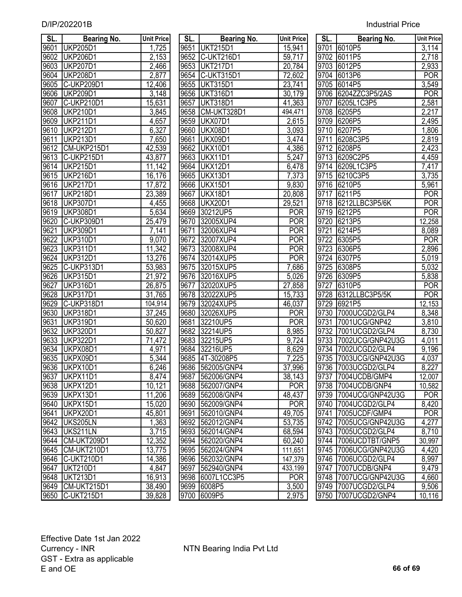| SL.  | <b>Bearing No.</b> | <b>Unit Price</b>  | SL.  | <b>Bearing No.</b> | <b>Unit Price</b>   | SL.               | <b>Bearing No.</b>    | <b>Unit Price</b>  |
|------|--------------------|--------------------|------|--------------------|---------------------|-------------------|-----------------------|--------------------|
| 9601 | <b>UKP205D1</b>    | 1,725              | 9651 | <b>UKT215D1</b>    | 15,941              | 9701              | 6010P5                | 3,114              |
| 9602 | <b>UKP206D1</b>    | 2,153              | 9652 | <b>C-UKT216D1</b>  | 59,717              | 9702              | 6011P5                | 2,718              |
| 9603 | <b>UKP207D1</b>    | 2,466              | 9653 | <b>UKT217D1</b>    | 20,784              | 9703              | 6012P5                | 2,933              |
| 9604 | <b>UKP208D1</b>    | 2,877              | 9654 | C-UKT315D1         | 72,602              | 9704              | 6013P6                | <b>POR</b>         |
| 9605 | C-UKP209D1         | 12,406             | 9655 | <b>UKT315D1</b>    | 23,741              | 9705              | 6014P5                | 3,549              |
| 9606 | <b>UKP209D1</b>    | 3,148              | 9656 | <b>UKT316D1</b>    | 30,179              | 9706              | 6204ZZC3P5/2AS        | <b>POR</b>         |
| 9607 | C-UKP210D1         | 15,631             | 9657 | <b>UKT318D1</b>    | 41,363              | 9707              | 6205L1C3P5            | 2,581              |
| 9608 | <b>UKP210D1</b>    | 3,845              | 9658 | CM-UKT328D1        | 494,471             | 9708              | 6205P5                | 2,217              |
| 9609 | <b>UKP211D1</b>    | 4,657              | 9659 | UKX07D1            | 2,615               | 9709              | 6206P5                | 2,495              |
| 9610 | <b>UKP212D1</b>    | 6,327              | 9660 | UKX08D1            | 3,093               | $97\overline{10}$ | 6207P5                | 1,806              |
| 9611 | <b>UKP213D1</b>    | 7,650              | 9661 | UKX09D1            | 3,474               | 9711              | 6208C3P5              | 2,819              |
| 9612 | CM-UKP215D1        | 42,539             | 9662 | UKX10D1            | 4,386               | 9712              | 6208P5                | 2,423              |
| 9613 | C-UKP215D1         | 43,877             | 9663 | UKX11D1            | 5,247               | 9713              | 6209C2P5              | 4,459              |
| 9614 | <b>UKP215D1</b>    | 11,142             | 9664 | <b>UKX12D1</b>     | 6,478               | 9714              | 6209L1C3P5            | 7,417              |
| 9615 | <b>UKP216D1</b>    | 16,176             | 9665 | UKX13D1            | 7,373               | 9715              | 6210C3P5              | $\overline{3,}735$ |
| 9616 | <b>UKP217D1</b>    | 17,872             | 9666 | UKX15D1            | 9,830               | 9716              | 6210P5                | 5,961              |
| 9617 | <b>UKP218D1</b>    | 23,389             | 9667 | <b>UKX18D1</b>     | 20,808              | 9717              | 6211P5                | <b>POR</b>         |
| 9618 | <b>UKP307D1</b>    | 4,455              | 9668 | <b>UKX20D1</b>     | 29,521              | 9718              | 6212LLBC3P5/6K        | <b>POR</b>         |
| 9619 | <b>UKP308D1</b>    | 5,634              | 9669 | 30212UP5           | <b>POR</b>          | 9719              | 6212P5                | <b>POR</b>         |
| 9620 | C-UKP309D1         | 25,479             | 9670 | 32005XUP4          | <b>POR</b>          | 9720              | 6213P5                | 12,258             |
| 9621 | <b>UKP309D1</b>    | 7,141              | 9671 | 32006XUP4          | <b>POR</b>          | 9721              | 6214P5                | 8,089              |
| 9622 | <b>UKP310D1</b>    | 9,070              | 9672 | 32007XUP4          | <b>POR</b>          | 9722              | 6305P5                | <b>POR</b>         |
| 9623 | <b>UKP311D1</b>    | 11,342             | 9673 | 32008XUP4          | <b>POR</b>          | 9723              | 6306P5                | 2,896              |
| 9624 | <b>UKP312D1</b>    | 13,276             | 9674 | 32014XUP5          | <b>POR</b>          | 9724              | 6307P5                | 5,019              |
| 9625 | C-UKP313D1         | 53,983             | 9675 | 32015XUP5          | 7,686               | 9725              | 6308P5                | 5,032              |
| 9626 | <b>UKP315D1</b>    | 21,972             | 9676 | 32016XUP5          | 5,026               | 9726              | 6309P5                | 5,838              |
| 9627 | <b>UKP316D1</b>    | 26,875             | 9677 | 32020XUP5          | 27,858              | 9727              | 6310P5                | <b>POR</b>         |
| 9628 | <b>UKP317D1</b>    | 31,765             | 9678 | 32022XUP5          | 15,733              | 9728              | 6312LLBC3P5/5K        | <b>POR</b>         |
| 9629 | C-UKP318D1         | 104,914            | 9679 | 32024XUP5          | 46,037              | 9729              | 6921P5                | 12,153             |
| 9630 | <b>UKP318D1</b>    | 37,245             | 9680 | 32026XUP5          | <b>POR</b>          | 9730              | 7000UCGD2/GLP4        | 8,348              |
| 9631 | <b>UKP319D1</b>    | 50,620             | 9681 | 32210UP5           | <b>POR</b>          | 9731              | 7001UCG/GNP42         | 3,810              |
| 9632 | <b>UKP320D1</b>    | 50,827             | 9682 | 32214UP5           | 8,985               | 9732              | 7001UCGD2/GLP4        | 8,730              |
| 9633 | <b>UKP322D1</b>    | 71,472             |      | 9683 32215UP5      | 9,724               | 9733              | 7002UCG/GNP42U3G      | 4,011              |
| 9634 | UKPX08D1           | 4,971              | 9684 | 32216UP5           | 8,629               | 9734              | 7002UCGD2/GLP4        | 9,196              |
| 9635 | UKPX09D1           | 5,344              |      | 9685 4T-30208P5    | 7,225               |                   | 9735 7003UCG/GNP42U3G | 4,037              |
|      | 9636 UKPX10D1      | 6,246              |      | 9686 562005/GNP4   | 37,996              |                   | 9736 7003UCGD2/GLP4   | 8,227              |
|      | 9637 UKPX11D1      | 8,474              |      | 9687 562006/GNP4   | $\overline{38,143}$ |                   | 9737 7004UCDB/GMP4    | 12,007             |
|      | 9638 UKPX12D1      | 10,121             |      | 9688 562007/GNP4   | <b>POR</b>          |                   | 9738 7004UCDB/GNP4    | 10,582             |
|      | 9639 UKPX13D1      | 11,206             |      | 9689 562008/GNP4   | 48,437              |                   | 9739 7004UCG/GNP42U3G | <b>POR</b>         |
| 9640 | UKPX15D1           | 15,020             |      | 9690 562009/GNP4   | <b>POR</b>          |                   | 9740 7004UCGD2/GLP4   | 8,420              |
| 9641 | UKPX20D1           | 45,801             |      | 9691 562010/GNP4   | 49,705              |                   | 9741 7005UCDF/GMP4    | <b>POR</b>         |
|      | 9642 UKS205LN      | 1,363              |      | 9692 562012/GNP4   | 53,735              |                   | 9742 7005UCG/GNP42U3G | 4,277              |
|      | 9643 UKS211LN      | $\overline{3,715}$ |      | 9693 562014/GNP4   | 68,594              |                   | 9743 7005UCGD2/GLP4   | 8,710              |
|      | 9644 CM-UKT209D1   | 12,352             |      | 9694 562020/GNP4   | 60,240              |                   | 9744 7006UCDTBT/GNP5  | 30,997             |
|      | 9645 CM-UKT210D1   | 13,775             |      | 9695 562024/GNP4   | 111,651             |                   | 9745 7006UCG/GNP42U3G | 4,420              |
|      | 9646 C-UKT210D1    | 14,386             |      | 9696 562032/GNP4   | 147,379             |                   | 9746 7006UCGD2/GLP4   | 8,997              |
|      | 9647 UKT210D1      | 4,847              |      | 9697 562940/GNP4   | 433,199             |                   | 9747 7007UCDB/GNP4    | 9,479              |
|      | 9648 UKT213D1      | 16,913             |      | 9698 6007L1CC3P5   | POR                 |                   | 9748 7007UCG/GNP42U3G | 4,660              |
|      | 9649 CM-UKT215D1   | 38,490             |      | 9699 6008P5        | 3,500               |                   | 9749 7007UCGD2/GLP4   | 9,506              |
|      | 9650 C-UKT215D1    | 39.828             |      | 9700 6009P5        | 2.975               |                   | 9750 7007UCGD2/GNP4   | 10.116             |

| SL.  | <b>Bearing No.</b> | <b>Unit Pric</b>    |
|------|--------------------|---------------------|
| 9651 | <b>UKT215D1</b>    | 15,941              |
| 9652 | C-UKT216D1         | 59,717              |
| 9653 | <b>UKT217D1</b>    | 20,784              |
| 9654 | <b>C-UKT315D1</b>  | $\overline{72,}602$ |
| 9655 | <b>UKT315D1</b>    | 23,741              |
| 9656 | <b>UKT316D1</b>    | 30, 179             |
| 9657 | <b>UKT318D1</b>    | 41,363              |
| 9658 | CM-UKT328D1        | 494,471             |
| 9659 | <b>UKX07D1</b>     | 2,615               |
| 9660 | UKX08D1            | 3,093               |
| 9661 | UKX09D1            | 3,474               |
| 9662 | <b>UKX10D1</b>     |                     |
| 9663 | <b>UKX11D1</b>     | 4,386<br>5,247      |
| 9664 | UKX12D1            | 6,478               |
| 9665 | UKX13D1            | <u>7,373</u>        |
| 9666 | UKX15D1            | 9,830               |
| 9667 | <b>UKX18D1</b>     | 20,808              |
| 9668 | UKX20D1            | 29,521              |
| 9669 | 30212UP5           | <b>POR</b>          |
| 9670 | 32005XUP4          | <b>POR</b>          |
| 9671 | 32006XUP4          | <b>POR</b>          |
| 9672 | 32007XUP4          | POR                 |
| 9673 | 32008XUP4          | POR                 |
| 9674 | 32014XUP5          | <b>POR</b>          |
| 9675 | 32015XUP5          | 7,686               |
| 9676 | 32016XUP5          | 5,026               |
| 9677 | 32020XUP5          | 27,858              |
| 9678 | 32022XUP5          | 15,733              |
| 9679 | 32024XUP5          | 46,037              |
| 9680 | 32026XUP5          | POR                 |
| 9681 | 32210UP5           | <b>POR</b>          |
| 9682 | 32214UP5           | 8,985               |
| 9683 | 32215UP5           | 9,724               |
|      | 9684 32216UP5      | 8,629               |
|      | 9685 4T-30208P5    | 7,225               |
| 9686 | 562005/GNP4        | 37,996              |
| 9687 | 562006/GNP4        | 38,143              |
| 9688 | 562007/GNP4        | <b>POR</b>          |
| 9689 | 562008/GNP4        | 48,437              |
| 9690 | 562009/GNP4        | POR                 |
| 9691 | 562010/GNP4        | 49,705              |
| 9692 | 562012/GNP4        | $\overline{5}3,735$ |
| 9693 | 562014/GNP4        | 68,594              |
| 9694 | 562020/GNP4        | 60,240              |
| 9695 | 562024/GNP4        | 111,651             |
| 9696 | 562032/GNP4        | 147,379             |
| 9697 | 562940/GNP4        | 433,199             |
| 9698 | 6007L1CC3P5        | <b>POR</b>          |
| 9699 | 6008P5             | 3,500               |
| 9700 | 6009P5             | $\overline{2,}975$  |
|      |                    |                     |

| SL.              | <b>Bearing No.</b>             | <b>Unit Price</b>       | SL.               | <b>Bearing No.</b>                   | <b>Unit Price</b> | SL.  | <b>Bearing No.</b>                           | <b>Unit Price</b>  |
|------------------|--------------------------------|-------------------------|-------------------|--------------------------------------|-------------------|------|----------------------------------------------|--------------------|
| 9601             | <b>UKP205D1</b>                | 1,725                   | 9651              | <b>UKT215D1</b>                      | 15,941            | 9701 | 6010P5                                       | $\overline{3,114}$ |
| 9602             | <b>UKP206D1</b>                | 2,153                   | 9652              | C-UKT216D1                           | 59,717            | 9702 | 6011P5                                       | 2,718              |
| 9603             | <b>UKP207D1</b>                | 2,466                   | 9653              | <b>UKT217D1</b>                      | 20,784            | 9703 | 6012P5                                       | 2,933              |
| 9604             | <b>UKP208D1</b>                | 2,877                   | 9654              | C-UKT315D1                           | 72,602            | 9704 | 6013P6                                       | <b>POR</b>         |
| 9605             | C-UKP209D1                     | 12,406                  | 9655              | <b>UKT315D1</b>                      | 23,741            | 9705 | 6014P5                                       | $\overline{3,549}$ |
| 9606             | <b>UKP209D1</b>                | $\overline{3,}148$      | 9656              | <b>UKT316D1</b>                      | 30,179            | 9706 | 6204ZZC3P5/2AS                               | <b>POR</b>         |
| 9607             | C-UKP210D1                     | 15,631                  | 9657              | <b>UKT318D1</b>                      | 41,363            | 9707 | 6205L1C3P5                                   | 2,581              |
| 9608             | <b>UKP210D1</b>                | 3,845                   | 9658              | CM-UKT328D1                          | 494,471           | 9708 | 6205P5                                       | 2,217              |
| 9609             | <b>UKP211D1</b>                | 4,657                   | 9659              | UKX07D1                              | 2,615             | 9709 | 6206P5                                       | 2,495              |
| 9610             | <b>UKP212D1</b>                | 6,327                   | 9660              | <b>UKX08D1</b>                       | 3,093             | 9710 | 6207P5                                       | 1,806              |
| 9611             | <b>UKP213D1</b>                | 7,650                   | 9661              | <b>UKX09D1</b>                       | 3,474             | 9711 | 6208C3P5                                     | 2,819              |
| 9612             | CM-UKP215D1                    | 42,539                  | 9662              | <b>UKX10D1</b>                       | 4,386             | 9712 | 6208P5                                       | 2,423              |
| $\frac{1}{9613}$ | C-UKP215D1                     | 43,877                  | 9663              | <b>UKX11D1</b>                       | 5,247             | 9713 | 6209C2P5                                     | 4,459              |
| 9614             | <b>UKP215D1</b>                | 11,142                  | 9664              | UKX12D1                              | 6,478             | 9714 | 6209L1C3P5                                   | 7,417              |
| 9615             | <b>UKP216D1</b>                | 16,176                  | 9665              | <b>UKX13D1</b>                       | 7,373             | 9715 | 6210C3P5                                     | 3,735              |
| 9616             | <b>UKP217D1</b>                | 17,872                  | 9666              | <b>UKX15D1</b>                       | 9,830             | 9716 | 6210P5                                       | 5,961              |
| 9617             | <b>UKP218D1</b>                | 23,389                  | 9667              | UKX18D1                              | 20,808            | 9717 | 6211P5                                       | <b>POR</b>         |
| 9618             | <b>UKP307D1</b>                | 4,455                   | 9668              | <b>UKX20D1</b>                       | 29,521            | 9718 | 6212LLBC3P5/6K                               | <b>POR</b>         |
| 9619             | <b>UKP308D1</b>                | 5,634                   | 9669              | 30212UP5                             | <b>POR</b>        | 9719 | 6212P5                                       | <b>POR</b>         |
| 9620             | C-UKP309D1                     | 25,479                  | 9670              | 32005XUP4                            | <b>POR</b>        | 9720 | 6213P5                                       | 12,258             |
| 9621             | <b>UKP309D1</b>                | 7,141                   | 9671              | 32006XUP4                            | <b>POR</b>        | 9721 | 6214P5                                       | 8,089              |
| 9622             | <b>UKP310D1</b>                | $\overline{9,070}$      | 9672              | 32007XUP4                            | <b>POR</b>        | 9722 | 6305P5                                       | <b>POR</b>         |
| 9623             | <b>UKP311D1</b>                | 11,342                  | 9673              | 32008XUP4                            | <b>POR</b>        | 9723 | 6306P5                                       | 2,896              |
| 9624             | <b>UKP312D1</b>                | 13,276                  | 9674              | 32014XUP5                            | <b>POR</b>        | 9724 | 6307P5                                       | 5,019              |
| 9625             | C-UKP313D1                     | 53,983                  | $96\overline{75}$ | 32015XUP5                            | 7,686             | 9725 | 6308P5                                       | 5,032              |
| 9626             | <b>UKP315D1</b>                | 21,972                  | 9676              | 32016XUP5                            | 5,026             | 9726 | 6309P5                                       | 5,838              |
| 9627             | <b>UKP316D1</b>                | 26,875                  | 9677              | 32020XUP5                            | 27,858            | 9727 | 6310P5                                       | <b>POR</b>         |
| 9628             | <b>UKP317D1</b>                | 31,765                  | 9678              | 32022XUP5                            | 15,733            | 9728 | 6312LLBC3P5/5K                               | <b>POR</b>         |
| 9629             | C-UKP318D1                     | 104,914                 | 9679              | 32024XUP5                            | 46,037            | 9729 | 6921P5                                       | 12,153             |
| 9630             | <b>UKP318D1</b>                | 37,245                  | 9680              | 32026XUP5                            | <b>POR</b>        | 9730 | 7000UCGD2/GLP4                               | 8,348              |
| 9631             | <b>UKP319D1</b>                | 50,620                  | 9681              | 32210UP5                             | <b>POR</b>        | 9731 | 7001UCG/GNP42                                | 3,810              |
| 9632             | <b>UKP320D1</b>                | 50,827                  | 9682              | 32214UP5                             | 8,985             | 9732 | 7001UCGD2/GLP4                               | 8,730              |
| 9633             | <b>UKP322D1</b>                | 71,472                  |                   | 9683 32215UP5                        | 9,724             | 9733 | 7002UCG/GNP42U3G                             | 4,011              |
| 9634             | UKPX08D1<br>UKPX09D1           | 4,971                   |                   | 9684 32216UP5                        | 8,629             |      | 9734 7002UCGD2/GLP4                          | 9,196              |
| 9635             |                                | 5,344                   |                   | 9685 4T-30208P5                      | 7,225             |      | 9735 7003UCG/GNP42U3G<br>9736 7003UCGD2/GLP4 | 4,037              |
|                  | 9636 UKPX10D1<br>9637 UKPX11D1 | 6,246<br>$\sqrt{8,474}$ |                   | 9686 562005/GNP4<br>9687 562006/GNP4 | 37,996<br>38,143  |      | 9737 7004UCDB/GMP4                           | 8,227<br>12,007    |
|                  | 9638 UKPX12D1                  | 10,121                  |                   | 9688 562007/GNP4                     | <b>POR</b>        |      | 9738 7004UCDB/GNP4                           | 10,582             |
|                  | 9639 UKPX13D1                  | 11,206                  |                   | 9689 562008/GNP4                     | 48,437            |      | 9739 7004UCG/GNP42U3G                        | <b>POR</b>         |
|                  | 9640 UKPX15D1                  | 15,020                  |                   | 9690 562009/GNP4                     | <b>POR</b>        |      | 9740 7004UCGD2/GLP4                          | 8,420              |
|                  | 9641 UKPX20D1                  | 45,801                  |                   | 9691 562010/GNP4                     | 49,705            |      | 9741 7005UCDF/GMP4                           | <b>POR</b>         |
|                  | 9642 UKS205LN                  | 1,363                   |                   | 9692 562012/GNP4                     | 53,735            |      | 9742 7005UCG/GNP42U3G                        | 4,277              |
|                  | 9643  UKS211LN                 | 3,715                   |                   | 9693 562014/GNP4                     | 68,594            |      | 9743 7005UCGD2/GLP4                          | 8,710              |
|                  | 9644 CM-UKT209D1               | 12,352                  |                   | 9694 562020/GNP4                     | 60,240            |      | 9744 7006UCDTBT/GNP5                         | 30,997             |
|                  | 9645 CM-UKT210D1               | 13,775                  |                   | 9695 562024/GNP4                     | 111,651           |      | 9745 7006UCG/GNP42U3G                        | 4,420              |
|                  | 9646 C-UKT210D1                | 14,386                  |                   | 9696 562032/GNP4                     | 147,379           |      | 9746 7006UCGD2/GLP4                          | 8,997              |
|                  | 9647 UKT210D1                  | 4,847                   |                   | 9697 562940/GNP4                     | 433,199           |      | 9747 7007UCDB/GNP4                           | 9,479              |
|                  | 9648 UKT213D1                  | 16,913                  |                   | 9698 6007L1CC3P5                     | <b>POR</b>        |      | 9748 7007UCG/GNP42U3G                        | 4,660              |
|                  | 9649 CM-UKT215D1               | 38,490                  |                   | 9699 6008P5                          | 3,500             |      | 9749 7007UCGD2/GLP4                          | 9,506              |
|                  | 9650 C-UKT215D1                | 39,828                  |                   | 9700 6009P5                          | 2,975             |      | 9750 7007UCGD2/GNP4                          | 10,116             |
|                  |                                |                         |                   |                                      |                   |      |                                              |                    |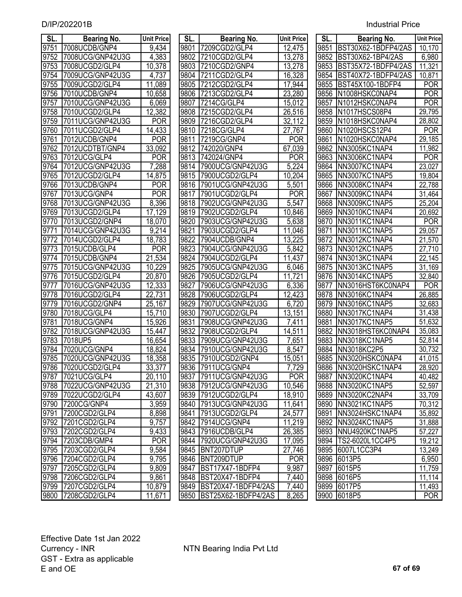| SL.  | <b>Bearing No.</b> | <b>Unit Price</b> | SL.  | <b>Bearing No.</b>    | <b>Unit Price</b>  | SL.  | <b>Bearing No.</b>     | <b>Unit Price</b>   |
|------|--------------------|-------------------|------|-----------------------|--------------------|------|------------------------|---------------------|
| 9751 | 7008UCDB/GNP4      | 9,434             | 9801 | 7209CGD2/GLP4         | 12,475             | 9851 | BST30X62-1BDFP4/2AS    | 10,170              |
| 9752 | 7008UCG/GNP42U3G   | 4,383             | 9802 | 7210CGD2/GLP4         | 13,278             | 9852 | BST30X62-1BP4/2AS      | 6,980               |
| 9753 | 7008UCGD2/GLP4     | 10,378            | 9803 | 7210CGD2/GNP4         | 13,278             | 9853 | BST35X72-1BDFP4/2AS    | 11,321              |
| 9754 | 7009UCG/GNP42U3G   | 4,737             | 9804 | 7211CGD2/GLP4         | 16,328             | 9854 | BST40X72-1BDFP4/2AS    | 10,871              |
| 9755 | 7009UCGD2/GLP4     | 11,089            | 9805 | 7212CGD2/GLP4         | 17,944             | 9855 | BST45X100-1BDFP4       | <b>POR</b>          |
| 9756 | 7010UCDB/GNP4      |                   | 9806 | 7213CGD2/GLP4         | 23,280             | 9856 | N1008HSKC0NAP4         | <b>POR</b>          |
| 9757 | 7010UCG/GNP42U3G   | 10,658<br>6,069   | 9807 |                       | 15,012             | 9857 | N1012HSKC0NAP4         | <b>POR</b>          |
| 9758 |                    |                   |      | 7214CG/GLP4           |                    | 9858 |                        |                     |
| 9759 | 7010UCGD2/GLP4     | 12,382            | 9808 | 7215CGD2/GLP4         | 26,516             |      | N1017HSCS08P4          | 29,795              |
|      | 7011UCG/GNP42U3G   | <b>POR</b>        | 9809 | 7216CGD2/GLP4         | 32,112             | 9859 | N1018HSKC0NAP4         | 28,802              |
| 9760 | 7011UCGD2/GLP4     | 14,433            | 9810 | 7218CG/GLP4           | 27,767             | 9860 | N1020HSCS12P4          | <b>POR</b>          |
| 9761 | 7012UCDB/GNP4      | <b>POR</b>        | 9811 | 7219CG/GNP4           | <b>POR</b>         | 9861 | N1020HSKC0NAP4         | 29,185              |
| 9762 | 7012UCDTBT/GNP4    | 33,092            | 9812 | 742020/GNP4           | 67,039             | 9862 | NN3005KC1NAP4          | 11,982              |
| 9763 | 7012UCG/GLP4       | <b>POR</b>        | 9813 | 742024/GNP4           | <b>POR</b>         | 9863 | NN3006KC1NAP4          | <b>POR</b>          |
| 9764 | 7012UCG/GNP42U3G   | 7,288             | 9814 | 7900UCG/GNP42U3G      | $\overline{5,224}$ | 9864 | NN3007KC1NAP4          | 23,027              |
| 9765 | 7012UCGD2/GLP4     | 14,875            | 9815 | 7900UCGD2/GLP4        | 10,204             | 9865 | NN3007KC1NAP5          | 19,804              |
| 9766 | 7013UCDB/GNP4      | <b>POR</b>        | 9816 | 7901UCG/GNP42U3G      | 5,501              | 9866 | NN3008KC1NAP4          | 22,788              |
| 9767 | 7013UCG/GNP4       | <b>POR</b>        | 9817 | 7901UCGD2/GLP4        | <b>POR</b>         | 9867 | NN3009KC1NAP4          | 31,464              |
| 9768 | 7013UCG/GNP42U3G   | 8,396             | 9818 | 7902UCG/GNP42U3G      | 5,547              | 9868 | NN3009KC1NAP5          | 25,204              |
| 9769 | 7013UCGD2/GLP4     | 17,129            | 9819 | 7902UCGD2/GLP4        | 10,846             | 9869 | NN3010KC1NAP4          | 20,692              |
| 9770 | 7013UCGD2/GNP4     | 18,070            | 9820 | 7903UCG/GNP42U3G      | 5,638              | 9870 | NN3011KC1NAP4          | <b>POR</b>          |
| 9771 | 7014UCG/GNP42U3G   | 9,214             | 9821 | 7903UCGD2/GLP4        | 11,046             | 9871 | NN3011KC1NAP5          | 29,057              |
| 9772 | 7014UCGD2/GLP4     | 18,783            | 9822 | 7904UCDB/GNP4         | 13,225             | 9872 | NN3012KC1NAP4          | 21,570              |
| 9773 | 7015UCDB/GLP4      | <b>POR</b>        | 9823 | 7904UCG/GNP42U3G      | 5,842              | 9873 | NN3012KC1NAP5          | 27,710              |
| 9774 | 7015UCDB/GNP4      | 21,534            | 9824 | 7904UCGD2/GLP4        | 11,437             | 9874 | NN3013KC1NAP4          | $\overline{22,145}$ |
| 9775 | 7015UCG/GNP42U3G   | 10,229            | 9825 | 7905UCG/GNP42U3G      | 6,046              | 9875 | NN3013KC1NAP5          | 31,169              |
| 9776 | 7015UCGD2/GLP4     | 20,870            | 9826 | 7905UCGD2/GLP4        | 11,721             | 9876 | NN3014KC1NAP5          | 32,840              |
| 9777 | 7016UCG/GNP42U3G   | 12,333            | 9827 | 7906UCG/GNP42U3G      | 6,336              | 9877 | NN3016HST6KC0NAP4      | <b>POR</b>          |
| 9778 | 7016UCGD2/GLP4     | 22,731            | 9828 | 7906UCGD2/GLP4        | 12,423             | 9878 | NN3016KC1NAP4          | 26,885              |
| 9779 | 7016UCGD2/GNP4     | 25,167            | 9829 | 7907UCG/GNP42U3G      | 6,720              | 9879 | NN3016KC1NAP5          | 32,683              |
| 9780 | 7018UCG/GLP4       | 15,710            | 9830 | 7907UCGD2/GLP4        | 13,151             | 9880 | NN3017KC1NAP4          | 31,438              |
| 9781 | 7018UCG/GNP4       | 15,926            | 9831 | 7908UCG/GNP42U3G      | 7,411              | 9881 | NN3017KC1NAP5          | 51,632              |
| 9782 | 7018UCG/GNP42U3G   | 15,447            | 9832 | 7908UCGD2/GLP4        | 14,511             | 9882 | NN3018HST6KC0NAP4      | 35,083              |
| 9783 | 7018UP5            | 16,654            | 9833 | 7909UCG/GNP42U3G      | 7,651              | 9883 | NN3018KC1NAP5          | $\overline{52,814}$ |
| 9784 | 7020UCG/GNP4       | 18,824            | 9834 | 7910UCG/GNP42U3G      | 8,547              | 9884 | NN3018KC2P5            | 30,732              |
| 9785 | 7020UCG/GNP42U3G   | 18,358            | 9835 | 7910UCGD2/GNP4        | 15,051             | 9885 | NN3020HSKC0NAP4        | 41,015              |
| 9786 | 7020UCGD2/GLP4     | 33,377            | 9836 | 7911UCG/GNP4          | 7,729              | 9886 | NN3020HSKC1NAP4        | 28,920              |
|      | 9787 7021UCG/GLP4  | 20,110            |      | 9837 7911UCG/GNP42U3G | <b>POR</b>         |      | 9887   NN3020KC1NAP4   | 40,482              |
| 9788 | 7022UCG/GNP42U3G   | 21,310            | 9838 | 7912UCG/GNP42U3G      | 10,546             |      | 9888 NN3020KC1NAP5     | 52,597              |
| 9789 | 7022UCGD2/GLP4     | 43,607            | 9839 | 7912UCGD2/GLP4        | 18,910             |      | 9889 NN3020KC2NAP4     | 33,709              |
| 9790 | 7200CG/GNP4        | 3,959             | 9840 | 7913UCG/GNP42U3G      | 11,641             | 9890 | NN3021KC1NAP5          | 70,312              |
| 9791 | 7200CGD2/GLP4      | 8,898             | 9841 | 7913UCGD2/GLP4        | 24,577             | 9891 | NN3024HSKC1NAP4        | 35,892              |
| 9792 | 7201CGD2/GLP4      | 9,757             | 9842 | 7914UCG/GNP4          | 11,219             | 9892 | NN3024KC1NAP5          | 31,888              |
| 9793 | 7202CGD2/GLP4      | 9,433             | 9843 | 7916UCDB/GLP4         | 26,385             |      | 9893 NNU4920KC1NAP5    | 57,227              |
| 9794 | 7203CDB/GMP4       | <b>POR</b>        | 9844 | 7920UCG/GNP42U3G      | 17,095             |      | 9894   TS2-6020L1CC4P5 | 19,212              |
| 9795 | 7203CGD2/GLP4      | 9,584             | 9845 | BNT207DTUP            | 27,746             | 9895 | 6007L1CC3P4            | $\overline{1}3,249$ |
| 9796 | 7204CGD2/GLP4      | 9,795             | 9846 | BNT209DTUP            | <b>POR</b>         |      | 9896 6013P5            | 6,950               |
| 9797 | 7205CGD2/GLP4      | 9,809             | 9847 | BST17X47-1BDFP4       | 9,987              | 9897 | 6015P5                 | 11,759              |
| 9798 | 7206CGD2/GLP4      | 9,861             | 9848 | BST20X47-1BDFP4       | 7,440              |      | 9898 6016P5            | 11,114              |
| 9799 | 7207CGD2/GLP4      | 10,879            | 9849 | BST20X47-1BDFP4/2AS   | 7,440              | 9899 | 6017P5                 | 11,493              |
| 9800 | 7208CGD2/GLP4      | 11,671            | 9850 | BST25X62-1BDFP4/2AS   | 8,265              | 9900 | 6018P5                 | <b>POR</b>          |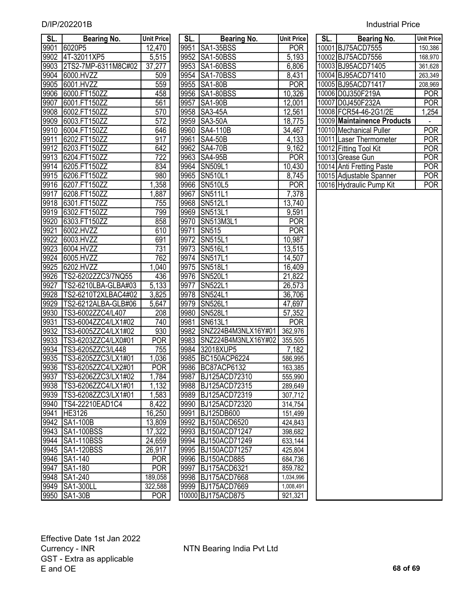| D/IP/202201B | <b>Industrial Price</b> |
|--------------|-------------------------|
|              |                         |

| SL.  | Bearing No.                | <b>Unit Price</b> | SL.  | Bearing No.         | <b>Unit Price</b> | SL. | Bearing No.                 | <b>Unit Price</b> |
|------|----------------------------|-------------------|------|---------------------|-------------------|-----|-----------------------------|-------------------|
| 9901 | 6020P5                     | 12,470            | 9951 | <b>SA1-35BSS</b>    | <b>POR</b>        |     | 10001 BJ75ACD7555           | 150,386           |
| 9902 | 4T-32011XP5                | 5,515             | 9952 | <b>SA1-50BSS</b>    | 5,193             |     | 10002 BJ75ACD7556           | 168,970           |
| 9903 | 2TS2-7MP-6311M8C#02        | 37,277            | 9953 | <b>SA1-60BSS</b>    | 6,806             |     | 10003 BJ95ACD71405          | 361,628           |
| 9904 | 6000.HVZZ                  | 509               | 9954 | SA1-70BSS           | 8,431             |     | 10004 BJ95ACD71410          | 263,349           |
| 9905 | 6001.HVZZ                  | 559               | 9955 | <b>SA1-80B</b>      | <b>POR</b>        |     | 10005 BJ95ACD71417          | 208,969           |
| 9906 | 6000.FT150ZZ               | 458               | 9956 | SA1-80BSS           | 10,326            |     | 10006 D0J350F219A           | <b>POR</b>        |
| 9907 | 6001.FT150ZZ               | 561               | 9957 | <b>SA1-90B</b>      | 12,001            |     | 10007 D0J450F232A           | <b>POR</b>        |
| 9908 | 6002.FT150ZZ               | 570               | 9958 | SA3-45A             | 12,561            |     | 10008 FCR54-46-2G1/2E       | 1,254             |
| 9909 | 6003.FT150ZZ               | $\overline{572}$  | 9959 | <b>SA3-50A</b>      | 18,775            |     | 10009 Maintainence Products |                   |
| 9910 | 6004.FT150ZZ               | 646               | 9960 | SA4-110B            | 34,467            |     | 10010 Mechanical Puller     | <b>POR</b>        |
| 9911 | 6202.FT150ZZ               | 917               | 9961 | <b>SA4-50B</b>      | 4,133             |     | 10011 Laser Thermometer     | <b>POR</b>        |
| 9912 | 6203.FT150ZZ               | 642               |      | 9962 SA4-70B        | 9,162             |     | 10012 Fitting Tool Kit      | <b>POR</b>        |
| 9913 | 6204.FT150ZZ               | $\overline{722}$  | 9963 | <b>SA4-95B</b>      | <b>POR</b>        |     | 10013 Grease Gun            | <b>POR</b>        |
| 9914 | 6205.FT150ZZ               | 834               | 9964 | <b>SN509L1</b>      | 10,430            |     | 10014 Anti Fretting Paste   | <b>POR</b>        |
| 9915 | 6206.FT150ZZ               | 980               | 9965 | <b>SN510L1</b>      | 8,745             |     | 10015 Adjustable Spanner    | <b>POR</b>        |
| 9916 | 6207.FT150ZZ               | 1,358             |      | 9966 SN510L5        | <b>POR</b>        |     | 10016 Hydraulic Pump Kit    | <b>POR</b>        |
| 9917 | 6208.FT150ZZ               | 1,887             | 9967 | <b>SN511L1</b>      | 7,378             |     |                             |                   |
| 9918 | 6301.FT150ZZ               | 755               |      | 9968 SN512L1        | 13,740            |     |                             |                   |
| 9919 | 6302.FT150ZZ               | 799               |      | 9969 SN513L1        | 9,591             |     |                             |                   |
| 9920 | 6303.FT150ZZ               | 858               |      | 9970 SN513M3L1      | <b>POR</b>        |     |                             |                   |
| 9921 | 6002.HVZZ                  | 610               | 9971 | <b>SN515</b>        | <b>POR</b>        |     |                             |                   |
| 9922 | 6003.HVZZ                  | 691               |      | 9972 SN515L1        | 10,987            |     |                             |                   |
| 9923 | 6004.HVZZ                  | 731               |      | 9973 SN516L1        | 13,515            |     |                             |                   |
| 9924 | 6005.HVZZ                  | 762               |      | 9974 SN517L1        | 14,507            |     |                             |                   |
| 9925 | 6202.HVZZ                  | 1,040             |      | 9975 SN518L1        | 16,409            |     |                             |                   |
| 9926 | TS2-6202ZZC3/7NQ55         | 436               |      | 9976 SN520L1        | 21,822            |     |                             |                   |
| 9927 | TS2-6210LBA-GLBA#03        | 5,133             | 9977 | <b>SN522L1</b>      | 26,573            |     |                             |                   |
| 9928 | TS2-6210T2XLBAC4#02        | 3,825             |      | 9978 SN524L1        | 36,706            |     |                             |                   |
| 9929 | TS2-6212ALBA-GLB#06        | 5,647             |      | 9979 SN526L1        | 47,697            |     |                             |                   |
| 9930 | TS3-6002ZZC4/L407          | 208               | 9980 | <b>SN528L1</b>      | 57,352            |     |                             |                   |
| 9931 | TS3-6004ZZC4/LX1#02        | 740               | 9981 | <b>SN613L1</b>      | <b>POR</b>        |     |                             |                   |
| 9932 | TS3-6005ZZC4/LX1#02        | 930               | 9982 | SNZ224B4M3NLX16Y#01 | 362,976           |     |                             |                   |
| 9933 | TS3-6203ZZC4/LX0#01        | <b>POR</b>        | 9983 | SNZ224B4M3NLX16Y#02 | 355,505           |     |                             |                   |
| 9934 | TS3-6205ZZC3/L448          | 755               | 9984 | 32018XUP5           | 7,182             |     |                             |                   |
| 9935 | TS3-6205ZZC3/LX1#01        | 1,036             |      | 9985 BC150ACP6224   | 586,995           |     |                             |                   |
|      | 9936 TS3-6205ZZC4/LX2#01   | <b>POR</b>        |      | 9986 BC87ACP6132    | 163,385           |     |                             |                   |
| 9937 | TS3-6206ZZC3/LX1#02        | 1,784             |      | 9987 BJ125ACD72310  | 555,990           |     |                             |                   |
|      | 9938   TS3-6206ZZC4/LX1#01 | 1,132             |      | 9988 BJ125ACD72315  | 289,649           |     |                             |                   |
| 9939 | TS3-6208ZZC3/LX1#01        | 1,583             |      | 9989 BJ125ACD72319  | 307,712           |     |                             |                   |
|      | 9940   TS4-22210 EAD1 C4   | 8,422             |      | 9990 BJ125ACD72320  | 314,754           |     |                             |                   |
| 9941 | HE3126                     | 16,250            |      | 9991 BJ125DB600     | 151,499           |     |                             |                   |
|      | 9942 SA1-100B              | 13,809            |      | 9992 BJ150ACD6520   | 424,843           |     |                             |                   |
|      | 9943 SA1-100BSS            | 17,322            |      | 9993 BJ150ACD71247  | 398,682           |     |                             |                   |
|      | 9944 SA1-110BSS            | 24,659            |      | 9994 BJ150ACD71249  | 633,144           |     |                             |                   |
|      | 9945 SA1-120BSS            | 26,917            |      | 9995 BJ150ACD71257  | 425,804           |     |                             |                   |
|      | 9946 SA1-140               | <b>POR</b>        |      | 9996 BJ150ACD885    | 684,736           |     |                             |                   |
|      | 9947 SA1-180               | <b>POR</b>        |      | 9997 BJ175ACD6321   | 859,782           |     |                             |                   |
|      | 9948 SA1-240               | 189,058           |      | 9998 BJ175ACD7668   | 1,034,996         |     |                             |                   |
|      | 9949 SA1-300LL             | 322,588           |      | 9999 BJ175ACD7669   | 1,008,491         |     |                             |                   |
|      | 9950 SA1-30B               | <b>POR</b>        |      | 10000 BJ175ACD875   | 921,321           |     |                             |                   |

| SL.   | Bearing No.         | <b>Unit Price</b> |
|-------|---------------------|-------------------|
| 9951  | SA1-35BSS           | <b>POR</b>        |
| 9952  | SA1-50BSS           | 5,193             |
| 9953  | SA1-60BSS           | 6,806             |
| 9954  | SA1-70BSS           | 8,431             |
| 9955  | <b>SA1-80B</b>      | <b>POR</b>        |
| 9956  | SA1-80BSS           | 10,326            |
| 9957  | <b>SA1-90B</b>      | 12,001            |
| 9958  | SA3-45A             | 12,561            |
| 9959  | <b>SA3-50A</b>      | 18,775            |
| 9960  | SA4-110B            | 34,467            |
|       | 9961 SA4-50B        | 4,133             |
|       | 9962 SA4-70B        | 9,162             |
|       | 9963 SA4-95B        | <b>POR</b>        |
|       | 9964 SN509L1        | 10,430            |
|       | 9965 SN510L1        | 8,745             |
|       | 9966 SN510L5        | <b>POR</b>        |
| 9967  | <b>SN511L1</b>      | 7,378             |
| 9968  | <b>SN512L1</b>      | 13,740            |
| 9969  | SN513L1             | 9,591             |
| 9970  | SN513M3L1           | <b>POR</b>        |
| 9971  | <b>SN515</b>        | <b>POR</b>        |
| 9972  | SN515L1             | 10,987            |
| 9973  | SN516L1             | 13,515            |
| 9974  | <b>SN517L1</b>      | 14,507            |
| 9975  | SN518L1             | 16,409            |
| 9976  | <b>SN520L1</b>      | 21,822            |
| 9977  | <b>SN522L1</b>      | 26,573            |
| 9978  | SN524L1             | 36,706            |
| 9979  | <b>SN526L1</b>      | 47,697            |
| 9980  | SN528L1             | 57,352            |
| 9981  | <b>SN613L1</b>      | <b>POR</b>        |
| 9982  | SNZ224B4M3NLX16Y#01 | 362,976           |
| 9983  | SNZ224B4M3NLX16Y#02 | 355,505           |
| 9984  | 32018XUP5           | 7,182             |
| 9985  | BC150ACP6224        | 586,995           |
| 9986  | BC87ACP6132         | 163,385           |
| 9987  | BJ125ACD72310       | 555,990           |
| 9988  | BJ125ACD72315       | 289,649           |
| 9989  | BJ125ACD72319       | 307,712           |
| 9990  | BJ125ACD72320       | 314,754           |
| 9991  | BJ125DB600          | 151,499           |
| 9992  | BJ150ACD6520        | 424,843           |
| 9993  | BJ150ACD71247       | 398,682           |
| 9994  | BJ150ACD71249       | 633,144           |
| 9995  | BJ150ACD71257       | 425,804           |
| 9996  | BJ150ACD885         | 684,736           |
| 9997  | BJ175ACD6321        | 859,782           |
| 9998  | BJ175ACD7668        | 1,034,996         |
| 9999  | BJ175ACD7669        | 1,008,491         |
| 10000 | <b>BJ175ACD875</b>  | 921,321           |

| SL. | Bearing No.                 | <b>Unit Price</b> |
|-----|-----------------------------|-------------------|
|     | 10001 BJ75ACD7555           | 150,386           |
|     | 10002 BJ75ACD7556           | 168,970           |
|     | 10003 BJ95ACD71405          | 361,628           |
|     | 10004 BJ95ACD71410          | 263,349           |
|     | 10005 BJ95ACD71417          | 208,969           |
|     | 10006 D0J350F219A           | POR               |
|     | 10007 D0J450F232A           | POR               |
|     | 10008 FCR54-46-2G1/2E       | 1,254             |
|     | 10009 Maintainence Products |                   |
|     | 10010 Mechanical Puller     | POR               |
|     | 10011 Laser Thermometer     | POR               |
|     | 10012 Fitting Tool Kit      | POR               |
|     | 10013 Grease Gun            | POR               |
|     | 10014 Anti Fretting Paste   | POR               |
|     | 10015 Adjustable Spanner    | POR               |
|     | 10016 Hydraulic Pump Kit    | POR               |